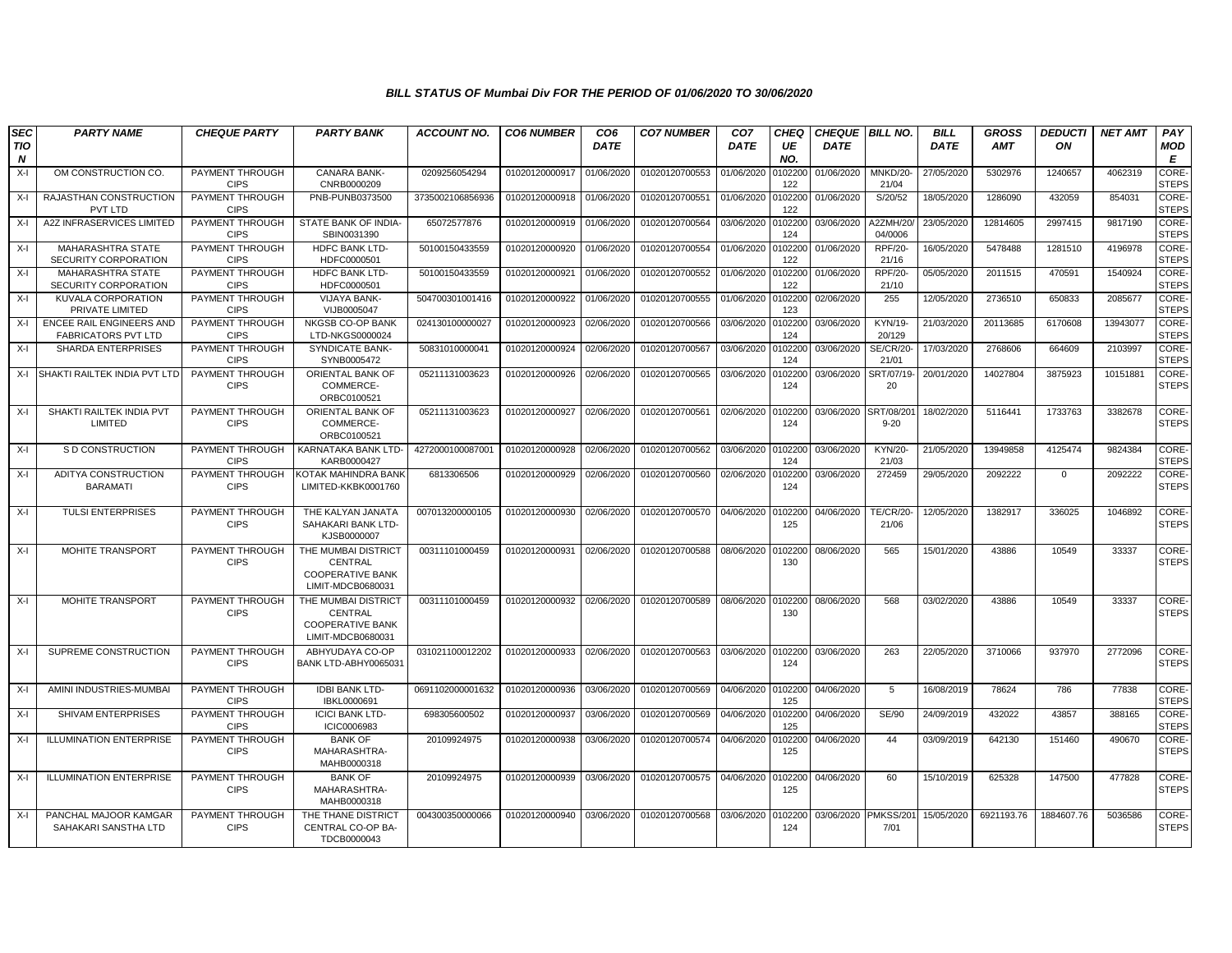| <b>SEC</b>      | <b>PARTY NAME</b>                                             | <b>CHEQUE PARTY</b>            | <b>PARTY BANK</b>                                                              | ACCOUNT NO.      | <b>CO6 NUMBER</b> | CO <sub>6</sub> | <b>CO7 NUMBER</b>         | CO <sub>7</sub> | <b>CHEQ</b>    |             | CHEQUE   BILL NO.         | <b>BILL</b> | <b>GROSS</b> | <b>DEDUCTI</b> | <b>NET AMT</b> | PAY                   |
|-----------------|---------------------------------------------------------------|--------------------------------|--------------------------------------------------------------------------------|------------------|-------------------|-----------------|---------------------------|-----------------|----------------|-------------|---------------------------|-------------|--------------|----------------|----------------|-----------------------|
| <b>TIO</b><br>N |                                                               |                                |                                                                                |                  |                   | <b>DATE</b>     |                           | <b>DATE</b>     | UE<br>NO.      | <b>DATE</b> |                           | <b>DATE</b> | <b>AMT</b>   | ON             |                | MOD<br>E              |
| $X-I$           | OM CONSTRUCTION CO.                                           | PAYMENT THROUGH<br><b>CIPS</b> | <b>CANARA BANK-</b><br>CNRB0000209                                             | 0209256054294    | 01020120000917    | 01/06/2020      | 01020120700553            | 01/06/2020      | 0102200<br>122 | 01/06/2020  | MNKD/20-<br>21/04         | 27/05/2020  | 5302976      | 1240657        | 4062319        | CORE-<br><b>STEPS</b> |
| X-I             | RAJASTHAN CONSTRUCTION<br><b>PVT LTD</b>                      | PAYMENT THROUGH<br><b>CIPS</b> | PNB-PUNB0373500                                                                | 3735002106856936 | 01020120000918    | 01/06/2020      | 01020120700551            | 01/06/2020      | 0102200<br>122 | 01/06/2020  | S/20/52                   | 18/05/2020  | 1286090      | 432059         | 854031         | CORE-<br><b>STEPS</b> |
| X-I             | <b>A2Z INFRASERVICES LIMITED</b>                              | PAYMENT THROUGH<br><b>CIPS</b> | STATE BANK OF INDIA-<br>SBIN0031390                                            | 65072577876      | 01020120000919    | 01/06/2020      | 01020120700564            | 03/06/2020      | 0102200<br>124 | 03/06/2020  | A2ZMH/20<br>04/0006       | 23/05/2020  | 12814605     | 2997415        | 9817190        | CORE-<br><b>STEPS</b> |
| $X-I$           | MAHARASHTRA STATE<br>SECURITY CORPORATION                     | PAYMENT THROUGH<br><b>CIPS</b> | <b>HDFC BANK LTD-</b><br>HDFC0000501                                           | 50100150433559   | 01020120000920    | 01/06/2020      | 01020120700554            | 01/06/2020      | 0102200<br>122 | 01/06/2020  | <b>RPF/20-</b><br>21/16   | 16/05/2020  | 5478488      | 1281510        | 4196978        | CORE-<br><b>STEPS</b> |
| X-I             | MAHARASHTRA STATE<br>SECURITY CORPORATION                     | PAYMENT THROUGH<br><b>CIPS</b> | <b>HDFC BANK LTD-</b><br>HDFC0000501                                           | 50100150433559   | 01020120000921    | 01/06/2020      | 01020120700552            | 01/06/2020      | 0102200<br>122 | 01/06/2020  | <b>RPF/20-</b><br>21/10   | 05/05/2020  | 2011515      | 470591         | 1540924        | CORE-<br><b>STEPS</b> |
| X-I             | <b>KUVALA CORPORATION</b><br>PRIVATE LIMITED                  | PAYMENT THROUGH<br><b>CIPS</b> | <b>VIJAYA BANK-</b><br>VIJB0005047                                             | 504700301001416  | 01020120000922    | 01/06/2020      | 01020120700555            | 01/06/2020      | 0102200<br>123 | 02/06/2020  | 255                       | 12/05/2020  | 2736510      | 650833         | 2085677        | CORE-<br><b>STEPS</b> |
| X-I             | <b>ENCEE RAIL ENGINEERS AND</b><br><b>FABRICATORS PVT LTD</b> | PAYMENT THROUGH<br><b>CIPS</b> | NKGSB CO-OP BANK<br>LTD-NKGS0000024                                            | 024130100000027  | 01020120000923    | 02/06/2020      | 01020120700566            | 03/06/2020      | 0102200<br>124 | 03/06/2020  | <b>KYN/19-</b><br>20/129  | 21/03/2020  | 20113685     | 6170608        | 13943077       | CORE-<br><b>STEPS</b> |
| X-I             | <b>SHARDA ENTERPRISES</b>                                     | PAYMENT THROUGH<br><b>CIPS</b> | <b>SYNDICATE BANK-</b><br>SYNB0005472                                          | 50831010000041   | 01020120000924    | 02/06/2020      | 01020120700567            | 03/06/2020      | 0102200<br>124 | 03/06/2020  | <b>SE/CR/20</b><br>21/01  | 17/03/2020  | 2768606      | 664609         | 2103997        | CORE-<br><b>STEPS</b> |
| X-I             | SHAKTI RAILTEK INDIA PVT LTD                                  | PAYMENT THROUGH<br><b>CIPS</b> | ORIENTAL BANK OF<br>COMMERCE-<br>ORBC0100521                                   | 05211131003623   | 01020120000926    | 02/06/2020      | 01020120700565            | 03/06/2020      | 0102200<br>124 | 03/06/2020  | SRT/07/19-<br>20          | 20/01/2020  | 14027804     | 3875923        | 10151881       | CORE-<br><b>STEPS</b> |
| $X-I$           | SHAKTI RAILTEK INDIA PVT<br>LIMITED                           | PAYMENT THROUGH<br><b>CIPS</b> | ORIENTAL BANK OF<br>COMMERCE-<br>ORBC0100521                                   | 05211131003623   | 01020120000927    | 02/06/2020      | 01020120700561            | 02/06/2020      | 0102200<br>124 | 03/06/2020  | SRT/08/201<br>$9 - 20$    | 18/02/2020  | 5116441      | 1733763        | 3382678        | CORE-<br><b>STEPS</b> |
| X-I             | S D CONSTRUCTION                                              | PAYMENT THROUGH<br><b>CIPS</b> | KARNATAKA BANK LTD-<br>KARB0000427                                             | 4272000100087001 | 01020120000928    | 02/06/2020      | 01020120700562            | 03/06/2020      | 0102200<br>124 | 03/06/2020  | KYN/20-<br>21/03          | 21/05/2020  | 13949858     | 4125474        | 9824384        | CORE-<br><b>STEPS</b> |
| X-I             | ADITYA CONSTRUCTION<br><b>BARAMATI</b>                        | PAYMENT THROUGH<br><b>CIPS</b> | KOTAK MAHINDRA BANK<br>LIMITED-KKBK0001760                                     | 6813306506       | 01020120000929    | 02/06/2020      | 01020120700560            | 02/06/2020      | 0102200<br>124 | 03/06/2020  | 272459                    | 29/05/2020  | 2092222      | $\mathbf{0}$   | 2092222        | CORE-<br><b>STEPS</b> |
| X-I             | <b>TULSI ENTERPRISES</b>                                      | PAYMENT THROUGH<br><b>CIPS</b> | THE KALYAN JANATA<br>SAHAKARI BANK LTD-<br>KJSB0000007                         | 007013200000105  | 01020120000930    | 02/06/2020      | 01020120700570            | 04/06/2020      | 0102200<br>125 | 04/06/2020  | <b>TE/CR/20-</b><br>21/06 | 12/05/2020  | 1382917      | 336025         | 1046892        | CORE-<br><b>STEPS</b> |
| $X-I$           | <b>MOHITE TRANSPORT</b>                                       | PAYMENT THROUGH<br><b>CIPS</b> | THE MUMBAI DISTRICT<br>CENTRAL<br><b>COOPERATIVE BANK</b><br>LIMIT-MDCB0680031 | 00311101000459   | 01020120000931    | 02/06/2020      | 01020120700588            | 08/06/2020      | 0102200<br>130 | 08/06/2020  | 565                       | 15/01/2020  | 43886        | 10549          | 33337          | CORE-<br><b>STEPS</b> |
| X-I             | <b>MOHITE TRANSPORT</b>                                       | PAYMENT THROUGH<br><b>CIPS</b> | THE MUMBAI DISTRICT<br>CENTRAL<br><b>COOPERATIVE BANK</b><br>LIMIT-MDCB0680031 | 00311101000459   | 01020120000932    | 02/06/2020      | 01020120700589            | 08/06/2020      | 0102200<br>130 | 08/06/2020  | 568                       | 03/02/2020  | 43886        | 10549          | 33337          | CORE-<br><b>STEPS</b> |
| $X-I$           | SUPREME CONSTRUCTION                                          | PAYMENT THROUGH<br><b>CIPS</b> | ABHYUDAYA CO-OP<br>BANK LTD-ABHY0065031                                        | 031021100012202  | 01020120000933    | 02/06/2020      | 01020120700563            | 03/06/2020      | 0102200<br>124 | 03/06/2020  | 263                       | 22/05/2020  | 3710066      | 937970         | 2772096        | CORE-<br><b>STEPS</b> |
| X-I             | AMINI INDUSTRIES-MUMBAI                                       | PAYMENT THROUGH<br><b>CIPS</b> | <b>IDBI BANK LTD-</b><br>IBKL0000691                                           | 0691102000001632 | 01020120000936    | 03/06/2020      | 01020120700569            | 04/06/2020      | 0102200<br>125 | 04/06/2020  | 5                         | 16/08/2019  | 78624        | 786            | 77838          | CORE-<br><b>STEPS</b> |
| X-I             | SHIVAM ENTERPRISES                                            | PAYMENT THROUGH<br><b>CIPS</b> | <b>ICICI BANK LTD-</b><br>ICIC0006983                                          | 698305600502     | 01020120000937    | 03/06/2020      | 01020120700569            | 04/06/2020      | 0102200<br>125 | 04/06/2020  | SE/90                     | 24/09/2019  | 432022       | 43857          | 388165         | CORE-<br><b>STEPS</b> |
| $X-I$           | <b>ILLUMINATION ENTERPRISE</b>                                | PAYMENT THROUGH<br><b>CIPS</b> | <b>BANK OF</b><br>MAHARASHTRA-<br>MAHB0000318                                  | 20109924975      | 01020120000938    | 03/06/2020      | 01020120700574            | 04/06/2020      | 102200<br>125  | 04/06/2020  | 44                        | 03/09/2019  | 642130       | 151460         | 490670         | CORE-<br><b>STEPS</b> |
| X-I             | <b>ILLUMINATION ENTERPRISE</b>                                | PAYMENT THROUGH<br><b>CIPS</b> | <b>BANK OF</b><br>MAHARASHTRA-<br>MAHB0000318                                  | 20109924975      | 01020120000939    | 03/06/2020      | 01020120700575 04/06/2020 |                 | 0102200<br>125 | 04/06/2020  | 60                        | 15/10/2019  | 625328       | 147500         | 477828         | CORE-<br><b>STEPS</b> |
| X-I             | PANCHAL MAJOOR KAMGAR<br>SAHAKARI SANSTHA LTD                 | PAYMENT THROUGH<br><b>CIPS</b> | THE THANE DISTRICT<br>CENTRAL CO-OP BA-<br>TDCB0000043                         | 004300350000066  | 01020120000940    | 03/06/2020      | 01020120700568            | 03/06/2020      | 0102200<br>124 | 03/06/2020  | PMKSS/20<br>7/01          | 15/05/2020  | 6921193.76   | 1884607.76     | 5036586        | CORE-<br><b>STEPS</b> |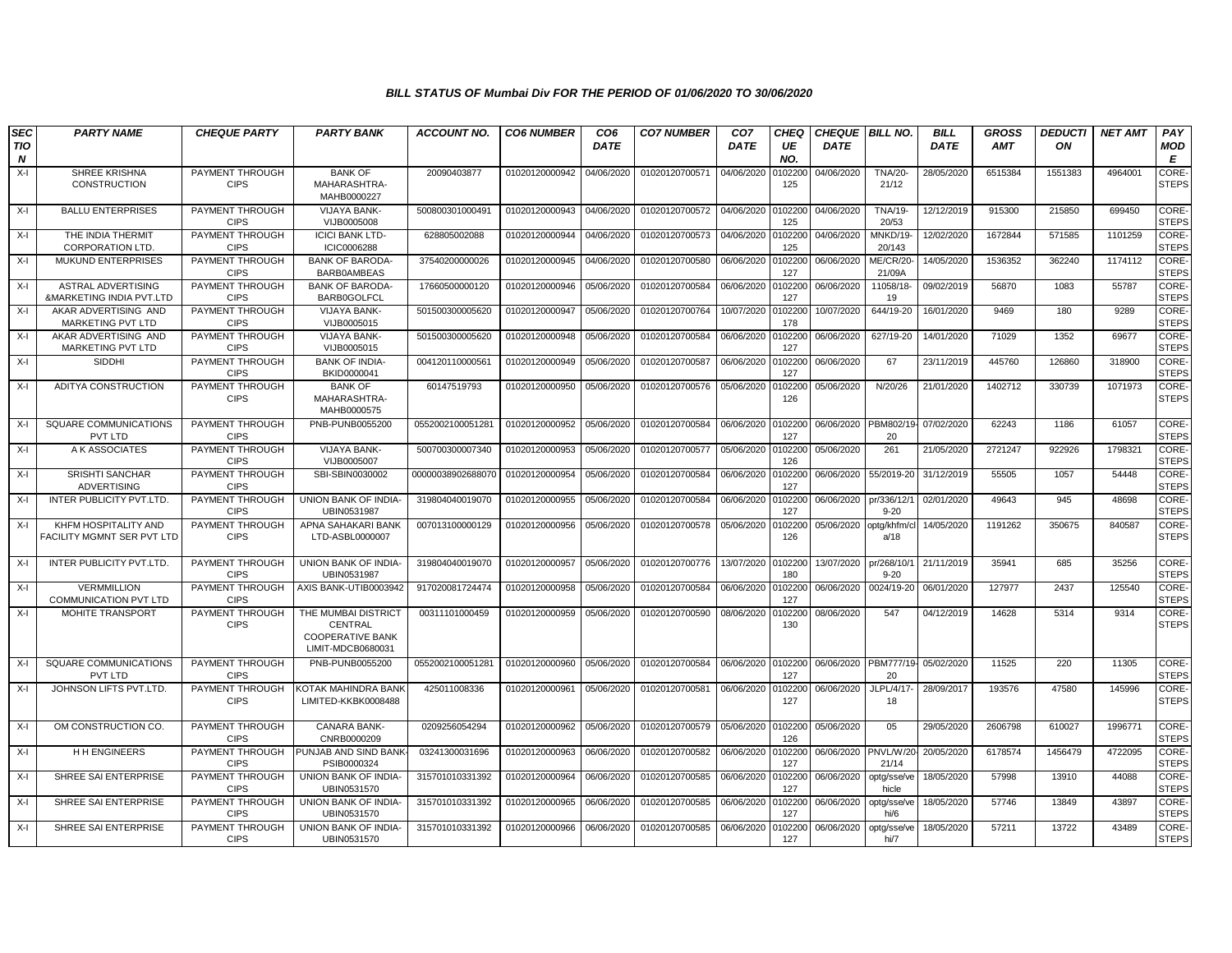| <b>SEC</b>              | <b>PARTY NAME</b>                                     | <b>CHEQUE PARTY</b>            | <b>PARTY BANK</b>                                                              | <b>ACCOUNT NO.</b> | <b>CO6 NUMBER</b> | CO <sub>6</sub> | <b>CO7 NUMBER</b> | CO <sub>7</sub> | CHEQ           | <b>CHEQUE BILL NO.</b> |                         | <b>BILL</b> | <b>GROSS</b> | <b>DEDUCTI</b> | <b>NET AMT</b> | PAY                          |
|-------------------------|-------------------------------------------------------|--------------------------------|--------------------------------------------------------------------------------|--------------------|-------------------|-----------------|-------------------|-----------------|----------------|------------------------|-------------------------|-------------|--------------|----------------|----------------|------------------------------|
| TIO<br>$\boldsymbol{N}$ |                                                       |                                |                                                                                |                    |                   | <b>DATE</b>     |                   | <b>DATE</b>     | UE<br>NO.      | <b>DATE</b>            |                         | <b>DATE</b> | <b>AMT</b>   | ON             |                | MOD<br>E                     |
| $X-I$                   | SHREE KRISHNA<br><b>CONSTRUCTION</b>                  | PAYMENT THROUGH<br><b>CIPS</b> | <b>BANK OF</b><br>MAHARASHTRA-<br>MAHB0000227                                  | 20090403877        | 01020120000942    | 04/06/2020      | 01020120700571    | 04/06/2020      | 0102200<br>125 | 04/06/2020             | <b>TNA/20-</b><br>21/12 | 28/05/2020  | 6515384      | 1551383        | 4964001        | CORE-<br><b>STEPS</b>        |
| $X-I$                   | <b>BALLU ENTERPRISES</b>                              | PAYMENT THROUGH<br><b>CIPS</b> | <b>VIJAYA BANK-</b><br>VIJB0005008                                             | 500800301000491    | 01020120000943    | 04/06/2020      | 01020120700572    | 04/06/2020      | 0102200<br>125 | 04/06/2020             | <b>TNA/19-</b><br>20/53 | 12/12/2019  | 915300       | 215850         | 699450         | CORE-<br><b>STEPS</b>        |
| $X-I$                   | THE INDIA THERMIT<br><b>CORPORATION LTD.</b>          | PAYMENT THROUGH<br><b>CIPS</b> | <b>ICICI BANK LTD-</b><br>ICIC0006288                                          | 628805002088       | 01020120000944    | 04/06/2020      | 01020120700573    | 04/06/2020      | 0102200<br>125 | 04/06/2020             | MNKD/19-<br>20/143      | 12/02/2020  | 1672844      | 571585         | 1101259        | CORE-<br><b>STEPS</b>        |
| $X-I$                   | <b>MUKUND ENTERPRISES</b>                             | PAYMENT THROUGH<br><b>CIPS</b> | <b>BANK OF BARODA</b><br><b>BARB0AMBEAS</b>                                    | 37540200000026     | 01020120000945    | 04/06/2020      | 01020120700580    | 06/06/2020      | 0102200<br>127 | 06/06/2020             | ME/CR/20-<br>21/09A     | 14/05/2020  | 1536352      | 362240         | 1174112        | <b>CORE-</b><br><b>STEPS</b> |
| X-I                     | <b>ASTRAL ADVERTISING</b><br>&MARKETING INDIA PVT.LTD | PAYMENT THROUGH<br><b>CIPS</b> | <b>BANK OF BARODA</b><br><b>BARB0GOLFCL</b>                                    | 17660500000120     | 01020120000946    | 05/06/2020      | 01020120700584    | 06/06/2020      | 0102200<br>127 | 06/06/2020             | 11058/18-<br>19         | 09/02/2019  | 56870        | 1083           | 55787          | CORE-<br><b>STEPS</b>        |
| X-I                     | AKAR ADVERTISING AND<br>MARKETING PVT LTD             | PAYMENT THROUGH<br><b>CIPS</b> | <b>VIJAYA BANK-</b><br>VIJB0005015                                             | 501500300005620    | 01020120000947    | 05/06/2020      | 01020120700764    | 10/07/2020      | 0102200<br>178 | 10/07/2020             | 644/19-20               | 16/01/2020  | 9469         | 180            | 9289           | CORE-<br><b>STEPS</b>        |
| X-I                     | AKAR ADVERTISING AND<br>MARKETING PVT LTD             | PAYMENT THROUGH<br><b>CIPS</b> | <b>VIJAYA BANK-</b><br>VIJB0005015                                             | 501500300005620    | 01020120000948    | 05/06/2020      | 01020120700584    | 06/06/2020      | 0102200<br>127 | 06/06/2020             | 627/19-20               | 14/01/2020  | 71029        | 1352           | 69677          | CORE-<br><b>STEPS</b>        |
| $X-I$                   | SIDDHI                                                | PAYMENT THROUGH<br><b>CIPS</b> | <b>BANK OF INDIA-</b><br>BKID0000041                                           | 004120110000561    | 01020120000949    | 05/06/2020      | 01020120700587    | 06/06/2020      | 0102200<br>127 | 06/06/2020             | 67                      | 23/11/2019  | 445760       | 126860         | 318900         | CORE-<br><b>STEPS</b>        |
| X-I                     | ADITYA CONSTRUCTION                                   | PAYMENT THROUGH<br><b>CIPS</b> | <b>BANK OF</b><br>MAHARASHTRA-<br>MAHB0000575                                  | 60147519793        | 01020120000950    | 05/06/2020      | 01020120700576    | 05/06/2020      | 0102200<br>126 | 05/06/2020             | N/20/26                 | 21/01/2020  | 1402712      | 330739         | 1071973        | CORE-<br><b>STEPS</b>        |
| $X-I$                   | <b>SQUARE COMMUNICATIONS</b><br>PVT LTD               | PAYMENT THROUGH<br><b>CIPS</b> | PNB-PUNB0055200                                                                | 0552002100051281   | 01020120000952    | 05/06/2020      | 01020120700584    | 06/06/2020      | 0102200<br>127 | 06/06/2020             | PBM802/19-<br>20        | 07/02/2020  | 62243        | 1186           | 61057          | CORE-<br><b>STEPS</b>        |
| X-I                     | A K ASSOCIATES                                        | PAYMENT THROUGH<br><b>CIPS</b> | <b>VIJAYA BANK-</b><br>VIJB0005007                                             | 500700300007340    | 01020120000953    | 05/06/2020      | 01020120700577    | 05/06/2020      | 0102200<br>126 | 05/06/2020             | 261                     | 21/05/2020  | 2721247      | 922926         | 1798321        | CORE-<br><b>STEPS</b>        |
| X-I                     | <b>SRISHTI SANCHAR</b><br><b>ADVERTISING</b>          | PAYMENT THROUGH<br><b>CIPS</b> | SBI-SBIN0030002                                                                | 00000038902688070  | 01020120000954    | 05/06/2020      | 01020120700584    | 06/06/2020      | 010220<br>127  | 06/06/2020             | 55/2019-20              | 31/12/2019  | 55505        | 1057           | 54448          | CORE-<br><b>STEPS</b>        |
| X-I                     | INTER PUBLICITY PVT.LTD.                              | PAYMENT THROUGH<br><b>CIPS</b> | UNION BANK OF INDIA-<br>UBIN0531987                                            | 319804040019070    | 01020120000955    | 05/06/2020      | 01020120700584    | 06/06/2020      | 0102200<br>127 | 06/06/2020             | pr/336/12/<br>$9 - 20$  | 02/01/2020  | 49643        | 945            | 48698          | CORE-<br><b>STEPS</b>        |
| $X-I$                   | KHFM HOSPITALITY AND<br>FACILITY MGMNT SER PVT LTD    | PAYMENT THROUGH<br><b>CIPS</b> | APNA SAHAKARI BANK<br>LTD-ASBL0000007                                          | 007013100000129    | 01020120000956    | 05/06/2020      | 01020120700578    | 05/06/2020      | 0102200<br>126 | 05/06/2020             | optg/khfm/c<br>a/18     | 14/05/2020  | 1191262      | 350675         | 840587         | CORE-<br><b>STEPS</b>        |
| X-I                     | INTER PUBLICITY PVT.LTD.                              | PAYMENT THROUGH<br><b>CIPS</b> | UNION BANK OF INDIA-<br>UBIN0531987                                            | 319804040019070    | 01020120000957    | 05/06/2020      | 01020120700776    | 13/07/2020      | 0102200<br>180 | 13/07/2020             | pr/268/10/<br>$9 - 20$  | 21/11/2019  | 35941        | 685            | 35256          | CORE-<br><b>STEPS</b>        |
| X-I                     | <b>VERMMILLION</b><br><b>COMMUNICATION PVT LTD</b>    | PAYMENT THROUGH<br><b>CIPS</b> | AXIS BANK-UTIB0003942                                                          | 917020081724474    | 01020120000958    | 05/06/2020      | 01020120700584    | 06/06/2020      | 0102200<br>127 | 06/06/2020             | 0024/19-20              | 06/01/2020  | 127977       | 2437           | 125540         | CORE-<br><b>STEPS</b>        |
| $X-I$                   | MOHITE TRANSPORT                                      | PAYMENT THROUGH<br><b>CIPS</b> | THE MUMBAI DISTRICT<br>CENTRAL<br><b>COOPERATIVE BANK</b><br>LIMIT-MDCB0680031 | 00311101000459     | 01020120000959    | 05/06/2020      | 01020120700590    | 08/06/2020      | 0102200<br>130 | 08/06/2020             | 547                     | 04/12/2019  | 14628        | 5314           | 9314           | CORE-<br><b>STEPS</b>        |
| X-I                     | SQUARE COMMUNICATIONS<br>PVT LTD                      | PAYMENT THROUGH<br><b>CIPS</b> | PNB-PUNB0055200                                                                | 0552002100051281   | 01020120000960    | 05/06/2020      | 01020120700584    | 06/06/2020      | 0102200<br>127 | 06/06/2020             | PBM777/19-<br>20        | 05/02/2020  | 11525        | 220            | 11305          | CORE-<br><b>STEPS</b>        |
| X-I                     | JOHNSON LIFTS PVT.LTD.                                | PAYMENT THROUGH<br><b>CIPS</b> | KOTAK MAHINDRA BANK<br>LIMITED-KKBK0008488                                     | 425011008336       | 01020120000961    | 05/06/2020      | 01020120700581    | 06/06/2020      | 0102200<br>127 | 06/06/2020             | JLPL/4/17<br>18         | 28/09/2017  | 193576       | 47580          | 145996         | CORE-<br><b>STEPS</b>        |
| X-I                     | OM CONSTRUCTION CO                                    | PAYMENT THROUGH<br><b>CIPS</b> | <b>CANARA BANK-</b><br>CNRB0000209                                             | 0209256054294      | 01020120000962    | 05/06/2020      | 01020120700579    | 05/06/2020      | 0102200<br>126 | 05/06/2020             | 05                      | 29/05/2020  | 2606798      | 610027         | 1996771        | CORE-<br><b>STEPS</b>        |
| X-I                     | <b>HH ENGINEERS</b>                                   | PAYMENT THROUGH<br><b>CIPS</b> | PUNJAB AND SIND BANK<br>PSIB0000324                                            | 03241300031696     | 01020120000963    | 06/06/2020      | 01020120700582    | 06/06/2020      | 0102200<br>127 | 06/06/2020             | PNVL/W/20<br>21/14      | 20/05/2020  | 6178574      | 1456479        | 4722095        | CORE-<br><b>STEPS</b>        |
| X-I                     | SHREE SAI ENTERPRISE                                  | PAYMENT THROUGH<br><b>CIPS</b> | UNION BANK OF INDIA-<br>UBIN0531570                                            | 315701010331392    | 01020120000964    | 06/06/2020      | 01020120700585    | 06/06/2020      | 0102200<br>127 | 06/06/2020             | optg/sse/ve<br>hicle    | 18/05/2020  | 57998        | 13910          | 44088          | CORE-<br><b>STEPS</b>        |
| X-I                     | SHREE SAI ENTERPRISE                                  | PAYMENT THROUGH<br><b>CIPS</b> | UNION BANK OF INDIA-<br>UBIN0531570                                            | 315701010331392    | 01020120000965    | 06/06/2020      | 01020120700585    | 06/06/2020      | 0102200<br>127 | 06/06/2020             | optg/sse/ve<br>hi/6     | 18/05/2020  | 57746        | 13849          | 43897          | CORE-<br><b>STEPS</b>        |
| X-I                     | SHREE SAI ENTERPRISE                                  | PAYMENT THROUGH<br><b>CIPS</b> | UNION BANK OF INDIA-<br>UBIN0531570                                            | 315701010331392    | 01020120000966    | 06/06/2020      | 01020120700585    | 06/06/2020      | 0102200<br>127 | 06/06/2020             | optg/sse/ve<br>hi/7     | 18/05/2020  | 57211        | 13722          | 43489          | CORE-<br><b>STEPS</b>        |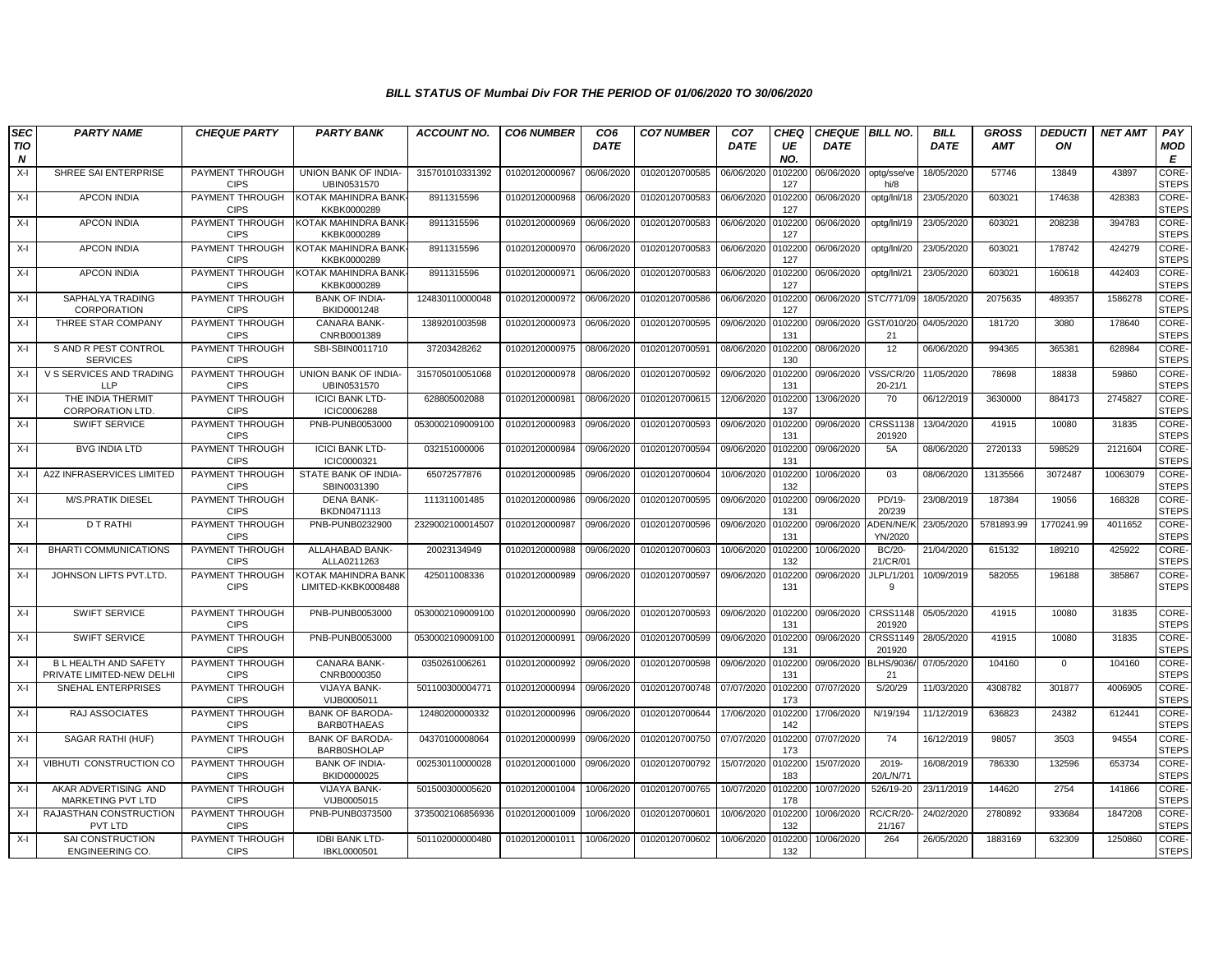| <b>SEC</b> | <b>PARTY NAME</b>                                       | <b>CHEQUE PARTY</b>                   | <b>PARTY BANK</b>                                 | <b>ACCOUNT NO.</b> | <b>CO6 NUMBER</b> | CO <sub>6</sub> | <b>CO7 NUMBER</b> | CO <sub>7</sub> | <b>CHEQ</b>    | <b>CHEQUE   BILL NO.</b> |                             | <b>BILL</b> | <b>GROSS</b> | <b>DEDUCTI</b> | <b>NET AMT</b> | PAY                          |
|------------|---------------------------------------------------------|---------------------------------------|---------------------------------------------------|--------------------|-------------------|-----------------|-------------------|-----------------|----------------|--------------------------|-----------------------------|-------------|--------------|----------------|----------------|------------------------------|
| TIO<br>N   |                                                         |                                       |                                                   |                    |                   | <b>DATE</b>     |                   | <b>DATE</b>     | UE<br>NO.      | <b>DATE</b>              |                             | <b>DATE</b> | <b>AMT</b>   | ON             |                | <b>MOD</b><br>E              |
| $X-I$      | SHREE SAI ENTERPRISE                                    | <b>PAYMENT THROUGH</b><br><b>CIPS</b> | UNION BANK OF INDIA-<br>UBIN0531570               | 315701010331392    | 01020120000967    | 06/06/2020      | 01020120700585    | 06/06/2020      | 102200<br>127  | 06/06/2020               | optg/sse/ve<br>hi/8         | 18/05/2020  | 57746        | 13849          | 43897          | CORE-<br><b>STEPS</b>        |
| X-I        | <b>APCON INDIA</b>                                      | PAYMENT THROUGH<br><b>CIPS</b>        | KOTAK MAHINDRA BANK<br>KKBK0000289                | 8911315596         | 01020120000968    | 06/06/2020      | 01020120700583    | 06/06/2020      | 102200<br>127  | 06/06/2020               | optg/Inl/18                 | 23/05/2020  | 603021       | 174638         | 428383         | CORE-<br><b>STEPS</b>        |
| X-I        | <b>APCON INDIA</b>                                      | PAYMENT THROUGH<br><b>CIPS</b>        | KOTAK MAHINDRA BANK<br>KKBK0000289                | 8911315596         | 01020120000969    | 06/06/2020      | 01020120700583    | 06/06/2020      | 102200<br>127  | 06/06/2020               | optg/Inl/19                 | 23/05/2020  | 603021       | 208238         | 394783         | CORE-<br><b>STEPS</b>        |
| $X-I$      | <b>APCON INDIA</b>                                      | PAYMENT THROUGH<br><b>CIPS</b>        | KOTAK MAHINDRA BANK<br>KKBK0000289                | 8911315596         | 01020120000970    | 06/06/2020      | 01020120700583    | 06/06/2020      | 102200<br>127  | 06/06/2020               | optg/Inl/20                 | 23/05/2020  | 603021       | 178742         | 424279         | CORE-<br><b>STEPS</b>        |
| X-I        | <b>APCON INDIA</b>                                      | PAYMENT THROUGH<br><b>CIPS</b>        | KOTAK MAHINDRA BANK<br>KKBK0000289                | 8911315596         | 01020120000971    | 06/06/2020      | 01020120700583    | 06/06/2020      | 102200<br>127  | 06/06/2020               | optg/Inl/21                 | 23/05/2020  | 603021       | 160618         | 442403         | <b>CORE</b><br><b>STEPS</b>  |
| X-I        | SAPHALYA TRADING<br>CORPORATION                         | PAYMENT THROUGH<br><b>CIPS</b>        | <b>BANK OF INDIA-</b><br>BKID0001248              | 124830110000048    | 01020120000972    | 06/06/2020      | 01020120700586    | 06/06/2020      | 102200<br>127  | 06/06/2020 STC/771/09    |                             | 18/05/2020  | 2075635      | 489357         | 1586278        | CORE-<br><b>STEPS</b>        |
| X-I        | THREE STAR COMPANY                                      | PAYMENT THROUGH<br><b>CIPS</b>        | CANARA BANK-<br>CNRB0001389                       | 1389201003598      | 01020120000973    | 06/06/2020      | 01020120700595    | 09/06/2020      | 0102200<br>131 | 09/06/2020 GST/010/20    | 21                          | 04/05/2020  | 181720       | 3080           | 178640         | CORE-<br><b>STEPS</b>        |
| $X-I$      | S AND R PEST CONTROL<br><b>SERVICES</b>                 | PAYMENT THROUGH<br><b>CIPS</b>        | SBI-SBIN0011710                                   | 37203428262        | 01020120000975    | 08/06/2020      | 01020120700591    | 08/06/2020      | 102200<br>130  | 08/06/2020               | 12                          | 06/06/2020  | 994365       | 365381         | 628984         | CORE-<br><b>STEPS</b>        |
| X-I        | V S SERVICES AND TRADING<br>11 P                        | PAYMENT THROUGH<br><b>CIPS</b>        | UNION BANK OF INDIA<br>UBIN0531570                | 315705010051068    | 01020120000978    | 08/06/2020      | 01020120700592    | 09/06/2020      | 0102200<br>131 | 09/06/2020               | /SS/CR/20<br>$20 - 21/1$    | 11/05/2020  | 78698        | 18838          | 59860          | CORE-<br><b>STEPS</b>        |
| X-I        | THE INDIA THERMIT<br><b>CORPORATION LTD</b>             | PAYMENT THROUGH<br><b>CIPS</b>        | <b>ICICI BANK LTD-</b><br>ICIC0006288             | 628805002088       | 01020120000981    | 08/06/2020      | 01020120700615    | 12/06/2020      | 102200<br>137  | 13/06/2020               | 70                          | 06/12/2019  | 3630000      | 884173         | 2745827        | CORE-<br><b>STEPS</b>        |
| $X-I$      | SWIFT SERVICE                                           | PAYMENT THROUGH<br><b>CIPS</b>        | PNB-PUNB0053000                                   | 0530002109009100   | 01020120000983    | 09/06/2020      | 01020120700593    | 09/06/2020      | 102200<br>131  | 09/06/2020               | CRSS1138<br>201920          | 13/04/2020  | 41915        | 10080          | 31835          | CORE-<br><b>STEPS</b>        |
| X-I        | <b>BVG INDIA LTD</b>                                    | PAYMENT THROUGH<br><b>CIPS</b>        | <b>ICICI BANK LTD-</b><br>ICIC0000321             | 032151000006       | 01020120000984    | 09/06/2020      | 01020120700594    | 09/06/2020      | 102200<br>131  | 09/06/2020               | <b>5A</b>                   | 08/06/2020  | 2720133      | 598529         | 2121604        | CORE-<br><b>STEPS</b>        |
| $X-I$      | A2Z INFRASERVICES LIMITED                               | PAYMENT THROUGH<br><b>CIPS</b>        | STATE BANK OF INDIA-<br>SBIN0031390               | 65072577876        | 01020120000985    | 09/06/2020      | 01020120700604    | 10/06/2020      | 102200<br>132  | 10/06/2020               | 03                          | 08/06/2020  | 13135566     | 3072487        | 10063079       | CORE-<br><b>STEPS</b>        |
| $X-I$      | <b>M/S.PRATIK DIESEL</b>                                | PAYMENT THROUGH<br><b>CIPS</b>        | <b>DENA BANK-</b><br>BKDN0471113                  | 111311001485       | 01020120000986    | 09/06/2020      | 01020120700595    | 09/06/2020      | 0102200<br>131 | 09/06/2020               | PD/19-<br>20/239            | 23/08/2019  | 187384       | 19056          | 168328         | <b>CORE-</b><br><b>STEPS</b> |
| $X-I$      | D T RATHI                                               | PAYMENT THROUGH<br><b>CIPS</b>        | PNB-PUNB0232900                                   | 2329002100014507   | 01020120000987    | 09/06/2020      | 01020120700596    | 09/06/2020      | 102200<br>131  | 09/06/2020               | <b>IDEN/NE/F</b><br>YN/2020 | 23/05/2020  | 5781893.99   | 1770241.99     | 4011652        | CORE-<br><b>STEPS</b>        |
| X-I        | <b>BHARTI COMMUNICATIONS</b>                            | PAYMENT THROUGH<br><b>CIPS</b>        | ALLAHABAD BANK-<br>ALLA0211263                    | 20023134949        | 01020120000988    | 09/06/2020      | 01020120700603    | 10/06/2020      | 102200<br>132  | 10/06/2020               | <b>BC/20-</b><br>21/CR/01   | 21/04/2020  | 615132       | 189210         | 425922         | CORE-<br><b>STEPS</b>        |
| $X-I$      | JOHNSON LIFTS PVT.LTD.                                  | PAYMENT THROUGH<br><b>CIPS</b>        | <b>COTAK MAHINDRA BANK</b><br>LIMITED-KKBK0008488 | 425011008336       | 01020120000989    | 09/06/2020      | 01020120700597    | 09/06/2020      | 102200<br>131  | 09/06/2020               | JLPL/1/201<br>9             | 10/09/2019  | 582055       | 196188         | 385867         | CORE-<br><b>STEPS</b>        |
| X-I        | SWIFT SERVICE                                           | PAYMENT THROUGH<br><b>CIPS</b>        | PNB-PUNB0053000                                   | 0530002109009100   | 01020120000990    | 09/06/2020      | 01020120700593    | 09/06/2020      | 0102200<br>131 | 09/06/2020               | <b>CRSS1148</b><br>201920   | 05/05/2020  | 41915        | 10080          | 31835          | <b>CORE</b><br><b>STEPS</b>  |
| X-I        | <b>SWIFT SERVICE</b>                                    | PAYMENT THROUGH<br><b>CIPS</b>        | PNB-PUNB0053000                                   | 0530002109009100   | 01020120000991    | 09/06/2020      | 01020120700599    | 09/06/2020      | 0102200<br>131 | 09/06/2020               | CRSS1149<br>201920          | 28/05/2020  | 41915        | 10080          | 31835          | CORE-<br><b>STEPS</b>        |
| X-I        | <b>BL HEALTH AND SAFETY</b><br>PRIVATE LIMITED-NEW DELH | PAYMENT THROUGH<br><b>CIPS</b>        | <b>CANARA BANK-</b><br>CNRB0000350                | 0350261006261      | 01020120000992    | 09/06/2020      | 01020120700598    | 09/06/2020      | 102200<br>131  | 09/06/2020               | <b>BLHS/9036</b><br>21      | 07/05/2020  | 104160       | $\overline{0}$ | 104160         | CORE-<br><b>STEPS</b>        |
| $X-I$      | <b>SNEHAL ENTERPRISES</b>                               | PAYMENT THROUGH<br><b>CIPS</b>        | VIJAYA BANK-<br>VIJB0005011                       | 501100300004771    | 01020120000994    | 09/06/2020      | 01020120700748    | 07/07/2020      | 102200<br>173  | 07/07/2020               | S/20/29                     | 11/03/2020  | 4308782      | 301877         | 4006905        | CORE-<br><b>STEPS</b>        |
| X-I        | RAJ ASSOCIATES                                          | PAYMENT THROUGH<br><b>CIPS</b>        | <b>BANK OF BARODA-</b><br><b>BARBOTHAEAS</b>      | 12480200000332     | 01020120000996    | 09/06/2020      | 01020120700644    | 17/06/2020      | 102200<br>142  | 17/06/2020               | N/19/194                    | 11/12/2019  | 636823       | 24382          | 612441         | <b>CORE</b><br><b>STEPS</b>  |
| $X-I$      | SAGAR RATHI (HUF)                                       | PAYMENT THROUGH<br><b>CIPS</b>        | <b>BANK OF BARODA-</b><br><b>BARB0SHOLAP</b>      | 04370100008064     | 01020120000999    | 09/06/2020      | 01020120700750    | 07/07/2020      | 102200<br>173  | 07/07/2020               | 74                          | 16/12/2019  | 98057        | 3503           | 94554          | CORE-<br><b>STEPS</b>        |
| X-I        | VIBHUTI CONSTRUCTION CO                                 | PAYMENT THROUGH<br><b>CIPS</b>        | <b>BANK OF INDIA-</b><br>BKID0000025              | 002530110000028    | 01020120001000    | 09/06/2020      | 01020120700792    | 15/07/2020      | 102200<br>183  | 15/07/2020               | 2019-<br>20/L/N/71          | 16/08/2019  | 786330       | 132596         | 653734         | CORE-<br><b>STEPS</b>        |
| $X-I$      | AKAR ADVERTISING AND<br>MARKETING PVT LTD               | PAYMENT THROUGH<br><b>CIPS</b>        | VIJAYA BANK-<br>VIJB0005015                       | 501500300005620    | 01020120001004    | 10/06/2020      | 01020120700765    | 10/07/2020      | 102200<br>178  | 10/07/2020               | 526/19-20                   | 23/11/2019  | 144620       | 2754           | 141866         | CORE-<br><b>STEPS</b>        |
| $X-I$      | RAJASTHAN CONSTRUCTION<br>PVT LTD                       | PAYMENT THROUGH<br><b>CIPS</b>        | PNB-PUNB0373500                                   | 3735002106856936   | 01020120001009    | 10/06/2020      | 01020120700601    | 10/06/2020      | 102200<br>132  | 10/06/2020               | RC/CR/20<br>21/167          | 24/02/2020  | 2780892      | 933684         | 1847208        | <b>CORE</b><br><b>STEPS</b>  |
| $X-I$      | SAI CONSTRUCTION<br><b>ENGINEERING CO.</b>              | PAYMENT THROUGH<br><b>CIPS</b>        | <b>IDBI BANK LTD-</b><br>IBKL0000501              | 501102000000480    | 01020120001011    | 10/06/2020      | 01020120700602    | 10/06/2020      | 102200<br>132  | 10/06/2020               | 264                         | 26/05/2020  | 1883169      | 632309         | 1250860        | CORE-<br><b>STEPS</b>        |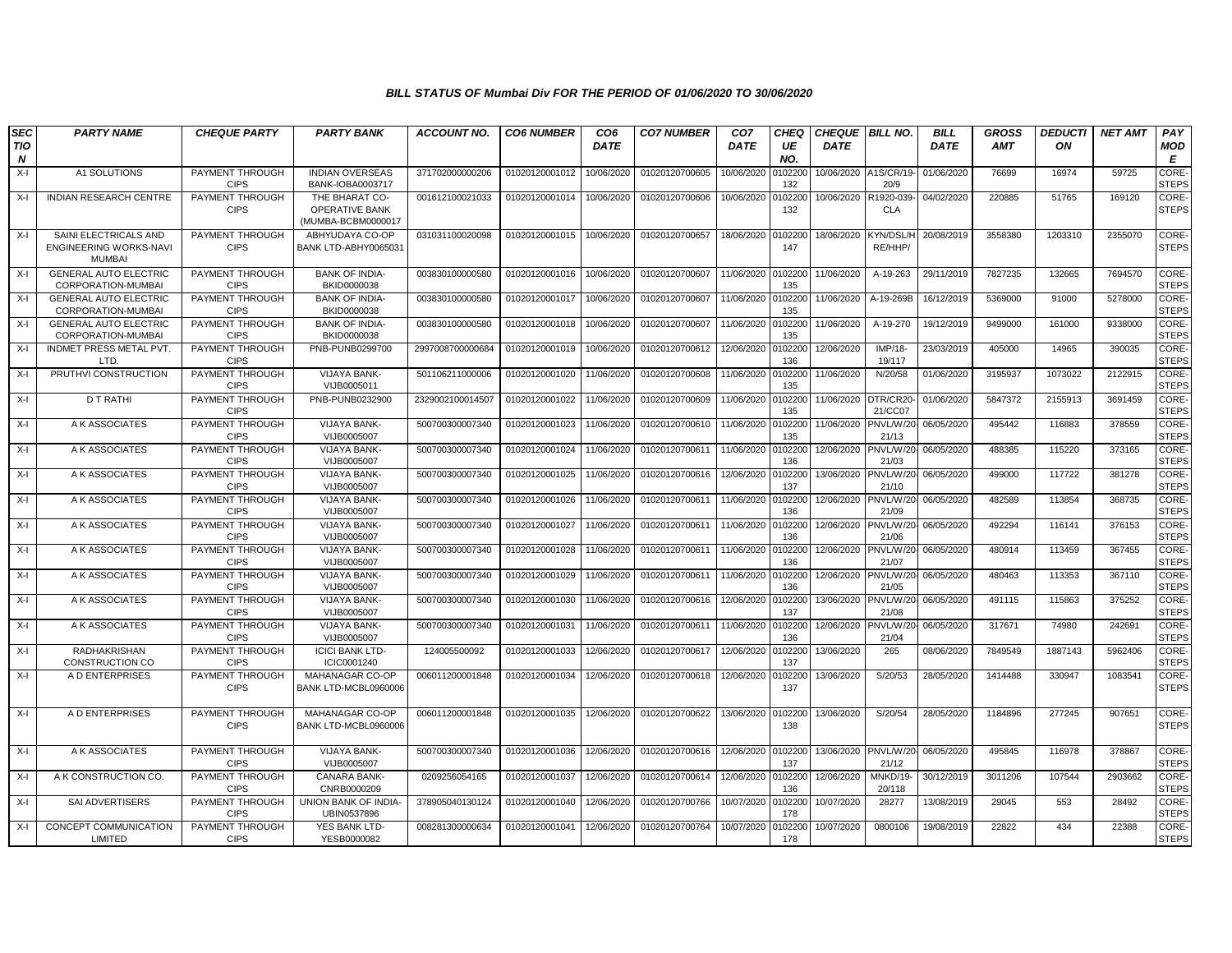| <b>SEC</b>                     | <b>PARTY NAME</b>                                                       | <b>CHEQUE PARTY</b>            | <b>PARTY BANK</b>                                      | <b>ACCOUNT NO.</b> | <b>CO6 NUMBER</b> | CO <sub>6</sub> | <b>CO7 NUMBER</b> | CO <sub>7</sub> | CHEO           | <b>CHEQUE BILL NO.</b> |                      | <b>BILL</b> | <b>GROSS</b> | <b>DEDUCTI</b> | <b>NET AMT</b> | PAY                   |
|--------------------------------|-------------------------------------------------------------------------|--------------------------------|--------------------------------------------------------|--------------------|-------------------|-----------------|-------------------|-----------------|----------------|------------------------|----------------------|-------------|--------------|----------------|----------------|-----------------------|
| <b>TIO</b><br>$\boldsymbol{N}$ |                                                                         |                                |                                                        |                    |                   | <b>DATE</b>     |                   | <b>DATE</b>     | UE<br>NO.      | <b>DATE</b>            |                      | <b>DATE</b> | <b>AMT</b>   | ON             |                | MOD<br>E              |
| $X-I$                          | A1 SOLUTIONS                                                            | PAYMENT THROUGH<br><b>CIPS</b> | <b>INDIAN OVERSEAS</b><br>BANK-IOBA0003717             | 371702000000206    | 01020120001012    | 10/06/2020      | 01020120700605    | 10/06/2020      | 0102200<br>132 | 10/06/2020             | A1S/CR/19<br>20/9    | 01/06/2020  | 76699        | 16974          | 59725          | CORE-<br><b>STEPS</b> |
| $X-I$                          | <b>INDIAN RESEARCH CENTRE</b>                                           | PAYMENT THROUGH<br><b>CIPS</b> | THE BHARAT CO-<br>OPERATIVE BANK<br>(MUMBA-BCBM0000017 | 001612100021033    | 01020120001014    | 10/06/2020      | 01020120700606    | 10/06/2020      | 0102200<br>132 | 10/06/2020             | R1920-039<br>CLA     | 04/02/2020  | 220885       | 51765          | 169120         | CORE-<br><b>STEPS</b> |
| $X-I$                          | SAINI ELECTRICALS AND<br><b>ENGINEERING WORKS-NAVI</b><br><b>MUMBAI</b> | PAYMENT THROUGH<br><b>CIPS</b> | ABHYUDAYA CO-OP<br>BANK LTD-ABHY0065031                | 031031100020098    | 01020120001015    | 10/06/2020      | 01020120700657    | 18/06/2020      | 0102200<br>147 | 18/06/2020             | KYN/DSL/H<br>RE/HHP/ | 20/08/2019  | 3558380      | 1203310        | 2355070        | CORE-<br><b>STEPS</b> |
| $X-I$                          | <b>GENERAL AUTO ELECTRIC</b><br>CORPORATION-MUMBAI                      | PAYMENT THROUGH<br><b>CIPS</b> | <b>BANK OF INDIA-</b><br>BKID0000038                   | 003830100000580    | 01020120001016    | 10/06/2020      | 01020120700607    | 11/06/2020      | 0102200<br>135 | 11/06/2020             | A-19-263             | 29/11/2019  | 7827235      | 132665         | 7694570        | CORE-<br><b>STEPS</b> |
| $X-I$                          | <b>GENERAL AUTO ELECTRIC</b><br>CORPORATION-MUMBAI                      | PAYMENT THROUGH<br><b>CIPS</b> | <b>BANK OF INDIA-</b><br>BKID0000038                   | 003830100000580    | 01020120001017    | 10/06/2020      | 01020120700607    | 11/06/2020      | 0102200<br>135 | 11/06/2020             | A-19-269B            | 16/12/2019  | 5369000      | 91000          | 5278000        | CORE-<br><b>STEPS</b> |
| $X-I$                          | <b>GENERAL AUTO ELECTRIC</b><br>CORPORATION-MUMBAI                      | PAYMENT THROUGH<br><b>CIPS</b> | <b>BANK OF INDIA-</b><br>BKID0000038                   | 003830100000580    | 01020120001018    | 10/06/2020      | 01020120700607    | 11/06/2020      | 0102200<br>135 | 11/06/2020             | A-19-270             | 19/12/2019  | 9499000      | 161000         | 9338000        | CORE-<br><b>STEPS</b> |
| X-I                            | <b>INDMET PRESS METAL PVT</b><br>LTD.                                   | PAYMENT THROUGH<br><b>CIPS</b> | <b>PNB-PUNB0299700</b>                                 | 2997008700000684   | 01020120001019    | 10/06/2020      | 01020120700612    | 12/06/2020      | 0102200<br>136 | 12/06/2020             | IMP/18-<br>19/117    | 23/03/2019  | 405000       | 14965          | 390035         | CORE-<br><b>STEPS</b> |
| $X-I$                          | PRUTHVI CONSTRUCTION                                                    | PAYMENT THROUGH<br><b>CIPS</b> | <b>VIJAYA BANK-</b><br>VIJB0005011                     | 501106211000006    | 01020120001020    | 11/06/2020      | 01020120700608    | 11/06/2020      | 0102200<br>135 | 11/06/2020             | N/20/58              | 01/06/2020  | 3195937      | 1073022        | 2122915        | CORE-<br><b>STEPS</b> |
| $X-I$                          | <b>D T RATHI</b>                                                        | PAYMENT THROUGH<br><b>CIPS</b> | PNB-PUNB0232900                                        | 2329002100014507   | 01020120001022    | 11/06/2020      | 01020120700609    | 11/06/2020      | 0102200<br>135 | 11/06/2020             | DTR/CR20<br>21/CC07  | 01/06/2020  | 5847372      | 2155913        | 3691459        | CORE-<br><b>STEPS</b> |
| $X-I$                          | A K ASSOCIATES                                                          | PAYMENT THROUGH<br><b>CIPS</b> | <b>VIJAYA BANK-</b><br>VIJB0005007                     | 500700300007340    | 01020120001023    | 11/06/2020      | 01020120700610    | 11/06/2020      | 0102200<br>135 | 11/06/2020 PNVL/W/20   | 21/13                | 06/05/2020  | 495442       | 116883         | 378559         | CORE-<br><b>STEPS</b> |
| X-I                            | A K ASSOCIATES                                                          | PAYMENT THROUGH<br><b>CIPS</b> | <b>VIJAYA BANK-</b><br>VIJB0005007                     | 500700300007340    | 01020120001024    | 11/06/2020      | 01020120700611    | 11/06/2020      | 0102200<br>136 | 12/06/2020             | PNVL/W/20<br>21/03   | 06/05/2020  | 488385       | 115220         | 373165         | CORE-<br><b>STEPS</b> |
| X-I                            | A K ASSOCIATES                                                          | PAYMENT THROUGH<br><b>CIPS</b> | <b>VIJAYA BANK-</b><br>VIJB0005007                     | 500700300007340    | 01020120001025    | 11/06/2020      | 01020120700616    | 12/06/2020      | 0102200<br>137 | 13/06/2020             | PNVL/W/20<br>21/10   | 06/05/2020  | 499000       | 117722         | 381278         | CORE-<br><b>STEPS</b> |
| X-I                            | A K ASSOCIATES                                                          | PAYMENT THROUGH<br><b>CIPS</b> | VIJAYA BANK-<br>VIJB0005007                            | 500700300007340    | 01020120001026    | 11/06/2020      | 01020120700611    | 11/06/2020      | 0102200<br>136 | 12/06/2020             | PNVL/W/20<br>21/09   | 06/05/2020  | 482589       | 113854         | 368735         | CORE-<br><b>STEPS</b> |
| $X-I$                          | A K ASSOCIATES                                                          | PAYMENT THROUGH<br><b>CIPS</b> | <b>VIJAYA BANK-</b><br>VIJB0005007                     | 500700300007340    | 01020120001027    | 11/06/2020      | 01020120700611    | 11/06/2020      | 0102200<br>136 | 12/06/2020             | PNVL/W/20<br>21/06   | 06/05/2020  | 492294       | 116141         | 376153         | CORE-<br><b>STEPS</b> |
| $X-I$                          | A K ASSOCIATES                                                          | PAYMENT THROUGH<br><b>CIPS</b> | <b>VIJAYA BANK-</b><br>VIJB0005007                     | 500700300007340    | 01020120001028    | 11/06/2020      | 01020120700611    | 11/06/2020      | 0102200<br>136 | 12/06/2020             | PNVL/W/20<br>21/07   | 06/05/2020  | 480914       | 113459         | 367455         | CORE-<br><b>STEPS</b> |
| X-I                            | A K ASSOCIATES                                                          | PAYMENT THROUGH<br><b>CIPS</b> | <b>VIJAYA BANK-</b><br>VIJB0005007                     | 500700300007340    | 01020120001029    | 11/06/2020      | 01020120700611    | 11/06/2020      | 0102200<br>136 | 12/06/2020             | PNVL/W/20<br>21/05   | 06/05/2020  | 480463       | 113353         | 367110         | CORE-<br><b>STEPS</b> |
| $X-I$                          | A K ASSOCIATES                                                          | PAYMENT THROUGH<br><b>CIPS</b> | <b>VIJAYA BANK-</b><br>VIJB0005007                     | 500700300007340    | 01020120001030    | 11/06/2020      | 01020120700616    | 12/06/2020      | 010220<br>137  | 13/06/2020             | PNVL/W/2<br>21/08    | 06/05/2020  | 491115       | 115863         | 375252         | CORE-<br><b>STEPS</b> |
| $X-I$                          | A K ASSOCIATES                                                          | PAYMENT THROUGH<br><b>CIPS</b> | <b>VIJAYA BANK-</b><br>VIJB0005007                     | 500700300007340    | 01020120001031    | 11/06/2020      | 01020120700611    | 11/06/2020      | 0102200<br>136 | 12/06/2020             | PNVL/W/20<br>21/04   | 06/05/2020  | 317671       | 74980          | 242691         | CORE-<br><b>STEPS</b> |
| $X-I$                          | RADHAKRISHAN<br>CONSTRUCTION CO                                         | PAYMENT THROUGH<br><b>CIPS</b> | <b>ICICI BANK LTD-</b><br>ICIC0001240                  | 124005500092       | 01020120001033    | 12/06/2020      | 01020120700617    | 12/06/2020      | 010220<br>137  | 13/06/2020             | 265                  | 08/06/2020  | 7849549      | 1887143        | 5962406        | CORE-<br><b>STEPS</b> |
| X-I                            | A D ENTERPRISES                                                         | PAYMENT THROUGH<br><b>CIPS</b> | MAHANAGAR CO-OP<br>BANK LTD-MCBL0960006                | 006011200001848    | 01020120001034    | 12/06/2020      | 01020120700618    | 12/06/2020      | 0102200<br>137 | 13/06/2020             | S/20/53              | 28/05/2020  | 1414488      | 330947         | 1083541        | CORE-<br><b>STEPS</b> |
| X-I                            | A D ENTERPRISES                                                         | PAYMENT THROUGH<br><b>CIPS</b> | <b>MAHANAGAR CO-OP</b><br>BANK LTD-MCBL0960006         | 006011200001848    | 01020120001035    | 12/06/2020      | 01020120700622    | 13/06/2020      | 0102200<br>138 | 13/06/2020             | S/20/54              | 28/05/2020  | 1184896      | 277245         | 907651         | CORE-<br><b>STEPS</b> |
| $X-I$                          | A K ASSOCIATES                                                          | PAYMENT THROUGH<br><b>CIPS</b> | <b>VIJAYA BANK-</b><br>VIJB0005007                     | 500700300007340    | 01020120001036    | 12/06/2020      | 01020120700616    | 12/06/2020      | 0102200<br>137 | 13/06/2020 PNVL/W/20   | 21/12                | 06/05/2020  | 495845       | 116978         | 378867         | CORE-<br><b>STEPS</b> |
| $X-I$                          | A K CONSTRUCTION CO.                                                    | PAYMENT THROUGH<br><b>CIPS</b> | CANARA BANK-<br>CNRB0000209                            | 0209256054165      | 01020120001037    | 12/06/2020      | 01020120700614    | 12/06/2020      | 0102200<br>136 | 12/06/2020             | MNKD/19-<br>20/118   | 30/12/2019  | 3011206      | 107544         | 2903662        | CORE-<br><b>STEPS</b> |
| X-I                            | SAI ADVERTISERS                                                         | PAYMENT THROUGH<br><b>CIPS</b> | UNION BANK OF INDIA-<br>UBIN0537896                    | 378905040130124    | 01020120001040    | 12/06/2020      | 01020120700766    | 10/07/2020      | 0102200<br>178 | 10/07/2020             | 28277                | 13/08/2019  | 29045        | 553            | 28492          | CORE-<br><b>STEPS</b> |
| $X-I$                          | CONCEPT COMMUNICATION<br>LIMITED                                        | PAYMENT THROUGH<br><b>CIPS</b> | YES BANK LTD-<br>YESB0000082                           | 008281300000634    | 01020120001041    | 12/06/2020      | 01020120700764    | 10/07/2020      | 0102200<br>178 | 10/07/2020             | 0800106              | 19/08/2019  | 22822        | 434            | 22388          | CORE-<br><b>STEPS</b> |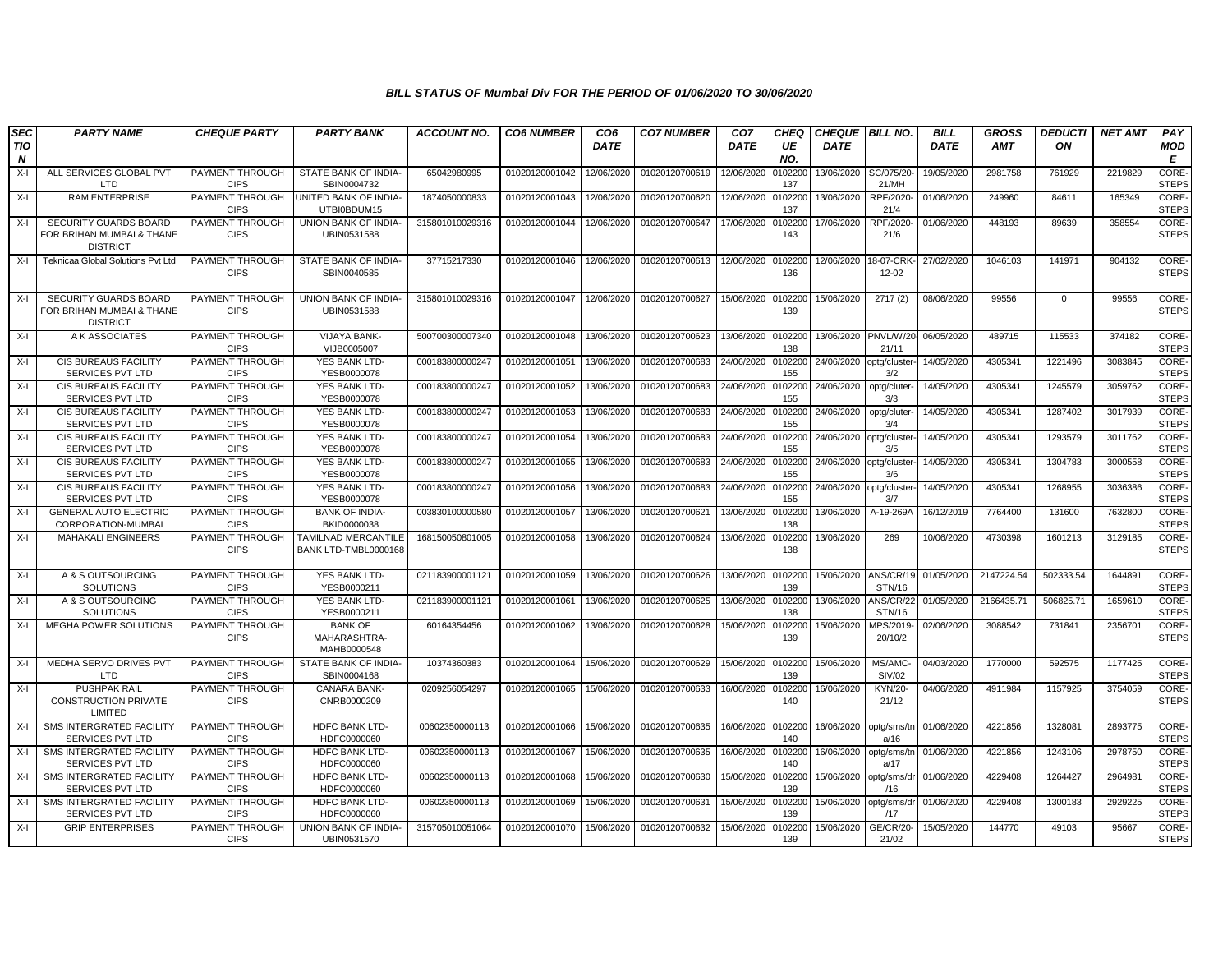| <b>SEC</b>      | <b>PARTY NAME</b>                                                            | <b>CHEQUE PARTY</b>            | <b>PARTY BANK</b>                             | <b>ACCOUNT NO.</b> | <b>CO6 NUMBER</b> | CO <sub>6</sub> | <b>CO7 NUMBER</b> | CO <sub>7</sub>    | <b>CHEQ</b>    | <b>CHEQUE BILL NO.</b> |                                | <b>BILL</b> | <b>GROSS</b> | <b>DEDUCTI</b> | <b>NET AMT</b> | PAY                   |
|-----------------|------------------------------------------------------------------------------|--------------------------------|-----------------------------------------------|--------------------|-------------------|-----------------|-------------------|--------------------|----------------|------------------------|--------------------------------|-------------|--------------|----------------|----------------|-----------------------|
| <b>TIO</b><br>N |                                                                              |                                |                                               |                    |                   | <b>DATE</b>     |                   | <b>DATE</b>        | UE<br>NO.      | <b>DATE</b>            |                                | <b>DATE</b> | <b>AMT</b>   | ON             |                | MOD<br>E              |
| $X-I$           | ALL SERVICES GLOBAL PVT<br>LTD                                               | PAYMENT THROUGH<br><b>CIPS</b> | STATE BANK OF INDIA-<br>SBIN0004732           | 65042980995        | 01020120001042    | 12/06/2020      | 01020120700619    | 12/06/2020         | 0102200<br>137 | 13/06/2020             | SC/075/20-<br>21/MH            | 19/05/2020  | 2981758      | 761929         | 2219829        | CORE-<br><b>STEPS</b> |
| X-I             | <b>RAM ENTERPRISE</b>                                                        | PAYMENT THROUGH<br><b>CIPS</b> | <b>UNITED BANK OF INDIA-</b><br>UTBI0BDUM15   | 1874050000833      | 01020120001043    | 12/06/2020      | 01020120700620    | 12/06/2020         | 0102200<br>137 | 13/06/2020             | RPF/2020<br>21/4               | 01/06/2020  | 249960       | 84611          | 165349         | CORE-<br><b>STEPS</b> |
| X-l             | <b>SECURITY GUARDS BOARD</b><br>FOR BRIHAN MUMBAI & THANE<br><b>DISTRICT</b> | PAYMENT THROUGH<br><b>CIPS</b> | UNION BANK OF INDIA-<br>UBIN0531588           | 315801010029316    | 01020120001044    | 12/06/2020      | 01020120700647    | 17/06/2020         | 0102200<br>143 | 17/06/2020             | RPF/2020<br>21/6               | 01/06/2020  | 448193       | 89639          | 358554         | CORE-<br><b>STEPS</b> |
| X-I             | Teknicaa Global Solutions Pvt Ltd                                            | PAYMENT THROUGH<br><b>CIPS</b> | STATE BANK OF INDIA-<br>SBIN0040585           | 37715217330        | 01020120001046    | 12/06/2020      | 01020120700613    | 12/06/2020 0102200 | 136            | 12/06/2020             | 18-07-CRK<br>$12 - 02$         | 27/02/2020  | 1046103      | 141971         | 904132         | CORE-<br><b>STEPS</b> |
| X-I             | <b>SECURITY GUARDS BOARD</b><br>FOR BRIHAN MUMBAI & THANE<br><b>DISTRICT</b> | PAYMENT THROUGH<br><b>CIPS</b> | UNION BANK OF INDIA-<br>UBIN0531588           | 315801010029316    | 01020120001047    | 12/06/2020      | 01020120700627    | 15/06/2020 0102200 | 139            | 15/06/2020             | 2717(2)                        | 08/06/2020  | 99556        | $\Omega$       | 99556          | CORE-<br><b>STEPS</b> |
| X-l             | A K ASSOCIATES                                                               | PAYMENT THROUGH<br><b>CIPS</b> | <b>VIJAYA BANK-</b><br>VIJB0005007            | 500700300007340    | 01020120001048    | 13/06/2020      | 01020120700623    | 13/06/2020 0102200 | 138            |                        | 13/06/2020 PNVL/W/20-<br>21/11 | 06/05/2020  | 489715       | 115533         | 374182         | CORE-<br><b>STEPS</b> |
| $X-I$           | CIS BUREAUS FACILITY<br>SERVICES PVT LTD                                     | PAYMENT THROUGH<br><b>CIPS</b> | YES BANK LTD-<br>YESB0000078                  | 000183800000247    | 01020120001051    | 13/06/2020      | 01020120700683    | 24/06/2020         | 0102200<br>155 | 24/06/2020             | optg/cluster<br>3/2            | 14/05/2020  | 4305341      | 1221496        | 3083845        | CORE-<br><b>STEPS</b> |
| $X-I$           | CIS BUREAUS FACILITY<br><b>SERVICES PVT LTD</b>                              | PAYMENT THROUGH<br><b>CIPS</b> | YES BANK LTD<br>YESB0000078                   | 000183800000247    | 01020120001052    | 13/06/2020      | 01020120700683    | 24/06/2020         | 0102200<br>155 | 24/06/2020             | optg/cluter-<br>3/3            | 14/05/2020  | 4305341      | 1245579        | 3059762        | CORE-<br><b>STEPS</b> |
| $X-I$           | CIS BUREAUS FACILITY<br>SERVICES PVT LTD                                     | PAYMENT THROUGH<br><b>CIPS</b> | YES BANK LTD-<br>YESB0000078                  | 000183800000247    | 01020120001053    | 13/06/2020      | 01020120700683    | 24/06/2020         | 0102200<br>155 | 24/06/2020             | optg/cluter<br>3/4             | 14/05/2020  | 4305341      | 1287402        | 3017939        | CORE-<br><b>STEPS</b> |
| $X-I$           | CIS BUREAUS FACILITY<br><b>SERVICES PVT LTD</b>                              | PAYMENT THROUGH<br><b>CIPS</b> | YES BANK LTD-<br>YESB0000078                  | 000183800000247    | 01020120001054    | 13/06/2020      | 01020120700683    | 24/06/2020         | 0102200<br>155 | 24/06/2020             | optg/cluster<br>3/5            | 14/05/2020  | 4305341      | 1293579        | 3011762        | CORE-<br><b>STEPS</b> |
| X-I             | <b>CIS BUREAUS FACILITY</b><br><b>SERVICES PVT LTD</b>                       | PAYMENT THROUGH<br><b>CIPS</b> | YES BANK LTD-<br>YESB0000078                  | 000183800000247    | 01020120001055    | 13/06/2020      | 01020120700683    | 24/06/2020         | 0102200<br>155 | 24/06/2020             | optg/cluster-<br>3/6           | 14/05/2020  | 4305341      | 1304783        | 3000558        | CORE-<br><b>STEPS</b> |
| $X-I$           | CIS BUREAUS FACILITY<br>SERVICES PVT LTD                                     | PAYMENT THROUGH<br><b>CIPS</b> | YES BANK LTD-<br>YESB0000078                  | 000183800000247    | 01020120001056    | 13/06/2020      | 01020120700683    | 24/06/2020         | 0102200<br>155 | 24/06/2020             | optg/cluster-<br>3/7           | 14/05/2020  | 4305341      | 1268955        | 3036386        | CORE-<br><b>STEPS</b> |
| $X-I$           | <b>GENERAL AUTO ELECTRIC</b><br>CORPORATION-MUMBAI                           | PAYMENT THROUGH<br><b>CIPS</b> | <b>BANK OF INDIA-</b><br>BKID0000038          | 003830100000580    | 01020120001057    | 13/06/2020      | 01020120700621    | 13/06/2020         | 0102200<br>138 | 13/06/2020             | A-19-269A                      | 16/12/2019  | 7764400      | 131600         | 7632800        | CORE-<br><b>STEPS</b> |
| X-I             | <b>MAHAKALI ENGINEERS</b>                                                    | PAYMENT THROUGH<br><b>CIPS</b> | TAMILNAD MERCANTILE<br>BANK LTD-TMBL0000168   | 168150050801005    | 01020120001058    | 13/06/2020      | 01020120700624    | 13/06/2020         | 0102200<br>138 | 13/06/2020             | 269                            | 10/06/2020  | 4730398      | 1601213        | 3129185        | CORE-<br><b>STEPS</b> |
| $X-I$           | A & S OUTSOURCING<br><b>SOLUTIONS</b>                                        | PAYMENT THROUGH<br><b>CIPS</b> | YES BANK LTD-<br>YESB0000211                  | 021183900001121    | 01020120001059    | 13/06/2020      | 01020120700626    | 13/06/2020         | 0102200<br>139 | 15/06/2020             | ANS/CR/19<br>STN/16            | 01/05/2020  | 2147224.54   | 502333.54      | 1644891        | CORE-<br><b>STEPS</b> |
| X-I             | A & S OUTSOURCING<br><b>SOLUTIONS</b>                                        | PAYMENT THROUGH<br><b>CIPS</b> | YES BANK LTD-<br>YESB0000211                  | 021183900001121    | 01020120001061    | 13/06/2020      | 01020120700625    | 13/06/2020         | 0102200<br>138 | 13/06/2020             | ANS/CR/22<br><b>STN/16</b>     | 01/05/2020  | 2166435.71   | 506825.71      | 1659610        | CORE-<br><b>STEPS</b> |
| X-I             | MEGHA POWER SOLUTIONS                                                        | PAYMENT THROUGH<br><b>CIPS</b> | <b>BANK OF</b><br>MAHARASHTRA-<br>MAHB0000548 | 60164354456        | 01020120001062    | 13/06/2020      | 01020120700628    | 15/06/2020         | 0102200<br>139 | 15/06/2020             | MPS/2019-<br>20/10/2           | 02/06/2020  | 3088542      | 731841         | 2356701        | CORE-<br><b>STEPS</b> |
| X-I             | MEDHA SERVO DRIVES PVT<br><b>LTD</b>                                         | PAYMENT THROUGH<br><b>CIPS</b> | STATE BANK OF INDIA-<br>SBIN0004168           | 10374360383        | 01020120001064    | 15/06/2020      | 01020120700629    | 15/06/2020 0102200 | 139            | 15/06/2020             | MS/AMC-<br>SIV/02              | 04/03/2020  | 1770000      | 592575         | 1177425        | CORE-<br><b>STEPS</b> |
| X-I             | <b>PUSHPAK RAIL</b><br><b>CONSTRUCTION PRIVATE</b><br>LIMITED                | PAYMENT THROUGH<br><b>CIPS</b> | CANARA BANK-<br>CNRB0000209                   | 0209256054297      | 01020120001065    | 15/06/2020      | 01020120700633    | 16/06/2020         | 0102200<br>140 | 16/06/2020             | KYN/20-<br>21/12               | 04/06/2020  | 4911984      | 1157925        | 3754059        | CORE-<br><b>STEPS</b> |
| X-l             | SMS INTERGRATED FACILITY<br>SERVICES PVT LTD                                 | PAYMENT THROUGH<br><b>CIPS</b> | <b>HDFC BANK LTD-</b><br>HDFC0000060          | 00602350000113     | 01020120001066    | 15/06/2020      | 01020120700635    | 16/06/2020 0102200 | 140            | 16/06/2020             | optg/sms/tr<br>a/16            | 01/06/2020  | 4221856      | 1328081        | 2893775        | CORE-<br><b>STEPS</b> |
| X-I             | SMS INTERGRATED FACILITY<br><b>SERVICES PVT LTD</b>                          | PAYMENT THROUGH<br><b>CIPS</b> | HDFC BANK LTD-<br>HDFC0000060                 | 00602350000113     | 01020120001067    | 15/06/2020      | 01020120700635    | 16/06/2020         | 0102200<br>140 | 16/06/2020             | optg/sms/tn<br>a/17            | 01/06/2020  | 4221856      | 1243106        | 2978750        | CORE-<br><b>STEPS</b> |
| $X-I$           | SMS INTERGRATED FACILITY<br>SERVICES PVT LTD                                 | PAYMENT THROUGH<br><b>CIPS</b> | <b>HDFC BANK LTD-</b><br>HDFC0000060          | 00602350000113     | 01020120001068    | 15/06/2020      | 01020120700630    | 15/06/2020 010220  | 139            | 15/06/2020             | optg/sms/dr<br>/16             | 01/06/2020  | 4229408      | 1264427        | 2964981        | CORE-<br><b>STEPS</b> |
| X-I             | SMS INTERGRATED FACILITY<br>SERVICES PVT LTD                                 | PAYMENT THROUGH<br><b>CIPS</b> | HDFC BANK LTD-<br>HDFC0000060                 | 00602350000113     | 01020120001069    | 15/06/2020      | 01020120700631    | 15/06/2020         | 0102200<br>139 | 15/06/2020             | optg/sms/dr<br>/17             | 01/06/2020  | 4229408      | 1300183        | 2929225        | CORE-<br><b>STEPS</b> |
| $X-I$           | <b>GRIP ENTERPRISES</b>                                                      | PAYMENT THROUGH<br><b>CIPS</b> | UNION BANK OF INDIA-<br>UBIN0531570           | 315705010051064    | 01020120001070    | 15/06/2020      | 01020120700632    | 15/06/2020         | 0102200<br>139 | 15/06/2020             | <b>GE/CR/20</b><br>21/02       | 15/05/2020  | 144770       | 49103          | 95667          | CORE-<br><b>STEPS</b> |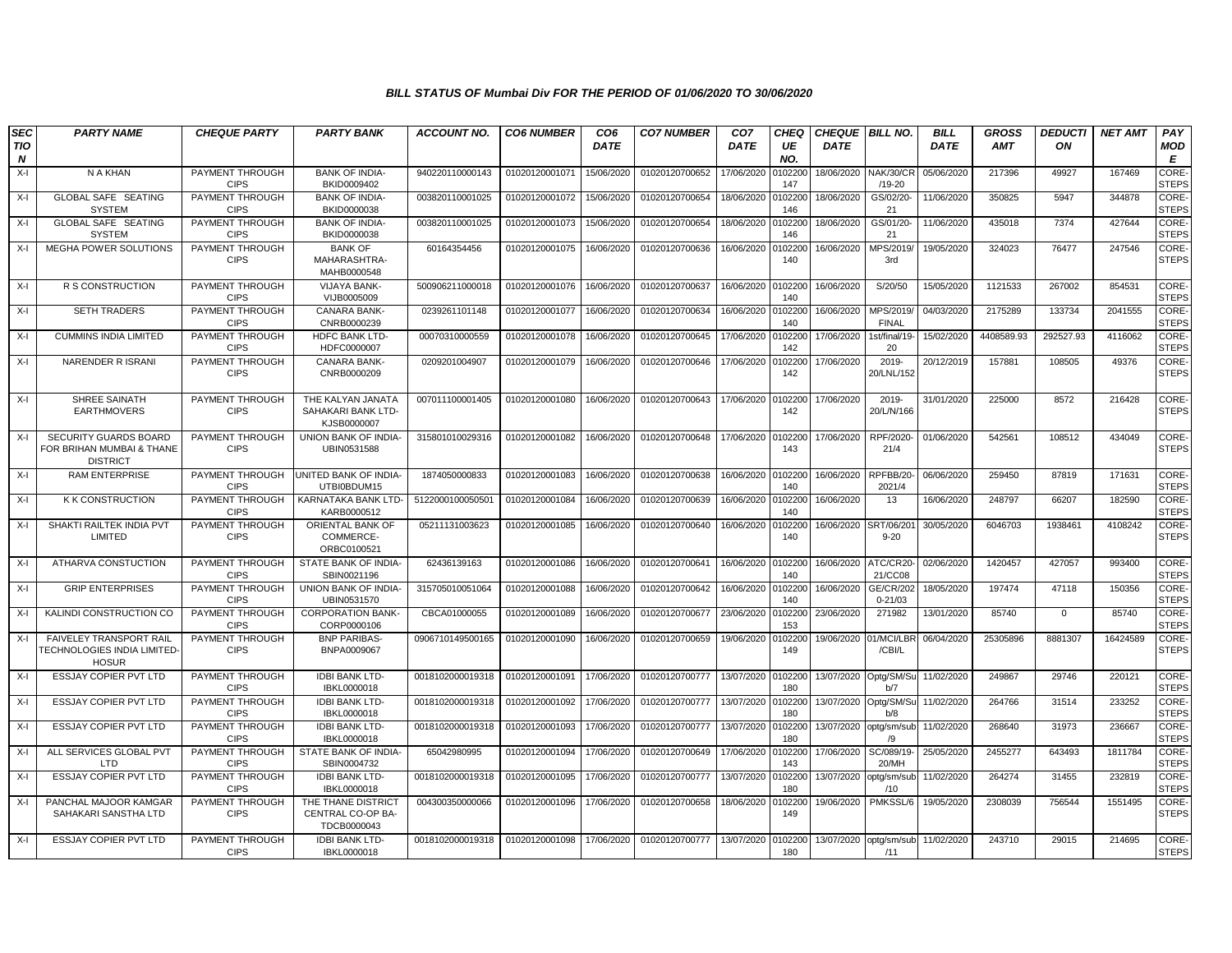| SEC<br>TIO<br>$\boldsymbol{N}$ | <b>PARTY NAME</b>                                                            | <b>CHEQUE PARTY</b>            | <b>PARTY BANK</b>                                      | <b>ACCOUNT NO.</b> | <b>CO6 NUMBER</b> | CO <sub>6</sub><br><b>DATE</b> | <b>CO7 NUMBER</b> | CO <sub>7</sub><br><b>DATE</b> | <b>CHEQ</b><br>UE<br>NO. | CHEQUE   BILL NO.<br><b>DATE</b> |                                 | <b>BILL</b><br><b>DATE</b> | <b>GROSS</b><br><b>AMT</b> | <b>DEDUCTI</b><br>ON | <b>NET AMT</b> | PAY<br>MOD<br>E       |
|--------------------------------|------------------------------------------------------------------------------|--------------------------------|--------------------------------------------------------|--------------------|-------------------|--------------------------------|-------------------|--------------------------------|--------------------------|----------------------------------|---------------------------------|----------------------------|----------------------------|----------------------|----------------|-----------------------|
| $X-I$                          | N A KHAN                                                                     | PAYMENT THROUGH<br><b>CIPS</b> | <b>BANK OF INDIA-</b><br>BKID0009402                   | 940220110000143    | 01020120001071    | 15/06/2020                     | 01020120700652    | 17/06/2020                     | 0102200<br>147           | 18/06/2020                       | NAK/30/CR<br>$/19 - 20$         | 05/06/2020                 | 217396                     | 49927                | 167469         | CORE-<br><b>STEPS</b> |
| $X-I$                          | GLOBAL SAFE SEATING<br><b>SYSTEM</b>                                         | PAYMENT THROUGH<br><b>CIPS</b> | <b>BANK OF INDIA-</b><br>BKID0000038                   | 003820110001025    | 01020120001072    | 15/06/2020                     | 01020120700654    | 18/06/2020                     | 0102200<br>146           | 18/06/2020                       | GS/02/20-<br>21                 | 11/06/2020                 | 350825                     | 5947                 | 344878         | CORE-<br><b>STEPS</b> |
| $X-I$                          | <b>GLOBAL SAFE SEATING</b><br><b>SYSTEM</b>                                  | PAYMENT THROUGH<br><b>CIPS</b> | <b>BANK OF INDIA-</b><br>BKID0000038                   | 003820110001025    | 01020120001073    | 15/06/2020                     | 01020120700654    | 18/06/2020                     | 0102200<br>146           | 18/06/2020                       | GS/01/20-<br>21                 | 11/06/2020                 | 435018                     | 7374                 | 427644         | CORE-<br><b>STEPS</b> |
| $X-I$                          | <b>MEGHA POWER SOLUTIONS</b>                                                 | PAYMENT THROUGH<br><b>CIPS</b> | <b>BANK OF</b><br>MAHARASHTRA-<br>MAHB0000548          | 60164354456        | 01020120001075    | 16/06/2020                     | 01020120700636    | 16/06/2020                     | 010220<br>140            | 16/06/2020                       | MPS/2019<br>3rd                 | 19/05/2020                 | 324023                     | 76477                | 247546         | CORE-<br><b>STEPS</b> |
| X-I                            | R S CONSTRUCTION                                                             | PAYMENT THROUGH<br><b>CIPS</b> | VIJAYA BANK-<br>VIJB0005009                            | 500906211000018    | 01020120001076    | 16/06/2020                     | 01020120700637    | 16/06/2020                     | 0102200<br>140           | 16/06/2020                       | S/20/50                         | 15/05/2020                 | 1121533                    | 267002               | 854531         | CORE-<br><b>STEPS</b> |
| $X-I$                          | SETH TRADERS                                                                 | PAYMENT THROUGH<br><b>CIPS</b> | CANARA BANK-<br>CNRB0000239                            | 0239261101148      | 01020120001077    | 16/06/2020                     | 01020120700634    | 16/06/2020                     | 0102200<br>140           | 16/06/2020                       | MPS/2019<br><b>FINAL</b>        | 04/03/2020                 | 2175289                    | 133734               | 2041555        | CORE-<br><b>STEPS</b> |
| $X-I$                          | <b>CUMMINS INDIA LIMITED</b>                                                 | PAYMENT THROUGH<br><b>CIPS</b> | <b>HDFC BANK LTD-</b><br>HDFC0000007                   | 00070310000559     | 01020120001078    | 16/06/2020                     | 01020120700645    | 17/06/2020                     | 0102200<br>142           | 17/06/2020                       | 1st/final/19-<br>20             | 15/02/2020                 | 4408589.93                 | 292527.93            | 4116062        | CORE-<br><b>STEPS</b> |
| $X-I$                          | <b>NARENDER RISRANI</b>                                                      | PAYMENT THROUGH<br><b>CIPS</b> | <b>CANARA BANK-</b><br>CNRB0000209                     | 0209201004907      | 01020120001079    | 16/06/2020                     | 01020120700646    | 17/06/2020                     | 010220<br>142            | 17/06/2020                       | 2019-<br>20/LNL/152             | 20/12/2019                 | 157881                     | 108505               | 49376          | CORE-<br><b>STEPS</b> |
| X-I                            | SHREE SAINATH<br><b>EARTHMOVERS</b>                                          | PAYMENT THROUGH<br><b>CIPS</b> | THE KALYAN JANATA<br>SAHAKARI BANK LTD-<br>KJSB0000007 | 007011100001405    | 01020120001080    | 16/06/2020                     | 01020120700643    | 17/06/2020                     | 0102200<br>142           | 17/06/2020                       | 2019-<br>20/L/N/166             | 31/01/2020                 | 225000                     | 8572                 | 216428         | CORE-<br><b>STEPS</b> |
| X-I                            | <b>SECURITY GUARDS BOARD</b><br>FOR BRIHAN MUMBAI & THANE<br><b>DISTRICT</b> | PAYMENT THROUGH<br><b>CIPS</b> | UNION BANK OF INDIA-<br>UBIN0531588                    | 315801010029316    | 01020120001082    | 16/06/2020                     | 01020120700648    | 17/06/2020                     | 0102200<br>143           | 17/06/2020                       | RPF/2020<br>21/4                | 01/06/2020                 | 542561                     | 108512               | 434049         | CORE-<br><b>STEPS</b> |
| $X-I$                          | <b>RAM ENTERPRISE</b>                                                        | PAYMENT THROUGH<br><b>CIPS</b> | UNITED BANK OF INDIA-<br>UTBI0BDUM15                   | 1874050000833      | 01020120001083    | 16/06/2020                     | 01020120700638    | 16/06/2020                     | 0102200<br>140           | 16/06/2020                       | RPFBB/20<br>2021/4              | 06/06/2020                 | 259450                     | 87819                | 171631         | CORE-<br><b>STEPS</b> |
| $X-I$                          | <b>K K CONSTRUCTION</b>                                                      | PAYMENT THROUGH<br><b>CIPS</b> | KARNATAKA BANK LTD-<br>KARB0000512                     | 512200010005050    | 01020120001084    | 16/06/2020                     | 01020120700639    | 16/06/2020                     | 0102200<br>140           | 16/06/2020                       | 13                              | 16/06/2020                 | 248797                     | 66207                | 182590         | CORE-<br><b>STEPS</b> |
| $X-I$                          | SHAKTI RAILTEK INDIA PVT<br>LIMITED                                          | PAYMENT THROUGH<br><b>CIPS</b> | ORIENTAL BANK OF<br>COMMERCE-<br>ORBC0100521           | 05211131003623     | 01020120001085    | 16/06/2020                     | 01020120700640    | 16/06/2020                     | 0102200<br>140           | 16/06/2020                       | SRT/06/20<br>$9 - 20$           | 30/05/2020                 | 6046703                    | 1938461              | 4108242        | CORE-<br><b>STEPS</b> |
| X-I                            | ATHARVA CONSTUCTION                                                          | PAYMENT THROUGH<br><b>CIPS</b> | STATE BANK OF INDIA-<br>SBIN0021196                    | 62436139163        | 01020120001086    | 16/06/2020                     | 01020120700641    | 16/06/2020                     | 0102200<br>140           | 16/06/2020                       | ATC/CR20<br>21/CC08             | 02/06/2020                 | 1420457                    | 427057               | 993400         | CORE-<br><b>STEPS</b> |
| $X-I$                          | <b>GRIP ENTERPRISES</b>                                                      | PAYMENT THROUGH<br><b>CIPS</b> | UNION BANK OF INDIA-<br>UBIN0531570                    | 315705010051064    | 01020120001088    | 16/06/2020                     | 01020120700642    | 16/06/2020                     | 010220<br>140            | 16/06/2020                       | <b>GE/CR/202</b><br>$0 - 21/03$ | 18/05/2020                 | 197474                     | 47118                | 150356         | CORE-<br><b>STEPS</b> |
| X-I                            | KALINDI CONSTRUCTION CO                                                      | PAYMENT THROUGH<br><b>CIPS</b> | <b>CORPORATION BANK-</b><br>CORP0000106                | CBCA01000055       | 01020120001089    | 16/06/2020                     | 01020120700677    | 23/06/2020                     | 0102200<br>153           | 23/06/2020                       | 271982                          | 13/01/2020                 | 85740                      | $\mathbf 0$          | 85740          | CORE-<br><b>STEPS</b> |
| $X-I$                          | FAIVELEY TRANSPORT RAIL<br>TECHNOLOGIES INDIA LIMITED<br><b>HOSUR</b>        | PAYMENT THROUGH<br><b>CIPS</b> | <b>BNP PARIBAS-</b><br>BNPA0009067                     | 0906710149500165   | 01020120001090    | 16/06/2020                     | 01020120700659    | 19/06/2020                     | 010220<br>149            | 19/06/2020                       | 01/MCI/LBF<br>/CBI/L            | 06/04/2020                 | 25305896                   | 8881307              | 16424589       | CORE-<br><b>STEPS</b> |
| $X-I$                          | ESSJAY COPIER PVT LTD                                                        | PAYMENT THROUGH<br><b>CIPS</b> | <b>IDBI BANK LTD-</b><br>IBKL0000018                   | 0018102000019318   | 01020120001091    | 17/06/2020                     | 01020120700777    | 13/07/2020                     | 0102200<br>180           |                                  | 13/07/2020 Optg/SM/Su<br>b/7    | 11/02/2020                 | 249867                     | 29746                | 220121         | CORE-<br><b>STEPS</b> |
| $X-I$                          | <b>ESSJAY COPIER PVT LTD</b>                                                 | PAYMENT THROUGH<br><b>CIPS</b> | <b>IDBI BANK LTD-</b><br>IBKL0000018                   | 0018102000019318   | 01020120001092    | 17/06/2020                     | 01020120700777    | 13/07/2020                     | 0102200<br>180           | 13/07/2020 Optg/SM/St            | b/8                             | 11/02/2020                 | 264766                     | 31514                | 233252         | CORE-<br><b>STEPS</b> |
| $X-I$                          | ESSJAY COPIER PVT LTD                                                        | PAYMENT THROUGH<br><b>CIPS</b> | <b>IDBI BANK LTD</b><br>IBKL0000018                    | 0018102000019318   | 01020120001093    | 17/06/2020                     | 01020120700777    | 13/07/2020                     | 010220<br>180            | 13/07/2020                       | optg/sm/sub<br>/9               | 11/02/2020                 | 268640                     | 31973                | 236667         | CORE-<br><b>STEPS</b> |
| $X-I$                          | ALL SERVICES GLOBAL PVT<br>I TD                                              | PAYMENT THROUGH<br><b>CIPS</b> | STATE BANK OF INDIA-<br>SBIN0004732                    | 65042980995        | 01020120001094    | 17/06/2020                     | 01020120700649    | 17/06/2020                     | 0102200<br>143           | 17/06/2020                       | SC/089/19-<br>20/MH             | 25/05/2020                 | 2455277                    | 643493               | 1811784        | CORE-<br><b>STEPS</b> |
| $X-I$                          | ESSJAY COPIER PVT LTD                                                        | PAYMENT THROUGH<br><b>CIPS</b> | <b>IDBI BANK LTD-</b><br>IBKL0000018                   | 0018102000019318   | 01020120001095    | 17/06/2020                     | 01020120700777    | 13/07/2020                     | 0102200<br>180           | 13/07/2020                       | optg/sm/sul<br>/10              | 11/02/2020                 | 264274                     | 31455                | 232819         | CORE-<br><b>STEPS</b> |
| $X-I$                          | PANCHAL MAJOOR KAMGAR<br>SAHAKARI SANSTHA LTD                                | PAYMENT THROUGH<br><b>CIPS</b> | THE THANE DISTRICT<br>CENTRAL CO-OP BA-<br>TDCB0000043 | 004300350000066    | 01020120001096    | 17/06/2020                     | 01020120700658    | 18/06/2020                     | 0102200<br>149           | 19/06/2020                       | PMKSSL/6                        | 19/05/2020                 | 2308039                    | 756544               | 1551495        | CORE-<br><b>STEPS</b> |
| $X-I$                          | ESSJAY COPIER PVT LTD                                                        | PAYMENT THROUGH<br><b>CIPS</b> | <b>IDBI BANK LTD-</b><br>IBKL0000018                   | 0018102000019318   | 01020120001098    | 17/06/2020                     | 01020120700777    | 13/07/2020                     | 0102200<br>180           | 13/07/2020                       | optg/sm/sub 11/02/2020<br>/11   |                            | 243710                     | 29015                | 214695         | CORE-<br><b>STEPS</b> |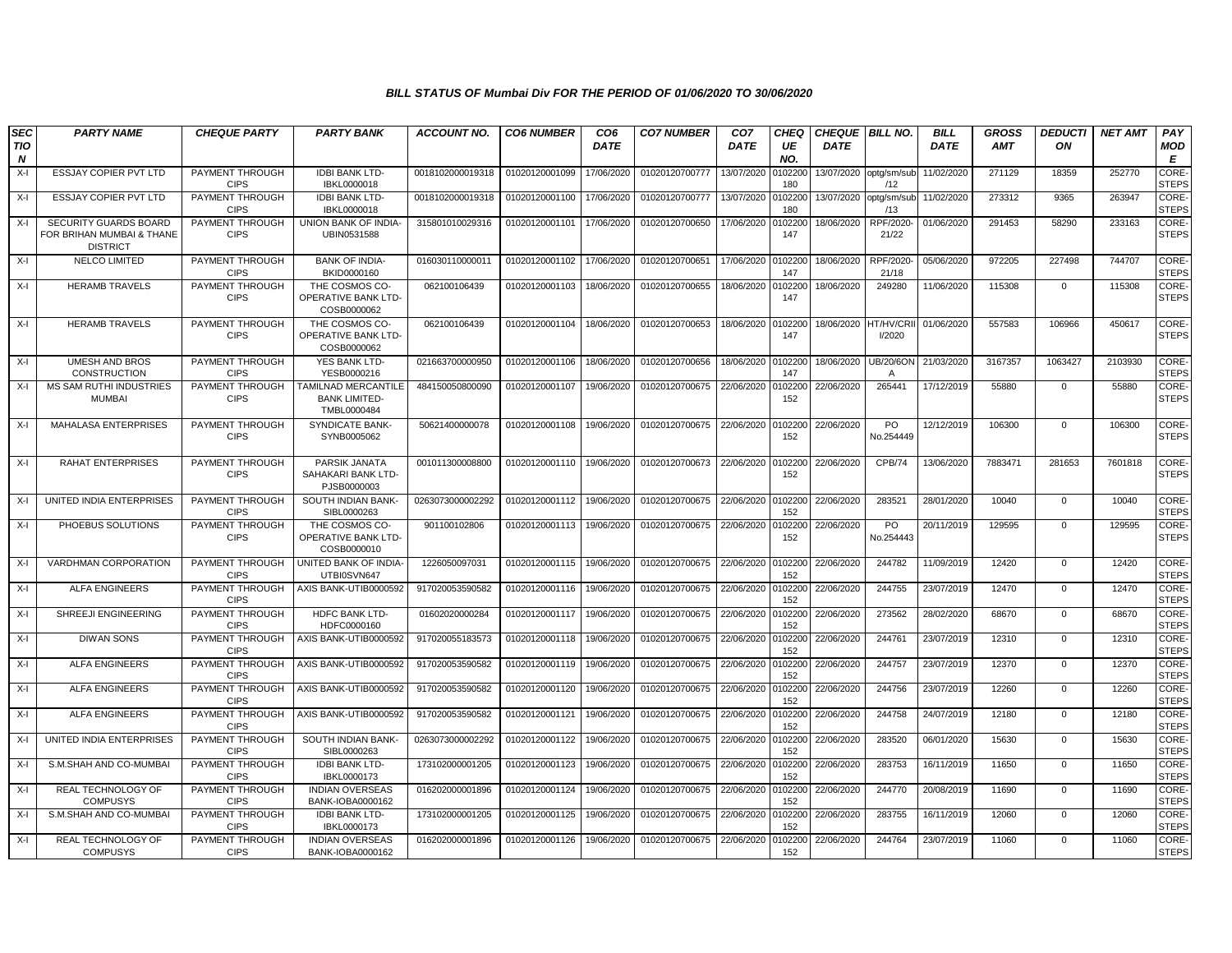| SEC<br>TIO       | <b>PARTY NAME</b>                                                     | <b>CHEQUE PARTY</b>            | <b>PARTY BANK</b>                                           | <b>ACCOUNT NO.</b> | <b>CO6 NUMBER</b> | CO <sub>6</sub><br><b>DATE</b> | <b>CO7 NUMBER</b>         | CO <sub>7</sub><br><b>DATE</b> | <b>CHEQ</b><br>UE | CHEQUE   BILL NO.<br><b>DATE</b> |                       | <b>BILL</b><br><b>DATE</b> | GROSS<br><b>AMT</b> | <b>DEDUCTI</b><br>ON | <b>NET AMT</b> | PAY<br><b>MOD</b>     |
|------------------|-----------------------------------------------------------------------|--------------------------------|-------------------------------------------------------------|--------------------|-------------------|--------------------------------|---------------------------|--------------------------------|-------------------|----------------------------------|-----------------------|----------------------------|---------------------|----------------------|----------------|-----------------------|
| $\boldsymbol{N}$ |                                                                       |                                |                                                             |                    |                   |                                |                           |                                | NO.               |                                  |                       |                            |                     |                      |                | E                     |
| $X-I$            | <b>ESSJAY COPIER PVT LTD</b>                                          | PAYMENT THROUGH<br><b>CIPS</b> | <b>IDBI BANK LTD-</b><br>IBKL0000018                        | 0018102000019318   | 01020120001099    | 17/06/2020                     | 01020120700777            | 13/07/2020                     | 0102200<br>180    | 13/07/2020                       | optg/sm/sub<br>/12    | 11/02/2020                 | 271129              | 18359                | 252770         | CORE-<br><b>STEPS</b> |
| $X-I$            | ESSJAY COPIER PVT LTD                                                 | PAYMENT THROUGH<br><b>CIPS</b> | <b>IDBI BANK LTD-</b><br>IBKL0000018                        | 0018102000019318   | 01020120001100    | 17/06/2020                     | 01020120700777            | 13/07/2020                     | 0102200<br>180    | 13/07/2020                       | optg/sm/sub<br>/13    | 11/02/2020                 | 273312              | 9365                 | 263947         | CORE-<br><b>STEPS</b> |
| X-I              | SECURITY GUARDS BOARD<br>FOR BRIHAN MUMBAI & THANE<br><b>DISTRICT</b> | PAYMENT THROUGH<br><b>CIPS</b> | UNION BANK OF INDIA-<br>UBIN0531588                         | 315801010029316    | 01020120001101    | 17/06/2020                     | 01020120700650            | 17/06/2020                     | 0102200<br>147    | 18/06/2020                       | RPF/2020<br>21/22     | 01/06/2020                 | 291453              | 58290                | 233163         | CORE-<br><b>STEPS</b> |
| X-I              | NELCO LIMITED                                                         | PAYMENT THROUGH<br><b>CIPS</b> | <b>BANK OF INDIA-</b><br>BKID0000160                        | 016030110000011    | 01020120001102    | 17/06/2020                     | 01020120700651            | 17/06/2020                     | 0102200<br>147    | 18/06/2020                       | RPF/2020<br>21/18     | 05/06/2020                 | 972205              | 227498               | 744707         | CORE-<br><b>STEPS</b> |
| $X-I$            | <b>HERAMB TRAVELS</b>                                                 | PAYMENT THROUGH<br><b>CIPS</b> | THE COSMOS CO-<br>OPERATIVE BANK LTD-<br>COSB0000062        | 062100106439       | 01020120001103    | 18/06/2020                     | 01020120700655            | 18/06/2020                     | 0102200<br>147    | 18/06/2020                       | 249280                | 11/06/2020                 | 115308              | $\mathbf 0$          | 115308         | CORE-<br><b>STEPS</b> |
| X-I              | <b>HERAMB TRAVELS</b>                                                 | PAYMENT THROUGH<br><b>CIPS</b> | THE COSMOS CO-<br><b>OPERATIVE BANK LTD-</b><br>COSB0000062 | 062100106439       | 01020120001104    | 18/06/2020                     | 01020120700653            | 18/06/2020                     | 0102200<br>147    | 18/06/2020                       | HT/HV/CRI<br>I/2020   | 01/06/2020                 | 557583              | 106966               | 450617         | CORE-<br><b>STEPS</b> |
| $X-I$            | <b>UMESH AND BROS</b><br><b>CONSTRUCTION</b>                          | PAYMENT THROUGH<br><b>CIPS</b> | YES BANK LTD-<br>YESB0000216                                | 021663700000950    | 01020120001106    | 18/06/2020                     | 01020120700656            | 18/06/2020                     | 0102200<br>147    | 18/06/2020                       | <b>UB/20/6ON</b><br>A | 21/03/2020                 | 3167357             | 1063427              | 2103930        | CORE-<br><b>STEPS</b> |
| $X-I$            | <b>MS SAM RUTHI INDUSTRIES</b><br>MUMBAI                              | PAYMENT THROUGH<br><b>CIPS</b> | TAMILNAD MERCANTILE<br><b>BANK LIMITED-</b><br>TMBL0000484  | 484150050800090    | 01020120001107    | 19/06/2020                     | 01020120700675            | 22/06/2020                     | 0102200<br>152    | 22/06/2020                       | 265441                | 17/12/2019                 | 55880               | $\Omega$             | 55880          | CORE-<br><b>STEPS</b> |
| $X-I$            | MAHALASA ENTERPRISES                                                  | PAYMENT THROUGH<br><b>CIPS</b> | SYNDICATE BANK-<br>SYNB0005062                              | 50621400000078     | 01020120001108    | 19/06/2020                     | 01020120700675            | 22/06/2020                     | 0102200<br>152    | 22/06/2020                       | PO<br>No.254449       | 12/12/2019                 | 106300              | $\Omega$             | 106300         | CORE-<br><b>STEPS</b> |
| $X-I$            | RAHAT ENTERPRISES                                                     | PAYMENT THROUGH<br><b>CIPS</b> | PARSIK JANATA<br>SAHAKARI BANK LTD-<br>PJSB0000003          | 001011300008800    | 01020120001110    | 19/06/2020                     | 01020120700673 22/06/2020 |                                | 0102200<br>152    | 22/06/2020                       | CPB/74                | 13/06/2020                 | 7883471             | 281653               | 7601818        | CORE-<br><b>STEPS</b> |
| X-I              | UNITED INDIA ENTERPRISES                                              | PAYMENT THROUGH<br><b>CIPS</b> | SOUTH INDIAN BANK-<br>SIBL0000263                           | 0263073000002292   | 01020120001112    | 19/06/2020                     | 01020120700675            | 22/06/2020                     | 0102200<br>152    | 22/06/2020                       | 283521                | 28/01/2020                 | 10040               | $\Omega$             | 10040          | CORE-<br><b>STEPS</b> |
| X-I              | PHOEBUS SOLUTIONS                                                     | PAYMENT THROUGH<br><b>CIPS</b> | THE COSMOS CO-<br><b>OPERATIVE BANK LTD-</b><br>COSB0000010 | 901100102806       | 01020120001113    | 19/06/2020                     | 01020120700675            | 22/06/2020                     | 102200<br>152     | 22/06/2020                       | PO<br>No.254443       | 20/11/2019                 | 129595              | $\Omega$             | 129595         | CORE-<br><b>STEPS</b> |
| $X-I$            | <b>VARDHMAN CORPORATION</b>                                           | PAYMENT THROUGH<br><b>CIPS</b> | <b>UNITED BANK OF INDIA-</b><br>UTBI0SVN647                 | 1226050097031      | 01020120001115    | 19/06/2020                     | 01020120700675            | 22/06/2020                     | 0102200<br>152    | 22/06/2020                       | 244782                | 11/09/2019                 | 12420               | $\Omega$             | 12420          | CORE-<br><b>STEPS</b> |
| X-I              | <b>ALFA ENGINEERS</b>                                                 | PAYMENT THROUGH<br><b>CIPS</b> | AXIS BANK-UTIB0000592                                       | 917020053590582    | 01020120001116    | 19/06/2020                     | 01020120700675            | 22/06/2020                     | 0102200<br>152    | 22/06/2020                       | 244755                | 23/07/2019                 | 12470               | 0                    | 12470          | CORE-<br><b>STEPS</b> |
| $X-I$            | SHREEJI ENGINEERING                                                   | PAYMENT THROUGH<br><b>CIPS</b> | <b>HDFC BANK LTD-</b><br>HDFC0000160                        | 01602020000284     | 01020120001117    | 19/06/2020                     | 01020120700675            | 22/06/2020                     | 0102200<br>152    | 22/06/2020                       | 273562                | 28/02/2020                 | 68670               | $\Omega$             | 68670          | CORE-<br><b>STEPS</b> |
| $X-I$            | <b>DIWAN SONS</b>                                                     | PAYMENT THROUGH<br><b>CIPS</b> | AXIS BANK-UTIB0000592                                       | 917020055183573    | 01020120001118    | 19/06/2020                     | 01020120700675            | 22/06/2020                     | 0102200<br>152    | 22/06/2020                       | 244761                | 23/07/2019                 | 12310               | $\Omega$             | 12310          | CORE-<br><b>STEPS</b> |
| $X-I$            | <b>ALFA ENGINEERS</b>                                                 | PAYMENT THROUGH<br><b>CIPS</b> | AXIS BANK-UTIB0000592                                       | 917020053590582    | 01020120001119    | 19/06/2020                     | 01020120700675            | 22/06/2020                     | 0102200<br>152    | 22/06/2020                       | 244757                | 23/07/2019                 | 12370               | $\mathbf 0$          | 12370          | CORE-<br><b>STEPS</b> |
| $X-I$            | <b>ALFA ENGINEERS</b>                                                 | PAYMENT THROUGH<br><b>CIPS</b> | AXIS BANK-UTIB0000592                                       | 917020053590582    | 01020120001120    | 19/06/2020                     | 01020120700675            | 22/06/2020                     | 0102200<br>152    | 22/06/2020                       | 244756                | 23/07/2019                 | 12260               | $\Omega$             | 12260          | CORE-<br><b>STEPS</b> |
| $X-I$            | <b>ALFA ENGINEERS</b>                                                 | PAYMENT THROUGH<br><b>CIPS</b> | AXIS BANK-UTIB0000592                                       | 917020053590582    | 01020120001121    | 19/06/2020                     | 01020120700675            | 22/06/2020                     | 0102200<br>152    | 22/06/2020                       | 244758                | 24/07/2019                 | 12180               | $\Omega$             | 12180          | CORE-<br><b>STEPS</b> |
| $X-I$            | UNITED INDIA ENTERPRISES                                              | PAYMENT THROUGH<br><b>CIPS</b> | SOUTH INDIAN BANK-<br>SIBL0000263                           | 0263073000002292   | 01020120001122    | 19/06/2020                     | 01020120700675            | 22/06/2020                     | 0102200<br>152    | 22/06/2020                       | 283520                | 06/01/2020                 | 15630               | 0                    | 15630          | CORE-<br><b>STEPS</b> |
| $X-I$            | S.M.SHAH AND CO-MUMBAI                                                | PAYMENT THROUGH<br><b>CIPS</b> | <b>IDBI BANK LTD-</b><br>IBKL0000173                        | 173102000001205    | 01020120001123    | 19/06/2020                     | 01020120700675            | 22/06/2020                     | 0102200<br>152    | 22/06/2020                       | 283753                | 16/11/2019                 | 11650               | $\mathbf 0$          | 11650          | CORE-<br><b>STEPS</b> |
| $X-I$            | REAL TECHNOLOGY OF<br><b>COMPUSYS</b>                                 | PAYMENT THROUGH<br><b>CIPS</b> | <b>INDIAN OVERSEAS</b><br>BANK-IOBA0000162                  | 016202000001896    | 01020120001124    | 19/06/2020                     | 01020120700675            | 22/06/2020                     | 0102200<br>152    | 22/06/2020                       | 244770                | 20/08/2019                 | 11690               | $\mathbf 0$          | 11690          | CORE-<br><b>STEPS</b> |
| $X-I$            | S.M.SHAH AND CO-MUMBAI                                                | PAYMENT THROUGH<br><b>CIPS</b> | <b>IDBI BANK LTD-</b><br>IBKL0000173                        | 173102000001205    | 01020120001125    | 19/06/2020                     | 01020120700675            | 22/06/2020                     | 0102200<br>152    | 22/06/2020                       | 283755                | 16/11/2019                 | 12060               | $\Omega$             | 12060          | CORE-<br><b>STEPS</b> |
| X-I              | REAL TECHNOLOGY OF<br><b>COMPUSYS</b>                                 | PAYMENT THROUGH<br><b>CIPS</b> | <b>INDIAN OVERSEAS</b><br>BANK-IOBA0000162                  | 016202000001896    | 01020120001126    | 19/06/2020                     | 01020120700675            | 22/06/2020                     | 102200<br>152     | 22/06/2020                       | 244764                | 23/07/2019                 | 11060               | $\Omega$             | 11060          | CORE-<br><b>STEPS</b> |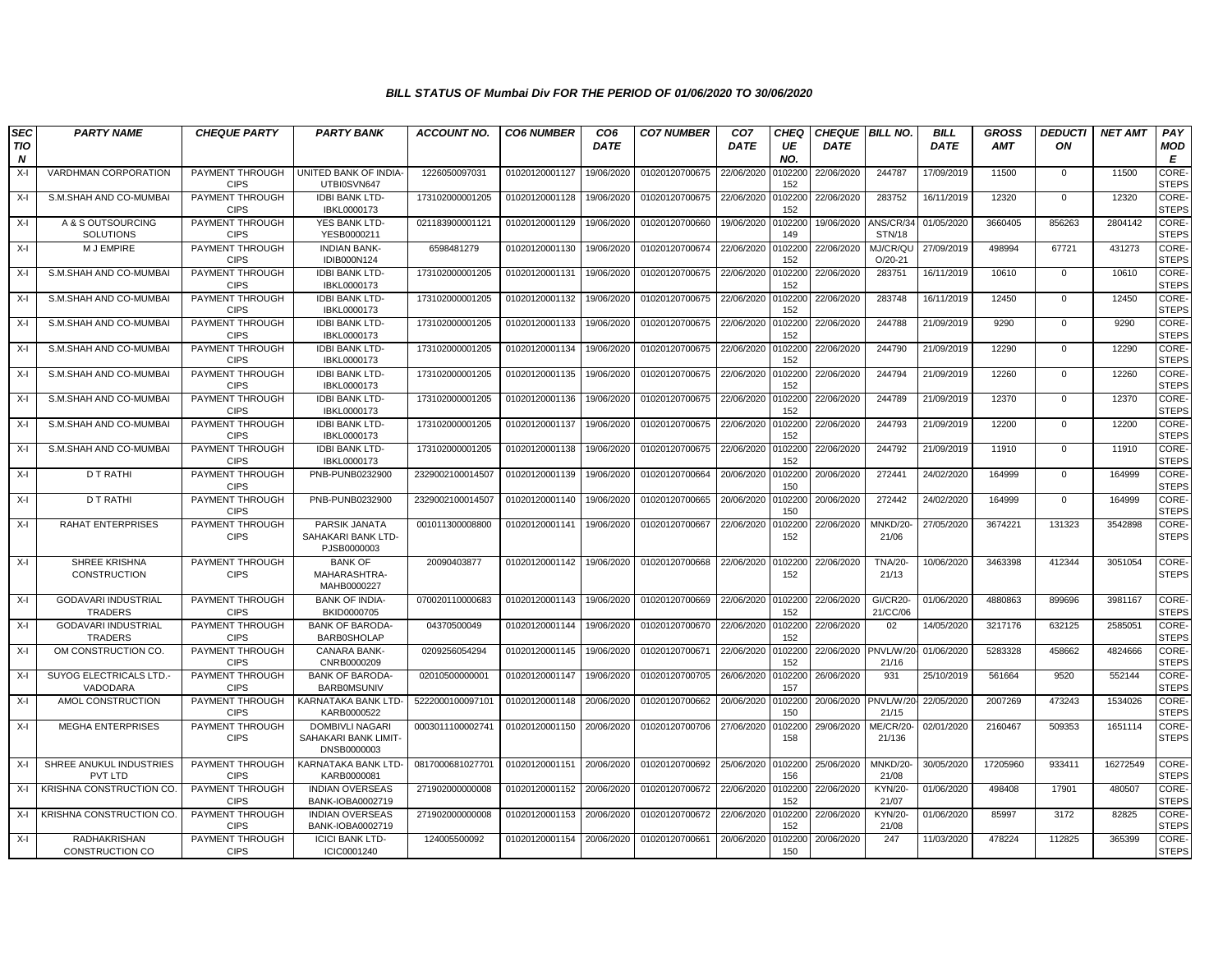| SEC<br>TIO<br>$\boldsymbol{N}$ | <b>PARTY NAME</b>                            | <b>CHEQUE PARTY</b>            | <b>PARTY BANK</b>                                             | <b>ACCOUNT NO.</b> | <b>CO6 NUMBER</b> | CO <sub>6</sub><br><b>DATE</b> | <b>CO7 NUMBER</b> | CO <sub>7</sub><br><b>DATE</b> | <b>CHEQ</b><br>UE<br>NO. | <b>CHEQUE</b><br><b>DATE</b> | <b>BILL NO.</b>             | <b>BILL</b><br><b>DATE</b> | <b>GROSS</b><br><b>AMT</b> | <b>DEDUCTI</b><br>ON | <b>NET AMT</b> | PAY<br><b>MOD</b><br>E       |
|--------------------------------|----------------------------------------------|--------------------------------|---------------------------------------------------------------|--------------------|-------------------|--------------------------------|-------------------|--------------------------------|--------------------------|------------------------------|-----------------------------|----------------------------|----------------------------|----------------------|----------------|------------------------------|
| $X-I$                          | <b>VARDHMAN CORPORATION</b>                  | PAYMENT THROUGH<br><b>CIPS</b> | UNITED BANK OF INDIA-<br>UTBI0SVN647                          | 1226050097031      | 01020120001127    | 19/06/2020                     | 01020120700675    | 22/06/2020                     | 102200<br>152            | 22/06/2020                   | 244787                      | 17/09/2019                 | 11500                      | $\mathbf{0}$         | 11500          | <b>CORE</b><br><b>STEPS</b>  |
| $X-I$                          | S.M.SHAH AND CO-MUMBAI                       | PAYMENT THROUGH<br><b>CIPS</b> | <b>IDBI BANK LTD-</b><br>IBKL0000173                          | 173102000001205    | 01020120001128    | 19/06/2020                     | 01020120700675    | 22/06/2020                     | 102200<br>152            | 22/06/2020                   | 283752                      | 16/11/2019                 | 12320                      | 0                    | 12320          | CORE-<br><b>STEPS</b>        |
| $X-I$                          | A & S OUTSOURCING<br>SOLUTIONS               | PAYMENT THROUGH<br><b>CIPS</b> | YES BANK LTD-<br>YESB0000211                                  | 021183900001121    | 01020120001129    | 19/06/2020                     | 01020120700660    | 19/06/2020                     | 102200<br>149            | 19/06/2020                   | ANS/CR/34<br><b>STN/18</b>  | 01/05/2020                 | 3660405                    | 856263               | 2804142        | <b>CORE-</b><br><b>STEPS</b> |
| $X-I$                          | M J EMPIRE                                   | PAYMENT THROUGH<br><b>CIPS</b> | <b>INDIAN BANK-</b><br>IDIB000N124                            | 6598481279         | 01020120001130    | 19/06/2020                     | 01020120700674    | 22/06/2020                     | 102200<br>152            | 22/06/2020                   | MJ/CR/QU<br>$O/20 - 21$     | 27/09/2019                 | 498994                     | 67721                | 431273         | CORE-<br><b>STEPS</b>        |
| X-I                            | S.M.SHAH AND CO-MUMBAI                       | PAYMENT THROUGH<br><b>CIPS</b> | <b>IDBI BANK LTD-</b><br>IBKL0000173                          | 173102000001205    | 01020120001131    | 19/06/2020                     | 01020120700675    | 22/06/2020                     | 102200<br>152            | 22/06/2020                   | 283751                      | 16/11/2019                 | 10610                      | $\mathbf{0}$         | 10610          | CORE-<br><b>STEPS</b>        |
| $X-I$                          | S.M.SHAH AND CO-MUMBAI                       | PAYMENT THROUGH<br><b>CIPS</b> | <b>IDBI BANK LTD-</b><br>IBKL0000173                          | 173102000001205    | 01020120001132    | 19/06/2020                     | 01020120700675    | 22/06/2020                     | 102200<br>152            | 22/06/2020                   | 283748                      | 16/11/2019                 | 12450                      | $\mathbf 0$          | 12450          | CORE-<br><b>STEPS</b>        |
| $X-I$                          | S.M.SHAH AND CO-MUMBA                        | PAYMENT THROUGH<br><b>CIPS</b> | <b>IDBI BANK LTD-</b><br>IBKL0000173                          | 173102000001205    | 01020120001133    | 19/06/2020                     | 01020120700675    | 22/06/2020                     | 102200<br>152            | 22/06/2020                   | 244788                      | 21/09/2019                 | 9290                       | 0                    | 9290           | CORE-<br><b>STEPS</b>        |
| $X-I$                          | S.M.SHAH AND CO-MUMBAI                       | PAYMENT THROUGH<br><b>CIPS</b> | <b>IDBI BANK LTD-</b><br>IBKL0000173                          | 173102000001205    | 01020120001134    | 19/06/2020                     | 01020120700675    | 22/06/2020                     | 102200<br>152            | 22/06/2020                   | 244790                      | 21/09/2019                 | 12290                      | $\mathbf 0$          | 12290          | CORE-<br><b>STEPS</b>        |
| $X-I$                          | S.M.SHAH AND CO-MUMBAI                       | PAYMENT THROUGH<br><b>CIPS</b> | <b>IDBI BANK LTD-</b><br>IBKL0000173                          | 173102000001205    | 01020120001135    | 19/06/2020                     | 01020120700675    | 22/06/2020                     | 102200<br>152            | 22/06/2020                   | 244794                      | 21/09/2019                 | 12260                      | $\mathbf{0}$         | 12260          | CORE-<br><b>STEPS</b>        |
| X-I                            | S.M.SHAH AND CO-MUMBAI                       | PAYMENT THROUGH<br><b>CIPS</b> | <b>IDBI BANK LTD-</b><br>IBKL0000173                          | 173102000001205    | 01020120001136    | 19/06/2020                     | 01020120700675    | 22/06/2020                     | 0102200<br>152           | 22/06/2020                   | 244789                      | 21/09/2019                 | 12370                      | $\mathbf{0}$         | 12370          | CORE-<br><b>STEPS</b>        |
| $X-I$                          | S.M.SHAH AND CO-MUMBAI                       | PAYMENT THROUGH<br><b>CIPS</b> | <b>IDBI BANK LTD-</b><br>IBKL0000173                          | 173102000001205    | 01020120001137    | 19/06/2020                     | 01020120700675    | 22/06/2020                     | 102200<br>152            | 22/06/2020                   | 244793                      | 21/09/2019                 | 12200                      | 0                    | 12200          | CORE-<br><b>STEPS</b>        |
| $X-I$                          | S.M.SHAH AND CO-MUMBAI                       | PAYMENT THROUGH<br><b>CIPS</b> | <b>IDBI BANK LTD-</b><br>IBKL0000173                          | 173102000001205    | 01020120001138    | 19/06/2020                     | 01020120700675    | 22/06/2020                     | 102200<br>152            | 22/06/2020                   | 244792                      | 21/09/2019                 | 11910                      | $\mathbf 0$          | 11910          | <b>CORE-</b><br><b>STEPS</b> |
| $X-I$                          | <b>D T RATHI</b>                             | PAYMENT THROUGH<br><b>CIPS</b> | PNB-PUNB0232900                                               | 2329002100014507   | 01020120001139    | 19/06/2020                     | 01020120700664    | 20/06/2020                     | 0102200<br>150           | 20/06/2020                   | 272441                      | 24/02/2020                 | 164999                     | $\mathbf{0}$         | 164999         | CORE-<br><b>STEPS</b>        |
| $X-I$                          | <b>D T RATHI</b>                             | PAYMENT THROUGH<br><b>CIPS</b> | PNB-PUNB0232900                                               | 232900210001450    | 01020120001140    | 19/06/2020                     | 01020120700665    | 20/06/2020                     | 102200<br>150            | 20/06/2020                   | 272442                      | 24/02/2020                 | 164999                     | $\Omega$             | 164999         | CORE-<br><b>STEPS</b>        |
| $X-I$                          | <b>RAHAT ENTERPRISES</b>                     | PAYMENT THROUGH<br><b>CIPS</b> | PARSIK JANATA<br>SAHAKARI BANK LTD-<br>PJSB0000003            | 001011300008800    | 01020120001141    | 19/06/2020                     | 01020120700667    | 22/06/2020                     | 102200<br>152            | 22/06/2020                   | MNKD/20-<br>21/06           | 27/05/2020                 | 3674221                    | 131323               | 3542898        | CORE-<br><b>STEPS</b>        |
| $X-I$                          | SHREE KRISHNA<br>CONSTRUCTION                | PAYMENT THROUGH<br><b>CIPS</b> | <b>BANK OF</b><br>MAHARASHTRA-<br>MAHB0000227                 | 20090403877        | 01020120001142    | 19/06/2020                     | 01020120700668    | 22/06/2020                     | 102200<br>152            | 22/06/2020                   | <b>TNA/20-</b><br>21/13     | 10/06/2020                 | 3463398                    | 412344               | 3051054        | CORE-<br><b>STEPS</b>        |
| $X-I$                          | GODAVARI INDUSTRIAL<br><b>TRADERS</b>        | PAYMENT THROUGH<br><b>CIPS</b> | <b>BANK OF INDIA-</b><br>BKID0000705                          | 070020110000683    | 01020120001143    | 19/06/2020                     | 01020120700669    | 22/06/2020                     | 102200<br>152            | 22/06/2020                   | <b>GI/CR20-</b><br>21/CC/06 | 01/06/2020                 | 4880863                    | 899696               | 3981167        | CORE-<br><b>STEPS</b>        |
| $X-I$                          | <b>GODAVARI INDUSTRIAL</b><br><b>TRADERS</b> | PAYMENT THROUGH<br><b>CIPS</b> | <b>BANK OF BARODA-</b><br><b>BARB0SHOLAP</b>                  | 04370500049        | 01020120001144    | 19/06/2020                     | 01020120700670    | 22/06/2020                     | 102200<br>152            | 22/06/2020                   | 02                          | 14/05/2020                 | 3217176                    | 632125               | 2585051        | CORE-<br><b>STEPS</b>        |
| $X-I$                          | OM CONSTRUCTION CO.                          | PAYMENT THROUGH<br><b>CIPS</b> | CANARA BANK-<br>CNRB0000209                                   | 0209256054294      | 01020120001145    | 19/06/2020                     | 01020120700671    | 22/06/2020                     | 102200<br>152            | 22/06/2020                   | PNVL/W/2<br>21/16           | 01/06/2020                 | 5283328                    | 458662               | 4824666        | CORE-<br><b>STEPS</b>        |
| $X-I$                          | <b>SUYOG ELECTRICALS LTD.</b><br>VADODARA    | PAYMENT THROUGH<br><b>CIPS</b> | <b>BANK OF BARODA</b><br><b>BARBOMSUNIV</b>                   | 02010500000001     | 01020120001147    | 19/06/2020                     | 01020120700705    | 26/06/2020                     | 0102200<br>157           | 26/06/2020                   | 931                         | 25/10/2019                 | 561664                     | 9520                 | 552144         | CORE-<br><b>STEPS</b>        |
| $X-I$                          | AMOL CONSTRUCTION                            | PAYMENT THROUGH<br><b>CIPS</b> | KARNATAKA BANK LTD-<br>KARB0000522                            | 522200010009710    | 01020120001148    | 20/06/2020                     | 01020120700662    | 20/06/2020                     | 102200<br>150            | 20/06/2020                   | PNVL/W/2<br>21/15           | 22/05/2020                 | 2007269                    | 473243               | 1534026        | CORE-<br><b>STEPS</b>        |
| X-I                            | <b>MEGHA ENTERPRISES</b>                     | PAYMENT THROUGH<br><b>CIPS</b> | <b>DOMBIVLI NAGARI</b><br>SAHAKARI BANK LIMIT-<br>DNSB0000003 | 0003011100002741   | 01020120001150    | 20/06/2020                     | 01020120700706    | 27/06/2020                     | 102200<br>158            | 29/06/2020                   | ME/CR/20<br>21/136          | 02/01/2020                 | 2160467                    | 509353               | 1651114        | CORE-<br><b>STEPS</b>        |
| $X-I$                          | SHREE ANUKUL INDUSTRIES<br><b>PVT LTD</b>    | PAYMENT THROUGH<br><b>CIPS</b> | KARNATAKA BANK LTD-<br>KARB0000081                            | 0817000681027701   | 01020120001151    | 20/06/2020                     | 01020120700692    | 25/06/2020                     | 102200<br>156            | 25/06/2020                   | MNKD/20-<br>21/08           | 30/05/2020                 | 17205960                   | 933411               | 16272549       | CORE-<br><b>STEPS</b>        |
| $X-I$                          | <b>KRISHNA CONSTRUCTION CO.</b>              | PAYMENT THROUGH<br><b>CIPS</b> | <b>INDIAN OVERSEAS</b><br>BANK-IOBA0002719                    | 271902000000008    | 01020120001152    | 20/06/2020                     | 01020120700672    | 22/06/2020                     | 102200<br>152            | 22/06/2020                   | <b>KYN/20-</b><br>21/07     | 01/06/2020                 | 498408                     | 17901                | 480507         | CORE-<br><b>STEPS</b>        |
| X-I                            | KRISHNA CONSTRUCTION CO.                     | PAYMENT THROUGH<br><b>CIPS</b> | <b>INDIAN OVERSEAS</b><br>BANK-IOBA0002719                    | 271902000000008    | 01020120001153    | 20/06/2020                     | 01020120700672    | 22/06/2020                     | 102200<br>152            | 22/06/2020                   | <b>KYN/20-</b><br>21/08     | 01/06/2020                 | 85997                      | 3172                 | 82825          | <b>CORE</b><br><b>STEPS</b>  |
| $X-I$                          | <b>RADHAKRISHAN</b><br>CONSTRUCTION CO       | PAYMENT THROUGH<br><b>CIPS</b> | <b>ICICI BANK LTD-</b><br>ICIC0001240                         | 124005500092       | 01020120001154    | 20/06/2020                     | 01020120700661    | 20/06/2020                     | 102200<br>150            | 20/06/2020                   | 247                         | 11/03/2020                 | 478224                     | 112825               | 365399         | CORE-<br><b>STEPS</b>        |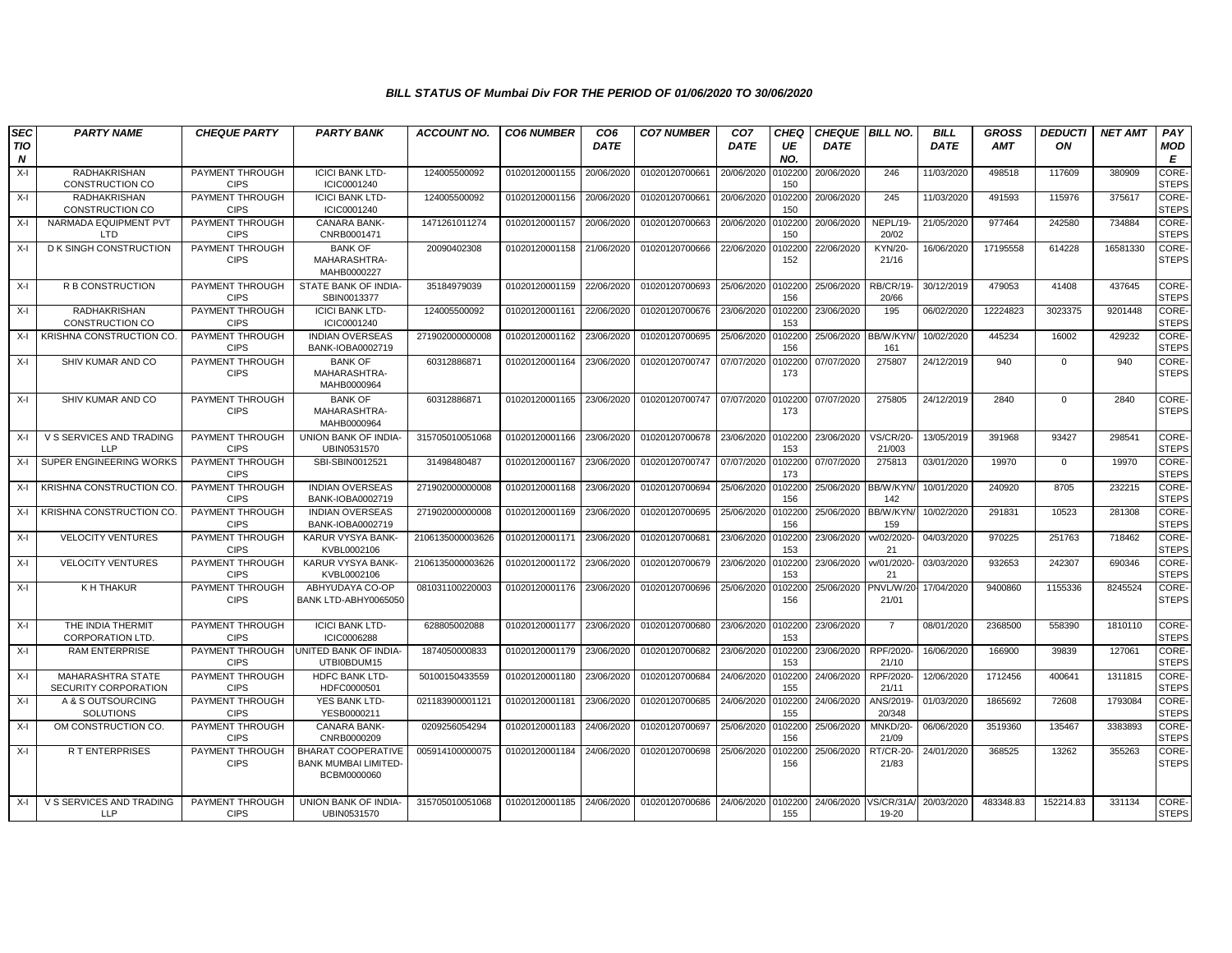| <b>SEC</b> | <b>PARTY NAME</b>                                | <b>CHEQUE PARTY</b>            | <b>PARTY BANK</b>                                                       | <b>ACCOUNT NO.</b> | <b>CO6 NUMBER</b>         | CO <sub>6</sub> | <b>CO7 NUMBER</b> | CO <sub>7</sub> | <b>CHEQ</b>    | <b>CHEQUE   BILL NO.</b> |                            | <b>BILL</b> | <b>GROSS</b> | <b>DEDUCTI</b> | <b>NET AMT</b> | PAY                   |
|------------|--------------------------------------------------|--------------------------------|-------------------------------------------------------------------------|--------------------|---------------------------|-----------------|-------------------|-----------------|----------------|--------------------------|----------------------------|-------------|--------------|----------------|----------------|-----------------------|
| ΠO<br>N    |                                                  |                                |                                                                         |                    |                           | <b>DATE</b>     |                   | <b>DATE</b>     | UE<br>NO.      | <b>DATE</b>              |                            | DATE        | AMT          | ON             |                | <b>MOD</b><br>Е       |
| $X-I$      | RADHAKRISHAN<br>CONSTRUCTION CO                  | PAYMENT THROUGH<br><b>CIPS</b> | <b>ICICI BANK LTD-</b><br>ICIC0001240                                   | 124005500092       | 01020120001155            | 20/06/2020      | 01020120700661    | 20/06/2020      | 102200<br>150  | 20/06/2020               | 246                        | 11/03/2020  | 498518       | 117609         | 380909         | CORE-<br><b>STEPS</b> |
| $X-I$      | RADHAKRISHAN<br>CONSTRUCTION CO                  | PAYMENT THROUGH<br><b>CIPS</b> | <b>ICICI BANK LTD-</b><br>ICIC0001240                                   | 124005500092       | 01020120001156            | 20/06/2020      | 01020120700661    | 20/06/2020      | 102200<br>150  | 20/06/2020               | 245                        | 11/03/2020  | 491593       | 115976         | 375617         | CORE-<br><b>STEPS</b> |
| $X-I$      | NARMADA EQUIPMENT PVT<br><b>LTD</b>              | PAYMENT THROUGH<br><b>CIPS</b> | <b>CANARA BANK-</b><br>CNRB0001471                                      | 1471261011274      | 01020120001157            | 20/06/2020      | 01020120700663    | 20/06/2020      | 102200<br>150  | 20/06/2020               | NEPL/19-<br>20/02          | 21/05/2020  | 977464       | 242580         | 734884         | CORE-<br><b>STEPS</b> |
| X-I        | D K SINGH CONSTRUCTION                           | PAYMENT THROUGH<br><b>CIPS</b> | <b>BANK OF</b><br>MAHARASHTRA-<br>MAHB0000227                           | 20090402308        | 01020120001158            | 21/06/2020      | 01020120700666    | 22/06/2020      | 102200<br>152  | 22/06/2020               | KYN/20-<br>21/16           | 16/06/2020  | 17195558     | 614228         | 16581330       | CORE-<br><b>STEPS</b> |
| $X-I$      | <b>R B CONSTRUCTION</b>                          | PAYMENT THROUGH<br><b>CIPS</b> | STATE BANK OF INDIA-<br>SBIN0013377                                     | 35184979039        | 01020120001159            | 22/06/2020      | 01020120700693    | 25/06/2020      | 102200<br>156  | 25/06/2020               | <b>RB/CR/19-</b><br>20/66  | 30/12/2019  | 479053       | 41408          | 437645         | CORE-<br><b>STEPS</b> |
| $X-I$      | RADHAKRISHAN<br>CONSTRUCTION CO                  | PAYMENT THROUGH<br><b>CIPS</b> | <b>ICICI BANK LTD-</b><br>ICIC0001240                                   | 124005500092       | 01020120001161            | 22/06/2020      | 01020120700676    | 23/06/2020      | 102200<br>153  | 23/06/2020               | 195                        | 06/02/2020  | 12224823     | 3023375        | 9201448        | CORE-<br><b>STEPS</b> |
| $X-I$      | KRISHNA CONSTRUCTION CO.                         | PAYMENT THROUGH<br><b>CIPS</b> | <b>INDIAN OVERSEAS</b><br>BANK-IOBA0002719                              | 271902000000008    | 01020120001162            | 23/06/2020      | 01020120700695    | 25/06/2020      | 102200<br>156  | 25/06/2020               | BB/W/KYN<br>161            | 10/02/2020  | 445234       | 16002          | 429232         | CORE-<br><b>STEPS</b> |
| X-I        | SHIV KUMAR AND CO                                | PAYMENT THROUGH<br><b>CIPS</b> | <b>BANK OF</b><br>MAHARASHTRA-<br>MAHB0000964                           | 60312886871        | 01020120001164            | 23/06/2020      | 01020120700747    | 07/07/2020      | 102200<br>173  | 07/07/2020               | 275807                     | 24/12/2019  | 940          | $\mathbf{0}$   | 940            | CORE-<br><b>STEPS</b> |
| $X-I$      | SHIV KUMAR AND CO                                | PAYMENT THROUGH<br><b>CIPS</b> | <b>BANK OF</b><br>MAHARASHTRA-<br>MAHB0000964                           | 60312886871        | 01020120001165 23/06/2020 |                 | 01020120700747    | 07/07/2020      | 102200<br>173  | 07/07/2020               | 275805                     | 24/12/2019  | 2840         | $\mathbf 0$    | 2840           | CORE-<br><b>STEPS</b> |
| X-I        | V S SERVICES AND TRADING<br>LLP                  | PAYMENT THROUGH<br><b>CIPS</b> | UNION BANK OF INDIA-<br>UBIN0531570                                     | 315705010051068    | 01020120001166            | 23/06/2020      | 01020120700678    | 23/06/2020      | 102200<br>153  | 23/06/2020               | <b>VS/CR/20-</b><br>21/003 | 13/05/2019  | 391968       | 93427          | 298541         | CORE-<br><b>STEPS</b> |
| $X-I$      | SUPER ENGINEERING WORKS                          | PAYMENT THROUGH<br><b>CIPS</b> | SBI-SBIN0012521                                                         | 31498480487        | 01020120001167            | 23/06/2020      | 01020120700747    | 07/07/2020      | 102200<br>173  | 07/07/2020               | 275813                     | 03/01/2020  | 19970        | $\mathbf 0$    | 19970          | CORE-<br><b>STEPS</b> |
| $X-I$      | KRISHNA CONSTRUCTION CO.                         | PAYMENT THROUGH<br><b>CIPS</b> | <b>INDIAN OVERSEAS</b><br>BANK-IOBA0002719                              | 271902000000008    | 01020120001168            | 23/06/2020      | 01020120700694    | 25/06/2020      | 102200<br>156  | 25/06/2020               | BB/W/KYN<br>142            | 10/01/2020  | 240920       | 8705           | 232215         | CORE-<br><b>STEPS</b> |
| $X-I$      | <b>KRISHNA CONSTRUCTION CO.</b>                  | PAYMENT THROUGH<br><b>CIPS</b> | <b>INDIAN OVERSEAS</b><br>BANK-IOBA0002719                              | 271902000000008    | 01020120001169            | 23/06/2020      | 01020120700695    | 25/06/2020      | 102200<br>156  | 25/06/2020 BB/W/KYN      | 159                        | 10/02/2020  | 291831       | 10523          | 281308         | CORE-<br><b>STEPS</b> |
| $X-I$      | <b>VELOCITY VENTURES</b>                         | PAYMENT THROUGH<br><b>CIPS</b> | KARUR VYSYA BANK-<br>KVBL0002106                                        | 2106135000003626   | 01020120001171            | 23/06/2020      | 01020120700681    | 23/06/2020      | 102200<br>153  | 23/06/2020               | vv/02/2020<br>21           | 04/03/2020  | 970225       | 251763         | 718462         | CORE-<br><b>STEPS</b> |
| $X-I$      | <b>VELOCITY VENTURES</b>                         | PAYMENT THROUGH<br><b>CIPS</b> | KARUR VYSYA BANK-<br>KVBL0002106                                        | 2106135000003626   | 01020120001172            | 23/06/2020      | 01020120700679    | 23/06/2020      | 102200<br>153  | 23/06/2020               | w/01/2020<br>21            | 03/03/2020  | 932653       | 242307         | 690346         | CORE-<br><b>STEPS</b> |
| $X-I$      | K H THAKUR                                       | PAYMENT THROUGH<br><b>CIPS</b> | ABHYUDAYA CO-OP<br>BANK LTD-ABHY0065050                                 | 081031100220003    | 01020120001176            | 23/06/2020      | 01020120700696    | 25/06/2020      | 102200<br>156  | 25/06/2020               | PNVL/W/20<br>21/01         | 17/04/2020  | 9400860      | 1155336        | 8245524        | CORE-<br><b>STEPS</b> |
| $X-I$      | THE INDIA THERMIT<br><b>CORPORATION LTD</b>      | PAYMENT THROUGH<br><b>CIPS</b> | <b>ICICI BANK LTD-</b><br><b>ICIC0006288</b>                            | 628805002088       | 01020120001177 23/06/2020 |                 | 01020120700680    | 23/06/2020      | 0102200<br>153 | 23/06/2020               | $\overline{7}$             | 08/01/2020  | 2368500      | 558390         | 1810110        | CORE-<br><b>STEPS</b> |
| $X-I$      | <b>RAM ENTERPRISE</b>                            | PAYMENT THROUGH<br><b>CIPS</b> | UNITED BANK OF INDIA-<br>UTBI0BDUM15                                    | 1874050000833      | 01020120001179            | 23/06/2020      | 01020120700682    | 23/06/2020      | 0102200<br>153 | 23/06/2020               | RPF/2020<br>21/10          | 16/06/2020  | 166900       | 39839          | 127061         | CORE-<br><b>STEPS</b> |
| $X-I$      | MAHARASHTRA STATE<br><b>SECURITY CORPORATION</b> | PAYMENT THROUGH<br><b>CIPS</b> | <b>HDFC BANK LTD</b><br>HDFC0000501                                     | 50100150433559     | 01020120001180            | 23/06/2020      | 01020120700684    | 24/06/2020      | 102200<br>155  | 24/06/2020               | RPF/2020<br>21/11          | 12/06/2020  | 1712456      | 400641         | 1311815        | CORE-<br><b>STEPS</b> |
| $X-I$      | A & S OUTSOURCING<br><b>SOLUTIONS</b>            | PAYMENT THROUGH<br><b>CIPS</b> | YES BANK LTD-<br>YESB0000211                                            | 021183900001121    | 01020120001181            | 23/06/2020      | 01020120700685    | 24/06/2020      | 102200<br>155  | 24/06/2020               | ANS/2019<br>20/348         | 01/03/2020  | 1865692      | 72608          | 1793084        | CORE-<br><b>STEPS</b> |
| $X-I$      | OM CONSTRUCTION CO.                              | PAYMENT THROUGH<br><b>CIPS</b> | <b>CANARA BANK-</b><br>CNRB0000209                                      | 0209256054294      | 01020120001183            | 24/06/2020      | 01020120700697    | 25/06/2020      | 102200<br>156  | 25/06/2020               | MNKD/20-<br>21/09          | 06/06/2020  | 3519360      | 135467         | 3383893        | CORE-<br><b>STEPS</b> |
| $X-I$      | <b>RT ENTERPRISES</b>                            | PAYMENT THROUGH<br><b>CIPS</b> | <b>BHARAT COOPERATIVE</b><br><b>BANK MUMBAI LIMITED-</b><br>BCBM0000060 | 005914100000075    | 01020120001184            | 24/06/2020      | 01020120700698    | 25/06/2020      | 102200<br>156  | 25/06/2020               | RT/CR-20<br>21/83          | 24/01/2020  | 368525       | 13262          | 355263         | CORE-<br><b>STEPS</b> |
| $X-I$      | V S SERVICES AND TRADING<br><b>LLP</b>           | PAYMENT THROUGH<br><b>CIPS</b> | UNION BANK OF INDIA-<br>UBIN0531570                                     | 315705010051068    | 01020120001185            | 24/06/2020      | 01020120700686    | 24/06/2020      | 0102200<br>155 | 24/06/2020               | /S/CR/31A<br>19-20         | 20/03/2020  | 483348.83    | 152214.83      | 331134         | CORE-<br><b>STEPS</b> |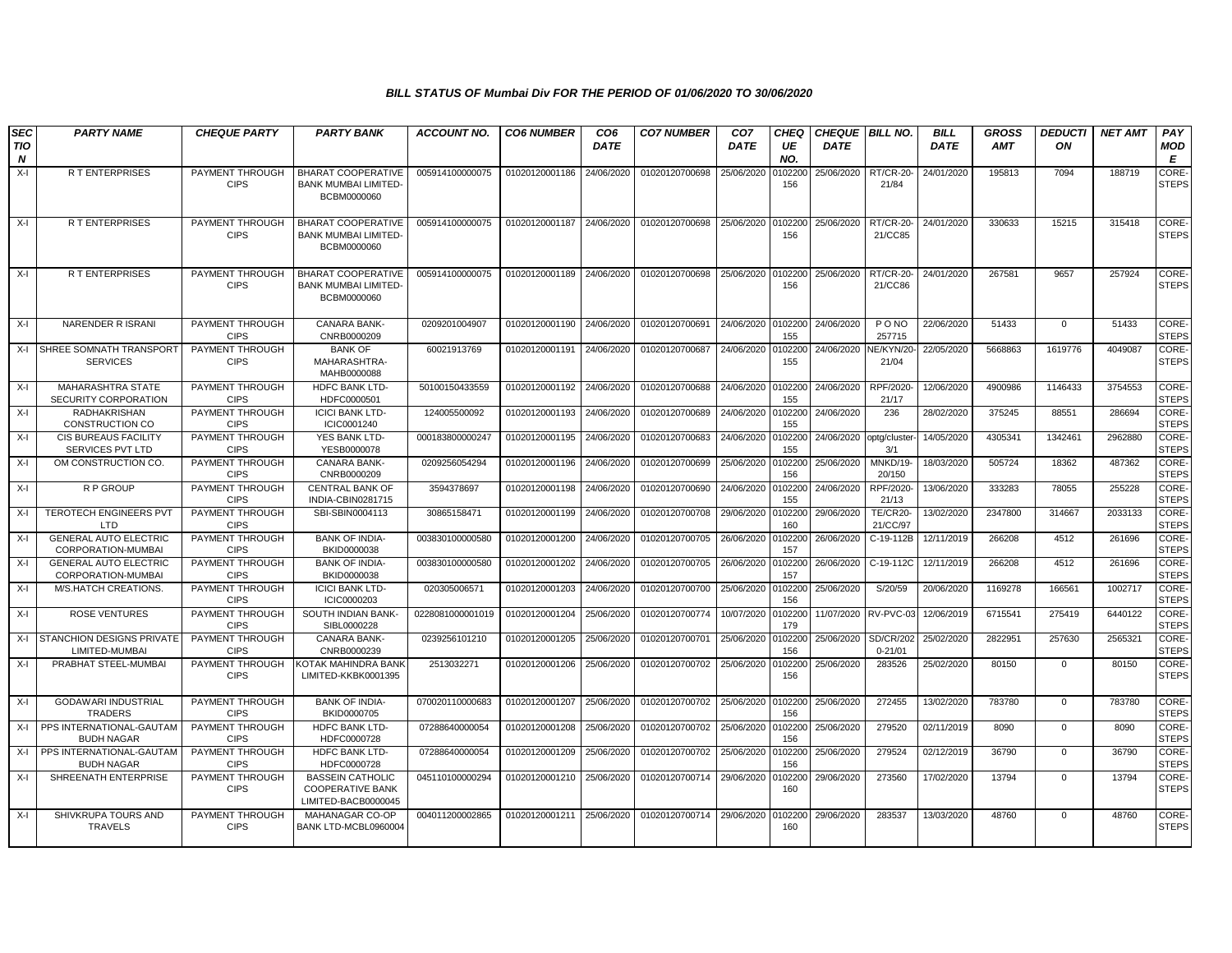| <b>SEC</b>              | <b>PARTY NAME</b>                                  | <b>CHEQUE PARTY</b>                   | <b>PARTY BANK</b>                                                         | <b>ACCOUNT NO.</b> | <b>CO6 NUMBER</b> | CO <sub>6</sub> | <b>CO7 NUMBER</b> | CO <sub>7</sub> | <b>CHEQ</b>    | <b>CHEQUE BILL NO.</b> |                                 | <b>BILL</b> | <b>GROSS</b> | <b>DEDUCTI</b> | <b>NET AMT</b> | PAY                          |
|-------------------------|----------------------------------------------------|---------------------------------------|---------------------------------------------------------------------------|--------------------|-------------------|-----------------|-------------------|-----------------|----------------|------------------------|---------------------------------|-------------|--------------|----------------|----------------|------------------------------|
| TIO<br>$\boldsymbol{N}$ |                                                    |                                       |                                                                           |                    |                   | <b>DATE</b>     |                   | <b>DATE</b>     | UE<br>NO.      | <b>DATE</b>            |                                 | <b>DATE</b> | <b>AMT</b>   | ON             |                | MOD<br>E                     |
| $X-I$                   | R T ENTERPRISES                                    | PAYMENT THROUGH<br><b>CIPS</b>        | <b>BHARAT COOPERATIVE</b><br><b>BANK MUMBAI LIMITED-</b><br>BCBM0000060   | 005914100000075    | 01020120001186    | 24/06/2020      | 01020120700698    | 25/06/2020      | 0102200<br>156 | 25/06/2020             | RT/CR-20<br>21/84               | 24/01/2020  | 195813       | 7094           | 188719         | <b>CORE-</b><br><b>STEPS</b> |
| $X-I$                   | <b>RT ENTERPRISES</b>                              | PAYMENT THROUGH<br><b>CIPS</b>        | <b>BHARAT COOPERATIVE</b><br><b>BANK MUMBAI LIMITED-</b><br>BCBM0000060   | 005914100000075    | 01020120001187    | 24/06/2020      | 01020120700698    | 25/06/2020      | 0102200<br>156 | 25/06/2020             | <b>RT/CR-20-</b><br>21/CC85     | 24/01/2020  | 330633       | 15215          | 315418         | CORE-<br><b>STEPS</b>        |
| $X-I$                   | <b>RT ENTERPRISES</b>                              | PAYMENT THROUGH<br><b>CIPS</b>        | <b>BHARAT COOPERATIVE</b><br>BANK MUMBAI LIMITED-<br>BCBM0000060          | 005914100000075    | 01020120001189    | 24/06/2020      | 01020120700698    | 25/06/2020      | 0102200<br>156 | 25/06/2020             | <b>RT/CR-20</b><br>21/CC86      | 24/01/2020  | 267581       | 9657           | 257924         | CORE-<br><b>STEPS</b>        |
| $X-I$                   | <b>NARENDER RISRANI</b>                            | PAYMENT THROUGH<br><b>CIPS</b>        | <b>CANARA BANK-</b><br>CNRB0000209                                        | 0209201004907      | 01020120001190    | 24/06/2020      | 01020120700691    | 24/06/2020      | 0102200<br>155 | 24/06/2020             | P O NO<br>257715                | 22/06/2020  | 51433        | $\Omega$       | 51433          | CORE-<br><b>STEPS</b>        |
| $X-I$                   | SHREE SOMNATH TRANSPORT<br><b>SERVICES</b>         | PAYMENT THROUGH<br><b>CIPS</b>        | <b>BANK OF</b><br>MAHARASHTRA-<br>MAHB0000088                             | 60021913769        | 01020120001191    | 24/06/2020      | 01020120700687    | 24/06/2020      | 0102200<br>155 | 24/06/2020             | VE/KYN/20<br>21/04              | 22/05/2020  | 5668863      | 1619776        | 4049087        | CORE-<br><b>STEPS</b>        |
| $X-I$                   | MAHARASHTRA STATE<br><b>SECURITY CORPORATION</b>   | PAYMENT THROUGH<br><b>CIPS</b>        | HDFC BANK LTD-<br>HDFC0000501                                             | 50100150433559     | 01020120001192    | 24/06/2020      | 01020120700688    | 24/06/2020      | 0102200<br>155 | 24/06/2020             | RPF/2020<br>21/17               | 12/06/2020  | 4900986      | 1146433        | 3754553        | CORE-<br><b>STEPS</b>        |
| $X-I$                   | <b>RADHAKRISHAN</b><br><b>CONSTRUCTION CO</b>      | PAYMENT THROUGH<br><b>CIPS</b>        | <b>ICICI BANK LTD-</b><br>ICIC0001240                                     | 124005500092       | 01020120001193    | 24/06/2020      | 01020120700689    | 24/06/2020      | 0102200<br>155 | 24/06/2020             | 236                             | 28/02/2020  | 375245       | 88551          | 286694         | CORE-<br><b>STEPS</b>        |
| $X-I$                   | CIS BUREAUS FACILITY<br>SERVICES PVT LTD           | PAYMENT THROUGH<br><b>CIPS</b>        | YES BANK LTD-<br>YESB0000078                                              | 000183800000247    | 01020120001195    | 24/06/2020      | 01020120700683    | 24/06/2020      | 0102200<br>155 | 24/06/2020             | optg/cluste<br>3/1              | 14/05/2020  | 4305341      | 1342461        | 2962880        | CORE-<br><b>STEPS</b>        |
| $X-I$                   | OM CONSTRUCTION CO.                                | PAYMENT THROUGH<br><b>CIPS</b>        | CANARA BANK-<br>CNRB0000209                                               | 0209256054294      | 01020120001196    | 24/06/2020      | 01020120700699    | 25/06/2020      | 0102200<br>156 | 25/06/2020             | MNKD/19-<br>20/150              | 18/03/2020  | 505724       | 18362          | 487362         | CORE-<br><b>STEPS</b>        |
| $X-I$                   | R P GROUP                                          | PAYMENT THROUGH<br><b>CIPS</b>        | <b>CENTRAL BANK OF</b><br>INDIA-CBIN0281715                               | 3594378697         | 01020120001198    | 24/06/2020      | 01020120700690    | 24/06/2020      | 0102200<br>155 | 24/06/2020             | RPF/2020-<br>21/13              | 13/06/2020  | 333283       | 78055          | 255228         | CORE-<br><b>STEPS</b>        |
| $X-I$                   | <b>TEROTECH ENGINEERS PVT</b><br><b>LTD</b>        | PAYMENT THROUGH<br><b>CIPS</b>        | SBI-SBIN0004113                                                           | 30865158471        | 01020120001199    | 24/06/2020      | 01020120700708    | 29/06/2020      | 0102200<br>160 | 29/06/2020             | <b>TE/CR20-</b><br>21/CC/97     | 13/02/2020  | 2347800      | 314667         | 2033133        | CORE-<br><b>STEPS</b>        |
| $X-I$                   | <b>GENERAL AUTO ELECTRIC</b><br>CORPORATION-MUMBAI | PAYMENT THROUGH<br><b>CIPS</b>        | <b>BANK OF INDIA-</b><br>BKID0000038                                      | 003830100000580    | 01020120001200    | 24/06/2020      | 01020120700705    | 26/06/2020      | 0102200<br>157 | 26/06/2020             | C-19-112B                       | 12/11/2019  | 266208       | 4512           | 261696         | CORE-<br><b>STEPS</b>        |
| $X-I$                   | <b>GENERAL AUTO ELECTRIC</b><br>CORPORATION-MUMBAI | <b>PAYMENT THROUGH</b><br><b>CIPS</b> | <b>BANK OF INDIA-</b><br>BKID0000038                                      | 003830100000580    | 01020120001202    | 24/06/2020      | 01020120700705    | 26/06/2020      | 010220<br>157  | 26/06/2020             | C-19-112C                       | 12/11/2019  | 266208       | 4512           | 261696         | CORE-<br><b>STEPS</b>        |
| $X-I$                   | M/S.HATCH CREATIONS.                               | PAYMENT THROUGH<br><b>CIPS</b>        | <b>ICICI BANK LTD-</b><br>ICIC0000203                                     | 020305006571       | 01020120001203    | 24/06/2020      | 01020120700700    | 25/06/2020      | 0102200<br>156 | 25/06/2020             | S/20/59                         | 20/06/2020  | 1169278      | 166561         | 1002717        | CORE-<br><b>STEPS</b>        |
| $X-I$                   | <b>ROSE VENTURES</b>                               | <b>PAYMENT THROUGH</b><br><b>CIPS</b> | SOUTH INDIAN BANK-<br>SIBL0000228                                         | 0228081000001019   | 01020120001204    | 25/06/2020      | 01020120700774    | 10/07/2020      | 0102200<br>179 | 11/07/2020             | RV-PVC-03                       | 12/06/2019  | 6715541      | 275419         | 6440122        | CORE-<br><b>STEPS</b>        |
| $X-I$                   | STANCHION DESIGNS PRIVATE<br>LIMITED-MUMBAI        | PAYMENT THROUGH<br><b>CIPS</b>        | <b>CANARA BANK-</b><br>CNRB0000239                                        | 0239256101210      | 01020120001205    | 25/06/2020      | 01020120700701    | 25/06/2020      | 0102200<br>156 | 25/06/2020             | <b>SD/CR/202</b><br>$0 - 21/01$ | 25/02/2020  | 2822951      | 257630         | 2565321        | CORE-<br><b>STEPS</b>        |
| $X-I$                   | PRABHAT STEEL-MUMBAI                               | PAYMENT THROUGH<br><b>CIPS</b>        | KOTAK MAHINDRA BANK<br>LIMITED-KKBK0001395                                | 2513032271         | 01020120001206    | 25/06/2020      | 01020120700702    | 25/06/2020      | 0102200<br>156 | 25/06/2020             | 283526                          | 25/02/2020  | 80150        | $\mathbf 0$    | 80150          | CORE-<br><b>STEPS</b>        |
| $X-I$                   | <b>GODAWARI INDUSTRIAL</b><br><b>TRADERS</b>       | PAYMENT THROUGH<br><b>CIPS</b>        | <b>BANK OF INDIA-</b><br>BKID0000705                                      | 070020110000683    | 01020120001207    | 25/06/2020      | 01020120700702    | 25/06/2020      | 0102200<br>156 | 25/06/2020             | 272455                          | 13/02/2020  | 783780       | $\mathbf 0$    | 783780         | CORE-<br><b>STEPS</b>        |
| X-I                     | PPS INTERNATIONAL-GAUTAM<br><b>BUDH NAGAR</b>      | PAYMENT THROUGH<br><b>CIPS</b>        | <b>HDFC BANK LTD-</b><br>HDFC0000728                                      | 07288640000054     | 01020120001208    | 25/06/2020      | 01020120700702    | 25/06/2020      | 0102200<br>156 | 25/06/2020             | 279520                          | 02/11/2019  | 8090         | $\mathbf{0}$   | 8090           | CORE-<br><b>STEPS</b>        |
| $X-I$                   | PPS INTERNATIONAL-GAUTAM<br><b>BUDH NAGAR</b>      | PAYMENT THROUGH<br><b>CIPS</b>        | <b>HDFC BANK LTD-</b><br>HDFC0000728                                      | 07288640000054     | 01020120001209    | 25/06/2020      | 01020120700702    | 25/06/2020      | 0102200<br>156 | 25/06/2020             | 279524                          | 02/12/2019  | 36790        | $\mathbf{0}$   | 36790          | CORE-<br><b>STEPS</b>        |
| $X-I$                   | SHREENATH ENTERPRISE                               | PAYMENT THROUGH<br><b>CIPS</b>        | <b>BASSEIN CATHOLIC</b><br><b>COOPERATIVE BANK</b><br>LIMITED-BACB0000045 | 045110100000294    | 01020120001210    | 25/06/2020      | 01020120700714    | 29/06/2020      | 0102200<br>160 | 29/06/2020             | 273560                          | 17/02/2020  | 13794        | $\mathbf 0$    | 13794          | CORE-<br><b>STEPS</b>        |
| X-I                     | SHIVKRUPA TOURS AND<br><b>TRAVELS</b>              | <b>PAYMENT THROUGH</b><br><b>CIPS</b> | MAHANAGAR CO-OP<br>BANK LTD-MCBL0960004                                   | 004011200002865    | 01020120001211    | 25/06/2020      | 01020120700714    | 29/06/2020      | 0102200<br>160 | 29/06/2020             | 283537                          | 13/03/2020  | 48760        | $\mathbf{0}$   | 48760          | CORE-<br><b>STEPS</b>        |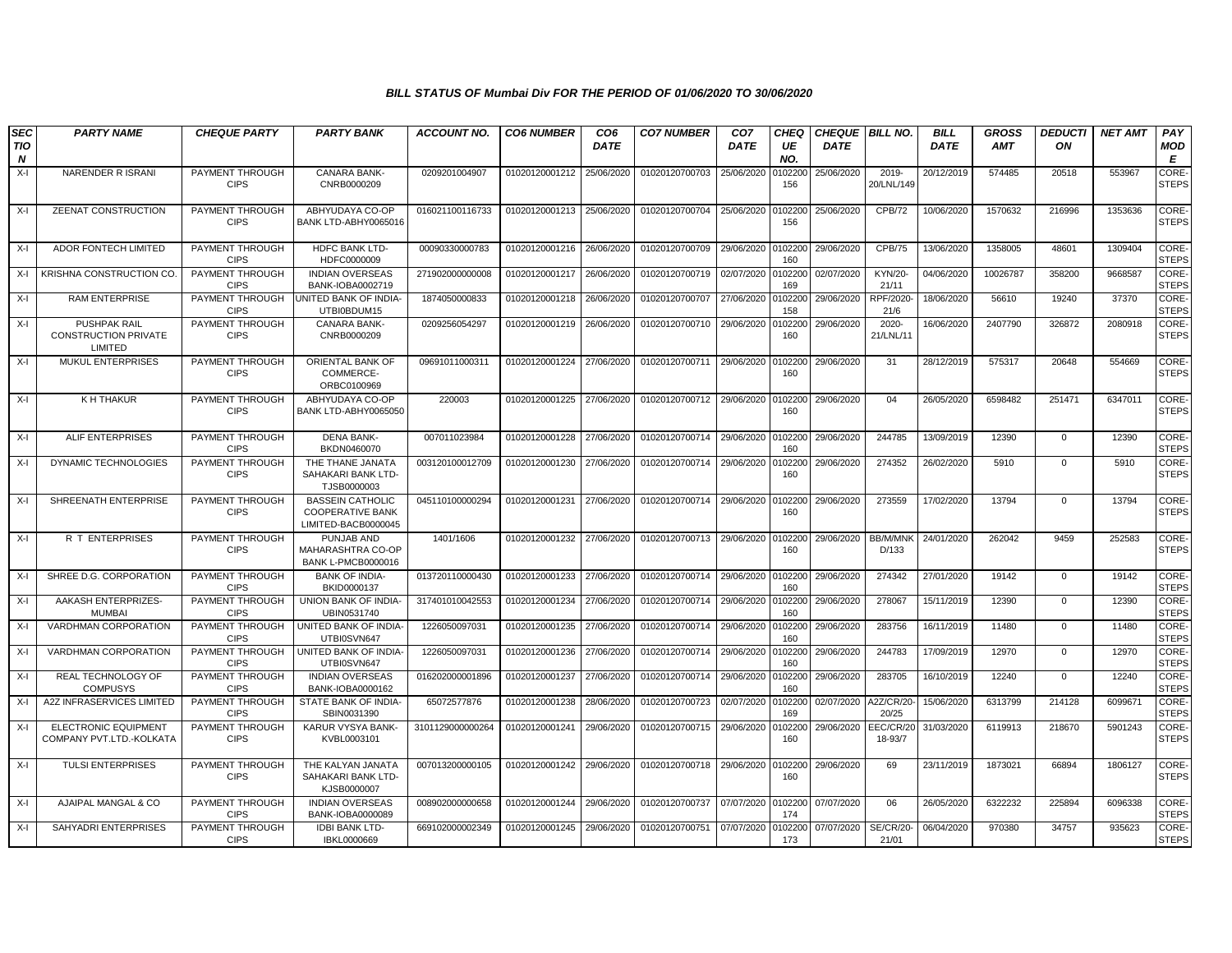| <b>SEC</b>      | <b>PARTY NAME</b>                                             | <b>CHEQUE PARTY</b>                   | <b>PARTY BANK</b>                                                         | <b>ACCOUNT NO.</b> | <b>CO6 NUMBER</b> | CO <sub>6</sub> | <b>CO7 NUMBER</b> | CO <sub>7</sub> | CHEQ           | <b>CHEQUE BILL NO.</b> |                          | <b>BILL</b> | <b>GROSS</b> | <b>DEDUCTI</b> | <b>NET AMT</b> | PAY                          |
|-----------------|---------------------------------------------------------------|---------------------------------------|---------------------------------------------------------------------------|--------------------|-------------------|-----------------|-------------------|-----------------|----------------|------------------------|--------------------------|-------------|--------------|----------------|----------------|------------------------------|
| <b>TIO</b><br>N |                                                               |                                       |                                                                           |                    |                   | <b>DATE</b>     |                   | <b>DATE</b>     | UE<br>NO.      | <b>DATE</b>            |                          | <b>DATE</b> | <b>AMT</b>   | ON             |                | MOD<br>E                     |
| $X-I$           | NARENDER R ISRANI                                             | PAYMENT THROUGH<br><b>CIPS</b>        | CANARA BANK-<br>CNRB0000209                                               | 0209201004907      | 01020120001212    | 25/06/2020      | 01020120700703    | 25/06/2020      | 0102200<br>156 | 25/06/2020             | 2019-<br>20/LNL/149      | 20/12/2019  | 574485       | 20518          | 553967         | CORE-<br><b>STEPS</b>        |
| $X-I$           | ZEENAT CONSTRUCTION                                           | PAYMENT THROUGH<br><b>CIPS</b>        | ABHYUDAYA CO-OP<br>BANK LTD-ABHY0065016                                   | 016021100116733    | 01020120001213    | 25/06/2020      | 01020120700704    | 25/06/2020      | 0102200<br>156 | 25/06/2020             | <b>CPB/72</b>            | 10/06/2020  | 1570632      | 216996         | 1353636        | CORE-<br><b>STEPS</b>        |
| X-I             | ADOR FONTECH LIMITED                                          | PAYMENT THROUGH<br><b>CIPS</b>        | HDFC BANK LTD-<br>HDFC0000009                                             | 00090330000783     | 01020120001216    | 26/06/2020      | 01020120700709    | 29/06/2020      | 0102200<br>160 | 29/06/2020             | CPB/75                   | 13/06/2020  | 1358005      | 48601          | 1309404        | <b>CORE</b><br><b>STEPS</b>  |
| $X-I$           | KRISHNA CONSTRUCTION CO                                       | PAYMENT THROUGH<br><b>CIPS</b>        | <b>INDIAN OVERSEAS</b><br>BANK-IOBA0002719                                | 271902000000008    | 01020120001217    | 26/06/2020      | 01020120700719    | 02/07/2020      | 0102200<br>169 | 02/07/2020             | KYN/20-<br>21/11         | 04/06/2020  | 10026787     | 358200         | 9668587        | CORE-<br><b>STEPS</b>        |
| X-I             | <b>RAM ENTERPRISE</b>                                         | PAYMENT THROUGH<br><b>CIPS</b>        | <b>JNITED BANK OF INDIA-</b><br>UTBI0BDUM15                               | 1874050000833      | 01020120001218    | 26/06/2020      | 01020120700707    | 27/06/2020      | 0102200<br>158 | 29/06/2020             | RPF/2020<br>21/6         | 18/06/2020  | 56610        | 19240          | 37370          | <b>CORE</b><br><b>STEPS</b>  |
| $X-I$           | <b>PUSHPAK RAIL</b><br><b>CONSTRUCTION PRIVATE</b><br>LIMITED | <b>PAYMENT THROUGH</b><br><b>CIPS</b> | <b>CANARA BANK-</b><br>CNRB0000209                                        | 0209256054297      | 01020120001219    | 26/06/2020      | 01020120700710    | 29/06/2020      | 10220<br>160   | 29/06/2020             | 2020-<br>21/LNL/11       | 16/06/2020  | 2407790      | 326872         | 2080918        | CORE-<br><b>STEPS</b>        |
| $X-I$           | MUKUL ENTERPRISES                                             | PAYMENT THROUGH<br><b>CIPS</b>        | ORIENTAL BANK OF<br>COMMERCE-<br>ORBC0100969                              | 0969101100031      | 01020120001224    | 27/06/2020      | 01020120700711    | 29/06/2020      | 0102200<br>160 | 29/06/2020             | 31                       | 28/12/2019  | 575317       | 20648          | 554669         | CORE-<br><b>STEPS</b>        |
| X-I             | K H THAKUR                                                    | PAYMENT THROUGH<br><b>CIPS</b>        | ABHYUDAYA CO-OP<br>BANK LTD-ABHY0065050                                   | 220003             | 01020120001225    | 27/06/2020      | 01020120700712    | 29/06/2020      | 0102200<br>160 | 29/06/2020             | 04                       | 26/05/2020  | 6598482      | 251471         | 6347011        | CORE-<br><b>STEPS</b>        |
| X-I             | <b>ALIF ENTERPRISES</b>                                       | PAYMENT THROUGH<br><b>CIPS</b>        | <b>DENA BANK-</b><br>BKDN0460070                                          | 007011023984       | 01020120001228    | 27/06/2020      | 01020120700714    | 29/06/2020      | 0102200<br>160 | 29/06/2020             | 244785                   | 13/09/2019  | 12390        | $\mathbf{0}$   | 12390          | CORE-<br><b>STEPS</b>        |
| X-I             | DYNAMIC TECHNOLOGIES                                          | PAYMENT THROUGH<br><b>CIPS</b>        | THE THANE JANATA<br>SAHAKARI BANK LTD-<br>TJSB0000003                     | 003120100012709    | 01020120001230    | 27/06/2020      | 01020120700714    | 29/06/2020      | 0102200<br>160 | 29/06/2020             | 274352                   | 26/02/2020  | 5910         | $\mathbf 0$    | 5910           | CORE-<br><b>STEPS</b>        |
| X-I             | SHREENATH ENTERPRISE                                          | PAYMENT THROUGH<br><b>CIPS</b>        | <b>BASSEIN CATHOLIC</b><br><b>COOPERATIVE BANK</b><br>LIMITED-BACB0000045 | 045110100000294    | 01020120001231    | 27/06/2020      | 01020120700714    | 29/06/2020      | 0102200<br>160 | 29/06/2020             | 273559                   | 17/02/2020  | 13794        | $\mathbf{0}$   | 13794          | <b>CORE</b><br><b>STEPS</b>  |
| X-I             | R T ENTERPRISES                                               | PAYMENT THROUGH<br><b>CIPS</b>        | PUNJAB AND<br>MAHARASHTRA CO-OP<br><b>BANK L-PMCB0000016</b>              | 1401/1606          | 01020120001232    | 27/06/2020      | 01020120700713    | 29/06/2020      | 0102200<br>160 | 29/06/2020             | BB/M/MNK<br>D/133        | 24/01/2020  | 262042       | 9459           | 252583         | CORE-<br><b>STEPS</b>        |
| X-I             | SHREE D.G. CORPORATION                                        | PAYMENT THROUGH<br><b>CIPS</b>        | <b>BANK OF INDIA-</b><br>BKID0000137                                      | 013720110000430    | 01020120001233    | 27/06/2020      | 01020120700714    | 29/06/2020      | 0102200<br>160 | 29/06/2020             | 274342                   | 27/01/2020  | 19142        | $\mathbf 0$    | 19142          | CORE-<br><b>STEPS</b>        |
| X-I             | AAKASH ENTERPRIZES-<br><b>MUMBAI</b>                          | PAYMENT THROUGH<br><b>CIPS</b>        | UNION BANK OF INDIA-<br>UBIN0531740                                       | 317401010042553    | 01020120001234    | 27/06/2020      | 01020120700714    | 29/06/2020      | 0102200<br>160 | 29/06/2020             | 278067                   | 15/11/2019  | 12390        | $\mathbf 0$    | 12390          | CORE-<br><b>STEPS</b>        |
| X-I             | VARDHMAN CORPORATION                                          | PAYMENT THROUGH<br><b>CIPS</b>        | UNITED BANK OF INDIA-<br>UTBI0SVN647                                      | 1226050097031      | 01020120001235    | 27/06/2020      | 01020120700714    | 29/06/2020      | 0102200<br>160 | 29/06/2020             | 283756                   | 16/11/2019  | 11480        | $\mathbf{0}$   | 11480          | CORE-<br><b>STEPS</b>        |
| X-I             | VARDHMAN CORPORATION                                          | PAYMENT THROUGH<br><b>CIPS</b>        | UNITED BANK OF INDIA-<br>UTBI0SVN647                                      | 1226050097031      | 01020120001236    | 27/06/2020      | 01020120700714    | 29/06/2020      | 0102200<br>160 | 29/06/2020             | 244783                   | 17/09/2019  | 12970        | $\mathbf 0$    | 12970          | CORE-<br><b>STEPS</b>        |
| $X-I$           | REAL TECHNOLOGY OF<br><b>COMPUSYS</b>                         | PAYMENT THROUGH<br><b>CIPS</b>        | <b>INDIAN OVERSEAS</b><br>BANK-IOBA0000162                                | 016202000001896    | 01020120001237    | 27/06/2020      | 01020120700714    | 29/06/2020      | 010220<br>160  | 29/06/2020             | 283705                   | 16/10/2019  | 12240        | $\mathbf 0$    | 12240          | CORE-<br><b>STEPS</b>        |
| X-I             | A2Z INFRASERVICES LIMITED                                     | PAYMENT THROUGH<br><b>CIPS</b>        | STATE BANK OF INDIA-<br>SBIN0031390                                       | 65072577876        | 01020120001238    | 28/06/2020      | 01020120700723    | 02/07/2020      | 010220<br>169  | 02/07/2020             | A2Z/CR/20<br>20/25       | 15/06/2020  | 6313799      | 214128         | 6099671        | CORE-<br><b>STEPS</b>        |
| X-I             | <b>ELECTRONIC EQUIPMENT</b><br>COMPANY PVT.LTD.-KOLKATA       | PAYMENT THROUGH<br><b>CIPS</b>        | KARUR VYSYA BANK-<br>KVBL0003101                                          | 3101129000000264   | 01020120001241    | 29/06/2020      | 01020120700715    | 29/06/2020      | 0102200<br>160 | 29/06/2020             | EEC/CR/20<br>18-93/7     | 31/03/2020  | 6119913      | 218670         | 5901243        | CORE-<br><b>STEPS</b>        |
| $X-I$           | <b>TULSI ENTERPRISES</b>                                      | PAYMENT THROUGH<br><b>CIPS</b>        | THE KALYAN JANATA<br>SAHAKARI BANK LTD-<br>KJSB0000007                    | 007013200000105    | 01020120001242    | 29/06/2020      | 01020120700718    | 29/06/2020      | 0102200<br>160 | 29/06/2020             | 69                       | 23/11/2019  | 1873021      | 66894          | 1806127        | CORE-<br><b>STEPS</b>        |
| $X-I$           | AJAIPAL MANGAL & CO                                           | PAYMENT THROUGH<br><b>CIPS</b>        | <b>INDIAN OVERSEAS</b><br>BANK-IOBA0000089                                | 008902000000658    | 01020120001244    | 29/06/2020      | 01020120700737    | 07/07/2020      | 010220<br>174  | 07/07/2020             | 06                       | 26/05/2020  | 6322232      | 225894         | 6096338        | <b>CORE-</b><br><b>STEPS</b> |
| $X-I$           | SAHYADRI ENTERPRISES                                          | PAYMENT THROUGH<br><b>CIPS</b>        | <b>IDBI BANK LTD-</b><br>IBKL0000669                                      | 669102000002349    | 01020120001245    | 29/06/2020      | 01020120700751    | 07/07/2020      | 0102200<br>173 | 07/07/2020             | <b>SE/CR/20</b><br>21/01 | 06/04/2020  | 970380       | 34757          | 935623         | CORE-<br><b>STEPS</b>        |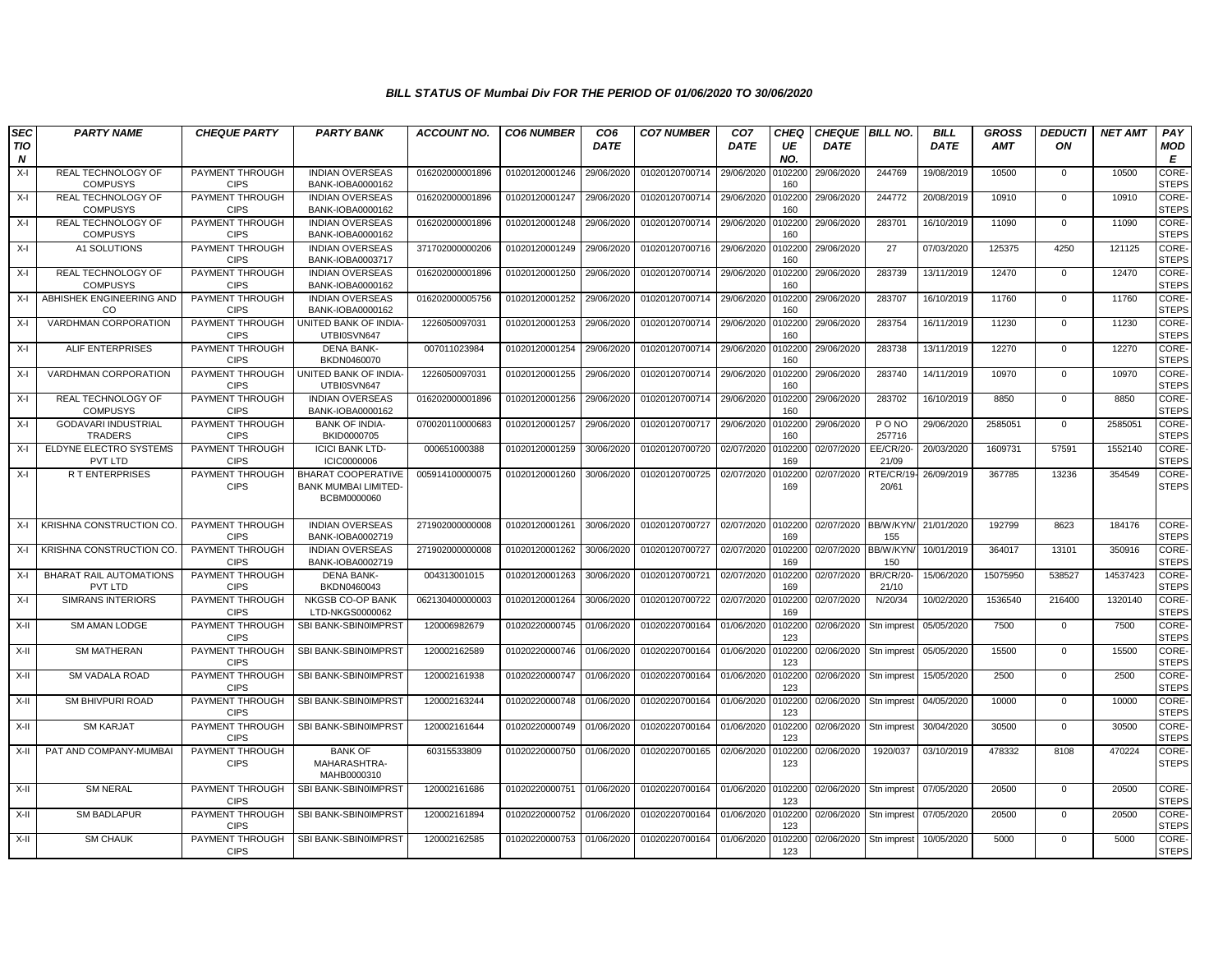| <b>SEC</b> | <b>PARTY NAME</b>                            | <b>CHEQUE PARTY</b>                   | <b>PARTY BANK</b>                                                       | <b>ACCOUNT NO.</b> | <b>CO6 NUMBER</b> | CO <sub>6</sub> | <b>CO7 NUMBER</b>         | CO <sub>7</sub> | <b>CHEQ</b>    | <b>CHEQUE   BILL NO.</b> |                           | <b>BILL</b> | <b>GROSS</b> | <b>DEDUCTI</b> | <b>NET AMT</b> | PAY                          |
|------------|----------------------------------------------|---------------------------------------|-------------------------------------------------------------------------|--------------------|-------------------|-----------------|---------------------------|-----------------|----------------|--------------------------|---------------------------|-------------|--------------|----------------|----------------|------------------------------|
| TIO<br>N   |                                              |                                       |                                                                         |                    |                   | <b>DATE</b>     |                           | <b>DATE</b>     | UE<br>NO.      | <b>DATE</b>              |                           | <b>DATE</b> | <b>AMT</b>   | ON             |                | <b>MOD</b><br>Е              |
| $X-I$      | <b>REAL TECHNOLOGY OF</b><br><b>COMPUSYS</b> | PAYMENT THROUGH<br><b>CIPS</b>        | <b>INDIAN OVERSEAS</b><br>BANK-IOBA0000162                              | 016202000001896    | 01020120001246    | 29/06/2020      | 01020120700714            | 29/06/2020      | 102200<br>160  | 29/06/2020               | 244769                    | 19/08/2019  | 10500        | $\mathbf{0}$   | 10500          | <b>CORE</b><br><b>STEPS</b>  |
| $X-I$      | REAL TECHNOLOGY OF<br><b>COMPUSYS</b>        | PAYMENT THROUGH<br><b>CIPS</b>        | <b>INDIAN OVERSEAS</b><br>BANK-IOBA0000162                              | 016202000001896    | 01020120001247    | 29/06/2020      | 01020120700714            | 29/06/2020      | 102200<br>160  | 29/06/2020               | 244772                    | 20/08/2019  | 10910        | $\Omega$       | 10910          | CORE-<br><b>STEPS</b>        |
| $X-I$      | REAL TECHNOLOGY OF<br><b>COMPUSYS</b>        | PAYMENT THROUGH<br><b>CIPS</b>        | <b>INDIAN OVERSEAS</b><br>BANK-IOBA0000162                              | 016202000001896    | 01020120001248    | 29/06/2020      | 01020120700714 29/06/2020 |                 | 102200<br>160  | 29/06/2020               | 283701                    | 16/10/2019  | 11090        | $\mathbf{0}$   | 11090          | CORE-<br><b>STEPS</b>        |
| $X-I$      | A1 SOLUTIONS                                 | PAYMENT THROUGH<br><b>CIPS</b>        | <b>INDIAN OVERSEAS</b><br>BANK-IOBA0003717                              | 371702000000206    | 01020120001249    | 29/06/2020      | 01020120700716            | 29/06/2020      | 102200<br>160  | 29/06/2020               | 27                        | 07/03/2020  | 125375       | 4250           | 121125         | CORE-<br><b>STEPS</b>        |
| $X-I$      | <b>REAL TECHNOLOGY OF</b><br><b>COMPUSYS</b> | <b>PAYMENT THROUGH</b><br><b>CIPS</b> | <b>INDIAN OVERSEAS</b><br>BANK-IOBA0000162                              | 016202000001896    | 01020120001250    | 29/06/2020      | 01020120700714            | 29/06/2020      | 102200<br>160  | 29/06/2020               | 283739                    | 13/11/2019  | 12470        | $\mathbf{0}$   | 12470          | <b>CORE</b><br><b>STEPS</b>  |
| X-I        | ABHISHEK ENGINEERING AND<br>CO               | PAYMENT THROUGH<br><b>CIPS</b>        | <b>INDIAN OVERSEAS</b><br>BANK-IOBA0000162                              | 016202000005756    | 01020120001252    | 29/06/2020      | 01020120700714            | 29/06/2020      | 102200<br>160  | 29/06/2020               | 283707                    | 16/10/2019  | 11760        | $\Omega$       | 11760          | CORE-<br><b>STEPS</b>        |
| X-I        | VARDHMAN CORPORATION                         | PAYMENT THROUGH<br><b>CIPS</b>        | <b>JNITED BANK OF INDIA-</b><br>UTBI0SVN647                             | 1226050097031      | 01020120001253    | 29/06/2020      | 01020120700714            | 29/06/2020      | 0102200<br>160 | 29/06/2020               | 283754                    | 16/11/2019  | 11230        | $\mathbf 0$    | 11230          | CORE-<br><b>STEPS</b>        |
| $X-I$      | <b>ALIF ENTERPRISES</b>                      | PAYMENT THROUGH<br><b>CIPS</b>        | <b>DENA BANK-</b><br>BKDN0460070                                        | 007011023984       | 01020120001254    | 29/06/2020      | 01020120700714            | 29/06/2020      | 102200<br>160  | 29/06/2020               | 283738                    | 13/11/2019  | 12270        | $\mathbf 0$    | 12270          | CORE-<br><b>STEPS</b>        |
| $X-I$      | VARDHMAN CORPORATION                         | PAYMENT THROUGH<br><b>CIPS</b>        | UNITED BANK OF INDIA-<br>UTBI0SVN647                                    | 1226050097031      | 01020120001255    | 29/06/2020      | 01020120700714            | 29/06/2020      | 102200<br>160  | 29/06/2020               | 283740                    | 14/11/2019  | 10970        | $\mathbf{0}$   | 10970          | CORE-<br><b>STEPS</b>        |
| $X-I$      | REAL TECHNOLOGY OF<br><b>COMPUSYS</b>        | PAYMENT THROUGH<br><b>CIPS</b>        | <b>INDIAN OVERSEAS</b><br>BANK-IOBA0000162                              | 016202000001896    | 01020120001256    | 29/06/2020      | 01020120700714            | 29/06/2020      | 102200<br>160  | 29/06/2020               | 283702                    | 16/10/2019  | 8850         | $\Omega$       | 8850           | CORE-<br><b>STEPS</b>        |
| $X-I$      | <b>GODAVARI INDUSTRIAL</b><br><b>TRADERS</b> | PAYMENT THROUGH<br><b>CIPS</b>        | <b>BANK OF INDIA-</b><br>BKID0000705                                    | 070020110000683    | 01020120001257    | 29/06/2020      | 01020120700717            | 29/06/2020      | 102200<br>160  | 29/06/2020               | P O NO<br>257716          | 29/06/2020  | 2585051      | $\mathbf 0$    | 2585051        | CORE-<br><b>STEPS</b>        |
| $X-I$      | ELDYNE ELECTRO SYSTEMS<br>PVT LTD            | PAYMENT THROUGH<br><b>CIPS</b>        | <b>ICICI BANK LTD-</b><br><b>ICIC0000006</b>                            | 000651000388       | 01020120001259    | 30/06/2020      | 01020120700720            | 02/07/2020      | 102200<br>169  | 02/07/2020               | <b>EE/CR/20-</b><br>21/09 | 20/03/2020  | 1609731      | 57591          | 1552140        | CORE-<br><b>STEPS</b>        |
| $X-I$      | <b>RT ENTERPRISES</b>                        | PAYMENT THROUGH<br><b>CIPS</b>        | <b>BHARAT COOPERATIVE</b><br><b>BANK MUMBAI LIMITED-</b><br>BCBM0000060 | 005914100000075    | 01020120001260    | 30/06/2020      | 01020120700725            | 02/07/2020      | 102200<br>169  | 02/07/2020               | RTE/CR/19<br>20/61        | 26/09/2019  | 367785       | 13236          | 354549         | CORE-<br><b>STEPS</b>        |
| $X-I$      | KRISHNA CONSTRUCTION CO.                     | PAYMENT THROUGH<br><b>CIPS</b>        | <b>INDIAN OVERSEAS</b><br>BANK-IOBA0002719                              | 271902000000008    | 01020120001261    | 30/06/2020      | 01020120700727            | 02/07/2020      | 0102200<br>169 | 02/07/2020               | <b>BB/W/KYN</b><br>155    | 21/01/2020  | 192799       | 8623           | 184176         | CORE-<br><b>STEPS</b>        |
| $X-I$      | KRISHNA CONSTRUCTION CO.                     | PAYMENT THROUGH<br><b>CIPS</b>        | <b>INDIAN OVERSEAS</b><br><b>BANK-IOBA0002719</b>                       | 271902000000008    | 01020120001262    | 30/06/2020      | 01020120700727            | 02/07/2020      | 0102200<br>169 | 02/07/2020               | BB/W/KYN<br>150           | 10/01/2019  | 364017       | 13101          | 350916         | CORE-<br><b>STEPS</b>        |
| X-I        | BHARAT RAIL AUTOMATIONS<br>PVT LTD           | PAYMENT THROUGH<br><b>CIPS</b>        | <b>DENA BANK-</b><br>BKDN0460043                                        | 004313001015       | 01020120001263    | 30/06/2020      | 01020120700721            | 02/07/2020      | 102200<br>169  | 02/07/2020               | <b>BR/CR/20-</b><br>21/10 | 15/06/2020  | 15075950     | 538527         | 14537423       | <b>CORE</b><br><b>STEPS</b>  |
| $X-I$      | <b>SIMRANS INTERIORS</b>                     | PAYMENT THROUGH<br><b>CIPS</b>        | NKGSB CO-OP BANK<br>LTD-NKGS0000062                                     | 062130400000003    | 01020120001264    | 30/06/2020      | 01020120700722            | 02/07/2020      | 102200<br>169  | 02/07/2020               | N/20/34                   | 10/02/2020  | 1536540      | 216400         | 1320140        | <b>CORE-</b><br><b>STEPS</b> |
| X-II       | <b>SM AMAN LODGE</b>                         | PAYMENT THROUGH<br><b>CIPS</b>        | SBI BANK-SBIN0IMPRST                                                    | 120006982679       | 01020220000745    | 01/06/2020      | 01020220700164            | 01/06/2020      | 102200<br>123  | 02/06/2020               | Stn imprest               | 05/05/2020  | 7500         | $\overline{0}$ | 7500           | CORE-<br><b>STEPS</b>        |
| X-II       | <b>SM MATHERAN</b>                           | <b>PAYMENT THROUGH</b><br><b>CIPS</b> | SBI BANK-SBIN0IMPRST                                                    | 120002162589       | 01020220000746    | 01/06/2020      | 01020220700164            | 01/06/2020      | 102200<br>123  | 02/06/2020               | Stn imprest               | 05/05/2020  | 15500        | $\mathbf 0$    | 15500          | CORE-<br><b>STEPS</b>        |
| X-II       | SM VADALA ROAD                               | PAYMENT THROUGH<br><b>CIPS</b>        | SBI BANK-SBIN0IMPRST                                                    | 120002161938       | 01020220000747    | 01/06/2020      | 01020220700164            | 01/06/2020      | 102200<br>123  | 02/06/2020               | Stn imprest               | 15/05/2020  | 2500         | $\mathbf{0}$   | 2500           | CORE-<br><b>STEPS</b>        |
| X-II       | SM BHIVPURI ROAD                             | PAYMENT THROUGH<br><b>CIPS</b>        | SBI BANK-SBIN0IMPRST                                                    | 120002163244       | 01020220000748    | 01/06/2020      | 01020220700164            | 01/06/2020      | 0102200<br>123 | 02/06/2020               | Stn imprest               | 04/05/2020  | 10000        | $\mathbf 0$    | 10000          | CORE-<br><b>STEPS</b>        |
| X-II       | <b>SM KARJAT</b>                             | PAYMENT THROUGH<br><b>CIPS</b>        | SBI BANK-SBIN0IMPRST                                                    | 120002161644       | 01020220000749    | 01/06/2020      | 01020220700164            | 01/06/2020      | 0102200<br>123 | 02/06/2020               | Stn imprest               | 30/04/2020  | 30500        | $\mathbf 0$    | 30500          | <b>CORE-</b><br><b>STEPS</b> |
| X-II       | PAT AND COMPANY-MUMBAI                       | PAYMENT THROUGH<br><b>CIPS</b>        | <b>BANK OF</b><br>MAHARASHTRA-<br>MAHB0000310                           | 60315533809        | 01020220000750    | 01/06/2020      | 01020220700165            | 02/06/2020      | 102200<br>123  | 02/06/2020               | 1920/037                  | 03/10/2019  | 478332       | 8108           | 470224         | CORE-<br><b>STEPS</b>        |
| $X-H$      | <b>SM NERAL</b>                              | PAYMENT THROUGH<br><b>CIPS</b>        | SBI BANK-SBIN0IMPRST                                                    | 120002161686       | 01020220000751    | 01/06/2020      | 01020220700164 01/06/2020 |                 | 102200<br>123  | 02/06/2020               | Stn imprest               | 07/05/2020  | 20500        | $\mathbf 0$    | 20500          | CORE-<br><b>STEPS</b>        |
| X-II       | <b>SM BADLAPUR</b>                           | PAYMENT THROUGH<br><b>CIPS</b>        | SBI BANK-SBIN0IMPRST                                                    | 120002161894       | 01020220000752    | 01/06/2020      | 01020220700164            | 01/06/2020      | 102200<br>123  | 02/06/2020               | Stn imprest               | 07/05/2020  | 20500        | 0              | 20500          | <b>CORE</b><br><b>STEPS</b>  |
| X-II       | <b>SM CHAUK</b>                              | PAYMENT THROUGH<br><b>CIPS</b>        | SBI BANK-SBIN0IMPRST                                                    | 120002162585       | 01020220000753    | 01/06/2020      | 01020220700164            | 01/06/2020      | 102200<br>123  | 02/06/2020               | Stn imprest               | 10/05/2020  | 5000         | $\mathbf 0$    | 5000           | CORE-<br><b>STEPS</b>        |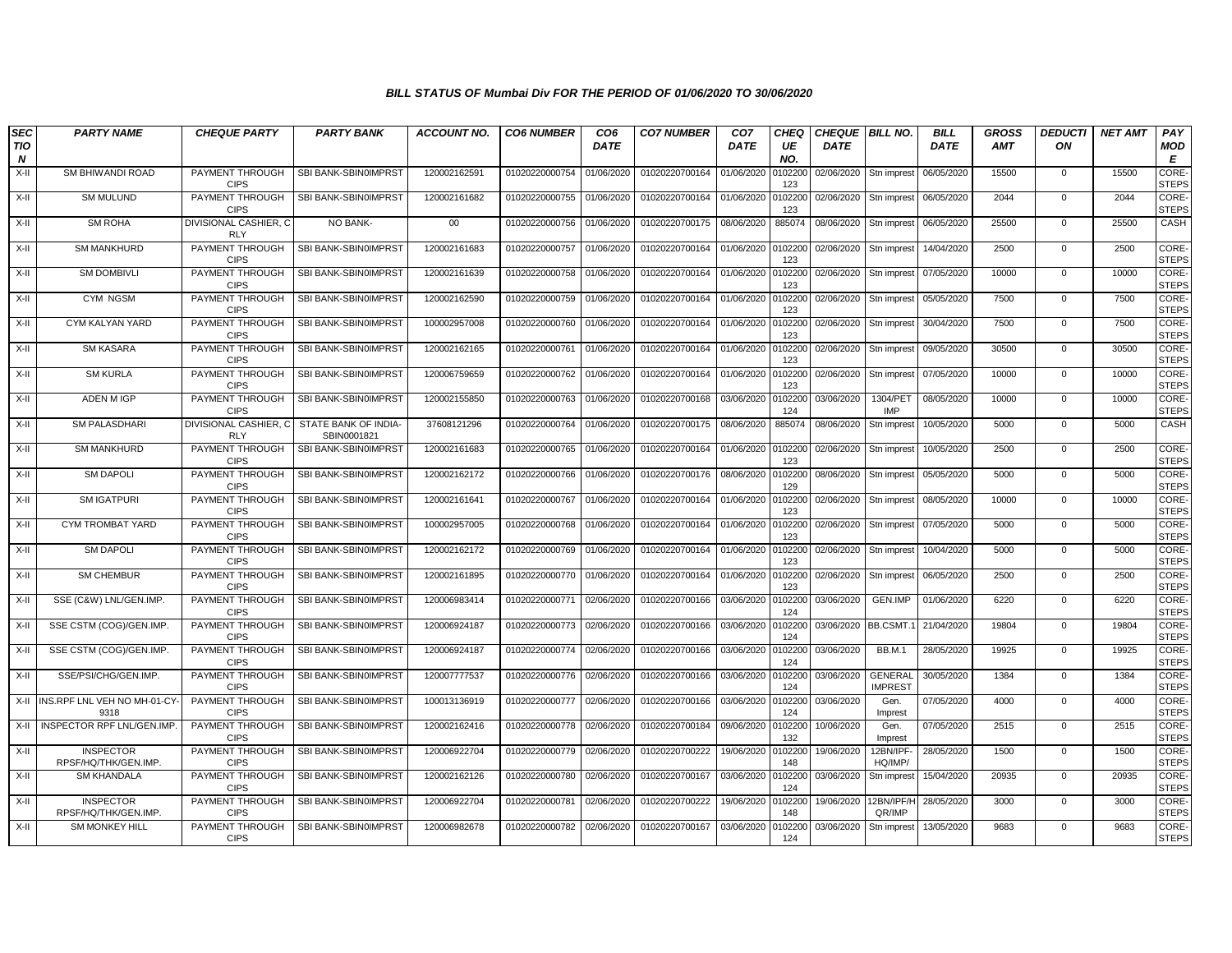| <b>SEC</b><br><b>TIO</b><br>N | <b>PARTY NAME</b>                        | <b>CHEQUE PARTY</b>                 | <b>PARTY BANK</b>                   | <b>ACCOUNT NO.</b> | <b>CO6 NUMBER</b> | CO <sub>6</sub><br><b>DATE</b> | <b>CO7 NUMBER</b>         | CO <sub>7</sub><br><b>DATE</b> | <b>CHEQ</b><br>UE<br>NO. | <b>CHEQUE BILL NO.</b><br><b>DATE</b> |                                  | <b>BILL</b><br><b>DATE</b> | <b>GROSS</b><br><b>AMT</b> | <b>DEDUCTI</b><br>ON | <b>NET AMT</b> | PAY<br><b>MOD</b><br>E       |
|-------------------------------|------------------------------------------|-------------------------------------|-------------------------------------|--------------------|-------------------|--------------------------------|---------------------------|--------------------------------|--------------------------|---------------------------------------|----------------------------------|----------------------------|----------------------------|----------------------|----------------|------------------------------|
| $X-H$                         | SM BHIWANDI ROAD                         | PAYMENT THROUGH<br><b>CIPS</b>      | SBI BANK-SBIN0IMPRST                | 120002162591       | 01020220000754    | 01/06/2020                     | 01020220700164            | 01/06/2020                     | 010220<br>123            | 02/06/2020                            | Stn imprest                      | 06/05/2020                 | 15500                      | 0                    | 15500          | <b>CORE</b><br><b>STEPS</b>  |
| X-II                          | <b>SM MULUND</b>                         | PAYMENT THROUGH<br><b>CIPS</b>      | SBI BANK-SBIN0IMPRST                | 120002161682       | 01020220000755    | 01/06/2020                     | 01020220700164            | 01/06/2020                     | 010220<br>123            | 02/06/2020                            | Stn imprest                      | 06/05/2020                 | 2044                       | $\mathbf{0}$         | 2044           | CORE-<br><b>STEPS</b>        |
| X-II                          | <b>SM ROHA</b>                           | DIVISIONAL CASHIER, C<br><b>RLY</b> | NO BANK-                            | $00\,$             | 01020220000756    | 01/06/2020                     | 01020220700175            | 08/06/2020                     | 885074                   | 08/06/2020                            | Stn imprest                      | 06/05/2020                 | 25500                      | $\mathbf 0$          | 25500          | CASH                         |
| X-II                          | <b>SM MANKHURD</b>                       | PAYMENT THROUGH<br><b>CIPS</b>      | SBI BANK-SBIN0IMPRST                | 120002161683       | 01020220000757    | 01/06/2020                     | 01020220700164            | 01/06/2020                     | 0102200<br>123           | 02/06/2020                            | Stn imprest                      | 14/04/2020                 | 2500                       | $\mathbf{0}$         | 2500           | <b>CORE-</b><br><b>STEPS</b> |
| X-II                          | <b>SM DOMBIVLI</b>                       | PAYMENT THROUGH<br><b>CIPS</b>      | SBI BANK-SBIN0IMPRST                | 120002161639       | 01020220000758    | 01/06/2020                     | 01020220700164 01/06/2020 |                                | 0102200<br>123           | 02/06/2020                            | Stn imprest                      | 07/05/2020                 | 10000                      | $\mathbf 0$          | 10000          | CORE-<br><b>STEPS</b>        |
| X-II                          | CYM NGSM                                 | PAYMENT THROUGH<br><b>CIPS</b>      | SBI BANK-SBIN0IMPRST                | 120002162590       | 01020220000759    | 01/06/2020                     | 01020220700164            | 01/06/2020                     | 0102200<br>123           | 02/06/2020                            | Stn imprest                      | 05/05/2020                 | 7500                       | $\mathbf{0}$         | 7500           | <b>CORE-</b><br><b>STEPS</b> |
| X-II                          | CYM KALYAN YARD                          | PAYMENT THROUGH<br><b>CIPS</b>      | SBI BANK-SBIN0IMPRST                | 100002957008       | 01020220000760    | 01/06/2020                     | 01020220700164            | 01/06/2020                     | 010220<br>123            | 02/06/2020                            | Stn imprest                      | 30/04/2020                 | 7500                       | $\mathbf{0}$         | 7500           | CORE-<br><b>STEPS</b>        |
| X-II                          | <b>SM KASARA</b>                         | PAYMENT THROUGH<br><b>CIPS</b>      | SBI BANK-SBIN0IMPRST                | 120002162165       | 01020220000761    | 01/06/2020                     | 01020220700164            | 01/06/2020                     | 010220<br>123            | 02/06/2020                            | Stn imprest                      | 09/05/2020                 | 30500                      | $\mathbf 0$          | 30500          | CORE-<br><b>STEPS</b>        |
| X-II                          | <b>SM KURLA</b>                          | PAYMENT THROUGH<br><b>CIPS</b>      | SBI BANK-SBIN0IMPRST                | 120006759659       | 01020220000762    | 01/06/2020                     | 01020220700164            | 01/06/2020                     | 0102200<br>123           | 02/06/2020                            | Stn imprest                      | 07/05/2020                 | 10000                      | $\mathbf 0$          | 10000          | <b>CORE-</b><br><b>STEPS</b> |
| X-II                          | ADEN M IGP                               | PAYMENT THROUGH<br><b>CIPS</b>      | SBI BANK-SBIN0IMPRST                | 120002155850       | 01020220000763    | 01/06/2020                     | 01020220700168            | 03/06/2020                     | 0102200<br>124           | 03/06/2020                            | 1304/PET<br><b>IMP</b>           | 08/05/2020                 | 10000                      | $\Omega$             | 10000          | CORE-<br><b>STEPS</b>        |
| X-II                          | <b>SM PALASDHARI</b>                     | DIVISIONAL CASHIER, C<br><b>RLY</b> | STATE BANK OF INDIA-<br>SBIN0001821 | 37608121296        | 01020220000764    | 01/06/2020                     | 01020220700175            | 08/06/2020                     | 885074                   | 08/06/2020                            | Stn imprest                      | 10/05/2020                 | 5000                       | $\mathbf{0}$         | 5000           | CASH                         |
| X-II                          | <b>SM MANKHURD</b>                       | PAYMENT THROUGH<br><b>CIPS</b>      | SBI BANK-SBIN0IMPRST                | 120002161683       | 01020220000765    | 01/06/2020                     | 01020220700164            | 01/06/2020                     | 010220<br>123            | 02/06/2020                            | Stn imprest                      | 10/05/2020                 | 2500                       | $\mathbf 0$          | 2500           | CORE-<br><b>STEPS</b>        |
| X-II                          | <b>SM DAPOLI</b>                         | PAYMENT THROUGH<br><b>CIPS</b>      | SBI BANK-SBIN0IMPRST                | 120002162172       | 01020220000766    | 01/06/2020                     | 01020220700176            | 08/06/2020                     | 010220<br>129            | 08/06/2020                            | Stn imprest                      | 05/05/2020                 | 5000                       | $\mathbf 0$          | 5000           | <b>CORE</b><br><b>STEPS</b>  |
| X-II                          | <b>SM IGATPURI</b>                       | PAYMENT THROUGH<br><b>CIPS</b>      | SBI BANK-SBIN0IMPRST                | 120002161641       | 01020220000767    | 01/06/2020                     | 01020220700164            | 01/06/2020                     | 0102200<br>123           | 02/06/2020                            | Stn imprest                      | 08/05/2020                 | 10000                      | $\mathbf 0$          | 10000          | <b>CORE-</b><br><b>STEPS</b> |
| X-II                          | CYM TROMBAT YARD                         | PAYMENT THROUGH<br><b>CIPS</b>      | SBI BANK-SBIN0IMPRST                | 100002957005       | 01020220000768    | 01/06/2020                     | 01020220700164 01/06/2020 |                                | 0102200<br>123           | 02/06/2020                            | Stn imprest                      | 07/05/2020                 | 5000                       | $\mathbf{0}$         | 5000           | CORE-<br><b>STEPS</b>        |
| X-II                          | <b>SM DAPOLI</b>                         | PAYMENT THROUGH<br><b>CIPS</b>      | SBI BANK-SBIN0IMPRST                | 120002162172       | 01020220000769    | 01/06/2020                     | 01020220700164            | 01/06/2020                     | 0102200<br>123           | 02/06/2020                            | Stn imprest                      | 10/04/2020                 | 5000                       | 0                    | 5000           | <b>CORE-</b><br><b>STEPS</b> |
| X-II                          | <b>SM CHEMBUR</b>                        | PAYMENT THROUGH<br><b>CIPS</b>      | SBI BANK-SBIN0IMPRST                | 120002161895       | 01020220000770    | 01/06/2020                     | 01020220700164            | 01/06/2020                     | 010220<br>123            | 02/06/2020                            | Stn imprest                      | 06/05/2020                 | 2500                       | $\mathbf{0}$         | 2500           | CORE-<br><b>STEPS</b>        |
| X-II                          | SSE (C&W) LNL/GEN.IMP.                   | PAYMENT THROUGH<br><b>CIPS</b>      | SBI BANK-SBIN0IMPRST                | 120006983414       | 01020220000771    | 02/06/2020                     | 01020220700166            | 03/06/2020                     | 0102200<br>124           | 03/06/2020                            | GEN.IMP                          | 01/06/2020                 | 6220                       | $\mathbf 0$          | 6220           | CORE-<br><b>STEPS</b>        |
| X-II                          | SSE CSTM (COG)/GEN.IMP                   | PAYMENT THROUGH<br><b>CIPS</b>      | SBI BANK-SBIN0IMPRST                | 120006924187       | 01020220000773    | 02/06/2020                     | 01020220700166            | 03/06/2020                     | 0102200<br>124           | 03/06/2020                            | BB.CSMT.                         | 21/04/2020                 | 19804                      | $\mathbf{0}$         | 19804          | <b>CORE</b><br><b>STEPS</b>  |
| X-II                          | SSE CSTM (COG)/GEN.IMP.                  | PAYMENT THROUGH<br><b>CIPS</b>      | SBI BANK-SBIN0IMPRST                | 120006924187       | 01020220000774    | 02/06/2020                     | 01020220700166            | 03/06/2020                     | 0102200<br>124           | 03/06/2020                            | <b>BB.M.1</b>                    | 28/05/2020                 | 19925                      | $\mathbf 0$          | 19925          | CORE-<br><b>STEPS</b>        |
| X-II                          | SSE/PSI/CHG/GEN.IMP.                     | PAYMENT THROUGH<br><b>CIPS</b>      | SBI BANK-SBIN0IMPRST                | 120007777537       | 01020220000776    | 02/06/2020                     | 01020220700166            | 03/06/2020                     | 0102200<br>124           | 03/06/2020                            | <b>GENERAL</b><br><b>IMPREST</b> | 30/05/2020                 | 1384                       | $\mathbf{0}$         | 1384           | <b>CORE-</b><br><b>STEPS</b> |
| X-II                          | INS.RPF LNL VEH NO MH-01-CY-<br>9318     | PAYMENT THROUGH<br><b>CIPS</b>      | SBI BANK-SBIN0IMPRST                | 100013136919       | 01020220000777    | 02/06/2020                     | 01020220700166            | 03/06/2020                     | 010220<br>124            | 03/06/2020                            | Gen.<br>Imprest                  | 07/05/2020                 | 4000                       | $\mathbf{0}$         | 4000           | CORE-<br><b>STEPS</b>        |
| X-II                          | INSPECTOR RPF LNL/GEN.IMP                | PAYMENT THROUGH<br><b>CIPS</b>      | SBI BANK-SBIN0IMPRST                | 120002162416       | 01020220000778    | 02/06/2020                     | 01020220700184            | 09/06/2020                     | 010220<br>132            | 10/06/2020                            | Gen.<br>Imprest                  | 07/05/2020                 | 2515                       | $\mathbf 0$          | 2515           | <b>CORE</b><br><b>STEPS</b>  |
| X-II                          | <b>INSPECTOR</b><br>RPSF/HQ/THK/GEN.IMP. | PAYMENT THROUGH<br><b>CIPS</b>      | SBI BANK-SBIN0IMPRST                | 120006922704       | 01020220000779    | 02/06/2020                     | 01020220700222            | 19/06/2020                     | 0102200<br>148           | 19/06/2020                            | 12BN/IPF-<br>HQ/IMP/             | 28/05/2020                 | 1500                       | $\mathbf 0$          | 1500           | <b>CORE</b><br><b>STEPS</b>  |
| X-II                          | <b>SM KHANDALA</b>                       | PAYMENT THROUGH<br><b>CIPS</b>      | SBI BANK-SBIN0IMPRST                | 120002162126       | 01020220000780    | 02/06/2020                     | 01020220700167            | 03/06/2020                     | 0102200<br>124           | 03/06/2020                            | Stn imprest                      | 15/04/2020                 | 20935                      | $\mathbf{0}$         | 20935          | CORE-<br><b>STEPS</b>        |
| X-II                          | <b>INSPECTOR</b><br>RPSF/HQ/THK/GEN.IMP. | PAYMENT THROUGH<br><b>CIPS</b>      | SBI BANK-SBIN0IMPRST                | 120006922704       | 01020220000781    | 02/06/2020                     | 01020220700222            | 19/06/2020                     | 010220<br>148            | 19/06/2020                            | 12BN/IPF/H<br>QR/IMP             | 28/05/2020                 | 3000                       | $\mathbf 0$          | 3000           | <b>CORE-</b><br><b>STEPS</b> |
| X-II                          | <b>SM MONKEY HILL</b>                    | PAYMENT THROUGH<br><b>CIPS</b>      | SBI BANK-SBIN0IMPRST                | 120006982678       | 01020220000782    | 02/06/2020                     | 01020220700167            | 03/06/2020                     | 0102200<br>124           | 03/06/2020                            | Stn imprest                      | 13/05/2020                 | 9683                       | $\mathbf{0}$         | 9683           | CORE-<br><b>STEPS</b>        |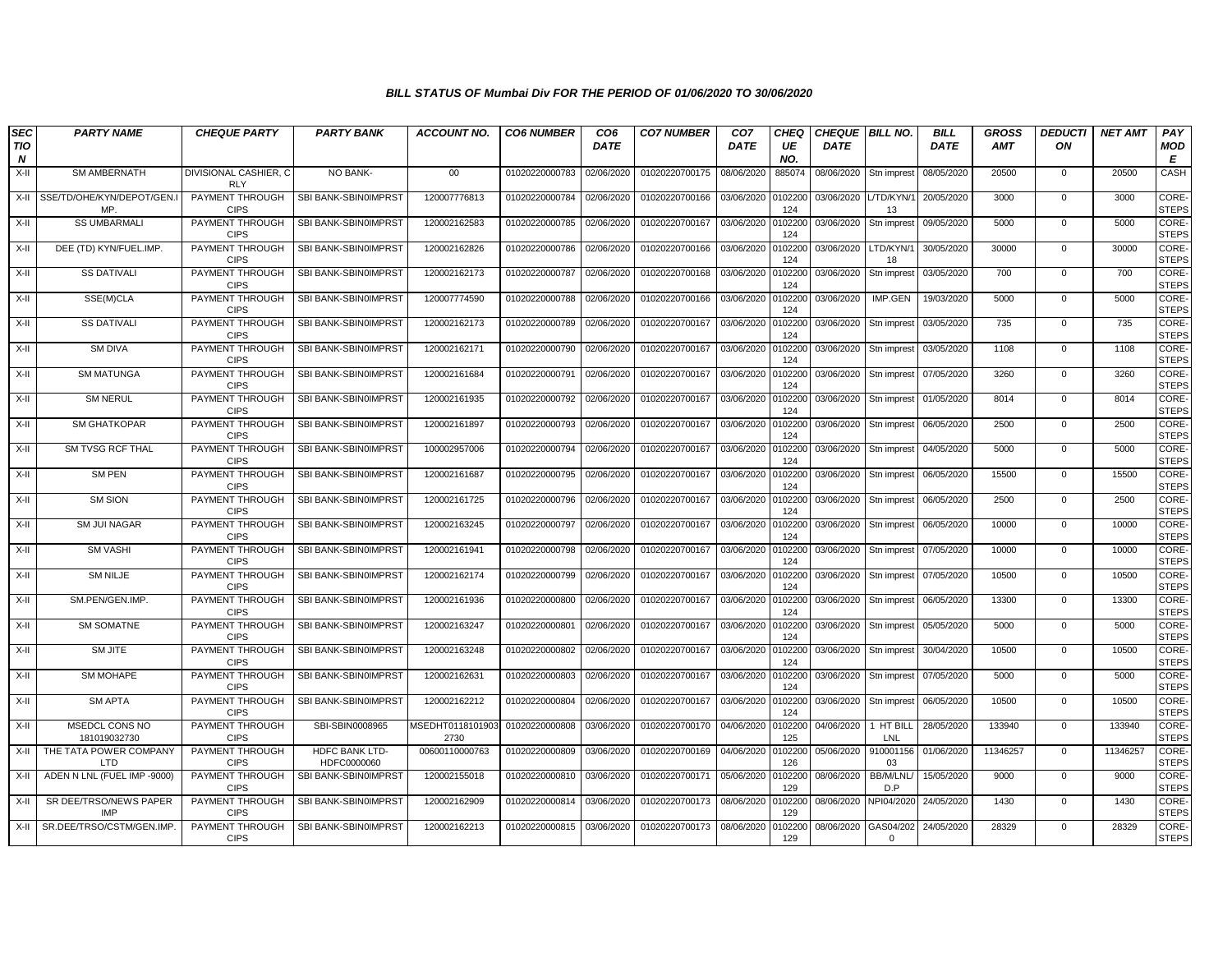| <b>SEC</b> | <b>PARTY NAME</b>                      | <b>CHEQUE PARTY</b>                 | <b>PARTY BANK</b>             | <b>ACCOUNT NO.</b>       | <b>CO6 NUMBER</b> | CO <sub>6</sub> | <b>CO7 NUMBER</b> | CO <sub>7</sub> | CHEQ           | <b>CHEQUE BILL NO.</b> |                       | <b>BILL</b> | <b>GROSS</b> | <b>DEDUCTI</b> | <b>NET AMT</b> | PAY                          |
|------------|----------------------------------------|-------------------------------------|-------------------------------|--------------------------|-------------------|-----------------|-------------------|-----------------|----------------|------------------------|-----------------------|-------------|--------------|----------------|----------------|------------------------------|
| TIO<br>N   |                                        |                                     |                               |                          |                   | <b>DATE</b>     |                   | <b>DATE</b>     | UE<br>NO.      | <b>DATE</b>            |                       | <b>DATE</b> | <b>AMT</b>   | ON             |                | MOD<br>Е                     |
| X-II       | <b>SM AMBERNATH</b>                    | DIVISIONAL CASHIER, C<br><b>RLY</b> | NO BANK-                      | $00\,$                   | 01020220000783    | 02/06/2020      | 01020220700175    | 08/06/2020      | 885074         | 08/06/2020             | Stn imprest           | 08/05/2020  | 20500        | 0              | 20500          | CASH                         |
|            | X-II SSE/TD/OHE/KYN/DEPOT/GEN.I<br>MP. | PAYMENT THROUGH<br><b>CIPS</b>      | SBI BANK-SBIN0IMPRST          | 120007776813             | 01020220000784    | 02/06/2020      | 01020220700166    | 03/06/2020      | 0102200<br>124 | 03/06/2020             | L/TD/KYN/<br>13       | 20/05/2020  | 3000         | $\mathbf{0}$   | 3000           | <b>CORE</b><br><b>STEPS</b>  |
| X-II       | <b>SS UMBARMALI</b>                    | PAYMENT THROUGH<br><b>CIPS</b>      | SBI BANK-SBIN0IMPRST          | 120002162583             | 01020220000785    | 02/06/2020      | 01020220700167    | 03/06/2020      | 0102200<br>124 | 03/06/2020             | Stn imprest           | 09/05/2020  | 5000         | $\mathbf 0$    | 5000           | CORE-<br><b>STEPS</b>        |
| X-II       | DEE (TD) KYN/FUEL.IMP.                 | PAYMENT THROUGH<br><b>CIPS</b>      | SBI BANK-SBIN0IMPRST          | 120002162826             | 01020220000786    | 02/06/2020      | 01020220700166    | 03/06/2020      | 0102200<br>124 | 03/06/2020             | LTD/KYN/<br>18        | 30/05/2020  | 30000        | $\overline{0}$ | 30000          | <b>CORE</b><br><b>STEPS</b>  |
| X-II       | <b>SS DATIVALI</b>                     | PAYMENT THROUGH<br><b>CIPS</b>      | SBI BANK-SBIN0IMPRST          | 120002162173             | 01020220000787    | 02/06/2020      | 01020220700168    | 03/06/2020      | 010220<br>124  | 03/06/2020             | Stn imprest           | 03/05/2020  | 700          | $\mathbf{0}$   | 700            | CORE-<br><b>STEPS</b>        |
| X-II       | SSE(M)CLA                              | PAYMENT THROUGH<br><b>CIPS</b>      | SBI BANK-SBIN0IMPRST          | 120007774590             | 01020220000788    | 02/06/2020      | 01020220700166    | 03/06/2020      | 0102200<br>124 | 03/06/2020             | IMP.GEN               | 19/03/2020  | 5000         | $\mathbf 0$    | 5000           | CORE-<br><b>STEPS</b>        |
| X-II       | <b>SS DATIVALI</b>                     | PAYMENT THROUGH<br><b>CIPS</b>      | SBI BANK-SBIN0IMPRST          | 120002162173             | 01020220000789    | 02/06/2020      | 01020220700167    | 03/06/2020      | 0102200<br>124 | 03/06/2020             | Stn imprest           | 03/05/2020  | 735          | $\mathbf 0$    | 735            | CORE-<br><b>STEPS</b>        |
| X-II       | <b>SM DIVA</b>                         | PAYMENT THROUGH<br><b>CIPS</b>      | SBI BANK-SBIN0IMPRST          | 120002162171             | 01020220000790    | 02/06/2020      | 01020220700167    | 03/06/2020      | 0102200<br>124 | 03/06/2020             | Stn imprest           | 03/05/2020  | 1108         | $\mathbf{0}$   | 1108           | CORE-<br><b>STEPS</b>        |
| X-II       | <b>SM MATUNGA</b>                      | PAYMENT THROUGH<br><b>CIPS</b>      | SBI BANK-SBIN0IMPRST          | 120002161684             | 01020220000791    | 02/06/2020      | 01020220700167    | 03/06/2020      | 0102200<br>124 | 03/06/2020             | Stn imprest           | 07/05/2020  | 3260         | $\mathbf 0$    | 3260           | CORE-<br><b>STEPS</b>        |
| X-II       | <b>SM NERUL</b>                        | PAYMENT THROUGH<br><b>CIPS</b>      | SBI BANK-SBIN0IMPRST          | 120002161935             | 01020220000792    | 02/06/2020      | 01020220700167    | 03/06/2020      | 0102200<br>124 | 03/06/2020             | Stn imprest           | 01/05/2020  | 8014         | $\overline{0}$ | 8014           | CORE-<br><b>STEPS</b>        |
| X-II       | <b>SM GHATKOPAR</b>                    | PAYMENT THROUGH<br><b>CIPS</b>      | SBI BANK-SBIN0IMPRST          | 120002161897             | 01020220000793    | 02/06/2020      | 01020220700167    | 03/06/2020      | 0102200<br>124 | 03/06/2020             | Stn imprest           | 06/05/2020  | 2500         | 0              | 2500           | CORE-<br><b>STEPS</b>        |
| X-II       | SM TVSG RCF THAL                       | PAYMENT THROUGH<br><b>CIPS</b>      | SBI BANK-SBIN0IMPRST          | 100002957006             | 01020220000794    | 02/06/2020      | 01020220700167    | 03/06/2020      | 010220<br>124  | 03/06/2020             | Stn imprest           | 04/05/2020  | 5000         | $\mathbf{0}$   | 5000           | CORE-<br><b>STEPS</b>        |
| X-II       | SM PEN                                 | PAYMENT THROUGH<br><b>CIPS</b>      | SBI BANK-SBIN0IMPRST          | 120002161687             | 01020220000795    | 02/06/2020      | 01020220700167    | 03/06/2020      | 0102200<br>124 | 03/06/2020             | Stn imprest           | 06/05/2020  | 15500        | $\mathbf 0$    | 15500          | CORE-<br><b>STEPS</b>        |
| X-II       | <b>SM SION</b>                         | PAYMENT THROUGH<br><b>CIPS</b>      | SBI BANK-SBIN0IMPRST          | 120002161725             | 01020220000796    | 02/06/2020      | 01020220700167    | 03/06/2020      | 0102200<br>124 | 03/06/2020             | Stn imprest           | 06/05/2020  | 2500         | $\mathbf 0$    | 2500           | CORE-<br><b>STEPS</b>        |
| X-II       | <b>SM JUI NAGAR</b>                    | PAYMENT THROUGH<br><b>CIPS</b>      | SBI BANK-SBIN0IMPRST          | 120002163245             | 01020220000797    | 02/06/2020      | 01020220700167    | 03/06/2020      | 0102200<br>124 | 03/06/2020             | Stn imprest           | 06/05/2020  | 10000        | $\mathbf 0$    | 10000          | CORE-<br><b>STEPS</b>        |
| X-II       | <b>SM VASHI</b>                        | PAYMENT THROUGH<br><b>CIPS</b>      | SBI BANK-SBIN0IMPRST          | 120002161941             | 01020220000798    | 02/06/2020      | 01020220700167    | 03/06/2020      | 0102200<br>124 | 03/06/2020             | Stn imprest           | 07/05/2020  | 10000        | $\mathbf{0}$   | 10000          | CORE-<br><b>STEPS</b>        |
| X-II       | <b>SM NILJE</b>                        | PAYMENT THROUGH<br><b>CIPS</b>      | SBI BANK-SBIN0IMPRST          | 120002162174             | 01020220000799    | 02/06/2020      | 01020220700167    | 03/06/2020      | 0102200<br>124 | 03/06/2020             | Stn imprest           | 07/05/2020  | 10500        | $\mathbf 0$    | 10500          | CORE-<br><b>STEPS</b>        |
| X-II       | SM.PEN/GEN.IMP.                        | PAYMENT THROUGH<br><b>CIPS</b>      | SBI BANK-SBIN0IMPRST          | 120002161936             | 01020220000800    | 02/06/2020      | 01020220700167    | 03/06/2020      | 0102200<br>124 | 03/06/2020             | Stn imprest           | 06/05/2020  | 13300        | $\mathbf{0}$   | 13300          | CORE-<br><b>STEPS</b>        |
| X-II       | SM SOMATNE                             | PAYMENT THROUGH<br><b>CIPS</b>      | SBI BANK-SBIN0IMPRST          | 120002163247             | 01020220000801    | 02/06/2020      | 01020220700167    | 03/06/2020      | 0102200<br>124 | 03/06/2020             | Stn imprest           | 05/05/2020  | 5000         | $\mathbf 0$    | 5000           | CORE-<br><b>STEPS</b>        |
| X-II       | SM JITE                                | PAYMENT THROUGH<br><b>CIPS</b>      | SBI BANK-SBIN0IMPRST          | 120002163248             | 01020220000802    | 02/06/2020      | 01020220700167    | 03/06/2020      | 0102200<br>124 | 03/06/2020             | Stn imprest           | 30/04/2020  | 10500        | $\overline{0}$ | 10500          | CORE-<br><b>STEPS</b>        |
| X-II       | SM MOHAPE                              | PAYMENT THROUGH<br><b>CIPS</b>      | SBI BANK-SBIN0IMPRST          | 120002162631             | 01020220000803    | 02/06/2020      | 01020220700167    | 03/06/2020      | 0102200<br>124 | 03/06/2020             | Stn imprest           | 07/05/2020  | 5000         | 0              | 5000           | <b>CORE-</b><br><b>STEPS</b> |
| X-II       | <b>SM APTA</b>                         | PAYMENT THROUGH<br><b>CIPS</b>      | SBI BANK-SBIN0IMPRST          | 120002162212             | 01020220000804    | 02/06/2020      | 01020220700167    | 03/06/2020      | 010220<br>124  | 03/06/2020             | Stn imprest           | 06/05/2020  | 10500        | $\mathbf{0}$   | 10500          | CORE-<br><b>STEPS</b>        |
| X-II       | MSEDCL CONS NO<br>181019032730         | PAYMENT THROUGH<br><b>CIPS</b>      | SBI-SBIN0008965               | ISEDHT0118101903<br>2730 | 01020220000808    | 03/06/2020      | 01020220700170    | 04/06/2020      | 0102200<br>125 | 04/06/2020             | 1 HT BILI<br>LNL      | 28/05/2020  | 133940       | $\Omega$       | 133940         | CORE-<br><b>STEPS</b>        |
| X-II       | THE TATA POWER COMPANY<br>LTD          | PAYMENT THROUGH<br><b>CIPS</b>      | HDFC BANK LTD-<br>HDFC0000060 | 00600110000763           | 01020220000809    | 03/06/2020      | 01020220700169    | 04/06/2020      | 0102200<br>126 | 05/06/2020             | 910001156<br>03       | 01/06/2020  | 11346257     | $\mathbf 0$    | 11346257       | CORE-<br><b>STEPS</b>        |
| X-II       | ADEN N LNL (FUEL IMP -9000)            | PAYMENT THROUGH<br><b>CIPS</b>      | SBI BANK-SBIN0IMPRST          | 120002155018             | 01020220000810    | 03/06/2020      | 01020220700171    | 05/06/2020      | 0102200<br>129 | 08/06/2020             | BB/M/LNL/<br>D.P      | 15/05/2020  | 9000         | $\overline{0}$ | 9000           | CORE-<br><b>STEPS</b>        |
| X-II       | SR DEE/TRSO/NEWS PAPER<br><b>IMP</b>   | PAYMENT THROUGH<br><b>CIPS</b>      | SBI BANK-SBIN0IMPRST          | 120002162909             | 01020220000814    | 03/06/2020      | 01020220700173    | 08/06/2020      | 0102200<br>129 | 08/06/2020             | NPI04/2020            | 24/05/2020  | 1430         | $\mathbf 0$    | 1430           | <b>CORE-</b><br><b>STEPS</b> |
|            | X-II SR.DEE/TRSO/CSTM/GEN.IMP          | PAYMENT THROUGH<br><b>CIPS</b>      | SBI BANK-SBIN0IMPRST          | 120002162213             | 01020220000815    | 03/06/2020      | 01020220700173    | 08/06/2020      | 0102200<br>129 | 08/06/2020             | GAS04/202<br>$\Omega$ | 24/05/2020  | 28329        | $\mathbf{0}$   | 28329          | CORE-<br><b>STEPS</b>        |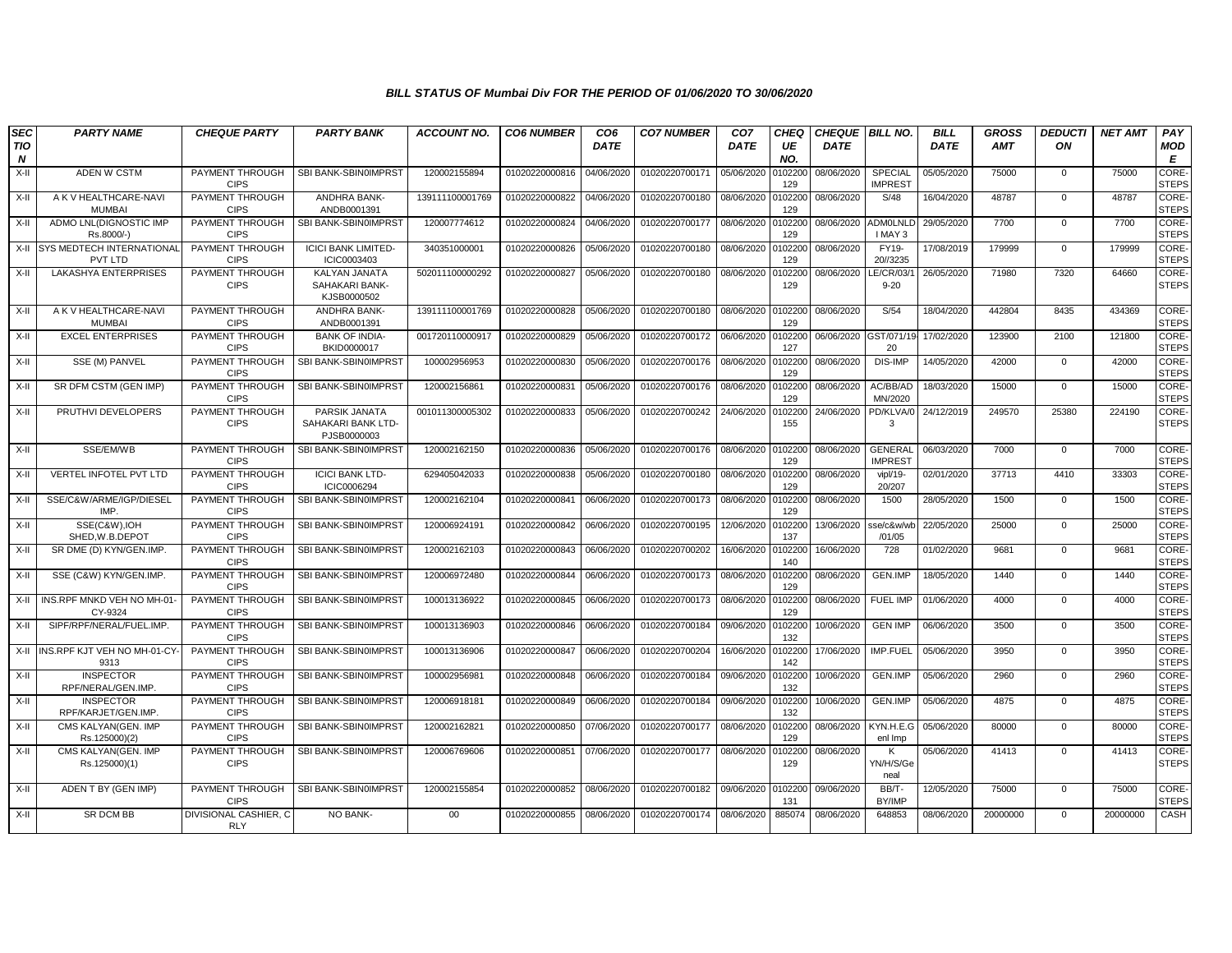| <b>SEC</b>      | <b>PARTY NAME</b>                           | <b>CHEQUE PARTY</b>                   | <b>PARTY BANK</b>                                     | <b>ACCOUNT NO.</b> | <b>CO6 NUMBER</b> | CO <sub>6</sub> | <b>CO7 NUMBER</b>         | CO <sub>7</sub> | <b>CHEQ</b>    | <b>CHEQUE BILL NO.</b> |                                  | <b>BILL</b> | <b>GROSS</b> | <b>DEDUCTI</b> | <b>NET AMT</b> | PAY                          |
|-----------------|---------------------------------------------|---------------------------------------|-------------------------------------------------------|--------------------|-------------------|-----------------|---------------------------|-----------------|----------------|------------------------|----------------------------------|-------------|--------------|----------------|----------------|------------------------------|
| <b>TIO</b><br>N |                                             |                                       |                                                       |                    |                   | <b>DATE</b>     |                           | <b>DATE</b>     | UE<br>NO.      | <b>DATE</b>            |                                  | <b>DATE</b> | <b>AMT</b>   | ON             |                | <b>MOD</b><br>E              |
| $X-H$           | ADEN W CSTM                                 | PAYMENT THROUGH<br><b>CIPS</b>        | SBI BANK-SBIN0IMPRST                                  | 120002155894       | 01020220000816    | 04/06/2020      | 01020220700171            | 05/06/2020      | 010220<br>129  | 08/06/2020             | <b>SPECIAL</b><br><b>IMPREST</b> | 05/05/2020  | 75000        | $\mathbf{0}$   | 75000          | CORE-<br><b>STEPS</b>        |
| X-II            | A K V HEALTHCARE-NAVI<br><b>MUMBAI</b>      | PAYMENT THROUGH<br><b>CIPS</b>        | ANDHRA BANK-<br>ANDB0001391                           | 139111100001769    | 01020220000822    | 04/06/2020      | 01020220700180            | 08/06/2020      | 0102200<br>129 | 08/06/2020             | S/48                             | 16/04/2020  | 48787        | $\mathbf{0}$   | 48787          | CORE-<br><b>STEPS</b>        |
| X-II            | ADMO LNL(DIGNOSTIC IMP<br>Rs.8000/-)        | PAYMENT THROUGH<br><b>CIPS</b>        | SBI BANK-SBIN0IMPRST                                  | 120007774612       | 01020220000824    | 04/06/2020      | 01020220700177            | 08/06/2020      | 0102200<br>129 | 08/06/2020             | ADMOLNLD<br>I MAY 3              | 29/05/2020  | 7700         | $\mathbf 0$    | 7700           | CORE-<br><b>STEPS</b>        |
| X-II            | <b>SYS MEDTECH INTERNATIONAL</b><br>PVT LTD | PAYMENT THROUGH<br><b>CIPS</b>        | <b>ICICI BANK LIMITED-</b><br>ICIC0003403             | 340351000001       | 01020220000826    | 05/06/2020      | 01020220700180            | 08/06/2020      | 010220<br>129  | 08/06/2020             | <b>FY19-</b><br>20//3235         | 17/08/2019  | 179999       | $\Omega$       | 179999         | <b>CORE-</b><br><b>STEPS</b> |
| X-II            | LAKASHYA ENTERPRISES                        | PAYMENT THROUGH<br><b>CIPS</b>        | KALYAN JANATA<br><b>SAHAKARI BANK-</b><br>KJSB0000502 | 502011100000292    | 01020220000827    | 05/06/2020      | 01020220700180            | 08/06/2020      | 0102200<br>129 | 08/06/2020             | LE/CR/03/<br>$9 - 20$            | 26/05/2020  | 71980        | 7320           | 64660          | CORE-<br><b>STEPS</b>        |
| X-II            | A K V HEALTHCARE-NAVI<br><b>MUMBAI</b>      | PAYMENT THROUGH<br><b>CIPS</b>        | ANDHRA BANK-<br>ANDB0001391                           | 139111100001769    | 01020220000828    | 05/06/2020      | 01020220700180            | 08/06/2020      | 0102200<br>129 | 08/06/2020             | S/54                             | 18/04/2020  | 442804       | 8435           | 434369         | CORE-<br><b>STEPS</b>        |
| X-II            | <b>EXCEL ENTERPRISES</b>                    | PAYMENT THROUGH<br><b>CIPS</b>        | <b>BANK OF INDIA-</b><br>BKID0000017                  | 001720110000917    | 01020220000829    | 05/06/2020      | 01020220700172            | 06/06/2020      | 0102200<br>127 | 06/06/2020             | GST/071/1<br>20                  | 17/02/2020  | 123900       | 2100           | 121800         | CORE-<br><b>STEPS</b>        |
| X-II            | SSE (M) PANVEL                              | PAYMENT THROUGH<br><b>CIPS</b>        | SBI BANK-SBIN0IMPRST                                  | 100002956953       | 01020220000830    | 05/06/2020      | 01020220700176            | 08/06/2020      | 0102200<br>129 | 08/06/2020             | DIS-IMP                          | 14/05/2020  | 42000        | $\mathbf 0$    | 42000          | CORE-<br><b>STEPS</b>        |
| X-II            | SR DFM CSTM (GEN IMP)                       | PAYMENT THROUGH<br><b>CIPS</b>        | SBI BANK-SBIN0IMPRST                                  | 120002156861       | 01020220000831    | 05/06/2020      | 01020220700176            | 08/06/2020      | 010220<br>129  | 08/06/2020             | AC/BB/AD<br>MN/2020              | 18/03/2020  | 15000        | $\Omega$       | 15000          | CORE-<br><b>STEPS</b>        |
| X-II            | PRUTHVI DEVELOPERS                          | PAYMENT THROUGH<br><b>CIPS</b>        | PARSIK JANATA<br>SAHAKARI BANK LTD-<br>PJSB0000003    | 001011300005302    | 01020220000833    | 05/06/2020      | 01020220700242            | 24/06/2020      | 0102200<br>155 | 24/06/2020             | PD/KLVA/0<br>3                   | 24/12/2019  | 249570       | 25380          | 224190         | CORE-<br><b>STEPS</b>        |
| X-II            | SSE/EM/WB                                   | PAYMENT THROUGH<br><b>CIPS</b>        | SBI BANK-SBIN0IMPRST                                  | 120002162150       | 01020220000836    | 05/06/2020      | 01020220700176            | 08/06/2020      | 0102200<br>129 | 08/06/2020             | <b>GENERAL</b><br><b>IMPREST</b> | 06/03/2020  | 7000         | $\mathbf{0}$   | 7000           | CORE-<br><b>STEPS</b>        |
| X-II            | <b>VERTEL INFOTEL PVT LTD</b>               | PAYMENT THROUGH<br><b>CIPS</b>        | <b>ICICI BANK LTD-</b><br>ICIC0006294                 | 629405042033       | 01020220000838    | 05/06/2020      | 01020220700180            | 08/06/2020      | 0102200<br>129 | 08/06/2020             | vipl/19-<br>20/207               | 02/01/2020  | 37713        | 4410           | 33303          | CORE-<br><b>STEPS</b>        |
| X-II            | SSE/C&W/ARME/IGP/DIESEL<br>IMP.             | PAYMENT THROUGH<br><b>CIPS</b>        | SBI BANK-SBIN0IMPRST                                  | 120002162104       | 01020220000841    | 06/06/2020      | 01020220700173            | 08/06/2020      | 0102200<br>129 | 08/06/2020             | 1500                             | 28/05/2020  | 1500         | $\mathbf 0$    | 1500           | CORE-<br><b>STEPS</b>        |
| X-II            | SSE(C&W), IOH<br>SHED, W.B.DEPOT            | PAYMENT THROUGH<br><b>CIPS</b>        | SBI BANK-SBIN0IMPRST                                  | 120006924191       | 01020220000842    | 06/06/2020      | 01020220700195            | 12/06/2020      | 010220<br>137  | 13/06/2020             | sse/c&w/wl<br>/01/05             | 22/05/2020  | 25000        | $\mathbf 0$    | 25000          | CORE-<br><b>STEPS</b>        |
| X-II            | SR DME (D) KYN/GEN.IMP.                     | PAYMENT THROUGH<br><b>CIPS</b>        | SBI BANK-SBIN0IMPRST                                  | 120002162103       | 01020220000843    | 06/06/2020      | 01020220700202            | 16/06/2020      | 0102200<br>140 | 16/06/2020             | 728                              | 01/02/2020  | 9681         | $\mathbf{0}$   | 9681           | CORE-<br><b>STEPS</b>        |
| X-II            | SSE (C&W) KYN/GEN.IMP.                      | PAYMENT THROUGH<br><b>CIPS</b>        | SBI BANK-SBIN0IMPRST                                  | 120006972480       | 01020220000844    | 06/06/2020      | 01020220700173            | 08/06/2020      | 0102200<br>129 | 08/06/2020             | GEN.IMP                          | 18/05/2020  | 1440         | $\mathbf{0}$   | 1440           | CORE-<br><b>STEPS</b>        |
| X-II            | INS.RPF MNKD VEH NO MH-01<br>CY-9324        | PAYMENT THROUGH<br><b>CIPS</b>        | SBI BANK-SBIN0IMPRST                                  | 100013136922       | 01020220000845    | 06/06/2020      | 01020220700173            | 08/06/2020      | 010220<br>129  | 08/06/2020             | <b>FUEL IMP</b>                  | 01/06/2020  | 4000         | $\mathbf 0$    | 4000           | CORE-<br><b>STEPS</b>        |
| X-II            | SIPF/RPF/NERAL/FUEL.IMP                     | PAYMENT THROUGH<br><b>CIPS</b>        | SBI BANK-SBIN0IMPRST                                  | 100013136903       | 01020220000846    | 06/06/2020      | 01020220700184            | 09/06/2020      | 0102200<br>132 | 10/06/2020             | <b>GEN IMP</b>                   | 06/06/2020  | 3500         | $\mathbf 0$    | 3500           | CORE-<br><b>STEPS</b>        |
|                 | X-II INS.RPF KJT VEH NO MH-01-CY-<br>9313   | PAYMENT THROUGH<br><b>CIPS</b>        | SBI BANK-SBIN0IMPRST                                  | 100013136906       | 01020220000847    | 06/06/2020      | 01020220700204            | 16/06/2020      | 0102200<br>142 | 17/06/2020             | IMP.FUEL                         | 05/06/2020  | 3950         | $\mathbf 0$    | 3950           | CORE-<br><b>STEPS</b>        |
| X-II            | <b>INSPECTOR</b><br>RPF/NERAL/GEN.IMP       | PAYMENT THROUGH<br><b>CIPS</b>        | SBI BANK-SBIN0IMPRST                                  | 100002956981       | 01020220000848    | 06/06/2020      | 01020220700184            | 09/06/2020      | 010220<br>132  | 10/06/2020             | GEN.IMP                          | 05/06/2020  | 2960         | $\mathbf{0}$   | 2960           | <b>CORE-</b><br><b>STEPS</b> |
| X-II            | <b>INSPECTOR</b><br>RPF/KARJET/GEN.IMP.     | PAYMENT THROUGH<br><b>CIPS</b>        | SBI BANK-SBIN0IMPRST                                  | 120006918181       | 01020220000849    | 06/06/2020      | 01020220700184            | 09/06/2020      | 0102200<br>132 | 10/06/2020             | <b>GEN.IMP</b>                   | 05/06/2020  | 4875         | $\mathbf 0$    | 4875           | CORE-<br><b>STEPS</b>        |
| X-II            | CMS KALYAN(GEN. IMP<br>Rs.125000)(2)        | <b>PAYMENT THROUGH</b><br><b>CIPS</b> | SBI BANK-SBIN0IMPRST                                  | 120002162821       | 01020220000850    | 07/06/2020      | 01020220700177 08/06/2020 |                 | 0102200<br>129 | 08/06/2020             | KYN.H.E.G<br>enl Imp             | 05/06/2020  | 80000        | $\mathbf{0}$   | 80000          | CORE-<br><b>STEPS</b>        |
| X-II            | CMS KALYAN(GEN. IMP<br>Rs.125000)(1)        | PAYMENT THROUGH<br><b>CIPS</b>        | SBI BANK-SBIN0IMPRST                                  | 120006769606       | 01020220000851    | 07/06/2020      | 01020220700177            | 08/06/2020      | 0102200<br>129 | 08/06/2020             | К<br>YN/H/S/Ge<br>neal           | 05/06/2020  | 41413        | $\mathbf{0}$   | 41413          | CORE-<br><b>STEPS</b>        |
| X-II            | ADEN T BY (GEN IMP)                         | PAYMENT THROUGH<br><b>CIPS</b>        | SBI BANK-SBIN0IMPRST                                  | 120002155854       | 01020220000852    | 08/06/2020      | 01020220700182            | 09/06/2020      | 0102200<br>131 | 09/06/2020             | BB/T-<br>BY/IMP                  | 12/05/2020  | 75000        | $\mathbf{0}$   | 75000          | CORE-<br><b>STEPS</b>        |
| X-II            | <b>SR DCM BB</b>                            | DIVISIONAL CASHIER, C<br><b>RLY</b>   | <b>NO BANK-</b>                                       | 00                 | 01020220000855    | 08/06/2020      | 01020220700174 08/06/2020 |                 | 885074         | 08/06/2020             | 648853                           | 08/06/2020  | 20000000     | $\mathbf{0}$   | 20000000       | CASH                         |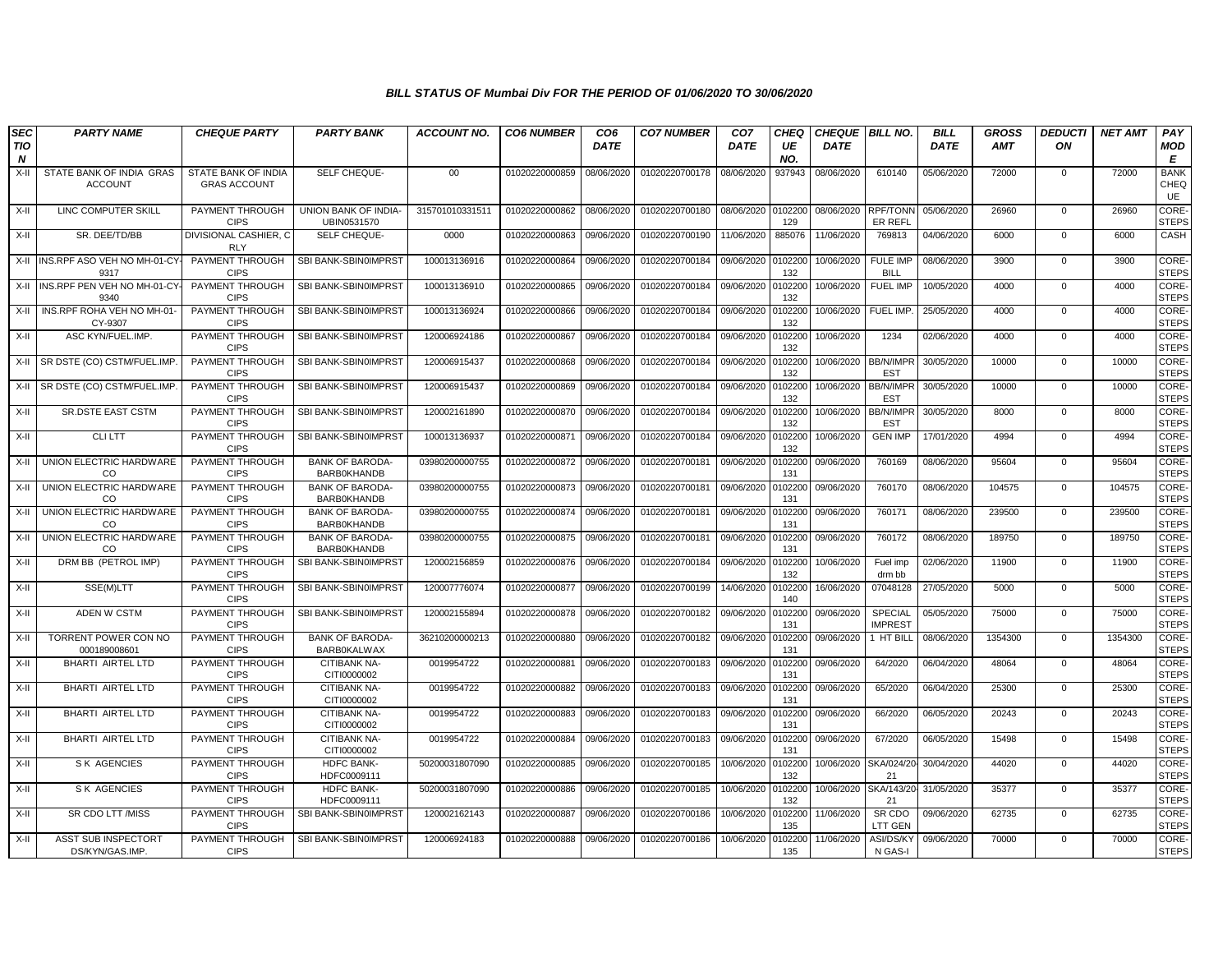| <b>SEC</b><br>TIO<br>$\boldsymbol{N}$ | <b>PARTY NAME</b>                          | <b>CHEQUE PARTY</b>                               | <b>PARTY BANK</b>                            | <b>ACCOUNT NO.</b> | <b>CO6 NUMBER</b> | CO <sub>6</sub><br><b>DATE</b> | <b>CO7 NUMBER</b> | CO <sub>7</sub><br><b>DATE</b> | <b>CHEQ</b><br>UE<br>NO. | <b>CHEQUE BILL NO.</b><br><b>DATE</b> |                                  | <b>BILL</b><br><b>DATE</b> | <b>GROSS</b><br><b>AMT</b> | <b>DEDUCTI</b><br>ON | <b>NET AMT</b> | PAY<br>MOD<br>E              |
|---------------------------------------|--------------------------------------------|---------------------------------------------------|----------------------------------------------|--------------------|-------------------|--------------------------------|-------------------|--------------------------------|--------------------------|---------------------------------------|----------------------------------|----------------------------|----------------------------|----------------------|----------------|------------------------------|
| X-II                                  | STATE BANK OF INDIA GRAS<br><b>ACCOUNT</b> | <b>STATE BANK OF INDIA</b><br><b>GRAS ACCOUNT</b> | SELF CHEQUE-                                 | $00\,$             | 01020220000859    | 08/06/2020                     | 01020220700178    | 08/06/2020                     | 937943                   | 08/06/2020                            | 610140                           | 05/06/2020                 | 72000                      | $\mathbf{0}$         | 72000          | <b>BANK</b><br>CHEQ<br>UE    |
| X-II                                  | LINC COMPUTER SKILL                        | PAYMENT THROUGH<br><b>CIPS</b>                    | UNION BANK OF INDIA-<br>UBIN0531570          | 315701010331511    | 01020220000862    | 08/06/2020                     | 01020220700180    | 08/06/2020                     | 0102200<br>129           | 08/06/2020                            | RPF/TONN<br>ER REFL              | 05/06/2020                 | 26960                      | $\mathbf 0$          | 26960          | <b>CORE</b><br><b>STEPS</b>  |
| X-II                                  | SR. DEE/TD/BB                              | DIVISIONAL CASHIER. C<br>RLY                      | SELF CHEQUE-                                 | 0000               | 01020220000863    | 09/06/2020                     | 01020220700190    | 11/06/2020                     | 885076                   | 11/06/2020                            | 769813                           | 04/06/2020                 | 6000                       | $\mathbf 0$          | 6000           | CASH                         |
|                                       | X-II INS.RPF ASO VEH NO MH-01-CY-<br>9317  | PAYMENT THROUGH<br><b>CIPS</b>                    | SBI BANK-SBIN0IMPRST                         | 100013136916       | 01020220000864    | 09/06/2020                     | 01020220700184    | 09/06/2020                     | 0102200<br>132           | 10/06/2020                            | <b>FULE IMP</b><br><b>BILL</b>   | 08/06/2020                 | 3900                       | $\Omega$             | 3900           | CORE-<br><b>STEPS</b>        |
|                                       | X-II INS.RPF PEN VEH NO MH-01-CY<br>9340   | PAYMENT THROUGH<br><b>CIPS</b>                    | SBI BANK-SBIN0IMPRST                         | 100013136910       | 01020220000865    | 09/06/2020                     | 01020220700184    | 09/06/2020                     | 0102200<br>132           | 10/06/2020                            | <b>FUEL IMP</b>                  | 10/05/2020                 | 4000                       | $\mathbf 0$          | 4000           | CORE-<br><b>STEPS</b>        |
| X-II                                  | INS.RPF ROHA VEH NO MH-01<br>CY-9307       | PAYMENT THROUGH<br><b>CIPS</b>                    | SBI BANK-SBIN0IMPRST                         | 100013136924       | 01020220000866    | 09/06/2020                     | 01020220700184    | 09/06/2020                     | 0102200<br>132           | 10/06/2020                            | FUEL IMP.                        | 25/05/2020                 | 4000                       | $\mathbf 0$          | 4000           | <b>CORE-</b><br><b>STEPS</b> |
| X-II                                  | ASC KYN/FUEL.IMP.                          | PAYMENT THROUGH<br><b>CIPS</b>                    | SBI BANK-SBIN0IMPRST                         | 120006924186       | 01020220000867    | 09/06/2020                     | 01020220700184    | 09/06/2020                     | 0102200<br>132           | 10/06/2020                            | 1234                             | 02/06/2020                 | 4000                       | $\mathbf 0$          | 4000           | CORE-<br><b>STEPS</b>        |
|                                       | X-II SR DSTE (CO) CSTM/FUEL.IMP            | PAYMENT THROUGH<br><b>CIPS</b>                    | SBI BANK-SBIN0IMPRST                         | 120006915437       | 01020220000868    | 09/06/2020                     | 01020220700184    | 09/06/2020                     | 0102200<br>132           | 10/06/2020                            | <b>BB/N/IMPR</b><br><b>EST</b>   | 30/05/2020                 | 10000                      | $\mathbf{0}$         | 10000          | CORE-<br><b>STEPS</b>        |
|                                       | X-II SR DSTE (CO) CSTM/FUEL.IMP            | PAYMENT THROUGH<br><b>CIPS</b>                    | SBI BANK-SBIN0IMPRST                         | 120006915437       | 01020220000869    | 09/06/2020                     | 01020220700184    | 09/06/2020                     | 0102200<br>132           | 10/06/2020                            | <b>BB/N/IMPR</b><br><b>EST</b>   | 30/05/2020                 | 10000                      | $\mathbf{0}$         | 10000          | CORE-<br><b>STEPS</b>        |
| X-II                                  | <b>SR.DSTE EAST CSTM</b>                   | PAYMENT THROUGH<br><b>CIPS</b>                    | SBI BANK-SBIN0IMPRST                         | 120002161890       | 01020220000870    | 09/06/2020                     | 01020220700184    | 09/06/2020                     | 0102200<br>132           | 10/06/2020                            | <b>BB/N/IMPR</b><br><b>EST</b>   | 30/05/2020                 | 8000                       | $\Omega$             | 8000           | CORE-<br><b>STEPS</b>        |
| X-II                                  | <b>CLILTT</b>                              | PAYMENT THROUGH<br><b>CIPS</b>                    | SBI BANK-SBIN0IMPRST                         | 100013136937       | 01020220000871    | 09/06/2020                     | 01020220700184    | 09/06/2020                     | 0102200<br>132           | 10/06/2020                            | <b>GEN IMP</b>                   | 17/01/2020                 | 4994                       | $\mathbf{0}$         | 4994           | CORE-<br><b>STEPS</b>        |
| X-II                                  | UNION ELECTRIC HARDWARE<br>CO.             | PAYMENT THROUGH<br><b>CIPS</b>                    | <b>BANK OF BARODA-</b><br><b>BARB0KHANDB</b> | 03980200000755     | 01020220000872    | 09/06/2020                     | 01020220700181    | 09/06/2020                     | 0102200<br>131           | 09/06/2020                            | 760169                           | 08/06/2020                 | 95604                      | $\mathbf{0}$         | 95604          | <b>CORE</b><br><b>STEPS</b>  |
| X-II                                  | UNION ELECTRIC HARDWARE<br>CO.             | PAYMENT THROUGH<br><b>CIPS</b>                    | <b>BANK OF BARODA-</b><br><b>BARBOKHANDB</b> | 03980200000755     | 01020220000873    | 09/06/2020                     | 01020220700181    | 09/06/2020                     | 0102200<br>131           | 09/06/2020                            | 760170                           | 08/06/2020                 | 104575                     | $\overline{0}$       | 104575         | CORE-<br><b>STEPS</b>        |
| X-II                                  | UNION ELECTRIC HARDWARE<br>CO              | PAYMENT THROUGH<br><b>CIPS</b>                    | <b>BANK OF BARODA</b><br><b>BARBOKHANDB</b>  | 03980200000755     | 01020220000874    | 09/06/2020                     | 01020220700181    | 09/06/2020                     | 0102200<br>131           | 09/06/2020                            | 760171                           | 08/06/2020                 | 239500                     | $\mathbf{0}$         | 239500         | CORE-<br><b>STEPS</b>        |
| X-II                                  | UNION ELECTRIC HARDWARE<br>CO              | PAYMENT THROUGH<br><b>CIPS</b>                    | <b>BANK OF BARODA</b><br><b>BARB0KHANDB</b>  | 03980200000755     | 01020220000875    | 09/06/2020                     | 01020220700181    | 09/06/2020                     | 0102200<br>131           | 09/06/2020                            | 760172                           | 08/06/2020                 | 189750                     | $\Omega$             | 189750         | CORE-<br><b>STEPS</b>        |
| X-II                                  | DRM BB (PETROL IMP)                        | PAYMENT THROUGH<br><b>CIPS</b>                    | SBI BANK-SBIN0IMPRST                         | 120002156859       | 01020220000876    | 09/06/2020                     | 01020220700184    | 09/06/2020                     | 0102200<br>132           | 10/06/2020                            | Fuel imp<br>drm bb               | 02/06/2020                 | 11900                      | 0                    | 11900          | CORE-<br><b>STEPS</b>        |
| X-II                                  | SSE(M)LTT                                  | PAYMENT THROUGH<br><b>CIPS</b>                    | SBI BANK-SBIN0IMPRST                         | 120007776074       | 01020220000877    | 09/06/2020                     | 01020220700199    | 14/06/2020                     | 0102200<br>140           | 16/06/2020                            | 07048128                         | 27/05/2020                 | 5000                       | $\mathbf 0$          | 5000           | <b>CORE-</b><br><b>STEPS</b> |
| X-II                                  | ADEN W CSTM                                | PAYMENT THROUGH<br><b>CIPS</b>                    | SBI BANK-SBIN0IMPRST                         | 120002155894       | 01020220000878    | 09/06/2020                     | 01020220700182    | 09/06/2020                     | 010220<br>131            | 09/06/2020                            | <b>SPECIAL</b><br><b>IMPREST</b> | 05/05/2020                 | 75000                      | $\mathbf{0}$         | 75000          | CORE-<br><b>STEPS</b>        |
| X-II                                  | TORRENT POWER CON NO<br>000189008601       | PAYMENT THROUGH<br><b>CIPS</b>                    | <b>BANK OF BARODA</b><br><b>BARBOKALWAX</b>  | 36210200000213     | 01020220000880    | 09/06/2020                     | 01020220700182    | 09/06/2020                     | 010220<br>131            | 09/06/2020                            | 1 HT BILL                        | 08/06/2020                 | 1354300                    | $\mathbf{0}$         | 1354300        | CORE-<br><b>STEPS</b>        |
| X-II                                  | BHARTI AIRTEL LTD                          | <b>PAYMENT THROUGH</b><br><b>CIPS</b>             | <b>CITIBANK NA-</b><br>CITI0000002           | 0019954722         | 01020220000881    | 09/06/2020                     | 01020220700183    | 09/06/2020                     | 0102200<br>131           | 09/06/2020                            | 64/2020                          | 06/04/2020                 | 48064                      | $\mathbf 0$          | 48064          | CORE-<br><b>STEPS</b>        |
| X-II                                  | <b>BHARTI AIRTEL LTD</b>                   | PAYMENT THROUGH<br><b>CIPS</b>                    | CITIBANK NA-<br>CITI0000002                  | 0019954722         | 01020220000882    | 09/06/2020                     | 01020220700183    | 09/06/2020                     | 0102200<br>131           | 09/06/2020                            | 65/2020                          | 06/04/2020                 | 25300                      | $\mathbf 0$          | 25300          | CORE-<br><b>STEPS</b>        |
| $X-H$                                 | BHARTI AIRTEL LTD                          | PAYMENT THROUGH<br><b>CIPS</b>                    | <b>CITIBANK NA-</b><br>CITI0000002           | 0019954722         | 01020220000883    | 09/06/2020                     | 01020220700183    | 09/06/2020                     | 0102200<br>131           | 09/06/2020                            | 66/2020                          | 06/05/2020                 | 20243                      | $\Omega$             | 20243          | <b>CORE</b><br><b>STEPS</b>  |
| X-II                                  | BHARTI AIRTEL LTD                          | PAYMENT THROUGH<br><b>CIPS</b>                    | CITIBANK NA-<br>CITI0000002                  | 0019954722         | 01020220000884    | 09/06/2020                     | 01020220700183    | 09/06/2020                     | 0102200<br>131           | 09/06/2020                            | 67/2020                          | 06/05/2020                 | 15498                      | $\mathbf{0}$         | 15498          | CORE-<br><b>STEPS</b>        |
| X-II                                  | <b>SK AGENCIES</b>                         | PAYMENT THROUGH<br><b>CIPS</b>                    | <b>HDFC BANK-</b><br>HDFC0009111             | 50200031807090     | 01020220000885    | 09/06/2020                     | 01020220700185    | 10/06/2020                     | 0102200<br>132           | 10/06/2020                            | SKA/024/20<br>21                 | 30/04/2020                 | 44020                      | $\mathbf 0$          | 44020          | CORE-<br><b>STEPS</b>        |
| X-II                                  | <b>SK AGENCIES</b>                         | PAYMENT THROUGH<br><b>CIPS</b>                    | <b>HDFC BANK-</b><br>HDFC0009111             | 50200031807090     | 01020220000886    | 09/06/2020                     | 01020220700185    | 10/06/2020                     | 0102200<br>132           | 10/06/2020                            | SKA/143/20-<br>21                | 31/05/2020                 | 35377                      | $\mathbf 0$          | 35377          | CORE-<br><b>STEPS</b>        |
| X-II                                  | SR CDO LTT /MISS                           | PAYMENT THROUGH<br><b>CIPS</b>                    | SBI BANK-SBIN0IMPRST                         | 120002162143       | 01020220000887    | 09/06/2020                     | 01020220700186    | 10/06/2020                     | 0102200<br>135           | 11/06/2020                            | SR CDO<br>LTT GEN                | 09/06/2020                 | 62735                      | 0                    | 62735          | <b>CORE</b><br><b>STEPS</b>  |
| X-II                                  | ASST SUB INSPECTORT<br>DS/KYN/GAS.IMP      | PAYMENT THROUGH<br><b>CIPS</b>                    | SBI BANK-SBIN0IMPRST                         | 120006924183       | 01020220000888    | 09/06/2020                     | 01020220700186    | 10/06/2020                     | 0102200<br>135           | 11/06/2020                            | ASI/DS/KY<br>N GAS-I             | 09/06/2020                 | 70000                      | $\mathbf 0$          | 70000          | CORE-<br><b>STEPS</b>        |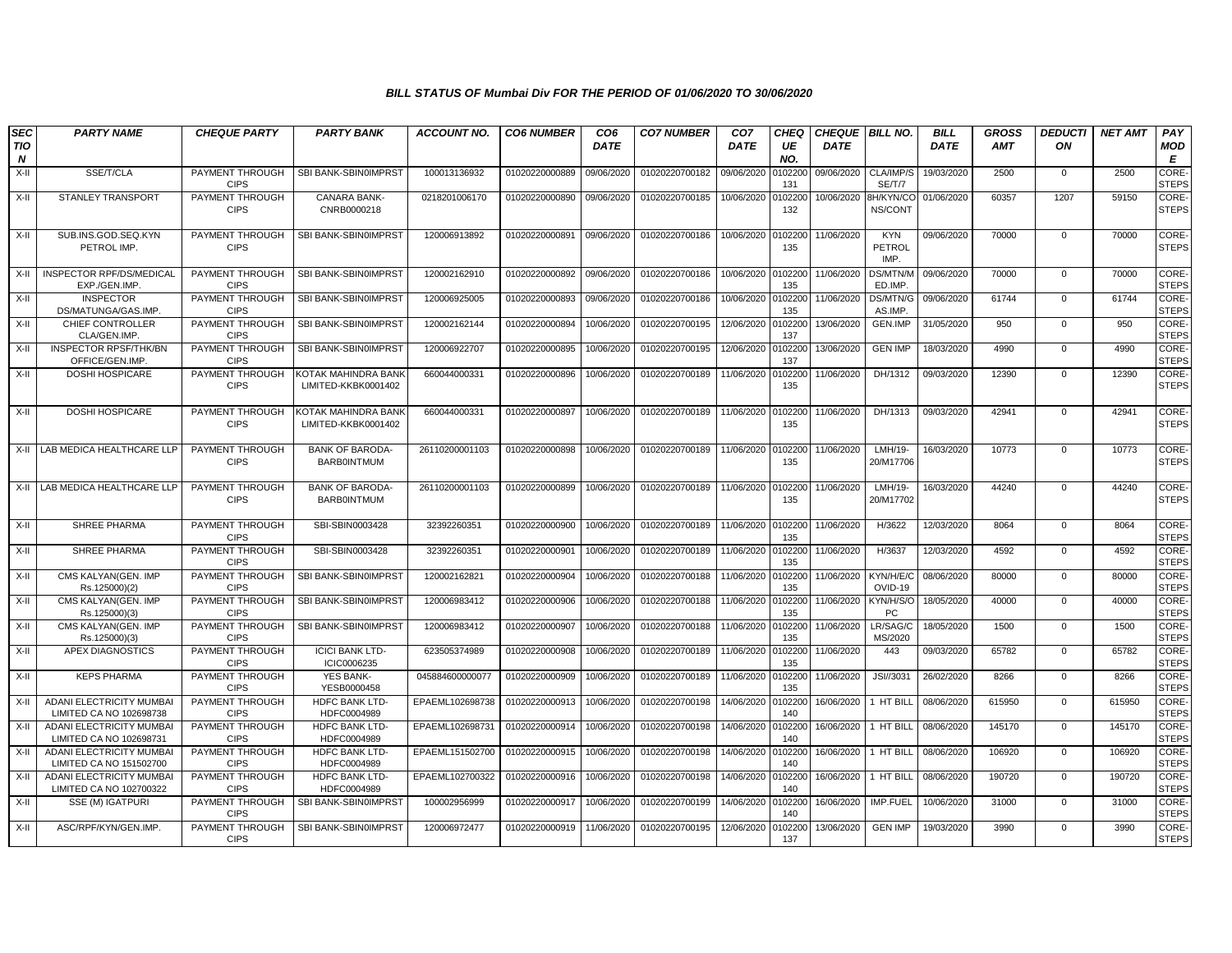| <b>SEC</b><br><b>TIO</b> | <b>PARTY NAME</b>                                          | <b>CHEQUE PARTY</b>                   | <b>PARTY BANK</b>                            | <b>ACCOUNT NO.</b> | <b>CO6 NUMBER</b>         | CO <sub>6</sub><br><b>DATE</b> | <b>CO7 NUMBER</b> | CO <sub>7</sub><br><b>DATE</b> | <b>CHEQ</b><br>UE | <b>CHEQUE BILL NO.</b><br><b>DATE</b> |                              | <b>BILL</b><br><b>DATE</b> | <b>GROSS</b><br><b>AMT</b> | <b>DEDUCTI</b><br>ON | <b>NET AMT</b> | PAY<br>MOD                  |
|--------------------------|------------------------------------------------------------|---------------------------------------|----------------------------------------------|--------------------|---------------------------|--------------------------------|-------------------|--------------------------------|-------------------|---------------------------------------|------------------------------|----------------------------|----------------------------|----------------------|----------------|-----------------------------|
| N                        |                                                            |                                       |                                              |                    |                           |                                |                   |                                | NO.               |                                       |                              |                            |                            |                      |                | E                           |
| $X-II$                   | SSE/T/CLA                                                  | PAYMENT THROUGH<br><b>CIPS</b>        | SBI BANK-SBIN0IMPRST                         | 100013136932       | 01020220000889            | 09/06/2020                     | 01020220700182    | 09/06/2020                     | 102200<br>131     | 09/06/2020                            | CLA/IMP/S<br>SE/T/7          | 19/03/2020                 | 2500                       | $\mathbf{0}$         | 2500           | <b>CORE</b><br><b>STEPS</b> |
| X-II                     | <b>STANLEY TRANSPORT</b>                                   | PAYMENT THROUGH<br><b>CIPS</b>        | <b>CANARA BANK-</b><br>CNRB0000218           | 0218201006170      | 01020220000890            | 09/06/2020                     | 01020220700185    | 10/06/2020                     | 102200<br>132     | 10/06/2020                            | <b>BH/KYN/CO</b><br>NS/CONT  | 01/06/2020                 | 60357                      | 1207                 | 59150          | CORE-<br><b>STEPS</b>       |
| $X-H$                    | SUB.INS.GOD.SEQ.KYN<br>PETROL IMP.                         | PAYMENT THROUGH<br><b>CIPS</b>        | SBI BANK-SBIN0IMPRST                         | 120006913892       | 01020220000891            | 09/06/2020                     | 01020220700186    | 10/06/2020                     | 102200<br>135     | 11/06/2020                            | <b>KYN</b><br>PETROL<br>IMP. | 09/06/2020                 | 70000                      | $\mathbf 0$          | 70000          | CORE-<br><b>STEPS</b>       |
| $X-II$                   | INSPECTOR RPF/DS/MEDICAL<br>EXP./GEN.IMP.                  | PAYMENT THROUGH<br><b>CIPS</b>        | SBI BANK-SBIN0IMPRST                         | 120002162910       | 01020220000892            | 09/06/2020                     | 01020220700186    | 10/06/2020                     | 102200<br>135     | 11/06/2020                            | DS/MTN/M<br>ED.IMP.          | 09/06/2020                 | 70000                      | $\mathbf 0$          | 70000          | CORE-<br><b>STEPS</b>       |
| $X-H$                    | <b>INSPECTOR</b><br>DS/MATUNGA/GAS.IMP.                    | PAYMENT THROUGH<br><b>CIPS</b>        | SBI BANK-SBIN0IMPRST                         | 120006925005       | 01020220000893            | 09/06/2020                     | 01020220700186    | 10/06/2020                     | 0102200<br>135    | 11/06/2020                            | DS/MTN/G<br>AS.IMP.          | 09/06/2020                 | 61744                      | $\mathbf{0}$         | 61744          | CORE-<br><b>STEPS</b>       |
| $X-II$                   | CHIEF CONTROLLER<br>CLA/GEN.IMP.                           | PAYMENT THROUGH<br><b>CIPS</b>        | SBI BANK-SBIN0IMPRST                         | 120002162144       | 01020220000894            | 10/06/2020                     | 01020220700195    | 12/06/2020                     | 102200<br>137     | 13/06/2020                            | <b>GEN.IMP</b>               | 31/05/2020                 | 950                        | $\mathbf 0$          | 950            | CORE-<br><b>STEPS</b>       |
| $X-II$                   | <b>INSPECTOR RPSF/THK/BN</b><br>OFFICE/GEN.IMP             | PAYMENT THROUGH<br><b>CIPS</b>        | SBI BANK-SBIN0IMPRST                         | 120006922707       | 01020220000895            | 10/06/2020                     | 01020220700195    | 12/06/2020                     | 102200<br>137     | 13/06/2020                            | <b>GEN IMP</b>               | 18/03/2020                 | 4990                       | $\Omega$             | 4990           | CORE-<br><b>STEPS</b>       |
| $X-II$                   | <b>DOSHI HOSPICARE</b>                                     | PAYMENT THROUGH<br><b>CIPS</b>        | KOTAK MAHINDRA BANK<br>LIMITED-KKBK0001402   | 660044000331       | 01020220000896            | 10/06/2020                     | 01020220700189    | 11/06/2020                     | 102200<br>135     | 11/06/2020                            | DH/1312                      | 09/03/2020                 | 12390                      | $\Omega$             | 12390          | CORE-<br><b>STEPS</b>       |
| $X-H$                    | <b>DOSHI HOSPICARE</b>                                     | PAYMENT THROUGH<br><b>CIPS</b>        | KOTAK MAHINDRA BANK<br>LIMITED-KKBK0001402   | 660044000331       | 01020220000897            | 10/06/2020                     | 01020220700189    | 11/06/2020                     | 102200<br>135     | 11/06/2020                            | DH/1313                      | 09/03/2020                 | 42941                      | $\mathbf{0}$         | 42941          | CORE-<br><b>STEPS</b>       |
|                          | X-II LAB MEDICA HEALTHCARE LLP                             | PAYMENT THROUGH<br><b>CIPS</b>        | <b>BANK OF BARODA-</b><br><b>BARB0INTMUM</b> | 26110200001103     | 01020220000898            | 10/06/2020                     | 01020220700189    | 11/06/2020                     | 102200<br>135     | 11/06/2020                            | LMH/19-<br>20/M17706         | 16/03/2020                 | 10773                      | $\mathbf 0$          | 10773          | CORE-<br><b>STEPS</b>       |
| $X-H$                    | LAB MEDICA HEALTHCARE LLP                                  | PAYMENT THROUGH<br><b>CIPS</b>        | <b>BANK OF BARODA-</b><br><b>BARBOINTMUM</b> | 26110200001103     | 01020220000899            | 10/06/2020                     | 01020220700189    | 11/06/2020                     | 102200<br>135     | 11/06/2020                            | LMH/19-<br>20/M17702         | 16/03/2020                 | 44240                      | $\mathbf 0$          | 44240          | CORE-<br><b>STEPS</b>       |
| $X-II$                   | <b>SHREE PHARMA</b>                                        | PAYMENT THROUGH<br><b>CIPS</b>        | SBI-SBIN0003428                              | 32392260351        | 01020220000900            | 10/06/2020                     | 01020220700189    | 11/06/2020                     | 102200<br>135     | 11/06/2020                            | H/3622                       | 12/03/2020                 | 8064                       | $\Omega$             | 8064           | CORE-<br><b>STEPS</b>       |
| X-II                     | SHREE PHARMA                                               | PAYMENT THROUGH<br><b>CIPS</b>        | SBI-SBIN0003428                              | 32392260351        | 01020220000901            | 10/06/2020                     | 01020220700189    | 11/06/2020                     | 102200<br>135     | 11/06/2020                            | H/3637                       | 12/03/2020                 | 4592                       | $\mathbf 0$          | 4592           | CORE-<br><b>STEPS</b>       |
| $X-II$                   | CMS KALYAN(GEN. IMP<br>Rs.125000)(2)                       | PAYMENT THROUGH<br><b>CIPS</b>        | SBI BANK-SBIN0IMPRST                         | 120002162821       | 01020220000904            | 10/06/2020                     | 01020220700188    | 11/06/2020                     | 102200<br>135     | 11/06/2020                            | KYN/H/E/C<br>OVID-19         | 08/06/2020                 | 80000                      | $\mathbf{0}$         | 80000          | CORE-<br><b>STEPS</b>       |
| $X-II$                   | CMS KALYAN(GEN. IMP<br>Rs.125000)(3)                       | PAYMENT THROUGH<br><b>CIPS</b>        | SBI BANK-SBIN0IMPRST                         | 120006983412       | 01020220000906            | 10/06/2020                     | 01020220700188    | 11/06/2020                     | 102200<br>135     | 11/06/2020                            | KYN/H/S/O<br><b>PC</b>       | 18/05/2020                 | 40000                      | $\mathbf 0$          | 40000          | CORE-<br><b>STEPS</b>       |
| $X-H$                    | CMS KALYAN(GEN. IMP<br>Rs.125000)(3)                       | PAYMENT THROUGH<br><b>CIPS</b>        | SBI BANK-SBIN0IMPRST                         | 120006983412       | 01020220000907            | 10/06/2020                     | 01020220700188    | 11/06/2020                     | 102200<br>135     | 11/06/2020                            | LR/SAG/C<br>MS/2020          | 18/05/2020                 | 1500                       | $\Omega$             | 1500           | CORE-<br><b>STEPS</b>       |
| $X-H$                    | APEX DIAGNOSTICS                                           | PAYMENT THROUGH<br><b>CIPS</b>        | <b>ICICI BANK LTD-</b><br>ICIC0006235        | 623505374989       | 01020220000908            | 10/06/2020                     | 01020220700189    | 11/06/2020                     | 102200<br>135     | 11/06/2020                            | 443                          | 09/03/2020                 | 65782                      | $\mathbf 0$          | 65782          | CORE-<br><b>STEPS</b>       |
| $X-H$                    | <b>KEPS PHARMA</b>                                         | PAYMENT THROUGH<br><b>CIPS</b>        | <b>YES BANK-</b><br>YESB0000458              | 045884600000077    | 01020220000909            | 10/06/2020                     | 01020220700189    | 11/06/2020                     | 102200<br>135     | 11/06/2020                            | JSI//3031                    | 26/02/2020                 | 8266                       | $\Omega$             | 8266           | CORE-<br><b>STEPS</b>       |
| $X-H$                    | ADANI ELECTRICITY MUMBAI<br>LIMITED CA NO 102698738        | <b>PAYMENT THROUGH</b><br><b>CIPS</b> | HDFC BANK LTD-<br>HDFC0004989                | EPAEML102698738    | 01020220000913            | 10/06/2020                     | 01020220700198    | 14/06/2020                     | 102200<br>140     | 16/06/2020                            | 1 HT BILL                    | 08/06/2020                 | 615950                     | $\mathbf 0$          | 615950         | CORE-<br><b>STEPS</b>       |
| X-II                     | ADANI ELECTRICITY MUMBAI<br>LIMITED CA NO 102698731        | PAYMENT THROUGH<br><b>CIPS</b>        | HDFC BANK LTD-<br>HDFC0004989                | EPAEML102698731    | 01020220000914            | 10/06/2020                     | 01020220700198    | 14/06/2020                     | 0102200<br>140    | 16/06/2020                            | 1 HT BILL                    | 08/06/2020                 | 145170                     | $\mathbf{0}$         | 145170         | CORE-<br><b>STEPS</b>       |
| $X-H$                    | ADANI ELECTRICITY MUMBAI<br>LIMITED CA NO 151502700        | PAYMENT THROUGH<br><b>CIPS</b>        | HDFC BANK LTD-<br>HDFC0004989                | EPAEML151502700    | 01020220000915            | 10/06/2020                     | 01020220700198    | 14/06/2020                     | 102200<br>140     | 16/06/2020                            | 1 HT BILL                    | 08/06/2020                 | 106920                     | $\mathbf 0$          | 106920         | CORE-<br><b>STEPS</b>       |
| $X-H$                    | <b>ADANI ELECTRICITY MUMBAI</b><br>LIMITED CA NO 102700322 | PAYMENT THROUGH<br><b>CIPS</b>        | HDFC BANK LTD-<br>HDFC0004989                | EPAEML102700322    | 01020220000916            | 10/06/2020                     | 01020220700198    | 14/06/2020                     | 102200<br>140     | 16/06/2020                            | 1 HT BILL                    | 08/06/2020                 | 190720                     | $\Omega$             | 190720         | CORE-<br><b>STEPS</b>       |
| X-II                     | SSE (M) IGATPURI                                           | PAYMENT THROUGH<br><b>CIPS</b>        | SBI BANK-SBIN0IMPRST                         | 100002956999       | 01020220000917            | 10/06/2020                     | 01020220700199    | 14/06/2020                     | 102200<br>140     | 16/06/2020                            | IMP.FUEL                     | 10/06/2020                 | 31000                      | $\mathbf 0$          | 31000          | CORE-<br><b>STEPS</b>       |
| $X-H$                    | ASC/RPF/KYN/GEN.IMP.                                       | PAYMENT THROUGH<br><b>CIPS</b>        | SBI BANK-SBIN0IMPRST                         | 120006972477       | 01020220000919 11/06/2020 |                                | 01020220700195    | 12/06/2020                     | 102200<br>137     | 13/06/2020                            | <b>GEN IMP</b>               | 19/03/2020                 | 3990                       | $\Omega$             | 3990           | CORE-<br><b>STEPS</b>       |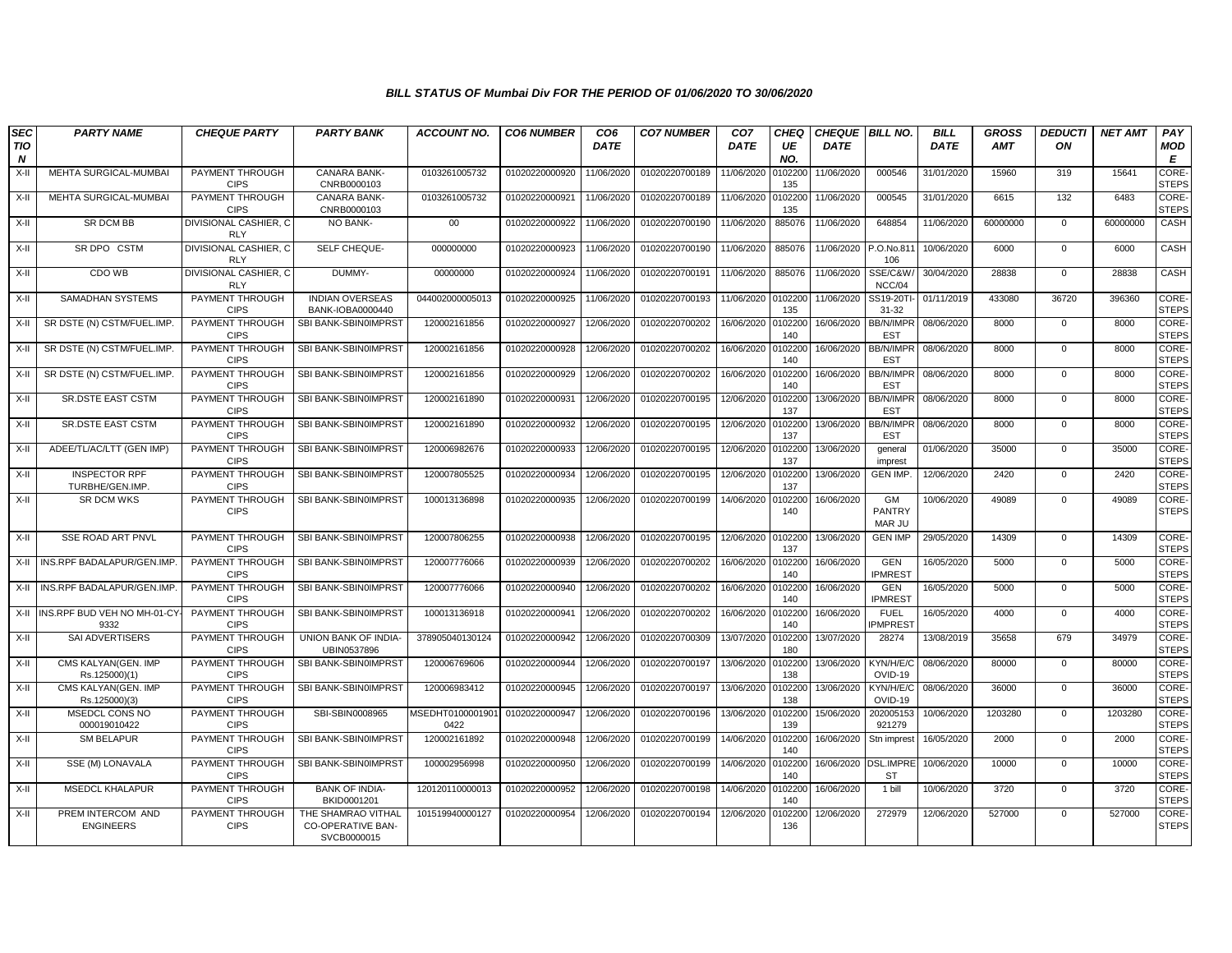| <b>SEC</b>                     | <b>PARTY NAME</b>                       | <b>CHEQUE PARTY</b>                        | <b>PARTY BANK</b>                                      | <b>ACCOUNT NO.</b>       | <b>CO6 NUMBER</b> | CO <sub>6</sub> | <b>CO7 NUMBER</b> | CO <sub>7</sub> | CHEQ           | <b>CHEQUE BILL NO.</b> |                                    | <b>BILL</b> | <b>GROSS</b> | <b>DEDUCTI</b> | <b>NET AMT</b> | PAY                          |
|--------------------------------|-----------------------------------------|--------------------------------------------|--------------------------------------------------------|--------------------------|-------------------|-----------------|-------------------|-----------------|----------------|------------------------|------------------------------------|-------------|--------------|----------------|----------------|------------------------------|
| <b>TIO</b><br>$\boldsymbol{N}$ |                                         |                                            |                                                        |                          |                   | <b>DATE</b>     |                   | <b>DATE</b>     | UE<br>NO.      | <b>DATE</b>            |                                    | <b>DATE</b> | <b>AMT</b>   | ON             |                | MOD<br>E                     |
| X-II                           | MEHTA SURGICAL-MUMBAI                   | PAYMENT THROUGH<br><b>CIPS</b>             | <b>CANARA BANK-</b><br>CNRB0000103                     | 0103261005732            | 01020220000920    | 11/06/2020      | 01020220700189    | 11/06/2020      | 0102200<br>135 | 11/06/2020             | 000546                             | 31/01/2020  | 15960        | 319            | 15641          | <b>CORE</b><br><b>STEPS</b>  |
| X-II                           | MEHTA SURGICAL-MUMBAI                   | PAYMENT THROUGH<br><b>CIPS</b>             | <b>CANARA BANK-</b><br>CNRB0000103                     | 0103261005732            | 01020220000921    | 11/06/2020      | 01020220700189    | 11/06/2020      | 0102200<br>135 | 11/06/2020             | 000545                             | 31/01/2020  | 6615         | 132            | 6483           | CORE-<br><b>STEPS</b>        |
| X-II                           | SR DCM BB                               | DIVISIONAL CASHIER, C<br><b>RLY</b>        | NO BANK-                                               | $00\,$                   | 01020220000922    | 11/06/2020      | 01020220700190    | 11/06/2020      | 885076         | 11/06/2020             | 648854                             | 11/06/2020  | 60000000     | $\mathbf 0$    | 60000000       | CASH                         |
| $X-H$                          | SR DPO CSTM                             | <b>DIVISIONAL CASHIER, C</b><br><b>RLY</b> | SELF CHEQUE-                                           | 000000000                | 01020220000923    | 11/06/2020      | 01020220700190    | 11/06/2020      | 885076         | 11/06/2020             | P.O.No.81<br>106                   | 10/06/2020  | 6000         | $\mathbf 0$    | 6000           | CASH                         |
| X-II                           | CDO WB                                  | DIVISIONAL CASHIER. C<br><b>RLY</b>        | DUMMY-                                                 | 00000000                 | 01020220000924    | 11/06/2020      | 01020220700191    | 11/06/2020      | 885076         | 11/06/2020             | SSE/C&W.<br>NCC/04                 | 30/04/2020  | 28838        | $\mathbf 0$    | 28838          | CASH                         |
| X-II                           | SAMADHAN SYSTEMS                        | PAYMENT THROUGH<br><b>CIPS</b>             | <b>INDIAN OVERSEAS</b><br>BANK-IOBA0000440             | 044002000005013          | 01020220000925    | 11/06/2020      | 01020220700193    | 11/06/2020      | 0102200<br>135 | 11/06/2020             | SS19-20TI<br>31-32                 | 01/11/2019  | 433080       | 36720          | 396360         | CORE-<br><b>STEPS</b>        |
| X-II                           | SR DSTE (N) CSTM/FUEL.IMP.              | PAYMENT THROUGH<br><b>CIPS</b>             | SBI BANK-SBIN0IMPRST                                   | 120002161856             | 01020220000927    | 12/06/2020      | 01020220700202    | 16/06/2020      | 010220<br>140  | 16/06/2020             | <b>BB/N/IMPR</b><br><b>EST</b>     | 08/06/2020  | 8000         | $\Omega$       | 8000           | CORE-<br><b>STEPS</b>        |
| X-II                           | SR DSTE (N) CSTM/FUEL.IMP.              | PAYMENT THROUGH<br><b>CIPS</b>             | SBI BANK-SBIN0IMPRST                                   | 120002161856             | 01020220000928    | 12/06/2020      | 01020220700202    | 16/06/2020      | 010220<br>140  | 16/06/2020             | BB/N/IMPR<br><b>EST</b>            | 08/06/2020  | 8000         | $\mathbf 0$    | 8000           | <b>CORE-</b><br><b>STEPS</b> |
| X-II                           | SR DSTE (N) CSTM/FUEL.IMP.              | PAYMENT THROUGH<br><b>CIPS</b>             | SBI BANK-SBIN0IMPRST                                   | 120002161856             | 01020220000929    | 12/06/2020      | 01020220700202    | 16/06/2020      | 0102200<br>140 | 16/06/2020             | <b>BB/N/IMPR</b><br><b>EST</b>     | 08/06/2020  | 8000         | $\mathbf{0}$   | 8000           | CORE-<br><b>STEPS</b>        |
| X-II                           | SR.DSTE EAST CSTM                       | PAYMENT THROUGH<br><b>CIPS</b>             | SBI BANK-SBIN0IMPRST                                   | 120002161890             | 01020220000931    | 12/06/2020      | 01020220700195    | 12/06/2020      | 0102200<br>137 | 13/06/2020             | <b>BB/N/IMPR</b><br><b>EST</b>     | 08/06/2020  | 8000         | $\mathbf 0$    | 8000           | CORE-<br><b>STEPS</b>        |
| X-II                           | <b>SR.DSTE EAST CSTM</b>                | PAYMENT THROUGH<br><b>CIPS</b>             | SBI BANK-SBIN0IMPRST                                   | 120002161890             | 01020220000932    | 12/06/2020      | 01020220700195    | 12/06/2020      | 010220<br>137  | 13/06/2020             | <b>BB/N/IMPR</b><br><b>EST</b>     | 08/06/2020  | 8000         | $\mathbf{0}$   | 8000           | <b>CORE-</b><br><b>STEPS</b> |
| X-II                           | ADEE/TL/AC/LTT (GEN IMP)                | PAYMENT THROUGH<br><b>CIPS</b>             | SBI BANK-SBIN0IMPRST                                   | 120006982676             | 01020220000933    | 12/06/2020      | 01020220700195    | 12/06/2020      | 0102200<br>137 | 13/06/2020             | qeneral<br>imprest                 | 01/06/2020  | 35000        | $\mathbf 0$    | 35000          | CORE-<br><b>STEPS</b>        |
| $X-H$                          | <b>INSPECTOR RPF</b><br>TURBHE/GEN.IMP. | PAYMENT THROUGH<br><b>CIPS</b>             | SBI BANK-SBIN0IMPRST                                   | 120007805525             | 01020220000934    | 12/06/2020      | 01020220700195    | 12/06/2020      | 0102200<br>137 | 13/06/2020             | <b>GEN IMP.</b>                    | 12/06/2020  | 2420         | $\mathbf 0$    | 2420           | CORE-<br><b>STEPS</b>        |
| X-II                           | <b>SR DCM WKS</b>                       | PAYMENT THROUGH<br><b>CIPS</b>             | SBI BANK-SBIN0IMPRST                                   | 100013136898             | 01020220000935    | 12/06/2020      | 01020220700199    | 14/06/2020      | 0102200<br>140 | 16/06/2020             | GM<br><b>PANTRY</b><br>MAR JU      | 10/06/2020  | 49089        | $\mathbf{0}$   | 49089          | CORE-<br><b>STEPS</b>        |
| X-II                           | <b>SSE ROAD ART PNVL</b>                | PAYMENT THROUGH<br><b>CIPS</b>             | SBI BANK-SBIN0IMPRST                                   | 120007806255             | 01020220000938    | 12/06/2020      | 01020220700195    | 12/06/2020      | 0102200<br>137 | 13/06/2020             | <b>GEN IMP</b>                     | 29/05/2020  | 14309        | $\mathbf{0}$   | 14309          | <b>CORE</b><br><b>STEPS</b>  |
|                                | X-II INS.RPF BADALAPUR/GEN.IMP          | PAYMENT THROUGH<br><b>CIPS</b>             | SBI BANK-SBIN0IMPRST                                   | 120007776066             | 01020220000939    | 12/06/2020      | 01020220700202    | 16/06/2020      | 0102200<br>140 | 16/06/2020             | <b>GEN</b><br><b>IPMREST</b>       | 16/05/2020  | 5000         | $\Omega$       | 5000           | CORE-<br><b>STEPS</b>        |
| X-II                           | INS.RPF BADALAPUR/GEN.IMP               | PAYMENT THROUGH<br><b>CIPS</b>             | SBI BANK-SBIN0IMPRST                                   | 120007776066             | 01020220000940    | 12/06/2020      | 01020220700202    | 16/06/2020      | 0102200<br>140 | 16/06/2020             | <b>GEN</b><br><b>IPMREST</b>       | 16/05/2020  | 5000         | $\mathbf 0$    | 5000           | <b>CORE-</b><br><b>STEPS</b> |
| X-II                           | INS.RPF BUD VEH NO MH-01-CY<br>9332     | PAYMENT THROUGH<br><b>CIPS</b>             | SBI BANK-SBIN0IMPRST                                   | 100013136918             | 01020220000941    | 12/06/2020      | 01020220700202    | 16/06/2020      | 010220<br>140  | 16/06/2020             | <b>FUEL</b><br>PMPRES <sup>-</sup> | 16/05/2020  | 4000         | $\mathbf{0}$   | 4000           | CORE-<br><b>STEPS</b>        |
| $X-II$                         | SAI ADVERTISERS                         | PAYMENT THROUGH<br><b>CIPS</b>             | UNION BANK OF INDIA-<br>UBIN0537896                    | 378905040130124          | 01020220000942    | 12/06/2020      | 01020220700309    | 13/07/2020      | 0102200<br>180 | 13/07/2020             | 28274                              | 13/08/2019  | 35658        | 679            | 34979          | CORE-<br><b>STEPS</b>        |
| X-II                           | CMS KALYAN(GEN. IMP<br>Rs.125000)(1)    | PAYMENT THROUGH<br><b>CIPS</b>             | SBI BANK-SBIN0IMPRST                                   | 120006769606             | 01020220000944    | 12/06/2020      | 01020220700197    | 13/06/2020      | 0102200<br>138 | 13/06/2020             | KYN/H/E/C<br>OVID-19               | 08/06/2020  | 80000        | $\overline{0}$ | 80000          | CORE-<br><b>STEPS</b>        |
| X-II                           | CMS KALYAN(GEN. IMP<br>Rs.125000)(3)    | PAYMENT THROUGH<br><b>CIPS</b>             | SBI BANK-SBIN0IMPRST                                   | 120006983412             | 01020220000945    | 12/06/2020      | 01020220700197    | 13/06/2020      | 0102200<br>138 | 13/06/2020             | KYN/H/E/C<br>OVID-19               | 08/06/2020  | 36000        | $\mathbf 0$    | 36000          | CORE-<br><b>STEPS</b>        |
| X-II                           | MSEDCL CONS NO<br>000019010422          | PAYMENT THROUGH<br><b>CIPS</b>             | SBI-SBIN0008965                                        | MSEDHT0100001901<br>0422 | 01020220000947    | 12/06/2020      | 01020220700196    | 13/06/2020      | 010220<br>139  | 15/06/2020             | 202005153<br>921279                | 10/06/2020  | 1203280      | $\mathbf 0$    | 1203280        | CORE-<br><b>STEPS</b>        |
| X-II                           | <b>SM BELAPUR</b>                       | PAYMENT THROUGH<br><b>CIPS</b>             | SBI BANK-SBIN0IMPRST                                   | 120002161892             | 01020220000948    | 12/06/2020      | 01020220700199    | 14/06/2020      | 0102200<br>140 | 16/06/2020             | Stn imprest                        | 16/05/2020  | 2000         | $\mathbf 0$    | 2000           | CORE-<br><b>STEPS</b>        |
| X-II                           | SSE (M) LONAVALA                        | PAYMENT THROUGH<br><b>CIPS</b>             | SBI BANK-SBIN0IMPRST                                   | 100002956998             | 01020220000950    | 12/06/2020      | 01020220700199    | 14/06/2020      | 0102200<br>140 |                        | 16/06/2020 DSL.IMPRE<br>ST         | 10/06/2020  | 10000        | $\mathbf 0$    | 10000          | <b>CORE-</b><br><b>STEPS</b> |
| X-II                           | <b>MSEDCL KHALAPUR</b>                  | PAYMENT THROUGH<br><b>CIPS</b>             | <b>BANK OF INDIA-</b><br>BKID0001201                   | 120120110000013          | 01020220000952    | 12/06/2020      | 01020220700198    | 14/06/2020      | 010220<br>140  | 16/06/2020             | 1 bill                             | 10/06/2020  | 3720         | $\mathbf 0$    | 3720           | CORE-<br><b>STEPS</b>        |
| X-II                           | PREM INTERCOM AND<br><b>ENGINEERS</b>   | PAYMENT THROUGH<br><b>CIPS</b>             | THE SHAMRAO VITHAL<br>CO-OPERATIVE BAN-<br>SVCB0000015 | 101519940000127          | 01020220000954    | 12/06/2020      | 01020220700194    | 12/06/2020      | 0102200<br>136 | 12/06/2020             | 272979                             | 12/06/2020  | 527000       | $\mathbf{0}$   | 527000         | CORE-<br><b>STEPS</b>        |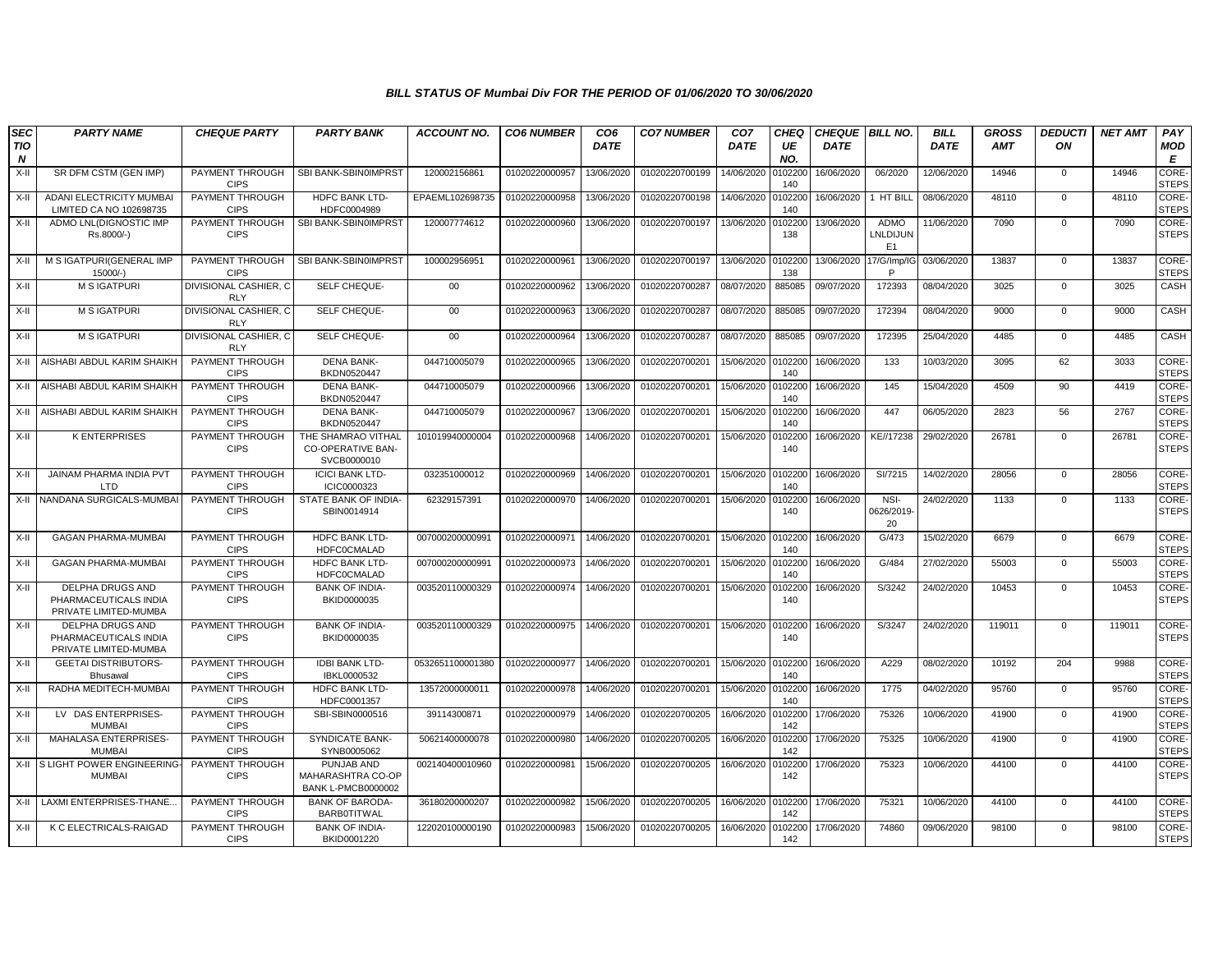| <b>SEC</b><br><b>TIO</b><br>N | <b>PARTY NAME</b>                                                  | <b>CHEQUE PARTY</b>                 | <b>PARTY BANK</b>                                                   | <b>ACCOUNT NO.</b> | <b>CO6 NUMBER</b> | CO <sub>6</sub><br><b>DATE</b> | <b>CO7 NUMBER</b> | CO <sub>7</sub><br><b>DATE</b> | <b>CHEQ</b><br>UE<br>NO. | <b>CHEQUE BILL NO.</b><br><b>DATE</b> |                                    | <b>BILL</b><br><b>DATE</b> | <b>GROSS</b><br><b>AMT</b> | <b>DEDUCTI</b><br>ON | <b>NET AMT</b> | PAY<br>MOD<br>Е              |
|-------------------------------|--------------------------------------------------------------------|-------------------------------------|---------------------------------------------------------------------|--------------------|-------------------|--------------------------------|-------------------|--------------------------------|--------------------------|---------------------------------------|------------------------------------|----------------------------|----------------------------|----------------------|----------------|------------------------------|
| $X-II$                        | SR DFM CSTM (GEN IMP)                                              | PAYMENT THROUGH<br><b>CIPS</b>      | SBI BANK-SBIN0IMPRST                                                | 120002156861       | 01020220000957    | 13/06/2020                     | 01020220700199    | 14/06/2020                     | 0102200<br>140           | 16/06/2020                            | 06/2020                            | 12/06/2020                 | 14946                      | 0                    | 14946          | <b>CORE-</b><br><b>STEPS</b> |
| X-II                          | <b>ADANI ELECTRICITY MUMBAI</b><br>LIMITED CA NO 102698735         | PAYMENT THROUGH<br><b>CIPS</b>      | <b>HDFC BANK LTD-</b><br>HDFC0004989                                | EPAEML102698735    | 01020220000958    | 13/06/2020                     | 01020220700198    | 14/06/2020                     | 0102200<br>140           | 16/06/2020                            | 1 HT BILL                          | 08/06/2020                 | 48110                      | $\mathbf{0}$         | 48110          | CORE-<br><b>STEPS</b>        |
| $X-II$                        | ADMO LNL(DIGNOSTIC IMP<br>Rs.8000/-)                               | PAYMENT THROUGH<br><b>CIPS</b>      | SBI BANK-SBIN0IMPRST                                                | 120007774612       | 01020220000960    | 13/06/2020                     | 01020220700197    | 13/06/2020                     | 10220<br>138             | 13/06/2020                            | ADMO<br>LNLDIJUN<br>E <sub>1</sub> | 11/06/2020                 | 7090                       | $\mathsf 0$          | 7090           | CORE-<br><b>STEPS</b>        |
| $X-H$                         | M S IGATPURI(GENERAL IMP<br>15000/                                 | PAYMENT THROUGH<br><b>CIPS</b>      | SBI BANK-SBIN0IMPRST                                                | 100002956951       | 01020220000961    | 13/06/2020                     | 01020220700197    | 13/06/2020                     | 0102200<br>138           | 13/06/2020                            | 17/G/Imp/I0<br>P                   | 03/06/2020                 | 13837                      | $\mathbf{0}$         | 13837          | CORE-<br><b>STEPS</b>        |
| $X-H$                         | <b>M S IGATPURI</b>                                                | DIVISIONAL CASHIER, C<br><b>RLY</b> | SELF CHEQUE-                                                        | $00\,$             | 01020220000962    | 13/06/2020                     | 01020220700287    | 08/07/2020                     | 885085                   | 09/07/2020                            | 172393                             | 08/04/2020                 | 3025                       | $\mathbf 0$          | 3025           | CASH                         |
| $X-II$                        | <b>M S IGATPURI</b>                                                | DIVISIONAL CASHIER, C<br><b>RLY</b> | SELF CHEQUE-                                                        | 00                 | 01020220000963    | 13/06/2020                     | 01020220700287    | 08/07/2020                     | 885085                   | 09/07/2020                            | 172394                             | 08/04/2020                 | 9000                       | $\mathbf{0}$         | 9000           | CASH                         |
| $X-H$                         | <b>M S IGATPURI</b>                                                | DIVISIONAL CASHIER, C<br><b>RLY</b> | SELF CHEQUE-                                                        | $00\,$             | 01020220000964    | 13/06/2020                     | 01020220700287    | 08/07/2020                     | 885085                   | 09/07/2020                            | 172395                             | 25/04/2020                 | 4485                       | $\mathbf 0$          | 4485           | CASH                         |
| X-II                          | AISHABI ABDUL KARIM SHAIKH                                         | PAYMENT THROUGH<br><b>CIPS</b>      | DENA BANK-<br>BKDN0520447                                           | 044710005079       | 01020220000965    | 13/06/2020                     | 01020220700201    | 15/06/2020                     | 0102200<br>140           | 16/06/2020                            | 133                                | 10/03/2020                 | 3095                       | 62                   | 3033           | CORE-<br><b>STEPS</b>        |
| X-II                          | AISHABI ABDUL KARIM SHAIKH                                         | PAYMENT THROUGH<br><b>CIPS</b>      | <b>DENA BANK-</b><br>BKDN0520447                                    | 044710005079       | 01020220000966    | 13/06/2020                     | 01020220700201    | 15/06/2020                     | 0102200<br>140           | 16/06/2020                            | 145                                | 15/04/2020                 | 4509                       | 90                   | 4419           | CORE-<br><b>STEPS</b>        |
| $X-H$                         | AISHABI ABDUL KARIM SHAIKH                                         | PAYMENT THROUGH<br><b>CIPS</b>      | <b>DENA BANK-</b><br>BKDN0520447                                    | 044710005079       | 01020220000967    | 13/06/2020                     | 01020220700201    | 15/06/2020                     | 0102200<br>140           | 16/06/2020                            | 447                                | 06/05/2020                 | 2823                       | 56                   | 2767           | CORE-<br><b>STEPS</b>        |
| X-II                          | <b>K ENTERPRISES</b>                                               | PAYMENT THROUGH<br><b>CIPS</b>      | THE SHAMRAO VITHAL<br>CO-OPERATIVE BAN-<br>SVCB0000010              | 101019940000004    | 01020220000968    | 14/06/2020                     | 01020220700201    | 15/06/2020                     | 0102200<br>140           | 16/06/2020                            | KE//17238                          | 29/02/2020                 | 26781                      | $\mathbf 0$          | 26781          | CORE-<br><b>STEPS</b>        |
| $X-II$                        | <b>JAINAM PHARMA INDIA PVT</b><br>I TD                             | PAYMENT THROUGH<br><b>CIPS</b>      | <b>ICICI BANK LTD-</b><br>ICIC0000323                               | 032351000012       | 01020220000969    | 14/06/2020                     | 01020220700201    | 15/06/2020                     | 010220<br>140            | 16/06/2020                            | SI/7215                            | 14/02/2020                 | 28056                      | $\mathbf 0$          | 28056          | CORE-<br><b>STEPS</b>        |
| X-II                          | NANDANA SURGICALS-MUMBA                                            | PAYMENT THROUGH<br><b>CIPS</b>      | STATE BANK OF INDIA-<br>SBIN0014914                                 | 62329157391        | 01020220000970    | 14/06/2020                     | 01020220700201    | 15/06/2020                     | 0102200<br>140           | 16/06/2020                            | NSI-<br>0626/2019<br>20            | 24/02/2020                 | 1133                       | $\mathbf 0$          | 1133           | CORE-<br><b>STEPS</b>        |
| $X-H$                         | <b>GAGAN PHARMA-MUMBAI</b>                                         | PAYMENT THROUGH<br><b>CIPS</b>      | HDFC BANK LTD-<br><b>HDFC0CMALAD</b>                                | 007000200000991    | 01020220000971    | 14/06/2020                     | 01020220700201    | 15/06/2020                     | 0102200<br>140           | 16/06/2020                            | G/473                              | 15/02/2020                 | 6679                       | $\mathbf 0$          | 6679           | CORE-<br><b>STEPS</b>        |
| $X-II$                        | <b>GAGAN PHARMA-MUMBAI</b>                                         | PAYMENT THROUGH<br><b>CIPS</b>      | <b>HDFC BANK LTD-</b><br><b>HDFC0CMALAD</b>                         | 007000200000991    | 01020220000973    | 14/06/2020                     | 01020220700201    | 15/06/2020                     | 0102200<br>140           | 16/06/2020                            | G/484                              | 27/02/2020                 | 55003                      | $\Omega$             | 55003          | CORE-<br><b>STEPS</b>        |
| $X-H$                         | DELPHA DRUGS AND<br>PHARMACEUTICALS INDIA<br>PRIVATE LIMITED-MUMBA | PAYMENT THROUGH<br><b>CIPS</b>      | <b>BANK OF INDIA-</b><br>BKID0000035                                | 003520110000329    | 01020220000974    | 14/06/2020                     | 01020220700201    | 15/06/2020                     | 0102200<br>140           | 16/06/2020                            | S/3242                             | 24/02/2020                 | 10453                      | $\mathbf{0}$         | 10453          | CORE-<br><b>STEPS</b>        |
| $X-II$                        | DELPHA DRUGS AND<br>PHARMACEUTICALS INDIA<br>PRIVATE LIMITED-MUMBA | PAYMENT THROUGH<br><b>CIPS</b>      | <b>BANK OF INDIA-</b><br>BKID0000035                                | 003520110000329    | 01020220000975    | 14/06/2020                     | 01020220700201    | 15/06/2020                     | 0102200<br>140           | 16/06/2020                            | S/3247                             | 24/02/2020                 | 119011                     | $\mathbf{0}$         | 119011         | CORE-<br><b>STEPS</b>        |
| $X-II$                        | <b>GEETAI DISTRIBUTORS-</b><br><b>Bhusawal</b>                     | PAYMENT THROUGH<br><b>CIPS</b>      | <b>IDBI BANK LTD-</b><br>IBKL0000532                                | 0532651100001380   | 01020220000977    | 14/06/2020                     | 01020220700201    | 15/06/2020                     | 0102200<br>140           | 16/06/2020                            | A229                               | 08/02/2020                 | 10192                      | 204                  | 9988           | CORE-<br><b>STEPS</b>        |
| $X-II$                        | RADHA MEDITECH-MUMBAI                                              | PAYMENT THROUGH<br><b>CIPS</b>      | HDFC BANK LTD-<br>HDFC0001357                                       | 13572000000011     | 01020220000978    | 14/06/2020                     | 01020220700201    | 15/06/2020                     | 0102200<br>140           | 16/06/2020                            | 1775                               | 04/02/2020                 | 95760                      | $\mathbf{0}$         | 95760          | CORE-<br><b>STEPS</b>        |
| X-II                          | LV DAS ENTERPRISES-<br><b>MUMBAI</b>                               | PAYMENT THROUGH<br><b>CIPS</b>      | SBI-SBIN0000516                                                     | 39114300871        | 01020220000979    | 14/06/2020                     | 01020220700205    | 16/06/2020                     | 0102200<br>142           | 17/06/2020                            | 75326                              | 10/06/2020                 | 41900                      | $\mathbf 0$          | 41900          | CORE-<br><b>STEPS</b>        |
| X-II                          | MAHALASA ENTERPRISES-<br><b>MUMBAI</b>                             | PAYMENT THROUGH<br><b>CIPS</b>      | <b>SYNDICATE BANK-</b><br>SYNB0005062                               | 50621400000078     | 01020220000980    | 14/06/2020                     | 01020220700205    | 16/06/2020                     | 0102200<br>142           | 17/06/2020                            | 75325                              | 10/06/2020                 | 41900                      | $\mathbf{0}$         | 41900          | CORE-<br><b>STEPS</b>        |
| X-II                          | S LIGHT POWER ENGINEERING<br><b>MUMBAI</b>                         | PAYMENT THROUGH<br><b>CIPS</b>      | PUNJAB AND<br><b>MAHARASHTRA CO-OP</b><br><b>BANK L-PMCB0000002</b> | 002140400010960    | 01020220000981    | 15/06/2020                     | 01020220700205    | 16/06/2020                     | 0102200<br>142           | 17/06/2020                            | 75323                              | 10/06/2020                 | 44100                      | $\mathbf 0$          | 44100          | CORE-<br><b>STEPS</b>        |
| $X-H$                         | LAXMI ENTERPRISES-THANE                                            | PAYMENT THROUGH<br><b>CIPS</b>      | <b>BANK OF BARODA</b><br><b>BARBOTITWAL</b>                         | 36180200000207     | 01020220000982    | 15/06/2020                     | 01020220700205    | 16/06/2020                     | 0102200<br>142           | 17/06/2020                            | 75321                              | 10/06/2020                 | 44100                      | $\mathbf 0$          | 44100          | CORE-<br><b>STEPS</b>        |
| $X-H$                         | K C ELECTRICALS-RAIGAD                                             | PAYMENT THROUGH<br><b>CIPS</b>      | <b>BANK OF INDIA-</b><br>BKID0001220                                | 122020100000190    | 01020220000983    | 15/06/2020                     | 01020220700205    | 16/06/2020                     | 0102200<br>142           | 17/06/2020                            | 74860                              | 09/06/2020                 | 98100                      | $\Omega$             | 98100          | CORE-<br><b>STEPS</b>        |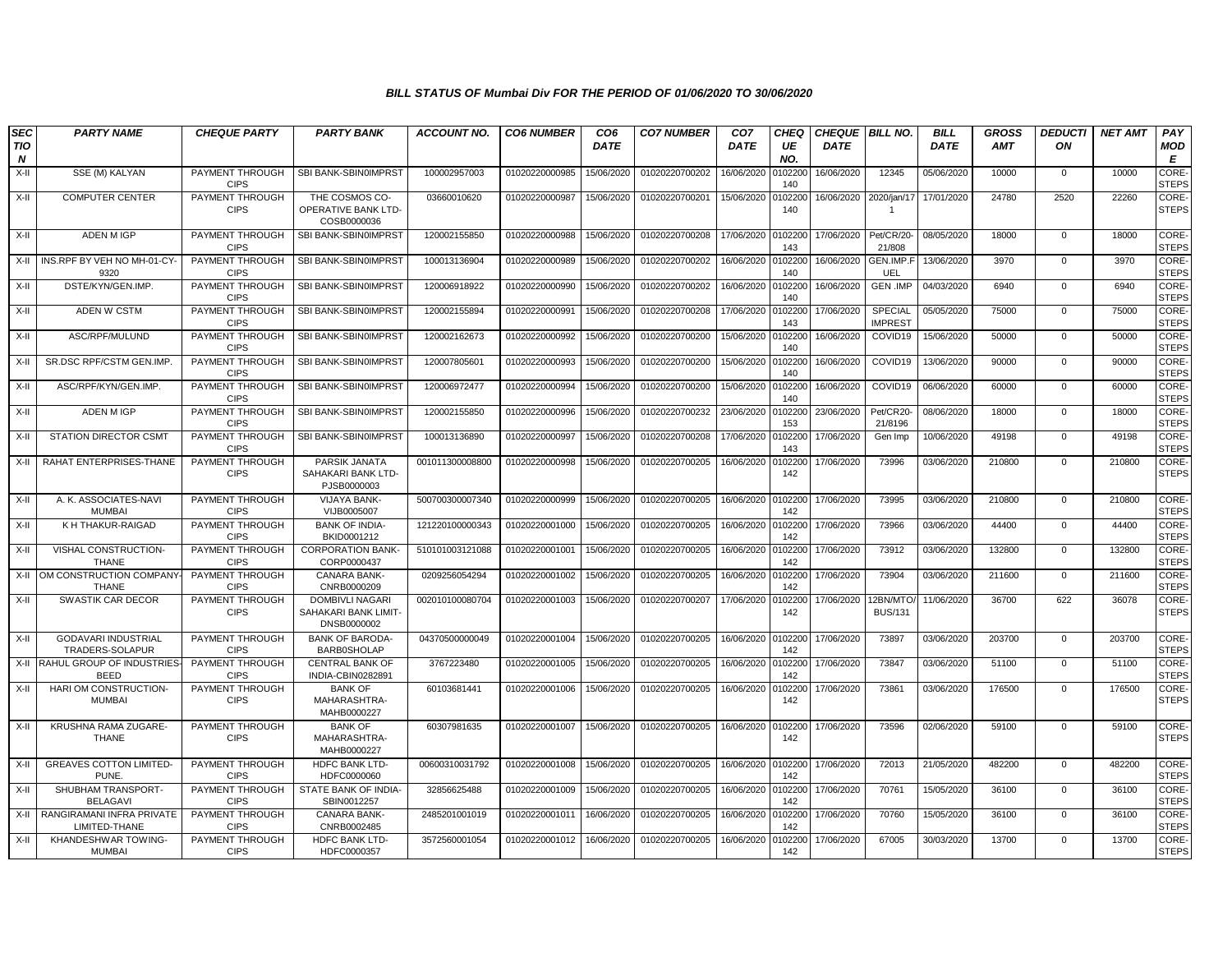| <b>SEC</b><br><b>TIO</b> | <b>PARTY NAME</b>                             | <b>CHEQUE PARTY</b>                   | <b>PARTY BANK</b>                                      | <b>ACCOUNT NO.</b> | <b>CO6 NUMBER</b> | CO <sub>6</sub><br><b>DATE</b> | <b>CO7 NUMBER</b> | CO <sub>7</sub><br><b>DATE</b> | CHEQ<br>UE     | <b>CHEQUE   BILL NO.</b><br><b>DATE</b> |                            | <b>BILL</b><br><b>DATE</b> | <b>GROSS</b><br><b>AMT</b> | <b>DEDUCTI</b><br>ON | <b>NET AMT</b> | PAY<br><b>MOD</b>            |
|--------------------------|-----------------------------------------------|---------------------------------------|--------------------------------------------------------|--------------------|-------------------|--------------------------------|-------------------|--------------------------------|----------------|-----------------------------------------|----------------------------|----------------------------|----------------------------|----------------------|----------------|------------------------------|
| N                        |                                               |                                       |                                                        |                    |                   |                                |                   |                                | NO.            |                                         |                            |                            |                            |                      |                | E                            |
| X-II                     | SSE (M) KALYAN                                | PAYMENT THROUGH<br><b>CIPS</b>        | SBI BANK-SBIN0IMPRST                                   | 100002957003       | 01020220000985    | 15/06/2020                     | 01020220700202    | 16/06/2020                     | 010220<br>140  | 16/06/2020                              | 12345                      | 05/06/2020                 | 10000                      | $\mathbf{0}$         | 10000          | CORE-<br><b>STEPS</b>        |
| X-II                     | <b>COMPUTER CENTER</b>                        | PAYMENT THROUGH<br><b>CIPS</b>        | THE COSMOS CO-<br>OPERATIVE BANK LTD-<br>COSB0000036   | 03660010620        | 01020220000987    | 15/06/2020                     | 01020220700201    | 15/06/2020                     | 0102200<br>140 | 16/06/2020                              | 2020/jan/17                | 17/01/2020                 | 24780                      | 2520                 | 22260          | CORE-<br><b>STEPS</b>        |
| $X-H$                    | ADEN M IGP                                    | PAYMENT THROUGH<br><b>CIPS</b>        | SBI BANK-SBIN0IMPRST                                   | 120002155850       | 01020220000988    | 15/06/2020                     | 01020220700208    | 17/06/2020                     | 0102200<br>143 | 17/06/2020                              | Pet/CR/20<br>21/808        | 08/05/2020                 | 18000                      | $\mathbf 0$          | 18000          | <b>CORE-</b><br><b>STEPS</b> |
| X-II                     | INS.RPF BY VEH NO MH-01-CY-<br>9320           | PAYMENT THROUGH<br><b>CIPS</b>        | SBI BANK-SBIN0IMPRST                                   | 100013136904       | 01020220000989    | 15/06/2020                     | 01020220700202    | 16/06/2020                     | 0102200<br>140 | 16/06/2020                              | GEN.IMP.F<br>UEL           | 13/06/2020                 | 3970                       | $\mathbf{0}$         | 3970           | CORE-<br><b>STEPS</b>        |
| X-II                     | DSTE/KYN/GEN.IMP.                             | PAYMENT THROUGH<br><b>CIPS</b>        | SBI BANK-SBIN0IMPRST                                   | 120006918922       | 01020220000990    | 15/06/2020                     | 01020220700202    | 16/06/2020                     | 0102200<br>140 | 16/06/2020                              | <b>GEN .IMP</b>            | 04/03/2020                 | 6940                       | $\mathbf 0$          | 6940           | CORE-<br><b>STEPS</b>        |
| X-II                     | ADEN W CSTM                                   | PAYMENT THROUGH<br><b>CIPS</b>        | SBI BANK-SBIN0IMPRST                                   | 120002155894       | 01020220000991    | 15/06/2020                     | 01020220700208    | 17/06/2020                     | 0102200<br>143 | 17/06/2020                              | SPECIAL<br><b>IMPREST</b>  | 05/05/2020                 | 75000                      | $\mathbf 0$          | 75000          | CORE-<br><b>STEPS</b>        |
| X-II                     | ASC/RPF/MULUND                                | PAYMENT THROUGH<br><b>CIPS</b>        | SBI BANK-SBIN0IMPRST                                   | 120002162673       | 01020220000992    | 15/06/2020                     | 01020220700200    | 15/06/2020                     | 0102200<br>140 | 16/06/2020                              | COVID19                    | 15/06/2020                 | 50000                      | $\mathbf 0$          | 50000          | CORE-<br><b>STEPS</b>        |
| X-II                     | SR.DSC RPF/CSTM GEN.IMP.                      | PAYMENT THROUGH<br><b>CIPS</b>        | SBI BANK-SBIN0IMPRST                                   | 120007805601       | 01020220000993    | 15/06/2020                     | 01020220700200    | 15/06/2020                     | 0102200<br>140 | 16/06/2020                              | COVID19                    | 13/06/2020                 | 90000                      | $\mathbf{0}$         | 90000          | CORE-<br><b>STEPS</b>        |
| X-II                     | ASC/RPF/KYN/GEN.IMP.                          | PAYMENT THROUGH<br><b>CIPS</b>        | SBI BANK-SBIN0IMPRST                                   | 120006972477       | 01020220000994    | 15/06/2020                     | 01020220700200    | 15/06/2020                     | 0102200<br>140 | 16/06/2020                              | COVID19                    | 06/06/2020                 | 60000                      | $\mathbf 0$          | 60000          | CORE-<br><b>STEPS</b>        |
| X-II                     | <b>ADEN MIGP</b>                              | <b>PAYMENT THROUGH</b><br><b>CIPS</b> | SBI BANK-SBIN0IMPRST                                   | 120002155850       | 01020220000996    | 15/06/2020                     | 01020220700232    | 23/06/2020                     | 010220<br>153  | 23/06/2020                              | Pet/CR20-<br>21/8196       | 08/06/2020                 | 18000                      | $\mathbf{0}$         | 18000          | CORE-<br><b>STEPS</b>        |
| X-II                     | <b>STATION DIRECTOR CSMT</b>                  | PAYMENT THROUGH<br><b>CIPS</b>        | SBI BANK-SBIN0IMPRST                                   | 100013136890       | 01020220000997    | 15/06/2020                     | 01020220700208    | 17/06/2020                     | 010220<br>143  | 17/06/2020                              | Gen Imp                    | 10/06/2020                 | 49198                      | $\mathbf{0}$         | 49198          | CORE-<br><b>STEPS</b>        |
| X-II                     | RAHAT ENTERPRISES-THANE                       | PAYMENT THROUGH<br><b>CIPS</b>        | PARSIK JANATA<br>SAHAKARI BANK LTD-<br>PJSB0000003     | 001011300008800    | 01020220000998    | 15/06/2020                     | 01020220700205    | 16/06/2020                     | 010220<br>142  | 17/06/2020                              | 73996                      | 03/06/2020                 | 210800                     | $\mathbf 0$          | 210800         | CORE-<br><b>STEPS</b>        |
| X-II                     | A. K. ASSOCIATES-NAVI<br><b>MUMBAI</b>        | PAYMENT THROUGH<br><b>CIPS</b>        | <b>VIJAYA BANK-</b><br>VIJB0005007                     | 500700300007340    | 01020220000999    | 15/06/2020                     | 01020220700205    | 16/06/2020 010220              | 142            | 17/06/2020                              | 73995                      | 03/06/2020                 | 210800                     | $\mathbf 0$          | 210800         | CORE-<br><b>STEPS</b>        |
| X-II                     | K H THAKUR-RAIGAD                             | PAYMENT THROUGH<br><b>CIPS</b>        | <b>BANK OF INDIA-</b><br>BKID0001212                   | 121220100000343    | 01020220001000    | 15/06/2020                     | 01020220700205    | 16/06/2020                     | 010220<br>142  | 17/06/2020                              | 73966                      | 03/06/2020                 | 44400                      | $\mathbf{0}$         | 44400          | CORE-<br><b>STEPS</b>        |
| X-II                     | VISHAL CONSTRUCTION-<br><b>THANE</b>          | PAYMENT THROUGH<br><b>CIPS</b>        | <b>CORPORATION BANK-</b><br>CORP0000437                | 510101003121088    | 01020220001001    | 15/06/2020                     | 01020220700205    | 16/06/2020                     | 010220<br>142  | 17/06/2020                              | 73912                      | 03/06/2020                 | 132800                     | $\mathbf 0$          | 132800         | CORE-<br><b>STEPS</b>        |
| X-II                     | OM CONSTRUCTION COMPANY-<br><b>THANE</b>      | PAYMENT THROUGH<br><b>CIPS</b>        | CANARA BANK-<br>CNRB0000209                            | 0209256054294      | 01020220001002    | 15/06/2020                     | 01020220700205    | 16/06/2020                     | 010220<br>142  | 17/06/2020                              | 73904                      | 03/06/2020                 | 211600                     | $\mathbf 0$          | 211600         | CORE-<br><b>STEPS</b>        |
| $X-H$                    | SWASTIK CAR DECOR                             | PAYMENT THROUGH<br><b>CIPS</b>        | DOMBIVLI NAGARI<br>SAHAKARI BANK LIMIT-<br>DNSB0000002 | 002010100080704    | 01020220001003    | 15/06/2020                     | 01020220700207    | 17/06/2020                     | 0102200<br>142 | 17/06/2020                              | 12BN/MTC<br><b>BUS/131</b> | 11/06/2020                 | 36700                      | 622                  | 36078          | CORE-<br><b>STEPS</b>        |
| X-II                     | <b>GODAVARI INDUSTRIAL</b><br>TRADERS-SOLAPUR | PAYMENT THROUGH<br><b>CIPS</b>        | <b>BANK OF BARODA-</b><br><b>BARB0SHOLAP</b>           | 04370500000049     | 01020220001004    | 15/06/2020                     | 01020220700205    | 16/06/2020 010220              | 142            | 17/06/2020                              | 73897                      | 03/06/2020                 | 203700                     | $\mathbf{0}$         | 203700         | CORE-<br><b>STEPS</b>        |
| X-II                     | RAHUL GROUP OF INDUSTRIES-<br><b>BEED</b>     | PAYMENT THROUGH<br><b>CIPS</b>        | <b>CENTRAL BANK OF</b><br>INDIA-CBIN0282891            | 3767223480         | 01020220001005    | 15/06/2020                     | 01020220700205    | 16/06/2020                     | 0102200<br>142 | 17/06/2020                              | 73847                      | 03/06/2020                 | 51100                      | $\mathbf 0$          | 51100          | CORE-<br><b>STEPS</b>        |
| X-II                     | HARI OM CONSTRUCTION<br><b>MUMBAI</b>         | PAYMENT THROUGH<br><b>CIPS</b>        | <b>BANK OF</b><br>MAHARASHTRA-<br>MAHB0000227          | 60103681441        | 01020220001006    | 15/06/2020                     | 01020220700205    | 16/06/2020                     | 010220<br>142  | 17/06/2020                              | 73861                      | 03/06/2020                 | 176500                     | $\mathbf 0$          | 176500         | CORE-<br><b>STEPS</b>        |
| X-II                     | KRUSHNA RAMA ZUGARE-<br>THANE                 | PAYMENT THROUGH<br><b>CIPS</b>        | <b>BANK OF</b><br>MAHARASHTRA-<br>MAHB0000227          | 60307981635        | 01020220001007    | 15/06/2020                     | 01020220700205    | 16/06/2020 010220              | 142            | 17/06/2020                              | 73596                      | 02/06/2020                 | 59100                      | $\Omega$             | 59100          | CORE-<br><b>STEPS</b>        |
| X-II                     | <b>GREAVES COTTON LIMITED-</b><br>PUNE.       | PAYMENT THROUGH<br><b>CIPS</b>        | <b>HDFC BANK LTD-</b><br>HDFC0000060                   | 00600310031792     | 01020220001008    | 15/06/2020                     | 01020220700205    | 16/06/2020                     | 0102200<br>142 | 17/06/2020                              | 72013                      | 21/05/2020                 | 482200                     | $\mathbf 0$          | 482200         | CORE-<br><b>STEPS</b>        |
| X-II                     | SHUBHAM TRANSPORT-<br><b>BELAGAVI</b>         | PAYMENT THROUGH<br><b>CIPS</b>        | STATE BANK OF INDIA-<br>SBIN0012257                    | 32856625488        | 01020220001009    | 15/06/2020                     | 01020220700205    | 16/06/2020                     | 0102200<br>142 | 17/06/2020                              | 70761                      | 15/05/2020                 | 36100                      | $\mathbf 0$          | 36100          | CORE-<br><b>STEPS</b>        |
| X-II                     | RANGIRAMANI INFRA PRIVATE<br>LIMITED-THANE    | PAYMENT THROUGH<br><b>CIPS</b>        | CANARA BANK-<br>CNRB0002485                            | 2485201001019      | 01020220001011    | 16/06/2020                     | 01020220700205    | 16/06/2020                     | 0102200<br>142 | 17/06/2020                              | 70760                      | 15/05/2020                 | 36100                      | 0                    | 36100          | <b>CORE</b><br><b>STEPS</b>  |
| X-II                     | KHANDESHWAR TOWING-<br><b>MUMBAI</b>          | PAYMENT THROUGH<br><b>CIPS</b>        | HDFC BANK LTD-<br>HDFC0000357                          | 3572560001054      | 01020220001012    | 16/06/2020                     | 01020220700205    | 16/06/2020                     | 0102200<br>142 | 17/06/2020                              | 67005                      | 30/03/2020                 | 13700                      | $\mathbf 0$          | 13700          | CORE-<br><b>STEPS</b>        |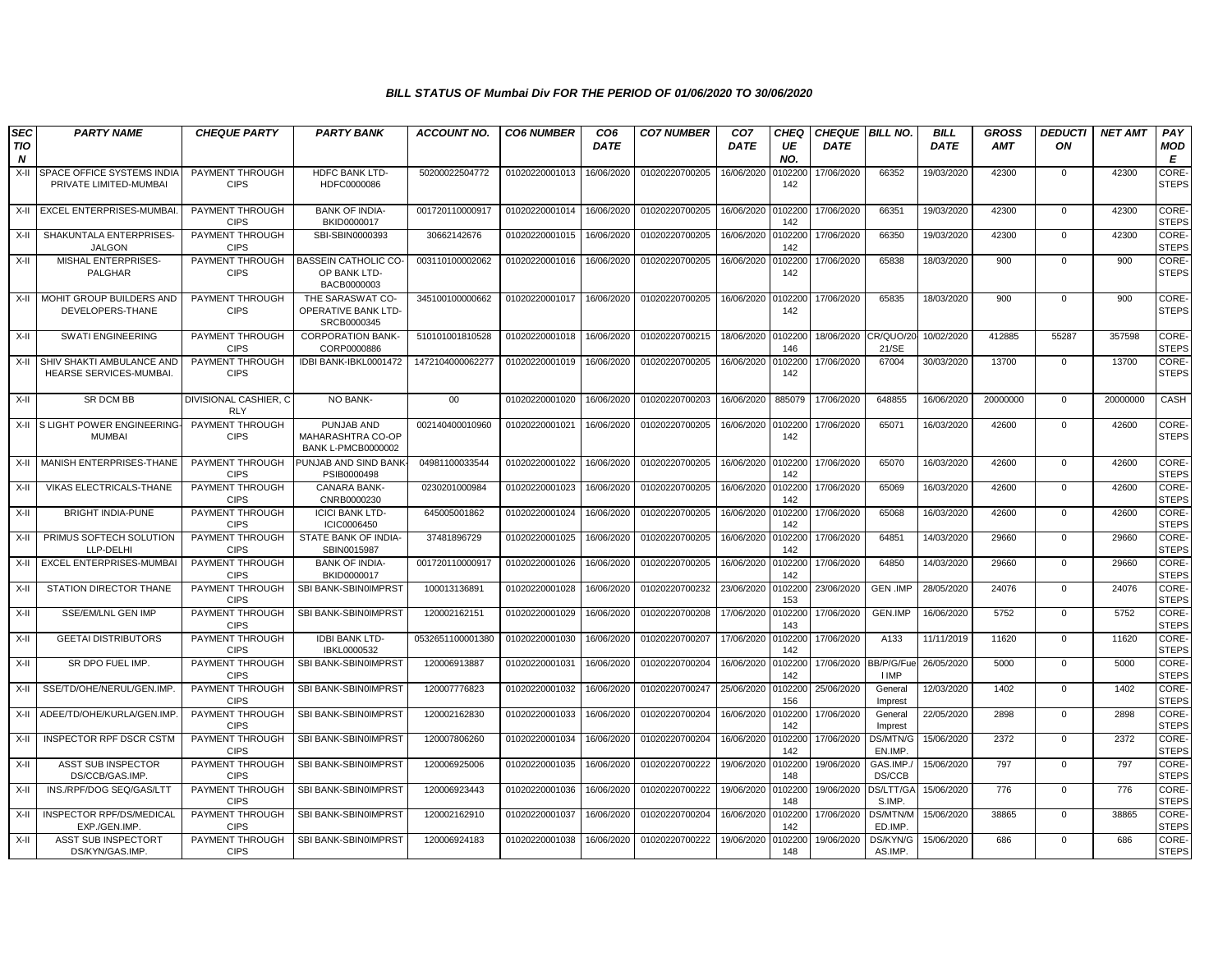| <b>SEC</b><br><b>TIO</b><br>N | <b>PARTY NAME</b>                                    | <b>CHEQUE PARTY</b>                   | <b>PARTY BANK</b>                                            | <b>ACCOUNT NO.</b> | <b>CO6 NUMBER</b> | CO <sub>6</sub><br><b>DATE</b> | <b>CO7 NUMBER</b> | CO <sub>7</sub><br>DATE | <b>CHEQ</b><br>UE<br>NO. | <b>CHEQUE BILL NO.</b><br><b>DATE</b> |                            | <b>BILL</b><br><b>DATE</b> | <b>GROSS</b><br><b>AMT</b> | <b>DEDUCTI</b><br>ON | <b>NET AMT</b> | PAY<br><b>MOD</b><br>E       |
|-------------------------------|------------------------------------------------------|---------------------------------------|--------------------------------------------------------------|--------------------|-------------------|--------------------------------|-------------------|-------------------------|--------------------------|---------------------------------------|----------------------------|----------------------------|----------------------------|----------------------|----------------|------------------------------|
| X-II                          | SPACE OFFICE SYSTEMS INDIA<br>PRIVATE LIMITED-MUMBAI | PAYMENT THROUGH<br><b>CIPS</b>        | HDFC BANK LTD-<br>HDFC0000086                                | 50200022504772     | 01020220001013    | 16/06/2020                     | 01020220700205    | 16/06/2020              | 0102200<br>142           | 17/06/2020                            | 66352                      | 19/03/2020                 | 42300                      | 0                    | 42300          | CORE-<br><b>STEPS</b>        |
| X-II                          | EXCEL ENTERPRISES-MUMBA                              | PAYMENT THROUGH<br><b>CIPS</b>        | <b>BANK OF INDIA-</b><br>BKID0000017                         | 001720110000917    | 01020220001014    | 16/06/2020                     | 01020220700205    | 16/06/2020              | 010220<br>142            | 17/06/2020                            | 66351                      | 19/03/2020                 | 42300                      | $\mathbf 0$          | 42300          | <b>CORE</b><br><b>STEPS</b>  |
| X-II                          | SHAKUNTALA ENTERPRISES-<br><b>JALGON</b>             | PAYMENT THROUGH<br><b>CIPS</b>        | SBI-SBIN0000393                                              | 30662142676        | 01020220001015    | 16/06/2020                     | 01020220700205    | 16/06/2020              | 010220<br>142            | 17/06/2020                            | 66350                      | 19/03/2020                 | 42300                      | $\mathbf{0}$         | 42300          | <b>CORE-</b><br><b>STEPS</b> |
| X-II                          | MISHAL ENTERPRISES-<br>PALGHAR                       | PAYMENT THROUGH<br><b>CIPS</b>        | <b>BASSEIN CATHOLIC CO-</b><br>OP BANK LTD-<br>BACB0000003   | 003110100002062    | 01020220001016    | 16/06/2020                     | 01020220700205    | 16/06/2020              | 0102200<br>142           | 17/06/2020                            | 65838                      | 18/03/2020                 | 900                        | $\mathbf{0}$         | 900            | CORE-<br><b>STEPS</b>        |
| X-II                          | MOHIT GROUP BUILDERS AND<br>DEVELOPERS-THANE         | PAYMENT THROUGH<br><b>CIPS</b>        | THE SARASWAT CO-<br>OPERATIVE BANK LTD-<br>SRCB0000345       | 345100100000662    | 01020220001017    | 16/06/2020                     | 01020220700205    | 16/06/2020              | 0102200<br>142           | 17/06/2020                            | 65835                      | 18/03/2020                 | 900                        | $\mathbf{0}$         | 900            | CORE-<br><b>STEPS</b>        |
| X-II                          | <b>SWATI ENGINEERING</b>                             | PAYMENT THROUGH<br><b>CIPS</b>        | <b>CORPORATION BANK-</b><br>CORP0000886                      | 510101001810528    | 01020220001018    | 16/06/2020                     | 01020220700215    | 18/06/2020              | 0102200<br>146           | 18/06/2020                            | CR/QUO/2<br>21/SE          | 10/02/2020                 | 412885                     | 55287                | 357598         | <b>CORE</b><br><b>STEPS</b>  |
| X-II                          | SHIV SHAKTI AMBULANCE AND<br>HEARSE SERVICES-MUMBAI. | PAYMENT THROUGH<br><b>CIPS</b>        | IDBI BANK-IBKL0001472                                        | 1472104000062277   | 01020220001019    | 16/06/2020                     | 01020220700205    | 16/06/2020              | 010220<br>142            | 17/06/2020                            | 67004                      | 30/03/2020                 | 13700                      | $\mathbf{0}$         | 13700          | CORE-<br><b>STEPS</b>        |
| X-II                          | SR DCM BB                                            | DIVISIONAL CASHIER, C<br><b>RLY</b>   | NO BANK-                                                     | 00                 | 01020220001020    | 16/06/2020                     | 01020220700203    | 16/06/2020              | 885079                   | 17/06/2020                            | 648855                     | 16/06/2020                 | 20000000                   | $\overline{0}$       | 20000000       | CASH                         |
|                               | X-II S LIGHT POWER ENGINEERING-<br><b>MUMBAI</b>     | PAYMENT THROUGH<br><b>CIPS</b>        | PUNJAB AND<br>MAHARASHTRA CO-OP<br><b>BANK L-PMCB0000002</b> | 002140400010960    | 01020220001021    | 16/06/2020                     | 01020220700205    | 16/06/2020              | 0102200<br>142           | 17/06/2020                            | 65071                      | 16/03/2020                 | 42600                      | $\mathbf 0$          | 42600          | CORE-<br><b>STEPS</b>        |
| X-II                          | MANISH ENTERPRISES-THANE                             | PAYMENT THROUGH<br><b>CIPS</b>        | PUNJAB AND SIND BANK<br>PSIB0000498                          | 04981100033544     | 01020220001022    | 16/06/2020                     | 01020220700205    | 16/06/2020              | 0102200<br>142           | 17/06/2020                            | 65070                      | 16/03/2020                 | 42600                      | $\mathbf 0$          | 42600          | <b>CORE</b><br><b>STEPS</b>  |
| X-II                          | VIKAS ELECTRICALS-THANE                              | PAYMENT THROUGH<br><b>CIPS</b>        | <b>CANARA BANK-</b><br>CNRB0000230                           | 0230201000984      | 01020220001023    | 16/06/2020                     | 01020220700205    | 16/06/2020              | 0102200<br>142           | 17/06/2020                            | 65069                      | 16/03/2020                 | 42600                      | $\mathbf 0$          | 42600          | CORE-<br><b>STEPS</b>        |
| X-II                          | <b>BRIGHT INDIA-PUNE</b>                             | PAYMENT THROUGH<br><b>CIPS</b>        | <b>ICICI BANK LTD-</b><br>ICIC0006450                        | 645005001862       | 01020220001024    | 16/06/2020                     | 01020220700205    | 16/06/2020              | 0102200<br>142           | 17/06/2020                            | 65068                      | 16/03/2020                 | 42600                      | $\mathbf{0}$         | 42600          | CORE-<br><b>STEPS</b>        |
| X-II                          | PRIMUS SOFTECH SOLUTION<br>LLP-DELHI                 | PAYMENT THROUGH<br><b>CIPS</b>        | STATE BANK OF INDIA-<br>SBIN0015987                          | 37481896729        | 01020220001025    | 16/06/2020                     | 01020220700205    | 16/06/2020              | 0102200<br>142           | 17/06/2020                            | 64851                      | 14/03/2020                 | 29660                      | $\mathbf 0$          | 29660          | CORE-<br><b>STEPS</b>        |
| X-II                          | EXCEL ENTERPRISES-MUMBAI                             | PAYMENT THROUGH<br><b>CIPS</b>        | <b>BANK OF INDIA-</b><br>BKID0000017                         | 001720110000917    | 01020220001026    | 16/06/2020                     | 01020220700205    | 16/06/2020              | 0102200<br>142           | 17/06/2020                            | 64850                      | 14/03/2020                 | 29660                      | $\mathbf 0$          | 29660          | CORE-<br><b>STEPS</b>        |
| X-II                          | STATION DIRECTOR THANE                               | PAYMENT THROUGH<br><b>CIPS</b>        | SBI BANK-SBIN0IMPRST                                         | 100013136891       | 01020220001028    | 16/06/2020                     | 01020220700232    | 23/06/2020              | 0102200<br>153           | 23/06/2020                            | <b>GEN .IMP</b>            | 28/05/2020                 | 24076                      | $\mathbf{0}$         | 24076          | <b>CORE-</b><br><b>STEPS</b> |
| X-II                          | SSE/EM/LNL GEN IMP                                   | PAYMENT THROUGH<br><b>CIPS</b>        | SBI BANK-SBIN0IMPRST                                         | 120002162151       | 01020220001029    | 16/06/2020                     | 01020220700208    | 17/06/2020              | 0102200<br>143           | 17/06/2020                            | GEN.IMP                    | 16/06/2020                 | 5752                       | 0                    | 5752           | CORE-<br><b>STEPS</b>        |
| X-II                          | <b>GEETAI DISTRIBUTORS</b>                           | PAYMENT THROUGH<br><b>CIPS</b>        | <b>IDBI BANK LTD-</b><br>IBKL0000532                         | 0532651100001380   | 01020220001030    | 16/06/2020                     | 01020220700207    | 17/06/2020              | 010220<br>142            | 17/06/2020                            | A133                       | 11/11/2019                 | 11620                      | $\mathbf{0}$         | 11620          | CORE-<br><b>STEPS</b>        |
| X-II                          | SR DPO FUEL IMP.                                     | PAYMENT THROUGH<br><b>CIPS</b>        | SBI BANK-SBIN0IMPRST                                         | 120006913887       | 01020220001031    | 16/06/2020                     | 01020220700204    | 16/06/2020              | 0102200<br>142           | 17/06/2020                            | BB/P/G/Fue<br><b>I IMP</b> | 26/05/2020                 | 5000                       | $\mathbf{0}$         | 5000           | CORE-<br><b>STEPS</b>        |
| X-II                          | SSE/TD/OHE/NERUL/GEN.IMP                             | PAYMENT THROUGH<br><b>CIPS</b>        | SBI BANK-SBIN0IMPRST                                         | 120007776823       | 01020220001032    | 16/06/2020                     | 01020220700247    | 25/06/2020              | 0102200<br>156           | 25/06/2020                            | General<br>Imprest         | 12/03/2020                 | 1402                       | $\mathbf 0$          | 1402           | CORE-<br><b>STEPS</b>        |
| X-II                          | ADEE/TD/OHE/KURLA/GEN.IMP.                           | PAYMENT THROUGH<br><b>CIPS</b>        | SBI BANK-SBIN0IMPRST                                         | 120002162830       | 01020220001033    | 16/06/2020                     | 01020220700204    | 16/06/2020              | 0102200<br>142           | 17/06/2020                            | General<br>Imprest         | 22/05/2020                 | 2898                       | $\mathbf 0$          | 2898           | CORE-<br><b>STEPS</b>        |
| X-II                          | <b>INSPECTOR RPF DSCR CSTM</b>                       | PAYMENT THROUGH<br><b>CIPS</b>        | SBI BANK-SBIN0IMPRST                                         | 120007806260       | 01020220001034    | 16/06/2020                     | 01020220700204    | 16/06/2020              | 0102200<br>142           | 17/06/2020                            | DS/MTN/G<br>EN.IMP.        | 15/06/2020                 | 2372                       | $\mathbf{0}$         | 2372           | <b>CORE-</b><br><b>STEPS</b> |
| X-II                          | ASST SUB INSPECTOR<br>DS/CCB/GAS.IMP                 | <b>PAYMENT THROUGH</b><br><b>CIPS</b> | SBI BANK-SBIN0IMPRST                                         | 120006925006       | 01020220001035    | 16/06/2020                     | 01020220700222    | 19/06/2020              | 0102200<br>148           | 19/06/2020                            | GAS.IMP.<br>DS/CCB         | 15/06/2020                 | 797                        | $\mathbf 0$          | 797            | CORE-<br><b>STEPS</b>        |
| X-II                          | INS./RPF/DOG SEQ/GAS/LTT                             | PAYMENT THROUGH<br><b>CIPS</b>        | SBI BANK-SBIN0IMPRST                                         | 120006923443       | 01020220001036    | 16/06/2020                     | 01020220700222    | 19/06/2020              | 0102200<br>148           | 19/06/2020                            | DS/LTT/G/<br>S.IMP.        | 15/06/2020                 | 776                        | $\mathbf 0$          | 776            | CORE-<br><b>STEPS</b>        |
| X-II                          | INSPECTOR RPF/DS/MEDICAL<br>EXP./GEN.IMP             | PAYMENT THROUGH<br><b>CIPS</b>        | SBI BANK-SBIN0IMPRST                                         | 120002162910       | 01020220001037    | 16/06/2020                     | 01020220700204    | 16/06/2020              | 0102200<br>142           | 17/06/2020                            | DS/MTN/M<br>ED.IMP.        | 15/06/2020                 | 38865                      | $\mathbf 0$          | 38865          | <b>CORE</b><br><b>STEPS</b>  |
| X-II                          | ASST SUB INSPECTORT<br>DS/KYN/GAS.IMP.               | PAYMENT THROUGH<br><b>CIPS</b>        | SBI BANK-SBIN0IMPRST                                         | 120006924183       | 01020220001038    | 16/06/2020                     | 01020220700222    | 19/06/2020              | 0102200<br>148           | 19/06/2020                            | DS/KYN/G<br>AS.IMP.        | 15/06/2020                 | 686                        | 0                    | 686            | CORE-<br><b>STEPS</b>        |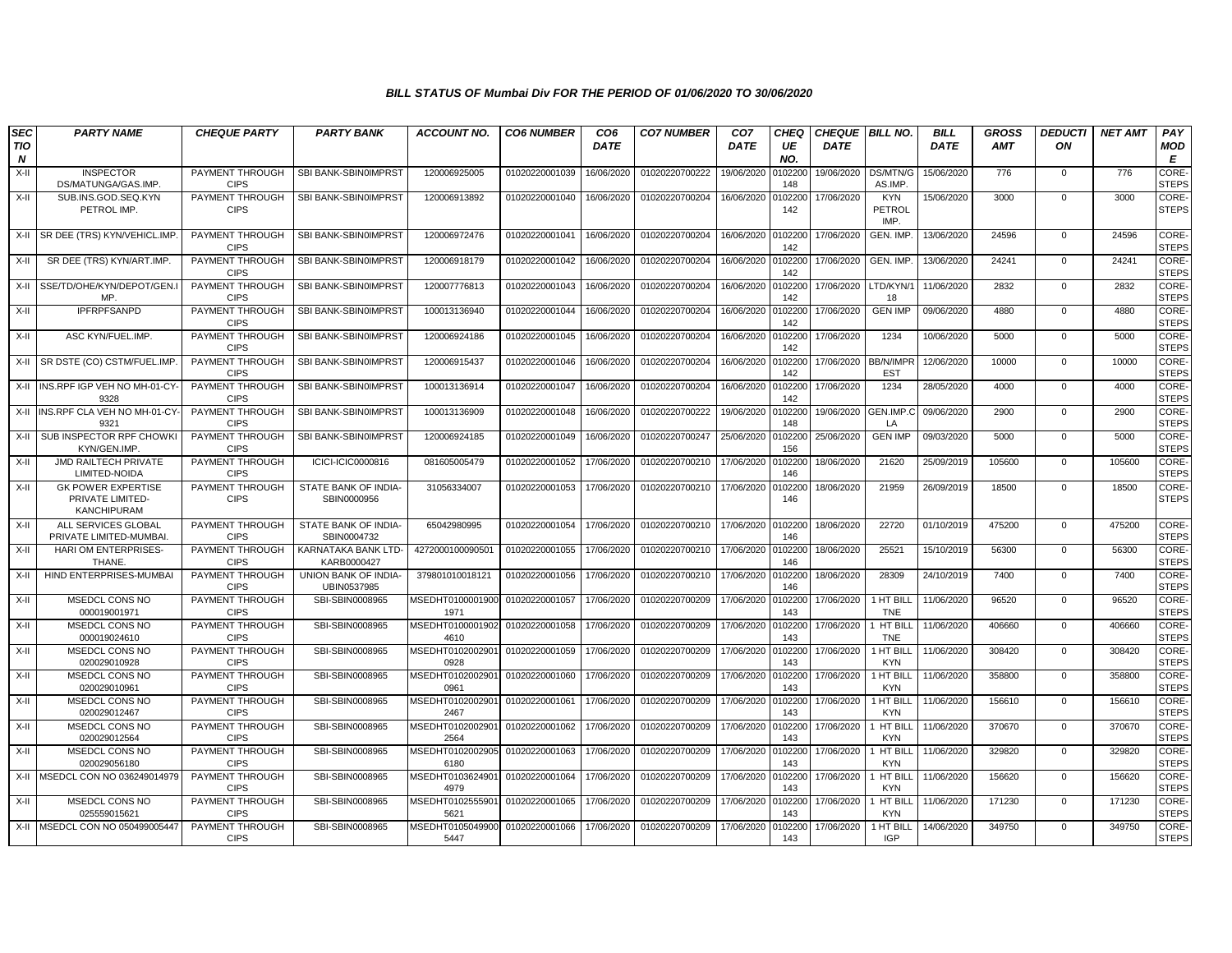| <b>SEC</b>                     | <b>PARTY NAME</b>                                                   | <b>CHEQUE PARTY</b>                   | <b>PARTY BANK</b>                   | <b>ACCOUNT NO.</b>       | <b>CO6 NUMBER</b> | CO <sub>6</sub> | <b>CO7 NUMBER</b> | CO <sub>7</sub> | CHEO           | <b>CHEQUE BILL NO.</b> |                                | <b>BILL</b> | <b>GROSS</b> | <b>DEDUCTI</b> | <b>NET AMT</b> | PAY                          |
|--------------------------------|---------------------------------------------------------------------|---------------------------------------|-------------------------------------|--------------------------|-------------------|-----------------|-------------------|-----------------|----------------|------------------------|--------------------------------|-------------|--------------|----------------|----------------|------------------------------|
| <b>TIO</b><br>$\boldsymbol{N}$ |                                                                     |                                       |                                     |                          |                   | <b>DATE</b>     |                   | <b>DATE</b>     | UE<br>NO.      | <b>DATE</b>            |                                | <b>DATE</b> | <b>AMT</b>   | ON             |                | MOD<br>E                     |
| X-II                           | <b>INSPECTOR</b><br>DS/MATUNGA/GAS.IMP.                             | PAYMENT THROUGH<br><b>CIPS</b>        | SBI BANK-SBIN0IMPRST                | 120006925005             | 01020220001039    | 16/06/2020      | 01020220700222    | 19/06/2020      | 0102200<br>148 | 19/06/2020             | DS/MTN/G<br>AS.IMP             | 15/06/2020  | 776          | 0              | 776            | <b>CORE</b><br><b>STEPS</b>  |
| $X-H$                          | SUB.INS.GOD.SEQ.KYN<br>PETROL IMP.                                  | PAYMENT THROUGH<br><b>CIPS</b>        | SBI BANK-SBIN0IMPRST                | 120006913892             | 01020220001040    | 16/06/2020      | 01020220700204    | 16/06/2020      | 0102200<br>142 | 17/06/2020             | <b>KYN</b><br>PETROL<br>IMP.   | 15/06/2020  | 3000         | $\mathbf{0}$   | 3000           | CORE-<br><b>STEPS</b>        |
| X-II                           | SR DEE (TRS) KYN/VEHICL.IMP.                                        | PAYMENT THROUGH<br><b>CIPS</b>        | SBI BANK-SBIN0IMPRST                | 120006972476             | 01020220001041    | 16/06/2020      | 01020220700204    | 16/06/2020      | 0102200<br>142 | 17/06/2020             | GEN. IMP.                      | 13/06/2020  | 24596        | $\mathbf{0}$   | 24596          | CORE-<br><b>STEPS</b>        |
| X-II                           | SR DEE (TRS) KYN/ART.IMP.                                           | PAYMENT THROUGH<br><b>CIPS</b>        | SBI BANK-SBIN0IMPRST                | 120006918179             | 01020220001042    | 16/06/2020      | 01020220700204    | 16/06/2020      | 010220<br>142  | 17/06/2020             | GEN. IMP.                      | 13/06/2020  | 24241        | $\mathbf{0}$   | 24241          | CORE-<br><b>STEPS</b>        |
| $X-H$                          | SSE/TD/OHE/KYN/DEPOT/GEN.<br>MP.                                    | PAYMENT THROUGH<br><b>CIPS</b>        | SBI BANK-SBIN0IMPRST                | 120007776813             | 01020220001043    | 16/06/2020      | 01020220700204    | 16/06/2020      | 102200<br>142  | 17/06/2020             | LTD/KYN/<br>18                 | 11/06/2020  | 2832         | $\mathbf 0$    | 2832           | CORE-<br><b>STEPS</b>        |
| $X-II$                         | <b>IPFRPFSANPD</b>                                                  | PAYMENT THROUGH<br><b>CIPS</b>        | SBI BANK-SBIN0IMPRST                | 100013136940             | 01020220001044    | 16/06/2020      | 01020220700204    | 16/06/2020      | 0102200<br>142 | 17/06/2020             | <b>GEN IMP</b>                 | 09/06/2020  | 4880         | $\mathbf 0$    | 4880           | CORE-<br><b>STEPS</b>        |
| $X-H$                          | ASC KYN/FUEL.IMP.                                                   | PAYMENT THROUGH<br><b>CIPS</b>        | SBI BANK-SBIN0IMPRST                | 120006924186             | 01020220001045    | 16/06/2020      | 01020220700204    | 16/06/2020      | 0102200<br>142 | 17/06/2020             | 1234                           | 10/06/2020  | 5000         | $\Omega$       | 5000           | CORE-<br><b>STEPS</b>        |
| X-II                           | SR DSTE (CO) CSTM/FUEL.IMP.                                         | PAYMENT THROUGH<br><b>CIPS</b>        | SBI BANK-SBIN0IMPRST                | 120006915437             | 01020220001046    | 16/06/2020      | 01020220700204    | 16/06/2020      | 0102200<br>142 | 17/06/2020             | <b>BB/N/IMPF</b><br><b>EST</b> | 12/06/2020  | 10000        | $\mathbf 0$    | 10000          | CORE-<br><b>STEPS</b>        |
| $X-H$                          | INS.RPF IGP VEH NO MH-01-CY-<br>9328                                | PAYMENT THROUGH<br><b>CIPS</b>        | SBI BANK-SBIN0IMPRST                | 100013136914             | 01020220001047    | 16/06/2020      | 01020220700204    | 16/06/2020      | 0102200<br>142 | 17/06/2020             | 1234                           | 28/05/2020  | 4000         | $\mathbf{0}$   | 4000           | <b>CORE</b><br><b>STEPS</b>  |
| $X-H$                          | INS.RPF CLA VEH NO MH-01-CY-<br>9321                                | PAYMENT THROUGH<br><b>CIPS</b>        | SBI BANK-SBIN0IMPRST                | 100013136909             | 01020220001048    | 16/06/2020      | 01020220700222    | 19/06/2020      | 102200<br>148  | 19/06/2020             | GEN.IMP.C<br>LA                | 09/06/2020  | 2900         | $\mathbf 0$    | 2900           | CORE-<br><b>STEPS</b>        |
| $X-H$                          | SUB INSPECTOR RPF CHOWK<br>KYN/GEN.IMP                              | <b>PAYMENT THROUGH</b><br><b>CIPS</b> | SBI BANK-SBIN0IMPRST                | 120006924185             | 01020220001049    | 16/06/2020      | 01020220700247    | 25/06/2020      | 0102200<br>156 | 25/06/2020             | <b>GEN IMP</b>                 | 09/03/2020  | 5000         | $\mathbf{0}$   | 5000           | CORE-<br><b>STEPS</b>        |
| $X-II$                         | <b>JMD RAILTECH PRIVATE</b><br>LIMITED-NOIDA                        | PAYMENT THROUGH<br><b>CIPS</b>        | ICICI-ICIC0000816                   | 081605005479             | 01020220001052    | 17/06/2020      | 01020220700210    | 17/06/2020      | 0102200<br>146 | 18/06/2020             | 21620                          | 25/09/2019  | 105600       | $\mathbf 0$    | 105600         | CORE-<br><b>STEPS</b>        |
| $X-H$                          | <b>GK POWER EXPERTISE</b><br>PRIVATE LIMITED-<br><b>KANCHIPURAM</b> | PAYMENT THROUGH<br><b>CIPS</b>        | STATE BANK OF INDIA-<br>SBIN0000956 | 31056334007              | 01020220001053    | 17/06/2020      | 01020220700210    | 17/06/2020      | 0102200<br>146 | 18/06/2020             | 21959                          | 26/09/2019  | 18500        | $\mathbf{0}$   | 18500          | CORE-<br><b>STEPS</b>        |
| $X-II$                         | ALL SERVICES GLOBAL<br>PRIVATE LIMITED-MUMBAI                       | PAYMENT THROUGH<br><b>CIPS</b>        | STATE BANK OF INDIA-<br>SBIN0004732 | 65042980995              | 01020220001054    | 17/06/2020      | 01020220700210    | 17/06/2020      | 0102200<br>146 | 18/06/2020             | 22720                          | 01/10/2019  | 475200       | $\mathbf 0$    | 475200         | CORE-<br><b>STEPS</b>        |
| $X-II$                         | <b>HARI OM ENTERPRISES-</b><br>THANE.                               | PAYMENT THROUGH<br><b>CIPS</b>        | KARNATAKA BANK LTD-<br>KARB0000427  | 427200010009050          | 01020220001055    | 17/06/2020      | 01020220700210    | 17/06/2020      | 0102200<br>146 | 18/06/2020             | 25521                          | 15/10/2019  | 56300        | $\mathbf{0}$   | 56300          | CORE-<br><b>STEPS</b>        |
| $X-II$                         | HIND ENTERPRISES-MUMBAI                                             | PAYMENT THROUGH<br><b>CIPS</b>        | UNION BANK OF INDIA-<br>UBIN0537985 | 379801010018121          | 01020220001056    | 17/06/2020      | 01020220700210    | 17/06/2020      | 0102200<br>146 | 18/06/2020             | 28309                          | 24/10/2019  | 7400         | $\mathbf{0}$   | 7400           | CORE-<br><b>STEPS</b>        |
| $X-H$                          | MSEDCL CONS NO<br>000019001971                                      | PAYMENT THROUGH<br><b>CIPS</b>        | SBI-SBIN0008965                     | MSEDHT0100001900<br>1971 | 01020220001057    | 17/06/2020      | 01020220700209    | 17/06/2020      | 010220<br>143  | 17/06/2020             | 1 HT BIL<br><b>TNE</b>         | 11/06/2020  | 96520        | $\mathbf 0$    | 96520          | CORE-<br><b>STEPS</b>        |
| $X-II$                         | MSEDCL CONS NO<br>000019024610                                      | PAYMENT THROUGH<br><b>CIPS</b>        | SBI-SBIN0008965                     | MSEDHT0100001902<br>4610 | 01020220001058    | 17/06/2020      | 01020220700209    | 17/06/2020      | 0102200<br>143 | 17/06/2020             | 1 HT BILI<br><b>TNE</b>        | 11/06/2020  | 406660       | 0              | 406660         | CORE-<br><b>STEPS</b>        |
| $X-H$                          | MSEDCL CONS NO<br>020029010928                                      | PAYMENT THROUGH<br><b>CIPS</b>        | SBI-SBIN0008965                     | MSEDHT0102002901<br>0928 | 01020220001059    | 17/06/2020      | 01020220700209    | 17/06/2020      | 0102200<br>143 | 17/06/2020             | 1 HT BILL<br><b>KYN</b>        | 11/06/2020  | 308420       | $\mathbf{0}$   | 308420         | CORE-<br><b>STEPS</b>        |
| $X-II$                         | MSEDCL CONS NO<br>020029010961                                      | PAYMENT THROUGH<br><b>CIPS</b>        | SBI-SBIN0008965                     | MSEDHT0102002901<br>0961 | 01020220001060    | 17/06/2020      | 01020220700209    | 17/06/2020      | 0102200<br>143 | 17/06/2020             | 1 HT BILL<br><b>KYN</b>        | 11/06/2020  | 358800       | 0              | 358800         | <b>CORE-</b><br><b>STEPS</b> |
| $X-H$                          | MSEDCL CONS NO<br>020029012467                                      | PAYMENT THROUGH<br><b>CIPS</b>        | SBI-SBIN0008965                     | MSEDHT0102002901<br>2467 | 01020220001061    | 17/06/2020      | 01020220700209    | 17/06/2020      | 0102200<br>143 | 17/06/2020             | 1 HT BILL<br><b>KYN</b>        | 11/06/2020  | 156610       | $\mathbf{0}$   | 156610         | CORE-<br><b>STEPS</b>        |
| $X-II$                         | MSEDCL CONS NO<br>020029012564                                      | PAYMENT THROUGH<br><b>CIPS</b>        | SBI-SBIN0008965                     | MSEDHT0102002901<br>2564 | 01020220001062    | 17/06/2020      | 01020220700209    | 17/06/2020      | 0102200<br>143 | 17/06/2020             | 1 HT BILI<br><b>KYN</b>        | 11/06/2020  | 370670       | $\Omega$       | 370670         | CORE-<br><b>STEPS</b>        |
| $X-II$                         | MSEDCL CONS NO<br>020029056180                                      | PAYMENT THROUGH<br><b>CIPS</b>        | SBI-SBIN0008965                     | MSEDHT0102002905<br>6180 | 01020220001063    | 17/06/2020      | 01020220700209    | 17/06/2020      | 102200<br>143  | 17/06/2020             | 1 HT BIL<br>KYN                | 11/06/2020  | 329820       | $\mathbf{0}$   | 329820         | CORE-<br><b>STEPS</b>        |
| $X-H$                          | MSEDCL CON NO 036249014979                                          | PAYMENT THROUGH<br><b>CIPS</b>        | SBI-SBIN0008965                     | MSEDHT0103624901<br>4979 | 01020220001064    | 17/06/2020      | 01020220700209    | 17/06/2020      | 0102200<br>143 | 17/06/2020             | <b>I HT BILL</b><br><b>KYN</b> | 11/06/2020  | 156620       | $\mathbf{0}$   | 156620         | CORE-<br><b>STEPS</b>        |
| X-II                           | MSEDCL CONS NO<br>025559015621                                      | PAYMENT THROUGH<br><b>CIPS</b>        | SBI-SBIN0008965                     | MSEDHT0102555901<br>5621 | 01020220001065    | 17/06/2020      | 01020220700209    | 17/06/2020      | 0102200<br>143 | 17/06/2020             | I HT BILI<br><b>KYN</b>        | 11/06/2020  | 171230       | $\mathbf{0}$   | 171230         | <b>CORE</b><br><b>STEPS</b>  |
| X-II                           | MSEDCL CON NO 050499005447                                          | PAYMENT THROUGH<br><b>CIPS</b>        | SBI-SBIN0008965                     | MSEDHT0105049900<br>5447 | 01020220001066    | 17/06/2020      | 01020220700209    | 17/06/2020      | 0102200<br>143 | 17/06/2020             | 1 HT BILI<br><b>IGP</b>        | 14/06/2020  | 349750       | $\Omega$       | 349750         | CORE-<br><b>STEPS</b>        |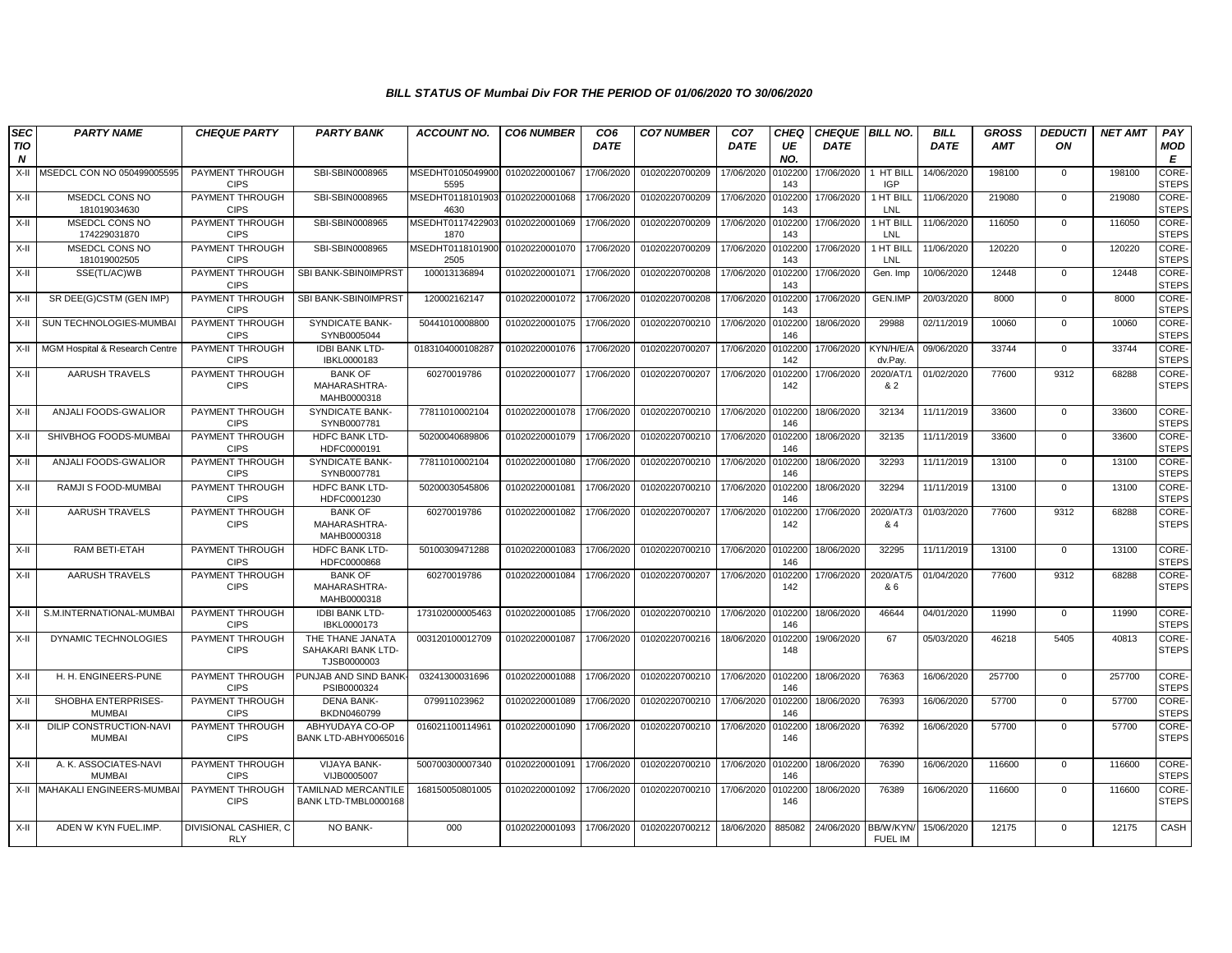| <b>SEC</b>                     | <b>PARTY NAME</b>                        | <b>CHEQUE PARTY</b>                 | <b>PARTY BANK</b>                                     | <b>ACCOUNT NO.</b>                      | <b>CO6 NUMBER</b> | CO <sub>6</sub> | <b>CO7 NUMBER</b> | CO <sub>7</sub> | <b>CHEQ</b>    | <b>CHEQUE BILL NO.</b> |                             | <b>BILL</b> | <b>GROSS</b> | <b>DEDUCTI</b> | <b>NET AMT</b> | PAY                   |
|--------------------------------|------------------------------------------|-------------------------------------|-------------------------------------------------------|-----------------------------------------|-------------------|-----------------|-------------------|-----------------|----------------|------------------------|-----------------------------|-------------|--------------|----------------|----------------|-----------------------|
| <b>TIO</b><br>$\boldsymbol{N}$ |                                          |                                     |                                                       |                                         |                   | <b>DATE</b>     |                   | <b>DATE</b>     | UE<br>NO.      | <b>DATE</b>            |                             | <b>DATE</b> | <b>AMT</b>   | ON             |                | MOD<br>E              |
| X-II                           | MSEDCL CON NO 050499005595               | PAYMENT THROUGH<br><b>CIPS</b>      | SBI-SBIN0008965                                       | MSEDHT0105049900<br>5595                | 01020220001067    | 17/06/2020      | 01020220700209    | 17/06/2020      | 0102200<br>143 | 17/06/2020             | 1 HT BILL<br><b>IGP</b>     | 14/06/2020  | 198100       | $\mathbf 0$    | 198100         | CORE-<br><b>STEPS</b> |
| X-II                           | <b>MSEDCL CONS NO</b><br>181019034630    | PAYMENT THROUGH<br><b>CIPS</b>      | SBI-SBIN0008965                                       | MSEDHT0118101903 01020220001068<br>4630 |                   | 17/06/2020      | 01020220700209    | 17/06/2020      | 0102200<br>143 | 17/06/2020             | 1 HT BILL<br>LNL            | 11/06/2020  | 219080       | $\mathbf 0$    | 219080         | CORE-<br><b>STEPS</b> |
| X-II                           | MSEDCL CONS NO<br>174229031870           | PAYMENT THROUGH<br><b>CIPS</b>      | SBI-SBIN0008965                                       | MSEDHT0117422903 01020220001069<br>1870 |                   | 17/06/2020      | 01020220700209    | 17/06/2020      | 0102200<br>143 | 17/06/2020             | 1 HT BILL<br>LNL            | 11/06/2020  | 116050       | $\Omega$       | 116050         | CORE-<br><b>STEPS</b> |
| X-II                           | MSEDCL CONS NO<br>181019002505           | PAYMENT THROUGH<br><b>CIPS</b>      | SBI-SBIN0008965                                       | MSEDHT0118101900 01020220001070<br>2505 |                   | 17/06/2020      | 01020220700209    | 17/06/2020      | 0102200<br>143 | 17/06/2020             | 1 HT BILL<br>LNL            | 11/06/2020  | 120220       | $\mathbf 0$    | 120220         | CORE-<br><b>STEPS</b> |
| X-II                           | SSE(TL/AC)WB                             | PAYMENT THROUGH<br><b>CIPS</b>      | SBI BANK-SBIN0IMPRST                                  | 100013136894                            | 01020220001071    | 17/06/2020      | 01020220700208    | 17/06/2020      | 010220<br>143  | 17/06/2020             | Gen. Imp                    | 10/06/2020  | 12448        | $\Omega$       | 12448          | CORE-<br><b>STEPS</b> |
| X-II                           | SR DEE(G)CSTM (GEN IMP)                  | PAYMENT THROUGH<br><b>CIPS</b>      | SBI BANK-SBIN0IMPRST                                  | 120002162147                            | 01020220001072    | 17/06/2020      | 01020220700208    | 17/06/2020      | 0102200<br>143 | 17/06/2020             | GEN.IMP                     | 20/03/2020  | 8000         | $\Omega$       | 8000           | CORE-<br><b>STEPS</b> |
| X-II                           | SUN TECHNOLOGIES-MUMBAI                  | PAYMENT THROUGH<br><b>CIPS</b>      | <b>SYNDICATE BANK-</b><br>SYNB0005044                 | 50441010008800                          | 01020220001075    | 17/06/2020      | 01020220700210    | 17/06/2020      | 0102200<br>146 | 18/06/2020             | 29988                       | 02/11/2019  | 10060        | $\mathbf{0}$   | 10060          | CORE-<br><b>STEPS</b> |
| X-II                           | MGM Hospital & Research Centre           | PAYMENT THROUGH<br><b>CIPS</b>      | <b>IDBI BANK LTD-</b><br>IBKL0000183                  | 0183104000108287                        | 01020220001076    | 17/06/2020      | 01020220700207    | 17/06/2020      | 0102200<br>142 | 17/06/2020             | KYN/H/E/A<br>dv.Pay.        | 09/06/2020  | 33744        | $\Omega$       | 33744          | CORE-<br><b>STEPS</b> |
| X-II                           | AARUSH TRAVELS                           | PAYMENT THROUGH<br><b>CIPS</b>      | <b>BANK OF</b><br>MAHARASHTRA-<br>MAHB0000318         | 60270019786                             | 01020220001077    | 17/06/2020      | 01020220700207    | 17/06/2020      | 102200<br>142  | 17/06/2020             | 2020/AT/1<br>& 2            | 01/02/2020  | 77600        | 9312           | 68288          | CORE-<br><b>STEPS</b> |
| X-II                           | ANJALI FOODS-GWALIOR                     | PAYMENT THROUGH<br><b>CIPS</b>      | <b>SYNDICATE BANK-</b><br>SYNB0007781                 | 77811010002104                          | 01020220001078    | 17/06/2020      | 01020220700210    | 17/06/2020      | 0102200<br>146 | 18/06/2020             | 32134                       | 11/11/2019  | 33600        | $\mathbf 0$    | 33600          | CORE-<br><b>STEPS</b> |
| X-II                           | SHIVBHOG FOODS-MUMBAI                    | PAYMENT THROUGH<br><b>CIPS</b>      | <b>HDFC BANK LTD-</b><br>HDFC0000191                  | 50200040689806                          | 01020220001079    | 17/06/2020      | 01020220700210    | 17/06/2020      | 0102200<br>146 | 18/06/2020             | 32135                       | 11/11/2019  | 33600        | $\Omega$       | 33600          | CORE-<br><b>STEPS</b> |
| X-II                           | ANJALI FOODS-GWALIOR                     | PAYMENT THROUGH<br><b>CIPS</b>      | <b>SYNDICATE BANK-</b><br>SYNB0007781                 | 77811010002104                          | 01020220001080    | 17/06/2020      | 01020220700210    | 17/06/2020      | 0102200<br>146 | 18/06/2020             | 32293                       | 11/11/2019  | 13100        | $\Omega$       | 13100          | CORE-<br><b>STEPS</b> |
| X-II                           | RAMJI S FOOD-MUMBAI                      | PAYMENT THROUGH<br><b>CIPS</b>      | HDFC BANK LTD-<br>HDFC0001230                         | 50200030545806                          | 01020220001081    | 17/06/2020      | 01020220700210    | 17/06/2020      | 0102200<br>146 | 18/06/2020             | 32294                       | 11/11/2019  | 13100        | $\mathbf 0$    | 13100          | CORE-<br><b>STEPS</b> |
| X-II                           | <b>AARUSH TRAVELS</b>                    | PAYMENT THROUGH<br><b>CIPS</b>      | <b>BANK OF</b><br>MAHARASHTRA-<br>MAHB0000318         | 60270019786                             | 01020220001082    | 17/06/2020      | 01020220700207    | 17/06/2020      | 0102200<br>142 | 17/06/2020             | 2020/AT/3<br>& 4            | 01/03/2020  | 77600        | 9312           | 68288          | CORE-<br><b>STEPS</b> |
| X-II                           | RAM BETI-ETAH                            | PAYMENT THROUGH<br><b>CIPS</b>      | <b>HDFC BANK LTD-</b><br>HDFC0000868                  | 50100309471288                          | 01020220001083    | 17/06/2020      | 01020220700210    | 17/06/2020      | 0102200<br>146 | 18/06/2020             | 32295                       | 11/11/2019  | 13100        | $\Omega$       | 13100          | CORE-<br><b>STEPS</b> |
| X-II                           | <b>AARUSH TRAVELS</b>                    | PAYMENT THROUGH<br><b>CIPS</b>      | <b>BANK OF</b><br>MAHARASHTRA-<br>MAHB0000318         | 60270019786                             | 01020220001084    | 17/06/2020      | 01020220700207    | 17/06/2020      | 0102200<br>142 | 17/06/2020             | 2020/AT/5<br>& 6            | 01/04/2020  | 77600        | 9312           | 68288          | CORE-<br><b>STEPS</b> |
| X-II                           | S.M.INTERNATIONAL-MUMBA                  | PAYMENT THROUGH<br><b>CIPS</b>      | <b>IDBI BANK LTD-</b><br>IBKL0000173                  | 173102000005463                         | 01020220001085    | 17/06/2020      | 01020220700210    | 17/06/2020      | 0102200<br>146 | 18/06/2020             | 46644                       | 04/01/2020  | 11990        | $\mathbf 0$    | 11990          | CORE-<br><b>STEPS</b> |
| X-II                           | DYNAMIC TECHNOLOGIES                     | PAYMENT THROUGH<br><b>CIPS</b>      | THE THANE JANATA<br>SAHAKARI BANK LTD-<br>TJSB0000003 | 003120100012709                         | 01020220001087    | 17/06/2020      | 01020220700216    | 18/06/2020      | 0102200<br>148 | 19/06/2020             | 67                          | 05/03/2020  | 46218        | 5405           | 40813          | CORE-<br><b>STEPS</b> |
| X-II                           | H. H. ENGINEERS-PUNE                     | PAYMENT THROUGH<br><b>CIPS</b>      | PUNJAB AND SIND BANK<br>PSIB0000324                   | 03241300031696                          | 01020220001088    | 17/06/2020      | 01020220700210    | 17/06/2020      | 0102200<br>146 | 18/06/2020             | 76363                       | 16/06/2020  | 257700       | $\Omega$       | 257700         | CORE-<br><b>STEPS</b> |
| X-II                           | SHOBHA ENTERPRISES-<br><b>MUMBAI</b>     | PAYMENT THROUGH<br><b>CIPS</b>      | <b>DENA BANK-</b><br>BKDN0460799                      | 079911023962                            | 01020220001089    | 17/06/2020      | 01020220700210    | 17/06/2020      | 0102200<br>146 | 18/06/2020             | 76393                       | 16/06/2020  | 57700        | $\mathbf 0$    | 57700          | CORE-<br><b>STEPS</b> |
| X-II                           | DILIP CONSTRUCTION-NAVI<br><b>MUMBAI</b> | PAYMENT THROUGH<br><b>CIPS</b>      | ABHYUDAYA CO-OP<br>BANK LTD-ABHY0065016               | 016021100114961                         | 01020220001090    | 17/06/2020      | 01020220700210    | 17/06/2020      | 010220<br>146  | 18/06/2020             | 76392                       | 16/06/2020  | 57700        | $\Omega$       | 57700          | CORE-<br><b>STEPS</b> |
| X-II                           | A. K. ASSOCIATES-NAVI<br><b>MUMBAI</b>   | PAYMENT THROUGH<br><b>CIPS</b>      | <b>VIJAYA BANK-</b><br>VIJB0005007                    | 500700300007340                         | 01020220001091    | 17/06/2020      | 01020220700210    | 17/06/2020      | 0102200<br>146 | 18/06/2020             | 76390                       | 16/06/2020  | 116600       | $\Omega$       | 116600         | CORE-<br><b>STEPS</b> |
|                                | X-II MAHAKALI ENGINEERS-MUMBA            | PAYMENT THROUGH<br><b>CIPS</b>      | TAMILNAD MERCANTILE<br>BANK LTD-TMBL0000168           | 168150050801005                         | 01020220001092    | 17/06/2020      | 01020220700210    | 17/06/2020      | 0102200<br>146 | 18/06/2020             | 76389                       | 16/06/2020  | 116600       | $\Omega$       | 116600         | CORE-<br><b>STEPS</b> |
| X-II                           | ADEN W KYN FUEL.IMP.                     | DIVISIONAL CASHIER, C<br><b>RLY</b> | NO BANK-                                              | 000                                     | 01020220001093    | 17/06/2020      | 01020220700212    | 18/06/2020      | 885082         | 24/06/2020             | BB/W/KYN/<br><b>FUEL IM</b> | 15/06/2020  | 12175        | $\Omega$       | 12175          | CASH                  |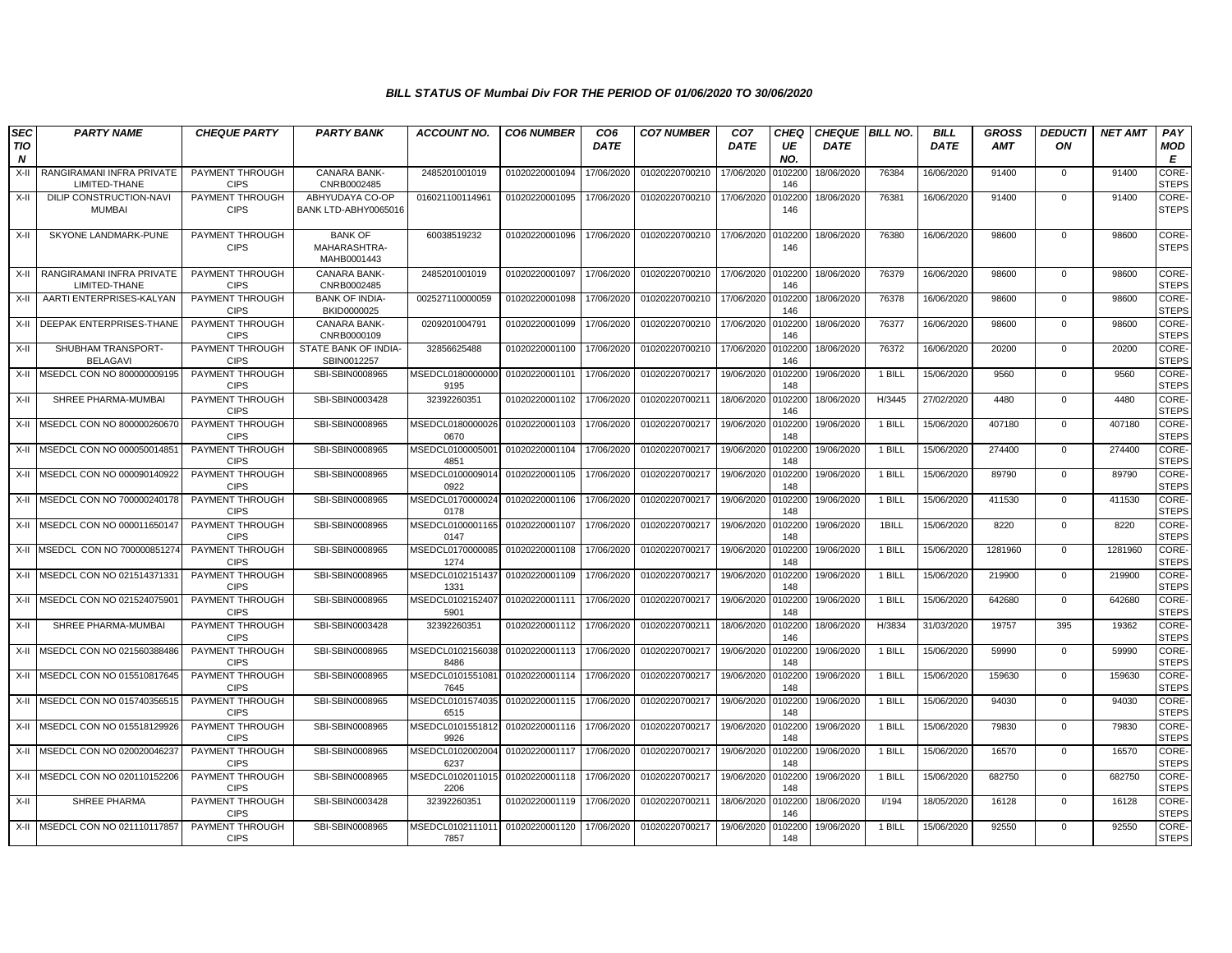| <b>SEC</b><br><b>TIO</b><br>N | <b>PARTY NAME</b>                          | <b>CHEQUE PARTY</b>            | <b>PARTY BANK</b>                             | <b>ACCOUNT NO.</b>       | <b>CO6 NUMBER</b> | CO <sub>6</sub><br><b>DATE</b> | <b>CO7 NUMBER</b> | CO <sub>7</sub><br><b>DATE</b> | <b>CHEQ</b><br>UE<br>NO. | <b>CHEQUE BILL NO.</b><br><b>DATE</b> |        | <b>BILL</b><br><b>DATE</b> | <b>GROSS</b><br><b>AMT</b> | <b>DEDUCTI</b><br>ON | <b>NET AMT</b> | PAY<br>MOD<br>E              |
|-------------------------------|--------------------------------------------|--------------------------------|-----------------------------------------------|--------------------------|-------------------|--------------------------------|-------------------|--------------------------------|--------------------------|---------------------------------------|--------|----------------------------|----------------------------|----------------------|----------------|------------------------------|
| $X-H$                         | RANGIRAMANI INFRA PRIVATE<br>LIMITED-THANE | PAYMENT THROUGH<br><b>CIPS</b> | CANARA BANK-<br>CNRB0002485                   | 2485201001019            | 01020220001094    | 17/06/2020                     | 01020220700210    | 17/06/2020                     | 0102200<br>146           | 18/06/2020                            | 76384  | 16/06/2020                 | 91400                      | $\mathbf 0$          | 91400          | <b>CORE-</b><br><b>STEPS</b> |
| X-II                          | DILIP CONSTRUCTION-NAVI<br><b>MUMBAI</b>   | PAYMENT THROUGH<br><b>CIPS</b> | ABHYUDAYA CO-OP<br>BANK LTD-ABHY0065016       | 016021100114961          | 01020220001095    | 17/06/2020                     | 01020220700210    | 17/06/2020                     | 0102200<br>146           | 18/06/2020                            | 76381  | 16/06/2020                 | 91400                      | $\Omega$             | 91400          | CORE-<br><b>STEPS</b>        |
| X-II                          | SKYONE LANDMARK-PUNE                       | PAYMENT THROUGH<br><b>CIPS</b> | <b>BANK OF</b><br>MAHARASHTRA-<br>MAHB0001443 | 60038519232              | 01020220001096    | 17/06/2020                     | 01020220700210    | 17/06/2020                     | 0102200<br>146           | 18/06/2020                            | 76380  | 16/06/2020                 | 98600                      | $\mathbf 0$          | 98600          | CORE-<br><b>STEPS</b>        |
| X-II                          | RANGIRAMANI INFRA PRIVATE<br>LIMITED-THANE | PAYMENT THROUGH<br><b>CIPS</b> | CANARA BANK-<br>CNRB0002485                   | 2485201001019            | 01020220001097    | 17/06/2020                     | 01020220700210    | 17/06/2020                     | 0102200<br>146           | 18/06/2020                            | 76379  | 16/06/2020                 | 98600                      | $\mathbf{0}$         | 98600          | CORE-<br><b>STEPS</b>        |
| X-II                          | AARTI ENTERPRISES-KALYAN                   | PAYMENT THROUGH<br><b>CIPS</b> | <b>BANK OF INDIA-</b><br>BKID0000025          | 002527110000059          | 01020220001098    | 17/06/2020                     | 01020220700210    | 17/06/2020                     | 0102200<br>146           | 18/06/2020                            | 76378  | 16/06/2020                 | 98600                      | $\mathbf{0}$         | 98600          | <b>CORE-</b><br><b>STEPS</b> |
| X-II                          | <b>DEEPAK ENTERPRISES-THANE</b>            | PAYMENT THROUGH<br><b>CIPS</b> | CANARA BANK-<br>CNRB0000109                   | 0209201004791            | 01020220001099    | 17/06/2020                     | 01020220700210    | 17/06/2020                     | 010220<br>146            | 18/06/2020                            | 76377  | 16/06/2020                 | 98600                      | $\mathbf 0$          | 98600          | CORE-<br><b>STEPS</b>        |
| $X-II$                        | SHUBHAM TRANSPORT-<br><b>BELAGAVI</b>      | PAYMENT THROUGH<br><b>CIPS</b> | STATE BANK OF INDIA-<br>SBIN0012257           | 32856625488              | 01020220001100    | 17/06/2020                     | 01020220700210    | 17/06/2020                     | 010220<br>146            | 18/06/2020                            | 76372  | 16/06/2020                 | 20200                      | $\mathbf 0$          | 20200          | CORE-<br><b>STEPS</b>        |
| X-II                          | MSEDCL CON NO 800000009195                 | PAYMENT THROUGH<br><b>CIPS</b> | SBI-SBIN0008965                               | MSEDCL0180000000<br>9195 | 01020220001101    | 17/06/2020                     | 01020220700217    | 19/06/2020                     | 0102200<br>148           | 19/06/2020                            | 1 BILL | 15/06/2020                 | 9560                       | $\mathbf{0}$         | 9560           | CORE-<br><b>STEPS</b>        |
| X-II                          | SHREE PHARMA-MUMBAI                        | PAYMENT THROUGH<br><b>CIPS</b> | SBI-SBIN0003428                               | 32392260351              | 01020220001102    | 17/06/2020                     | 01020220700211    | 18/06/2020                     | 0102200<br>146           | 18/06/2020                            | H/3445 | 27/02/2020                 | 4480                       | $\Omega$             | 4480           | CORE-<br><b>STEPS</b>        |
| X-II                          | MSEDCL CON NO 80000026067                  | PAYMENT THROUGH<br><b>CIPS</b> | SBI-SBIN0008965                               | MSEDCL0180000026<br>0670 | 01020220001103    | 17/06/2020                     | 01020220700217    | 19/06/2020                     | 0102200<br>148           | 19/06/2020                            | 1 BILL | 15/06/2020                 | 407180                     | $\mathbf{0}$         | 407180         | <b>CORE</b><br><b>STEPS</b>  |
| X-II                          | MSEDCL CON NO 000050014851                 | PAYMENT THROUGH<br><b>CIPS</b> | SBI-SBIN0008965                               | MSEDCL0100005001<br>4851 | 01020220001104    | 17/06/2020                     | 01020220700217    | 19/06/2020                     | 0102200<br>148           | 19/06/2020                            | 1 BILL | 15/06/2020                 | 274400                     | $\mathbf{0}$         | 274400         | CORE-<br><b>STEPS</b>        |
| X-II                          | MSEDCL CON NO 000090140922                 | PAYMENT THROUGH<br><b>CIPS</b> | SBI-SBIN0008965                               | MSEDCL0100009014<br>0922 | 01020220001105    | 17/06/2020                     | 01020220700217    | 19/06/2020                     | 010220<br>148            | 19/06/2020                            | 1 BILL | 15/06/2020                 | 89790                      | $\mathbf 0$          | 89790          | CORE-<br><b>STEPS</b>        |
| X-II                          | MSEDCL CON NO 700000240178                 | PAYMENT THROUGH<br><b>CIPS</b> | SBI-SBIN0008965                               | MSEDCL0170000024<br>0178 | 01020220001106    | 17/06/2020                     | 01020220700217    | 19/06/2020                     | 0102200<br>148           | 19/06/2020                            | 1 BILL | 15/06/2020                 | 411530                     | $\mathbf 0$          | 411530         | CORE-<br><b>STEPS</b>        |
| X-II                          | MSEDCL CON NO 000011650147                 | PAYMENT THROUGH<br><b>CIPS</b> | SBI-SBIN0008965                               | MSEDCL0100001165<br>0147 | 01020220001107    | 17/06/2020                     | 01020220700217    | 19/06/2020                     | 0102200<br>148           | 19/06/2020                            | 1BILL  | 15/06/2020                 | 8220                       | $\mathbf 0$          | 8220           | CORE-<br><b>STEPS</b>        |
| X-II                          | MSEDCL CON NO 700000851274                 | PAYMENT THROUGH<br><b>CIPS</b> | SBI-SBIN0008965                               | MSEDCL0170000085<br>1274 | 01020220001108    | 17/06/2020                     | 01020220700217    | 19/06/2020                     | 0102200<br>148           | 19/06/2020                            | 1 BILL | 15/06/2020                 | 1281960                    | $\mathbf{0}$         | 1281960        | <b>CORE-</b><br><b>STEPS</b> |
| X-II                          | MSEDCL CON NO 021514371331                 | PAYMENT THROUGH<br><b>CIPS</b> | SBI-SBIN0008965                               | MSEDCL0102151437<br>1331 | 01020220001109    | 17/06/2020                     | 01020220700217    | 19/06/2020                     | 010220<br>148            | 19/06/2020                            | 1 BILL | 15/06/2020                 | 219900                     | $\mathbf{0}$         | 219900         | CORE-<br><b>STEPS</b>        |
| X-II                          | MSEDCL CON NO 021524075901                 | PAYMENT THROUGH<br><b>CIPS</b> | SBI-SBIN0008965                               | MSEDCL0102152407<br>5901 | 01020220001111    | 17/06/2020                     | 01020220700217    | 19/06/2020                     | 010220<br>148            | 19/06/2020                            | 1 BILL | 15/06/2020                 | 642680                     | $\mathbf 0$          | 642680         | CORE-<br><b>STEPS</b>        |
| X-II                          | SHREE PHARMA-MUMBAI                        | PAYMENT THROUGH<br><b>CIPS</b> | SBI-SBIN0003428                               | 32392260351              | 01020220001112    | 17/06/2020                     | 01020220700211    | 18/06/2020                     | 0102200<br>146           | 18/06/2020                            | H/3834 | 31/03/2020                 | 19757                      | 395                  | 19362          | CORE-<br><b>STEPS</b>        |
| X-II                          | MSEDCL CON NO 021560388486                 | PAYMENT THROUGH<br><b>CIPS</b> | SBI-SBIN0008965                               | MSEDCL0102156038<br>8486 | 01020220001113    | 17/06/2020                     | 01020220700217    | 19/06/2020                     | 0102200<br>148           | 19/06/2020                            | 1 BILL | 15/06/2020                 | 59990                      | $\mathbf 0$          | 59990          | CORE-<br><b>STEPS</b>        |
| X-II                          | MSEDCL CON NO 015510817645                 | PAYMENT THROUGH<br><b>CIPS</b> | SBI-SBIN0008965                               | MSEDCL0101551081<br>7645 | 01020220001114    | 17/06/2020                     | 01020220700217    | 19/06/2020                     | 0102200<br>148           | 19/06/2020                            | 1 BILL | 15/06/2020                 | 159630                     | $\mathbf{0}$         | 159630         | <b>CORE</b><br><b>STEPS</b>  |
| X-II                          | MSEDCL CON NO 01574035651                  | PAYMENT THROUGH<br><b>CIPS</b> | SBI-SBIN0008965                               | MSEDCL0101574035<br>6515 | 01020220001115    | 17/06/2020                     | 01020220700217    | 19/06/2020                     | 010220<br>148            | 19/06/2020                            | 1 BILL | 15/06/2020                 | 94030                      | $\mathbf{0}$         | 94030          | CORE-<br><b>STEPS</b>        |
| X-II                          | MSEDCL CON NO 015518129926                 | PAYMENT THROUGH<br><b>CIPS</b> | SBI-SBIN0008965                               | MSEDCL0101551812<br>9926 | 01020220001116    | 17/06/2020                     | 01020220700217    | 19/06/2020                     | 010220<br>148            | 19/06/2020                            | 1 BILL | 15/06/2020                 | 79830                      | $\Omega$             | 79830          | CORE-<br><b>STEPS</b>        |
| X-II                          | MSEDCL CON NO 020020046237                 | PAYMENT THROUGH<br><b>CIPS</b> | SBI-SBIN0008965                               | MSEDCL0102002004<br>6237 | 01020220001117    | 17/06/2020                     | 01020220700217    | 19/06/2020                     | 0102200<br>148           | 19/06/2020                            | 1 BILL | 15/06/2020                 | 16570                      | $\mathbf 0$          | 16570          | <b>CORE-</b><br><b>STEPS</b> |
| $X-H$                         | MSEDCL CON NO 020110152206                 | PAYMENT THROUGH<br><b>CIPS</b> | SBI-SBIN0008965                               | MSEDCL0102011015<br>2206 | 01020220001118    | 17/06/2020                     | 01020220700217    | 19/06/2020                     | 0102200<br>148           | 19/06/2020                            | 1 BILL | 15/06/2020                 | 682750                     | $\mathbf{0}$         | 682750         | CORE-<br><b>STEPS</b>        |
| X-II                          | SHREE PHARMA                               | PAYMENT THROUGH<br><b>CIPS</b> | SBI-SBIN0003428                               | 32392260351              | 01020220001119    | 17/06/2020                     | 01020220700211    | 18/06/2020                     | 0102200<br>146           | 18/06/2020                            | I/194  | 18/05/2020                 | 16128                      | $\mathbf{0}$         | 16128          | <b>CORE</b><br><b>STEPS</b>  |
|                               | X-II MSEDCL CON NO 021110117857            | PAYMENT THROUGH<br><b>CIPS</b> | SBI-SBIN0008965                               | MSEDCL0102111011<br>7857 | 01020220001120    | 17/06/2020                     | 01020220700217    | 19/06/2020                     | 010220<br>148            | 19/06/2020                            | 1 BILL | 15/06/2020                 | 92550                      | $\Omega$             | 92550          | CORE-<br><b>STEPS</b>        |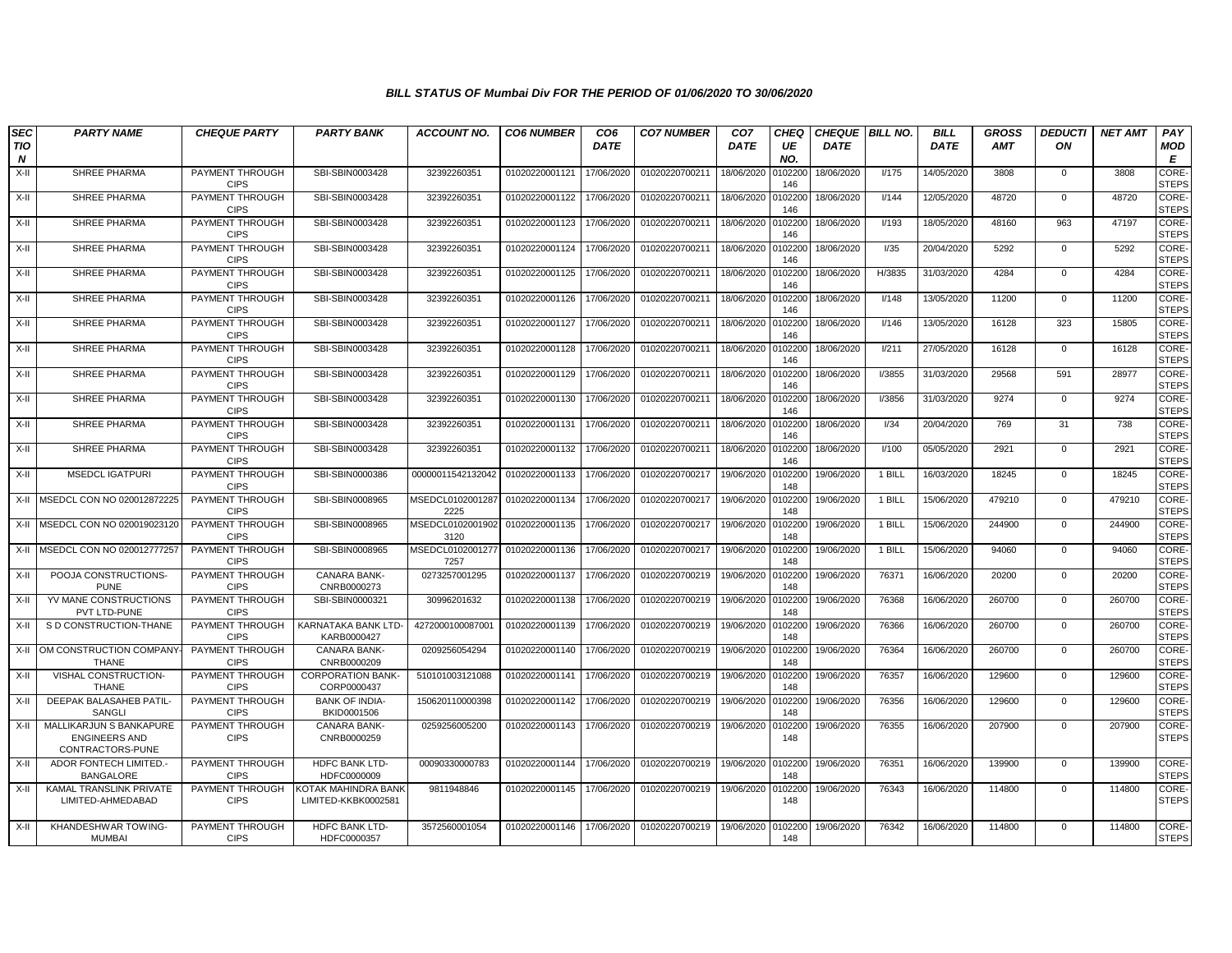| <b>SEC</b>      | <b>PARTY NAME</b>                                                   | <b>CHEQUE PARTY</b>            | <b>PARTY BANK</b>                          | <b>ACCOUNT NO.</b>       | <b>CO6 NUMBER</b>         | CO <sub>6</sub> | <b>CO7 NUMBER</b> | CO <sub>7</sub> | <b>CHEQ</b>    | <b>CHEQUE BILL NO.</b> |               | <b>BILL</b> | <b>GROSS</b> | <b>DEDUCTI</b> | <b>NET AMT</b> | PAY                   |
|-----------------|---------------------------------------------------------------------|--------------------------------|--------------------------------------------|--------------------------|---------------------------|-----------------|-------------------|-----------------|----------------|------------------------|---------------|-------------|--------------|----------------|----------------|-----------------------|
| <b>TIO</b><br>N |                                                                     |                                |                                            |                          |                           | <b>DATE</b>     |                   | <b>DATE</b>     | UE<br>NO.      | <b>DATE</b>            |               | <b>DATE</b> | <b>AMT</b>   | ON             |                | MOD<br>E              |
| X-II            | SHREE PHARMA                                                        | PAYMENT THROUGH<br><b>CIPS</b> | SBI-SBIN0003428                            | 32392260351              | 01020220001121            | 17/06/2020      | 01020220700211    | 18/06/2020      | 0102200<br>146 | 18/06/2020             | I/175         | 14/05/2020  | 3808         | $\mathbf 0$    | 3808           | CORE-<br><b>STEPS</b> |
| X-II            | SHREE PHARMA                                                        | PAYMENT THROUGH<br><b>CIPS</b> | SBI-SBIN0003428                            | 32392260351              | 01020220001122            | 17/06/2020      | 01020220700211    | 18/06/2020      | 0102200<br>146 | 18/06/2020             | 1/144         | 12/05/2020  | 48720        | $\mathbf 0$    | 48720          | CORE-<br><b>STEPS</b> |
| X-II            | SHREE PHARMA                                                        | PAYMENT THROUGH<br><b>CIPS</b> | SBI-SBIN0003428                            | 32392260351              | 01020220001123 17/06/2020 |                 | 01020220700211    | 18/06/2020      | 0102200<br>146 | 18/06/2020             | I/193         | 18/05/2020  | 48160        | 963            | 47197          | CORE-<br><b>STEPS</b> |
| X-II            | SHREE PHARMA                                                        | PAYMENT THROUGH<br><b>CIPS</b> | SBI-SBIN0003428                            | 32392260351              | 01020220001124            | 17/06/2020      | 01020220700211    | 18/06/2020      | 0102200<br>146 | 18/06/2020             | 1/35          | 20/04/2020  | 5292         | $\mathbf 0$    | 5292           | CORE-<br><b>STEPS</b> |
| X-II            | SHREE PHARMA                                                        | PAYMENT THROUGH<br><b>CIPS</b> | SBI-SBIN0003428                            | 32392260351              | 01020220001125            | 17/06/2020      | 01020220700211    | 18/06/2020      | 0102200<br>146 | 18/06/2020             | H/3835        | 31/03/2020  | 4284         | $\mathbf 0$    | 4284           | CORE-<br><b>STEPS</b> |
| X-II            | SHREE PHARMA                                                        | PAYMENT THROUGH<br><b>CIPS</b> | SBI-SBIN0003428                            | 32392260351              | 01020220001126            | 17/06/2020      | 01020220700211    | 18/06/2020      | 0102200<br>146 | 18/06/2020             | 1/148         | 13/05/2020  | 11200        | $\Omega$       | 11200          | CORE-<br><b>STEPS</b> |
| X-II            | SHREE PHARMA                                                        | PAYMENT THROUGH<br><b>CIPS</b> | SBI-SBIN0003428                            | 32392260351              | 01020220001127            | 17/06/2020      | 01020220700211    | 18/06/2020      | 0102200<br>146 | 18/06/2020             | I/146         | 13/05/2020  | 16128        | 323            | 15805          | CORE-<br><b>STEPS</b> |
| X-II            | <b>SHREE PHARMA</b>                                                 | PAYMENT THROUGH<br><b>CIPS</b> | SBI-SBIN0003428                            | 32392260351              | 01020220001128            | 17/06/2020      | 01020220700211    | 18/06/2020      | 0102200<br>146 | 18/06/2020             | 1/211         | 27/05/2020  | 16128        | $\mathbf 0$    | 16128          | CORE-<br><b>STEPS</b> |
| X-II            | SHREE PHARMA                                                        | PAYMENT THROUGH<br><b>CIPS</b> | SBI-SBIN0003428                            | 32392260351              | 01020220001129            | 17/06/2020      | 01020220700211    | 18/06/2020      | 0102200<br>146 | 18/06/2020             | <b>I/3855</b> | 31/03/2020  | 29568        | 591            | 28977          | CORE-<br><b>STEPS</b> |
| X-II            | <b>SHREE PHARMA</b>                                                 | PAYMENT THROUGH<br><b>CIPS</b> | SBI-SBIN0003428                            | 32392260351              | 01020220001130            | 17/06/2020      | 01020220700211    | 18/06/2020      | 0102200<br>146 | 18/06/2020             | <b>I/3856</b> | 31/03/2020  | 9274         | $\mathbf 0$    | 9274           | CORE-<br><b>STEPS</b> |
| X-II            | SHREE PHARMA                                                        | PAYMENT THROUGH<br><b>CIPS</b> | SBI-SBIN0003428                            | 32392260351              | 01020220001131            | 17/06/2020      | 01020220700211    | 18/06/2020      | 0102200<br>146 | 18/06/2020             | I/34          | 20/04/2020  | 769          | 31             | 738            | CORE-<br><b>STEPS</b> |
| X-II            | <b>SHREE PHARMA</b>                                                 | PAYMENT THROUGH<br><b>CIPS</b> | SBI-SBIN0003428                            | 32392260351              | 01020220001132            | 17/06/2020      | 01020220700211    | 18/06/2020      | 0102200<br>146 | 18/06/2020             | I/100         | 05/05/2020  | 2921         | $\mathbf 0$    | 2921           | CORE-<br><b>STEPS</b> |
| X-II            | <b>MSEDCL IGATPURI</b>                                              | PAYMENT THROUGH<br><b>CIPS</b> | SBI-SBIN0000386                            | 00000011542132042        | 01020220001133            | 17/06/2020      | 01020220700217    | 19/06/2020      | 0102200<br>148 | 19/06/2020             | 1 BILL        | 16/03/2020  | 18245        | $\Omega$       | 18245          | CORE-<br><b>STEPS</b> |
| X-II            | MSEDCL CON NO 020012872225                                          | PAYMENT THROUGH<br><b>CIPS</b> | SBI-SBIN0008965                            | MSEDCL0102001287<br>2225 | 01020220001134            | 17/06/2020      | 01020220700217    | 19/06/2020      | 0102200<br>148 | 19/06/2020             | 1 BILL        | 15/06/2020  | 479210       | $\mathbf 0$    | 479210         | CORE-<br><b>STEPS</b> |
| X-II            | MSEDCL CON NO 020019023120                                          | PAYMENT THROUGH<br><b>CIPS</b> | SBI-SBIN0008965                            | MSEDCL0102001902<br>3120 | 01020220001135            | 17/06/2020      | 01020220700217    | 19/06/2020      | 0102200<br>148 | 19/06/2020             | 1 BILL        | 15/06/2020  | 244900       | $\mathbf 0$    | 244900         | CORE-<br><b>STEPS</b> |
| X-II            | MSEDCL CON NO 020012777257                                          | PAYMENT THROUGH<br><b>CIPS</b> | SBI-SBIN0008965                            | MSEDCL0102001277<br>7257 | 01020220001136            | 17/06/2020      | 01020220700217    | 19/06/2020      | 0102200<br>148 | 19/06/2020             | 1 BILL        | 15/06/2020  | 94060        | $\Omega$       | 94060          | CORE-<br><b>STEPS</b> |
| X-II            | POOJA CONSTRUCTIONS<br><b>PUNE</b>                                  | PAYMENT THROUGH<br><b>CIPS</b> | CANARA BANK-<br>CNRB0000273                | 0273257001295            | 01020220001137            | 17/06/2020      | 01020220700219    | 19/06/2020      | 0102200<br>148 | 19/06/2020             | 76371         | 16/06/2020  | 20200        | $\mathsf{O}$   | 20200          | CORE-<br><b>STEPS</b> |
| X-II            | YV MANE CONSTRUCTIONS<br>PVT LTD-PUNE                               | PAYMENT THROUGH<br><b>CIPS</b> | SBI-SBIN0000321                            | 30996201632              | 01020220001138            | 17/06/2020      | 01020220700219    | 19/06/2020      | 0102200<br>148 | 19/06/2020             | 76368         | 16/06/2020  | 260700       | $\mathbf 0$    | 260700         | CORE-<br><b>STEPS</b> |
| X-II            | S D CONSTRUCTION-THANE                                              | PAYMENT THROUGH<br><b>CIPS</b> | KARNATAKA BANK LTD-<br>KARB0000427         | 4272000100087001         | 01020220001139            | 17/06/2020      | 01020220700219    | 19/06/2020      | 0102200<br>148 | 19/06/2020             | 76366         | 16/06/2020  | 260700       | $\mathbf 0$    | 260700         | CORE-<br><b>STEPS</b> |
| X-II            | OM CONSTRUCTION COMPANY<br><b>THANE</b>                             | PAYMENT THROUGH<br><b>CIPS</b> | <b>CANARA BANK-</b><br>CNRB0000209         | 0209256054294            | 01020220001140            | 17/06/2020      | 01020220700219    | 19/06/2020      | 0102200<br>148 | 19/06/2020             | 76364         | 16/06/2020  | 260700       | $\mathbf 0$    | 260700         | CORE-<br><b>STEPS</b> |
| X-II            | VISHAL CONSTRUCTION-<br><b>THANE</b>                                | PAYMENT THROUGH<br><b>CIPS</b> | <b>CORPORATION BANK-</b><br>CORP0000437    | 510101003121088          | 01020220001141            | 17/06/2020      | 01020220700219    | 19/06/2020      | 0102200<br>148 | 19/06/2020             | 76357         | 16/06/2020  | 129600       | 0              | 129600         | CORE-<br><b>STEPS</b> |
| X-II            | DEEPAK BALASAHEB PATIL-<br>SANGLI                                   | PAYMENT THROUGH<br><b>CIPS</b> | <b>BANK OF INDIA-</b><br>BKID0001506       | 150620110000398          | 01020220001142            | 17/06/2020      | 01020220700219    | 19/06/2020      | 0102200<br>148 | 19/06/2020             | 76356         | 16/06/2020  | 129600       | $\mathbf 0$    | 129600         | CORE-<br><b>STEPS</b> |
| X-II            | MALLIKARJUN S BANKAPURE<br><b>ENGINEERS AND</b><br>CONTRACTORS-PUNE | PAYMENT THROUGH<br><b>CIPS</b> | <b>CANARA BANK-</b><br>CNRB0000259         | 0259256005200            | 01020220001143 17/06/2020 |                 | 01020220700219    | 19/06/2020      | 0102200<br>148 | 19/06/2020             | 76355         | 16/06/2020  | 207900       | $\Omega$       | 207900         | CORE-<br><b>STEPS</b> |
| X-II            | ADOR FONTECH LIMITED.<br><b>BANGALORE</b>                           | PAYMENT THROUGH<br><b>CIPS</b> | <b>HDFC BANK LTD-</b><br>HDFC0000009       | 00090330000783           | 01020220001144 17/06/2020 |                 | 01020220700219    | 19/06/2020      | 0102200<br>148 | 19/06/2020             | 76351         | 16/06/2020  | 139900       | $\mathbf 0$    | 139900         | CORE-<br><b>STEPS</b> |
| X-II            | KAMAL TRANSLINK PRIVATE<br>LIMITED-AHMEDABAD                        | PAYMENT THROUGH<br><b>CIPS</b> | KOTAK MAHINDRA BANK<br>LIMITED-KKBK0002581 | 9811948846               | 01020220001145 17/06/2020 |                 | 01020220700219    | 19/06/2020      | 0102200<br>148 | 19/06/2020             | 76343         | 16/06/2020  | 114800       | $\mathbf 0$    | 114800         | CORE-<br><b>STEPS</b> |
| X-II            | KHANDESHWAR TOWING<br><b>MUMBAI</b>                                 | PAYMENT THROUGH<br><b>CIPS</b> | <b>HDFC BANK LTD-</b><br>HDFC0000357       | 3572560001054            | 01020220001146 17/06/2020 |                 | 01020220700219    | 19/06/2020      | 0102200<br>148 | 19/06/2020             | 76342         | 16/06/2020  | 114800       | $\Omega$       | 114800         | CORE-<br>STEPS        |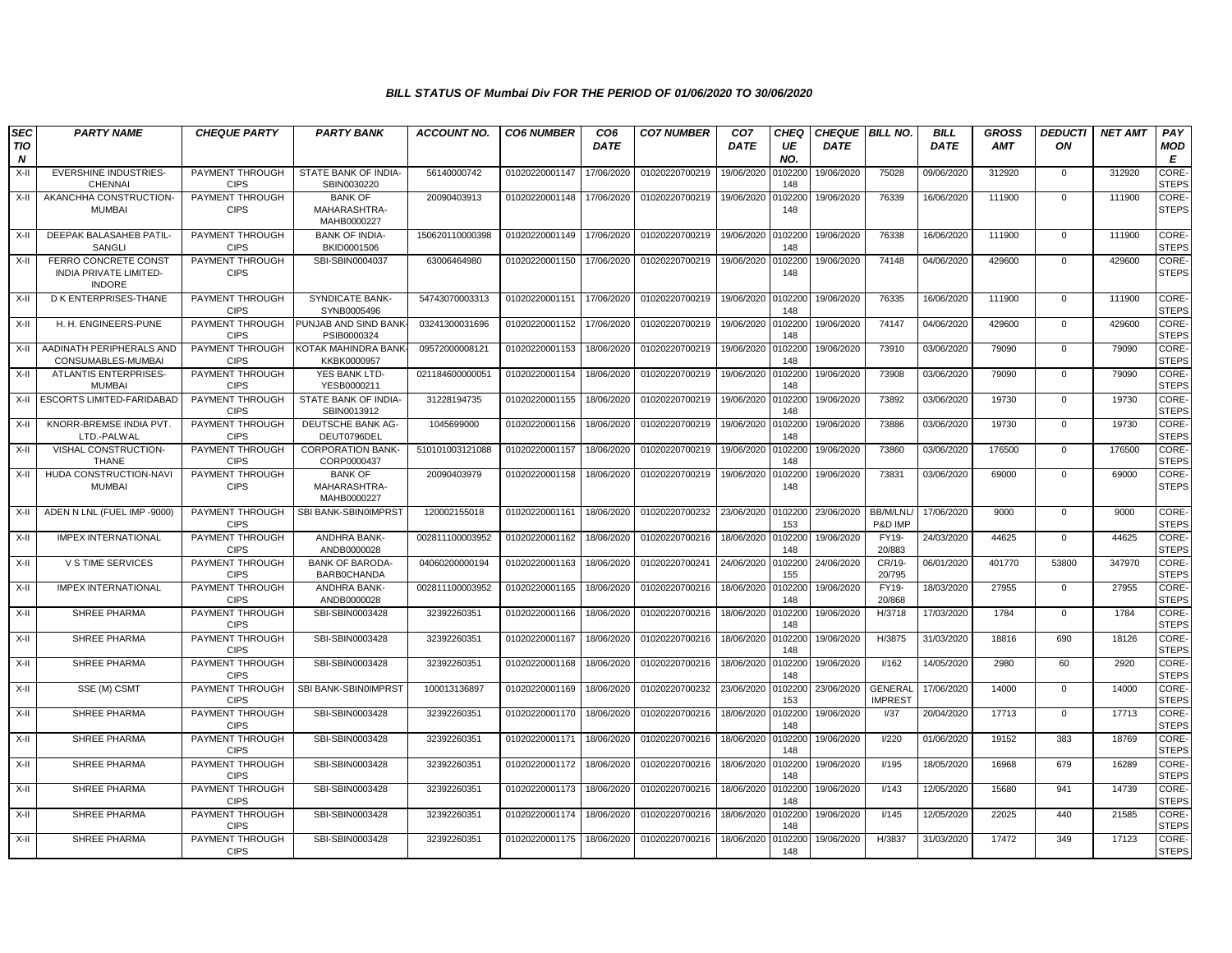| <b>SEC</b>              | <b>PARTY NAME</b>                                                             | <b>CHEQUE PARTY</b>                   | <b>PARTY BANK</b>                             | <b>ACCOUNT NO.</b> | <b>CO6 NUMBER</b> | CO <sub>6</sub> | <b>CO7 NUMBER</b> | CO <sub>7</sub> | CHEQ           | <b>CHEQUE   BILL NO.</b> |                                  | <b>BILL</b> | <b>GROSS</b> | <b>DEDUCTI</b> | <b>NET AMT</b> | PAY                          |
|-------------------------|-------------------------------------------------------------------------------|---------------------------------------|-----------------------------------------------|--------------------|-------------------|-----------------|-------------------|-----------------|----------------|--------------------------|----------------------------------|-------------|--------------|----------------|----------------|------------------------------|
| TIO<br>$\boldsymbol{N}$ |                                                                               |                                       |                                               |                    |                   | <b>DATE</b>     |                   | <b>DATE</b>     | UE<br>NO.      | <b>DATE</b>              |                                  | <b>DATE</b> | <b>AMT</b>   | ON             |                | <b>MOD</b><br>E              |
| $X-II$                  | <b>EVERSHINE INDUSTRIES-</b><br><b>CHENNAI</b>                                | PAYMENT THROUGH<br><b>CIPS</b>        | STATE BANK OF INDIA-<br>SBIN0030220           | 56140000742        | 01020220001147    | 17/06/2020      | 01020220700219    | 19/06/2020      | 102200<br>148  | 19/06/2020               | 75028                            | 09/06/2020  | 312920       | $\mathbf{0}$   | 312920         | <b>CORE</b><br><b>STEPS</b>  |
| $X-II$                  | AKANCHHA CONSTRUCTION-<br><b>MUMBAI</b>                                       | PAYMENT THROUGH<br><b>CIPS</b>        | <b>BANK OF</b><br>MAHARASHTRA-<br>MAHB0000227 | 20090403913        | 01020220001148    | 17/06/2020      | 01020220700219    | 19/06/2020      | 0102200<br>148 | 19/06/2020               | 76339                            | 16/06/2020  | 111900       | $\Omega$       | 111900         | CORE-<br><b>STEPS</b>        |
| $X-II$                  | DEEPAK BALASAHEB PATIL<br>SANGLI                                              | PAYMENT THROUGH<br><b>CIPS</b>        | <b>BANK OF INDIA-</b><br>BKID0001506          | 150620110000398    | 01020220001149    | 17/06/2020      | 01020220700219    | 19/06/2020      | 0102200<br>148 | 19/06/2020               | 76338                            | 16/06/2020  | 111900       | $\mathbf 0$    | 111900         | <b>CORE-</b><br><b>STEPS</b> |
| X-II                    | <b>FERRO CONCRETE CONST</b><br><b>INDIA PRIVATE LIMITED-</b><br><b>INDORE</b> | PAYMENT THROUGH<br><b>CIPS</b>        | SBI-SBIN0004037                               | 63006464980        | 01020220001150    | 17/06/2020      | 01020220700219    | 19/06/2020      | 0102200<br>148 | 19/06/2020               | 74148                            | 04/06/2020  | 429600       | $^{\circ}$     | 429600         | CORE-<br><b>STEPS</b>        |
| $X-H$                   | D K ENTERPRISES-THANE                                                         | <b>PAYMENT THROUGH</b><br><b>CIPS</b> | <b>SYNDICATE BANK-</b><br>SYNB0005496         | 54743070003313     | 01020220001151    | 17/06/2020      | 01020220700219    | 19/06/2020      | 0102200<br>148 | 19/06/2020               | 76335                            | 16/06/2020  | 111900       | $\mathbf 0$    | 111900         | <b>CORE</b><br><b>STEPS</b>  |
| $X-II$                  | H. H. ENGINEERS-PUNE                                                          | PAYMENT THROUGH<br><b>CIPS</b>        | PUNJAB AND SIND BANK<br>PSIB0000324           | 03241300031696     | 01020220001152    | 17/06/2020      | 01020220700219    | 19/06/2020      | 0102200<br>148 | 19/06/2020               | 74147                            | 04/06/2020  | 429600       | $\mathbf 0$    | 429600         | CORE-<br><b>STEPS</b>        |
| $X-II$                  | AADINATH PERIPHERALS AND<br>CONSUMABLES-MUMBAI                                | PAYMENT THROUGH<br><b>CIPS</b>        | KOTAK MAHINDRA BANK<br>KKBK0000957            | 09572000008121     | 01020220001153    | 18/06/2020      | 01020220700219    | 19/06/2020      | 0102200<br>148 | 19/06/2020               | 73910                            | 03/06/2020  | 79090        | $\mathbf 0$    | 79090          | CORE-<br><b>STEPS</b>        |
| $X-II$                  | <b>ATLANTIS ENTERPRISES-</b><br><b>MUMBAI</b>                                 | PAYMENT THROUGH<br><b>CIPS</b>        | YES BANK LTD-<br>YESB0000211                  | 021184600000051    | 01020220001154    | 18/06/2020      | 01020220700219    | 19/06/2020      | 0102200<br>148 | 19/06/2020               | 73908                            | 03/06/2020  | 79090        | $\mathbf{0}$   | 79090          | CORE-<br><b>STEPS</b>        |
| $X-H$                   | ESCORTS LIMITED-FARIDABAD                                                     | PAYMENT THROUGH<br><b>CIPS</b>        | STATE BANK OF INDIA-<br>SBIN0013912           | 31228194735        | 01020220001155    | 18/06/2020      | 01020220700219    | 19/06/2020      | 0102200<br>148 | 19/06/2020               | 73892                            | 03/06/2020  | 19730        | $\Omega$       | 19730          | CORE-<br><b>STEPS</b>        |
| $X-II$                  | KNORR-BREMSE INDIA PVT.<br>LTD.-PALWAL                                        | <b>PAYMENT THROUGH</b><br><b>CIPS</b> | DEUTSCHE BANK AG-<br>DEUT0796DEL              | 1045699000         | 01020220001156    | 18/06/2020      | 01020220700219    | 19/06/2020      | 0102200<br>148 | 19/06/2020               | 73886                            | 03/06/2020  | 19730        | $\mathbf 0$    | 19730          | CORE-<br><b>STEPS</b>        |
| $X-H$                   | VISHAL CONSTRUCTION-<br><b>THANE</b>                                          | PAYMENT THROUGH<br><b>CIPS</b>        | <b>CORPORATION BANK-</b><br>CORP0000437       | 510101003121088    | 01020220001157    | 18/06/2020      | 01020220700219    | 19/06/2020      | 0102200<br>148 | 19/06/2020               | 73860                            | 03/06/2020  | 176500       | $\mathbf 0$    | 176500         | CORE-<br><b>STEPS</b>        |
| $X-II$                  | HUDA CONSTRUCTION-NAVI<br><b>MUMBAI</b>                                       | PAYMENT THROUGH<br><b>CIPS</b>        | <b>BANK OF</b><br>MAHARASHTRA-<br>MAHB0000227 | 20090403979        | 01020220001158    | 18/06/2020      | 01020220700219    | 19/06/2020      | 0102200<br>148 | 19/06/2020               | 73831                            | 03/06/2020  | 69000        | $\mathbf{0}$   | 69000          | CORE-<br><b>STEPS</b>        |
| X-II                    | ADEN N LNL (FUEL IMP -9000)                                                   | PAYMENT THROUGH<br><b>CIPS</b>        | SBI BANK-SBIN0IMPRST                          | 120002155018       | 01020220001161    | 18/06/2020      | 01020220700232    | 23/06/2020      | 0102200<br>153 | 23/06/2020               | BB/M/LNL<br>P&D IMP              | 17/06/2020  | 9000         | $\mathbf{0}$   | 9000           | CORE-<br><b>STEPS</b>        |
| $X-H$                   | <b>IMPEX INTERNATIONAL</b>                                                    | PAYMENT THROUGH<br><b>CIPS</b>        | ANDHRA BANK-<br>ANDB0000028                   | 002811100003952    | 01020220001162    | 18/06/2020      | 01020220700216    | 18/06/2020      | 0102200<br>148 | 19/06/2020               | FY19-<br>20/883                  | 24/03/2020  | 44625        | $\mathbf 0$    | 44625          | CORE-<br><b>STEPS</b>        |
| $X-H$                   | <b>V S TIME SERVICES</b>                                                      | PAYMENT THROUGH<br><b>CIPS</b>        | <b>BANK OF BARODA-</b><br>BARB0CHANDA         | 04060200000194     | 01020220001163    | 18/06/2020      | 01020220700241    | 24/06/2020      | 0102200<br>155 | 24/06/2020               | CR/19-<br>20/795                 | 06/01/2020  | 401770       | 53800          | 347970         | CORE-<br><b>STEPS</b>        |
| $X-H$                   | <b>IMPEX INTERNATIONAL</b>                                                    | PAYMENT THROUGH<br><b>CIPS</b>        | <b>ANDHRA BANK-</b><br>ANDB0000028            | 002811100003952    | 01020220001165    | 18/06/2020      | 01020220700216    | 18/06/2020      | 0102200<br>148 | 19/06/2020               | FY19-<br>20/868                  | 18/03/2020  | 27955        | $\mathbf{0}$   | 27955          | <b>CORE</b><br><b>STEPS</b>  |
| $X-H$                   | SHREE PHARMA                                                                  | PAYMENT THROUGH<br><b>CIPS</b>        | SBI-SBIN0003428                               | 32392260351        | 01020220001166    | 18/06/2020      | 01020220700216    | 18/06/2020      | 010220<br>148  | 19/06/2020               | H/3718                           | 17/03/2020  | 1784         | $\mathbf 0$    | 1784           | CORE-<br><b>STEPS</b>        |
| $X-II$                  | SHREE PHARMA                                                                  | PAYMENT THROUGH<br><b>CIPS</b>        | SBI-SBIN0003428                               | 32392260351        | 01020220001167    | 18/06/2020      | 01020220700216    | 18/06/2020      | 010220<br>148  | 19/06/2020               | H/3875                           | 31/03/2020  | 18816        | 690            | 18126          | CORE-<br><b>STEPS</b>        |
| $X-II$                  | SHREE PHARMA                                                                  | PAYMENT THROUGH<br><b>CIPS</b>        | SBI-SBIN0003428                               | 32392260351        | 01020220001168    | 18/06/2020      | 01020220700216    | 18/06/2020      | 102200<br>148  | 19/06/2020               | I/162                            | 14/05/2020  | 2980         | 60             | 2920           | CORE-<br><b>STEPS</b>        |
| $X-II$                  | SSE (M) CSMT                                                                  | PAYMENT THROUGH<br><b>CIPS</b>        | SBI BANK-SBIN0IMPRST                          | 100013136897       | 01020220001169    | 18/06/2020      | 01020220700232    | 23/06/2020      | 0102200<br>153 | 23/06/2020               | <b>GENERAL</b><br><b>IMPREST</b> | 17/06/2020  | 14000        | $\mathbf{0}$   | 14000          | CORE-<br><b>STEPS</b>        |
| $X-II$                  | SHREE PHARMA                                                                  | PAYMENT THROUGH<br><b>CIPS</b>        | SBI-SBIN0003428                               | 32392260351        | 01020220001170    | 18/06/2020      | 01020220700216    | 18/06/2020      | 0102200<br>148 | 19/06/2020               | I/37                             | 20/04/2020  | 17713        | $\mathbf{0}$   | 17713          | CORE-<br><b>STEPS</b>        |
| $X-H$                   | SHREE PHARMA                                                                  | PAYMENT THROUGH<br><b>CIPS</b>        | SBI-SBIN0003428                               | 32392260351        | 01020220001171    | 18/06/2020      | 01020220700216    | 18/06/2020      | 0102200<br>148 | 19/06/2020               | 1/220                            | 01/06/2020  | 19152        | 383            | 18769          | CORE-<br><b>STEPS</b>        |
| $X-H$                   | SHREE PHARMA                                                                  | PAYMENT THROUGH<br><b>CIPS</b>        | SBI-SBIN0003428                               | 32392260351        | 01020220001172    | 18/06/2020      | 01020220700216    | 18/06/2020      | 0102200<br>148 | 19/06/2020               | I/195                            | 18/05/2020  | 16968        | 679            | 16289          | CORE-<br><b>STEPS</b>        |
| $X-II$                  | <b>SHREE PHARMA</b>                                                           | PAYMENT THROUGH<br><b>CIPS</b>        | SBI-SBIN0003428                               | 32392260351        | 01020220001173    | 18/06/2020      | 01020220700216    | 18/06/2020      | 102200<br>148  | 19/06/2020               | I/143                            | 12/05/2020  | 15680        | 941            | 14739          | CORE-<br><b>STEPS</b>        |
| $X-II$                  | SHREE PHARMA                                                                  | PAYMENT THROUGH<br><b>CIPS</b>        | SBI-SBIN0003428                               | 32392260351        | 01020220001174    | 18/06/2020      | 01020220700216    | 18/06/2020      | 0102200<br>148 | 19/06/2020               | I/145                            | 12/05/2020  | 22025        | 440            | 21585          | CORE-<br><b>STEPS</b>        |
| X-II                    | SHREE PHARMA                                                                  | PAYMENT THROUGH<br><b>CIPS</b>        | SBI-SBIN0003428                               | 32392260351        | 01020220001175    | 18/06/2020      | 01020220700216    | 18/06/2020      | 0102200<br>148 | 19/06/2020               | H/3837                           | 31/03/2020  | 17472        | 349            | 17123          | CORE-<br><b>STEPS</b>        |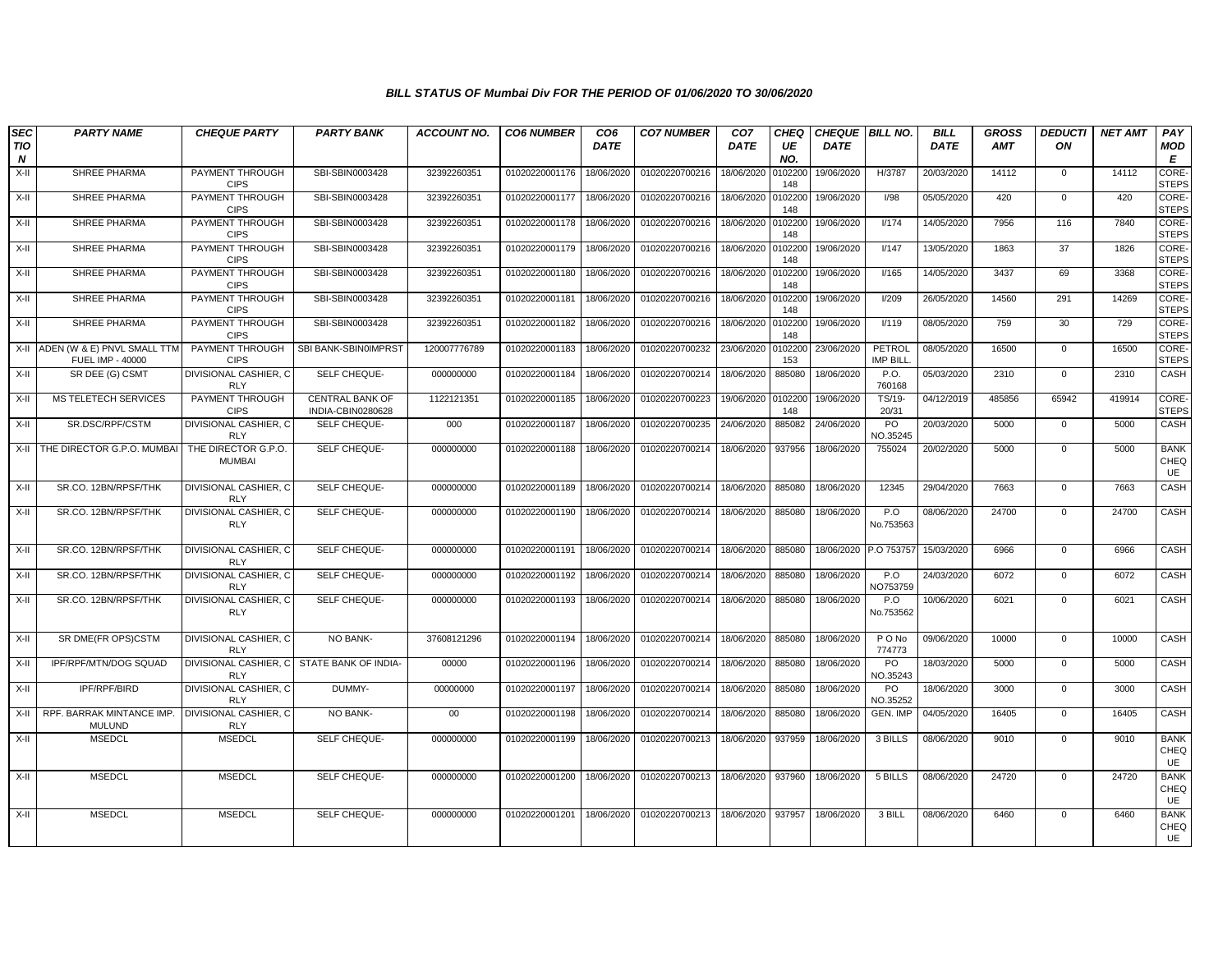| <b>SEC</b><br>TIO<br>N | <b>PARTY NAME</b>                                    | <b>CHEQUE PARTY</b>                  | <b>PARTY BANK</b>                    | <b>ACCOUNT NO.</b> | <b>CO6 NUMBER</b> | CO <sub>6</sub><br><b>DATE</b> | <b>CO7 NUMBER</b> | CO <sub>7</sub><br><b>DATE</b> | <b>CHEQ</b><br>UE<br>NO. | <b>DATE</b> | CHEQUE   BILL NO.   | <b>BILL</b><br><b>DATE</b> | <b>GROSS</b><br><b>AMT</b> | <b>DEDUCTI</b><br>ON | <b>NET AMT</b> | PAY<br>MOD<br>E           |
|------------------------|------------------------------------------------------|--------------------------------------|--------------------------------------|--------------------|-------------------|--------------------------------|-------------------|--------------------------------|--------------------------|-------------|---------------------|----------------------------|----------------------------|----------------------|----------------|---------------------------|
| $X-H$                  | SHREE PHARMA                                         | PAYMENT THROUGH<br><b>CIPS</b>       | SBI-SBIN0003428                      | 32392260351        | 01020220001176    | 18/06/2020                     | 01020220700216    | 18/06/2020                     | 0102200<br>148           | 19/06/2020  | H/3787              | 20/03/2020                 | 14112                      | $\mathbf 0$          | 14112          | CORE-<br><b>STEPS</b>     |
| X-II                   | SHREE PHARMA                                         | PAYMENT THROUGH<br><b>CIPS</b>       | SBI-SBIN0003428                      | 32392260351        | 01020220001177    | 18/06/2020                     | 01020220700216    | 18/06/2020                     | 0102200<br>148           | 19/06/2020  | I/98                | 05/05/2020                 | 420                        | $\mathbf{0}$         | 420            | CORE-<br><b>STEPS</b>     |
| X-II                   | SHREE PHARMA                                         | PAYMENT THROUGH<br><b>CIPS</b>       | SBI-SBIN0003428                      | 32392260351        | 01020220001178    | 18/06/2020                     | 01020220700216    | 18/06/2020                     | 0102200<br>148           | 19/06/2020  | I/174               | 14/05/2020                 | 7956                       | 116                  | 7840           | CORE-<br><b>STEPS</b>     |
| $X-H$                  | SHREE PHARMA                                         | PAYMENT THROUGH<br><b>CIPS</b>       | SBI-SBIN0003428                      | 32392260351        | 01020220001179    | 18/06/2020                     | 01020220700216    | 18/06/2020                     | 0102200<br>148           | 19/06/2020  | I/147               | 13/05/2020                 | 1863                       | 37                   | 1826           | CORE-<br><b>STEPS</b>     |
| X-II                   | SHREE PHARMA                                         | PAYMENT THROUGH<br><b>CIPS</b>       | SBI-SBIN0003428                      | 32392260351        | 01020220001180    | 18/06/2020                     | 01020220700216    | 18/06/2020                     | 0102200<br>148           | 19/06/2020  | I/165               | 14/05/2020                 | 3437                       | 69                   | 3368           | CORE-<br><b>STEPS</b>     |
| X-II                   | <b>SHREE PHARMA</b>                                  | PAYMENT THROUGH<br><b>CIPS</b>       | SBI-SBIN0003428                      | 32392260351        | 01020220001181    | 18/06/2020                     | 01020220700216    | 18/06/2020                     | 0102200<br>148           | 19/06/2020  | I/209               | 26/05/2020                 | 14560                      | 291                  | 14269          | CORE-<br><b>STEPS</b>     |
| X-II                   | SHREE PHARMA                                         | PAYMENT THROUGH<br><b>CIPS</b>       | SBI-SBIN0003428                      | 32392260351        | 01020220001182    | 18/06/2020                     | 01020220700216    | 18/06/2020                     | 0102200<br>148           | 19/06/2020  | I/119               | 08/05/2020                 | 759                        | 30                   | 729            | CORE-<br><b>STEPS</b>     |
|                        | X-II ADEN (W & E) PNVL SMALL TTM<br>FUEL IMP - 40000 | PAYMENT THROUGH<br><b>CIPS</b>       | SBI BANK-SBIN0IMPRST                 | 120007776789       | 01020220001183    | 18/06/2020                     | 01020220700232    | 23/06/2020                     | 0102200<br>153           | 23/06/2020  | PETROL<br>IMP BILL. | 08/05/2020                 | 16500                      | $\mathsf 0$          | 16500          | CORE-<br><b>STEPS</b>     |
| X-II                   | SR DEE (G) CSMT                                      | DIVISIONAL CASHIER, C<br><b>RLY</b>  | SELF CHEQUE-                         | 000000000          | 01020220001184    | 18/06/2020                     | 01020220700214    | 18/06/2020                     | 885080                   | 18/06/2020  | P.O.<br>760168      | 05/03/2020                 | 2310                       | $\mathbf 0$          | 2310           | CASH                      |
| X-II                   | MS TELETECH SERVICES                                 | PAYMENT THROUGH<br><b>CIPS</b>       | CENTRAL BANK OF<br>INDIA-CBIN0280628 | 1122121351         | 01020220001185    | 18/06/2020                     | 01020220700223    | 19/06/2020                     | 0102200<br>148           | 19/06/2020  | TS/19-<br>20/31     | 04/12/2019                 | 485856                     | 65942                | 419914         | CORE-<br><b>STEPS</b>     |
| X-II                   | SR.DSC/RPF/CSTM                                      | DIVISIONAL CASHIER. C<br><b>RLY</b>  | SELF CHEQUE-                         | 000                | 01020220001187    | 18/06/2020                     | 01020220700235    | 24/06/2020                     | 885082                   | 24/06/2020  | PO<br>NO.35245      | 20/03/2020                 | 5000                       | $\mathbf 0$          | 5000           | CASH                      |
|                        | X-II THE DIRECTOR G.P.O. MUMBAI                      | THE DIRECTOR G.P.O.<br><b>MUMBAI</b> | SELF CHEQUE-                         | 000000000          | 01020220001188    | 18/06/2020                     | 01020220700214    | 18/06/2020                     | 937956                   | 18/06/2020  | 755024              | 20/02/2020                 | 5000                       | $\mathbf 0$          | 5000           | <b>BANK</b><br>CHEQ<br>UE |
| X-II                   | SR.CO. 12BN/RPSF/THK                                 | DIVISIONAL CASHIER. C<br><b>RLY</b>  | SELF CHEQUE-                         | 000000000          | 01020220001189    | 18/06/2020                     | 01020220700214    | 18/06/2020                     | 885080                   | 18/06/2020  | 12345               | 29/04/2020                 | 7663                       | $\mathbf 0$          | 7663           | CASH                      |
| X-II                   | SR.CO. 12BN/RPSF/THK                                 | DIVISIONAL CASHIER, C<br><b>RLY</b>  | SELF CHEQUE-                         | 000000000          | 01020220001190    | 18/06/2020                     | 01020220700214    | 18/06/2020                     | 885080                   | 18/06/2020  | P.O<br>No.753563    | 08/06/2020                 | 24700                      | $\mathbf 0$          | 24700          | CASH                      |
| X-II                   | SR.CO. 12BN/RPSF/THK                                 | DIVISIONAL CASHIER, C<br><b>RLY</b>  | SELF CHEQUE-                         | 000000000          | 01020220001191    | 18/06/2020                     | 01020220700214    | 18/06/2020                     | 885080                   | 18/06/2020  | P.O 753757          | 15/03/2020                 | 6966                       | $\mathbf 0$          | 6966           | CASH                      |
| X-II                   | SR.CO. 12BN/RPSF/THK                                 | DIVISIONAL CASHIER, C<br><b>RLY</b>  | SELF CHEQUE-                         | 000000000          | 01020220001192    | 18/06/2020                     | 01020220700214    | 18/06/2020                     | 885080                   | 18/06/2020  | P.O<br>NO753759     | 24/03/2020                 | 6072                       | $\mathbf 0$          | 6072           | CASH                      |
| X-II                   | SR.CO. 12BN/RPSF/THK                                 | DIVISIONAL CASHIER. C<br><b>RLY</b>  | SELF CHEQUE-                         | 000000000          | 01020220001193    | 18/06/2020                     | 01020220700214    | 18/06/2020                     | 885080                   | 18/06/2020  | P.O<br>No.753562    | 10/06/2020                 | 6021                       | $\mathbf 0$          | 6021           | CASH                      |
| X-II                   | SR DME(FR OPS)CSTM                                   | DIVISIONAL CASHIER, C<br><b>RLY</b>  | NO BANK-                             | 37608121296        | 01020220001194    | 18/06/2020                     | 01020220700214    | 18/06/2020                     | 885080                   | 18/06/2020  | P O No<br>774773    | 09/06/2020                 | 10000                      | $\mathbf 0$          | 10000          | CASH                      |
| X-II                   | IPF/RPF/MTN/DOG SQUAD                                | DIVISIONAL CASHIER, C<br><b>RLY</b>  | STATE BANK OF INDIA-                 | 00000              | 01020220001196    | 18/06/2020                     | 01020220700214    | 18/06/2020                     | 885080                   | 18/06/2020  | PO<br>NO.35243      | 18/03/2020                 | 5000                       | $\mathbf 0$          | 5000           | CASH                      |
| X-II                   | IPF/RPF/BIRD                                         | DIVISIONAL CASHIER, C<br><b>RLY</b>  | DUMMY-                               | 00000000           | 01020220001197    | 18/06/2020                     | 01020220700214    | 18/06/2020                     | 885080                   | 18/06/2020  | PO<br>NO.35252      | 18/06/2020                 | 3000                       | $\mathsf{O}$         | 3000           | CASH                      |
| X-II                   | RPF. BARRAK MINTANCE IMP.<br><b>MULUND</b>           | DIVISIONAL CASHIER, C<br><b>RLY</b>  | NO BANK-                             | $00\,$             | 01020220001198    | 18/06/2020                     | 01020220700214    | 18/06/2020                     | 885080                   | 18/06/2020  | GEN. IMP            | 04/05/2020                 | 16405                      | $\mathbf{0}$         | 16405          | CASH                      |
| X-II                   | <b>MSEDCL</b>                                        | <b>MSEDCL</b>                        | SELF CHEQUE-                         | 000000000          | 01020220001199    | 18/06/2020                     | 01020220700213    | 18/06/2020                     | 937959                   | 18/06/2020  | 3 BILLS             | 08/06/2020                 | 9010                       | $\mathbf 0$          | 9010           | <b>BANK</b><br>CHEQ<br>UE |
| X-II                   | <b>MSEDCL</b>                                        | <b>MSEDCL</b>                        | SELF CHEQUE-                         | 000000000          | 01020220001200    | 18/06/2020                     | 01020220700213    | 18/06/2020                     | 937960                   | 18/06/2020  | 5 BILLS             | 08/06/2020                 | 24720                      | $\mathsf 0$          | 24720          | <b>BANK</b><br>CHEQ<br>UE |
| X-II                   | <b>MSEDCL</b>                                        | <b>MSEDCL</b>                        | SELF CHEQUE-                         | 000000000          | 01020220001201    | 18/06/2020                     | 01020220700213    | 18/06/2020                     | 937957                   | 18/06/2020  | 3 BILL              | 08/06/2020                 | 6460                       | $\mathbf 0$          | 6460           | <b>BANK</b><br>CHEQ<br>UE |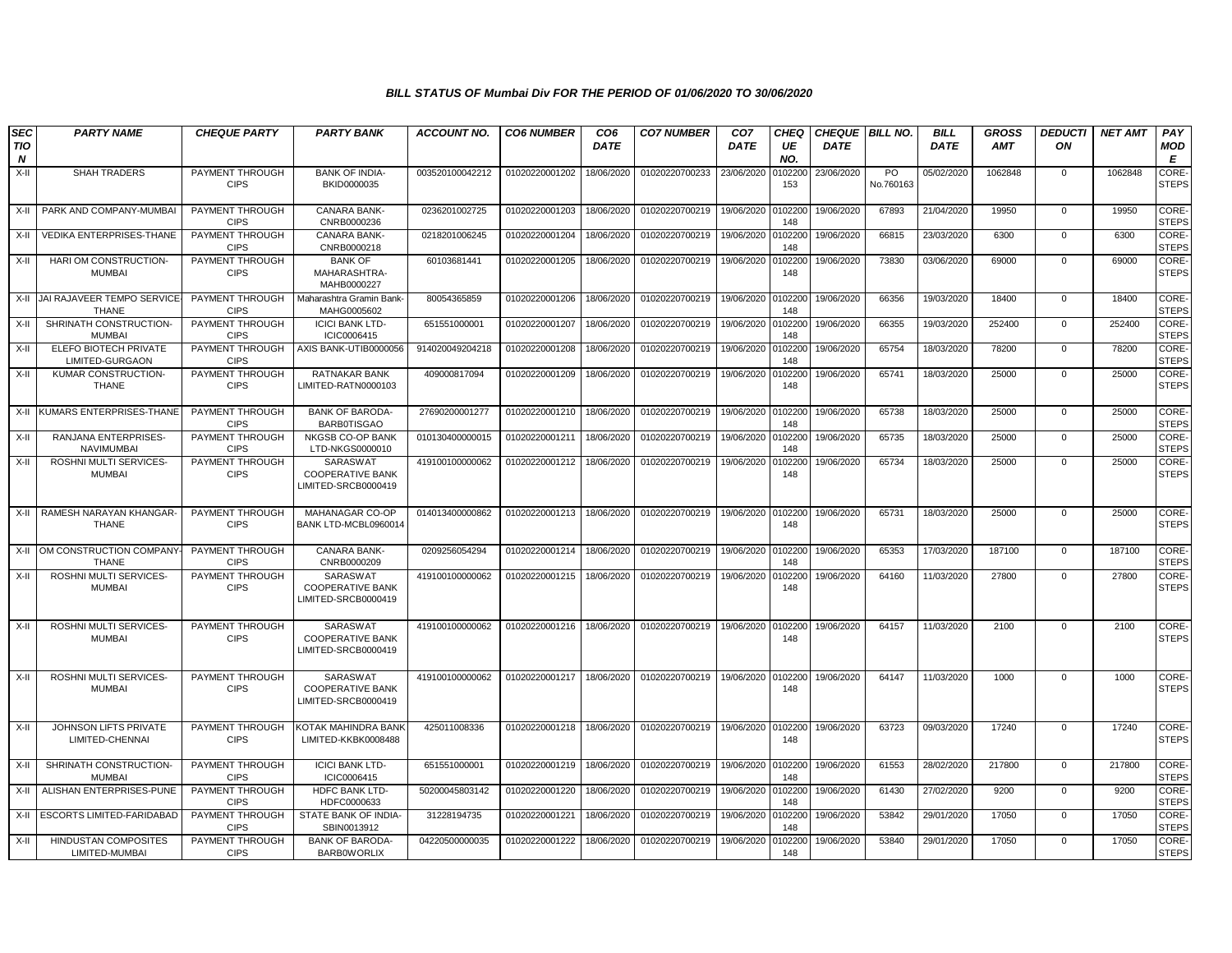| <b>SEC</b>                     | <b>PARTY NAME</b>                                | <b>CHEQUE PARTY</b>            | <b>PARTY BANK</b>                                          | <b>ACCOUNT NO.</b> | <b>CO6 NUMBER</b> | CO <sub>6</sub> | <b>CO7 NUMBER</b> | CO <sub>7</sub>   | CHEQ           | <b>CHEQUE BILL NO.</b> |                 | <b>BILL</b> | <b>GROSS</b> | <b>DEDUCTI</b> | <b>NET AMT</b> | PAY                          |
|--------------------------------|--------------------------------------------------|--------------------------------|------------------------------------------------------------|--------------------|-------------------|-----------------|-------------------|-------------------|----------------|------------------------|-----------------|-------------|--------------|----------------|----------------|------------------------------|
| <b>TIO</b><br>$\boldsymbol{N}$ |                                                  |                                |                                                            |                    |                   | <b>DATE</b>     |                   | <b>DATE</b>       | UE<br>NO.      | <b>DATE</b>            |                 | <b>DATE</b> | <b>AMT</b>   | ON             |                | <b>MOD</b><br>E              |
| X-II                           | <b>SHAH TRADERS</b>                              | PAYMENT THROUGH<br><b>CIPS</b> | <b>BANK OF INDIA-</b><br>BKID0000035                       | 003520100042212    | 01020220001202    | 18/06/2020      | 01020220700233    | 23/06/2020        | 0102200<br>153 | 23/06/2020             | PO<br>No.760163 | 05/02/2020  | 1062848      | 0              | 1062848        | CORE-<br><b>STEPS</b>        |
| X-II                           | PARK AND COMPANY-MUMBA                           | PAYMENT THROUGH<br><b>CIPS</b> | CANARA BANK-<br>CNRB0000236                                | 0236201002725      | 01020220001203    | 18/06/2020      | 01020220700219    | 19/06/2020        | 0102200<br>148 | 19/06/2020             | 67893           | 21/04/2020  | 19950        | $\mathbf{0}$   | 19950          | CORE-<br><b>STEPS</b>        |
| X-II                           | VEDIKA ENTERPRISES-THANE                         | PAYMENT THROUGH<br><b>CIPS</b> | CANARA BANK-<br>CNRB0000218                                | 0218201006245      | 01020220001204    | 18/06/2020      | 01020220700219    | 19/06/2020        | 0102200<br>148 | 19/06/2020             | 66815           | 23/03/2020  | 6300         | $\mathbf 0$    | 6300           | CORE-<br><b>STEPS</b>        |
| X-II                           | HARI OM CONSTRUCTION-<br><b>MUMBAI</b>           | PAYMENT THROUGH<br><b>CIPS</b> | <b>BANK OF</b><br>MAHARASHTRA-<br>MAHB0000227              | 60103681441        | 01020220001205    | 18/06/2020      | 01020220700219    | 19/06/2020        | 0102200<br>148 | 19/06/2020             | 73830           | 03/06/2020  | 69000        | 0              | 69000          | CORE-<br><b>STEPS</b>        |
|                                | X-II JAI RAJAVEER TEMPO SERVICE-<br><b>THANE</b> | PAYMENT THROUGH<br><b>CIPS</b> | Maharashtra Gramin Bank-<br>MAHG0005602                    | 80054365859        | 01020220001206    | 18/06/2020      | 01020220700219    | 19/06/2020 010220 | 148            | 19/06/2020             | 66356           | 19/03/2020  | 18400        | $\mathbf 0$    | 18400          | CORE-<br><b>STEPS</b>        |
| X-II                           | SHRINATH CONSTRUCTION-<br><b>MUMBAI</b>          | PAYMENT THROUGH<br><b>CIPS</b> | <b>ICICI BANK LTD-</b><br>ICIC0006415                      | 651551000001       | 01020220001207    | 18/06/2020      | 01020220700219    | 19/06/2020        | 0102200<br>148 | 19/06/2020             | 66355           | 19/03/2020  | 252400       | $\mathbf 0$    | 252400         | CORE-<br><b>STEPS</b>        |
| X-II                           | ELEFO BIOTECH PRIVATE<br>LIMITED-GURGAON         | PAYMENT THROUGH<br><b>CIPS</b> | AXIS BANK-UTIB0000056                                      | 914020049204218    | 01020220001208    | 18/06/2020      | 01020220700219    | 19/06/2020        | 0102200<br>148 | 19/06/2020             | 65754           | 18/03/2020  | 78200        | $\mathbf{0}$   | 78200          | CORE-<br><b>STEPS</b>        |
| X-II                           | KUMAR CONSTRUCTION-<br><b>THANE</b>              | PAYMENT THROUGH<br><b>CIPS</b> | RATNAKAR BANK<br>LIMITED-RATN0000103                       | 409000817094       | 01020220001209    | 18/06/2020      | 01020220700219    | 19/06/2020        | 010220<br>148  | 19/06/2020             | 65741           | 18/03/2020  | 25000        | $\mathbf 0$    | 25000          | CORE-<br><b>STEPS</b>        |
| X-II                           | KUMARS ENTERPRISES-THANE                         | PAYMENT THROUGH<br><b>CIPS</b> | <b>BANK OF BARODA-</b><br><b>BARB0TISGAO</b>               | 27690200001277     | 01020220001210    | 18/06/2020      | 01020220700219    | 19/06/2020        | 010220<br>148  | 19/06/2020             | 65738           | 18/03/2020  | 25000        | $\mathbf 0$    | 25000          | <b>CORE-</b><br><b>STEPS</b> |
| X-II                           | RANJANA ENTERPRISES-<br>NAVIMUMBAI               | PAYMENT THROUGH<br><b>CIPS</b> | NKGSB CO-OP BANK<br>LTD-NKGS0000010                        | 010130400000015    | 01020220001211    | 18/06/2020      | 01020220700219    | 19/06/2020        | 010220<br>148  | 19/06/2020             | 65735           | 18/03/2020  | 25000        | 0              | 25000          | CORE-<br><b>STEPS</b>        |
| X-II                           | ROSHNI MULTI SERVICES-<br><b>MUMBAI</b>          | PAYMENT THROUGH<br><b>CIPS</b> | SARASWAT<br><b>COOPERATIVE BANK</b><br>LIMITED-SRCB0000419 | 419100100000062    | 01020220001212    | 18/06/2020      | 01020220700219    | 19/06/2020        | 010220<br>148  | 19/06/2020             | 65734           | 18/03/2020  | 25000        | $\mathbf 0$    | 25000          | CORE-<br><b>STEPS</b>        |
| X-II                           | RAMESH NARAYAN KHANGAR-<br><b>THANE</b>          | PAYMENT THROUGH<br><b>CIPS</b> | MAHANAGAR CO-OP<br>BANK LTD-MCBL0960014                    | 014013400000862    | 01020220001213    | 18/06/2020      | 01020220700219    | 19/06/2020        | 0102200<br>148 | 19/06/2020             | 65731           | 18/03/2020  | 25000        | $\mathbf 0$    | 25000          | CORE-<br><b>STEPS</b>        |
| X-II                           | OM CONSTRUCTION COMPANY<br><b>THANE</b>          | PAYMENT THROUGH<br><b>CIPS</b> | <b>CANARA BANK-</b><br>CNRB0000209                         | 0209256054294      | 01020220001214    | 18/06/2020      | 01020220700219    | 19/06/2020        | 010220<br>148  | 19/06/2020             | 65353           | 17/03/2020  | 187100       | $\mathbf{0}$   | 187100         | CORE-<br><b>STEPS</b>        |
| X-II                           | ROSHNI MULTI SERVICES-<br><b>MUMBAI</b>          | PAYMENT THROUGH<br><b>CIPS</b> | SARASWAT<br><b>COOPERATIVE BANK</b><br>LIMITED-SRCB0000419 | 419100100000062    | 01020220001215    | 18/06/2020      | 01020220700219    | 19/06/2020        | 0102200<br>148 | 19/06/2020             | 64160           | 11/03/2020  | 27800        | $\mathbf 0$    | 27800          | CORE-<br><b>STEPS</b>        |
| X-II                           | ROSHNI MULTI SERVICES-<br><b>MUMBAI</b>          | PAYMENT THROUGH<br><b>CIPS</b> | SARASWAT<br><b>COOPERATIVE BANK</b><br>LIMITED-SRCB0000419 | 419100100000062    | 01020220001216    | 18/06/2020      | 01020220700219    | 19/06/2020        | 0102200<br>148 | 19/06/2020             | 64157           | 11/03/2020  | 2100         | $\mathbf{0}$   | 2100           | CORE-<br><b>STEPS</b>        |
| X-II                           | ROSHNI MULTI SERVICES-<br><b>MUMBAI</b>          | PAYMENT THROUGH<br><b>CIPS</b> | SARASWAT<br><b>COOPERATIVE BANK</b><br>LIMITED-SRCB0000419 | 419100100000062    | 01020220001217    | 18/06/2020      | 01020220700219    | 19/06/2020 010220 | 148            | 19/06/2020             | 64147           | 11/03/2020  | 1000         | $\mathbf 0$    | 1000           | CORE-<br><b>STEPS</b>        |
| X-II                           | JOHNSON LIFTS PRIVATE<br>LIMITED-CHENNAI         | PAYMENT THROUGH<br><b>CIPS</b> | KOTAK MAHINDRA BANK<br>LIMITED-KKBK0008488                 | 425011008336       | 01020220001218    | 18/06/2020      | 01020220700219    | 19/06/2020        | 0102200<br>148 | 19/06/2020             | 63723           | 09/03/2020  | 17240        | $\mathbf 0$    | 17240          | CORE-<br><b>STEPS</b>        |
| X-II                           | SHRINATH CONSTRUCTION-<br><b>MUMBAI</b>          | PAYMENT THROUGH<br><b>CIPS</b> | <b>ICICI BANK LTD-</b><br>ICIC0006415                      | 651551000001       | 01020220001219    | 18/06/2020      | 01020220700219    | 19/06/2020        | 0102200<br>148 | 19/06/2020             | 61553           | 28/02/2020  | 217800       | $\mathbf 0$    | 217800         | CORE-<br><b>STEPS</b>        |
| X-II                           | ALISHAN ENTERPRISES-PUNE                         | PAYMENT THROUGH<br><b>CIPS</b> | HDFC BANK LTD-<br>HDFC0000633                              | 50200045803142     | 01020220001220    | 18/06/2020      | 01020220700219    | 19/06/2020        | 0102200<br>148 | 19/06/2020             | 61430           | 27/02/2020  | 9200         | $\mathbf 0$    | 9200           | CORE-<br><b>STEPS</b>        |
| X-II                           | <b>ESCORTS LIMITED-FARIDABAD</b>                 | PAYMENT THROUGH<br><b>CIPS</b> | STATE BANK OF INDIA-<br>SBIN0013912                        | 31228194735        | 01020220001221    | 18/06/2020      | 01020220700219    | 19/06/2020        | 0102200<br>148 | 19/06/2020             | 53842           | 29/01/2020  | 17050        | $\mathbf 0$    | 17050          | <b>CORE-</b><br><b>STEPS</b> |
| X-II                           | <b>HINDUSTAN COMPOSITES</b><br>LIMITED-MUMBAI    | PAYMENT THROUGH<br><b>CIPS</b> | <b>BANK OF BARODA-</b><br><b>BARBOWORLIX</b>               | 04220500000035     | 01020220001222    | 18/06/2020      | 01020220700219    | 19/06/2020        | 0102200<br>148 | 19/06/2020             | 53840           | 29/01/2020  | 17050        | $\mathbf 0$    | 17050          | CORE-<br><b>STEPS</b>        |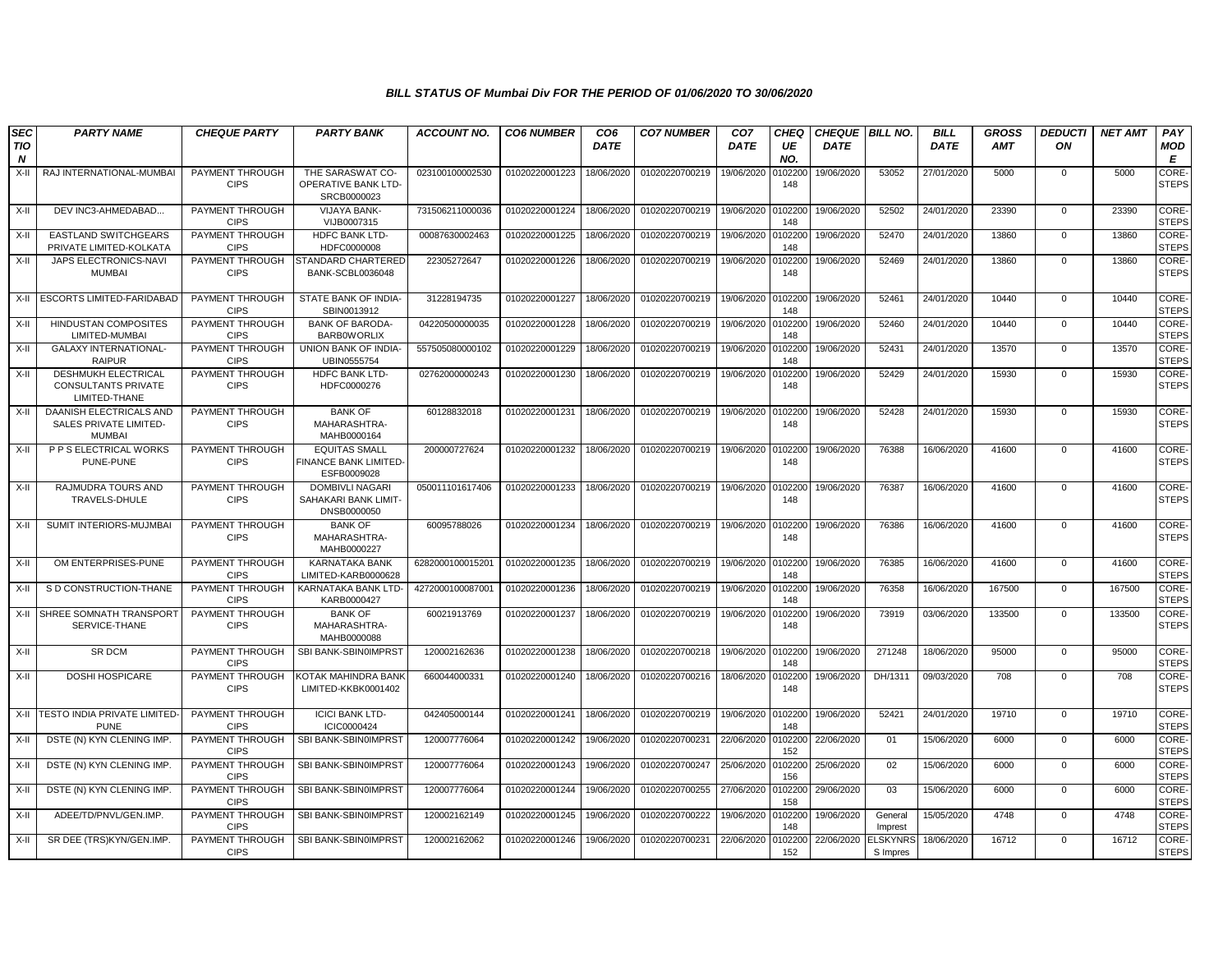| <b>SEC</b>      | <b>PARTY NAME</b>                                                         | <b>CHEQUE PARTY</b>                   | <b>PARTY BANK</b>                                                   | <b>ACCOUNT NO.</b> | <b>CO6 NUMBER</b> | CO <sub>6</sub> | <b>CO7 NUMBER</b> | CO <sub>7</sub>   | CHEQ           | <b>CHEQUE   BILL NO.</b> |                             | <b>BILL</b> | <b>GROSS</b> | <b>DEDUCTI</b> | <b>NET AMT</b> | PAY                          |
|-----------------|---------------------------------------------------------------------------|---------------------------------------|---------------------------------------------------------------------|--------------------|-------------------|-----------------|-------------------|-------------------|----------------|--------------------------|-----------------------------|-------------|--------------|----------------|----------------|------------------------------|
| <b>TIO</b><br>N |                                                                           |                                       |                                                                     |                    |                   | <b>DATE</b>     |                   | DATE              | UE<br>NO.      | <b>DATE</b>              |                             | <b>DATE</b> | <b>AMT</b>   | ON             |                | <b>MOD</b><br>Е              |
| X-II            | RAJ INTERNATIONAL-MUMBA                                                   | PAYMENT THROUGH<br><b>CIPS</b>        | THE SARASWAT CO-<br>OPERATIVE BANK LTD-<br>SRCB0000023              | 023100100002530    | 01020220001223    | 18/06/2020      | 01020220700219    | 19/06/2020        | 010220<br>148  | 19/06/2020               | 53052                       | 27/01/2020  | 5000         | 0              | 5000           | <b>CORE</b><br><b>STEPS</b>  |
| X-II            | DEV INC3-AHMEDABAD                                                        | PAYMENT THROUGH<br><b>CIPS</b>        | <b>VIJAYA BANK-</b><br>VIJB0007315                                  | 731506211000036    | 01020220001224    | 18/06/2020      | 01020220700219    | 19/06/2020        | 0102200<br>148 | 19/06/2020               | 52502                       | 24/01/2020  | 23390        | $\mathbf{0}$   | 23390          | <b>CORE</b><br><b>STEPS</b>  |
| X-II            | <b>EASTLAND SWITCHGEARS</b><br>PRIVATE LIMITED-KOLKATA                    | PAYMENT THROUGH<br><b>CIPS</b>        | HDFC BANK LTD-<br>HDFC0000008                                       | 00087630002463     | 01020220001225    | 18/06/2020      | 01020220700219    | 19/06/2020        | 0102200<br>148 | 19/06/2020               | 52470                       | 24/01/2020  | 13860        | 0              | 13860          | CORE-<br><b>STEPS</b>        |
| X-II            | JAPS ELECTRONICS-NAVI<br><b>MUMBAI</b>                                    | PAYMENT THROUGH<br><b>CIPS</b>        | STANDARD CHARTERED<br>BANK-SCBL0036048                              | 22305272647        | 01020220001226    | 18/06/2020      | 01020220700219    | 19/06/2020        | 0102200<br>148 | 19/06/2020               | 52469                       | 24/01/2020  | 13860        | $\mathbf{0}$   | 13860          | CORE-<br><b>STEPS</b>        |
| X-II            | <b>ESCORTS LIMITED-FARIDABAD</b>                                          | PAYMENT THROUGH<br><b>CIPS</b>        | STATE BANK OF INDIA-<br>SBIN0013912                                 | 31228194735        | 01020220001227    | 18/06/2020      | 01020220700219    | 19/06/2020        | 0102200<br>148 | 19/06/2020               | 52461                       | 24/01/2020  | 10440        | $\Omega$       | 10440          | CORE-<br><b>STEPS</b>        |
| X-II            | <b>HINDUSTAN COMPOSITES</b><br>LIMITED-MUMBAI                             | PAYMENT THROUGH<br><b>CIPS</b>        | <b>BANK OF BARODA-</b><br><b>BARBOWORLIX</b>                        | 04220500000035     | 01020220001228    | 18/06/2020      | 01020220700219    | 19/06/2020        | 0102200<br>148 | 19/06/2020               | 52460                       | 24/01/2020  | 10440        | $\mathbf 0$    | 10440          | CORE-<br><b>STEPS</b>        |
| X-II            | <b>GALAXY INTERNATIONAL-</b><br><b>RAIPUR</b>                             | PAYMENT THROUGH<br><b>CIPS</b>        | UNION BANK OF INDIA-<br>UBIN0555754                                 | 557505080000102    | 01020220001229    | 18/06/2020      | 01020220700219    | 19/06/2020        | 0102200<br>148 | 19/06/2020               | 52431                       | 24/01/2020  | 13570        | $\mathbf{0}$   | 13570          | CORE-<br><b>STEPS</b>        |
| X-II            | <b>DESHMUKH ELECTRICAL</b><br><b>CONSULTANTS PRIVATE</b><br>LIMITED-THANE | PAYMENT THROUGH<br><b>CIPS</b>        | HDFC BANK LTD-<br>HDFC0000276                                       | 02762000000243     | 01020220001230    | 18/06/2020      | 01020220700219    | 19/06/2020        | 010220<br>148  | 19/06/2020               | 52429                       | 24/01/2020  | 15930        | $\mathbf 0$    | 15930          | CORE-<br><b>STEPS</b>        |
| $X-II$          | <b>DAANISH ELECTRICALS AND</b><br>SALES PRIVATE LIMITED-<br><b>MUMBAI</b> | PAYMENT THROUGH<br><b>CIPS</b>        | <b>BANK OF</b><br>MAHARASHTRA-<br>MAHB0000164                       | 60128832018        | 01020220001231    | 18/06/2020      | 01020220700219    | 19/06/2020        | 010220<br>148  | 19/06/2020               | 52428                       | 24/01/2020  | 15930        | $\mathbf 0$    | 15930          | CORE-<br><b>STEPS</b>        |
| X-II            | P P S ELECTRICAL WORKS<br>PUNE-PUNE                                       | PAYMENT THROUGH<br><b>CIPS</b>        | <b>EQUITAS SMALL</b><br><b>FINANCE BANK LIMITED-</b><br>ESFB0009028 | 200000727624       | 01020220001232    | 18/06/2020      | 01020220700219    | 19/06/2020        | 0102200<br>148 | 19/06/2020               | 76388                       | 16/06/2020  | 41600        | $\mathbf 0$    | 41600          | CORE-<br><b>STEPS</b>        |
| X-II            | RAJMUDRA TOURS AND<br>TRAVELS-DHULE                                       | PAYMENT THROUGH<br><b>CIPS</b>        | <b>DOMBIVLI NAGARI</b><br>SAHAKARI BANK LIMIT-<br>DNSB0000050       | 050011101617406    | 01020220001233    | 18/06/2020      | 01020220700219    | 19/06/2020        | 010220<br>148  | 19/06/2020               | 76387                       | 16/06/2020  | 41600        | $\mathbf{0}$   | 41600          | <b>CORE</b><br><b>STEPS</b>  |
| X-II            | SUMIT INTERIORS-MUJMBA                                                    | PAYMENT THROUGH<br><b>CIPS</b>        | <b>BANK OF</b><br>MAHARASHTRA-<br>MAHB0000227                       | 60095788026        | 01020220001234    | 18/06/2020      | 01020220700219    | 19/06/2020        | 0102200<br>148 | 19/06/2020               | 76386                       | 16/06/2020  | 41600        | $\mathbf 0$    | 41600          | <b>CORE</b><br><b>STEPS</b>  |
| X-II            | OM ENTERPRISES-PUNE                                                       | PAYMENT THROUGH<br><b>CIPS</b>        | <b>KARNATAKA BANK</b><br>LIMITED-KARB0000628                        | 6282000100015201   | 01020220001235    | 18/06/2020      | 01020220700219    | 19/06/2020 010220 | 148            | 19/06/2020               | 76385                       | 16/06/2020  | 41600        | $\mathbf{0}$   | 41600          | CORE-<br><b>STEPS</b>        |
| X-II            | S D CONSTRUCTION-THANE                                                    | <b>PAYMENT THROUGH</b><br><b>CIPS</b> | KARNATAKA BANK LTD-<br>KARB0000427                                  | 4272000100087001   | 01020220001236    | 18/06/2020      | 01020220700219    | 19/06/2020        | 0102200<br>148 | 19/06/2020               | 76358                       | 16/06/2020  | 167500       | $\mathbf 0$    | 167500         | CORE-<br><b>STEPS</b>        |
| X-II            | SHREE SOMNATH TRANSPORT<br>SERVICE-THANE                                  | PAYMENT THROUGH<br><b>CIPS</b>        | <b>BANK OF</b><br>MAHARASHTRA-<br>MAHB0000088                       | 60021913769        | 01020220001237    | 18/06/2020      | 01020220700219    | 19/06/2020        | 0102200<br>148 | 19/06/2020               | 73919                       | 03/06/2020  | 133500       | $\mathbf{0}$   | 133500         | CORE-<br><b>STEPS</b>        |
| X-II            | SR DCM                                                                    | PAYMENT THROUGH<br><b>CIPS</b>        | SBI BANK-SBIN0IMPRST                                                | 120002162636       | 01020220001238    | 18/06/2020      | 01020220700218    | 19/06/2020        | 0102200<br>148 | 19/06/2020               | 271248                      | 18/06/2020  | 95000        | $\mathbf 0$    | 95000          | CORE-<br><b>STEPS</b>        |
| X-II            | DOSHI HOSPICARE                                                           | PAYMENT THROUGH<br><b>CIPS</b>        | KOTAK MAHINDRA BANK<br>LIMITED-KKBK0001402                          | 660044000331       | 01020220001240    | 18/06/2020      | 01020220700216    | 18/06/2020        | 0102200<br>148 | 19/06/2020               | DH/1311                     | 09/03/2020  | 708          | $\mathbf 0$    | 708            | CORE-<br><b>STEPS</b>        |
|                 | X-II TESTO INDIA PRIVATE LIMITED-<br><b>PUNE</b>                          | PAYMENT THROUGH<br><b>CIPS</b>        | <b>ICICI BANK LTD-</b><br>ICIC0000424                               | 042405000144       | 01020220001241    | 18/06/2020      | 01020220700219    | 19/06/2020        | 0102200<br>148 | 19/06/2020               | 52421                       | 24/01/2020  | 19710        | $\mathbf 0$    | 19710          | CORE-<br><b>STEPS</b>        |
| X-II            | DSTE (N) KYN CLENING IMP.                                                 | PAYMENT THROUGH<br><b>CIPS</b>        | SBI BANK-SBIN0IMPRST                                                | 120007776064       | 01020220001242    | 19/06/2020      | 01020220700231    | 22/06/2020        | 0102200<br>152 | 22/06/2020               | 01                          | 15/06/2020  | 6000         | $\mathbf 0$    | 6000           | <b>CORE</b><br><b>STEPS</b>  |
| X-II            | DSTE (N) KYN CLENING IMP.                                                 | PAYMENT THROUGH<br><b>CIPS</b>        | SBI BANK-SBIN0IMPRST                                                | 120007776064       | 01020220001243    | 19/06/2020      | 01020220700247    | 25/06/2020        | 0102200<br>156 | 25/06/2020               | 02                          | 15/06/2020  | 6000         | $\mathbf 0$    | 6000           | <b>CORE-</b><br><b>STEPS</b> |
| X-II            | DSTE (N) KYN CLENING IMP.                                                 | <b>PAYMENT THROUGH</b><br><b>CIPS</b> | SBI BANK-SBIN0IMPRST                                                | 120007776064       | 01020220001244    | 19/06/2020      | 01020220700255    | 27/06/2020        | 0102200<br>158 | 29/06/2020               | 03                          | 15/06/2020  | 6000         | $\mathbf 0$    | 6000           | CORE-<br><b>STEPS</b>        |
| X-II            | ADEE/TD/PNVL/GEN.IMP.                                                     | PAYMENT THROUGH<br><b>CIPS</b>        | SBI BANK-SBIN0IMPRST                                                | 120002162149       | 01020220001245    | 19/06/2020      | 01020220700222    | 19/06/2020        | 0102200<br>148 | 19/06/2020               | General<br>Imprest          | 15/05/2020  | 4748         | $\mathbf{0}$   | 4748           | CORE-<br><b>STEPS</b>        |
| X-II            | SR DEE (TRS)KYN/GEN.IMP.                                                  | PAYMENT THROUGH<br><b>CIPS</b>        | SBI BANK-SBIN0IMPRST                                                | 120002162062       | 01020220001246    | 19/06/2020      | 01020220700231    | 22/06/2020        | 0102200<br>152 | 22/06/2020               | <b>ELSKYNRS</b><br>S Impres | 18/06/2020  | 16712        | $\mathbf 0$    | 16712          | CORE-<br><b>STEPS</b>        |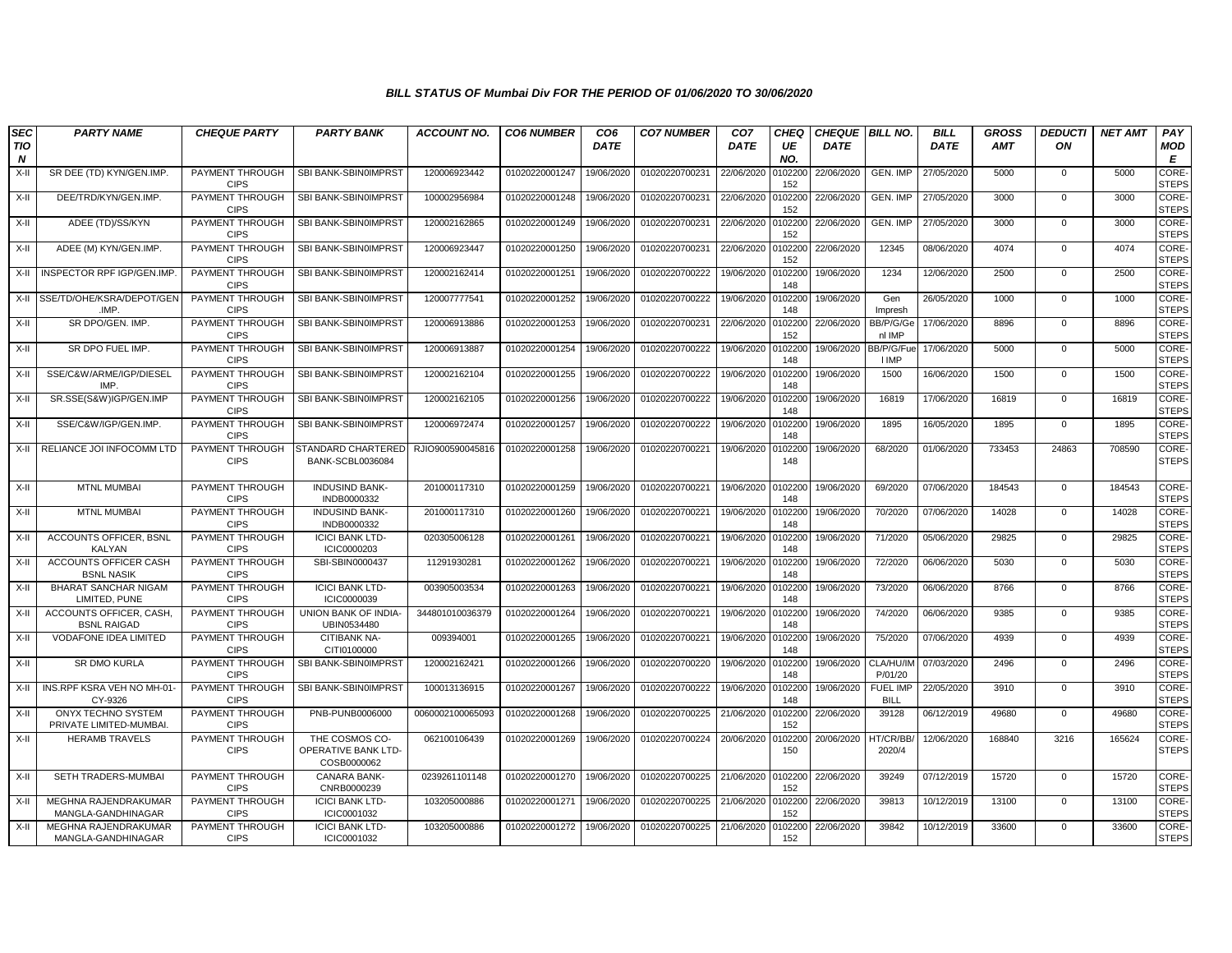| <b>SEC</b>              | <b>PARTY NAME</b>                                   | <b>CHEQUE PARTY</b>            | <b>PARTY BANK</b>                                    | <b>ACCOUNT NO.</b> | <b>CO6 NUMBER</b> | CO <sub>6</sub> | <b>CO7 NUMBER</b> | CO <sub>7</sub> | CHEQ           | <b>CHEQUE BILL NO.</b> |                                | <b>BILL</b> | <b>GROSS</b> | <b>DEDUCTI</b> | <b>NET AMT</b> | PAY                   |
|-------------------------|-----------------------------------------------------|--------------------------------|------------------------------------------------------|--------------------|-------------------|-----------------|-------------------|-----------------|----------------|------------------------|--------------------------------|-------------|--------------|----------------|----------------|-----------------------|
| TIO<br>$\boldsymbol{N}$ |                                                     |                                |                                                      |                    |                   | <b>DATE</b>     |                   | <b>DATE</b>     | UE<br>NO.      | <b>DATE</b>            |                                | <b>DATE</b> | <b>AMT</b>   | ON             |                | MOD<br>E              |
| $X-II$                  | SR DEE (TD) KYN/GEN.IMP                             | PAYMENT THROUGH<br><b>CIPS</b> | SBI BANK-SBIN0IMPRST                                 | 120006923442       | 01020220001247    | 19/06/2020      | 01020220700231    | 22/06/2020      | 0102200<br>152 | 22/06/2020             | GEN. IMP                       | 27/05/2020  | 5000         | $\mathbf 0$    | 5000           | CORE-<br><b>STEPS</b> |
| X-II                    | DEE/TRD/KYN/GEN.IMP.                                | PAYMENT THROUGH<br><b>CIPS</b> | SBI BANK-SBIN0IMPRST                                 | 100002956984       | 01020220001248    | 19/06/2020      | 01020220700231    | 22/06/2020      | 0102200<br>152 | 22/06/2020             | GEN. IMP                       | 27/05/2020  | 3000         | $\Omega$       | 3000           | CORE-<br><b>STEPS</b> |
| X-II                    | ADEE (TD)/SS/KYN                                    | PAYMENT THROUGH<br><b>CIPS</b> | SBI BANK-SBIN0IMPRST                                 | 120002162865       | 01020220001249    | 19/06/2020      | 01020220700231    | 22/06/2020      | 0102200<br>152 | 22/06/2020             | GEN. IMP                       | 27/05/2020  | 3000         | $\mathbf{0}$   | 3000           | CORE-<br><b>STEPS</b> |
| X-II                    | ADEE (M) KYN/GEN.IMP.                               | PAYMENT THROUGH<br><b>CIPS</b> | SBI BANK-SBIN0IMPRST                                 | 120006923447       | 01020220001250    | 19/06/2020      | 01020220700231    | 22/06/2020      | 0102200<br>152 | 22/06/2020             | 12345                          | 08/06/2020  | 4074         | $\mathbf 0$    | 4074           | CORE-<br><b>STEPS</b> |
|                         | X-II INSPECTOR RPF IGP/GEN.IMP                      | PAYMENT THROUGH<br><b>CIPS</b> | SBI BANK-SBIN0IMPRST                                 | 120002162414       | 01020220001251    | 19/06/2020      | 01020220700222    | 19/06/2020      | 0102200<br>148 | 19/06/2020             | 1234                           | 12/06/2020  | 2500         | $\mathbf 0$    | 2500           | CORE-<br><b>STEPS</b> |
|                         | X-II SSE/TD/OHE/KSRA/DEPOT/GEN<br>.IMP.             | PAYMENT THROUGH<br><b>CIPS</b> | SBI BANK-SBIN0IMPRST                                 | 120007777541       | 01020220001252    | 19/06/2020      | 01020220700222    | 19/06/2020      | 0102200<br>148 | 19/06/2020             | Gen<br>Impresh                 | 26/05/2020  | 1000         | $\mathbf 0$    | 1000           | CORE-<br><b>STEPS</b> |
| X-II                    | SR DPO/GEN. IMP.                                    | PAYMENT THROUGH<br><b>CIPS</b> | SBI BANK-SBIN0IMPRST                                 | 120006913886       | 01020220001253    | 19/06/2020      | 01020220700231    | 22/06/2020      | 0102200<br>152 | 22/06/2020             | BB/P/G/Ge<br>nl IMP            | 17/06/2020  | 8896         | $\mathbf 0$    | 8896           | CORE-<br><b>STEPS</b> |
| X-II                    | SR DPO FUEL IMP.                                    | PAYMENT THROUGH<br><b>CIPS</b> | SBI BANK-SBIN0IMPRST                                 | 120006913887       | 01020220001254    | 19/06/2020      | 01020220700222    | 19/06/2020      | 010220<br>148  | 19/06/2020             | BB/P/G/Fu<br><b>I IMP</b>      | 17/06/2020  | 5000         | $\mathbf{0}$   | 5000           | CORE-<br><b>STEPS</b> |
| X-II                    | SSE/C&W/ARME/IGP/DIESEL<br>IMP.                     | PAYMENT THROUGH<br><b>CIPS</b> | SBI BANK-SBIN0IMPRST                                 | 120002162104       | 01020220001255    | 19/06/2020      | 01020220700222    | 19/06/2020      | 0102200<br>148 | 19/06/2020             | 1500                           | 16/06/2020  | 1500         | $\mathbf 0$    | 1500           | CORE-<br><b>STEPS</b> |
| X-II                    | SR.SSE(S&W)IGP/GEN.IMF                              | PAYMENT THROUGH<br><b>CIPS</b> | SBI BANK-SBIN0IMPRST                                 | 120002162105       | 01020220001256    | 19/06/2020      | 01020220700222    | 19/06/2020      | 0102200<br>148 | 19/06/2020             | 16819                          | 17/06/2020  | 16819        | $\mathbf{0}$   | 16819          | CORE-<br><b>STEPS</b> |
| X-II                    | SSE/C&W/IGP/GEN.IMP.                                | PAYMENT THROUGH<br><b>CIPS</b> | SBI BANK-SBIN0IMPRST                                 | 120006972474       | 01020220001257    | 19/06/2020      | 01020220700222    | 19/06/2020      | 0102200<br>148 | 19/06/2020             | 1895                           | 16/05/2020  | 1895         | $\mathbf{0}$   | 1895           | CORE-<br><b>STEPS</b> |
|                         | X-II RELIANCE JOI INFOCOMM LTD                      | PAYMENT THROUGH<br><b>CIPS</b> | STANDARD CHARTERED<br><b>BANK-SCBL0036084</b>        | RJIO900590045816   | 01020220001258    | 19/06/2020      | 01020220700221    | 19/06/2020      | 0102200<br>148 | 19/06/2020             | 68/2020                        | 01/06/2020  | 733453       | 24863          | 708590         | CORE-<br><b>STEPS</b> |
| X-II                    | <b>MTNL MUMBAI</b>                                  | PAYMENT THROUGH<br><b>CIPS</b> | <b>INDUSIND BANK-</b><br>INDB0000332                 | 201000117310       | 01020220001259    | 19/06/2020      | 01020220700221    | 19/06/2020      | 0102200<br>148 | 19/06/2020             | 69/2020                        | 07/06/2020  | 184543       | $\mathbf 0$    | 184543         | CORE-<br><b>STEPS</b> |
| X-II                    | <b>MTNL MUMBAI</b>                                  | PAYMENT THROUGH<br><b>CIPS</b> | <b>INDUSIND BANK-</b><br>INDB0000332                 | 201000117310       | 01020220001260    | 19/06/2020      | 01020220700221    | 19/06/2020      | 0102200<br>148 | 19/06/2020             | 70/2020                        | 07/06/2020  | 14028        | $\mathbf{0}$   | 14028          | CORE-<br><b>STEPS</b> |
| X-II                    | <b>ACCOUNTS OFFICER, BSNL</b><br>KALYAN             | PAYMENT THROUGH<br><b>CIPS</b> | <b>ICICI BANK LTD-</b><br>ICIC0000203                | 020305006128       | 01020220001261    | 19/06/2020      | 01020220700221    | 19/06/2020      | 0102200<br>148 | 19/06/2020             | 71/2020                        | 05/06/2020  | 29825        | $\mathbf 0$    | 29825          | CORE-<br><b>STEPS</b> |
| X-II                    | ACCOUNTS OFFICER CASH<br><b>BSNL NASIK</b>          | PAYMENT THROUGH<br><b>CIPS</b> | SBI-SBIN0000437                                      | 11291930281        | 01020220001262    | 19/06/2020      | 01020220700221    | 19/06/2020      | 0102200<br>148 | 19/06/2020             | 72/2020                        | 06/06/2020  | 5030         | $\mathbf 0$    | 5030           | CORE-<br><b>STEPS</b> |
| X-II                    | BHARAT SANCHAR NIGAM<br>LIMITED, PUNE               | PAYMENT THROUGH<br><b>CIPS</b> | <b>ICICI BANK LTD-</b><br>ICIC0000039                | 003905003534       | 01020220001263    | 19/06/2020      | 01020220700221    | 19/06/2020      | 0102200<br>148 | 19/06/2020             | 73/2020                        | 06/06/2020  | 8766         | $\overline{0}$ | 8766           | CORE-<br><b>STEPS</b> |
| X-II                    | ACCOUNTS OFFICER, CASH<br><b>BSNL RAIGAD</b>        | PAYMENT THROUGH<br><b>CIPS</b> | UNION BANK OF INDIA-<br>UBIN0534480                  | 344801010036379    | 01020220001264    | 19/06/2020      | 01020220700221    | 19/06/2020      | 010220<br>148  | 19/06/2020             | 74/2020                        | 06/06/2020  | 9385         | $\mathbf 0$    | 9385           | CORE-<br><b>STEPS</b> |
| X-II                    | <b>VODAFONE IDEA LIMITED</b>                        | PAYMENT THROUGH<br><b>CIPS</b> | CITIBANK NA-<br>CITI0100000                          | 009394001          | 01020220001265    | 19/06/2020      | 01020220700221    | 19/06/2020      | 0102200<br>148 | 19/06/2020             | 75/2020                        | 07/06/2020  | 4939         | $\Omega$       | 4939           | CORE-<br><b>STEPS</b> |
| X-II                    | SR DMO KURLA                                        | PAYMENT THROUGH<br><b>CIPS</b> | SBI BANK-SBIN0IMPRST                                 | 120002162421       | 01020220001266    | 19/06/2020      | 01020220700220    | 19/06/2020      | 0102200<br>148 | 19/06/2020             | CLA/HU/IM<br>P/01/20           | 07/03/2020  | 2496         | $\mathbf 0$    | 2496           | CORE-<br><b>STEPS</b> |
| X-II                    | INS.RPF KSRA VEH NO MH-01<br>CY-9326                | PAYMENT THROUGH<br><b>CIPS</b> | SBI BANK-SBIN0IMPRST                                 | 100013136915       | 01020220001267    | 19/06/2020      | 01020220700222    | 19/06/2020      | 0102200<br>148 | 19/06/2020             | <b>FUEL IMP</b><br><b>BILL</b> | 22/05/2020  | 3910         | $\Omega$       | 3910           | CORE-<br><b>STEPS</b> |
| X-II                    | <b>ONYX TECHNO SYSTEM</b><br>PRIVATE LIMITED-MUMBAI | PAYMENT THROUGH<br><b>CIPS</b> | PNB-PUNB0006000                                      | 0060002100065093   | 01020220001268    | 19/06/2020      | 01020220700225    | 21/06/2020      | 0102200<br>152 | 22/06/2020             | 39128                          | 06/12/2019  | 49680        | $\mathbf{0}$   | 49680          | CORE-<br><b>STEPS</b> |
| X-II                    | <b>HERAMB TRAVELS</b>                               | PAYMENT THROUGH<br><b>CIPS</b> | THE COSMOS CO-<br>OPERATIVE BANK LTD-<br>COSB0000062 | 062100106439       | 01020220001269    | 19/06/2020      | 01020220700224    | 20/06/2020      | 0102200<br>150 | 20/06/2020             | HT/CR/BB<br>2020/4             | 12/06/2020  | 168840       | 3216           | 165624         | CORE-<br><b>STEPS</b> |
| X-II                    | SETH TRADERS-MUMBAI                                 | PAYMENT THROUGH<br><b>CIPS</b> | CANARA BANK-<br>CNRB0000239                          | 0239261101148      | 01020220001270    | 19/06/2020      | 01020220700225    | 21/06/2020      | 0102200<br>152 | 22/06/2020             | 39249                          | 07/12/2019  | 15720        | $\mathbf 0$    | 15720          | CORE-<br><b>STEPS</b> |
| X-II                    | MEGHNA RAJENDRAKUMAR<br>MANGLA-GANDHINAGAR          | PAYMENT THROUGH<br><b>CIPS</b> | <b>ICICI BANK LTD-</b><br>ICIC0001032                | 103205000886       | 01020220001271    | 19/06/2020      | 01020220700225    | 21/06/2020      | 0102200<br>152 | 22/06/2020             | 39813                          | 10/12/2019  | 13100        | $\mathbf 0$    | 13100          | CORE-<br><b>STEPS</b> |
| X-II                    | MEGHNA RAJENDRAKUMAR<br>MANGLA-GANDHINAGAR          | PAYMENT THROUGH<br><b>CIPS</b> | <b>ICICI BANK LTD-</b><br>ICIC0001032                | 103205000886       | 01020220001272    | 19/06/2020      | 01020220700225    | 21/06/2020      | 0102200<br>152 | 22/06/2020             | 39842                          | 10/12/2019  | 33600        | $\Omega$       | 33600          | CORE-<br><b>STEPS</b> |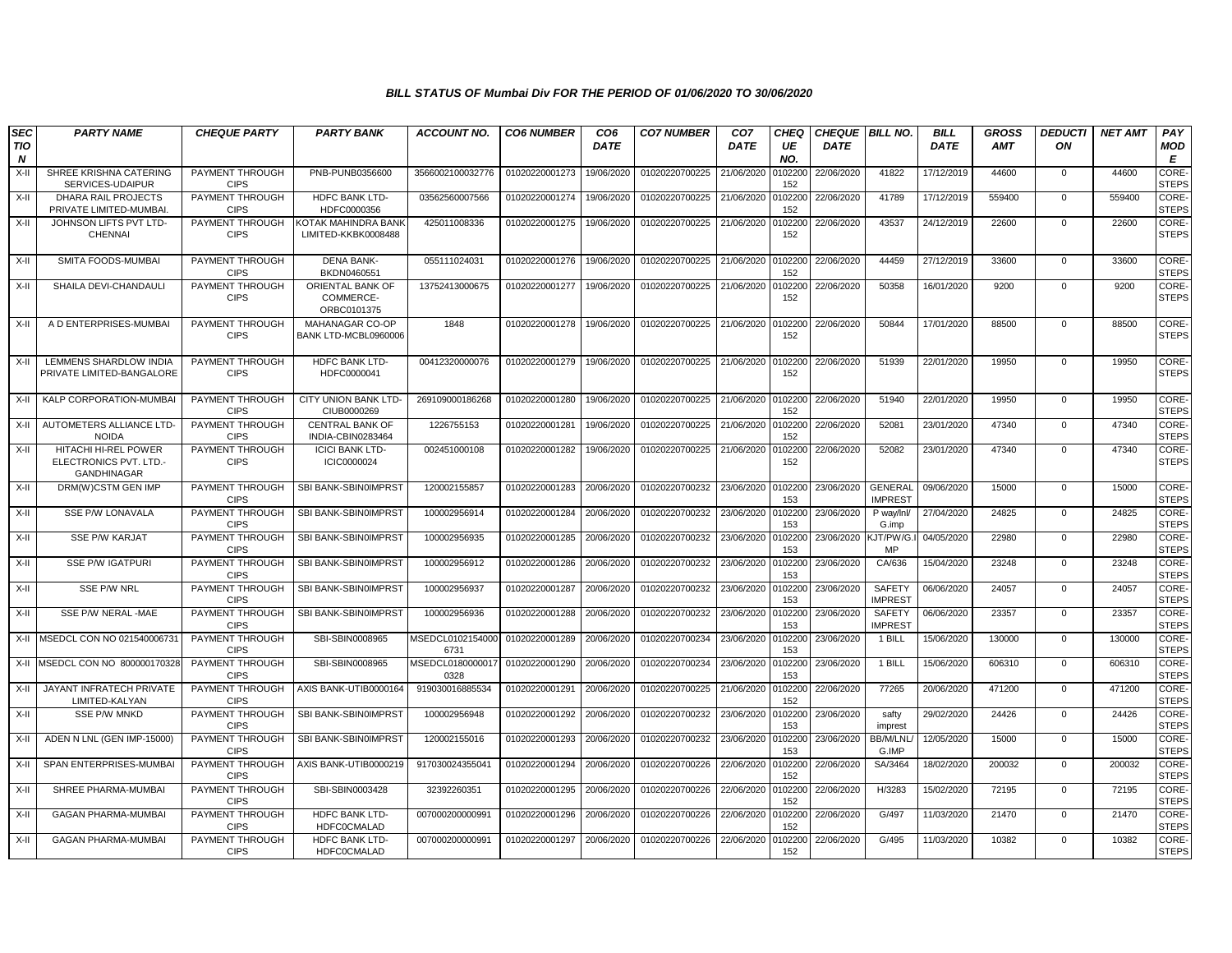| SEC<br>TIO<br>$\boldsymbol{N}$ | <b>PARTY NAME</b>                                                    | <b>CHEQUE PARTY</b>            | <b>PARTY BANK</b>                            | <b>ACCOUNT NO.</b>       | <b>CO6 NUMBER</b> | CO <sub>6</sub><br><b>DATE</b> | <b>CO7 NUMBER</b>         | CO <sub>7</sub><br><b>DATE</b> | <b>CHEQ</b><br>UE<br>NO. | <b>DATE</b> | CHEQUE   BILL NO.                | <b>BILL</b><br><b>DATE</b> | <b>GROSS</b><br><b>AMT</b> | <b>DEDUCTI</b><br>ON | <b>NET AMT</b> | PAY<br><b>MOD</b><br>E      |
|--------------------------------|----------------------------------------------------------------------|--------------------------------|----------------------------------------------|--------------------------|-------------------|--------------------------------|---------------------------|--------------------------------|--------------------------|-------------|----------------------------------|----------------------------|----------------------------|----------------------|----------------|-----------------------------|
| $X-H$                          | SHREE KRISHNA CATERING<br>SERVICES-UDAIPUR                           | PAYMENT THROUGH<br><b>CIPS</b> | PNB-PUNB0356600                              | 3566002100032776         | 01020220001273    | 19/06/2020                     | 01020220700225            | 21/06/2020                     | 0102200<br>152           | 22/06/2020  | 41822                            | 17/12/2019                 | 44600                      | $\Omega$             | 44600          | CORE-<br><b>STEPS</b>       |
| X-II                           | DHARA RAIL PROJECTS<br>PRIVATE LIMITED-MUMBAI                        | PAYMENT THROUGH<br><b>CIPS</b> | HDFC BANK LTD-<br>HDFC0000356                | 03562560007566           | 01020220001274    | 19/06/2020                     | 01020220700225            | 21/06/2020                     | 0102200<br>152           | 22/06/2020  | 41789                            | 17/12/2019                 | 559400                     | $\mathbf 0$          | 559400         | CORE-<br><b>STEPS</b>       |
| X-II                           | JOHNSON LIFTS PVT LTD-<br><b>CHENNAI</b>                             | PAYMENT THROUGH<br><b>CIPS</b> | KOTAK MAHINDRA BANK<br>LIMITED-KKBK0008488   | 425011008336             | 01020220001275    | 19/06/2020                     | 01020220700225            | 21/06/2020                     | 0102200<br>152           | 22/06/2020  | 43537                            | 24/12/2019                 | 22600                      | $\Omega$             | 22600          | CORE-<br><b>STEPS</b>       |
| X-II                           | SMITA FOODS-MUMBAI                                                   | PAYMENT THROUGH<br><b>CIPS</b> | <b>DENA BANK-</b><br>BKDN0460551             | 055111024031             | 01020220001276    | 19/06/2020                     | 01020220700225            | 21/06/2020                     | 0102200<br>152           | 22/06/2020  | 44459                            | 27/12/2019                 | 33600                      | $\Omega$             | 33600          | CORE-<br><b>STEPS</b>       |
| X-II                           | SHAILA DEVI-CHANDAULI                                                | PAYMENT THROUGH<br><b>CIPS</b> | ORIENTAL BANK OF<br>COMMERCE-<br>ORBC0101375 | 13752413000675           | 01020220001277    | 19/06/2020                     | 01020220700225            | 21/06/2020                     | 0102200<br>152           | 22/06/2020  | 50358                            | 16/01/2020                 | 9200                       | $\Omega$             | 9200           | CORE-<br><b>STEPS</b>       |
| X-II                           | A D ENTERPRISES-MUMBAI                                               | PAYMENT THROUGH<br><b>CIPS</b> | MAHANAGAR CO-OP<br>BANK LTD-MCBL0960006      | 1848                     | 01020220001278    | 19/06/2020                     | 01020220700225            | 21/06/2020                     | 0102200<br>152           | 22/06/2020  | 50844                            | 17/01/2020                 | 88500                      | $\Omega$             | 88500          | <b>CORE</b><br><b>STEPS</b> |
| X-II                           | LEMMENS SHARDLOW INDIA<br>PRIVATE LIMITED-BANGALORE                  | PAYMENT THROUGH<br><b>CIPS</b> | HDFC BANK LTD-<br>HDFC0000041                | 00412320000076           | 01020220001279    | 19/06/2020                     | 01020220700225            | 21/06/2020                     | 0102200<br>152           | 22/06/2020  | 51939                            | 22/01/2020                 | 19950                      | $\Omega$             | 19950          | CORE-<br><b>STEPS</b>       |
| X-II                           | KALP CORPORATION-MUMBAI                                              | PAYMENT THROUGH<br><b>CIPS</b> | CITY UNION BANK LTD-<br>CIUB0000269          | 269109000186268          | 01020220001280    | 19/06/2020                     | 01020220700225 21/06/2020 |                                | 0102200<br>152           | 22/06/2020  | 51940                            | 22/01/2020                 | 19950                      | $\Omega$             | 19950          | CORE-<br><b>STEPS</b>       |
| X-II                           | AUTOMETERS ALLIANCE LTD<br><b>NOIDA</b>                              | PAYMENT THROUGH<br><b>CIPS</b> | <b>CENTRAL BANK OF</b><br>INDIA-CBIN0283464  | 1226755153               | 01020220001281    | 19/06/2020                     | 01020220700225            | 21/06/2020                     | 0102200<br>152           | 22/06/2020  | 52081                            | 23/01/2020                 | 47340                      | $\mathbf{0}$         | 47340          | CORE-<br><b>STEPS</b>       |
| X-II                           | HITACHI HI-REL POWER<br>ELECTRONICS PVT. LTD.-<br><b>GANDHINAGAR</b> | PAYMENT THROUGH<br><b>CIPS</b> | <b>ICICI BANK LTD-</b><br>ICIC0000024        | 002451000108             | 01020220001282    | 19/06/2020                     | 01020220700225            | 21/06/2020                     | 0102200<br>152           | 22/06/2020  | 52082                            | 23/01/2020                 | 47340                      | $\Omega$             | 47340          | CORE-<br><b>STEPS</b>       |
| X-II                           | DRM(W)CSTM GEN IMP                                                   | PAYMENT THROUGH<br><b>CIPS</b> | SBI BANK-SBIN0IMPRST                         | 120002155857             | 01020220001283    | 20/06/2020                     | 01020220700232            | 23/06/2020                     | 0102200<br>153           | 23/06/2020  | <b>GENERAL</b><br><b>IMPREST</b> | 09/06/2020                 | 15000                      | $\mathbf 0$          | 15000          | CORE-<br><b>STEPS</b>       |
| X-II                           | SSE P/W LONAVALA                                                     | PAYMENT THROUGH<br><b>CIPS</b> | SBI BANK-SBIN0IMPRST                         | 100002956914             | 01020220001284    | 20/06/2020                     | 01020220700232            | 23/06/2020                     | 0102200<br>153           | 23/06/2020  | P way/lnl/<br>G.imp              | 27/04/2020                 | 24825                      | $\Omega$             | 24825          | CORE-<br><b>STEPS</b>       |
| X-II                           | SSE P/W KARJAT                                                       | PAYMENT THROUGH<br><b>CIPS</b> | SBI BANK-SBIN0IMPRST                         | 100002956935             | 01020220001285    | 20/06/2020                     | 01020220700232            | 23/06/2020                     | 0102200<br>153           | 23/06/2020  | (JT/PW/G.<br>MP                  | 04/05/2020                 | 22980                      | $\Omega$             | 22980          | CORE-<br><b>STEPS</b>       |
| X-II                           | <b>SSE P/W IGATPURI</b>                                              | PAYMENT THROUGH<br><b>CIPS</b> | SBI BANK-SBIN0IMPRST                         | 100002956912             | 01020220001286    | 20/06/2020                     | 01020220700232            | 23/06/2020                     | 0102200<br>153           | 23/06/2020  | CA/636                           | 15/04/2020                 | 23248                      | $\mathbf 0$          | 23248          | CORE-<br><b>STEPS</b>       |
| X-II                           | <b>SSE P/W NRL</b>                                                   | PAYMENT THROUGH<br><b>CIPS</b> | SBI BANK-SBIN0IMPRST                         | 100002956937             | 01020220001287    | 20/06/2020                     | 01020220700232            | 23/06/2020                     | 0102200<br>153           | 23/06/2020  | <b>SAFETY</b><br><b>IMPREST</b>  | 06/06/2020                 | 24057                      | $\mathbf 0$          | 24057          | CORE-<br><b>STEPS</b>       |
| X-II                           | SSE P/W NERAL -MAE                                                   | PAYMENT THROUGH<br><b>CIPS</b> | SBI BANK-SBIN0IMPRST                         | 100002956936             | 01020220001288    | 20/06/2020                     | 01020220700232            | 23/06/2020                     | 0102200<br>153           | 23/06/2020  | <b>SAFETY</b><br><b>IMPREST</b>  | 06/06/2020                 | 23357                      | $\mathbf 0$          | 23357          | CORE-<br><b>STEPS</b>       |
|                                | X-II MSEDCL CON NO 02154000673                                       | PAYMENT THROUGH<br><b>CIPS</b> | SBI-SBIN0008965                              | MSEDCL0102154000<br>6731 | 01020220001289    | 20/06/2020                     | 01020220700234            | 23/06/2020                     | 0102200<br>153           | 23/06/2020  | 1 BILL                           | 15/06/2020                 | 130000                     | $\Omega$             | 130000         | CORE-<br><b>STEPS</b>       |
| X-II                           | MSEDCL CON NO 800000170328                                           | PAYMENT THROUGH<br><b>CIPS</b> | SBI-SBIN0008965                              | MSEDCL0180000017<br>0328 | 01020220001290    | 20/06/2020                     | 01020220700234            | 23/06/2020                     | 0102200<br>153           | 23/06/2020  | 1 BILL                           | 15/06/2020                 | 606310                     | $\Omega$             | 606310         | CORE-<br><b>STEPS</b>       |
| X-II                           | JAYANT INFRATECH PRIVATE<br>LIMITED-KALYAN                           | PAYMENT THROUGH<br><b>CIPS</b> | AXIS BANK-UTIB0000164                        | 919030016885534          | 01020220001291    | 20/06/2020                     | 01020220700225            | 21/06/2020                     | 0102200<br>152           | 22/06/2020  | 77265                            | 20/06/2020                 | 471200                     | $\Omega$             | 471200         | CORE-<br><b>STEPS</b>       |
| X-II                           | <b>SSE P/W MNKD</b>                                                  | PAYMENT THROUGH<br><b>CIPS</b> | SBI BANK-SBIN0IMPRST                         | 100002956948             | 01020220001292    | 20/06/2020                     | 01020220700232            | 23/06/2020                     | 0102200<br>153           | 23/06/2020  | safty<br>imprest                 | 29/02/2020                 | 24426                      | $\mathbf 0$          | 24426          | CORE-<br><b>STEPS</b>       |
| X-II                           | ADEN N LNL (GEN IMP-15000)                                           | PAYMENT THROUGH<br><b>CIPS</b> | SBI BANK-SBIN0IMPRST                         | 120002155016             | 01020220001293    | 20/06/2020                     | 01020220700232            | 23/06/2020                     | 0102200<br>153           | 23/06/2020  | <b>BB/M/LNL</b><br>G.IMP         | 12/05/2020                 | 15000                      | $\mathbf 0$          | 15000          | CORE-<br><b>STEPS</b>       |
| $X-II$                         | SPAN ENTERPRISES-MUMBA                                               | PAYMENT THROUGH<br><b>CIPS</b> | AXIS BANK-UTIB0000219                        | 917030024355041          | 01020220001294    | 20/06/2020                     | 01020220700226            | 22/06/2020                     | 0102200<br>152           | 22/06/2020  | SA/3464                          | 18/02/2020                 | 200032                     | $\Omega$             | 200032         | CORE-<br><b>STEPS</b>       |
| X-II                           | SHREE PHARMA-MUMBAI                                                  | PAYMENT THROUGH<br><b>CIPS</b> | SBI-SBIN0003428                              | 32392260351              | 01020220001295    | 20/06/2020                     | 01020220700226            | 22/06/2020                     | 0102200<br>152           | 22/06/2020  | H/3283                           | 15/02/2020                 | 72195                      | $\mathbf{0}$         | 72195          | CORE-<br><b>STEPS</b>       |
| X-II                           | <b>GAGAN PHARMA-MUMBAI</b>                                           | PAYMENT THROUGH<br><b>CIPS</b> | HDFC BANK LTD-<br><b>HDFC0CMALAD</b>         | 007000200000991          | 01020220001296    | 20/06/2020                     | 01020220700226            | 22/06/2020                     | 0102200<br>152           | 22/06/2020  | G/497                            | 11/03/2020                 | 21470                      | $\Omega$             | 21470          | CORE-<br><b>STEPS</b>       |
| X-II                           | <b>GAGAN PHARMA-MUMBAI</b>                                           | PAYMENT THROUGH<br><b>CIPS</b> | <b>HDFC BANK LTD-</b><br><b>HDFC0CMALAD</b>  | 007000200000991          | 01020220001297    | 20/06/2020                     | 01020220700226            | 22/06/2020                     | 102200<br>152            | 22/06/2020  | G/495                            | 11/03/2020                 | 10382                      | $\Omega$             | 10382          | CORE-<br><b>STEPS</b>       |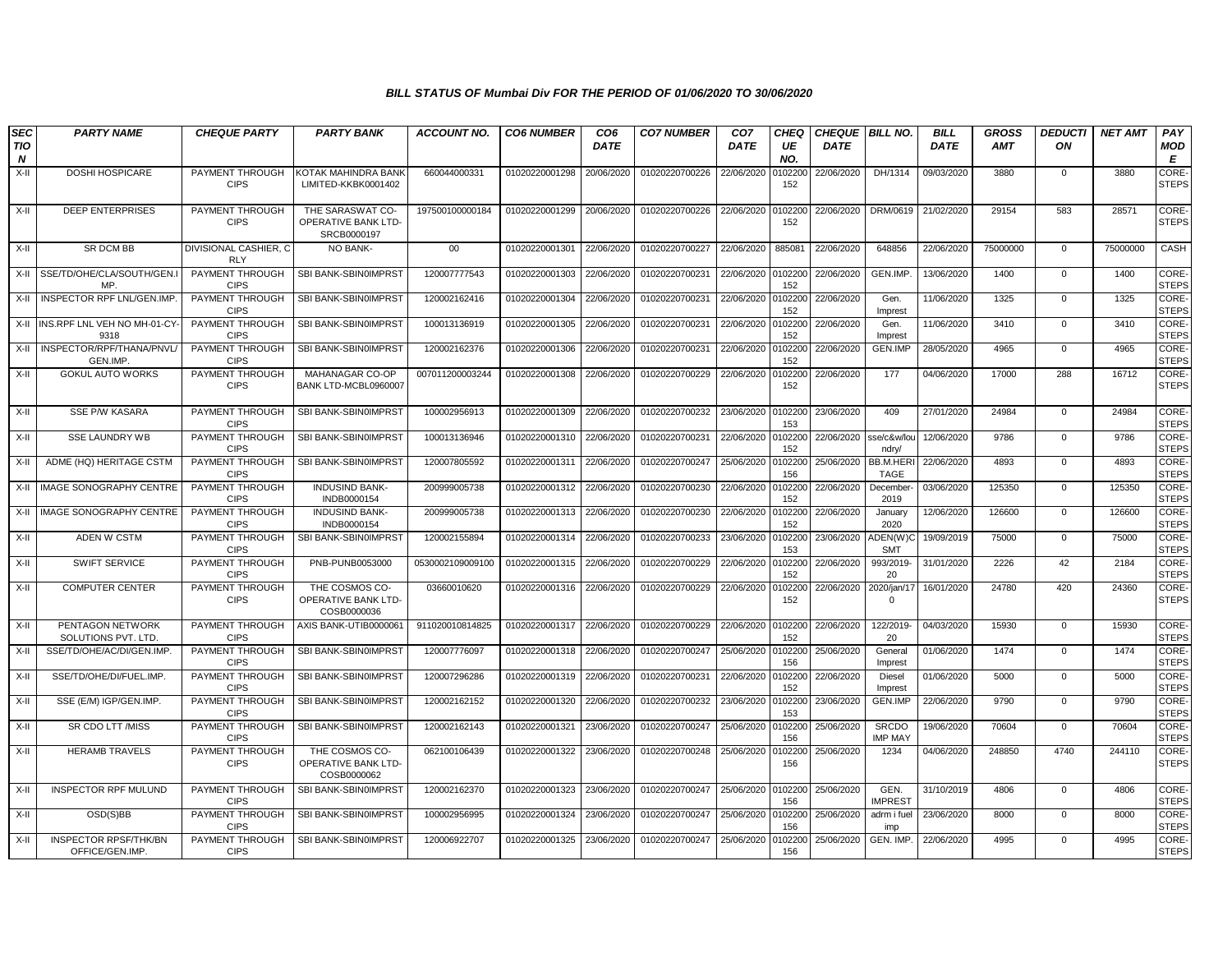| <b>SEC</b><br>TIO | <b>PARTY NAME</b>                               | <b>CHEQUE PARTY</b>                 | <b>PARTY BANK</b>                                      | <b>ACCOUNT NO.</b> | <b>CO6 NUMBER</b> | CO <sub>6</sub><br><b>DATE</b> | <b>CO7 NUMBER</b> | CO <sub>7</sub><br><b>DATE</b> | <b>CHEQ</b><br>UE | <b>CHEQUE   BILL NO.</b><br><b>DATE</b> |                                | <b>BILL</b><br><b>DATE</b> | <b>GROSS</b><br><b>AMT</b> | <b>DEDUCTI</b><br>ON | <b>NET AMT</b> | PAY<br>MOD                   |
|-------------------|-------------------------------------------------|-------------------------------------|--------------------------------------------------------|--------------------|-------------------|--------------------------------|-------------------|--------------------------------|-------------------|-----------------------------------------|--------------------------------|----------------------------|----------------------------|----------------------|----------------|------------------------------|
| N                 |                                                 |                                     |                                                        |                    |                   |                                |                   |                                | NO.               |                                         |                                |                            |                            |                      |                | E                            |
| X-II              | <b>DOSHI HOSPICARE</b>                          | PAYMENT THROUGH<br><b>CIPS</b>      | <b>KOTAK MAHINDRA BANI</b><br>LIMITED-KKBK0001402      | 660044000331       | 01020220001298    | 20/06/2020                     | 01020220700226    | 22/06/2020                     | 0102200<br>152    | 22/06/2020                              | DH/1314                        | 09/03/2020                 | 3880                       | $\mathbf 0$          | 3880           | CORE-<br><b>STEPS</b>        |
| X-II              | <b>DEEP ENTERPRISES</b>                         | PAYMENT THROUGH<br><b>CIPS</b>      | THE SARASWAT CO-<br>OPERATIVE BANK LTD-<br>SRCB0000197 | 197500100000184    | 01020220001299    | 20/06/2020                     | 01020220700226    | 22/06/2020                     | 0102200<br>152    | 22/06/2020                              | DRM/0619                       | 21/02/2020                 | 29154                      | 583                  | 28571          | <b>CORE</b><br><b>STEPS</b>  |
| X-II              | SR DCM BB                                       | DIVISIONAL CASHIER, C<br><b>RLY</b> | NO BANK-                                               | $00\,$             | 01020220001301    | 22/06/2020                     | 01020220700227    | 22/06/2020                     | 885081            | 22/06/2020                              | 648856                         | 22/06/2020                 | 75000000                   | 0                    | 75000000       | CASH                         |
|                   | X-II SSE/TD/OHE/CLA/SOUTH/GEN.I<br>MP           | PAYMENT THROUGH<br><b>CIPS</b>      | SBI BANK-SBIN0IMPRST                                   | 120007777543       | 01020220001303    | 22/06/2020                     | 01020220700231    | 22/06/2020                     | 0102200<br>152    | 22/06/2020                              | GEN.IMP.                       | 13/06/2020                 | 1400                       | $\mathbf 0$          | 1400           | CORE-<br><b>STEPS</b>        |
|                   | X-II INSPECTOR RPF LNL/GEN.IMP                  | PAYMENT THROUGH<br><b>CIPS</b>      | SBI BANK-SBIN0IMPRST                                   | 120002162416       | 01020220001304    | 22/06/2020                     | 01020220700231    | 22/06/2020                     | 0102200<br>152    | 22/06/2020                              | Gen.<br>Imprest                | 11/06/2020                 | 1325                       | $\mathbf{0}$         | 1325           | CORE-<br><b>STEPS</b>        |
|                   | X-II INS.RPF LNL VEH NO MH-01-CY<br>9318        | PAYMENT THROUGH<br><b>CIPS</b>      | SBI BANK-SBIN0IMPRST                                   | 100013136919       | 01020220001305    | 22/06/2020                     | 01020220700231    | 22/06/2020                     | 0102200<br>152    | 22/06/2020                              | Gen.<br>Imprest                | 11/06/2020                 | 3410                       | $\mathbf 0$          | 3410           | CORE-<br><b>STEPS</b>        |
| X-II              | INSPECTOR/RPF/THANA/PNVL<br>GEN.IMP.            | PAYMENT THROUGH<br><b>CIPS</b>      | SBI BANK-SBIN0IMPRST                                   | 120002162376       | 01020220001306    | 22/06/2020                     | 01020220700231    | 22/06/2020                     | 0102200<br>152    | 22/06/2020                              | <b>GEN.IMP</b>                 | 28/05/2020                 | 4965                       | $\mathbf 0$          | 4965           | CORE-<br><b>STEPS</b>        |
| X-II              | <b>GOKUL AUTO WORKS</b>                         | PAYMENT THROUGH<br><b>CIPS</b>      | MAHANAGAR CO-OP<br>BANK LTD-MCBL0960007                | 007011200003244    | 01020220001308    | 22/06/2020                     | 01020220700229    | 22/06/2020                     | 0102200<br>152    | 22/06/2020                              | 177                            | 04/06/2020                 | 17000                      | 288                  | 16712          | CORE-<br><b>STEPS</b>        |
| X-II              | SSE P/W KASARA                                  | PAYMENT THROUGH<br><b>CIPS</b>      | SBI BANK-SBIN0IMPRST                                   | 100002956913       | 01020220001309    | 22/06/2020                     | 01020220700232    | 23/06/2020                     | 0102200<br>153    | 23/06/2020                              | 409                            | 27/01/2020                 | 24984                      | $\mathbf 0$          | 24984          | CORE-<br><b>STEPS</b>        |
| X-II              | <b>SSE LAUNDRY WB</b>                           | PAYMENT THROUGH<br><b>CIPS</b>      | SBI BANK-SBIN0IMPRST                                   | 100013136946       | 01020220001310    | 22/06/2020                     | 01020220700231    | 22/06/2020                     | 0102200<br>152    | 22/06/2020                              | sse/c&w/lou<br>ndry/           | 12/06/2020                 | 9786                       | $\mathbf 0$          | 9786           | CORE-<br><b>STEPS</b>        |
| X-II              | ADME (HQ) HERITAGE CSTM                         | PAYMENT THROUGH<br><b>CIPS</b>      | SBI BANK-SBIN0IMPRST                                   | 120007805592       | 01020220001311    | 22/06/2020                     | 01020220700247    | 25/06/2020                     | 0102200<br>156    | 25/06/2020                              | BB.M.HER<br><b>TAGE</b>        | 22/06/2020                 | 4893                       | $\mathbf 0$          | 4893           | <b>CORE</b><br><b>STEPS</b>  |
| X-II              | <b>IMAGE SONOGRAPHY CENTRE</b>                  | PAYMENT THROUGH<br><b>CIPS</b>      | <b>INDUSIND BANK-</b><br>INDB0000154                   | 200999005738       | 01020220001312    | 22/06/2020                     | 01020220700230    | 22/06/2020                     | 0102200<br>152    | 22/06/2020                              | December<br>2019               | 03/06/2020                 | 125350                     | $\mathbf 0$          | 125350         | CORE-<br><b>STEPS</b>        |
|                   | X-II IMAGE SONOGRAPHY CENTRE                    | PAYMENT THROUGH<br><b>CIPS</b>      | <b>INDUSIND BANK-</b><br>INDB0000154                   | 200999005738       | 01020220001313    | 22/06/2020                     | 01020220700230    | 22/06/2020                     | 0102200<br>152    | 22/06/2020                              | January<br>2020                | 12/06/2020                 | 126600                     | $\mathbf 0$          | 126600         | CORE-<br><b>STEPS</b>        |
| X-II              | ADEN W CSTM                                     | PAYMENT THROUGH<br><b>CIPS</b>      | SBI BANK-SBIN0IMPRST                                   | 120002155894       | 01020220001314    | 22/06/2020                     | 01020220700233    | 23/06/2020                     | 0102200<br>153    | 23/06/2020                              | ADEN(W)C<br><b>SMT</b>         | 19/09/2019                 | 75000                      | $\Omega$             | 75000          | CORE-<br><b>STEPS</b>        |
| X-II              | SWIFT SERVICE                                   | PAYMENT THROUGH<br><b>CIPS</b>      | PNB-PUNB0053000                                        | 0530002109009100   | 01020220001315    | 22/06/2020                     | 01020220700229    | 22/06/2020                     | 0102200<br>152    | 22/06/2020                              | 993/2019-<br>20                | 31/01/2020                 | 2226                       | 42                   | 2184           | CORE-<br><b>STEPS</b>        |
| X-II              | <b>COMPUTER CENTER</b>                          | PAYMENT THROUGH<br><b>CIPS</b>      | THE COSMOS CO-<br>OPERATIVE BANK LTD-<br>COSB0000036   | 03660010620        | 01020220001316    | 22/06/2020                     | 01020220700229    | 22/06/2020                     | 0102200<br>152    | 22/06/2020                              | 2020/jan/17<br>$\Omega$        | 16/01/2020                 | 24780                      | 420                  | 24360          | CORE-<br><b>STEPS</b>        |
| X-II              | PENTAGON NETWORK<br>SOLUTIONS PVT. LTD.         | PAYMENT THROUGH<br><b>CIPS</b>      | AXIS BANK-UTIB0000061                                  | 911020010814825    | 01020220001317    | 22/06/2020                     | 01020220700229    | 22/06/2020                     | 0102200<br>152    | 22/06/2020                              | 122/2019<br>20                 | 04/03/2020                 | 15930                      | $\mathbf 0$          | 15930          | <b>CORE-</b><br><b>STEPS</b> |
| X-II              | SSE/TD/OHE/AC/DI/GEN.IMP                        | PAYMENT THROUGH<br><b>CIPS</b>      | SBI BANK-SBIN0IMPRST                                   | 120007776097       | 01020220001318    | 22/06/2020                     | 01020220700247    | 25/06/2020                     | 0102200<br>156    | 25/06/2020                              | General<br>Imprest             | 01/06/2020                 | 1474                       | $\mathbf 0$          | 1474           | CORE-<br><b>STEPS</b>        |
| X-II              | SSE/TD/OHE/DI/FUEL.IMP.                         | PAYMENT THROUGH<br><b>CIPS</b>      | SBI BANK-SBIN0IMPRST                                   | 120007296286       | 01020220001319    | 22/06/2020                     | 01020220700231    | 22/06/2020                     | 0102200<br>152    | 22/06/2020                              | Diesel<br>Imprest              | 01/06/2020                 | 5000                       | $\Omega$             | 5000           | CORE-<br><b>STEPS</b>        |
| X-II              | SSE (E/M) IGP/GEN.IMP.                          | PAYMENT THROUGH<br><b>CIPS</b>      | SBI BANK-SBIN0IMPRST                                   | 120002162152       | 01020220001320    | 22/06/2020                     | 01020220700232    | 23/06/2020                     | 0102200<br>153    | 23/06/2020                              | GEN.IMP                        | 22/06/2020                 | 9790                       | 0                    | 9790           | CORE-<br><b>STEPS</b>        |
| X-II              | SR CDO LTT /MISS                                | PAYMENT THROUGH<br><b>CIPS</b>      | SBI BANK-SBIN0IMPRST                                   | 120002162143       | 01020220001321    | 23/06/2020                     | 01020220700247    | 25/06/2020                     | 0102200<br>156    | 25/06/2020                              | <b>SRCDO</b><br><b>IMP MAY</b> | 19/06/2020                 | 70604                      | $\mathbf 0$          | 70604          | CORE-<br><b>STEPS</b>        |
| X-II              | <b>HERAMB TRAVELS</b>                           | PAYMENT THROUGH<br><b>CIPS</b>      | THE COSMOS CO-<br>OPERATIVE BANK LTD-<br>COSB0000062   | 062100106439       | 01020220001322    | 23/06/2020                     | 01020220700248    | 25/06/2020                     | 0102200<br>156    | 25/06/2020                              | 1234                           | 04/06/2020                 | 248850                     | 4740                 | 244110         | CORE-<br><b>STEPS</b>        |
| X-II              | <b>INSPECTOR RPF MULUND</b>                     | PAYMENT THROUGH<br><b>CIPS</b>      | SBI BANK-SBIN0IMPRST                                   | 120002162370       | 01020220001323    | 23/06/2020                     | 01020220700247    | 25/06/2020                     | 0102200<br>156    | 25/06/2020                              | GEN.<br><b>IMPREST</b>         | 31/10/2019                 | 4806                       | $\mathbf 0$          | 4806           | CORE-<br><b>STEPS</b>        |
| X-II              | OSD(S)BB                                        | PAYMENT THROUGH<br><b>CIPS</b>      | SBI BANK-SBIN0IMPRST                                   | 100002956995       | 01020220001324    | 23/06/2020                     | 01020220700247    | 25/06/2020                     | 0102200<br>156    | 25/06/2020                              | adrm i fuel<br>imp             | 23/06/2020                 | 8000                       | $\mathbf{0}$         | 8000           | CORE-<br><b>STEPS</b>        |
| X-II              | <b>INSPECTOR RPSF/THK/BN</b><br>OFFICE/GEN.IMP. | PAYMENT THROUGH<br><b>CIPS</b>      | SBI BANK-SBIN0IMPRST                                   | 120006922707       | 01020220001325    | 23/06/2020                     | 01020220700247    | 25/06/2020                     | 102200<br>156     | 25/06/2020                              | GEN. IMP.                      | 22/06/2020                 | 4995                       | 0                    | 4995           | CORE-<br><b>STEPS</b>        |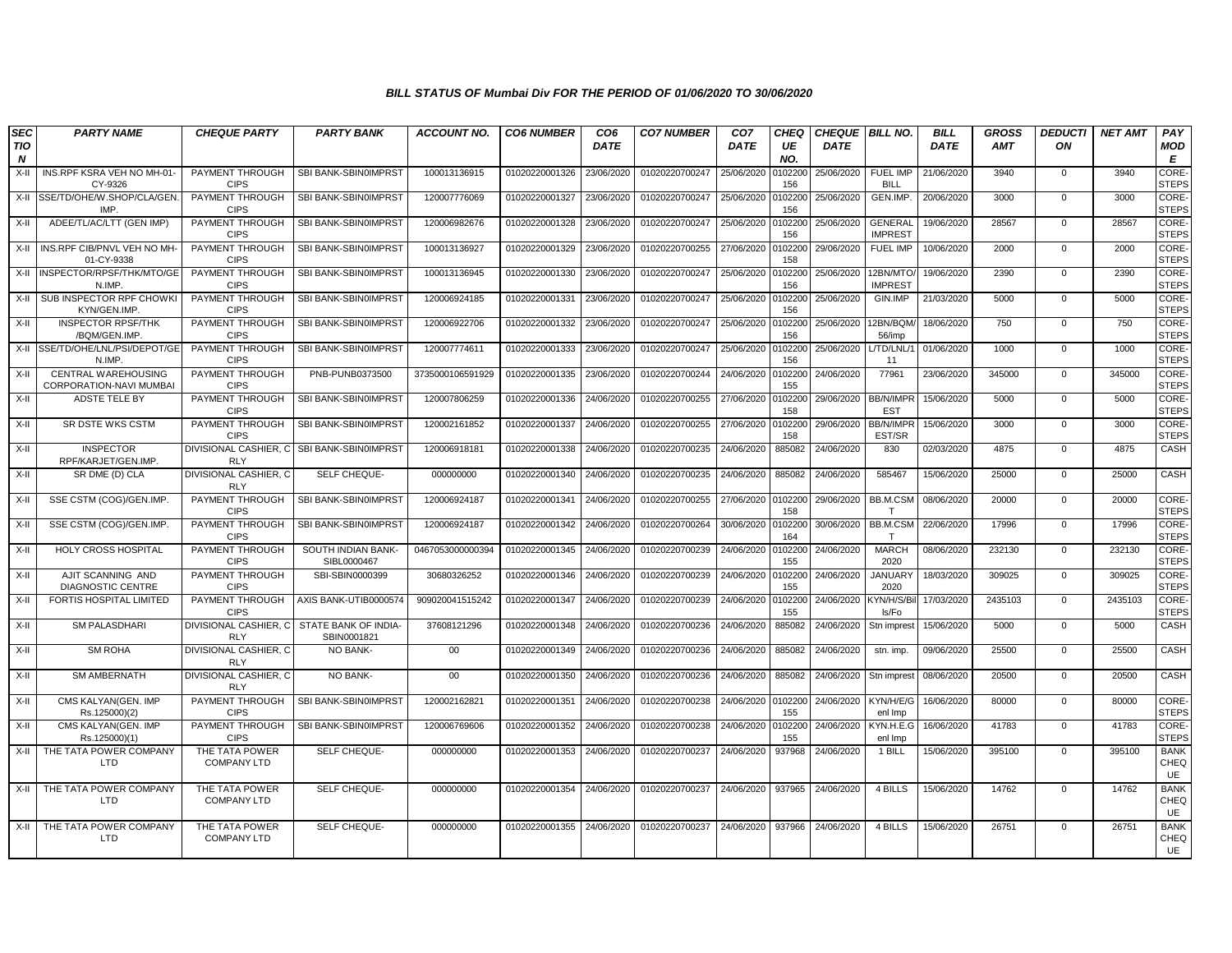| <b>SEC</b>              | <b>PARTY NAME</b>                              | <b>CHEQUE PARTY</b>                   | <b>PARTY BANK</b>                                         | <b>ACCOUNT NO.</b> | <b>CO6 NUMBER</b> | CO <sub>6</sub> | <b>CO7 NUMBER</b> | CO <sub>7</sub> | CHEQ           | <b>CHEQUE   BILL NO.</b> |                                  | <b>BILL</b> | <b>GROSS</b> | <b>DEDUCTI</b> | <b>NET AMT</b> | PAY                          |
|-------------------------|------------------------------------------------|---------------------------------------|-----------------------------------------------------------|--------------------|-------------------|-----------------|-------------------|-----------------|----------------|--------------------------|----------------------------------|-------------|--------------|----------------|----------------|------------------------------|
| TIO<br>$\boldsymbol{N}$ |                                                |                                       |                                                           |                    |                   | <b>DATE</b>     |                   | <b>DATE</b>     | UE<br>NO.      | <b>DATE</b>              |                                  | <b>DATE</b> | <b>AMT</b>   | ON             |                | <b>MOD</b><br>Е              |
| $X-II$                  | INS.RPF KSRA VEH NO MH-01-<br>CY-9326          | PAYMENT THROUGH<br><b>CIPS</b>        | SBI BANK-SBIN0IMPRST                                      | 100013136915       | 01020220001326    | 23/06/2020      | 01020220700247    | 25/06/2020      | 0102200<br>156 | 25/06/2020               | <b>FUEL IMP</b><br><b>BILL</b>   | 21/06/2020  | 3940         | $\mathbf{0}$   | 3940           | CORE-<br><b>STEPS</b>        |
| $X-H$                   | SSE/TD/OHE/W.SHOP/CLA/GEN.<br>IMP              | PAYMENT THROUGH<br><b>CIPS</b>        | SBI BANK-SBIN0IMPRST                                      | 120007776069       | 01020220001327    | 23/06/2020      | 01020220700247    | 25/06/2020      | 102200<br>156  | 25/06/2020               | GEN.IMP.                         | 20/06/2020  | 3000         | $\mathbf 0$    | 3000           | CORE-<br><b>STEPS</b>        |
| X-II                    | ADEE/TL/AC/LTT (GEN IMP)                       | PAYMENT THROUGH<br><b>CIPS</b>        | SBI BANK-SBIN0IMPRST                                      | 120006982676       | 01020220001328    | 23/06/2020      | 01020220700247    | 25/06/2020      | 0102200<br>156 | 25/06/2020               | <b>GENERAL</b><br><b>IMPREST</b> | 19/06/2020  | 28567        | 0              | 28567          | CORE-<br><b>STEPS</b>        |
| X-II                    | INS.RPF CIB/PNVL VEH NO MH-<br>01-CY-9338      | PAYMENT THROUGH<br><b>CIPS</b>        | SBI BANK-SBIN0IMPRST                                      | 100013136927       | 01020220001329    | 23/06/2020      | 01020220700255    | 27/06/2020      | 0102200<br>158 | 29/06/2020               | FUEL IMP                         | 10/06/2020  | 2000         | $\mathbf{0}$   | 2000           | CORE-<br><b>STEPS</b>        |
| $X-H$                   | INSPECTOR/RPSF/THK/MTO/GE<br>N.IMP             | PAYMENT THROUGH<br><b>CIPS</b>        | SBI BANK-SBIN0IMPRST                                      | 100013136945       | 01020220001330    | 23/06/2020      | 01020220700247    | 25/06/2020      | 0102200<br>156 | 25/06/2020               | 12BN/MTO<br><b>IMPREST</b>       | 19/06/2020  | 2390         | $\mathbf 0$    | 2390           | <b>CORE-</b><br><b>STEPS</b> |
| $X-H$                   | SUB INSPECTOR RPF CHOWKI<br>KYN/GEN.IMP.       | PAYMENT THROUGH<br><b>CIPS</b>        | SBI BANK-SBIN0IMPRST                                      | 120006924185       | 01020220001331    | 23/06/2020      | 01020220700247    | 25/06/2020      | 0102200<br>156 | 25/06/2020               | GIN.IMP                          | 21/03/2020  | 5000         | $\mathbf{0}$   | 5000           | CORE-<br><b>STEPS</b>        |
| X-II                    | <b>INSPECTOR RPSF/THK</b><br>/BQM/GEN.IMP      | PAYMENT THROUGH<br><b>CIPS</b>        | SBI BANK-SBIN0IMPRST                                      | 120006922706       | 01020220001332    | 23/06/2020      | 01020220700247    | 25/06/2020      | 0102200<br>156 | 25/06/2020               | 12BN/BQM<br>56/imp               | 18/06/2020  | 750          | $\mathbf 0$    | 750            | CORE-<br><b>STEPS</b>        |
| $X-II$                  | SSE/TD/OHE/LNL/PSI/DEPOT/GE<br>N.IMP.          | PAYMENT THROUGH<br><b>CIPS</b>        | SBI BANK-SBIN0IMPRST                                      | 120007774611       | 01020220001333    | 23/06/2020      | 01020220700247    | 25/06/2020      | 0102200<br>156 | 25/06/2020               | /TD/LNL/<br>11                   | 01/06/2020  | 1000         | $\mathbf 0$    | 1000           | CORE-<br><b>STEPS</b>        |
| $X-II$                  | CENTRAL WAREHOUSING<br>CORPORATION-NAVI MUMBAI | PAYMENT THROUGH<br><b>CIPS</b>        | PNB-PUNB0373500                                           | 3735000106591929   | 01020220001335    | 23/06/2020      | 01020220700244    | 24/06/2020      | 0102200<br>155 | 24/06/2020               | 77961                            | 23/06/2020  | 345000       | $\mathbf 0$    | 345000         | CORE-<br><b>STEPS</b>        |
| $X-II$                  | ADSTE TELE BY                                  | PAYMENT THROUGH<br><b>CIPS</b>        | SBI BANK-SBIN0IMPRST                                      | 120007806259       | 01020220001336    | 24/06/2020      | 01020220700255    | 27/06/2020      | 0102200<br>158 | 29/06/2020               | <b>BB/N/IMPF</b><br><b>EST</b>   | 15/06/2020  | 5000         | $\mathbf 0$    | 5000           | CORE-<br><b>STEPS</b>        |
| $X-II$                  | <b>SR DSTE WKS CSTM</b>                        | PAYMENT THROUGH<br><b>CIPS</b>        | SBI BANK-SBIN0IMPRST                                      | 120002161852       | 01020220001337    | 24/06/2020      | 01020220700255    | 27/06/2020      | 102200<br>158  | 29/06/2020               | <b>BB/N/IMPF</b><br>EST/SR       | 15/06/2020  | 3000         | $\mathbf 0$    | 3000           | CORE-<br><b>STEPS</b>        |
| $X-II$                  | <b>INSPECTOR</b><br>RPF/KARJET/GEN.IMP.        | DIVISIONAL CASHIER, C<br><b>RLY</b>   | SBI BANK-SBIN0IMPRST                                      | 120006918181       | 01020220001338    | 24/06/2020      | 01020220700235    | 24/06/2020      | 885082         | 24/06/2020               | 830                              | 02/03/2020  | 4875         | 0              | 4875           | CASH                         |
| $X-H$                   | SR DME (D) CLA                                 | DIVISIONAL CASHIER, C<br><b>RLY</b>   | SELF CHEQUE-                                              | 000000000          | 01020220001340    | 24/06/2020      | 01020220700235    | 24/06/2020      | 885082         | 24/06/2020               | 585467                           | 15/06/2020  | 25000        | $\mathbf 0$    | 25000          | CASH                         |
| $X-H$                   | SSE CSTM (COG)/GEN.IMP.                        | PAYMENT THROUGH<br><b>CIPS</b>        | SBI BANK-SBIN0IMPRST                                      | 120006924187       | 01020220001341    | 24/06/2020      | 01020220700255    | 27/06/2020      | 0102200<br>158 | 29/06/2020               | BB.M.CSM<br>T                    | 08/06/2020  | 20000        | $\mathbf 0$    | 20000          | CORE-<br><b>STEPS</b>        |
| X-II                    | SSE CSTM (COG)/GEN.IMP.                        | PAYMENT THROUGH<br><b>CIPS</b>        | SBI BANK-SBIN0IMPRST                                      | 120006924187       | 01020220001342    | 24/06/2020      | 01020220700264    | 30/06/2020      | 0102200<br>164 | 30/06/2020               | BB.M.CSM                         | 22/06/2020  | 17996        | $\mathbf{0}$   | 17996          | CORE-<br><b>STEPS</b>        |
| $X-H$                   | <b>HOLY CROSS HOSPITAL</b>                     | <b>PAYMENT THROUGH</b><br><b>CIPS</b> | SOUTH INDIAN BANK-<br>SIBL0000467                         | 0467053000000394   | 01020220001345    | 24/06/2020      | 01020220700239    | 24/06/2020      | 0102200<br>155 | 24/06/2020               | <b>MARCH</b><br>2020             | 08/06/2020  | 232130       | $\mathbf 0$    | 232130         | CORE-<br><b>STEPS</b>        |
| $X-II$                  | AJIT SCANNING AND<br><b>DIAGNOSTIC CENTRE</b>  | PAYMENT THROUGH<br><b>CIPS</b>        | SBI-SBIN0000399                                           | 30680326252        | 01020220001346    | 24/06/2020      | 01020220700239    | 24/06/2020      | 0102200<br>155 | 24/06/2020               | <b>JANUARY</b><br>2020           | 18/03/2020  | 309025       | $\mathbf 0$    | 309025         | CORE-<br><b>STEPS</b>        |
| $X-II$                  | FORTIS HOSPITAL LIMITED                        | PAYMENT THROUGH<br><b>CIPS</b>        | AXIS BANK-UTIB0000574                                     | 909020041515242    | 01020220001347    | 24/06/2020      | 01020220700239    | 24/06/2020      | 0102200<br>155 | 24/06/2020               | <b>KYN/H/S/B</b><br>ls/Fo        | 17/03/2020  | 2435103      | $\mathbf 0$    | 2435103        | CORE-<br><b>STEPS</b>        |
| $X-H$                   | <b>SM PALASDHARI</b>                           | <b>RLY</b>                            | DIVISIONAL CASHIER, C STATE BANK OF INDIA-<br>SBIN0001821 | 37608121296        | 01020220001348    | 24/06/2020      | 01020220700236    | 24/06/2020      | 885082         | 24/06/2020               | Stn imprest                      | 15/06/2020  | 5000         | $\overline{0}$ | 5000           | CASH                         |
| $X-II$                  | <b>SM ROHA</b>                                 | DIVISIONAL CASHIER, C<br><b>RLY</b>   | NO BANK-                                                  | 00                 | 01020220001349    | 24/06/2020      | 01020220700236    | 24/06/2020      | 885082         | 24/06/2020               | stn. imp.                        | 09/06/2020  | 25500        | $\mathbf 0$    | 25500          | CASH                         |
| $X-II$                  | <b>SM AMBERNATH</b>                            | DIVISIONAL CASHIER, C<br><b>RLY</b>   | NO BANK-                                                  | $00\,$             | 01020220001350    | 24/06/2020      | 01020220700236    | 24/06/2020      | 885082         | 24/06/2020               | Stn imprest                      | 08/06/2020  | 20500        | $\mathbf 0$    | 20500          | CASH                         |
| $X-H$                   | CMS KALYAN(GEN. IMP<br>Rs.125000)(2)           | PAYMENT THROUGH<br><b>CIPS</b>        | SBI BANK-SBIN0IMPRST                                      | 120002162821       | 01020220001351    | 24/06/2020      | 01020220700238    | 24/06/2020      | 0102200<br>155 | 24/06/2020               | KYN/H/E/G<br>enl Imp             | 16/06/2020  | 80000        | $\mathbf 0$    | 80000          | <b>CORE</b><br><b>STEPS</b>  |
| $X-H$                   | CMS KALYAN(GEN, IMP<br>Rs.125000)(1)           | PAYMENT THROUGH<br><b>CIPS</b>        | SBI BANK-SBIN0IMPRST                                      | 120006769606       | 01020220001352    | 24/06/2020      | 01020220700238    | 24/06/2020      | 0102200<br>155 | 24/06/2020               | KYN.H.E.G<br>enl Imp             | 16/06/2020  | 41783        | $\mathbf 0$    | 41783          | CORE-<br><b>STEPS</b>        |
| $X-H$                   | THE TATA POWER COMPANY<br>LTD                  | THE TATA POWER<br><b>COMPANY LTD</b>  | SELF CHEQUE-                                              | 000000000          | 01020220001353    | 24/06/2020      | 01020220700237    | 24/06/2020      | 937968         | 24/06/2020               | 1 BILL                           | 15/06/2020  | 395100       | $\mathbf 0$    | 395100         | <b>BANK</b><br>CHEQ<br>UE    |
| $X-H$                   | THE TATA POWER COMPANY<br><b>LTD</b>           | THE TATA POWER<br><b>COMPANY LTD</b>  | SELF CHEQUE-                                              | 000000000          | 01020220001354    | 24/06/2020      | 01020220700237    | 24/06/2020      | 937965         | 24/06/2020               | 4 BILLS                          | 15/06/2020  | 14762        | $\mathbf{0}$   | 14762          | <b>BANK</b><br>CHEQ<br>UE    |
| $X-II$                  | THE TATA POWER COMPANY<br>LTD                  | THE TATA POWER<br><b>COMPANY LTD</b>  | SELF CHEQUE-                                              | 000000000          | 01020220001355    | 24/06/2020      | 01020220700237    | 24/06/2020      | 937966         | 24/06/2020               | 4 BILLS                          | 15/06/2020  | 26751        | $\mathbf 0$    | 26751          | <b>BANK</b><br>CHEQ<br>UE    |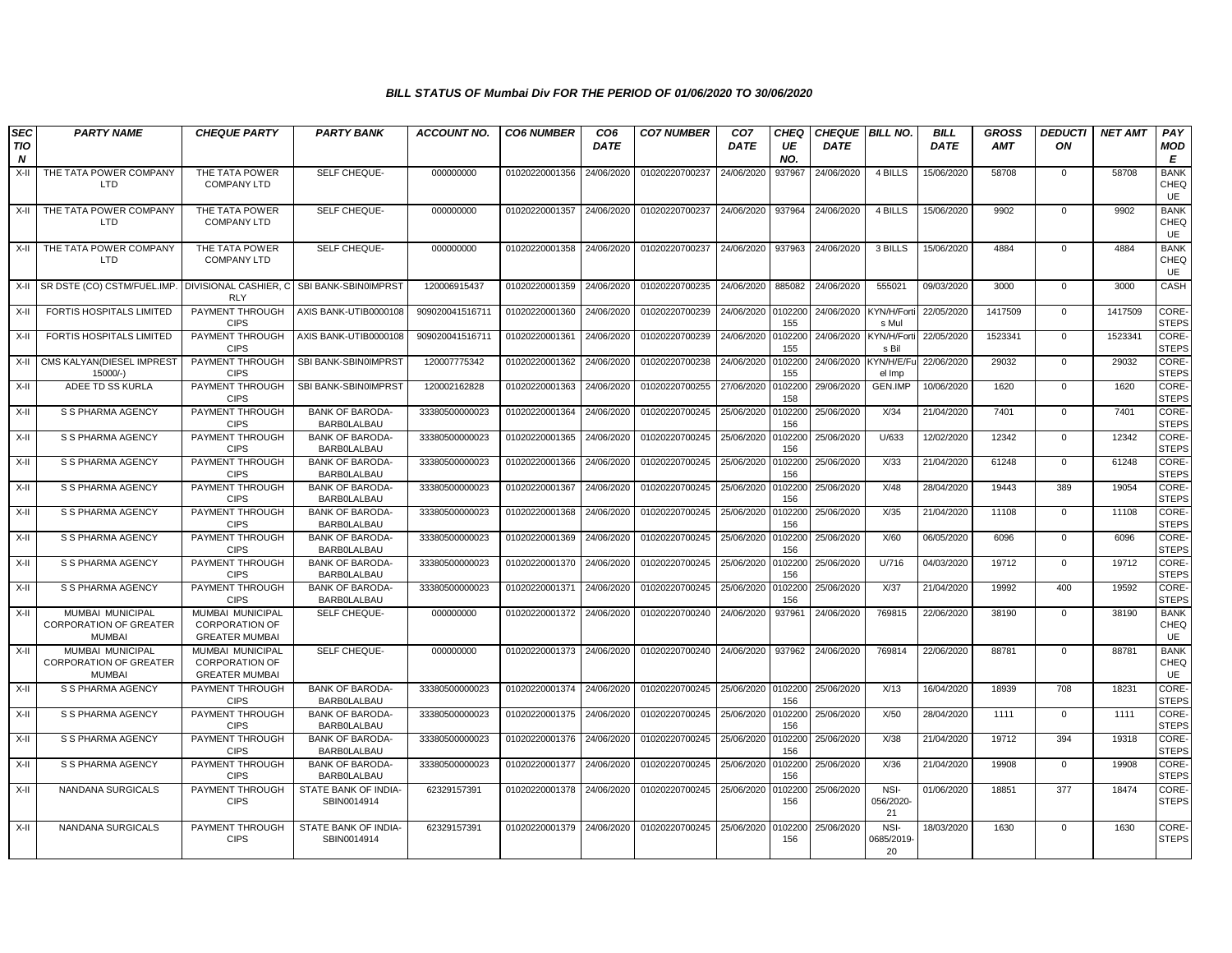| <b>SEC</b>                     | <b>PARTY NAME</b>                                                  | <b>CHEQUE PARTY</b>                                                       | <b>PARTY BANK</b>                            | <b>ACCOUNT NO.</b> | <b>CO6 NUMBER</b>         | CO <sub>6</sub> | <b>CO7 NUMBER</b> | CO <sub>7</sub> | <b>CHEQ</b>    | CHEQUE   BILL NO. |                            | <b>BILL</b> | <b>GROSS</b> | <b>DEDUCTI</b> | <b>NET AMT</b> | PAY                         |
|--------------------------------|--------------------------------------------------------------------|---------------------------------------------------------------------------|----------------------------------------------|--------------------|---------------------------|-----------------|-------------------|-----------------|----------------|-------------------|----------------------------|-------------|--------------|----------------|----------------|-----------------------------|
| <b>TIO</b><br>$\boldsymbol{N}$ |                                                                    |                                                                           |                                              |                    |                           | <b>DATE</b>     |                   | <b>DATE</b>     | UE<br>NO.      | <b>DATE</b>       |                            | <b>DATE</b> | <b>AMT</b>   | ON             |                | <b>MOD</b><br>E             |
| X-II                           | THE TATA POWER COMPANY<br>LTD                                      | THE TATA POWER<br><b>COMPANY LTD</b>                                      | SELF CHEQUE-                                 | 000000000          | 01020220001356            | 24/06/2020      | 01020220700237    | 24/06/2020      | 937967         | 24/06/2020        | 4 BILLS                    | 15/06/2020  | 58708        | $\mathbf 0$    | 58708          | <b>BANK</b><br>CHEQ<br>UE   |
| X-II                           | THE TATA POWER COMPANY<br><b>LTD</b>                               | THE TATA POWER<br><b>COMPANY LTD</b>                                      | SELF CHEQUE-                                 | 000000000          | 01020220001357            | 24/06/2020      | 01020220700237    | 24/06/2020      | 937964         | 24/06/2020        | 4 BILLS                    | 15/06/2020  | 9902         | $\mathbf 0$    | 9902           | <b>BANK</b><br>CHEQ<br>UE   |
| X-II                           | THE TATA POWER COMPANY<br>LTD                                      | THE TATA POWER<br><b>COMPANY LTD</b>                                      | SELF CHEQUE-                                 | 000000000          | 01020220001358            | 24/06/2020      | 01020220700237    | 24/06/2020      | 937963         | 24/06/2020        | 3 BILLS                    | 15/06/2020  | 4884         | $\mathbf 0$    | 4884           | <b>BANK</b><br>CHEQ<br>UE   |
| X-II                           | SR DSTE (CO) CSTM/FUEL.IMP. DIVISIONAL CASHIER. C                  | <b>RLY</b>                                                                | SBI BANK-SBIN0IMPRST                         | 120006915437       | 01020220001359            | 24/06/2020      | 01020220700235    | 24/06/2020      | 885082         | 24/06/2020        | 555021                     | 09/03/2020  | 3000         | $\mathbf 0$    | 3000           | CASH                        |
| X-II                           | FORTIS HOSPITALS LIMITED                                           | PAYMENT THROUGH<br><b>CIPS</b>                                            | AXIS BANK-UTIB0000108                        | 909020041516711    | 01020220001360            | 24/06/2020      | 01020220700239    | 24/06/2020      | 0102200<br>155 | 24/06/2020        | KYN/H/Fort<br>s Mul        | 22/05/2020  | 1417509      | $\mathbf 0$    | 1417509        | CORE-<br><b>STEPS</b>       |
| X-II                           | <b>FORTIS HOSPITALS LIMITED</b>                                    | PAYMENT THROUGH<br><b>CIPS</b>                                            | AXIS BANK-UTIB0000108                        | 909020041516711    | 01020220001361            | 24/06/2020      | 01020220700239    | 24/06/2020      | 0102200<br>155 | 24/06/2020        | <b>KYN/H/Fort</b><br>s Bil | 22/05/2020  | 1523341      | $\mathbf 0$    | 1523341        | CORE-<br><b>STEPS</b>       |
| X-II                           | CMS KALYAN (DIESEL IMPREST<br>15000/-)                             | <b>PAYMENT THROUGH</b><br><b>CIPS</b>                                     | SBI BANK-SBIN0IMPRST                         | 120007775342       | 01020220001362            | 24/06/2020      | 01020220700238    | 24/06/2020      | 0102200<br>155 | 24/06/2020        | KYN/H/E/Fu<br>el Imp       | 22/06/2020  | 29032        | $\mathbf{0}$   | 29032          | CORE-<br><b>STEPS</b>       |
| X-II                           | ADEE TD SS KURLA                                                   | PAYMENT THROUGH<br><b>CIPS</b>                                            | SBI BANK-SBIN0IMPRST                         | 120002162828       | 01020220001363            | 24/06/2020      | 01020220700255    | 27/06/2020      | 0102200<br>158 | 29/06/2020        | <b>GEN.IMP</b>             | 10/06/2020  | 1620         | $\mathbf 0$    | 1620           | CORE-<br><b>STEPS</b>       |
| X-II                           | S S PHARMA AGENCY                                                  | PAYMENT THROUGH<br><b>CIPS</b>                                            | <b>BANK OF BARODA-</b><br><b>BARBOLALBAU</b> | 33380500000023     | 01020220001364            | 24/06/2020      | 01020220700245    | 25/06/2020      | 0102200<br>156 | 25/06/2020        | X/34                       | 21/04/2020  | 7401         | $\mathbf 0$    | 7401           | CORE-<br><b>STEPS</b>       |
| X-II                           | S S PHARMA AGENCY                                                  | PAYMENT THROUGH<br><b>CIPS</b>                                            | <b>BANK OF BARODA-</b><br><b>BARBOLALBAU</b> | 33380500000023     | 01020220001365            | 24/06/2020      | 01020220700245    | 25/06/2020      | 0102200<br>156 | 25/06/2020        | U/633                      | 12/02/2020  | 12342        | $\mathbf 0$    | 12342          | CORE-<br><b>STEPS</b>       |
| $X-II$                         | S S PHARMA AGENCY                                                  | PAYMENT THROUGH<br><b>CIPS</b>                                            | <b>BANK OF BARODA-</b><br>BARBOLALBAU        | 33380500000023     | 01020220001366            | 24/06/2020      | 01020220700245    | 25/06/2020      | 0102200<br>156 | 25/06/2020        | X/33                       | 21/04/2020  | 61248        | $\mathbf{0}$   | 61248          | <b>CORE</b><br><b>STEPS</b> |
| X-II                           | S S PHARMA AGENCY                                                  | PAYMENT THROUGH<br><b>CIPS</b>                                            | <b>BANK OF BARODA-</b><br><b>BARBOLALBAU</b> | 33380500000023     | 01020220001367            | 24/06/2020      | 01020220700245    | 25/06/2020      | 0102200<br>156 | 25/06/2020        | X/48                       | 28/04/2020  | 19443        | 389            | 19054          | CORE-<br><b>STEPS</b>       |
| X-II                           | S S PHARMA AGENCY                                                  | PAYMENT THROUGH<br><b>CIPS</b>                                            | <b>BANK OF BARODA-</b><br><b>BARBOLALBAU</b> | 33380500000023     | 01020220001368            | 24/06/2020      | 01020220700245    | 25/06/2020      | 0102200<br>156 | 25/06/2020        | X/35                       | 21/04/2020  | 11108        | $\mathbf 0$    | 11108          | CORE-<br><b>STEPS</b>       |
| X-II                           | S S PHARMA AGENCY                                                  | PAYMENT THROUGH<br><b>CIPS</b>                                            | <b>BANK OF BARODA</b><br><b>BARBOLALBAU</b>  | 33380500000023     | 01020220001369            | 24/06/2020      | 01020220700245    | 25/06/2020      | 0102200<br>156 | 25/06/2020        | X/60                       | 06/05/2020  | 6096         | $\mathbf 0$    | 6096           | CORE-<br><b>STEPS</b>       |
| X-II                           | S S PHARMA AGENCY                                                  | PAYMENT THROUGH<br><b>CIPS</b>                                            | <b>BANK OF BARODA-</b><br><b>BARBOLALBAU</b> | 33380500000023     | 01020220001370            | 24/06/2020      | 01020220700245    | 25/06/2020      | 0102200<br>156 | 25/06/2020        | U/716                      | 04/03/2020  | 19712        | $\mathbf 0$    | 19712          | CORE-<br><b>STEPS</b>       |
| X-II                           | S S PHARMA AGENCY                                                  | PAYMENT THROUGH<br><b>CIPS</b>                                            | <b>BANK OF BARODA</b><br>BARBOLALBAU         | 33380500000023     | 01020220001371            | 24/06/2020      | 01020220700245    | 25/06/2020      | 0102200<br>156 | 25/06/2020        | X/37                       | 21/04/2020  | 19992        | 400            | 19592          | CORE-<br><b>STEPS</b>       |
| X-II                           | MUMBAI MUNICIPAL<br><b>CORPORATION OF GREATER</b><br><b>MUMBAI</b> | <b>MUMBAI MUNICIPAL</b><br><b>CORPORATION OF</b><br><b>GREATER MUMBAI</b> | SELF CHEQUE-                                 | 000000000          | 01020220001372            | 24/06/2020      | 01020220700240    | 24/06/2020      | 937961         | 24/06/2020        | 769815                     | 22/06/2020  | 38190        | $\mathbf 0$    | 38190          | <b>BANK</b><br>CHEQ<br>UE   |
| X-II                           | MUMBAI MUNICIPAL<br><b>CORPORATION OF GREATER</b><br><b>MUMBAI</b> | MUMBAI MUNICIPAL<br><b>CORPORATION OF</b><br><b>GREATER MUMBAI</b>        | SELF CHEQUE-                                 | 000000000          | 01020220001373 24/06/2020 |                 | 01020220700240    | 24/06/2020      | 937962         | 24/06/2020        | 769814                     | 22/06/2020  | 88781        | $\mathbf 0$    | 88781          | <b>BANK</b><br>CHEQ<br>UE   |
| X-II                           | S S PHARMA AGENCY                                                  | PAYMENT THROUGH<br><b>CIPS</b>                                            | <b>BANK OF BARODA-</b><br><b>BARBOLALBAU</b> | 33380500000023     | 01020220001374 24/06/2020 |                 | 01020220700245    | 25/06/2020      | 0102200<br>156 | 25/06/2020        | X/13                       | 16/04/2020  | 18939        | 708            | 18231          | CORE-<br><b>STEPS</b>       |
| X-II                           | S S PHARMA AGENCY                                                  | PAYMENT THROUGH<br><b>CIPS</b>                                            | <b>BANK OF BARODA-</b><br><b>BARBOLALBAU</b> | 33380500000023     | 01020220001375 24/06/2020 |                 | 01020220700245    | 25/06/2020      | 0102200<br>156 | 25/06/2020        | X/50                       | 28/04/2020  | 1111         | $\mathbf{0}$   | 1111           | CORE-<br><b>STEPS</b>       |
| X-II                           | S S PHARMA AGENCY                                                  | PAYMENT THROUGH<br><b>CIPS</b>                                            | <b>BANK OF BARODA-</b><br><b>BARBOLALBAU</b> | 33380500000023     | 01020220001376            | 24/06/2020      | 01020220700245    | 25/06/2020      | 0102200<br>156 | 25/06/2020        | X/38                       | 21/04/2020  | 19712        | 394            | 19318          | CORE-<br><b>STEPS</b>       |
| X-II                           | S S PHARMA AGENCY                                                  | PAYMENT THROUGH<br><b>CIPS</b>                                            | <b>BANK OF BARODA-</b><br><b>BARBOLALBAU</b> | 33380500000023     | 01020220001377            | 24/06/2020      | 01020220700245    | 25/06/2020      | 0102200<br>156 | 25/06/2020        | X/36                       | 21/04/2020  | 19908        | $\mathbf 0$    | 19908          | CORE-<br><b>STEPS</b>       |
| X-II                           | NANDANA SURGICALS                                                  | PAYMENT THROUGH<br><b>CIPS</b>                                            | STATE BANK OF INDIA-<br>SBIN0014914          | 62329157391        | 01020220001378 24/06/2020 |                 | 01020220700245    | 25/06/2020      | 0102200<br>156 | 25/06/2020        | NSI-<br>056/2020-<br>21    | 01/06/2020  | 18851        | 377            | 18474          | CORE-<br><b>STEPS</b>       |
| X-II                           | NANDANA SURGICALS                                                  | PAYMENT THROUGH<br><b>CIPS</b>                                            | STATE BANK OF INDIA-<br>SBIN0014914          | 62329157391        | 01020220001379 24/06/2020 |                 | 01020220700245    | 25/06/2020      | 0102200<br>156 | 25/06/2020        | NSI-<br>0685/2019<br>20    | 18/03/2020  | 1630         | $\mathbf 0$    | 1630           | CORE-<br><b>STEPS</b>       |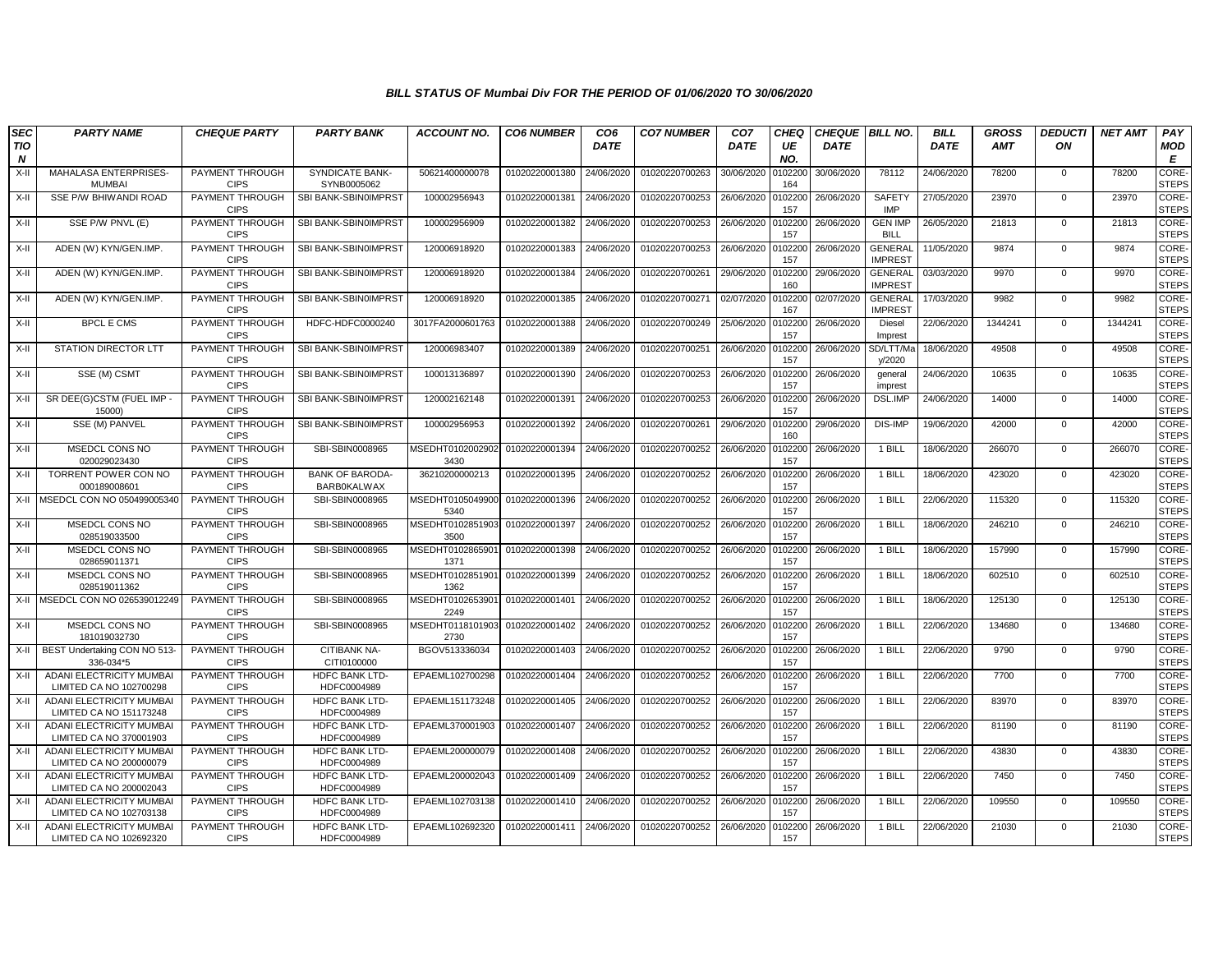| <b>SEC</b>                     | <b>PARTY NAME</b>                                          | <b>CHEQUE PARTY</b>            | <b>PARTY BANK</b>                            | <b>ACCOUNT NO.</b>       | <b>CO6 NUMBER</b> | CO <sub>6</sub> | <b>CO7 NUMBER</b> | CO <sub>7</sub> | CHEQ           | <b>CHEQUE BILL NO.</b> |                                  | <b>BILL</b> | <b>GROSS</b> | <b>DEDUCTI</b> | <b>NET AMT</b> | PAY                          |
|--------------------------------|------------------------------------------------------------|--------------------------------|----------------------------------------------|--------------------------|-------------------|-----------------|-------------------|-----------------|----------------|------------------------|----------------------------------|-------------|--------------|----------------|----------------|------------------------------|
| <b>TIO</b><br>$\boldsymbol{N}$ |                                                            |                                |                                              |                          |                   | <b>DATE</b>     |                   | <b>DATE</b>     | UE<br>NO.      | <b>DATE</b>            |                                  | <b>DATE</b> | <b>AMT</b>   | ON             |                | MOD<br>E                     |
| X-II                           | MAHALASA ENTERPRISES<br><b>MUMBAI</b>                      | PAYMENT THROUGH<br><b>CIPS</b> | <b>SYNDICATE BANK-</b><br>SYNB0005062        | 50621400000078           | 01020220001380    | 24/06/2020      | 01020220700263    | 30/06/2020      | 0102200<br>164 | 30/06/2020             | 78112                            | 24/06/2020  | 78200        | 0              | 78200          | CORE-<br><b>STEPS</b>        |
| X-II                           | SSE P/W BHIWANDI ROAD                                      | PAYMENT THROUGH<br><b>CIPS</b> | SBI BANK-SBIN0IMPRST                         | 100002956943             | 01020220001381    | 24/06/2020      | 01020220700253    | 26/06/2020      | 0102200<br>157 | 26/06/2020             | <b>SAFETY</b><br><b>IMP</b>      | 27/05/2020  | 23970        | $\mathbf{0}$   | 23970          | <b>CORE-</b><br><b>STEPS</b> |
| X-II                           | SSE P/W PNVL (E)                                           | PAYMENT THROUGH<br><b>CIPS</b> | SBI BANK-SBIN0IMPRST                         | 100002956909             | 01020220001382    | 24/06/2020      | 01020220700253    | 26/06/2020      | 010220<br>157  | 26/06/2020             | <b>GEN IMP</b><br><b>BILL</b>    | 26/05/2020  | 21813        | $\mathbf 0$    | 21813          | CORE-<br><b>STEPS</b>        |
| X-II                           | ADEN (W) KYN/GEN.IMP.                                      | PAYMENT THROUGH<br><b>CIPS</b> | SBI BANK-SBIN0IMPRST                         | 120006918920             | 01020220001383    | 24/06/2020      | 01020220700253    | 26/06/2020      | 0102200<br>157 | 26/06/2020             | <b>GENERAL</b><br><b>IMPREST</b> | 11/05/2020  | 9874         | $\mathbf{0}$   | 9874           | <b>CORE</b><br><b>STEPS</b>  |
| X-II                           | ADEN (W) KYN/GEN.IMP.                                      | PAYMENT THROUGH<br><b>CIPS</b> | SBI BANK-SBIN0IMPRST                         | 120006918920             | 01020220001384    | 24/06/2020      | 01020220700261    | 29/06/2020      | 010220<br>160  | 29/06/2020             | <b>GENERAL</b><br><b>IMPREST</b> | 03/03/2020  | 9970         | $\mathbf 0$    | 9970           | CORE-<br><b>STEPS</b>        |
| X-II                           | ADEN (W) KYN/GEN.IMP.                                      | PAYMENT THROUGH<br><b>CIPS</b> | SBI BANK-SBIN0IMPRST                         | 120006918920             | 01020220001385    | 24/06/2020      | 01020220700271    | 02/07/2020      | 0102200<br>167 | 02/07/2020             | <b>GENERAL</b><br><b>IMPREST</b> | 17/03/2020  | 9982         | $\mathbf 0$    | 9982           | CORE-<br><b>STEPS</b>        |
| X-II                           | <b>BPCL E CMS</b>                                          | PAYMENT THROUGH<br><b>CIPS</b> | HDFC-HDFC0000240                             | 3017FA2000601763         | 01020220001388    | 24/06/2020      | 01020220700249    | 25/06/2020      | 0102200<br>157 | 26/06/2020             | Diesel<br>Imprest                | 22/06/2020  | 1344241      | $\mathbf 0$    | 1344241        | CORE-<br><b>STEPS</b>        |
| X-II                           | <b>STATION DIRECTOR LTT</b>                                | PAYMENT THROUGH<br><b>CIPS</b> | SBI BANK-SBIN0IMPRST                         | 120006983407             | 01020220001389    | 24/06/2020      | 01020220700251    | 26/06/2020      | 010220<br>157  | 26/06/2020             | SD/LTT/M<br>y/2020               | 18/06/2020  | 49508        | $\mathbf{0}$   | 49508          | CORE-<br><b>STEPS</b>        |
| X-II                           | SSE (M) CSMT                                               | PAYMENT THROUGH<br><b>CIPS</b> | SBI BANK-SBIN0IMPRST                         | 100013136897             | 01020220001390    | 24/06/2020      | 01020220700253    | 26/06/2020      | 0102200<br>157 | 26/06/2020             | general<br>imprest               | 24/06/2020  | 10635        | 0              | 10635          | CORE-<br><b>STEPS</b>        |
| X-II                           | SR DEE(G)CSTM (FUEL IMP -<br>15000)                        | PAYMENT THROUGH<br><b>CIPS</b> | SBI BANK-SBIN0IMPRST                         | 120002162148             | 01020220001391    | 24/06/2020      | 01020220700253    | 26/06/2020      | 0102200<br>157 | 26/06/2020             | DSL.IMP                          | 24/06/2020  | 14000        | $\mathbf{0}$   | 14000          | CORE-<br><b>STEPS</b>        |
| X-II                           | SSE (M) PANVEL                                             | PAYMENT THROUGH<br><b>CIPS</b> | SBI BANK-SBIN0IMPRST                         | 100002956953             | 01020220001392    | 24/06/2020      | 01020220700261    | 29/06/2020      | 0102200<br>160 | 29/06/2020             | DIS-IMP                          | 19/06/2020  | 42000        | 0              | 42000          | CORE-<br><b>STEPS</b>        |
| X-II                           | MSEDCL CONS NO<br>020029023430                             | PAYMENT THROUGH<br><b>CIPS</b> | SBI-SBIN0008965                              | MSEDHT0102002902<br>3430 | 01020220001394    | 24/06/2020      | 01020220700252    | 26/06/2020      | 010220<br>157  | 26/06/2020             | 1 BILL                           | 18/06/2020  | 266070       | $\mathbf{0}$   | 266070         | CORE-<br><b>STEPS</b>        |
| X-II                           | TORRENT POWER CON NO<br>000189008601                       | PAYMENT THROUGH<br><b>CIPS</b> | <b>BANK OF BARODA-</b><br><b>BARBOKALWAX</b> | 36210200000213           | 01020220001395    | 24/06/2020      | 01020220700252    | 26/06/2020      | 010220<br>157  | 26/06/2020             | 1 BILL                           | 18/06/2020  | 423020       | $\mathbf 0$    | 423020         | CORE-<br><b>STEPS</b>        |
| X-II                           | MSEDCL CON NO 050499005340                                 | PAYMENT THROUGH<br><b>CIPS</b> | SBI-SBIN0008965                              | MSEDHT0105049900<br>5340 | 01020220001396    | 24/06/2020      | 01020220700252    | 26/06/2020      | 0102200<br>157 | 26/06/2020             | 1 BILL                           | 22/06/2020  | 115320       | $\mathbf{0}$   | 115320         | CORE-<br><b>STEPS</b>        |
| X-II                           | MSEDCL CONS NO<br>028519033500                             | PAYMENT THROUGH<br><b>CIPS</b> | SBI-SBIN0008965                              | MSEDHT0102851903<br>3500 | 01020220001397    | 24/06/2020      | 01020220700252    | 26/06/2020      | 0102200<br>157 | 26/06/2020             | 1 BILL                           | 18/06/2020  | 246210       | $\mathbf{0}$   | 246210         | CORE-<br><b>STEPS</b>        |
| X-II                           | MSEDCL CONS NO<br>028659011371                             | PAYMENT THROUGH<br><b>CIPS</b> | SBI-SBIN0008965                              | MSEDHT0102865901<br>1371 | 01020220001398    | 24/06/2020      | 01020220700252    | 26/06/2020      | 0102200<br>157 | 26/06/2020             | 1 BILL                           | 18/06/2020  | 157990       | $\mathbf{0}$   | 157990         | CORE-<br><b>STEPS</b>        |
| X-II                           | MSEDCL CONS NO<br>028519011362                             | PAYMENT THROUGH<br><b>CIPS</b> | SBI-SBIN0008965                              | MSEDHT0102851901<br>1362 | 01020220001399    | 24/06/2020      | 01020220700252    | 26/06/2020      | 0102200<br>157 | 26/06/2020             | 1 BILL                           | 18/06/2020  | 602510       | $\mathbf 0$    | 602510         | CORE-<br><b>STEPS</b>        |
|                                | X-II MSEDCL CON NO 026539012249                            | PAYMENT THROUGH<br><b>CIPS</b> | SBI-SBIN0008965                              | MSEDHT0102653901<br>2249 | 01020220001401    | 24/06/2020      | 01020220700252    | 26/06/2020      | 010220<br>157  | 26/06/2020             | 1 BILL                           | 18/06/2020  | 125130       | $\mathbf{0}$   | 125130         | CORE-<br><b>STEPS</b>        |
| $X-II$                         | <b>MSEDCL CONS NO</b><br>181019032730                      | PAYMENT THROUGH<br><b>CIPS</b> | SBI-SBIN0008965                              | MSEDHT0118101903<br>2730 | 01020220001402    | 24/06/2020      | 01020220700252    | 26/06/2020      | 0102200<br>157 | 26/06/2020             | 1 BILL                           | 22/06/2020  | 134680       | $\mathbf 0$    | 134680         | CORE-<br><b>STEPS</b>        |
| X-II                           | BEST Undertaking CON NO 513-<br>336-034*5                  | PAYMENT THROUGH<br><b>CIPS</b> | CITIBANK NA-<br>CITI0100000                  | BGOV513336034            | 01020220001403    | 24/06/2020      | 01020220700252    | 26/06/2020      | 0102200<br>157 | 26/06/2020             | 1 BILL                           | 22/06/2020  | 9790         | $\mathbf{0}$   | 9790           | CORE-<br><b>STEPS</b>        |
| X-II                           | ADANI ELECTRICITY MUMBAI<br>LIMITED CA NO 102700298        | PAYMENT THROUGH<br><b>CIPS</b> | HDFC BANK LTD-<br>HDFC0004989                | EPAEML102700298          | 01020220001404    | 24/06/2020      | 01020220700252    | 26/06/2020      | 0102200<br>157 | 26/06/2020             | 1 BILL                           | 22/06/2020  | 7700         | 0              | 7700           | <b>CORE-</b><br><b>STEPS</b> |
| X-II                           | ADANI ELECTRICITY MUMBAI<br>LIMITED CA NO 151173248        | PAYMENT THROUGH<br><b>CIPS</b> | <b>HDFC BANK LTD-</b><br>HDFC0004989         | EPAEML151173248          | 01020220001405    | 24/06/2020      | 01020220700252    | 26/06/2020      | 010220<br>157  | 26/06/2020             | 1 BILL                           | 22/06/2020  | 83970        | $\mathbf{0}$   | 83970          | CORE-<br><b>STEPS</b>        |
| X-II                           | ADANI ELECTRICITY MUMBAI<br>LIMITED CA NO 370001903        | PAYMENT THROUGH<br><b>CIPS</b> | <b>HDFC BANK LTD-</b><br>HDFC0004989         | EPAEML370001903          | 01020220001407    | 24/06/2020      | 01020220700252    | 26/06/2020      | 010220<br>157  | 26/06/2020             | 1 BILL                           | 22/06/2020  | 81190        | $\Omega$       | 81190          | CORE-<br><b>STEPS</b>        |
| X-II                           | ADANI ELECTRICITY MUMBAI<br>LIMITED CA NO 200000079        | PAYMENT THROUGH<br><b>CIPS</b> | HDFC BANK LTD-<br>HDFC0004989                | EPAEML200000079          | 01020220001408    | 24/06/2020      | 01020220700252    | 26/06/2020      | 0102200<br>157 | 26/06/2020             | 1 BILL                           | 22/06/2020  | 43830        | $\mathbf{0}$   | 43830          | CORE-<br><b>STEPS</b>        |
| $X-H$                          | ADANI ELECTRICITY MUMBAI<br>LIMITED CA NO 200002043        | PAYMENT THROUGH<br><b>CIPS</b> | <b>HDFC BANK LTD-</b><br>HDFC0004989         | EPAEML200002043          | 01020220001409    | 24/06/2020      | 01020220700252    | 26/06/2020      | 0102200<br>157 | 26/06/2020             | 1 BILL                           | 22/06/2020  | 7450         | $\mathbf{0}$   | 7450           | CORE-<br><b>STEPS</b>        |
| X-II                           | ADANI ELECTRICITY MUMBA<br>LIMITED CA NO 102703138         | PAYMENT THROUGH<br><b>CIPS</b> | HDFC BANK LTD-<br>HDFC0004989                | EPAEML102703138          | 01020220001410    | 24/06/2020      | 01020220700252    | 26/06/2020      | 0102200<br>157 | 26/06/2020             | 1 BILL                           | 22/06/2020  | 109550       | $\mathbf 0$    | 109550         | <b>CORE-</b><br><b>STEPS</b> |
| X-II                           | <b>ADANI ELECTRICITY MUMBAI</b><br>LIMITED CA NO 102692320 | PAYMENT THROUGH<br><b>CIPS</b> | <b>HDFC BANK LTD-</b><br>HDFC0004989         | EPAEML102692320          | 01020220001411    | 24/06/2020      | 01020220700252    | 26/06/2020      | 0102200<br>157 | 26/06/2020             | 1 BILL                           | 22/06/2020  | 21030        | $\Omega$       | 21030          | CORE-<br><b>STEPS</b>        |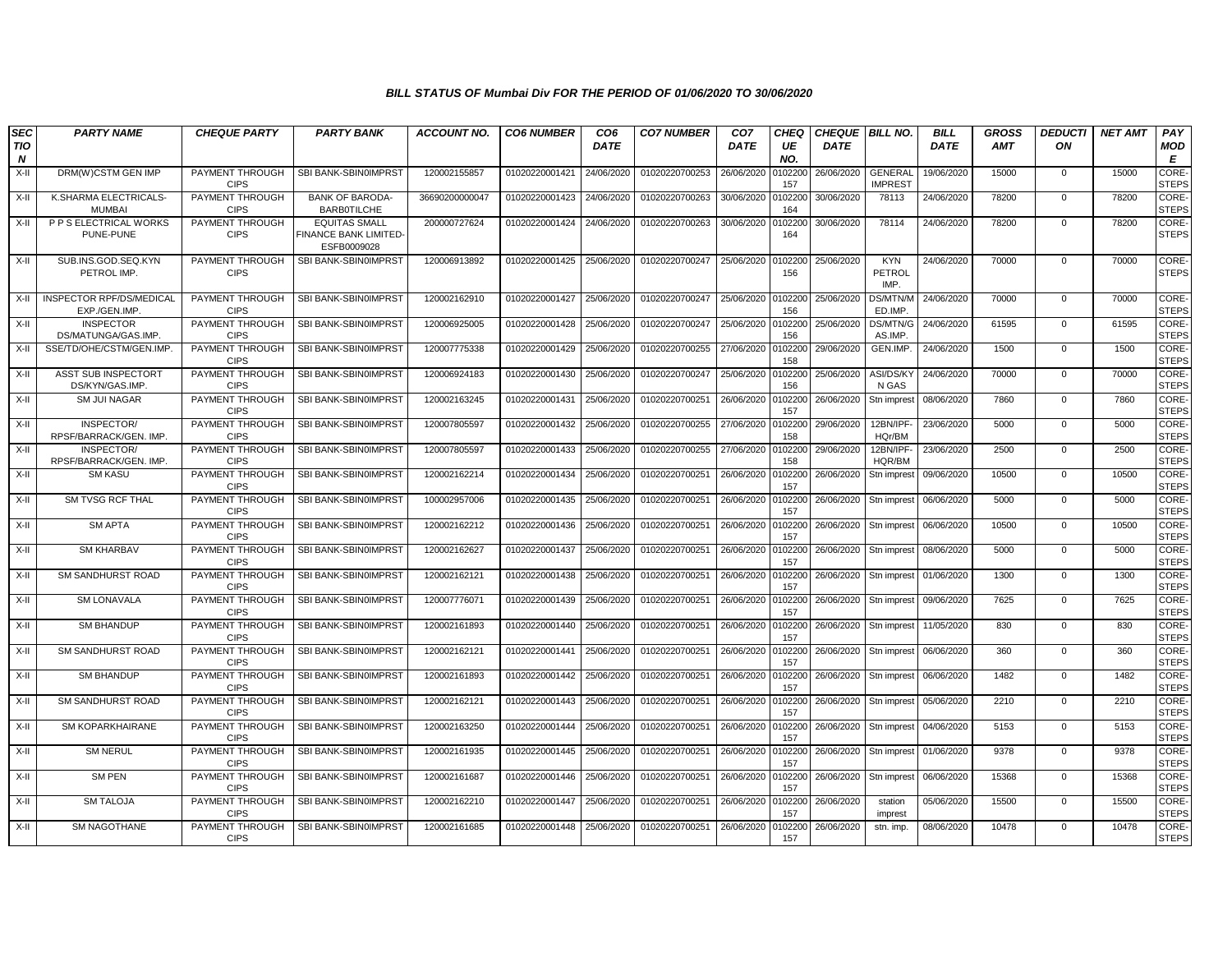| <b>SEC</b><br><b>TIO</b><br>N | <b>PARTY NAME</b>                                | <b>CHEQUE PARTY</b>            | <b>PARTY BANK</b>                                           | <b>ACCOUNT NO.</b> | <b>CO6 NUMBER</b> | CO <sub>6</sub><br><b>DATE</b> | <b>CO7 NUMBER</b> | CO <sub>7</sub><br><b>DATE</b> | <b>CHEQ</b><br>UE<br>NO. | <b>CHEQUE BILL NO.</b><br><b>DATE</b> |                                     | <b>BILL</b><br><b>DATE</b> | <b>GROSS</b><br>AMT | <b>DEDUCTI</b><br>ON | <b>NET AMT</b> | PAY<br>MOD<br>Е              |
|-------------------------------|--------------------------------------------------|--------------------------------|-------------------------------------------------------------|--------------------|-------------------|--------------------------------|-------------------|--------------------------------|--------------------------|---------------------------------------|-------------------------------------|----------------------------|---------------------|----------------------|----------------|------------------------------|
| $X-II$                        | DRM(W)CSTM GEN IMP                               | PAYMENT THROUGH<br><b>CIPS</b> | SBI BANK-SBIN0IMPRST                                        | 120002155857       | 01020220001421    | 24/06/2020                     | 01020220700253    | 26/06/2020                     | 0102200<br>157           | 26/06/2020                            | <b>GENERAL</b><br><b>IMPREST</b>    | 19/06/2020                 | 15000               | $\mathbf{0}$         | 15000          | <b>CORE-</b><br><b>STEPS</b> |
| X-II                          | K.SHARMA ELECTRICALS-<br><b>MUMBAI</b>           | PAYMENT THROUGH<br><b>CIPS</b> | <b>BANK OF BARODA-</b><br><b>BARBOTILCHE</b>                | 36690200000047     | 01020220001423    | 24/06/2020                     | 01020220700263    | 30/06/2020                     | 0102200<br>164           | 30/06/2020                            | 78113                               | 24/06/2020                 | 78200               | $\mathbf{0}$         | 78200          | CORE-<br><b>STEPS</b>        |
| $X-II$                        | P P S ELECTRICAL WORKS<br>PUNE-PUNE              | PAYMENT THROUGH<br><b>CIPS</b> | <b>EQUITAS SMALL</b><br>FINANCE BANK LIMITED<br>ESFB0009028 | 200000727624       | 01020220001424    | 24/06/2020                     | 01020220700263    | 30/06/2020                     | 10220<br>164             | 30/06/2020                            | 78114                               | 24/06/2020                 | 78200               | $\mathbf 0$          | 78200          | CORE-<br><b>STEPS</b>        |
| X-II                          | SUB.INS.GOD.SEQ.KYN<br>PETROL IMP.               | PAYMENT THROUGH<br><b>CIPS</b> | SBI BANK-SBIN0IMPRST                                        | 120006913892       | 01020220001425    | 25/06/2020                     | 01020220700247    | 25/06/2020                     | 0102200<br>156           | 25/06/2020                            | <b>KYN</b><br><b>PETROL</b><br>IMP. | 24/06/2020                 | 70000               | $\mathbf{0}$         | 70000          | CORE-<br><b>STEPS</b>        |
| $X-H$                         | <b>INSPECTOR RPF/DS/MEDICAL</b><br>EXP./GEN.IMP. | PAYMENT THROUGH<br><b>CIPS</b> | SBI BANK-SBIN0IMPRST                                        | 120002162910       | 01020220001427    | 25/06/2020                     | 01020220700247    | 25/06/2020                     | 0102200<br>156           | 25/06/2020                            | DS/MTN/M<br>ED.IMP                  | 24/06/2020                 | 70000               | $\mathbf{0}$         | 70000          | <b>CORE</b><br><b>STEPS</b>  |
| X-II                          | <b>INSPECTOR</b><br>DS/MATUNGA/GAS.IMP.          | PAYMENT THROUGH<br><b>CIPS</b> | SBI BANK-SBIN0IMPRST                                        | 120006925005       | 01020220001428    | 25/06/2020                     | 01020220700247    | 25/06/2020                     | 102200<br>156            | 25/06/2020                            | DS/MTN/G<br>AS.IMP                  | 24/06/2020                 | 61595               | $\mathbf 0$          | 61595          | CORE-<br><b>STEPS</b>        |
| $X-II$                        | SSE/TD/OHE/CSTM/GEN.IMP                          | PAYMENT THROUGH<br><b>CIPS</b> | SBI BANK-SBIN0IMPRST                                        | 120007775338       | 01020220001429    | 25/06/2020                     | 01020220700255    | 27/06/2020                     | 0102200<br>158           | 29/06/2020                            | GEN.IMP.                            | 24/06/2020                 | 1500                | $\mathbf 0$          | 1500           | CORE-<br><b>STEPS</b>        |
| $X-II$                        | ASST SUB INSPECTORT<br>DS/KYN/GAS.IMP.           | PAYMENT THROUGH<br><b>CIPS</b> | SBI BANK-SBIN0IMPRST                                        | 120006924183       | 01020220001430    | 25/06/2020                     | 01020220700247    | 25/06/2020                     | 0102200<br>156           | 25/06/2020                            | <b>ASI/DS/KY</b><br>N GAS           | 24/06/2020                 | 70000               | $^{\circ}$           | 70000          | CORE-<br><b>STEPS</b>        |
| $X-II$                        | <b>SM JUI NAGAR</b>                              | PAYMENT THROUGH<br><b>CIPS</b> | SBI BANK-SBIN0IMPRST                                        | 120002163245       | 01020220001431    | 25/06/2020                     | 01020220700251    | 26/06/2020                     | 0102200<br>157           | 26/06/2020                            | Stn imprest                         | 08/06/2020                 | 7860                | $\mathbf 0$          | 7860           | CORE-<br><b>STEPS</b>        |
| X-II                          | INSPECTOR/<br>RPSF/BARRACK/GEN. IMP.             | PAYMENT THROUGH<br><b>CIPS</b> | SBI BANK-SBIN0IMPRST                                        | 120007805597       | 01020220001432    | 25/06/2020                     | 01020220700255    | 27/06/2020                     | 0102200<br>158           | 29/06/2020                            | 12BN/IPF-<br>HQr/BM                 | 23/06/2020                 | 5000                | $\mathbf{0}$         | 5000           | CORE-<br><b>STEPS</b>        |
| $X-II$                        | INSPECTOR/<br>RPSF/BARRACK/GEN. IMP.             | PAYMENT THROUGH<br><b>CIPS</b> | SBI BANK-SBIN0IMPRST                                        | 120007805597       | 01020220001433    | 25/06/2020                     | 01020220700255    | 27/06/2020                     | 0102200<br>158           | 29/06/2020                            | 12BN/IPF-<br>HQR/BM                 | 23/06/2020                 | 2500                | 0                    | 2500           | CORE-<br><b>STEPS</b>        |
| $X-H$                         | <b>SM KASU</b>                                   | PAYMENT THROUGH<br><b>CIPS</b> | SBI BANK-SBIN0IMPRST                                        | 120002162214       | 01020220001434    | 25/06/2020                     | 01020220700251    | 26/06/2020                     | 0102200<br>157           | 26/06/2020                            | Stn imprest                         | 09/06/2020                 | 10500               | $\mathbf 0$          | 10500          | CORE-<br><b>STEPS</b>        |
| $X-H$                         | SM TVSG RCF THAL                                 | PAYMENT THROUGH<br><b>CIPS</b> | SBI BANK-SBIN0IMPRST                                        | 100002957006       | 01020220001435    | 25/06/2020                     | 01020220700251    | 26/06/2020                     | 0102200<br>157           | 26/06/2020                            | Stn imprest                         | 06/06/2020                 | 5000                | $\mathbf 0$          | 5000           | CORE-<br><b>STEPS</b>        |
| $X-H$                         | <b>SM APTA</b>                                   | PAYMENT THROUGH<br><b>CIPS</b> | SBI BANK-SBIN0IMPRST                                        | 120002162212       | 01020220001436    | 25/06/2020                     | 01020220700251    | 26/06/2020                     | 0102200<br>157           | 26/06/2020                            | Stn imprest                         | 06/06/2020                 | 10500               | $\mathbf 0$          | 10500          | CORE-<br><b>STEPS</b>        |
| $X-H$                         | <b>SM KHARBAV</b>                                | PAYMENT THROUGH<br><b>CIPS</b> | SBI BANK-SBIN0IMPRST                                        | 120002162627       | 01020220001437    | 25/06/2020                     | 01020220700251    | 26/06/2020                     | 0102200<br>157           | 26/06/2020                            | Stn imprest                         | 08/06/2020                 | 5000                | $\mathbf{0}$         | 5000           | <b>CORE-</b><br><b>STEPS</b> |
| $X-H$                         | <b>SM SANDHURST ROAD</b>                         | PAYMENT THROUGH<br><b>CIPS</b> | SBI BANK-SBIN0IMPRST                                        | 120002162121       | 01020220001438    | 25/06/2020                     | 01020220700251    | 26/06/2020                     | 010220<br>157            | 26/06/2020                            | Stn imprest                         | 01/06/2020                 | 1300                | $\mathbf{0}$         | 1300           | CORE-<br><b>STEPS</b>        |
| $X-II$                        | <b>SM LONAVALA</b>                               | PAYMENT THROUGH<br><b>CIPS</b> | SBI BANK-SBIN0IMPRST                                        | 120007776071       | 01020220001439    | 25/06/2020                     | 01020220700251    | 26/06/2020                     | 010220<br>157            | 26/06/2020                            | Stn imprest                         | 09/06/2020                 | 7625                | $\mathbf 0$          | 7625           | CORE-<br><b>STEPS</b>        |
| X-II                          | <b>SM BHANDUP</b>                                | PAYMENT THROUGH<br><b>CIPS</b> | SBI BANK-SBIN0IMPRST                                        | 120002161893       | 01020220001440    | 25/06/2020                     | 01020220700251    | 26/06/2020                     | 0102200<br>157           | 26/06/2020                            | Stn imprest                         | 11/05/2020                 | 830                 | $\mathbf{0}$         | 830            | CORE-<br><b>STEPS</b>        |
| $X-II$                        | SM SANDHURST ROAD                                | PAYMENT THROUGH<br><b>CIPS</b> | SBI BANK-SBIN0IMPRST                                        | 120002162121       | 01020220001441    | 25/06/2020                     | 01020220700251    | 26/06/2020                     | 0102200<br>157           | 26/06/2020                            | Stn imprest                         | 06/06/2020                 | 360                 | $\mathbf 0$          | 360            | CORE-<br><b>STEPS</b>        |
| $X-H$                         | <b>SM BHANDUP</b>                                | PAYMENT THROUGH<br><b>CIPS</b> | SBI BANK-SBIN0IMPRST                                        | 120002161893       | 01020220001442    | 25/06/2020                     | 01020220700251    | 26/06/2020                     | 0102200<br>157           | 26/06/2020                            | Stn imprest                         | 06/06/2020                 | 1482                | $\mathbf{0}$         | 1482           | <b>CORE</b><br><b>STEPS</b>  |
| $X-H$                         | <b>SM SANDHURST ROAD</b>                         | PAYMENT THROUGH<br><b>CIPS</b> | SBI BANK-SBIN0IMPRST                                        | 120002162121       | 01020220001443    | 25/06/2020                     | 01020220700251    | 26/06/2020                     | 0102200<br>157           | 26/06/2020                            | Stn impres                          | 05/06/2020                 | 2210                | $\mathbf{0}$         | 2210           | CORE-<br><b>STEPS</b>        |
| X-II                          | <b>SM KOPARKHAIRANE</b>                          | PAYMENT THROUGH<br><b>CIPS</b> | SBI BANK-SBIN0IMPRST                                        | 120002163250       | 01020220001444    | 25/06/2020                     | 01020220700251    | 26/06/2020                     | 0102200<br>157           | 26/06/2020                            | Stn imprest                         | 04/06/2020                 | 5153                | $\Omega$             | 5153           | CORE-<br><b>STEPS</b>        |
| $X-H$                         | <b>SM NERUL</b>                                  | PAYMENT THROUGH<br><b>CIPS</b> | SBI BANK-SBIN0IMPRST                                        | 120002161935       | 01020220001445    | 25/06/2020                     | 01020220700251    | 26/06/2020                     | 0102200<br>157           | 26/06/2020                            | Stn imprest                         | 01/06/2020                 | 9378                | $\mathbf 0$          | 9378           | CORE-<br><b>STEPS</b>        |
| $X-H$                         | <b>SM PEN</b>                                    | PAYMENT THROUGH<br><b>CIPS</b> | SBI BANK-SBIN0IMPRST                                        | 120002161687       | 01020220001446    | 25/06/2020                     | 01020220700251    | 26/06/2020                     | 0102200<br>157           | 26/06/2020                            | Stn imprest                         | 06/06/2020                 | 15368               | $\mathbf{0}$         | 15368          | CORE-<br><b>STEPS</b>        |
| $X-II$                        | <b>SM TALOJA</b>                                 | PAYMENT THROUGH<br><b>CIPS</b> | SBI BANK-SBIN0IMPRST                                        | 120002162210       | 01020220001447    | 25/06/2020                     | 01020220700251    | 26/06/2020                     | 0102200<br>157           | 26/06/2020                            | station<br>imprest                  | 05/06/2020                 | 15500               | $\mathbf{0}$         | 15500          | <b>CORE</b><br><b>STEPS</b>  |
| $X-H$                         | <b>SM NAGOTHANE</b>                              | PAYMENT THROUGH<br><b>CIPS</b> | SBI BANK-SBIN0IMPRST                                        | 120002161685       | 01020220001448    | 25/06/2020                     | 01020220700251    | 26/06/2020                     | 102200<br>157            | 26/06/2020                            | stn. imp.                           | 08/06/2020                 | 10478               | $\Omega$             | 10478          | CORE-<br><b>STEPS</b>        |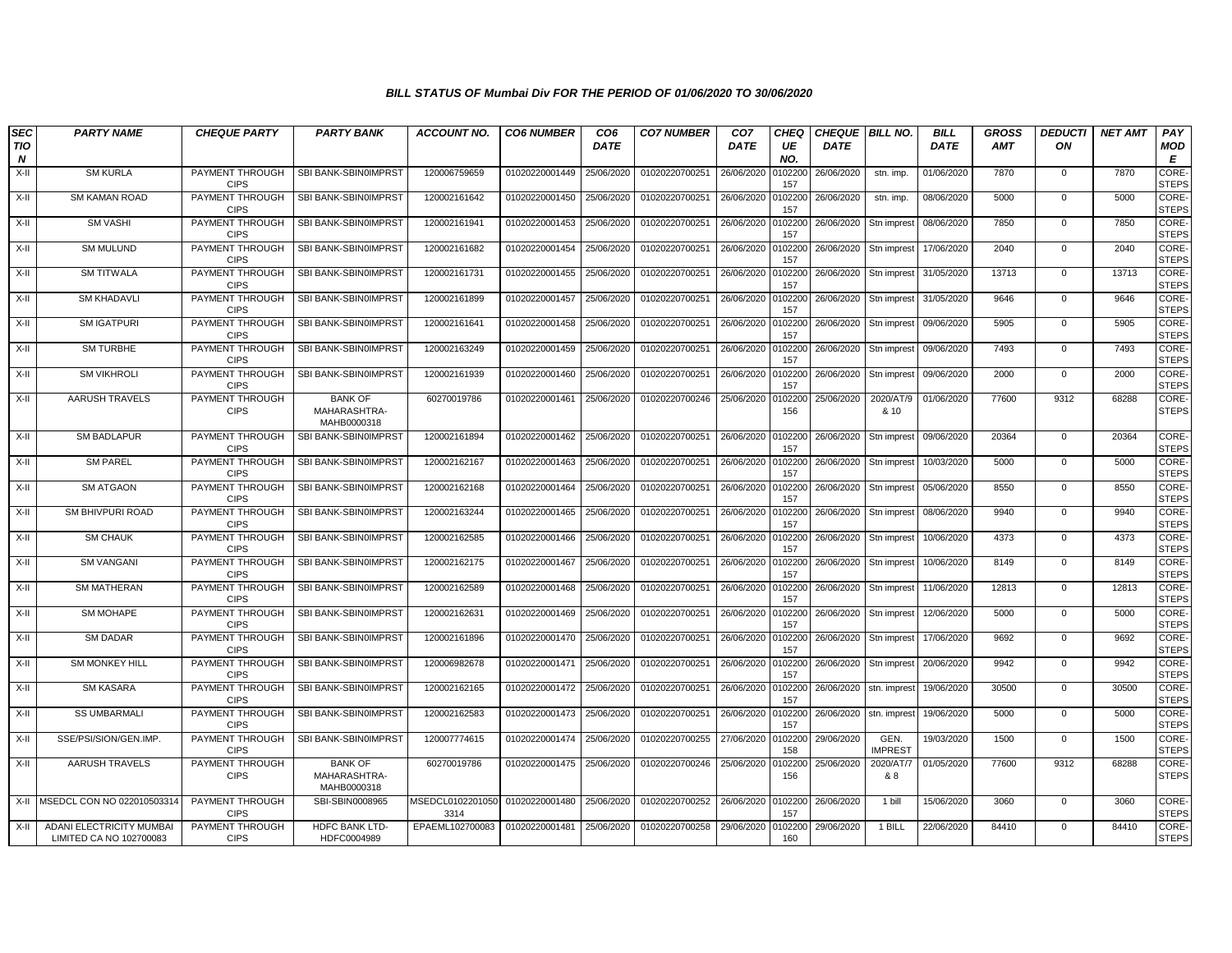| <b>SEC</b> | <b>PARTY NAME</b>                                   | <b>CHEQUE PARTY</b>                   | <b>PARTY BANK</b>                             | <b>ACCOUNT NO.</b>       | <b>CO6 NUMBER</b> | CO <sub>6</sub> | <b>CO7 NUMBER</b> | CO <sub>7</sub> | <b>CHEQ</b>    | <b>CHEQUE BILL NO.</b> |                        | <b>BILL</b> | <b>GROSS</b> | <b>DEDUCTI</b> | <b>NET AMT</b> | PAY                          |
|------------|-----------------------------------------------------|---------------------------------------|-----------------------------------------------|--------------------------|-------------------|-----------------|-------------------|-----------------|----------------|------------------------|------------------------|-------------|--------------|----------------|----------------|------------------------------|
| TIO<br>N   |                                                     |                                       |                                               |                          |                   | <b>DATE</b>     |                   | <b>DATE</b>     | UE<br>NO.      | <b>DATE</b>            |                        | <b>DATE</b> | <b>AMT</b>   | ON             |                | MOD<br>Е                     |
| X-II       | <b>SM KURLA</b>                                     | PAYMENT THROUGH<br><b>CIPS</b>        | SBI BANK-SBIN0IMPRST                          | 120006759659             | 01020220001449    | 25/06/2020      | 01020220700251    | 26/06/2020      | 0102200<br>157 | 26/06/2020             | stn. imp.              | 01/06/2020  | 7870         | $\mathbf 0$    | 7870           | CORE<br><b>STEPS</b>         |
| X-II       | <b>SM KAMAN ROAD</b>                                | PAYMENT THROUGH<br><b>CIPS</b>        | SBI BANK-SBIN0IMPRST                          | 120002161642             | 01020220001450    | 25/06/2020      | 01020220700251    | 26/06/2020      | 0102200<br>157 | 26/06/2020             | stn. imp.              | 08/06/2020  | 5000         | $\overline{0}$ | 5000           | CORE-<br><b>STEPS</b>        |
| X-II       | <b>SM VASHI</b>                                     | PAYMENT THROUGH<br><b>CIPS</b>        | SBI BANK-SBIN0IMPRST                          | 120002161941             | 01020220001453    | 25/06/2020      | 01020220700251    | 26/06/2020      | 010220<br>157  | 26/06/2020             | Stn imprest            | 08/06/2020  | 7850         | $\mathbf 0$    | 7850           | <b>CORE</b><br><b>STEPS</b>  |
| X-II       | <b>SM MULUND</b>                                    | PAYMENT THROUGH<br><b>CIPS</b>        | SBI BANK-SBIN0IMPRST                          | 120002161682             | 01020220001454    | 25/06/2020      | 01020220700251    | 26/06/2020      | 0102200<br>157 | 26/06/2020             | Stn imprest            | 17/06/2020  | 2040         | $\mathbf{0}$   | 2040           | <b>CORE-</b><br><b>STEPS</b> |
| X-II       | <b>SM TITWALA</b>                                   | PAYMENT THROUGH<br><b>CIPS</b>        | SBI BANK-SBIN0IMPRST                          | 120002161731             | 01020220001455    | 25/06/2020      | 01020220700251    | 26/06/2020      | 0102200<br>157 | 26/06/2020             | Stn imprest            | 31/05/2020  | 13713        | $\mathbf 0$    | 13713          | CORE-<br><b>STEPS</b>        |
| X-II       | <b>SM KHADAVLI</b>                                  | PAYMENT THROUGH<br><b>CIPS</b>        | SBI BANK-SBIN0IMPRST                          | 120002161899             | 01020220001457    | 25/06/2020      | 01020220700251    | 26/06/2020      | 0102200<br>157 | 26/06/2020             | Stn imprest            | 31/05/2020  | 9646         | $\mathbf{0}$   | 9646           | CORE-<br><b>STEPS</b>        |
| X-II       | <b>SM IGATPURI</b>                                  | PAYMENT THROUGH<br><b>CIPS</b>        | SBI BANK-SBIN0IMPRST                          | 120002161641             | 01020220001458    | 25/06/2020      | 01020220700251    | 26/06/2020      | 0102200<br>157 | 26/06/2020             | Stn imprest            | 09/06/2020  | 5905         | $\mathbf 0$    | 5905           | CORE-<br><b>STEPS</b>        |
| X-II       | <b>SM TURBHE</b>                                    | PAYMENT THROUGH<br><b>CIPS</b>        | SBI BANK-SBIN0IMPRST                          | 120002163249             | 01020220001459    | 25/06/2020      | 01020220700251    | 26/06/2020      | 0102200<br>157 | 26/06/2020             | Stn imprest            | 09/06/2020  | 7493         | $\Omega$       | 7493           | CORE-<br><b>STEPS</b>        |
| X-II       | <b>SM VIKHROLI</b>                                  | PAYMENT THROUGH<br><b>CIPS</b>        | SBI BANK-SBIN0IMPRST                          | 120002161939             | 01020220001460    | 25/06/2020      | 01020220700251    | 26/06/2020      | 0102200<br>157 | 26/06/2020             | Stn imprest            | 09/06/2020  | 2000         | $\mathbf{0}$   | 2000           | CORE-<br><b>STEPS</b>        |
| X-II       | AARUSH TRAVELS                                      | PAYMENT THROUGH<br><b>CIPS</b>        | <b>BANK OF</b><br>MAHARASHTRA-<br>MAHB0000318 | 60270019786              | 01020220001461    | 25/06/2020      | 01020220700246    | 25/06/2020      | 0102200<br>156 | 25/06/2020             | 2020/AT/9<br>& 10      | 01/06/2020  | 77600        | 9312           | 68288          | CORE-<br><b>STEPS</b>        |
| X-II       | <b>SM BADLAPUR</b>                                  | PAYMENT THROUGH<br><b>CIPS</b>        | SBI BANK-SBIN0IMPRST                          | 120002161894             | 01020220001462    | 25/06/2020      | 01020220700251    | 26/06/2020      | 0102200<br>157 | 26/06/2020             | Stn imprest            | 09/06/2020  | 20364        | $\mathbf 0$    | 20364          | <b>CORE-</b><br><b>STEPS</b> |
| X-II       | <b>SM PAREL</b>                                     | PAYMENT THROUGH<br><b>CIPS</b>        | SBI BANK-SBIN0IMPRST                          | 120002162167             | 01020220001463    | 25/06/2020      | 01020220700251    | 26/06/2020      | 0102200<br>157 | 26/06/2020             | Stn imprest            | 10/03/2020  | 5000         | $\Omega$       | 5000           | CORE-<br><b>STEPS</b>        |
| X-II       | <b>SM ATGAON</b>                                    | PAYMENT THROUGH<br><b>CIPS</b>        | SBI BANK-SBIN0IMPRST                          | 120002162168             | 01020220001464    | 25/06/2020      | 01020220700251    | 26/06/2020      | 0102200<br>157 | 26/06/2020             | Stn imprest            | 05/06/2020  | 8550         | $\mathbf 0$    | 8550           | CORE-<br><b>STEPS</b>        |
| X-II       | <b>SM BHIVPURI ROAD</b>                             | <b>PAYMENT THROUGH</b><br><b>CIPS</b> | SBI BANK-SBIN0IMPRST                          | 120002163244             | 01020220001465    | 25/06/2020      | 01020220700251    | 26/06/2020      | 0102200<br>157 | 26/06/2020             | Stn imprest            | 08/06/2020  | 9940         | $\mathbf{0}$   | 9940           | CORE-<br><b>STEPS</b>        |
| X-II       | <b>SM CHAUK</b>                                     | PAYMENT THROUGH<br><b>CIPS</b>        | SBI BANK-SBIN0IMPRST                          | 120002162585             | 01020220001466    | 25/06/2020      | 01020220700251    | 26/06/2020      | 0102200<br>157 | 26/06/2020             | Stn imprest            | 10/06/2020  | 4373         | $\mathbf 0$    | 4373           | CORE-<br><b>STEPS</b>        |
| X-II       | <b>SM VANGANI</b>                                   | PAYMENT THROUGH<br><b>CIPS</b>        | SBI BANK-SBIN0IMPRST                          | 120002162175             | 01020220001467    | 25/06/2020      | 01020220700251    | 26/06/2020      | 0102200<br>157 | 26/06/2020             | Stn imprest            | 10/06/2020  | 8149         | $\mathbf 0$    | 8149           | CORE-<br><b>STEPS</b>        |
| X-II       | <b>SM MATHERAN</b>                                  | PAYMENT THROUGH<br><b>CIPS</b>        | SBI BANK-SBIN0IMPRST                          | 120002162589             | 01020220001468    | 25/06/2020      | 01020220700251    | 26/06/2020      | 0102200<br>157 | 26/06/2020             | Stn imprest            | 11/06/2020  | 12813        | $\mathbf 0$    | 12813          | CORE-<br><b>STEPS</b>        |
| X-II       | <b>SM MOHAPE</b>                                    | PAYMENT THROUGH<br><b>CIPS</b>        | SBI BANK-SBIN0IMPRST                          | 120002162631             | 01020220001469    | 25/06/2020      | 01020220700251    | 26/06/2020      | 0102200<br>157 | 26/06/2020             | Stn imprest            | 12/06/2020  | 5000         | $\mathbf 0$    | 5000           | CORE-<br><b>STEPS</b>        |
| X-II       | <b>SM DADAR</b>                                     | PAYMENT THROUGH<br><b>CIPS</b>        | SBI BANK-SBIN0IMPRST                          | 120002161896             | 01020220001470    | 25/06/2020      | 01020220700251    | 26/06/2020      | 010220<br>157  | 26/06/2020             | Stn imprest            | 17/06/2020  | 9692         | $\mathbf{0}$   | 9692           | <b>CORE-</b><br><b>STEPS</b> |
| X-II       | <b>SM MONKEY HILL</b>                               | PAYMENT THROUGH<br><b>CIPS</b>        | SBI BANK-SBIN0IMPRST                          | 120006982678             | 01020220001471    | 25/06/2020      | 01020220700251    | 26/06/2020      | 0102200<br>157 | 26/06/2020             | Stn imprest            | 20/06/2020  | 9942         | $\mathbf 0$    | 9942           | CORE-<br><b>STEPS</b>        |
| X-II       | <b>SM KASARA</b>                                    | PAYMENT THROUGH<br><b>CIPS</b>        | SBI BANK-SBIN0IMPRST                          | 120002162165             | 01020220001472    | 25/06/2020      | 01020220700251    | 26/06/2020      | 0102200<br>157 | 26/06/2020             | stn. imprest           | 19/06/2020  | 30500        | $\mathbf{0}$   | 30500          | CORE-<br><b>STEPS</b>        |
| X-II       | <b>SS UMBARMALI</b>                                 | PAYMENT THROUGH<br><b>CIPS</b>        | SBI BANK-SBIN0IMPRST                          | 120002162583             | 01020220001473    | 25/06/2020      | 01020220700251    | 26/06/2020      | 0102200<br>157 | 26/06/2020             | stn. imprest           | 19/06/2020  | 5000         | $\mathbf{0}$   | 5000           | CORE-<br><b>STEPS</b>        |
| X-II       | SSE/PSI/SION/GEN.IMP.                               | PAYMENT THROUGH<br><b>CIPS</b>        | SBI BANK-SBIN0IMPRST                          | 120007774615             | 01020220001474    | 25/06/2020      | 01020220700255    | 27/06/2020      | 0102200<br>158 | 29/06/2020             | GEN.<br><b>IMPREST</b> | 19/03/2020  | 1500         | $\mathbf 0$    | 1500           | CORE-<br><b>STEPS</b>        |
| X-II       | <b>AARUSH TRAVELS</b>                               | PAYMENT THROUGH<br><b>CIPS</b>        | <b>BANK OF</b><br>MAHARASHTRA-<br>MAHB0000318 | 60270019786              | 01020220001475    | 25/06/2020      | 01020220700246    | 25/06/2020      | 0102200<br>156 | 25/06/2020             | 2020/AT/7<br>& 8       | 01/05/2020  | 77600        | 9312           | 68288          | CORE-<br><b>STEPS</b>        |
| X-II       | MSEDCL CON NO 022010503314                          | PAYMENT THROUGH<br><b>CIPS</b>        | SBI-SBIN0008965                               | MSEDCL0102201050<br>3314 | 01020220001480    | 25/06/2020      | 01020220700252    | 26/06/2020      | 0102200<br>157 | 26/06/2020             | 1 bill                 | 15/06/2020  | 3060         | 0              | 3060           | <b>CORE</b><br><b>STEPS</b>  |
| X-II       | ADANI ELECTRICITY MUMBAI<br>LIMITED CA NO 102700083 | PAYMENT THROUGH<br><b>CIPS</b>        | <b>HDFC BANK LTD-</b><br>HDFC0004989          | EPAEML102700083          | 01020220001481    | 25/06/2020      | 01020220700258    | 29/06/2020      | 0102200<br>160 | 29/06/2020             | 1 BILL                 | 22/06/2020  | 84410        | $\Omega$       | 84410          | CORE-<br><b>STEPS</b>        |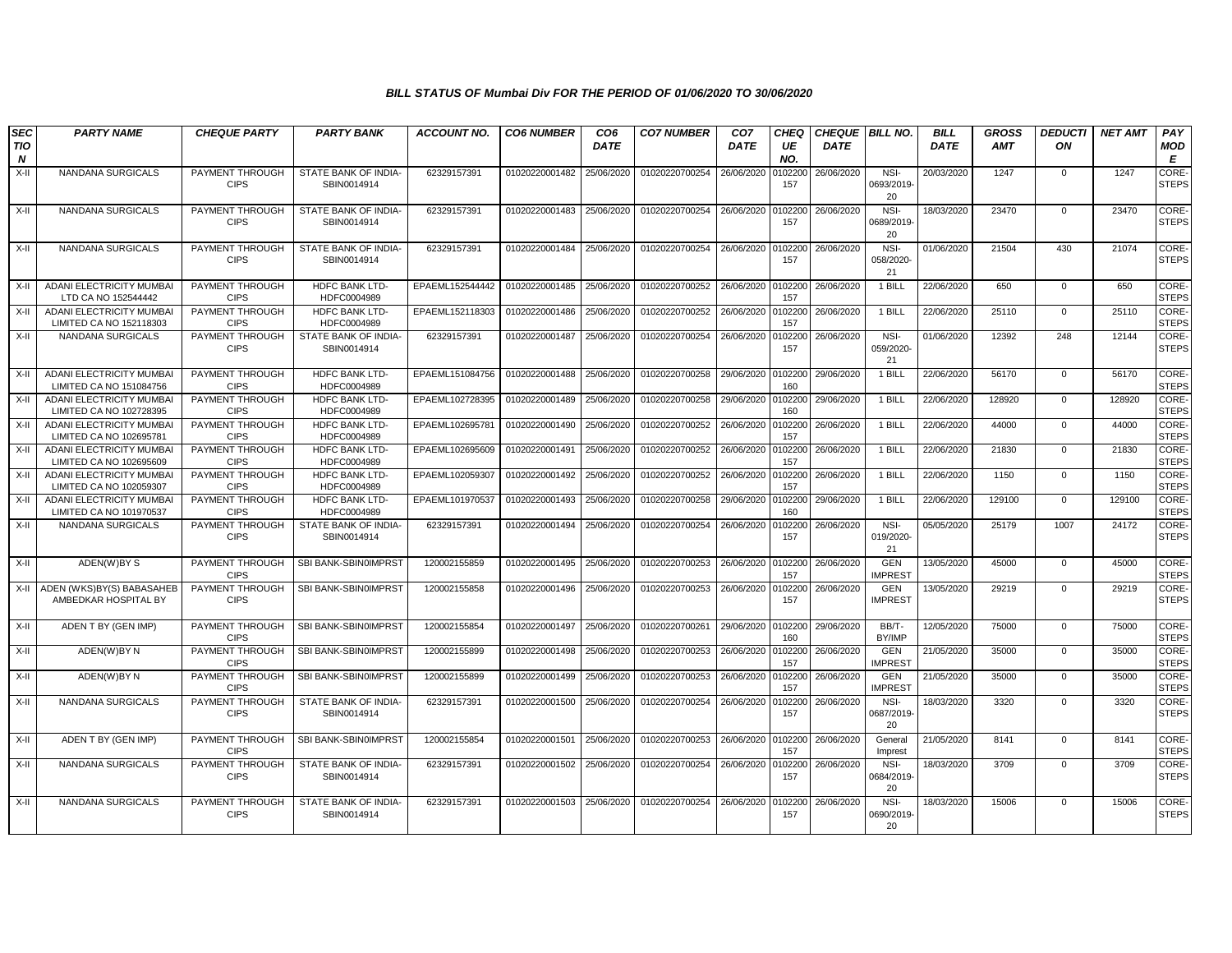| <b>SEC</b>      | <b>PARTY NAME</b>                                          | <b>CHEQUE PARTY</b>            | <b>PARTY BANK</b>                    | <b>ACCOUNT NO.</b> | <b>CO6 NUMBER</b> | CO <sub>6</sub> | <b>CO7 NUMBER</b> | CO <sub>7</sub> | <b>CHEQ</b>    | <b>CHEQUE BILL NO.</b> |                              | <b>BILL</b> | <b>GROSS</b> | <b>DEDUCTI</b> | <b>NET AMT</b> | PAY                   |
|-----------------|------------------------------------------------------------|--------------------------------|--------------------------------------|--------------------|-------------------|-----------------|-------------------|-----------------|----------------|------------------------|------------------------------|-------------|--------------|----------------|----------------|-----------------------|
| <b>TIO</b><br>N |                                                            |                                |                                      |                    |                   | <b>DATE</b>     |                   | <b>DATE</b>     | UE<br>NO.      | <b>DATE</b>            |                              | <b>DATE</b> | <b>AMT</b>   | ON             |                | MOD<br>Е              |
| $X-H$           | <b>NANDANA SURGICALS</b>                                   | PAYMENT THROUGH<br><b>CIPS</b> | STATE BANK OF INDIA-<br>SBIN0014914  | 62329157391        | 01020220001482    | 25/06/2020      | 01020220700254    | 26/06/2020      | 010220<br>157  | 26/06/2020             | NSI-<br>0693/2019<br>20      | 20/03/2020  | 1247         | $\mathbf 0$    | 1247           | CORE-<br><b>STEPS</b> |
| X-II            | NANDANA SURGICALS                                          | PAYMENT THROUGH<br><b>CIPS</b> | STATE BANK OF INDIA-<br>SBIN0014914  | 62329157391        | 01020220001483    | 25/06/2020      | 01020220700254    | 26/06/2020      | 010220<br>157  | 26/06/2020             | NSI-<br>0689/2019<br>20      | 18/03/2020  | 23470        | $\mathbf 0$    | 23470          | CORE-<br><b>STEPS</b> |
| X-II            | NANDANA SURGICALS                                          | PAYMENT THROUGH<br><b>CIPS</b> | STATE BANK OF INDIA-<br>SBIN0014914  | 62329157391        | 01020220001484    | 25/06/2020      | 01020220700254    | 26/06/2020      | 0102200<br>157 | 26/06/2020             | NSI-<br>058/2020-<br>21      | 01/06/2020  | 21504        | 430            | 21074          | CORE-<br><b>STEPS</b> |
| X-II            | ADANI ELECTRICITY MUMBAI<br>LTD CA NO 152544442            | PAYMENT THROUGH<br><b>CIPS</b> | HDFC BANK LTD-<br>HDFC0004989        | EPAEML152544442    | 01020220001485    | 25/06/2020      | 01020220700252    | 26/06/2020      | 0102200<br>157 | 26/06/2020             | 1 BILL                       | 22/06/2020  | 650          | $\mathbf{0}$   | 650            | CORE-<br><b>STEPS</b> |
| X-II            | <b>ADANI ELECTRICITY MUMBAI</b><br>LIMITED CA NO 152118303 | PAYMENT THROUGH<br><b>CIPS</b> | <b>HDFC BANK LTD-</b><br>HDFC0004989 | EPAEML152118303    | 01020220001486    | 25/06/2020      | 01020220700252    | 26/06/2020      | 0102200<br>157 | 26/06/2020             | 1 BILL                       | 22/06/2020  | 25110        | $\mathbf{0}$   | 25110          | CORE-<br><b>STEPS</b> |
| X-II            | NANDANA SURGICALS                                          | PAYMENT THROUGH<br><b>CIPS</b> | STATE BANK OF INDIA-<br>SBIN0014914  | 62329157391        | 01020220001487    | 25/06/2020      | 01020220700254    | 26/06/2020      | 0102200<br>157 | 26/06/2020             | NSI-<br>059/2020-<br>21      | 01/06/2020  | 12392        | 248            | 12144          | CORE-<br><b>STEPS</b> |
| X-II            | ADANI ELECTRICITY MUMBAI<br>LIMITED CA NO 151084756        | PAYMENT THROUGH<br><b>CIPS</b> | HDFC BANK LTD-<br>HDFC0004989        | EPAEML151084756    | 01020220001488    | 25/06/2020      | 01020220700258    | 29/06/2020      | 0102200<br>160 | 29/06/2020             | 1 BILL                       | 22/06/2020  | 56170        | $\mathbf{0}$   | 56170          | CORE-<br><b>STEPS</b> |
| X-II            | ADANI ELECTRICITY MUMBAI<br>LIMITED CA NO 102728395        | PAYMENT THROUGH<br><b>CIPS</b> | HDFC BANK LTD-<br>HDFC0004989        | EPAEML102728395    | 01020220001489    | 25/06/2020      | 01020220700258    | 29/06/2020      | 0102200<br>160 | 29/06/2020             | 1 BILL                       | 22/06/2020  | 128920       | $\mathbf 0$    | 128920         | CORE-<br><b>STEPS</b> |
| X-II            | ADANI ELECTRICITY MUMBAI<br>LIMITED CA NO 102695781        | PAYMENT THROUGH<br><b>CIPS</b> | <b>HDFC BANK LTD-</b><br>HDFC0004989 | EPAEML102695781    | 01020220001490    | 25/06/2020      | 01020220700252    | 26/06/2020      | 010220<br>157  | 26/06/2020             | 1 BILL                       | 22/06/2020  | 44000        | $\mathbf{0}$   | 44000          | CORE-<br><b>STEPS</b> |
| X-II            | ADANI ELECTRICITY MUMBAI<br>LIMITED CA NO 102695609        | PAYMENT THROUGH<br><b>CIPS</b> | HDFC BANK LTD-<br>HDFC0004989        | EPAEML102695609    | 01020220001491    | 25/06/2020      | 01020220700252    | 26/06/2020      | 010220<br>157  | 26/06/2020             | 1 BILL                       | 22/06/2020  | 21830        | $\mathbf 0$    | 21830          | CORE-<br><b>STEPS</b> |
| $X-II$          | ADANI ELECTRICITY MUMBAI<br>LIMITED CA NO 102059307        | PAYMENT THROUGH<br><b>CIPS</b> | <b>HDFC BANK LTD-</b><br>HDFC0004989 | EPAEML102059307    | 01020220001492    | 25/06/2020      | 01020220700252    | 26/06/2020      | 0102200<br>157 | 26/06/2020             | 1 BILL                       | 22/06/2020  | 1150         | $\Omega$       | 1150           | CORE-<br><b>STEPS</b> |
| X-II            | <b>ADANI ELECTRICITY MUMBAI</b><br>LIMITED CA NO 101970537 | PAYMENT THROUGH<br><b>CIPS</b> | <b>HDFC BANK LTD-</b><br>HDFC0004989 | EPAEML101970537    | 01020220001493    | 25/06/2020      | 01020220700258    | 29/06/2020      | 0102200<br>160 | 29/06/2020             | 1 BILL                       | 22/06/2020  | 129100       | $\mathbf 0$    | 129100         | CORE-<br><b>STEPS</b> |
| X-II            | <b>NANDANA SURGICALS</b>                                   | PAYMENT THROUGH<br><b>CIPS</b> | STATE BANK OF INDIA-<br>SBIN0014914  | 62329157391        | 01020220001494    | 25/06/2020      | 01020220700254    | 26/06/2020      | 010220<br>157  | 26/06/2020             | NSI-<br>019/2020-<br>21      | 05/05/2020  | 25179        | 1007           | 24172          | CORE-<br><b>STEPS</b> |
| X-II            | ADEN(W)BY S                                                | PAYMENT THROUGH<br><b>CIPS</b> | SBI BANK-SBIN0IMPRST                 | 120002155859       | 01020220001495    | 25/06/2020      | 01020220700253    | 26/06/2020      | 0102200<br>157 | 26/06/2020             | GEN<br><b>IMPREST</b>        | 13/05/2020  | 45000        | $\Omega$       | 45000          | CORE-<br><b>STEPS</b> |
| X-II            | ADEN (WKS)BY(S) BABASAHEB<br>AMBEDKAR HOSPITAL BY          | PAYMENT THROUGH<br><b>CIPS</b> | SBI BANK-SBIN0IMPRST                 | 120002155858       | 01020220001496    | 25/06/2020      | 01020220700253    | 26/06/2020      | 0102200<br>157 | 26/06/2020             | <b>GEN</b><br><b>IMPREST</b> | 13/05/2020  | 29219        | $\mathbf{0}$   | 29219          | CORE-<br><b>STEPS</b> |
| X-II            | ADEN T BY (GEN IMP)                                        | PAYMENT THROUGH<br><b>CIPS</b> | SBI BANK-SBIN0IMPRST                 | 120002155854       | 01020220001497    | 25/06/2020      | 01020220700261    | 29/06/2020      | 0102200<br>160 | 29/06/2020             | BB/T-<br>BY/IMP              | 12/05/2020  | 75000        | $\mathsf 0$    | 75000          | CORE-<br><b>STEPS</b> |
| $X-H$           | ADEN(W)BY N                                                | PAYMENT THROUGH<br><b>CIPS</b> | SBI BANK-SBIN0IMPRST                 | 120002155899       | 01020220001498    | 25/06/2020      | 01020220700253    | 26/06/2020      | 0102200<br>157 | 26/06/2020             | <b>GEN</b><br><b>IMPREST</b> | 21/05/2020  | 35000        | $\Omega$       | 35000          | CORE-<br><b>STEPS</b> |
| X-II            | ADEN(W)BY N                                                | PAYMENT THROUGH<br><b>CIPS</b> | SBI BANK-SBIN0IMPRST                 | 120002155899       | 01020220001499    | 25/06/2020      | 01020220700253    | 26/06/2020      | 0102200<br>157 | 26/06/2020             | <b>GEN</b><br><b>IMPREST</b> | 21/05/2020  | 35000        | $\mathbf{0}$   | 35000          | CORE-<br><b>STEPS</b> |
| X-II            | <b>NANDANA SURGICALS</b>                                   | PAYMENT THROUGH<br><b>CIPS</b> | STATE BANK OF INDIA-<br>SBIN0014914  | 62329157391        | 01020220001500    | 25/06/2020      | 01020220700254    | 26/06/2020      | 102200<br>157  | 26/06/2020             | NSI-<br>0687/2019<br>20      | 18/03/2020  | 3320         | $\Omega$       | 3320           | CORE-<br><b>STEPS</b> |
| X-II            | ADEN T BY (GEN IMP)                                        | PAYMENT THROUGH<br><b>CIPS</b> | SBI BANK-SBIN0IMPRST                 | 120002155854       | 01020220001501    | 25/06/2020      | 01020220700253    | 26/06/2020      | 0102200<br>157 | 26/06/2020             | General<br>Imprest           | 21/05/2020  | 8141         | $\mathbf 0$    | 8141           | CORE-<br><b>STEPS</b> |
| X-II            | NANDANA SURGICALS                                          | PAYMENT THROUGH<br><b>CIPS</b> | STATE BANK OF INDIA-<br>SBIN0014914  | 62329157391        | 01020220001502    | 25/06/2020      | 01020220700254    | 26/06/2020      | 0102200<br>157 | 26/06/2020             | NSI-<br>0684/2019<br>20      | 18/03/2020  | 3709         | $\mathbf{0}$   | 3709           | CORE-<br><b>STEPS</b> |
| $X-II$          | NANDANA SURGICALS                                          | PAYMENT THROUGH<br><b>CIPS</b> | STATE BANK OF INDIA-<br>SBIN0014914  | 62329157391        | 01020220001503    | 25/06/2020      | 01020220700254    | 26/06/2020      | 010220<br>157  | 26/06/2020             | NSI-<br>0690/2019<br>20      | 18/03/2020  | 15006        | $\Omega$       | 15006          | CORE-<br><b>STEPS</b> |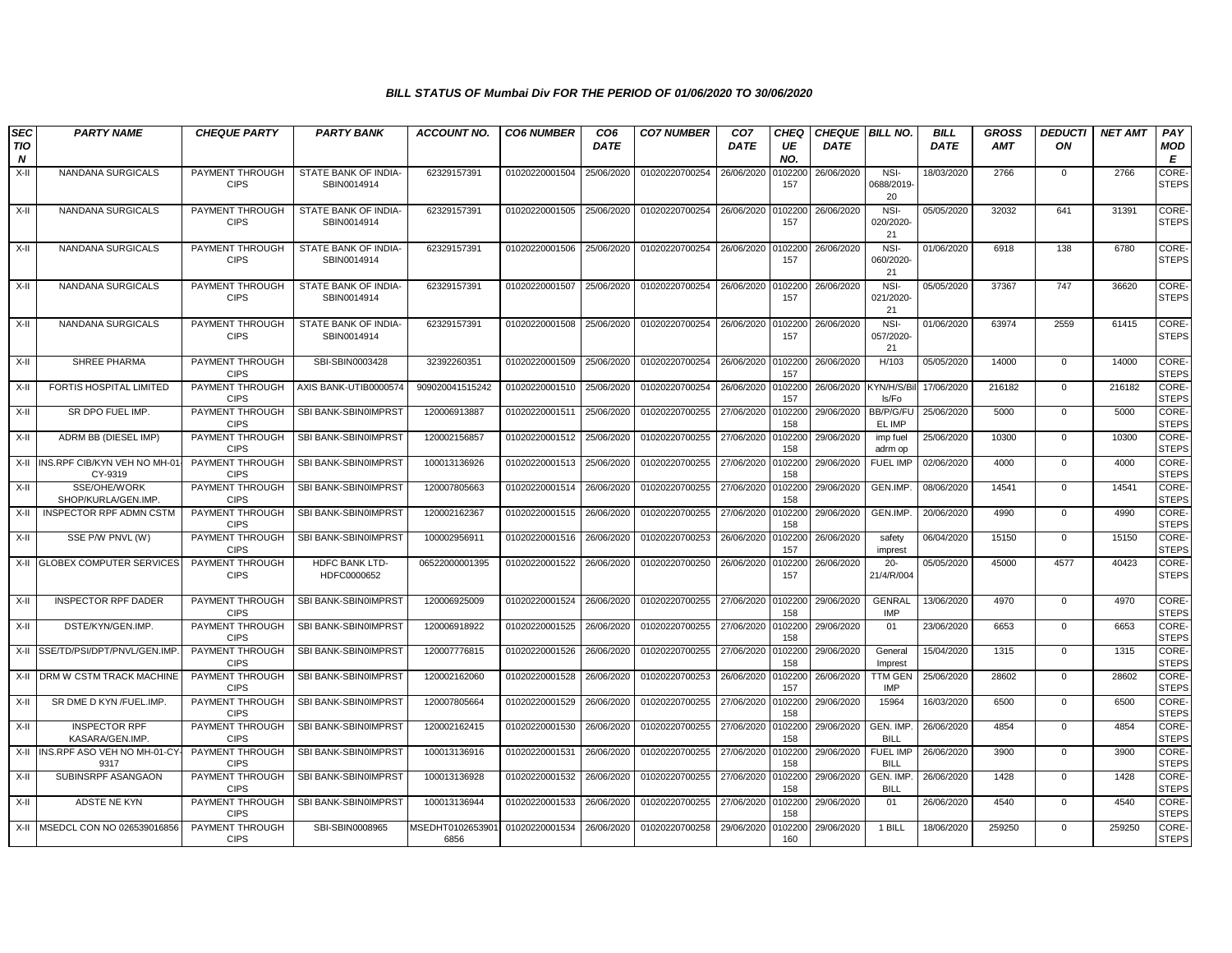| <b>SEC</b><br><b>TIO</b><br>$\boldsymbol{N}$ | <b>PARTY NAME</b>                            | <b>CHEQUE PARTY</b>                   | <b>PARTY BANK</b>                   | <b>ACCOUNT NO.</b>       | <b>CO6 NUMBER</b> | CO <sub>6</sub><br><b>DATE</b> | <b>CO7 NUMBER</b> | CO <sub>7</sub><br><b>DATE</b> | <b>CHEQ</b><br>UE<br>NO. | <b>CHEQUE BILL NO.</b><br><b>DATE</b> |                                | <b>BILL</b><br><b>DATE</b> | <b>GROSS</b><br><b>AMT</b> | <b>DEDUCTI</b><br>ON | <b>NET AMT</b> | PAY<br>MOD<br>E              |
|----------------------------------------------|----------------------------------------------|---------------------------------------|-------------------------------------|--------------------------|-------------------|--------------------------------|-------------------|--------------------------------|--------------------------|---------------------------------------|--------------------------------|----------------------------|----------------------------|----------------------|----------------|------------------------------|
| $X-H$                                        | NANDANA SURGICALS                            | PAYMENT THROUGH<br><b>CIPS</b>        | STATE BANK OF INDIA-<br>SBIN0014914 | 62329157391              | 01020220001504    | 25/06/2020                     | 01020220700254    | 26/06/2020                     | 0102200<br>157           | 26/06/2020                            | NSI-<br>0688/2019<br>20        | 18/03/2020                 | 2766                       | $\mathbf 0$          | 2766           | <b>CORE-</b><br><b>STEPS</b> |
| X-II                                         | NANDANA SURGICALS                            | PAYMENT THROUGH<br><b>CIPS</b>        | STATE BANK OF INDIA-<br>SBIN0014914 | 62329157391              | 01020220001505    | 25/06/2020                     | 01020220700254    | 26/06/2020                     | 0102200<br>157           | 26/06/2020                            | NSI-<br>020/2020-<br>21        | 05/05/2020                 | 32032                      | 641                  | 31391          | <b>CORE</b><br><b>STEPS</b>  |
| X-II                                         | NANDANA SURGICALS                            | PAYMENT THROUGH<br><b>CIPS</b>        | STATE BANK OF INDIA-<br>SBIN0014914 | 62329157391              | 01020220001506    | 25/06/2020                     | 01020220700254    | 26/06/2020                     | 0102200<br>157           | 26/06/2020                            | NSI-<br>060/2020-<br>21        | 01/06/2020                 | 6918                       | 138                  | 6780           | <b>CORE-</b><br><b>STEPS</b> |
| X-II                                         | NANDANA SURGICALS                            | PAYMENT THROUGH<br><b>CIPS</b>        | STATE BANK OF INDIA-<br>SBIN0014914 | 62329157391              | 01020220001507    | 25/06/2020                     | 01020220700254    | 26/06/2020                     | 0102200<br>157           | 26/06/2020                            | NSI-<br>021/2020-<br>21        | 05/05/2020                 | 37367                      | 747                  | 36620          | <b>CORE</b><br><b>STEPS</b>  |
| X-II                                         | NANDANA SURGICALS                            | PAYMENT THROUGH<br><b>CIPS</b>        | STATE BANK OF INDIA-<br>SBIN0014914 | 62329157391              | 01020220001508    | 25/06/2020                     | 01020220700254    | 26/06/2020                     | 0102200<br>157           | 26/06/2020                            | NSI-<br>057/2020-<br>21        | 01/06/2020                 | 63974                      | 2559                 | 61415          | CORE-<br><b>STEPS</b>        |
| X-II                                         | SHREE PHARMA                                 | PAYMENT THROUGH<br><b>CIPS</b>        | SBI-SBIN0003428                     | 32392260351              | 01020220001509    | 25/06/2020                     | 01020220700254    | 26/06/2020                     | 0102200<br>157           | 26/06/2020                            | H/103                          | 05/05/2020                 | 14000                      | $\mathbf 0$          | 14000          | <b>CORE</b><br><b>STEPS</b>  |
| X-II                                         | <b>FORTIS HOSPITAL LIMITED</b>               | <b>PAYMENT THROUGH</b><br><b>CIPS</b> | AXIS BANK-UTIB0000574               | 909020041515242          | 01020220001510    | 25/06/2020                     | 01020220700254    | 26/06/2020                     | 010220<br>157            | 26/06/2020 KYN/H/S/B                  | Is/Fo                          | 17/06/2020                 | 216182                     | $\mathbf{0}$         | 216182         | CORE-<br><b>STEPS</b>        |
| X-II                                         | SR DPO FUEL IMP.                             | PAYMENT THROUGH<br><b>CIPS</b>        | SBI BANK-SBIN0IMPRST                | 120006913887             | 01020220001511    | 25/06/2020                     | 01020220700255    | 27/06/2020                     | 0102200<br>158           | 29/06/2020                            | BB/P/G/FL<br>EL IMP            | 25/06/2020                 | 5000                       | $\mathbf 0$          | 5000           | CORE-<br><b>STEPS</b>        |
| X-II                                         | ADRM BB (DIESEL IMP)                         | PAYMENT THROUGH<br><b>CIPS</b>        | SBI BANK-SBIN0IMPRST                | 120002156857             | 01020220001512    | 25/06/2020                     | 01020220700255    | 27/06/2020                     | 0102200<br>158           | 29/06/2020                            | imp fuel<br>adrm op            | 25/06/2020                 | 10300                      | $\mathbf{0}$         | 10300          | CORE-<br><b>STEPS</b>        |
|                                              | X-II INS.RPF CIB/KYN VEH NO MH-01<br>CY-9319 | PAYMENT THROUGH<br><b>CIPS</b>        | SBI BANK-SBIN0IMPRST                | 100013136926             | 01020220001513    | 25/06/2020                     | 01020220700255    | 27/06/2020                     | 0102200<br>158           | 29/06/2020                            | <b>FUEL IMP</b>                | 02/06/2020                 | 4000                       | $\mathbf 0$          | 4000           | CORE-<br><b>STEPS</b>        |
| X-II                                         | SSE/OHE/WORK<br>SHOP/KURLA/GEN.IMP.          | PAYMENT THROUGH<br><b>CIPS</b>        | SBI BANK-SBIN0IMPRST                | 120007805663             | 01020220001514    | 26/06/2020                     | 01020220700255    | 27/06/2020                     | 0102200<br>158           | 29/06/2020                            | GEN.IMP.                       | 08/06/2020                 | 14541                      | $\mathbf{0}$         | 14541          | <b>CORE</b><br><b>STEPS</b>  |
| X-II                                         | <b>INSPECTOR RPF ADMN CSTM</b>               | PAYMENT THROUGH<br><b>CIPS</b>        | SBI BANK-SBIN0IMPRST                | 120002162367             | 01020220001515    | 26/06/2020                     | 01020220700255    | 27/06/2020                     | 010220<br>158            | 29/06/2020                            | GEN.IMP.                       | 20/06/2020                 | 4990                       | $\mathbf 0$          | 4990           | CORE-<br><b>STEPS</b>        |
| X-II                                         | SSE P/W PNVL (W)                             | PAYMENT THROUGH<br><b>CIPS</b>        | SBI BANK-SBIN0IMPRST                | 100002956911             | 01020220001516    | 26/06/2020                     | 01020220700253    | 26/06/2020                     | 010220<br>157            | 26/06/2020                            | safety<br>imprest              | 06/04/2020                 | 15150                      | $\mathbf{0}$         | 15150          | <b>CORE</b><br><b>STEPS</b>  |
|                                              | X-II GLOBEX COMPUTER SERVICES                | PAYMENT THROUGH<br><b>CIPS</b>        | HDFC BANK LTD-<br>HDFC0000652       | 06522000001395           | 01020220001522    | 26/06/2020                     | 01020220700250    | 26/06/2020                     | 0102200<br>157           | 26/06/2020                            | $20 -$<br>21/4/R/004           | 05/05/2020                 | 45000                      | 4577                 | 40423          | CORE-<br><b>STEPS</b>        |
| X-II                                         | <b>INSPECTOR RPF DADER</b>                   | PAYMENT THROUGH<br><b>CIPS</b>        | SBI BANK-SBIN0IMPRST                | 120006925009             | 01020220001524    | 26/06/2020                     | 01020220700255    | 27/06/2020                     | 0102200<br>158           | 29/06/2020                            | <b>GENRAL</b><br><b>IMP</b>    | 13/06/2020                 | 4970                       | $\mathbf{0}$         | 4970           | <b>CORE</b><br><b>STEPS</b>  |
| X-II                                         | DSTE/KYN/GEN.IMP.                            | PAYMENT THROUGH<br><b>CIPS</b>        | SBI BANK-SBIN0IMPRST                | 120006918922             | 01020220001525    | 26/06/2020                     | 01020220700255    | 27/06/2020                     | 0102200<br>158           | 29/06/2020                            | 01                             | 23/06/2020                 | 6653                       | $\mathbf{0}$         | 6653           | CORE-<br><b>STEPS</b>        |
|                                              | X-II SSE/TD/PSI/DPT/PNVL/GEN.IMP             | PAYMENT THROUGH<br><b>CIPS</b>        | SBI BANK-SBIN0IMPRST                | 120007776815             | 01020220001526    | 26/06/2020                     | 01020220700255    | 27/06/2020                     | 0102200<br>158           | 29/06/2020                            | General<br>Imprest             | 15/04/2020                 | 1315                       | $\mathbf 0$          | 1315           | CORE-<br><b>STEPS</b>        |
| X-II                                         | <b>DRM W CSTM TRACK MACHINE</b>              | PAYMENT THROUGH<br><b>CIPS</b>        | SBI BANK-SBIN0IMPRST                | 120002162060             | 01020220001528    | 26/06/2020                     | 01020220700253    | 26/06/2020                     | 0102200<br>157           | 26/06/2020                            | TTM GEN<br><b>IMP</b>          | 25/06/2020                 | 28602                      | $\mathbf{0}$         | 28602          | <b>CORE</b><br><b>STEPS</b>  |
| X-II                                         | SR DME D KYN /FUEL.IMP.                      | PAYMENT THROUGH<br><b>CIPS</b>        | SBI BANK-SBIN0IMPRST                | 120007805664             | 01020220001529    | 26/06/2020                     | 01020220700255    | 27/06/2020                     | 010220<br>158            | 29/06/2020                            | 15964                          | 16/03/2020                 | 6500                       | $\mathbf{0}$         | 6500           | CORE-<br><b>STEPS</b>        |
| X-II                                         | <b>INSPECTOR RPF</b><br>KASARA/GEN.IMP.      | PAYMENT THROUGH<br><b>CIPS</b>        | SBI BANK-SBIN0IMPRST                | 120002162415             | 01020220001530    | 26/06/2020                     | 01020220700255    | 27/06/2020                     | 010220<br>158            | 29/06/2020                            | <b>GEN. IMP</b><br><b>BILL</b> | 26/06/2020                 | 4854                       | $\mathbf 0$          | 4854           | <b>CORE</b><br><b>STEPS</b>  |
| X-II                                         | INS.RPF ASO VEH NO MH-01-CY-<br>9317         | PAYMENT THROUGH<br><b>CIPS</b>        | SBI BANK-SBIN0IMPRST                | 100013136916             | 01020220001531    | 26/06/2020                     | 01020220700255    | 27/06/2020                     | 0102200<br>158           | 29/06/2020                            | <b>FUEL IMP</b><br><b>BILL</b> | 26/06/2020                 | 3900                       | $\mathbf 0$          | 3900           | <b>CORE-</b><br><b>STEPS</b> |
| X-II                                         | SUBINSRPF ASANGAON                           | PAYMENT THROUGH<br><b>CIPS</b>        | SBI BANK-SBIN0IMPRST                | 100013136928             | 01020220001532    | 26/06/2020                     | 01020220700255    | 27/06/2020                     | 0102200<br>158           | 29/06/2020                            | <b>GEN. IMP</b><br><b>BILL</b> | 26/06/2020                 | 1428                       | $\mathbf{0}$         | 1428           | CORE-<br><b>STEPS</b>        |
| X-II                                         | ADSTE NE KYN                                 | PAYMENT THROUGH<br><b>CIPS</b>        | SBI BANK-SBIN0IMPRST                | 100013136944             | 01020220001533    | 26/06/2020                     | 01020220700255    | 27/06/2020                     | 0102200<br>158           | 29/06/2020                            | 01                             | 26/06/2020                 | 4540                       | $\mathbf{0}$         | 4540           | <b>CORE</b><br><b>STEPS</b>  |
|                                              | X-II MSEDCL CON NO 026539016856              | PAYMENT THROUGH<br><b>CIPS</b>        | SBI-SBIN0008965                     | MSEDHT0102653901<br>6856 | 01020220001534    | 26/06/2020                     | 01020220700258    | 29/06/2020                     | 0102200<br>160           | 29/06/2020                            | 1 BILL                         | 18/06/2020                 | 259250                     | $\Omega$             | 259250         | CORE-<br><b>STEPS</b>        |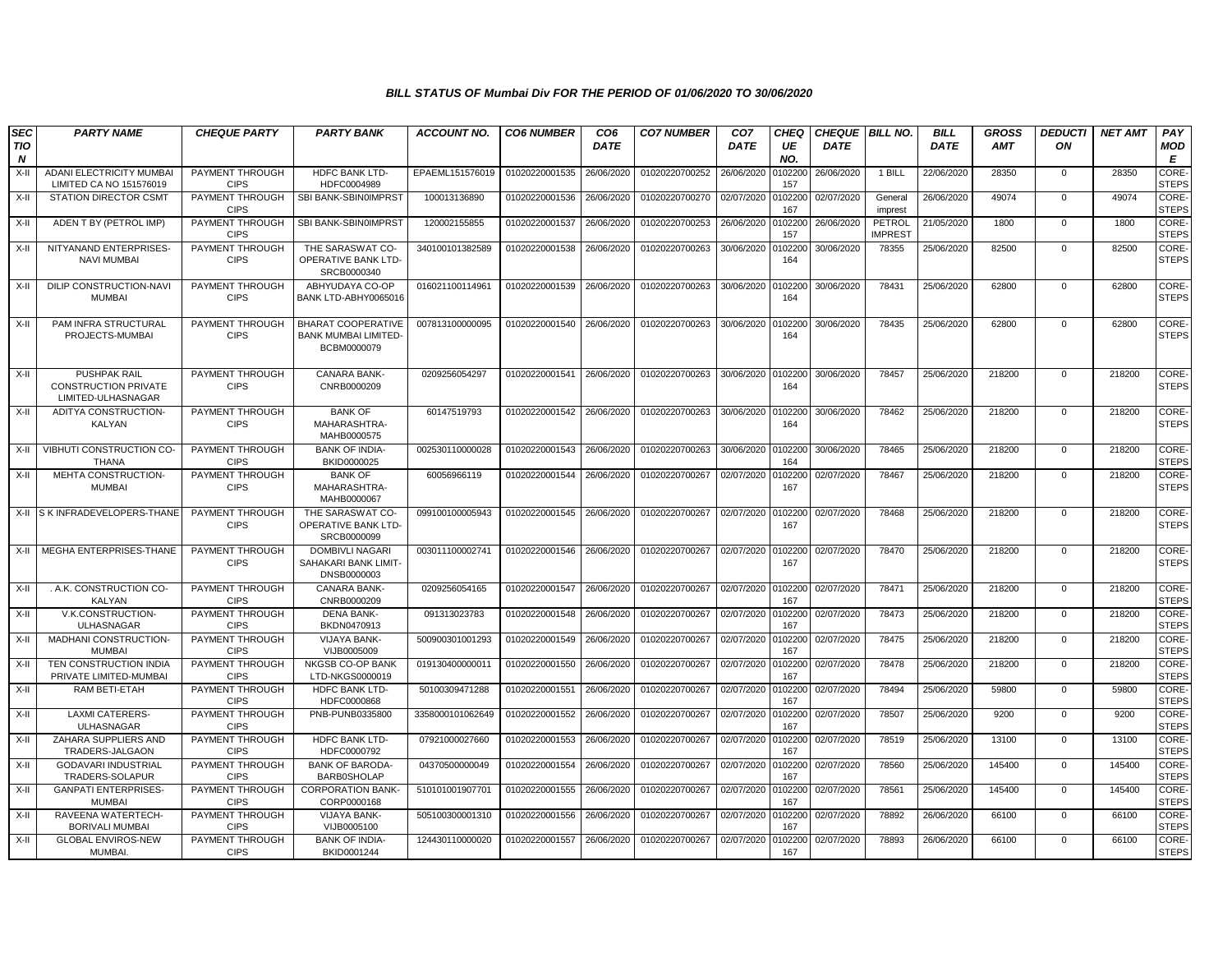| <b>SEC</b> | <b>PARTY NAME</b>                                                 | <b>CHEQUE PARTY</b>                   | <b>PARTY BANK</b>                                                | <b>ACCOUNT NO.</b> | <b>CO6 NUMBER</b>         | CO <sub>6</sub> | <b>CO7 NUMBER</b> | CO <sub>7</sub> | <b>CHEQ</b>    | <b>CHEQUE BILL NO.</b> |                          | <b>BILL</b> | <b>GROSS</b> | <b>DEDUCTI</b> | <b>NET AMT</b> | PAY                   |
|------------|-------------------------------------------------------------------|---------------------------------------|------------------------------------------------------------------|--------------------|---------------------------|-----------------|-------------------|-----------------|----------------|------------------------|--------------------------|-------------|--------------|----------------|----------------|-----------------------|
| TIO<br>N   |                                                                   |                                       |                                                                  |                    |                           | <b>DATE</b>     |                   | <b>DATE</b>     | UE<br>NO.      | <b>DATE</b>            |                          | <b>DATE</b> | <b>AMT</b>   | ON             |                | <b>MOD</b><br>E       |
| X-II       | ADANI ELECTRICITY MUMBA<br>LIMITED CA NO 151576019                | PAYMENT THROUGH<br><b>CIPS</b>        | <b>HDFC BANK LTD-</b><br>HDFC0004989                             | EPAEML151576019    | 01020220001535            | 26/06/2020      | 01020220700252    | 26/06/2020      | 102200<br>157  | 26/06/2020             | 1 BILL                   | 22/06/2020  | 28350        | $\mathbf{0}$   | 28350          | CORE-<br><b>STEPS</b> |
| X-II       | <b>STATION DIRECTOR CSMT</b>                                      | PAYMENT THROUGH<br><b>CIPS</b>        | SBI BANK-SBIN0IMPRST                                             | 100013136890       | 01020220001536            | 26/06/2020      | 01020220700270    | 02/07/2020      | 102200<br>167  | 02/07/2020             | General<br>imprest       | 26/06/2020  | 49074        | $\mathbf 0$    | 49074          | CORE-<br><b>STEPS</b> |
| X-II       | ADEN T BY (PETROL IMP)                                            | PAYMENT THROUGH<br><b>CIPS</b>        | SBI BANK-SBIN0IMPRST                                             | 120002155855       | 01020220001537            | 26/06/2020      | 01020220700253    | 26/06/2020      | 102200<br>157  | 26/06/2020             | PETROL<br><b>IMPREST</b> | 21/05/2020  | 1800         | $\mathbf 0$    | 1800           | CORE-<br><b>STEPS</b> |
| X-II       | NITYANAND ENTERPRISES<br><b>NAVI MUMBAI</b>                       | PAYMENT THROUGH<br><b>CIPS</b>        | THE SARASWAT CO-<br>OPERATIVE BANK LTD-<br>SRCB0000340           | 340100101382589    | 01020220001538            | 26/06/2020      | 01020220700263    | 30/06/2020      | 102200<br>164  | 30/06/2020             | 78355                    | 25/06/2020  | 82500        | $\mathbf 0$    | 82500          | CORE-<br><b>STEPS</b> |
| X-II       | DILIP CONSTRUCTION-NAVI<br><b>MUMBAI</b>                          | PAYMENT THROUGH<br><b>CIPS</b>        | ABHYUDAYA CO-OP<br>BANK LTD-ABHY0065016                          | 016021100114961    | 01020220001539            | 26/06/2020      | 01020220700263    | 30/06/2020      | 102200<br>164  | 30/06/2020             | 78431                    | 25/06/2020  | 62800        | $\mathbf 0$    | 62800          | CORE-<br><b>STEPS</b> |
| X-II       | PAM INFRA STRUCTURAL<br>PROJECTS-MUMBAI                           | <b>PAYMENT THROUGH</b><br><b>CIPS</b> | BHARAT COOPERATIVE<br><b>BANK MUMBAI LIMITED-</b><br>BCBM0000079 | 007813100000095    | 01020220001540            | 26/06/2020      | 01020220700263    | 30/06/2020      | 0102200<br>164 | 30/06/2020             | 78435                    | 25/06/2020  | 62800        | $\mathbf 0$    | 62800          | CORE-<br><b>STEPS</b> |
| $X-H$      | PUSHPAK RAIL<br><b>CONSTRUCTION PRIVATE</b><br>LIMITED-ULHASNAGAR | PAYMENT THROUGH<br><b>CIPS</b>        | CANARA BANK-<br>CNRB0000209                                      | 0209256054297      | 01020220001541 26/06/2020 |                 | 01020220700263    | 30/06/2020      | 0102200<br>164 | 30/06/2020             | 78457                    | 25/06/2020  | 218200       | $\mathbf 0$    | 218200         | CORE-<br><b>STEPS</b> |
| X-II       | ADITYA CONSTRUCTION-<br>KALYAN                                    | PAYMENT THROUGH<br><b>CIPS</b>        | <b>BANK OF</b><br>MAHARASHTRA-<br>MAHB0000575                    | 60147519793        | 01020220001542            | 26/06/2020      | 01020220700263    | 30/06/2020      | 0102200<br>164 | 30/06/2020             | 78462                    | 25/06/2020  | 218200       | $\Omega$       | 218200         | CORE-<br><b>STEPS</b> |
| X-II       | VIBHUTI CONSTRUCTION CO-<br><b>THANA</b>                          | PAYMENT THROUGH<br><b>CIPS</b>        | <b>BANK OF INDIA-</b><br>BKID0000025                             | 002530110000028    | 01020220001543            | 26/06/2020      | 01020220700263    | 30/06/2020      | 0102200<br>164 | 30/06/2020             | 78465                    | 25/06/2020  | 218200       | 0              | 218200         | CORE-<br><b>STEPS</b> |
| X-II       | MEHTA CONSTRUCTION-<br><b>MUMBAI</b>                              | PAYMENT THROUGH<br><b>CIPS</b>        | <b>BANK OF</b><br>MAHARASHTRA-<br>MAHB0000067                    | 60056966119        | 01020220001544 26/06/2020 |                 | 01020220700267    | 02/07/2020      | 102200<br>167  | 02/07/2020             | 78467                    | 25/06/2020  | 218200       | $\mathbf 0$    | 218200         | CORE-<br><b>STEPS</b> |
|            | X-II IS K INFRADEVELOPERS-THANE                                   | PAYMENT THROUGH<br><b>CIPS</b>        | THE SARASWAT CO-<br><b>OPERATIVE BANK LTD-</b><br>SRCB0000099    | 099100100005943    | 01020220001545            | 26/06/2020      | 01020220700267    | 02/07/2020      | 102200<br>167  | 02/07/2020             | 78468                    | 25/06/2020  | 218200       | $\mathbf{0}$   | 218200         | CORE-<br><b>STEPS</b> |
|            | X-II MEGHA ENTERPRISES-THANE                                      | PAYMENT THROUGH<br><b>CIPS</b>        | <b>DOMBIVLI NAGARI</b><br>SAHAKARI BANK LIMIT-<br>DNSB0000003    | 003011100002741    | 01020220001546            | 26/06/2020      | 01020220700267    | 02/07/2020      | 0102200<br>167 | 02/07/2020             | 78470                    | 25/06/2020  | 218200       | $\Omega$       | 218200         | CORE-<br><b>STEPS</b> |
| X-II       | . A.K. CONSTRUCTION CO-<br>KALYAN                                 | <b>PAYMENT THROUGH</b><br><b>CIPS</b> | <b>CANARA BANK-</b><br>CNRB0000209                               | 0209256054165      | 01020220001547            | 26/06/2020      | 01020220700267    | 02/07/2020      | 0102200<br>167 | 02/07/2020             | 78471                    | 25/06/2020  | 218200       | $\mathbf 0$    | 218200         | CORE-<br><b>STEPS</b> |
| $X-H$      | V.K.CONSTRUCTION-<br><b>ULHASNAGAR</b>                            | PAYMENT THROUGH<br><b>CIPS</b>        | <b>DENA BANK-</b><br>BKDN0470913                                 | 091313023783       | 01020220001548            | 26/06/2020      | 01020220700267    | 02/07/2020      | 0102200<br>167 | 02/07/2020             | 78473                    | 25/06/2020  | 218200       | $\mathbf 0$    | 218200         | CORE-<br><b>STEPS</b> |
| $X-H$      | <b>MADHANI CONSTRUCTION</b><br><b>MUMBAI</b>                      | PAYMENT THROUGH<br><b>CIPS</b>        | <b>VIJAYA BANK-</b><br>VIJB0005009                               | 500900301001293    | 01020220001549            | 26/06/2020      | 01020220700267    | 02/07/2020      | 0102200<br>167 | 02/07/2020             | 78475                    | 25/06/2020  | 218200       | $\mathbf{0}$   | 218200         | CORE-<br><b>STEPS</b> |
| X-II       | TEN CONSTRUCTION INDIA<br>PRIVATE LIMITED-MUMBAI                  | PAYMENT THROUGH<br><b>CIPS</b>        | NKGSB CO-OP BANK<br>LTD-NKGS0000019                              | 019130400000011    | 01020220001550            | 26/06/2020      | 01020220700267    | 02/07/2020      | 102200<br>167  | 02/07/2020             | 78478                    | 25/06/2020  | 218200       | $\mathbf 0$    | 218200         | CORE-<br><b>STEPS</b> |
| X-II       | RAM BETI-ETAH                                                     | PAYMENT THROUGH<br><b>CIPS</b>        | <b>HDFC BANK LTD-</b><br>HDFC0000868                             | 50100309471288     | 01020220001551            | 26/06/2020      | 01020220700267    | 02/07/2020      | 102200<br>167  | 02/07/2020             | 78494                    | 25/06/2020  | 59800        | $\mathbf 0$    | 59800          | CORE-<br><b>STEPS</b> |
| $X-II$     | <b>LAXMI CATERERS-</b><br><b>ULHASNAGAR</b>                       | PAYMENT THROUGH<br><b>CIPS</b>        | PNB-PUNB0335800                                                  | 3358000101062649   | 01020220001552            | 26/06/2020      | 01020220700267    | 02/07/2020      | 102200<br>167  | 02/07/2020             | 78507                    | 25/06/2020  | 9200         | $\mathbf{0}$   | 9200           | CORE-<br><b>STEPS</b> |
| X-II       | ZAHARA SUPPLIERS AND<br>TRADERS-JALGAON                           | PAYMENT THROUGH<br><b>CIPS</b>        | <b>HDFC BANK LTD-</b><br>HDFC0000792                             | 07921000027660     | 01020220001553            | 26/06/2020      | 01020220700267    | 02/07/2020      | 102200<br>167  | 02/07/2020             | 78519                    | 25/06/2020  | 13100        | $\mathbf 0$    | 13100          | CORE-<br><b>STEPS</b> |
| X-II       | <b>GODAVARI INDUSTRIAL</b><br>TRADERS-SOLAPUR                     | PAYMENT THROUGH<br><b>CIPS</b>        | <b>BANK OF BARODA-</b><br><b>BARB0SHOLAP</b>                     | 04370500000049     | 01020220001554            | 26/06/2020      | 01020220700267    | 02/07/2020      | 102200<br>167  | 02/07/2020             | 78560                    | 25/06/2020  | 145400       | $\mathbf 0$    | 145400         | CORE-<br><b>STEPS</b> |
| $X-II$     | <b>GANPATI ENTERPRISES-</b><br>MUMBAI                             | PAYMENT THROUGH<br><b>CIPS</b>        | <b>CORPORATION BANK-</b><br>CORP0000168                          | 510101001907701    | 01020220001555            | 26/06/2020      | 01020220700267    | 02/07/2020      | 102200<br>167  | 02/07/2020             | 78561                    | 25/06/2020  | 145400       | $\mathbf 0$    | 145400         | CORE-<br><b>STEPS</b> |
| $X-H$      | RAVEENA WATERTECH-<br><b>BORIVALI MUMBAI</b>                      | PAYMENT THROUGH<br><b>CIPS</b>        | <b>VIJAYA BANK-</b><br>VIJB0005100                               | 505100300001310    | 01020220001556            | 26/06/2020      | 01020220700267    | 02/07/2020      | 102200<br>167  | 02/07/2020             | 78892                    | 26/06/2020  | 66100        | $\mathbf{0}$   | 66100          | CORE-<br><b>STEPS</b> |
| X-II       | <b>GLOBAL ENVIROS-NEW</b><br>MUMBAI.                              | PAYMENT THROUGH<br><b>CIPS</b>        | <b>BANK OF INDIA-</b><br>BKID0001244                             | 124430110000020    | 01020220001557            | 26/06/2020      | 01020220700267    | 02/07/2020      | 102200<br>167  | 02/07/2020             | 78893                    | 26/06/2020  | 66100        | $\mathbf{0}$   | 66100          | CORE-<br><b>STEPS</b> |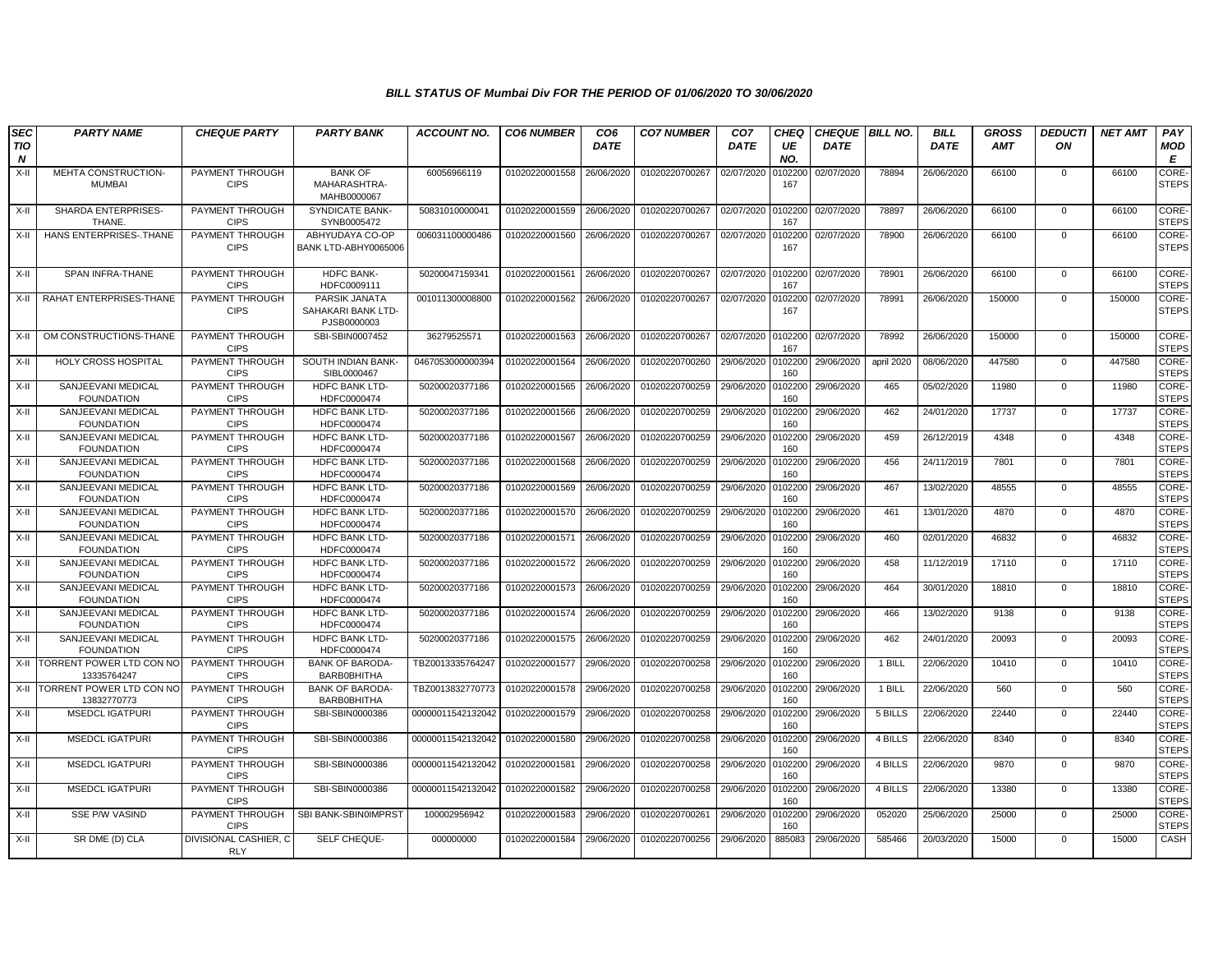| <b>SEC</b><br><b>TIO</b> | <b>PARTY NAME</b>                            | <b>CHEQUE PARTY</b>                   | <b>PARTY BANK</b>                                    | <b>ACCOUNT NO.</b> | <b>CO6 NUMBER</b> | CO <sub>6</sub><br><b>DATE</b> | <b>CO7 NUMBER</b> | CO <sub>7</sub><br><b>DATE</b> | <b>CHEQ</b><br>UE     | <b>CHEQUE BILL NO.</b><br><b>DATE</b> |            | <b>BILL</b><br><b>DATE</b> | <b>GROSS</b><br><b>AMT</b> | <b>DEDUCTI</b><br>ON | <b>NET AMT</b> | PAY<br><b>MOD</b>                |
|--------------------------|----------------------------------------------|---------------------------------------|------------------------------------------------------|--------------------|-------------------|--------------------------------|-------------------|--------------------------------|-----------------------|---------------------------------------|------------|----------------------------|----------------------------|----------------------|----------------|----------------------------------|
| $\boldsymbol{N}$<br>X-II | MEHTA CONSTRUCTION-<br><b>MUMBAI</b>         | PAYMENT THROUGH<br><b>CIPS</b>        | <b>BANK OF</b><br>MAHARASHTRA-                       | 60056966119        | 01020220001558    | 26/06/2020                     | 01020220700267    | 02/07/2020                     | NO.<br>0102200<br>167 | 02/07/2020                            | 78894      | 26/06/2020                 | 66100                      | $\mathbf{0}$         | 66100          | E<br><b>CORE</b><br><b>STEPS</b> |
| X-II                     | SHARDA ENTERPRISES-<br>THANE.                | PAYMENT THROUGH<br><b>CIPS</b>        | MAHB0000067<br><b>SYNDICATE BANK-</b><br>SYNB0005472 | 50831010000041     | 01020220001559    | 26/06/2020                     | 01020220700267    | 02/07/2020                     | 0102200<br>167        | 02/07/2020                            | 78897      | 26/06/2020                 | 66100                      | $\mathbf 0$          | 66100          | <b>CORE</b><br><b>STEPS</b>      |
| $X-H$                    | HANS ENTERPRISES-THANE                       | PAYMENT THROUGH<br><b>CIPS</b>        | ABHYUDAYA CO-OP<br>BANK LTD-ABHY0065006              | 006031100000486    | 01020220001560    | 26/06/2020                     | 01020220700267    | 02/07/2020                     | 0102200<br>167        | 02/07/2020                            | 78900      | 26/06/2020                 | 66100                      | $\mathbf 0$          | 66100          | CORE-<br><b>STEPS</b>            |
| X-II                     | SPAN INFRA-THANE                             | PAYMENT THROUGH<br><b>CIPS</b>        | <b>HDFC BANK-</b><br>HDFC0009111                     | 50200047159341     | 01020220001561    | 26/06/2020                     | 01020220700267    | 02/07/2020 010220              | 167                   | 02/07/2020                            | 78901      | 26/06/2020                 | 66100                      | $\mathbf 0$          | 66100          | CORE-<br><b>STEPS</b>            |
| X-II                     | RAHAT ENTERPRISES-THANE                      | PAYMENT THROUGH<br><b>CIPS</b>        | PARSIK JANATA<br>SAHAKARI BANK LTD-<br>PJSB0000003   | 001011300008800    | 01020220001562    | 26/06/2020                     | 01020220700267    | 02/07/2020                     | 0102200<br>167        | 02/07/2020                            | 78991      | 26/06/2020                 | 150000                     | 0                    | 150000         | CORE-<br><b>STEPS</b>            |
| X-II                     | OM CONSTRUCTIONS-THANE                       | PAYMENT THROUGH<br><b>CIPS</b>        | SBI-SBIN0007452                                      | 36279525571        | 01020220001563    | 26/06/2020                     | 01020220700267    | 02/07/2020                     | 0102200<br>167        | 02/07/2020                            | 78992      | 26/06/2020                 | 150000                     | $\mathbf 0$          | 150000         | CORE-<br><b>STEPS</b>            |
| X-II                     | <b>HOLY CROSS HOSPITAL</b>                   | PAYMENT THROUGH<br><b>CIPS</b>        | SOUTH INDIAN BANK-<br>SIBL0000467                    | 0467053000000394   | 01020220001564    | 26/06/2020                     | 01020220700260    | 29/06/2020                     | 0102200<br>160        | 29/06/2020                            | april 2020 | 08/06/2020                 | 447580                     | $\mathbf{0}$         | 447580         | CORE-<br><b>STEPS</b>            |
| X-II                     | SANJEEVANI MEDICAL<br><b>FOUNDATION</b>      | PAYMENT THROUGH<br><b>CIPS</b>        | <b>HDFC BANK LTD-</b><br>HDFC0000474                 | 50200020377186     | 01020220001565    | 26/06/2020                     | 01020220700259    | 29/06/2020                     | 0102200<br>160        | 29/06/2020                            | 465        | 05/02/2020                 | 11980                      | $\mathbf 0$          | 11980          | CORE-<br><b>STEPS</b>            |
| X-II                     | SANJEEVANI MEDICAL<br><b>FOUNDATION</b>      | PAYMENT THROUGH<br><b>CIPS</b>        | HDFC BANK LTD-<br>HDFC0000474                        | 50200020377186     | 01020220001566    | 26/06/2020                     | 01020220700259    | 29/06/2020                     | 010220<br>160         | 29/06/2020                            | 462        | 24/01/2020                 | 17737                      | $\mathbf 0$          | 17737          | CORE-<br><b>STEPS</b>            |
| X-II                     | SANJEEVANI MEDICAL<br><b>FOUNDATION</b>      | PAYMENT THROUGH<br><b>CIPS</b>        | <b>HDFC BANK LTD-</b><br>HDFC0000474                 | 50200020377186     | 01020220001567    | 26/06/2020                     | 01020220700259    | 29/06/2020                     | 0102200<br>160        | 29/06/2020                            | 459        | 26/12/2019                 | 4348                       | $\mathbf 0$          | 4348           | CORE-<br><b>STEPS</b>            |
| X-II                     | SANJEEVANI MEDICAL<br><b>FOUNDATION</b>      | PAYMENT THROUGH<br><b>CIPS</b>        | <b>HDFC BANK LTD-</b><br>HDFC0000474                 | 50200020377186     | 01020220001568    | 26/06/2020                     | 01020220700259    | 29/06/2020 0102200             | 160                   | 29/06/2020                            | 456        | 24/11/2019                 | 7801                       | $\mathbf{0}$         | 7801           | CORE-<br><b>STEPS</b>            |
| X-II                     | SANJEEVANI MEDICAL<br><b>FOUNDATION</b>      | PAYMENT THROUGH<br><b>CIPS</b>        | <b>HDFC BANK LTD-</b><br>HDFC0000474                 | 50200020377186     | 01020220001569    | 26/06/2020                     | 01020220700259    | 29/06/2020                     | 0102200<br>160        | 29/06/2020                            | 467        | 13/02/2020                 | 48555                      | $\Omega$             | 48555          | CORE-<br><b>STEPS</b>            |
| X-II                     | SANJEEVANI MEDICAL<br><b>FOUNDATION</b>      | PAYMENT THROUGH<br><b>CIPS</b>        | HDFC BANK LTD-<br>HDFC0000474                        | 50200020377186     | 01020220001570    | 26/06/2020                     | 01020220700259    | 29/06/2020                     | 0102200<br>160        | 29/06/2020                            | 461        | 13/01/2020                 | 4870                       | $\mathbf 0$          | 4870           | CORE-<br><b>STEPS</b>            |
| X-II                     | SANJEEVANI MEDICAL<br><b>FOUNDATION</b>      | PAYMENT THROUGH<br><b>CIPS</b>        | HDFC BANK LTD-<br>HDFC0000474                        | 50200020377186     | 01020220001571    | 26/06/2020                     | 01020220700259    | 29/06/2020                     | 0102200<br>160        | 29/06/2020                            | 460        | 02/01/2020                 | 46832                      | $\mathbf{0}$         | 46832          | CORE-<br><b>STEPS</b>            |
| X-II                     | SANJEEVANI MEDICAL<br><b>FOUNDATION</b>      | PAYMENT THROUGH<br><b>CIPS</b>        | <b>HDFC BANK LTD-</b><br>HDFC0000474                 | 50200020377186     | 01020220001572    | 26/06/2020                     | 01020220700259    | 29/06/2020                     | 0102200<br>160        | 29/06/2020                            | 458        | 11/12/2019                 | 17110                      | $\mathbf 0$          | 17110          | CORE-<br><b>STEPS</b>            |
| X-II                     | SANJEEVANI MEDICAL<br><b>FOUNDATION</b>      | PAYMENT THROUGH<br><b>CIPS</b>        | <b>HDFC BANK LTD-</b><br>HDFC0000474                 | 50200020377186     | 01020220001573    | 26/06/2020                     | 01020220700259    | 29/06/2020                     | 010220<br>160         | 29/06/2020                            | 464        | 30/01/2020                 | 18810                      | $\Omega$             | 18810          | CORE-<br><b>STEPS</b>            |
| X-II                     | SANJEEVANI MEDICAL<br><b>FOUNDATION</b>      | PAYMENT THROUGH<br><b>CIPS</b>        | HDFC BANK LTD-<br>HDFC0000474                        | 50200020377186     | 01020220001574    | 26/06/2020                     | 01020220700259    | 29/06/2020                     | 0102200<br>160        | 29/06/2020                            | 466        | 13/02/2020                 | 9138                       | $\mathbf 0$          | 9138           | CORE-<br><b>STEPS</b>            |
| X-II                     | SANJEEVANI MEDICAL<br><b>FOUNDATION</b>      | PAYMENT THROUGH<br><b>CIPS</b>        | HDFC BANK LTD-<br>HDFC0000474                        | 50200020377186     | 01020220001575    | 26/06/2020                     | 01020220700259    | 29/06/2020                     | 0102200<br>160        | 29/06/2020                            | 462        | 24/01/2020                 | 20093                      | $\mathbf 0$          | 20093          | CORE-<br><b>STEPS</b>            |
| X-II                     | TORRENT POWER LTD CON NO<br>13335764247      | PAYMENT THROUGH<br><b>CIPS</b>        | <b>BANK OF BARODA-</b><br><b>BARBOBHITHA</b>         | TBZ0013335764247   | 01020220001577    | 29/06/2020                     | 01020220700258    | 29/06/2020                     | 0102200<br>160        | 29/06/2020                            | 1 BILL     | 22/06/2020                 | 10410                      | $\mathbf{0}$         | 10410          | CORE-<br><b>STEPS</b>            |
|                          | X-II TORRENT POWER LTD CON NO<br>13832770773 | PAYMENT THROUGH<br><b>CIPS</b>        | <b>BANK OF BARODA-</b><br><b>BARBOBHITHA</b>         | TBZ0013832770773   | 01020220001578    | 29/06/2020                     | 01020220700258    | 29/06/2020                     | 0102200<br>160        | 29/06/2020                            | 1 BILL     | 22/06/2020                 | 560                        | $\mathbf{0}$         | 560            | CORE-<br><b>STEPS</b>            |
| X-II                     | <b>MSEDCL IGATPURI</b>                       | <b>PAYMENT THROUGH</b><br><b>CIPS</b> | SBI-SBIN0000386                                      | 00000011542132042  | 01020220001579    | 29/06/2020                     | 01020220700258    | 29/06/2020                     | 0102200<br>160        | 29/06/2020                            | 5 BILLS    | 22/06/2020                 | 22440                      | $\mathbf{0}$         | 22440          | CORE-<br><b>STEPS</b>            |
| X-II                     | <b>MSEDCL IGATPURI</b>                       | PAYMENT THROUGH<br><b>CIPS</b>        | SBI-SBIN0000386                                      | 00000011542132042  | 01020220001580    | 29/06/2020                     | 01020220700258    | 29/06/2020                     | 0102200<br>160        | 29/06/2020                            | 4 BILLS    | 22/06/2020                 | 8340                       | $\mathbf 0$          | 8340           | CORE-<br><b>STEPS</b>            |
| $X-H$                    | <b>MSEDCL IGATPURI</b>                       | PAYMENT THROUGH<br><b>CIPS</b>        | SBI-SBIN0000386                                      | 00000011542132042  | 01020220001581    | 29/06/2020                     | 01020220700258    | 29/06/2020                     | 0102200<br>160        | 29/06/2020                            | 4 BILLS    | 22/06/2020                 | 9870                       | $\mathbf 0$          | 9870           | CORE-<br><b>STEPS</b>            |
| X-II                     | <b>MSEDCL IGATPURI</b>                       | PAYMENT THROUGH<br><b>CIPS</b>        | SBI-SBIN0000386                                      | 00000011542132042  | 01020220001582    | 29/06/2020                     | 01020220700258    | 29/06/2020                     | 0102200<br>160        | 29/06/2020                            | 4 BILLS    | 22/06/2020                 | 13380                      | $\mathbf{0}$         | 13380          | CORE-<br><b>STEPS</b>            |
| X-II                     | SSE P/W VASIND                               | PAYMENT THROUGH<br><b>CIPS</b>        | SBI BANK-SBIN0IMPRST                                 | 100002956942       | 01020220001583    | 29/06/2020                     | 01020220700261    | 29/06/2020                     | 0102200<br>160        | 29/06/2020                            | 052020     | 25/06/2020                 | 25000                      | $\mathbf{0}$         | 25000          | CORE-<br><b>STEPS</b>            |
| X-II                     | SR DME (D) CLA                               | DIVISIONAL CASHIER, C<br><b>RLY</b>   | SELF CHEQUE-                                         | 000000000          | 01020220001584    | 29/06/2020                     | 01020220700256    | 29/06/2020                     | 885083                | 29/06/2020                            | 585466     | 20/03/2020                 | 15000                      | $\mathbf{0}$         | 15000          | CASH                             |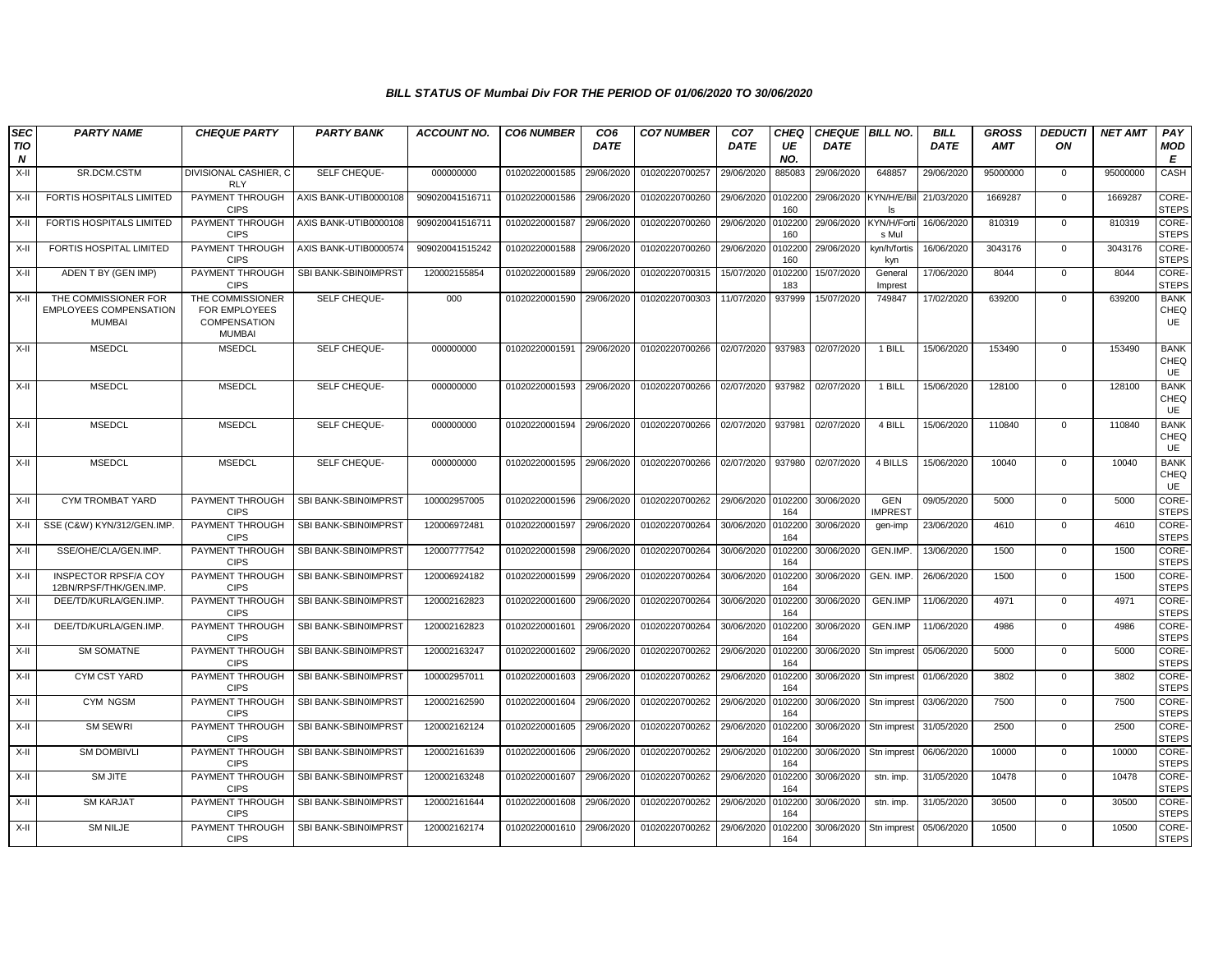| <b>SEC</b><br><b>TIO</b> | <b>PARTY NAME</b>                                                      | <b>CHEQUE PARTY</b>                                                | <b>PARTY BANK</b>     | <b>ACCOUNT NO.</b> | <b>CO6 NUMBER</b> | CO <sub>6</sub><br><b>DATE</b> | <b>CO7 NUMBER</b> | CO <sub>7</sub><br><b>DATE</b> | <b>CHEQ</b><br>UE | <b>CHEQUE BILL NO.</b><br><b>DATE</b> |                              | <b>BILL</b><br><b>DATE</b> | <b>GROSS</b><br><b>AMT</b> | <b>DEDUCTI</b><br>ON | <b>NET AMT</b> | PAY<br><b>MOD</b>            |
|--------------------------|------------------------------------------------------------------------|--------------------------------------------------------------------|-----------------------|--------------------|-------------------|--------------------------------|-------------------|--------------------------------|-------------------|---------------------------------------|------------------------------|----------------------------|----------------------------|----------------------|----------------|------------------------------|
| N<br>$X-H$               | SR.DCM.CSTM                                                            | DIVISIONAL CASHIER, C                                              | SELF CHEQUE-          | 000000000          | 01020220001585    | 29/06/2020                     | 01020220700257    | 29/06/2020                     | NO.<br>885083     | 29/06/2020                            | 648857                       | 29/06/2020                 | 95000000                   | $\mathbf 0$          | 95000000       | E<br>CASH                    |
| X-II                     | <b>FORTIS HOSPITALS LIMITED</b>                                        | <b>RLY</b><br>PAYMENT THROUGH                                      | AXIS BANK-UTIB0000108 | 909020041516711    | 01020220001586    | 29/06/2020                     | 01020220700260    | 29/06/2020                     | 0102200           | 29/06/2020                            | KYN/H/E/Bi                   | 21/03/2020                 | 1669287                    | $\mathbf{0}$         | 1669287        | CORE-                        |
| X-II                     | FORTIS HOSPITALS LIMITED                                               | <b>CIPS</b><br>PAYMENT THROUGH                                     | AXIS BANK-UTIB0000108 | 909020041516711    | 01020220001587    | 29/06/2020                     | 01020220700260    | 29/06/2020                     | 160<br>0102200    | 29/06/2020                            | KYN/H/Fort                   | 16/06/2020                 | 810319                     | $\mathbf 0$          | 810319         | <b>STEPS</b><br>CORE-        |
| X-II                     | FORTIS HOSPITAL LIMITED                                                | <b>CIPS</b><br>PAYMENT THROUGH                                     | AXIS BANK-UTIB0000574 | 909020041515242    | 01020220001588    | 29/06/2020                     | 01020220700260    | 29/06/2020                     | 160<br>0102200    | 29/06/2020                            | s Mul<br>kyn/h/fortis        | 16/06/2020                 | 3043176                    | $\mathbf 0$          | 3043176        | <b>STEPS</b><br>CORE-        |
|                          |                                                                        | <b>CIPS</b>                                                        |                       |                    |                   |                                |                   |                                | 160               |                                       | kyn                          |                            |                            |                      |                | <b>STEPS</b>                 |
| X-II                     | ADEN T BY (GEN IMP)                                                    | PAYMENT THROUGH<br><b>CIPS</b>                                     | SBI BANK-SBIN0IMPRST  | 120002155854       | 01020220001589    | 29/06/2020                     | 01020220700315    | 15/07/2020                     | 0102200<br>183    | 15/07/2020                            | General<br>Imprest           | 17/06/2020                 | 8044                       | $\mathbf{0}$         | 8044           | CORE-<br><b>STEPS</b>        |
| X-II                     | THE COMMISSIONER FOR<br><b>EMPLOYEES COMPENSATION</b><br><b>MUMBAI</b> | THE COMMISSIONER<br>FOR EMPLOYEES<br>COMPENSATION<br><b>MUMBAI</b> | SELF CHEQUE-          | 000                | 01020220001590    | 29/06/2020                     | 01020220700303    | 11/07/2020                     | 937999            | 15/07/2020                            | 749847                       | 17/02/2020                 | 639200                     | $\mathbf 0$          | 639200         | <b>BANK</b><br>CHEQ<br>UE    |
| X-II                     | <b>MSEDCL</b>                                                          | <b>MSEDCL</b>                                                      | SELF CHEQUE-          | 000000000          | 01020220001591    | 29/06/2020                     | 01020220700266    | 02/07/2020                     | 937983            | 02/07/2020                            | 1 BILL                       | 15/06/2020                 | 153490                     | $\mathbf 0$          | 153490         | <b>BANK</b><br>CHEQ<br>UE    |
| X-II                     | <b>MSEDCL</b>                                                          | <b>MSEDCL</b>                                                      | SELF CHEQUE-          | 000000000          | 01020220001593    | 29/06/2020                     | 01020220700266    | 02/07/2020                     | 937982            | 02/07/2020                            | 1 BILL                       | 15/06/2020                 | 128100                     | $\mathbf{0}$         | 128100         | <b>BANK</b><br>CHEQ<br>UE    |
| $X-II$                   | <b>MSEDCL</b>                                                          | <b>MSEDCL</b>                                                      | SELF CHEQUE-          | 000000000          | 01020220001594    | 29/06/2020                     | 01020220700266    | 02/07/2020                     | 937981            | 02/07/2020                            | 4 BILL                       | 15/06/2020                 | 110840                     | $\Omega$             | 110840         | <b>BANK</b><br>CHEQ<br>UE    |
| X-II                     | <b>MSEDCL</b>                                                          | <b>MSEDCL</b>                                                      | SELF CHEQUE-          | 000000000          | 01020220001595    | 29/06/2020                     | 01020220700266    | 02/07/2020                     | 937980            | 02/07/2020                            | 4 BILLS                      | 15/06/2020                 | 10040                      | $\mathbf 0$          | 10040          | <b>BANK</b><br>CHEQ<br>UE    |
| X-II                     | CYM TROMBAT YARD                                                       | PAYMENT THROUGH<br><b>CIPS</b>                                     | SBI BANK-SBIN0IMPRST  | 100002957005       | 01020220001596    | 29/06/2020                     | 01020220700262    | 29/06/2020                     | 0102200<br>164    | 30/06/2020                            | <b>GEN</b><br><b>IMPREST</b> | 09/05/2020                 | 5000                       | $\overline{0}$       | 5000           | CORE-<br><b>STEPS</b>        |
| X-II                     | SSE (C&W) KYN/312/GEN.IMP                                              | PAYMENT THROUGH<br><b>CIPS</b>                                     | SBI BANK-SBIN0IMPRST  | 120006972481       | 01020220001597    | 29/06/2020                     | 01020220700264    | 30/06/2020                     | 0102200<br>164    | 30/06/2020                            | gen-imp                      | 23/06/2020                 | 4610                       | $\mathbf 0$          | 4610           | CORE-<br><b>STEPS</b>        |
| X-II                     | SSE/OHE/CLA/GEN.IMP.                                                   | PAYMENT THROUGH<br><b>CIPS</b>                                     | SBI BANK-SBIN0IMPRST  | 120007777542       | 01020220001598    | 29/06/2020                     | 01020220700264    | 30/06/2020                     | 0102200<br>164    | 30/06/2020                            | GEN.IMP.                     | 13/06/2020                 | 1500                       | $\mathbf{0}$         | 1500           | <b>CORE</b><br><b>STEPS</b>  |
| X-II                     | <b>INSPECTOR RPSF/A COY</b><br>12BN/RPSF/THK/GEN.IMP.                  | PAYMENT THROUGH<br><b>CIPS</b>                                     | SBI BANK-SBIN0IMPRST  | 120006924182       | 01020220001599    | 29/06/2020                     | 01020220700264    | 30/06/2020                     | 0102200<br>164    | 30/06/2020                            | <b>GEN. IMP</b>              | 26/06/2020                 | 1500                       | $\mathbf 0$          | 1500           | CORE-<br><b>STEPS</b>        |
| X-II                     | DEE/TD/KURLA/GEN.IMP.                                                  | PAYMENT THROUGH<br><b>CIPS</b>                                     | SBI BANK-SBIN0IMPRST  | 120002162823       | 01020220001600    | 29/06/2020                     | 01020220700264    | 30/06/2020                     | 0102200<br>164    | 30/06/2020                            | <b>GEN.IMP</b>               | 11/06/2020                 | 4971                       | $\mathbf 0$          | 4971           | <b>CORE-</b><br><b>STEPS</b> |
| X-II                     | DEE/TD/KURLA/GEN.IMP.                                                  | PAYMENT THROUGH<br><b>CIPS</b>                                     | SBI BANK-SBIN0IMPRST  | 120002162823       | 01020220001601    | 29/06/2020                     | 01020220700264    | 30/06/2020                     | 0102200<br>164    | 30/06/2020                            | GEN.IMP                      | 11/06/2020                 | 4986                       | $\mathbf 0$          | 4986           | CORE-<br><b>STEPS</b>        |
| X-II                     | <b>SM SOMATNE</b>                                                      | PAYMENT THROUGH<br><b>CIPS</b>                                     | SBI BANK-SBIN0IMPRST  | 120002163247       | 01020220001602    | 29/06/2020                     | 01020220700262    | 29/06/2020                     | 0102200<br>164    | 30/06/2020                            | Stn imprest                  | 05/06/2020                 | 5000                       | $\mathbf 0$          | 5000           | CORE-<br><b>STEPS</b>        |
| X-II                     | CYM CST YARD                                                           | PAYMENT THROUGH<br><b>CIPS</b>                                     | SBI BANK-SBIN0IMPRST  | 100002957011       | 01020220001603    | 29/06/2020                     | 01020220700262    | 29/06/2020                     | 0102200<br>164    | 30/06/2020                            | Stn imprest                  | 01/06/2020                 | 3802                       | $\mathbf{0}$         | 3802           | <b>CORE</b><br><b>STEPS</b>  |
| X-II                     | CYM NGSM                                                               | PAYMENT THROUGH<br><b>CIPS</b>                                     | SBI BANK-SBIN0IMPRST  | 120002162590       | 01020220001604    | 29/06/2020                     | 01020220700262    | 29/06/2020                     | 0102200<br>164    | 30/06/2020                            | Stn imprest                  | 03/06/2020                 | 7500                       | $\mathbf{0}$         | 7500           | CORE-<br><b>STEPS</b>        |
| X-II                     | SM SEWRI                                                               | PAYMENT THROUGH<br><b>CIPS</b>                                     | SBI BANK-SBIN0IMPRST  | 120002162124       | 01020220001605    | 29/06/2020                     | 01020220700262    | 29/06/2020                     | 0102200<br>164    | 30/06/2020                            | Stn imprest                  | 31/05/2020                 | 2500                       | $\Omega$             | 2500           | CORE-<br><b>STEPS</b>        |
| X-II                     | <b>SM DOMBIVLI</b>                                                     | PAYMENT THROUGH<br><b>CIPS</b>                                     | SBI BANK-SBIN0IMPRST  | 120002161639       | 01020220001606    | 29/06/2020                     | 01020220700262    | 29/06/2020                     | 0102200<br>164    | 30/06/2020                            | Stn imprest                  | 06/06/2020                 | 10000                      | $\mathbf 0$          | 10000          | <b>CORE-</b><br><b>STEPS</b> |
| X-II                     | <b>SM JITE</b>                                                         | PAYMENT THROUGH<br><b>CIPS</b>                                     | SBI BANK-SBIN0IMPRST  | 120002163248       | 01020220001607    | 29/06/2020                     | 01020220700262    | 29/06/2020                     | 0102200<br>164    | 30/06/2020                            | stn. imp.                    | 31/05/2020                 | 10478                      | $\mathbf{0}$         | 10478          | CORE-<br><b>STEPS</b>        |
| X-II                     | <b>SM KARJAT</b>                                                       | PAYMENT THROUGH<br><b>CIPS</b>                                     | SBI BANK-SBIN0IMPRST  | 120002161644       | 01020220001608    | 29/06/2020                     | 01020220700262    | 29/06/2020                     | 0102200<br>164    | 30/06/2020                            | stn. imp.                    | 31/05/2020                 | 30500                      | 0                    | 30500          | <b>CORE</b><br><b>STEPS</b>  |
| X-II                     | <b>SM NILJE</b>                                                        | PAYMENT THROUGH<br><b>CIPS</b>                                     | SBI BANK-SBIN0IMPRST  | 120002162174       | 01020220001610    | 29/06/2020                     | 01020220700262    | 29/06/2020                     | 102200<br>164     | 30/06/2020                            | Stn imprest                  | 05/06/2020                 | 10500                      | $\Omega$             | 10500          | CORE-<br><b>STEPS</b>        |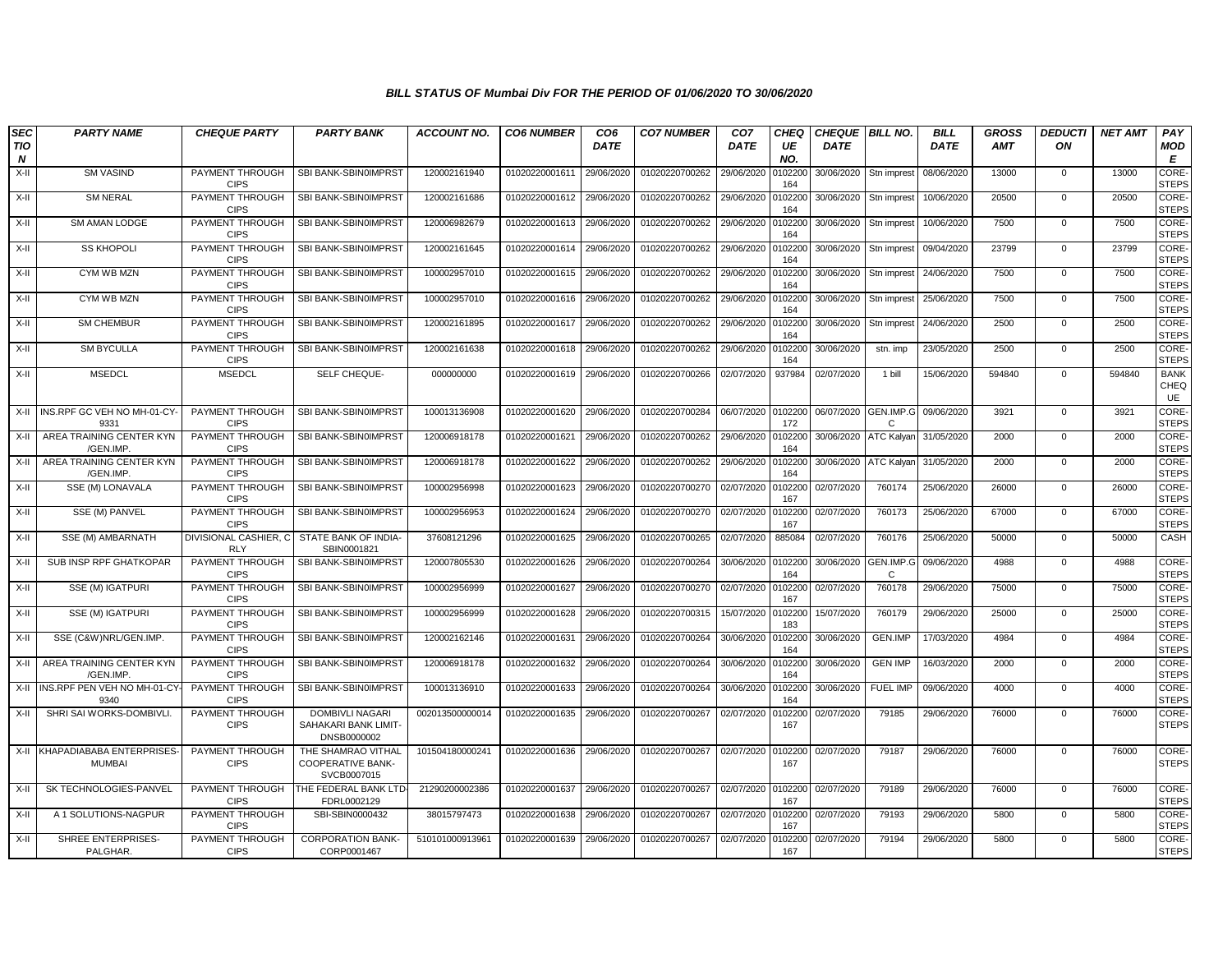| <b>SEC</b> | <b>PARTY NAME</b>                              | <b>CHEQUE PARTY</b>                   | <b>PARTY BANK</b>                                             | <b>ACCOUNT NO.</b> | <b>CO6 NUMBER</b> | CO <sub>6</sub> | <b>CO7 NUMBER</b> | CO <sub>7</sub> | CHEQ           | CHEQUE   BILL NO. |                           | <b>BILL</b> | <b>GROSS</b> | <b>DEDUCTI</b> | <b>NET AMT</b> | PAY                          |
|------------|------------------------------------------------|---------------------------------------|---------------------------------------------------------------|--------------------|-------------------|-----------------|-------------------|-----------------|----------------|-------------------|---------------------------|-------------|--------------|----------------|----------------|------------------------------|
| TIO<br>N   |                                                |                                       |                                                               |                    |                   | <b>DATE</b>     |                   | <b>DATE</b>     | UE<br>NO.      | <b>DATE</b>       |                           | <b>DATE</b> | <b>AMT</b>   | ON             |                | <b>MOD</b><br>E              |
| X-II       | <b>SM VASIND</b>                               | PAYMENT THROUGH<br><b>CIPS</b>        | SBI BANK-SBIN0IMPRST                                          | 120002161940       | 01020220001611    | 29/06/2020      | 01020220700262    | 29/06/2020      | 0102200<br>164 | 30/06/2020        | Stn imprest               | 08/06/2020  | 13000        | $\overline{0}$ | 13000          | <b>CORE</b><br><b>STEPS</b>  |
| X-II       | <b>SM NERAL</b>                                | PAYMENT THROUGH<br><b>CIPS</b>        | SBI BANK-SBIN0IMPRST                                          | 120002161686       | 01020220001612    | 29/06/2020      | 01020220700262    | 29/06/2020      | 0102200<br>164 | 30/06/2020        | Stn imprest               | 10/06/2020  | 20500        | $\Omega$       | 20500          | CORE-<br><b>STEPS</b>        |
| X-II       | SM AMAN LODGE                                  | PAYMENT THROUGH<br><b>CIPS</b>        | SBI BANK-SBIN0IMPRST                                          | 120006982679       | 01020220001613    | 29/06/2020      | 01020220700262    | 29/06/2020      | 0102200<br>164 | 30/06/2020        | Stn imprest               | 10/06/2020  | 7500         | 0              | 7500           | CORE-<br><b>STEPS</b>        |
| X-II       | <b>SS KHOPOLI</b>                              | PAYMENT THROUGH<br><b>CIPS</b>        | SBI BANK-SBIN0IMPRST                                          | 120002161645       | 01020220001614    | 29/06/2020      | 01020220700262    | 29/06/2020      | 0102200<br>164 | 30/06/2020        | Stn imprest               | 09/04/2020  | 23799        | $\mathbf 0$    | 23799          | CORE-<br><b>STEPS</b>        |
| X-II       | CYM WB MZN                                     | PAYMENT THROUGH<br><b>CIPS</b>        | SBI BANK-SBIN0IMPRST                                          | 100002957010       | 01020220001615    | 29/06/2020      | 01020220700262    | 29/06/2020      | 010220<br>164  | 30/06/2020        | Stn imprest               | 24/06/2020  | 7500         | $\mathbf{0}$   | 7500           | <b>CORE-</b><br><b>STEPS</b> |
| X-II       | CYM WB MZN                                     | PAYMENT THROUGH<br><b>CIPS</b>        | SBI BANK-SBIN0IMPRST                                          | 100002957010       | 01020220001616    | 29/06/2020      | 01020220700262    | 29/06/2020      | 0102200<br>164 | 30/06/2020        | Stn imprest               | 25/06/2020  | 7500         | 0              | 7500           | CORE-<br><b>STEPS</b>        |
| X-II       | <b>SM CHEMBUR</b>                              | PAYMENT THROUGH<br><b>CIPS</b>        | SBI BANK-SBIN0IMPRST                                          | 120002161895       | 01020220001617    | 29/06/2020      | 01020220700262    | 29/06/2020      | 0102200<br>164 | 30/06/2020        | Stn imprest               | 24/06/2020  | 2500         | $\mathbf 0$    | 2500           | CORE-<br><b>STEPS</b>        |
| X-II       | <b>SM BYCULLA</b>                              | PAYMENT THROUGH<br><b>CIPS</b>        | SBI BANK-SBIN0IMPRST                                          | 120002161638       | 01020220001618    | 29/06/2020      | 01020220700262    | 29/06/2020      | 0102200<br>164 | 30/06/2020        | stn. imp                  | 23/05/2020  | 2500         | $\mathbf 0$    | 2500           | CORE-<br><b>STEPS</b>        |
| X-II       | <b>MSEDCL</b>                                  | <b>MSEDCL</b>                         | SELF CHEQUE-                                                  | 000000000          | 01020220001619    | 29/06/2020      | 01020220700266    | 02/07/2020      | 937984         | 02/07/2020        | 1 bill                    | 15/06/2020  | 594840       | $\mathbf 0$    | 594840         | <b>BANK</b><br>CHEQ<br>UE    |
|            | X-II INS.RPF GC VEH NO MH-01-CY<br>9331        | PAYMENT THROUGH<br><b>CIPS</b>        | SBI BANK-SBIN0IMPRST                                          | 100013136908       | 01020220001620    | 29/06/2020      | 01020220700284    | 06/07/2020      | 0102200<br>172 | 06/07/2020        | GEN.IMP.G<br>C            | 09/06/2020  | 3921         | $\mathbf{0}$   | 3921           | CORE-<br><b>STEPS</b>        |
| X-II       | AREA TRAINING CENTER KYN<br>/GEN.IMP           | PAYMENT THROUGH<br><b>CIPS</b>        | SBI BANK-SBIN0IMPRST                                          | 120006918178       | 01020220001621    | 29/06/2020      | 01020220700262    | 29/06/2020      | 0102200<br>164 | 30/06/2020        | ATC Kalyan                | 31/05/2020  | 2000         | $\mathbf{0}$   | 2000           | CORE-<br><b>STEPS</b>        |
| X-II       | AREA TRAINING CENTER KYN<br>/GEN.IMP.          | PAYMENT THROUGH<br><b>CIPS</b>        | SBI BANK-SBIN0IMPRST                                          | 120006918178       | 01020220001622    | 29/06/2020      | 01020220700262    | 29/06/2020      | 0102200<br>164 | 30/06/2020        | <b>ATC Kalyar</b>         | 31/05/2020  | 2000         | $\mathbf 0$    | 2000           | <b>CORE</b><br><b>STEPS</b>  |
| X-II       | SSE (M) LONAVALA                               | PAYMENT THROUGH<br><b>CIPS</b>        | SBI BANK-SBIN0IMPRST                                          | 100002956998       | 01020220001623    | 29/06/2020      | 01020220700270    | 02/07/2020      | 0102200<br>167 | 02/07/2020        | 760174                    | 25/06/2020  | 26000        | $\overline{0}$ | 26000          | <b>CORE-</b><br><b>STEPS</b> |
| X-II       | SSE (M) PANVEL                                 | <b>PAYMENT THROUGH</b><br><b>CIPS</b> | SBI BANK-SBIN0IMPRST                                          | 100002956953       | 01020220001624    | 29/06/2020      | 01020220700270    | 02/07/2020      | 0102200<br>167 | 02/07/2020        | 760173                    | 25/06/2020  | 67000        | $\mathbf 0$    | 67000          | CORE-<br><b>STEPS</b>        |
| X-II       | SSE (M) AMBARNATH                              | DIVISIONAL CASHIER, C<br><b>RLY</b>   | STATE BANK OF INDIA-<br>SBIN0001821                           | 37608121296        | 01020220001625    | 29/06/2020      | 01020220700265    | 02/07/2020      | 885084         | 02/07/2020        | 760176                    | 25/06/2020  | 50000        | $\mathbf 0$    | 50000          | CASH                         |
| X-II       | SUB INSP RPF GHATKOPAR                         | PAYMENT THROUGH<br><b>CIPS</b>        | SBI BANK-SBIN0IMPRST                                          | 120007805530       | 01020220001626    | 29/06/2020      | 01020220700264    | 30/06/2020      | 0102200<br>164 | 30/06/2020        | GEN.IMP.G<br>$\mathbf{C}$ | 09/06/2020  | 4988         | $\mathbf 0$    | 4988           | CORE-<br><b>STEPS</b>        |
| X-II       | SSE (M) IGATPURI                               | PAYMENT THROUGH<br><b>CIPS</b>        | SBI BANK-SBIN0IMPRST                                          | 100002956999       | 01020220001627    | 29/06/2020      | 01020220700270    | 02/07/2020      | 0102200<br>167 | 02/07/2020        | 760178                    | 29/06/2020  | 75000        | $\mathbf 0$    | 75000          | <b>CORE</b><br><b>STEPS</b>  |
| X-II       | SSE (M) IGATPURI                               | PAYMENT THROUGH<br><b>CIPS</b>        | SBI BANK-SBIN0IMPRST                                          | 100002956999       | 01020220001628    | 29/06/2020      | 01020220700315    | 15/07/2020      | 0102200<br>183 | 15/07/2020        | 760179                    | 29/06/2020  | 25000        | 0              | 25000          | CORE-<br><b>STEPS</b>        |
| X-II       | SSE (C&W)NRL/GEN.IMP.                          | PAYMENT THROUGH<br><b>CIPS</b>        | SBI BANK-SBIN0IMPRST                                          | 120002162146       | 01020220001631    | 29/06/2020      | 01020220700264    | 30/06/2020      | 0102200<br>164 | 30/06/2020        | GEN.IMP                   | 17/03/2020  | 4984         | $\mathbf{0}$   | 4984           | CORE-<br><b>STEPS</b>        |
| X-II       | AREA TRAINING CENTER KYN<br>/GEN.IMP           | PAYMENT THROUGH<br><b>CIPS</b>        | SBI BANK-SBIN0IMPRST                                          | 120006918178       | 01020220001632    | 29/06/2020      | 01020220700264    | 30/06/2020      | 0102200<br>164 | 30/06/2020        | <b>GEN IMP</b>            | 16/03/2020  | 2000         | $\mathbf{0}$   | 2000           | CORE-<br><b>STEPS</b>        |
|            | X-II INS.RPF PEN VEH NO MH-01-CY<br>9340       | PAYMENT THROUGH<br><b>CIPS</b>        | SBI BANK-SBIN0IMPRST                                          | 100013136910       | 01020220001633    | 29/06/2020      | 01020220700264    | 30/06/2020      | 0102200<br>164 | 30/06/2020        | <b>FUEL IMP</b>           | 09/06/2020  | 4000         | $\mathbf 0$    | 4000           | CORE-<br><b>STEPS</b>        |
| X-II       | SHRI SAI WORKS-DOMBIVLI                        | PAYMENT THROUGH<br><b>CIPS</b>        | DOMBIVLI NAGARI<br>SAHAKARI BANK LIMIT-<br>DNSB0000002        | 002013500000014    | 01020220001635    | 29/06/2020      | 01020220700267    | 02/07/2020      | 0102200<br>167 | 02/07/2020        | 79185                     | 29/06/2020  | 76000        | $\mathbf{0}$   | 76000          | CORE-<br><b>STEPS</b>        |
|            | X-II KHAPADIABABA ENTERPRISES<br><b>MUMBAI</b> | PAYMENT THROUGH<br><b>CIPS</b>        | THE SHAMRAO VITHAL<br><b>COOPERATIVE BANK-</b><br>SVCB0007015 | 101504180000241    | 01020220001636    | 29/06/2020      | 01020220700267    | 02/07/2020      | 0102200<br>167 | 02/07/2020        | 79187                     | 29/06/2020  | 76000        | $\mathbf 0$    | 76000          | CORE-<br><b>STEPS</b>        |
| X-II       | SK TECHNOLOGIES-PANVEL                         | PAYMENT THROUGH<br><b>CIPS</b>        | THE FEDERAL BANK LTD<br>FDRL0002129                           | 21290200002386     | 01020220001637    | 29/06/2020      | 01020220700267    | 02/07/2020      | 0102200<br>167 | 02/07/2020        | 79189                     | 29/06/2020  | 76000        | $\mathbf 0$    | 76000          | CORE-<br><b>STEPS</b>        |
| X-II       | A 1 SOLUTIONS-NAGPUR                           | PAYMENT THROUGH<br><b>CIPS</b>        | SBI-SBIN0000432                                               | 38015797473        | 01020220001638    | 29/06/2020      | 01020220700267    | 02/07/2020      | 0102200<br>167 | 02/07/2020        | 79193                     | 29/06/2020  | 5800         | 0              | 5800           | CORE-<br><b>STEPS</b>        |
| X-II       | SHREE ENTERPRISES-<br>PALGHAR.                 | PAYMENT THROUGH<br><b>CIPS</b>        | <b>CORPORATION BANK-</b><br>CORP0001467                       | 510101000913961    | 01020220001639    | 29/06/2020      | 01020220700267    | 02/07/2020      | 0102200<br>167 | 02/07/2020        | 79194                     | 29/06/2020  | 5800         | $\mathbf 0$    | 5800           | CORE-<br><b>STEPS</b>        |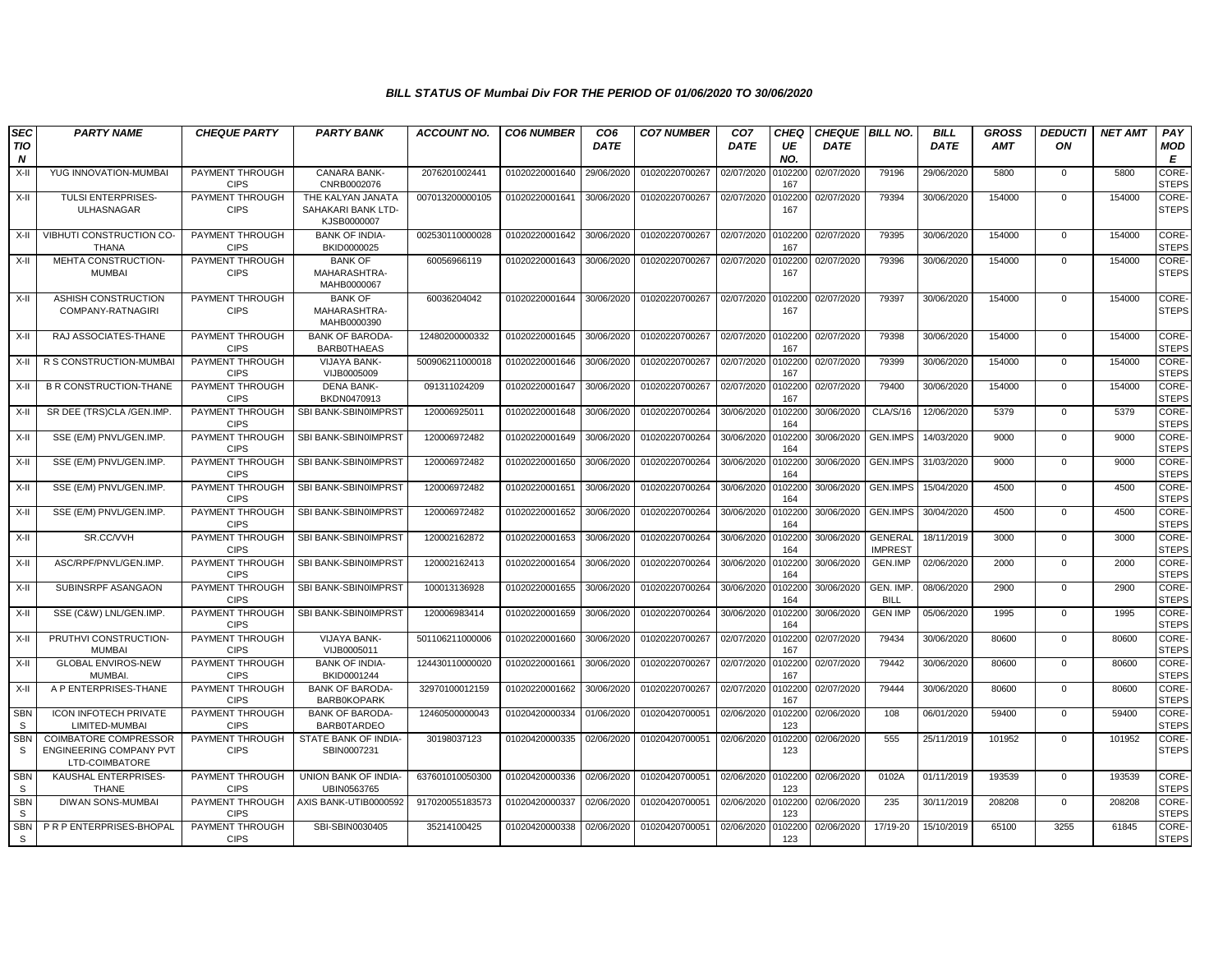| <b>SEC</b><br><b>TIO</b><br>N | <b>PARTY NAME</b>                                                  | <b>CHEQUE PARTY</b>            | <b>PARTY BANK</b>                                      | <b>ACCOUNT NO.</b> | <b>CO6 NUMBER</b> | CO <sub>6</sub><br><b>DATE</b> | <b>CO7 NUMBER</b> | CO <sub>7</sub><br><b>DATE</b> | <b>CHEQ</b><br>UE<br>NO. | <b>CHEQUE BILL NO.</b><br><b>DATE</b> |                                  | <b>BILL</b><br><b>DATE</b> | <b>GROSS</b><br><b>AMT</b> | <b>DEDUCTI</b><br>ON | <b>NET AMT</b> | PAY<br>MOD<br>E              |
|-------------------------------|--------------------------------------------------------------------|--------------------------------|--------------------------------------------------------|--------------------|-------------------|--------------------------------|-------------------|--------------------------------|--------------------------|---------------------------------------|----------------------------------|----------------------------|----------------------------|----------------------|----------------|------------------------------|
| $X-H$                         | YUG INNOVATION-MUMBAI                                              | PAYMENT THROUGH<br><b>CIPS</b> | CANARA BANK-<br>CNRB0002076                            | 2076201002441      | 01020220001640    | 29/06/2020                     | 01020220700267    | 02/07/2020                     | 0102200<br>167           | 02/07/2020                            | 79196                            | 29/06/2020                 | 5800                       | $\mathbf{0}$         | 5800           | <b>CORE-</b><br><b>STEPS</b> |
| X-II                          | TULSI ENTERPRISES-<br><b>ULHASNAGAR</b>                            | PAYMENT THROUGH<br><b>CIPS</b> | THE KALYAN JANATA<br>SAHAKARI BANK LTD-<br>KJSB0000007 | 007013200000105    | 01020220001641    | 30/06/2020                     | 01020220700267    | 02/07/2020                     | 0102200<br>167           | 02/07/2020                            | 79394                            | 30/06/2020                 | 154000                     | $\mathbf{0}$         | 154000         | CORE-<br><b>STEPS</b>        |
| X-II                          | VIBHUTI CONSTRUCTION CO-<br><b>THANA</b>                           | PAYMENT THROUGH<br><b>CIPS</b> | <b>BANK OF INDIA-</b><br>BKID0000025                   | 002530110000028    | 01020220001642    | 30/06/2020                     | 01020220700267    | 02/07/2020                     | 0102200<br>167           | 02/07/2020                            | 79395                            | 30/06/2020                 | 154000                     | $\mathbf 0$          | 154000         | <b>CORE</b><br><b>STEPS</b>  |
| X-II                          | MEHTA CONSTRUCTION-<br><b>MUMBAI</b>                               | PAYMENT THROUGH<br><b>CIPS</b> | <b>BANK OF</b><br>MAHARASHTRA-<br>MAHB0000067          | 60056966119        | 01020220001643    | 30/06/2020                     | 01020220700267    | 02/07/2020                     | 010220<br>167            | 02/07/2020                            | 79396                            | 30/06/2020                 | 154000                     | $\mathbf{0}$         | 154000         | CORE-<br><b>STEPS</b>        |
| X-II                          | ASHISH CONSTRUCTION<br>COMPANY-RATNAGIRI                           | PAYMENT THROUGH<br><b>CIPS</b> | <b>BANK OF</b><br>MAHARASHTRA-<br>MAHB0000390          | 60036204042        | 01020220001644    | 30/06/2020                     | 01020220700267    | 02/07/2020 0102200             | 167                      | 02/07/2020                            | 79397                            | 30/06/2020                 | 154000                     | $\mathbf{0}$         | 154000         | CORE-<br><b>STEPS</b>        |
| X-II                          | RAJ ASSOCIATES-THANE                                               | PAYMENT THROUGH<br><b>CIPS</b> | <b>BANK OF BARODA-</b><br><b>BARBOTHAEAS</b>           | 12480200000332     | 01020220001645    | 30/06/2020                     | 01020220700267    | 02/07/2020 0102200             | 167                      | 02/07/2020                            | 79398                            | 30/06/2020                 | 154000                     | $\mathbf 0$          | 154000         | CORE-<br><b>STEPS</b>        |
| X-II                          | R S CONSTRUCTION-MUMBA                                             | PAYMENT THROUGH<br><b>CIPS</b> | <b>VIJAYA BANK-</b><br>VIJB0005009                     | 500906211000018    | 01020220001646    | 30/06/2020                     | 01020220700267    | 02/07/2020                     | 0102200<br>167           | 02/07/2020                            | 79399                            | 30/06/2020                 | 154000                     | $\mathbf{0}$         | 154000         | CORE-<br><b>STEPS</b>        |
| X-II                          | <b>B R CONSTRUCTION-THANE</b>                                      | PAYMENT THROUGH<br><b>CIPS</b> | <b>DENA BANK-</b><br>BKDN0470913                       | 091311024209       | 01020220001647    | 30/06/2020                     | 01020220700267    | 02/07/2020                     | 010220<br>167            | 02/07/2020                            | 79400                            | 30/06/2020                 | 154000                     | $\mathbf{0}$         | 154000         | CORE-<br><b>STEPS</b>        |
| X-II                          | SR DEE (TRS)CLA /GEN.IMP                                           | PAYMENT THROUGH<br><b>CIPS</b> | SBI BANK-SBIN0IMPRST                                   | 120006925011       | 01020220001648    | 30/06/2020                     | 01020220700264    | 30/06/2020                     | 0102200<br>164           | 30/06/2020                            | CLA/S/16                         | 12/06/2020                 | 5379                       | $\mathbf 0$          | 5379           | CORE-<br><b>STEPS</b>        |
| X-II                          | SSE (E/M) PNVL/GEN.IMP.                                            | PAYMENT THROUGH<br><b>CIPS</b> | SBI BANK-SBIN0IMPRST                                   | 120006972482       | 01020220001649    | 30/06/2020                     | 01020220700264    | 30/06/2020                     | 0102200<br>164           | 30/06/2020                            | <b>GEN.IMPS</b>                  | 14/03/2020                 | 9000                       | $\mathbf{0}$         | 9000           | <b>CORE</b><br><b>STEPS</b>  |
| X-II                          | SSE (E/M) PNVL/GEN.IMP.                                            | PAYMENT THROUGH<br><b>CIPS</b> | SBI BANK-SBIN0IMPRST                                   | 120006972482       | 01020220001650    | 30/06/2020                     | 01020220700264    | 30/06/2020                     | 0102200<br>164           | 30/06/2020                            | <b>GEN.IMPS</b>                  | 31/03/2020                 | 9000                       | $\mathbf{0}$         | 9000           | CORE-<br><b>STEPS</b>        |
| X-II                          | SSE (E/M) PNVL/GEN.IMP.                                            | PAYMENT THROUGH<br><b>CIPS</b> | SBI BANK-SBIN0IMPRST                                   | 120006972482       | 01020220001651    | 30/06/2020                     | 01020220700264    | 30/06/2020                     | 0102200<br>164           | 30/06/2020                            | <b>GEN.IMPS</b>                  | 15/04/2020                 | 4500                       | $\mathbf 0$          | 4500           | CORE-<br><b>STEPS</b>        |
| X-II                          | SSE (E/M) PNVL/GEN.IMP.                                            | PAYMENT THROUGH<br><b>CIPS</b> | SBI BANK-SBIN0IMPRST                                   | 120006972482       | 01020220001652    | 30/06/2020                     | 01020220700264    | 30/06/2020                     | 0102200<br>164           | 30/06/2020                            | GEN.IMPS                         | 30/04/2020                 | 4500                       | $\mathbf 0$          | 4500           | CORE-<br><b>STEPS</b>        |
| X-II                          | SR.CC/VVH                                                          | PAYMENT THROUGH<br><b>CIPS</b> | SBI BANK-SBIN0IMPRST                                   | 120002162872       | 01020220001653    | 30/06/2020                     | 01020220700264    | 30/06/2020                     | 010220<br>164            | 30/06/2020                            | <b>GENERAL</b><br><b>IMPREST</b> | 18/11/2019                 | 3000                       | $\mathbf{0}$         | 3000           | CORE-<br><b>STEPS</b>        |
| X-II                          | ASC/RPF/PNVL/GEN.IMP.                                              | PAYMENT THROUGH<br><b>CIPS</b> | SBI BANK-SBIN0IMPRST                                   | 120002162413       | 01020220001654    | 30/06/2020                     | 01020220700264    | 30/06/2020                     | 010220<br>164            | 30/06/2020                            | GEN.IMP                          | 02/06/2020                 | 2000                       | $\Omega$             | 2000           | CORE-<br><b>STEPS</b>        |
| X-II                          | SUBINSRPF ASANGAON                                                 | PAYMENT THROUGH<br><b>CIPS</b> | SBI BANK-SBIN0IMPRST                                   | 100013136928       | 01020220001655    | 30/06/2020                     | 01020220700264    | 30/06/2020                     | 0102200<br>164           | 30/06/2020                            | <b>GEN. IMP</b><br><b>BILL</b>   | 08/06/2020                 | 2900                       | $\mathbf 0$          | 2900           | CORE-<br><b>STEPS</b>        |
| X-II                          | SSE (C&W) LNL/GEN.IMP.                                             | PAYMENT THROUGH<br><b>CIPS</b> | SBI BANK-SBIN0IMPRST                                   | 120006983414       | 01020220001659    | 30/06/2020                     | 01020220700264    | 30/06/2020                     | 0102200<br>164           | 30/06/2020                            | <b>GEN IMP</b>                   | 05/06/2020                 | 1995                       | $\mathbf 0$          | 1995           | CORE-<br><b>STEPS</b>        |
| X-II                          | PRUTHVI CONSTRUCTION-<br><b>MUMBAI</b>                             | PAYMENT THROUGH<br><b>CIPS</b> | <b>VIJAYA BANK-</b><br>VIJB0005011                     | 501106211000006    | 01020220001660    | 30/06/2020                     | 01020220700267    | 02/07/2020                     | 0102200<br>167           | 02/07/2020                            | 79434                            | 30/06/2020                 | 80600                      | $\mathbf{0}$         | 80600          | <b>CORE</b><br><b>STEPS</b>  |
| X-II                          | <b>GLOBAL ENVIROS-NEW</b><br><b>MUMBAI</b>                         | PAYMENT THROUGH<br><b>CIPS</b> | <b>BANK OF INDIA-</b><br>BKID0001244                   | 124430110000020    | 01020220001661    | 30/06/2020                     | 01020220700267    | 02/07/2020                     | 010220<br>167            | 02/07/2020                            | 79442                            | 30/06/2020                 | 80600                      | $\mathbf 0$          | 80600          | CORE-<br><b>STEPS</b>        |
| X-II                          | A P ENTERPRISES-THANE                                              | PAYMENT THROUGH<br><b>CIPS</b> | <b>BANK OF BARODA-</b><br><b>BARB0KOPARK</b>           | 32970100012159     | 01020220001662    | 30/06/2020                     | 01020220700267    | 02/07/2020                     | 0102200<br>167           | 02/07/2020                            | 79444                            | 30/06/2020                 | 80600                      | $\mathbf 0$          | 80600          | CORE-<br><b>STEPS</b>        |
| <b>SBN</b><br>S               | ICON INFOTECH PRIVATE<br>LIMITED-MUMBAI                            | PAYMENT THROUGH<br><b>CIPS</b> | <b>BANK OF BARODA-</b><br><b>BARBOTARDEO</b>           | 12460500000043     | 01020420000334    | 01/06/2020                     | 01020420700051    | 02/06/2020                     | 0102200<br>123           | 02/06/2020                            | 108                              | 06/01/2020                 | 59400                      | $\mathbf 0$          | 59400          | CORE-<br><b>STEPS</b>        |
| <b>SBN</b><br>- S             | COIMBATORE COMPRESSOR<br>ENGINEERING COMPANY PVT<br>LTD-COIMBATORE | PAYMENT THROUGH<br><b>CIPS</b> | STATE BANK OF INDIA-<br>SBIN0007231                    | 30198037123        | 01020420000335    | 02/06/2020                     | 01020420700051    | 02/06/2020                     | 0102200<br>123           | 02/06/2020                            | 555                              | 25/11/2019                 | 101952                     | $\mathbf 0$          | 101952         | CORE-<br><b>STEPS</b>        |
| <b>SBN</b><br>S               | KAUSHAL ENTERPRISES-<br><b>THANE</b>                               | PAYMENT THROUGH<br><b>CIPS</b> | UNION BANK OF INDIA-<br>UBIN0563765                    | 637601010050300    | 01020420000336    | 02/06/2020                     | 01020420700051    | 02/06/2020                     | 0102200<br>123           | 02/06/2020                            | 0102A                            | 01/11/2019                 | 193539                     | $\mathbf{0}$         | 193539         | <b>CORE-</b><br><b>STEPS</b> |
| SBN<br>-S                     | DIWAN SONS-MUMBAI                                                  | PAYMENT THROUGH<br><b>CIPS</b> | AXIS BANK-UTIB0000592                                  | 917020055183573    | 01020420000337    | 02/06/2020                     | 01020420700051    | 02/06/2020                     | 0102200<br>123           | 02/06/2020                            | 235                              | 30/11/2019                 | 208208                     | $\mathbf{0}$         | 208208         | CORE-<br><b>STEPS</b>        |
| <b>SBN</b><br>S.              | P R P ENTERPRISES-BHOPAL                                           | PAYMENT THROUGH<br><b>CIPS</b> | SBI-SBIN0030405                                        | 35214100425        | 01020420000338    | 02/06/2020                     | 01020420700051    | 02/06/2020                     | 0102200<br>123           | 02/06/2020                            | 17/19-20                         | 15/10/2019                 | 65100                      | 3255                 | 61845          | CORE-<br><b>STEPS</b>        |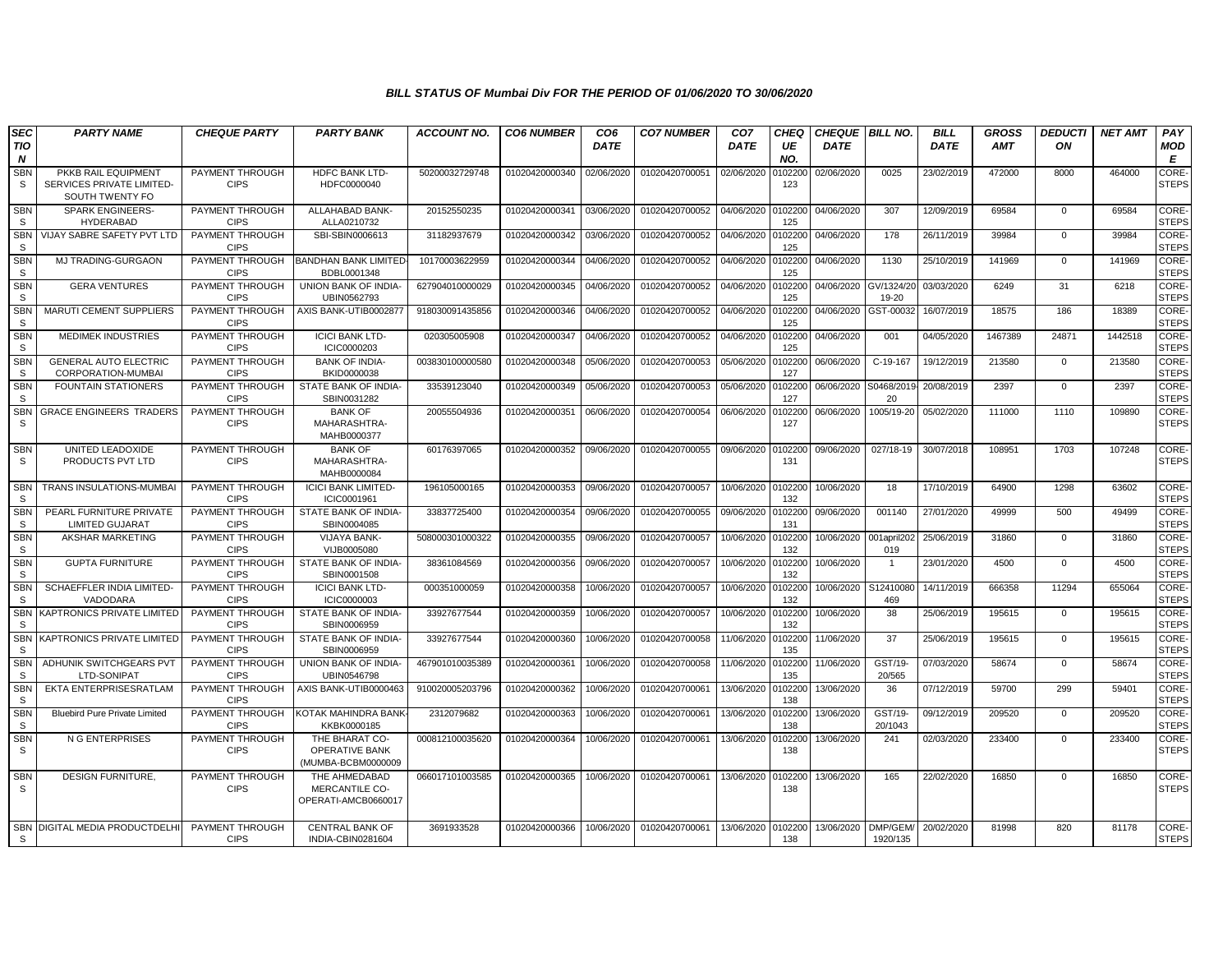| <b>SEC</b>                     | <b>PARTY NAME</b>                                                   | <b>CHEQUE PARTY</b>            | <b>PARTY BANK</b>                                      | <b>ACCOUNT NO.</b> | <b>CO6 NUMBER</b> | CO <sub>6</sub> | <b>CO7 NUMBER</b> | CO <sub>7</sub> | CHEQ           | <b>CHEQUE BILL NO.</b> |                      | <b>BILL</b> | <b>GROSS</b> | <b>DEDUCTI</b> | <b>NET AMT</b> | PAY                          |
|--------------------------------|---------------------------------------------------------------------|--------------------------------|--------------------------------------------------------|--------------------|-------------------|-----------------|-------------------|-----------------|----------------|------------------------|----------------------|-------------|--------------|----------------|----------------|------------------------------|
| <b>TIO</b><br>$\boldsymbol{N}$ |                                                                     |                                |                                                        |                    |                   | <b>DATE</b>     |                   | <b>DATE</b>     | UE<br>NO.      | <b>DATE</b>            |                      | <b>DATE</b> | <b>AMT</b>   | ON             |                | MOD<br>E                     |
| SBN<br><sub>S</sub>            | PKKB RAIL EQUIPMENT<br>SERVICES PRIVATE LIMITED-<br>SOUTH TWENTY FO | PAYMENT THROUGH<br><b>CIPS</b> | HDFC BANK LTD-<br>HDFC0000040                          | 50200032729748     | 01020420000340    | 02/06/2020      | 01020420700051    | 02/06/2020      | 0102200<br>123 | 02/06/2020             | 0025                 | 23/02/2019  | 472000       | 8000           | 464000         | CORE-<br><b>STEPS</b>        |
| <b>SBN</b><br><sub>S</sub>     | <b>SPARK ENGINEERS-</b><br><b>HYDERABAD</b>                         | PAYMENT THROUGH<br><b>CIPS</b> | ALLAHABAD BANK-<br>ALLA0210732                         | 20152550235        | 01020420000341    | 03/06/2020      | 01020420700052    | 04/06/2020      | 0102200<br>125 | 04/06/2020             | 307                  | 12/09/2019  | 69584        | $\Omega$       | 69584          | CORE-<br><b>STEPS</b>        |
| <b>SBN</b><br>-S               | VIJAY SABRE SAFETY PVT LTD                                          | PAYMENT THROUGH<br><b>CIPS</b> | SBI-SBIN0006613                                        | 31182937679        | 01020420000342    | 03/06/2020      | 01020420700052    | 04/06/2020      | 0102200<br>125 | 04/06/2020             | 178                  | 26/11/2019  | 39984        | $\mathbf 0$    | 39984          | CORE-<br><b>STEPS</b>        |
| <b>SBN</b><br>S.               | <b>MJ TRADING-GURGAON</b>                                           | PAYMENT THROUGH<br><b>CIPS</b> | <b>BANDHAN BANK LIMITED</b><br>BDBL0001348             | 10170003622959     | 01020420000344    | 04/06/2020      | 01020420700052    | 04/06/2020      | 0102200<br>125 | 04/06/2020             | 1130                 | 25/10/2019  | 141969       | $\mathbf{0}$   | 141969         | <b>CORE-</b><br><b>STEPS</b> |
| <b>SBN</b><br>S.               | <b>GERA VENTURES</b>                                                | PAYMENT THROUGH<br><b>CIPS</b> | UNION BANK OF INDIA-<br>UBIN0562793                    | 627904010000029    | 01020420000345    | 04/06/2020      | 01020420700052    | 04/06/2020      | 102200<br>125  | 04/06/2020             | GV/1324/20<br>19-20  | 03/03/2020  | 6249         | 31             | 6218           | CORE-<br><b>STEPS</b>        |
| <b>SBN</b><br><sub>S</sub>     | <b>MARUTI CEMENT SUPPLIERS</b>                                      | PAYMENT THROUGH<br><b>CIPS</b> | AXIS BANK-UTIB0002877                                  | 918030091435856    | 01020420000346    | 04/06/2020      | 01020420700052    | 04/06/2020      | 0102200<br>125 | 04/06/2020             | GST-00032            | 16/07/2019  | 18575        | 186            | 18389          | CORE-<br><b>STEPS</b>        |
| <b>SBN</b><br><sub>S</sub>     | <b>MEDIMEK INDUSTRIES</b>                                           | PAYMENT THROUGH<br><b>CIPS</b> | <b>ICICI BANK LTD-</b><br>ICIC0000203                  | 020305005908       | 01020420000347    | 04/06/2020      | 01020420700052    | 04/06/2020      | 0102200<br>125 | 04/06/2020             | 001                  | 04/05/2020  | 1467389      | 24871          | 1442518        | CORE-<br><b>STEPS</b>        |
| <b>SBN</b><br>S                | <b>GENERAL AUTO ELECTRIC</b><br>CORPORATION-MUMBAI                  | PAYMENT THROUGH<br><b>CIPS</b> | <b>BANK OF INDIA-</b><br>BKID0000038                   | 003830100000580    | 01020420000348    | 05/06/2020      | 01020420700053    | 05/06/2020      | 102200<br>127  | 06/06/2020             | C-19-167             | 19/12/2019  | 213580       | $\mathbf 0$    | 213580         | CORE-<br><b>STEPS</b>        |
| <b>SBN</b><br><sub>S</sub>     | <b>FOUNTAIN STATIONERS</b>                                          | PAYMENT THROUGH<br><b>CIPS</b> | STATE BANK OF INDIA-<br>SBIN0031282                    | 33539123040        | 01020420000349    | 05/06/2020      | 01020420700053    | 05/06/2020      | 0102200<br>127 | 06/06/2020             | S0468/2019<br>20     | 20/08/2019  | 2397         | $\mathbf{0}$   | 2397           | CORE-<br><b>STEPS</b>        |
| <b>SBN</b><br>S.               | <b>GRACE ENGINEERS TRADERS</b>                                      | PAYMENT THROUGH<br><b>CIPS</b> | <b>BANK OF</b><br>MAHARASHTRA-<br>MAHB0000377          | 20055504936        | 01020420000351    | 06/06/2020      | 01020420700054    | 06/06/2020      | 102200<br>127  | 06/06/2020             | 1005/19-20           | 05/02/2020  | 111000       | 1110           | 109890         | CORE-<br><b>STEPS</b>        |
| <b>SBN</b><br>S                | UNITED LEADOXIDE<br>PRODUCTS PVT LTD                                | PAYMENT THROUGH<br><b>CIPS</b> | <b>BANK OF</b><br>MAHARASHTRA-<br>MAHB0000084          | 60176397065        | 01020420000352    | 09/06/2020      | 01020420700055    | 09/06/2020      | 0102200<br>131 | 09/06/2020             | 027/18-19            | 30/07/2018  | 108951       | 1703           | 107248         | CORE-<br><b>STEPS</b>        |
| <b>SBN</b><br>S.               | <b>TRANS INSULATIONS-MUMBAI</b>                                     | PAYMENT THROUGH<br><b>CIPS</b> | <b>ICICI BANK LIMITED-</b><br>ICIC0001961              | 196105000165       | 01020420000353    | 09/06/2020      | 01020420700057    | 10/06/2020      | 0102200<br>132 | 10/06/2020             | 18                   | 17/10/2019  | 64900        | 1298           | 63602          | CORE-<br><b>STEPS</b>        |
| <b>SBN</b><br><sub>S</sub>     | PEARL FURNITURE PRIVATE<br><b>LIMITED GUJARAT</b>                   | PAYMENT THROUGH<br><b>CIPS</b> | STATE BANK OF INDIA-<br>SBIN0004085                    | 33837725400        | 01020420000354    | 09/06/2020      | 01020420700055    | 09/06/2020      | 0102200<br>131 | 09/06/2020             | 001140               | 27/01/2020  | 49999        | 500            | 49499          | CORE-<br><b>STEPS</b>        |
| <b>SBN</b><br>S                | AKSHAR MARKETING                                                    | PAYMENT THROUGH<br><b>CIPS</b> | <b>VIJAYA BANK-</b><br>VIJB0005080                     | 508000301000322    | 01020420000355    | 09/06/2020      | 01020420700057    | 10/06/2020      | 10220<br>132   | 10/06/2020             | 001april202<br>019   | 25/06/2019  | 31860        | $\mathbf{0}$   | 31860          | CORE-<br><b>STEPS</b>        |
| <b>SBN</b><br>S.               | <b>GUPTA FURNITURE</b>                                              | PAYMENT THROUGH<br><b>CIPS</b> | STATE BANK OF INDIA-<br>SBIN0001508                    | 38361084569        | 01020420000356    | 09/06/2020      | 01020420700057    | 10/06/2020      | 010220<br>132  | 10/06/2020             |                      | 23/01/2020  | 4500         | $\mathbf 0$    | 4500           | CORE-<br><b>STEPS</b>        |
| <b>SBN</b><br><sub>S</sub>     | SCHAEFFLER INDIA LIMITED-<br>VADODARA                               | PAYMENT THROUGH<br><b>CIPS</b> | <b>ICICI BANK LTD-</b><br>ICIC0000003                  | 000351000059       | 01020420000358    | 10/06/2020      | 01020420700057    | 10/06/2020      | 0102200<br>132 | 10/06/2020             | S12410080<br>469     | 14/11/2019  | 666358       | 11294          | 655064         | CORE-<br><b>STEPS</b>        |
| <b>SBN</b><br><sub>S</sub>     | KAPTRONICS PRIVATE LIMITED                                          | PAYMENT THROUGH<br><b>CIPS</b> | STATE BANK OF INDIA-<br>SBIN0006959                    | 33927677544        | 01020420000359    | 10/06/2020      | 01020420700057    | 10/06/2020      | 0102200<br>132 | 10/06/2020             | 38                   | 25/06/2019  | 195615       | $\overline{0}$ | 195615         | CORE-<br><b>STEPS</b>        |
| <b>SBN</b><br><sub>S</sub>     | KAPTRONICS PRIVATE LIMITED                                          | PAYMENT THROUGH<br><b>CIPS</b> | STATE BANK OF INDIA-<br>SBIN0006959                    | 33927677544        | 01020420000360    | 10/06/2020      | 01020420700058    | 11/06/2020      | 0102200<br>135 | 11/06/2020             | 37                   | 25/06/2019  | 195615       | $\mathbf{0}$   | 195615         | <b>CORE-</b><br><b>STEPS</b> |
| <b>SBN</b><br>S                | ADHUNIK SWITCHGEARS PVT<br>LTD-SONIPAT                              | PAYMENT THROUGH<br><b>CIPS</b> | <b>UNION BANK OF INDIA-</b><br>UBIN0546798             | 467901010035389    | 01020420000361    | 10/06/2020      | 01020420700058    | 11/06/2020      | 0102200<br>135 | 11/06/2020             | GST/19-<br>20/565    | 07/03/2020  | 58674        | $\mathbf{0}$   | 58674          | CORE-<br><b>STEPS</b>        |
| <b>SBN</b><br><sub>S</sub>     | EKTA ENTERPRISESRATLAM                                              | PAYMENT THROUGH<br><b>CIPS</b> | AXIS BANK-UTIB0000463                                  | 910020005203796    | 01020420000362    | 10/06/2020      | 01020420700061    | 13/06/2020      | 10220<br>138   | 13/06/2020             | 36                   | 07/12/2019  | 59700        | 299            | 59401          | CORE-<br><b>STEPS</b>        |
| <b>SBN</b><br><sub>S</sub>     | <b>Bluebird Pure Private Limited</b>                                | PAYMENT THROUGH<br><b>CIPS</b> | KOTAK MAHINDRA BANK<br>KKBK0000185                     | 2312079682         | 01020420000363    | 10/06/2020      | 01020420700061    | 13/06/2020      | 0102200<br>138 | 13/06/2020             | GST/19-<br>20/1043   | 09/12/2019  | 209520       | $\mathbf{0}$   | 209520         | CORE-<br><b>STEPS</b>        |
| <b>SBN</b><br>S                | N G ENTERPRISES                                                     | PAYMENT THROUGH<br><b>CIPS</b> | THE BHARAT CO-<br>OPERATIVE BANK<br>(MUMBA-BCBM0000009 | 000812100035620    | 01020420000364    | 10/06/2020      | 01020420700061    | 13/06/2020      | 0102200<br>138 | 13/06/2020             | 241                  | 02/03/2020  | 233400       | $\mathbf 0$    | 233400         | CORE-<br><b>STEPS</b>        |
| <b>SBN</b><br>S.               | <b>DESIGN FURNITURE.</b>                                            | PAYMENT THROUGH<br><b>CIPS</b> | THE AHMEDABAD<br>MERCANTILE CO-<br>OPERATI-AMCB0660017 | 066017101003585    | 01020420000365    | 10/06/2020      | 01020420700061    | 13/06/2020      | 0102200<br>138 | 13/06/2020             | 165                  | 22/02/2020  | 16850        | $\Omega$       | 16850          | CORE-<br><b>STEPS</b>        |
| S.                             | SBN DIGITAL MEDIA PRODUCTDELHI                                      | PAYMENT THROUGH<br><b>CIPS</b> | <b>CENTRAL BANK OF</b><br>INDIA-CBIN0281604            | 3691933528         | 01020420000366    | 10/06/2020      | 01020420700061    | 13/06/2020      | 0102200<br>138 | 13/06/2020             | DMP/GEM/<br>1920/135 | 20/02/2020  | 81998        | 820            | 81178          | CORE-<br><b>STEPS</b>        |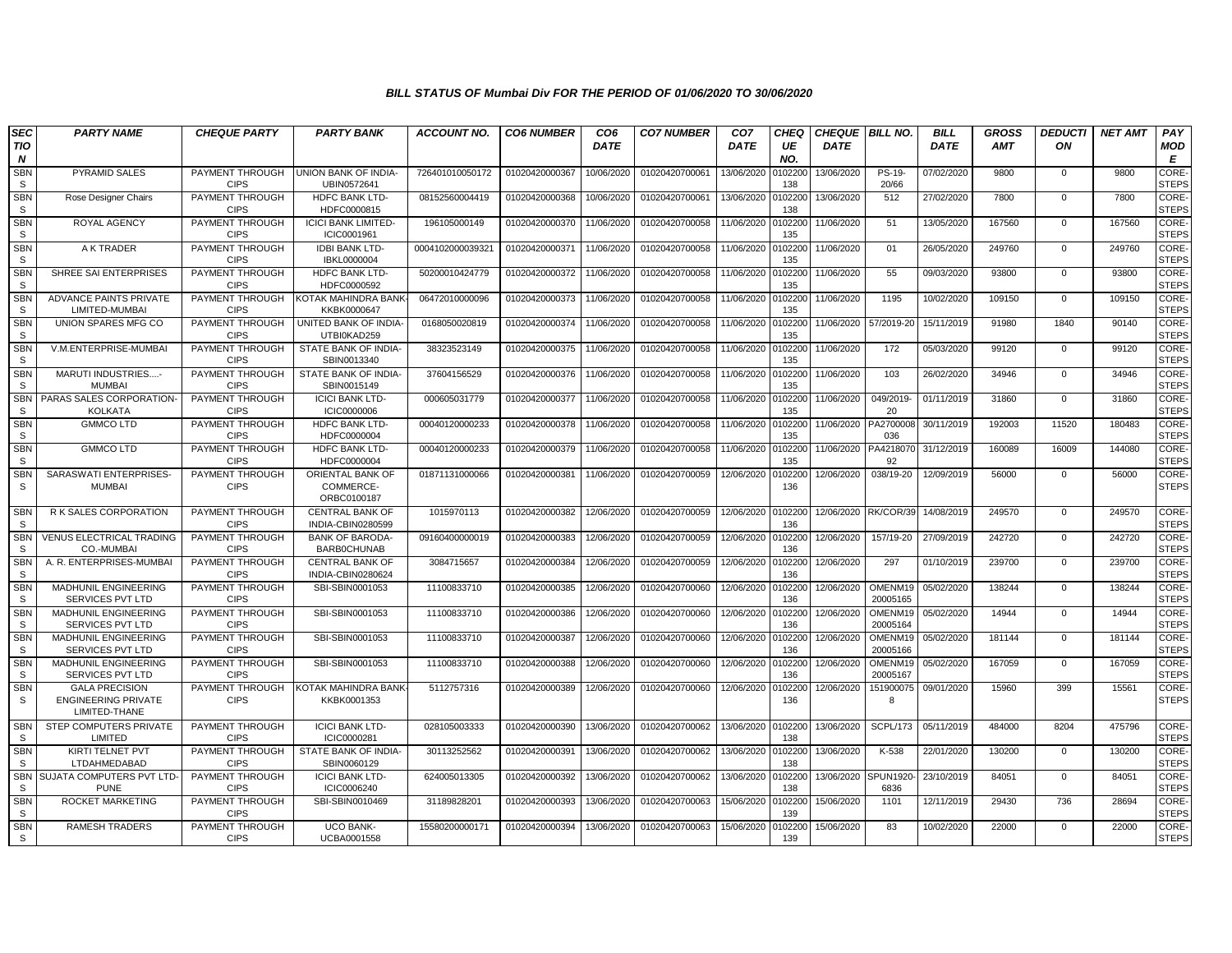| <b>SEC</b>              | <b>PARTY NAME</b>                                                    | <b>CHEQUE PARTY</b>            | <b>PARTY BANK</b>                            | <b>ACCOUNT NO.</b> | <b>CO6 NUMBER</b> | CO <sub>6</sub> | <b>CO7 NUMBER</b> | CO <sub>7</sub> | <b>CHEO</b>    | <b>CHEQUE BILL NO.</b> |                         | <b>BILL</b> | <b>GROSS</b> | <b>DEDUCTI</b> | <b>NET AMT</b> | PAY                         |
|-------------------------|----------------------------------------------------------------------|--------------------------------|----------------------------------------------|--------------------|-------------------|-----------------|-------------------|-----------------|----------------|------------------------|-------------------------|-------------|--------------|----------------|----------------|-----------------------------|
| TIO<br>$\boldsymbol{N}$ |                                                                      |                                |                                              |                    |                   | <b>DATE</b>     |                   | <b>DATE</b>     | UE<br>NO.      | <b>DATE</b>            |                         | <b>DATE</b> | <b>AMT</b>   | ON             |                | MOD<br>E                    |
| <b>SBN</b><br>S         | PYRAMID SALES                                                        | PAYMENT THROUGH<br><b>CIPS</b> | UNION BANK OF INDIA-<br>UBIN0572641          | 726401010050172    | 01020420000367    | 10/06/2020      | 01020420700061    | 13/06/2020      | 102200<br>138  | 13/06/2020             | PS-19-<br>20/66         | 07/02/2020  | 9800         | 0              | 9800           | <b>CORE</b><br><b>STEPS</b> |
| <b>SBN</b><br>S         | Rose Designer Chairs                                                 | PAYMENT THROUGH<br><b>CIPS</b> | <b>HDFC BANK LTD-</b><br>HDFC0000815         | 08152560004419     | 01020420000368    | 10/06/2020      | 01020420700061    | 13/06/2020      | 102200<br>138  | 13/06/2020             | 512                     | 27/02/2020  | 7800         | $\mathbf{0}$   | 7800           | CORE-<br><b>STEPS</b>       |
| <b>SBN</b><br>S         | ROYAL AGENCY                                                         | PAYMENT THROUGH<br><b>CIPS</b> | <b>ICICI BANK LIMITED-</b><br>ICIC0001961    | 196105000149       | 01020420000370    | 11/06/2020      | 01020420700058    | 11/06/2020      | 102200<br>135  | 11/06/2020             | 51                      | 13/05/2020  | 167560       | $\mathbf 0$    | 167560         | CORE-<br><b>STEPS</b>       |
| <b>SBN</b><br>S         | A K TRADER                                                           | PAYMENT THROUGH<br><b>CIPS</b> | <b>IDBI BANK LTD-</b><br>IBKL0000004         | 000410200003932    | 01020420000371    | 11/06/2020      | 01020420700058    | 11/06/2020      | 102200<br>135  | 11/06/2020             | 01                      | 26/05/2020  | 249760       | $\mathbf{0}$   | 249760         | CORE-<br><b>STEPS</b>       |
| SBN<br>S                | SHREE SAI ENTERPRISES                                                | PAYMENT THROUGH<br><b>CIPS</b> | <b>HDFC BANK LTD-</b><br>HDFC0000592         | 50200010424779     | 01020420000372    | 11/06/2020      | 01020420700058    | 11/06/2020      | 102200<br>135  | 11/06/2020             | 55                      | 09/03/2020  | 93800        | $\mathbf 0$    | 93800          | CORE-<br><b>STEPS</b>       |
| <b>SBN</b><br><b>S</b>  | <b>ADVANCE PAINTS PRIVATE</b><br>LIMITED-MUMBAI                      | PAYMENT THROUGH<br><b>CIPS</b> | <b>KOTAK MAHINDRA BANK</b><br>KKBK0000647    | 06472010000096     | 01020420000373    | 11/06/2020      | 01020420700058    | 11/06/2020      | 102200<br>135  | 11/06/2020             | 1195                    | 10/02/2020  | 109150       | $\Omega$       | 109150         | CORE-<br><b>STEPS</b>       |
| <b>SBN</b><br>S         | UNION SPARES MFG CO                                                  | PAYMENT THROUGH<br><b>CIPS</b> | UNITED BANK OF INDIA-<br>UTBI0KAD259         | 0168050020819      | 01020420000374    | 11/06/2020      | 01020420700058    | 11/06/2020      | 102200<br>135  | 11/06/2020             | 57/2019-20              | 15/11/2019  | 91980        | 1840           | 90140          | CORE-<br><b>STEPS</b>       |
| <b>SBN</b><br>S         | V.M.ENTERPRISE-MUMBAI                                                | PAYMENT THROUGH<br><b>CIPS</b> | STATE BANK OF INDIA-<br>SBIN0013340          | 38323523149        | 01020420000375    | 11/06/2020      | 01020420700058    | 11/06/2020      | 102200<br>135  | 11/06/2020             | 172                     | 05/03/2020  | 99120        | $\mathbf{0}$   | 99120          | CORE-<br><b>STEPS</b>       |
| <b>SBN</b><br>S         | MARUTI INDUSTRIES-<br><b>MUMBAI</b>                                  | PAYMENT THROUGH<br><b>CIPS</b> | STATE BANK OF INDIA-<br>SBIN0015149          | 37604156529        | 01020420000376    | 11/06/2020      | 01020420700058    | 11/06/2020      | 102200<br>135  | 11/06/2020             | 103                     | 26/02/2020  | 34946        | $\mathbf 0$    | 34946          | CORE-<br><b>STEPS</b>       |
| <b>SBN</b><br><b>S</b>  | PARAS SALES CORPORATION<br><b>KOLKATA</b>                            | PAYMENT THROUGH<br><b>CIPS</b> | <b>ICICI BANK LTD-</b><br><b>ICIC0000006</b> | 000605031779       | 01020420000377    | 11/06/2020      | 01020420700058    | 11/06/2020      | 102200<br>135  | 11/06/2020             | 049/2019<br>20          | 01/11/2019  | 31860        | $\Omega$       | 31860          | CORE-<br><b>STEPS</b>       |
| <b>SBN</b><br>S         | <b>GMMCO LTD</b>                                                     | PAYMENT THROUGH<br><b>CIPS</b> | <b>HDFC BANK LTD-</b><br>HDFC0000004         | 00040120000233     | 01020420000378    | 11/06/2020      | 01020420700058    | 11/06/2020      | 102200<br>135  | 11/06/2020             | PA2700008<br>036        | 30/11/2019  | 192003       | 11520          | 180483         | CORE-<br><b>STEPS</b>       |
| <b>SBN</b><br>S.        | <b>GMMCO LTD</b>                                                     | PAYMENT THROUGH<br><b>CIPS</b> | HDFC BANK LTD-<br>HDFC0000004                | 00040120000233     | 01020420000379    | 11/06/2020      | 01020420700058    | 11/06/2020      | 102200<br>135  | 11/06/2020             | PA4218070<br>92         | 31/12/2019  | 160089       | 16009          | 144080         | CORE-<br><b>STEPS</b>       |
| <b>SBN</b><br>S.        | SARASWATI ENTERPRISES-<br><b>MUMBAI</b>                              | PAYMENT THROUGH<br><b>CIPS</b> | ORIENTAL BANK OF<br>COMMERCE-<br>ORBC0100187 | 01871131000066     | 01020420000381    | 11/06/2020      | 01020420700059    | 12/06/2020      | 102200<br>136  | 12/06/2020             | 038/19-20               | 12/09/2019  | 56000        | $\mathbf{0}$   | 56000          | CORE-<br><b>STEPS</b>       |
| <b>SBN</b><br>S.        | R K SALES CORPORATION                                                | PAYMENT THROUGH<br><b>CIPS</b> | <b>CENTRAL BANK OF</b><br>INDIA-CBIN0280599  | 1015970113         | 01020420000382    | 12/06/2020      | 01020420700059    | 12/06/2020      | 0102200<br>136 | 12/06/2020 RK/COR/39   |                         | 14/08/2019  | 249570       | $\mathbf{0}$   | 249570         | CORE-<br><b>STEPS</b>       |
| <b>SBN</b><br><b>S</b>  | <b>VENUS ELECTRICAL TRADING</b><br>CO.-MUMBAI                        | PAYMENT THROUGH<br><b>CIPS</b> | <b>BANK OF BARODA-</b><br><b>BARBOCHUNAB</b> | 09160400000019     | 01020420000383    | 12/06/2020      | 01020420700059    | 12/06/2020      | 102200<br>136  | 12/06/2020             | 157/19-20               | 27/09/2019  | 242720       | $\mathbf 0$    | 242720         | CORE-<br><b>STEPS</b>       |
| <b>SBN</b><br>S.        | A. R. ENTERPRISES-MUMBAI                                             | PAYMENT THROUGH<br><b>CIPS</b> | <b>CENTRAL BANK OF</b><br>INDIA-CBIN0280624  | 3084715657         | 01020420000384    | 12/06/2020      | 01020420700059    | 12/06/2020      | 102200<br>136  | 12/06/2020             | 297                     | 01/10/2019  | 239700       | $\mathbf 0$    | 239700         | CORE-<br><b>STEPS</b>       |
| <b>SBN</b><br>S         | <b>MADHUNIL ENGINEERING</b><br>SERVICES PVT LTD                      | PAYMENT THROUGH<br><b>CIPS</b> | SBI-SBIN0001053                              | 11100833710        | 01020420000385    | 12/06/2020      | 01020420700060    | 12/06/2020      | 102200<br>136  | 12/06/2020             | OMENM19<br>20005165     | 05/02/2020  | 138244       | $\mathbf 0$    | 138244         | CORE-<br><b>STEPS</b>       |
| SBN<br>S.               | <b>MADHUNIL ENGINEERING</b><br><b>SERVICES PVT LTD</b>               | PAYMENT THROUGH<br><b>CIPS</b> | SBI-SBIN0001053                              | 11100833710        | 01020420000386    | 12/06/2020      | 01020420700060    | 12/06/2020      | 102200<br>136  | 12/06/2020             | OMENM19<br>20005164     | 05/02/2020  | 14944        | $\Omega$       | 14944          | CORE-<br><b>STEPS</b>       |
| <b>SBN</b><br>S         | <b>MADHUNIL ENGINEERING</b><br>SERVICES PVT LTD                      | PAYMENT THROUGH<br><b>CIPS</b> | SBI-SBIN0001053                              | 11100833710        | 01020420000387    | 12/06/2020      | 01020420700060    | 12/06/2020      | 102200<br>136  | 12/06/2020             | OMENM19<br>20005166     | 05/02/2020  | 181144       | $\mathbf 0$    | 181144         | CORE-<br><b>STEPS</b>       |
| <b>SBN</b><br>S         | <b>MADHUNIL ENGINEERING</b><br><b>SERVICES PVT LTD</b>               | PAYMENT THROUGH<br><b>CIPS</b> | SBI-SBIN0001053                              | 11100833710        | 01020420000388    | 12/06/2020      | 01020420700060    | 12/06/2020      | 102200<br>136  | 12/06/2020             | OMENM19<br>20005167     | 05/02/2020  | 167059       | $\Omega$       | 167059         | CORE-<br><b>STEPS</b>       |
| <b>SBN</b><br>S         | <b>GALA PRECISION</b><br><b>ENGINEERING PRIVATE</b><br>LIMITED-THANE | PAYMENT THROUGH<br><b>CIPS</b> | KOTAK MAHINDRA BANK<br>KKBK0001353           | 5112757316         | 01020420000389    | 12/06/2020      | 01020420700060    | 12/06/2020      | 10220<br>136   | 12/06/2020             | 151900075<br>8          | 09/01/2020  | 15960        | 399            | 15561          | CORE-<br><b>STEPS</b>       |
| <b>SBN</b><br>S         | STEP COMPUTERS PRIVATE<br>LIMITED                                    | PAYMENT THROUGH<br><b>CIPS</b> | <b>ICICI BANK LTD-</b><br>ICIC0000281        | 028105003333       | 01020420000390    | 13/06/2020      | 01020420700062    | 13/06/2020      | 0102200<br>138 | 13/06/2020             | SCPL/173                | 05/11/2019  | 484000       | 8204           | 475796         | CORE-<br><b>STEPS</b>       |
| <b>SBN</b><br>S         | KIRTI TELNET PVT<br>LTDAHMEDABAD                                     | PAYMENT THROUGH<br><b>CIPS</b> | STATE BANK OF INDIA-<br>SBIN0060129          | 30113252562        | 01020420000391    | 13/06/2020      | 01020420700062    | 13/06/2020      | 102200<br>138  | 13/06/2020             | K-538                   | 22/01/2020  | 130200       | $\mathbf 0$    | 130200         | CORE-<br><b>STEPS</b>       |
| <b>SBN</b><br>S.        | <b>SUJATA COMPUTERS PVT LTD-</b><br><b>PUNE</b>                      | PAYMENT THROUGH<br><b>CIPS</b> | <b>ICICI BANK LTD-</b><br>ICIC0006240        | 624005013305       | 01020420000392    | 13/06/2020      | 01020420700062    | 13/06/2020      | 102200<br>138  | 13/06/2020             | <b>SPUN1920</b><br>6836 | 23/10/2019  | 84051        | $\Omega$       | 84051          | CORE-<br><b>STEPS</b>       |
| SBN<br>S                | ROCKET MARKETING                                                     | PAYMENT THROUGH<br><b>CIPS</b> | SBI-SBIN0010469                              | 31189828201        | 01020420000393    | 13/06/2020      | 01020420700063    | 15/06/2020      | 102200<br>139  | 15/06/2020             | 1101                    | 12/11/2019  | 29430        | 736            | 28694          | CORE-<br><b>STEPS</b>       |
| <b>SBN</b><br>S.        | <b>RAMESH TRADERS</b>                                                | PAYMENT THROUGH<br><b>CIPS</b> | <b>UCO BANK-</b><br><b>UCBA0001558</b>       | 15580200000171     | 01020420000394    | 13/06/2020      | 01020420700063    | 15/06/2020      | 102200<br>139  | 15/06/2020             | 83                      | 10/02/2020  | 22000        | $\Omega$       | 22000          | CORE-<br><b>STEPS</b>       |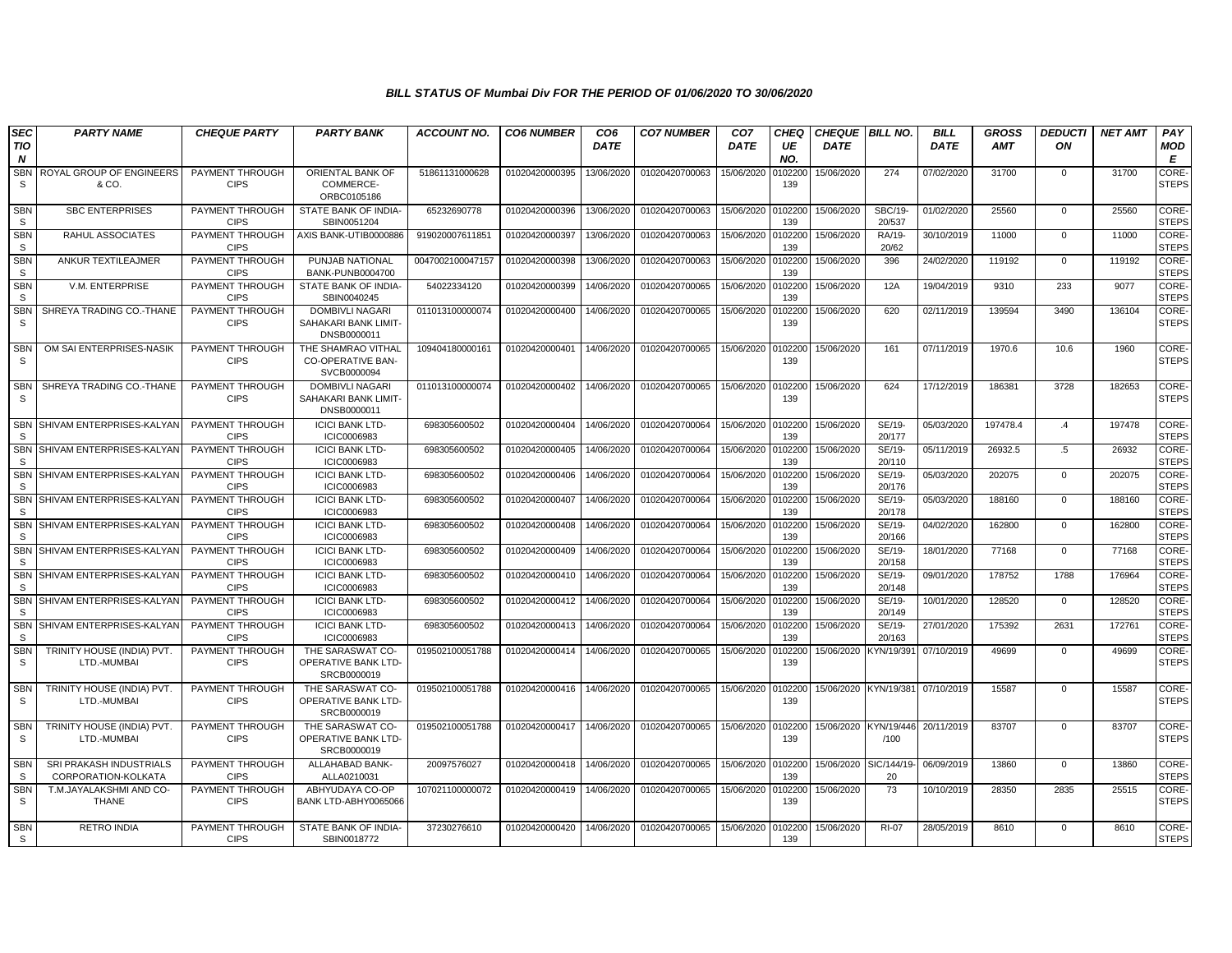| <b>SEC</b>                 | <b>PARTY NAME</b>                              | <b>CHEQUE PARTY</b>                   | <b>PARTY BANK</b>                                             | <b>ACCOUNT NO.</b> | <b>CO6 NUMBER</b> | CO <sub>6</sub> | <b>CO7 NUMBER</b> | CO <sub>7</sub> | CHEO           | <b>CHEQUE BILL NO.</b> |                    | <b>BILL</b> | GROSS      | <b>DEDUCTI</b> | <b>NET AMT</b> | PAY                         |
|----------------------------|------------------------------------------------|---------------------------------------|---------------------------------------------------------------|--------------------|-------------------|-----------------|-------------------|-----------------|----------------|------------------------|--------------------|-------------|------------|----------------|----------------|-----------------------------|
| TIO<br>N                   |                                                |                                       |                                                               |                    |                   | <b>DATE</b>     |                   | <b>DATE</b>     | UE<br>NO.      | <b>DATE</b>            |                    | <b>DATE</b> | <b>AMT</b> | ON             |                | MOD<br>E                    |
| <b>SBN</b><br>S            | ROYAL GROUP OF ENGINEERS<br>& CO.              | PAYMENT THROUGH<br><b>CIPS</b>        | ORIENTAL BANK OF<br>COMMERCE-<br>ORBC0105186                  | 51861131000628     | 01020420000395    | 13/06/2020      | 01020420700063    | 15/06/2020      | 10220<br>139   | 15/06/2020             | 274                | 07/02/2020  | 31700      | 0              | 31700          | CORE-<br><b>STEPS</b>       |
| <b>SBN</b><br>S            | <b>SBC ENTERPRISES</b>                         | PAYMENT THROUGH<br><b>CIPS</b>        | STATE BANK OF INDIA-<br>SBIN0051204                           | 65232690778        | 01020420000396    | 13/06/2020      | 01020420700063    | 15/06/2020      | 0102200<br>139 | 15/06/2020             | SBC/19-<br>20/537  | 01/02/2020  | 25560      | $\Omega$       | 25560          | CORE-<br><b>STEPS</b>       |
| <b>SBN</b><br>S            | RAHUL ASSOCIATES                               | PAYMENT THROUGH<br><b>CIPS</b>        | AXIS BANK-UTIB0000886                                         | 919020007611851    | 01020420000397    | 13/06/2020      | 01020420700063    | 15/06/2020      | 0102200<br>139 | 15/06/2020             | RA/19-<br>20/62    | 30/10/2019  | 11000      | $\mathbf{0}$   | 11000          | CORE-<br><b>STEPS</b>       |
| <b>SBN</b><br>S            | ANKUR TEXTILEAJMER                             | PAYMENT THROUGH<br><b>CIPS</b>        | PUNJAB NATIONAL<br>BANK-PUNB0004700                           | 0047002100047157   | 01020420000398    | 13/06/2020      | 01020420700063    | 15/06/2020      | 010220<br>139  | 15/06/2020             | 396                | 24/02/2020  | 119192     | $\mathbf{0}$   | 119192         | CORE-<br><b>STEPS</b>       |
| <b>SBN</b><br>S            | V.M. ENTERPRISE                                | PAYMENT THROUGH<br><b>CIPS</b>        | STATE BANK OF INDIA-<br>SBIN0040245                           | 54022334120        | 01020420000399    | 14/06/2020      | 01020420700065    | 15/06/2020      | 10220<br>139   | 15/06/2020             | 12A                | 19/04/2019  | 9310       | 233            | 9077           | CORE-<br><b>STEPS</b>       |
| <b>SBN</b><br>S            | SHREYA TRADING CO.-THANE                       | PAYMENT THROUGH<br><b>CIPS</b>        | <b>DOMBIVLI NAGARI</b><br>SAHAKARI BANK LIMIT-<br>DNSB0000011 | 011013100000074    | 01020420000400    | 14/06/2020      | 01020420700065    | 15/06/2020      | 102200<br>139  | 15/06/2020             | 620                | 02/11/2019  | 139594     | 3490           | 136104         | CORE-<br><b>STEPS</b>       |
| <b>SBN</b><br>S            | OM SAI ENTERPRISES-NASIK                       | PAYMENT THROUGH<br><b>CIPS</b>        | THE SHAMRAO VITHAL<br>CO-OPERATIVE BAN-<br>SVCB0000094        | 109404180000161    | 01020420000401    | 14/06/2020      | 01020420700065    | 15/06/2020      | 010220<br>139  | 15/06/2020             | 161                | 07/11/2019  | 1970.6     | 10.6           | 1960           | CORE-<br><b>STEPS</b>       |
| <b>SBN</b><br>S            | SHREYA TRADING CO.-THANE                       | PAYMENT THROUGH<br><b>CIPS</b>        | <b>DOMBIVLI NAGARI</b><br>SAHAKARI BANK LIMIT-<br>DNSB0000011 | 011013100000074    | 01020420000402    | 14/06/2020      | 01020420700065    | 15/06/2020      | 010220<br>139  | 15/06/2020             | 624                | 17/12/2019  | 186381     | 3728           | 182653         | CORE-<br><b>STEPS</b>       |
| SBN<br><sub>S</sub>        | SHIVAM ENTERPRISES-KALYAN                      | <b>PAYMENT THROUGH</b><br><b>CIPS</b> | <b>ICICI BANK LTD-</b><br>ICIC0006983                         | 698305600502       | 01020420000404    | 14/06/2020      | 01020420700064    | 15/06/2020      | 0102200<br>139 | 15/06/2020             | SE/19-<br>20/177   | 05/03/2020  | 197478.4   | $\cdot$        | 197478         | <b>CORE</b><br><b>STEPS</b> |
| SBN<br><sub>S</sub>        | SHIVAM ENTERPRISES-KALYAN                      | PAYMENT THROUGH<br><b>CIPS</b>        | <b>ICICI BANK LTD-</b><br>ICIC0006983                         | 698305600502       | 01020420000405    | 14/06/2020      | 01020420700064    | 15/06/2020      | 0102200<br>139 | 15/06/2020             | SE/19-<br>20/110   | 05/11/2019  | 26932.5    | .5             | 26932          | CORE-<br><b>STEPS</b>       |
| SBN<br>S                   | SHIVAM ENTERPRISES-KALYAN                      | PAYMENT THROUGH<br><b>CIPS</b>        | <b>ICICI BANK LTD-</b><br>ICIC0006983                         | 698305600502       | 01020420000406    | 14/06/2020      | 01020420700064    | 15/06/2020      | 10220<br>139   | 15/06/2020             | SE/19-<br>20/176   | 05/03/2020  | 202075     | $\mathbf 0$    | 202075         | CORE-<br><b>STEPS</b>       |
| <b>SBN</b><br>S            | SHIVAM ENTERPRISES-KALYAN                      | PAYMENT THROUGH<br><b>CIPS</b>        | <b>ICICI BANK LTD-</b><br>ICIC0006983                         | 698305600502       | 01020420000407    | 14/06/2020      | 01020420700064    | 15/06/2020      | 0102200<br>139 | 15/06/2020             | SE/19-<br>20/178   | 05/03/2020  | 188160     | $\mathbf{0}$   | 188160         | CORE-<br><b>STEPS</b>       |
| SBN<br>S.                  | SHIVAM ENTERPRISES-KALYAN                      | PAYMENT THROUGH<br><b>CIPS</b>        | <b>ICICI BANK LTD-</b><br>ICIC0006983                         | 698305600502       | 01020420000408    | 14/06/2020      | 01020420700064    | 15/06/2020      | 0102200<br>139 | 15/06/2020             | SE/19-<br>20/166   | 04/02/2020  | 162800     | $\mathbf 0$    | 162800         | CORE-<br><b>STEPS</b>       |
| S                          | SBN SHIVAM ENTERPRISES-KALYAN                  | PAYMENT THROUGH<br><b>CIPS</b>        | <b>ICICI BANK LTD-</b><br>ICIC0006983                         | 698305600502       | 01020420000409    | 14/06/2020      | 01020420700064    | 15/06/2020      | 0102200<br>139 | 15/06/2020             | SE/19-<br>20/158   | 18/01/2020  | 77168      | $\mathbf{0}$   | 77168          | CORE-<br><b>STEPS</b>       |
| SBN<br><sub>S</sub>        | SHIVAM ENTERPRISES-KALYAN                      | PAYMENT THROUGH<br><b>CIPS</b>        | <b>ICICI BANK LTD-</b><br>ICIC0006983                         | 698305600502       | 01020420000410    | 14/06/2020      | 01020420700064    | 15/06/2020      | 10220<br>139   | 15/06/2020             | SE/19-<br>20/148   | 09/01/2020  | 178752     | 1788           | 176964         | CORE-<br><b>STEPS</b>       |
| <b>SBN</b><br>S            | SHIVAM ENTERPRISES-KALYAN                      | PAYMENT THROUGH<br><b>CIPS</b>        | <b>ICICI BANK LTD-</b><br>ICIC0006983                         | 698305600502       | 01020420000412    | 14/06/2020      | 01020420700064    | 15/06/2020      | 010220<br>139  | 15/06/2020             | SE/19-<br>20/149   | 10/01/2020  | 128520     | $\mathbf{0}$   | 128520         | CORE-<br><b>STEPS</b>       |
| <b>SBN</b><br><sub>S</sub> | SHIVAM ENTERPRISES-KALYAN                      | PAYMENT THROUGH<br><b>CIPS</b>        | <b>ICICI BANK LTD-</b><br>ICIC0006983                         | 698305600502       | 01020420000413    | 14/06/2020      | 01020420700064    | 15/06/2020      | 0102200<br>139 | 15/06/2020             | SE/19-<br>20/163   | 27/01/2020  | 175392     | 2631           | 172761         | CORE-<br><b>STEPS</b>       |
| <b>SBN</b><br>S            | TRINITY HOUSE (INDIA) PVT.<br>LTD.-MUMBAI      | PAYMENT THROUGH<br><b>CIPS</b>        | THE SARASWAT CO-<br>OPERATIVE BANK LTD-<br>SRCB0000019        | 019502100051788    | 01020420000414    | 14/06/2020      | 01020420700065    | 15/06/2020      | 102200<br>139  | 15/06/2020             | <b>KYN/19/39</b>   | 07/10/2019  | 49699      | $\mathbf{0}$   | 49699          | CORE-<br><b>STEPS</b>       |
| <b>SBN</b><br>S            | TRINITY HOUSE (INDIA) PVT.<br>LTD.-MUMBAI      | PAYMENT THROUGH<br><b>CIPS</b>        | THE SARASWAT CO-<br>OPERATIVE BANK LTD-<br>SRCB0000019        | 019502100051788    | 01020420000416    | 14/06/2020      | 01020420700065    | 15/06/2020      | 0102200<br>139 | 15/06/2020 KYN/19/381  |                    | 07/10/2019  | 15587      | $\Omega$       | 15587          | CORE-<br><b>STEPS</b>       |
| <b>SBN</b><br>S            | TRINITY HOUSE (INDIA) PVT<br>LTD.-MUMBAI       | PAYMENT THROUGH<br><b>CIPS</b>        | THE SARASWAT CO-<br>OPERATIVE BANK LTD-<br>SRCB0000019        | 019502100051788    | 01020420000417    | 14/06/2020      | 01020420700065    | 15/06/2020      | 010220<br>139  | 15/06/2020             | KYN/19/446<br>/100 | 20/11/2019  | 83707      | $\Omega$       | 83707          | CORE-<br><b>STEPS</b>       |
| SBN<br><sub>S</sub>        | SRI PRAKASH INDUSTRIALS<br>CORPORATION-KOLKATA | PAYMENT THROUGH<br><b>CIPS</b>        | ALLAHABAD BANK-<br>ALLA0210031                                | 20097576027        | 01020420000418    | 14/06/2020      | 01020420700065    | 15/06/2020      | 010220<br>139  | 15/06/2020             | SIC/144/19<br>20   | 06/09/2019  | 13860      | $\mathbf 0$    | 13860          | CORE-<br><b>STEPS</b>       |
| <b>SBN</b><br>S            | T.M.JAYALAKSHMI AND CO-<br>THANE               | PAYMENT THROUGH<br><b>CIPS</b>        | ABHYUDAYA CO-OP<br>BANK LTD-ABHY0065066                       | 107021100000072    | 01020420000419    | 14/06/2020      | 01020420700065    | 15/06/2020      | 0102200<br>139 | 15/06/2020             | 73                 | 10/10/2019  | 28350      | 2835           | 25515          | CORE-<br><b>STEPS</b>       |
| SBN<br>S                   | <b>RETRO INDIA</b>                             | PAYMENT THROUGH<br><b>CIPS</b>        | STATE BANK OF INDIA-<br>SBIN0018772                           | 37230276610        | 01020420000420    | 14/06/2020      | 01020420700065    | 15/06/2020      | 0102200<br>139 | 15/06/2020             | <b>RI-07</b>       | 28/05/2019  | 8610       | $\Omega$       | 8610           | CORE-<br><b>STEPS</b>       |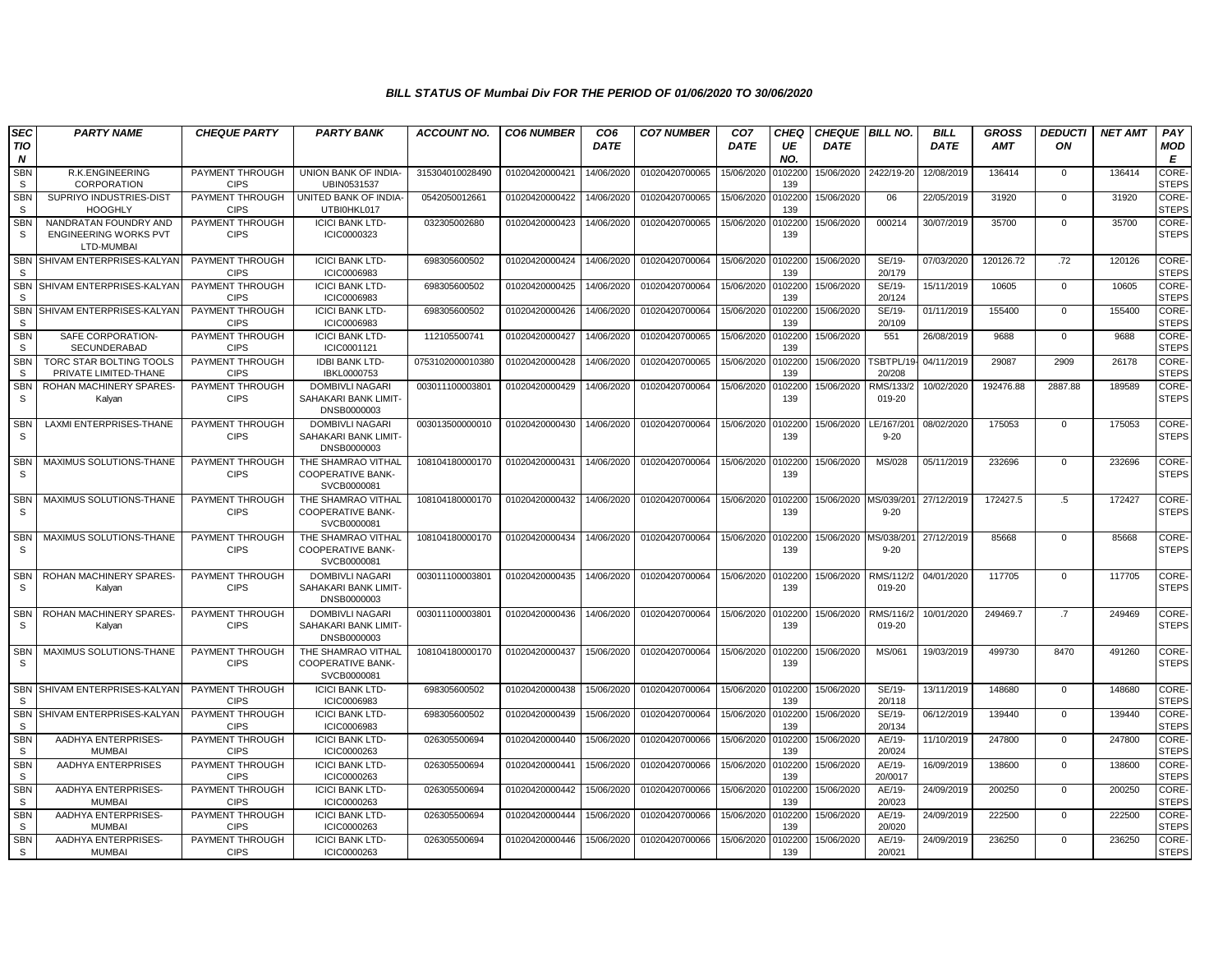| <b>SEC</b><br>TIO<br>N     | <b>PARTY NAME</b>                                                   | <b>CHEQUE PARTY</b>            | <b>PARTY BANK</b>                                             | <b>ACCOUNT NO.</b> | <b>CO6 NUMBER</b> | CO <sub>6</sub><br><b>DATE</b> | <b>CO7 NUMBER</b> | CO <sub>7</sub><br><b>DATE</b> | <b>CHEQ</b><br>UE<br>NO. | <b>CHEQUE   BILL NO.</b><br><b>DATE</b> |                        | <b>BILL</b><br><b>DATE</b> | <b>GROSS</b><br><b>AMT</b> | <b>DEDUCTI</b><br>ON | <b>NET AMT</b> | PAY<br><b>MOD</b><br>E |
|----------------------------|---------------------------------------------------------------------|--------------------------------|---------------------------------------------------------------|--------------------|-------------------|--------------------------------|-------------------|--------------------------------|--------------------------|-----------------------------------------|------------------------|----------------------------|----------------------------|----------------------|----------------|------------------------|
| SBN<br>S.                  | R.K.ENGINEERING<br>CORPORATION                                      | PAYMENT THROUGH<br><b>CIPS</b> | UNION BANK OF INDIA-<br>UBIN0531537                           | 315304010028490    | 01020420000421    | 14/06/2020                     | 01020420700065    | 15/06/2020                     | 102200<br>139            | 15/06/2020                              | 2422/19-20             | 12/08/2019                 | 136414                     | 0                    | 136414         | CORE-<br><b>STEPS</b>  |
| <b>SBN</b><br><b>S</b>     | SUPRIYO INDUSTRIES-DIST<br><b>HOOGHLY</b>                           | PAYMENT THROUGH<br><b>CIPS</b> | UNITED BANK OF INDIA-<br>UTBI0HKL017                          | 0542050012661      | 01020420000422    | 14/06/2020                     | 01020420700065    | 15/06/2020                     | 102200<br>139            | 15/06/2020                              | 06                     | 22/05/2019                 | 31920                      | $\mathbf 0$          | 31920          | CORE-<br><b>STEPS</b>  |
| <b>SBN</b><br>s            | NANDRATAN FOUNDRY AND<br><b>ENGINEERING WORKS PVT</b><br>LTD-MUMBAI | PAYMENT THROUGH<br><b>CIPS</b> | <b>ICICI BANK LTD-</b><br>ICIC0000323                         | 032305002680       | 01020420000423    | 14/06/2020                     | 01020420700065    | 15/06/2020                     | 102200<br>139            | 15/06/2020                              | 000214                 | 30/07/2019                 | 35700                      | $\mathbf{0}$         | 35700          | CORE-<br><b>STEPS</b>  |
| <b>SBN</b><br><sub>S</sub> | SHIVAM ENTERPRISES-KALYAN                                           | PAYMENT THROUGH<br><b>CIPS</b> | <b>ICICI BANK LTD-</b><br>ICIC0006983                         | 698305600502       | 01020420000424    | 14/06/2020                     | 01020420700064    | 15/06/2020                     | 0102200<br>139           | 15/06/2020                              | SE/19-<br>20/179       | 07/03/2020                 | 120126.72                  | .72                  | 120126         | CORE-<br><b>STEPS</b>  |
| <b>SBN</b><br>-S           | SHIVAM ENTERPRISES-KALYAN                                           | PAYMENT THROUGH<br><b>CIPS</b> | <b>ICICI BANK LTD-</b><br><b>ICIC0006983</b>                  | 698305600502       | 01020420000425    | 14/06/2020                     | 01020420700064    | 15/06/2020                     | 102200<br>139            | 15/06/2020                              | SE/19-<br>20/124       | 15/11/2019                 | 10605                      | $\mathbf{0}$         | 10605          | CORE-<br><b>STEPS</b>  |
| <b>SBN</b><br>-S           | SHIVAM ENTERPRISES-KALYAN                                           | PAYMENT THROUGH<br><b>CIPS</b> | <b>ICICI BANK LTD-</b><br>ICIC0006983                         | 698305600502       | 01020420000426    | 14/06/2020                     | 01020420700064    | 15/06/2020                     | 102200<br>139            | 15/06/2020                              | SE/19-<br>20/109       | 01/11/2019                 | 155400                     | $\mathbf 0$          | 155400         | CORE-<br><b>STEPS</b>  |
| <b>SBN</b><br>S.           | SAFE CORPORATION-<br><b>SECUNDERABAD</b>                            | PAYMENT THROUGH<br><b>CIPS</b> | <b>ICICI BANK LTD-</b><br>ICIC0001121                         | 112105500741       | 01020420000427    | 14/06/2020                     | 01020420700065    | 15/06/2020                     | 102200<br>139            | 15/06/2020                              | 551                    | 26/08/2019                 | 9688                       | $\mathbf{0}$         | 9688           | CORE-<br><b>STEPS</b>  |
| <b>SBN</b><br>s            | TORC STAR BOLTING TOOLS<br>PRIVATE LIMITED-THANE                    | PAYMENT THROUGH<br><b>CIPS</b> | <b>IDBI BANK LTD-</b><br>IBKL0000753                          | 0753102000010380   | 01020420000428    | 14/06/2020                     | 01020420700065    | 15/06/2020                     | 0102200<br>139           | 15/06/2020                              | TSBTPL/19-<br>20/208   | 04/11/2019                 | 29087                      | 2909                 | 26178          | CORE-<br><b>STEPS</b>  |
| <b>SBN</b><br>S.           | <b>ROHAN MACHINERY SPARES</b><br>Kalyan                             | PAYMENT THROUGH<br><b>CIPS</b> | <b>DOMBIVLI NAGARI</b><br>SAHAKARI BANK LIMIT-<br>DNSB0000003 | 00301110000380     | 01020420000429    | 14/06/2020                     | 01020420700064    | 15/06/2020                     | 102200<br>139            | 15/06/2020                              | RMS/133/2<br>019-20    | 10/02/2020                 | 192476.88                  | 2887.88              | 189589         | CORE-<br><b>STEPS</b>  |
| <b>SBN</b><br>-S           | <b>LAXMI ENTERPRISES-THANE</b>                                      | PAYMENT THROUGH<br><b>CIPS</b> | <b>DOMBIVLI NAGARI</b><br>SAHAKARI BANK LIMIT-<br>DNSB0000003 | 003013500000010    | 01020420000430    | 14/06/2020                     | 01020420700064    | 15/06/2020                     | 102200<br>139            | 15/06/2020                              | LE/167/201<br>$9 - 20$ | 08/02/2020                 | 175053                     | $\mathbf{0}$         | 175053         | CORE-<br><b>STEPS</b>  |
| <b>SBN</b><br>S            | MAXIMUS SOLUTIONS-THANE                                             | PAYMENT THROUGH<br><b>CIPS</b> | THE SHAMRAO VITHAL<br><b>COOPERATIVE BANK-</b><br>SVCB0000081 | 108104180000170    | 01020420000431    | 14/06/2020                     | 01020420700064    | 15/06/2020                     | 0102200<br>139           | 15/06/2020                              | MS/028                 | 05/11/2019                 | 232696                     | $\mathbf 0$          | 232696         | CORE-<br><b>STEPS</b>  |
| <b>SBN</b><br>S.           | MAXIMUS SOLUTIONS-THANE                                             | PAYMENT THROUGH<br><b>CIPS</b> | THE SHAMRAO VITHAL<br><b>COOPERATIVE BANK-</b><br>SVCB0000081 | 108104180000170    | 01020420000432    | 14/06/2020                     | 01020420700064    | 15/06/2020                     | 0102200<br>139           |                                         | $9 - 20$               | 27/12/2019                 | 172427.5                   | $.5\,$               | 172427         | CORE-<br><b>STEPS</b>  |
| <b>SBN</b><br>-S           | MAXIMUS SOLUTIONS-THANE                                             | PAYMENT THROUGH<br><b>CIPS</b> | THE SHAMRAO VITHAL<br><b>COOPERATIVE BANK-</b><br>SVCB0000081 | 108104180000170    | 01020420000434    | 14/06/2020                     | 01020420700064    | 15/06/2020                     | 0102200<br>139           | 15/06/2020 MS/038/201                   | $9 - 20$               | 27/12/2019                 | 85668                      | $\mathbf 0$          | 85668          | CORE-<br><b>STEPS</b>  |
| <b>SBN</b><br>S.           | ROHAN MACHINERY SPARES<br>Kalyan                                    | PAYMENT THROUGH<br><b>CIPS</b> | DOMBIVLI NAGARI<br>SAHAKARI BANK LIMIT-<br>DNSB0000003        | 003011100003801    | 01020420000435    | 14/06/2020                     | 01020420700064    | 15/06/2020                     | 102200<br>139            | 15/06/2020                              | RMS/112/2<br>019-20    | 04/01/2020                 | 117705                     | $\mathbf 0$          | 117705         | CORE-<br><b>STEPS</b>  |
| <b>SBN</b><br>-S           | <b>ROHAN MACHINERY SPARES</b><br>Kalyan                             | PAYMENT THROUGH<br><b>CIPS</b> | <b>DOMBIVLI NAGARI</b><br>SAHAKARI BANK LIMIT-<br>DNSB0000003 | 003011100003801    | 01020420000436    | 14/06/2020                     | 01020420700064    | 15/06/2020                     | 0102200<br>139           | 15/06/2020                              | RMS/116/2<br>019-20    | 10/01/2020                 | 249469.7                   | $.7\phantom{0}$      | 249469         | CORE-<br><b>STEPS</b>  |
| <b>SBN</b><br>S.           | MAXIMUS SOLUTIONS-THANE                                             | PAYMENT THROUGH<br><b>CIPS</b> | THE SHAMRAO VITHAL<br><b>COOPERATIVE BANK-</b><br>SVCB0000081 | 108104180000170    | 01020420000437    | 15/06/2020                     | 01020420700064    | 15/06/2020                     | 0102200<br>139           | 15/06/2020                              | MS/061                 | 19/03/2019                 | 499730                     | 8470                 | 491260         | CORE-<br><b>STEPS</b>  |
| <b>SBN</b><br>S.           | SHIVAM ENTERPRISES-KALYAN                                           | PAYMENT THROUGH<br><b>CIPS</b> | <b>ICICI BANK LTD-</b><br>ICIC0006983                         | 698305600502       | 01020420000438    | 15/06/2020                     | 01020420700064    | 15/06/2020                     | 0102200<br>139           | 15/06/2020                              | SE/19-<br>20/118       | 13/11/2019                 | 148680                     | $\mathbf 0$          | 148680         | CORE-<br><b>STEPS</b>  |
| <b>SBN</b><br>S            | SHIVAM ENTERPRISES-KALYAN                                           | PAYMENT THROUGH<br><b>CIPS</b> | <b>ICICI BANK LTD-</b><br>ICIC0006983                         | 698305600502       | 01020420000439    | 15/06/2020                     | 01020420700064    | 15/06/2020                     | 102200<br>139            | 15/06/2020                              | SE/19-<br>20/134       | 06/12/2019                 | 139440                     | $\mathbf 0$          | 139440         | CORE-<br><b>STEPS</b>  |
| <b>SBN</b><br>S.           | AADHYA ENTERPRISES-<br><b>MUMBAI</b>                                | PAYMENT THROUGH<br><b>CIPS</b> | <b>ICICI BANK LTD-</b><br>ICIC0000263                         | 026305500694       | 01020420000440    | 15/06/2020                     | 01020420700066    | 15/06/2020                     | 102200<br>139            | 15/06/2020                              | AE/19-<br>20/024       | 11/10/2019                 | 247800                     | $\mathbf 0$          | 247800         | CORE-<br><b>STEPS</b>  |
| <b>SBN</b><br>S.           | AADHYA ENTERPRISES                                                  | PAYMENT THROUGH<br><b>CIPS</b> | <b>ICICI BANK LTD-</b><br>ICIC0000263                         | 026305500694       | 01020420000441    | 15/06/2020                     | 01020420700066    | 15/06/2020                     | 102200<br>139            | 15/06/2020                              | AE/19-<br>20/0017      | 16/09/2019                 | 138600                     | $\mathbf{0}$         | 138600         | CORE-<br><b>STEPS</b>  |
| <b>SBN</b><br>S.           | AADHYA ENTERPRISES-<br><b>MUMBAI</b>                                | PAYMENT THROUGH<br><b>CIPS</b> | <b>ICICI BANK LTD-</b><br>ICIC0000263                         | 026305500694       | 01020420000442    | 15/06/2020                     | 01020420700066    | 15/06/2020                     | 102200<br>139            | 15/06/2020                              | AE/19-<br>20/023       | 24/09/2019                 | 200250                     | $\mathbf 0$          | 200250         | CORE-<br><b>STEPS</b>  |
| SBN<br>-S                  | AADHYA ENTERPRISES-<br><b>MUMBAI</b>                                | PAYMENT THROUGH<br><b>CIPS</b> | <b>ICICI BANK LTD-</b><br>ICIC0000263                         | 026305500694       | 01020420000444    | 15/06/2020                     | 01020420700066    | 15/06/2020                     | 102200<br>139            | 15/06/2020                              | AE/19-<br>20/020       | 24/09/2019                 | 222500                     | $\mathbf{0}$         | 222500         | CORE-<br><b>STEPS</b>  |
| <b>SBN</b><br>S            | AADHYA ENTERPRISES-<br><b>MUMBAI</b>                                | PAYMENT THROUGH<br><b>CIPS</b> | <b>ICICI BANK LTD-</b><br>ICIC0000263                         | 026305500694       | 01020420000446    | 15/06/2020                     | 01020420700066    | 15/06/2020                     | 102200<br>139            | 15/06/2020                              | AE/19-<br>20/021       | 24/09/2019                 | 236250                     | $\mathbf{0}$         | 236250         | CORE-<br><b>STEPS</b>  |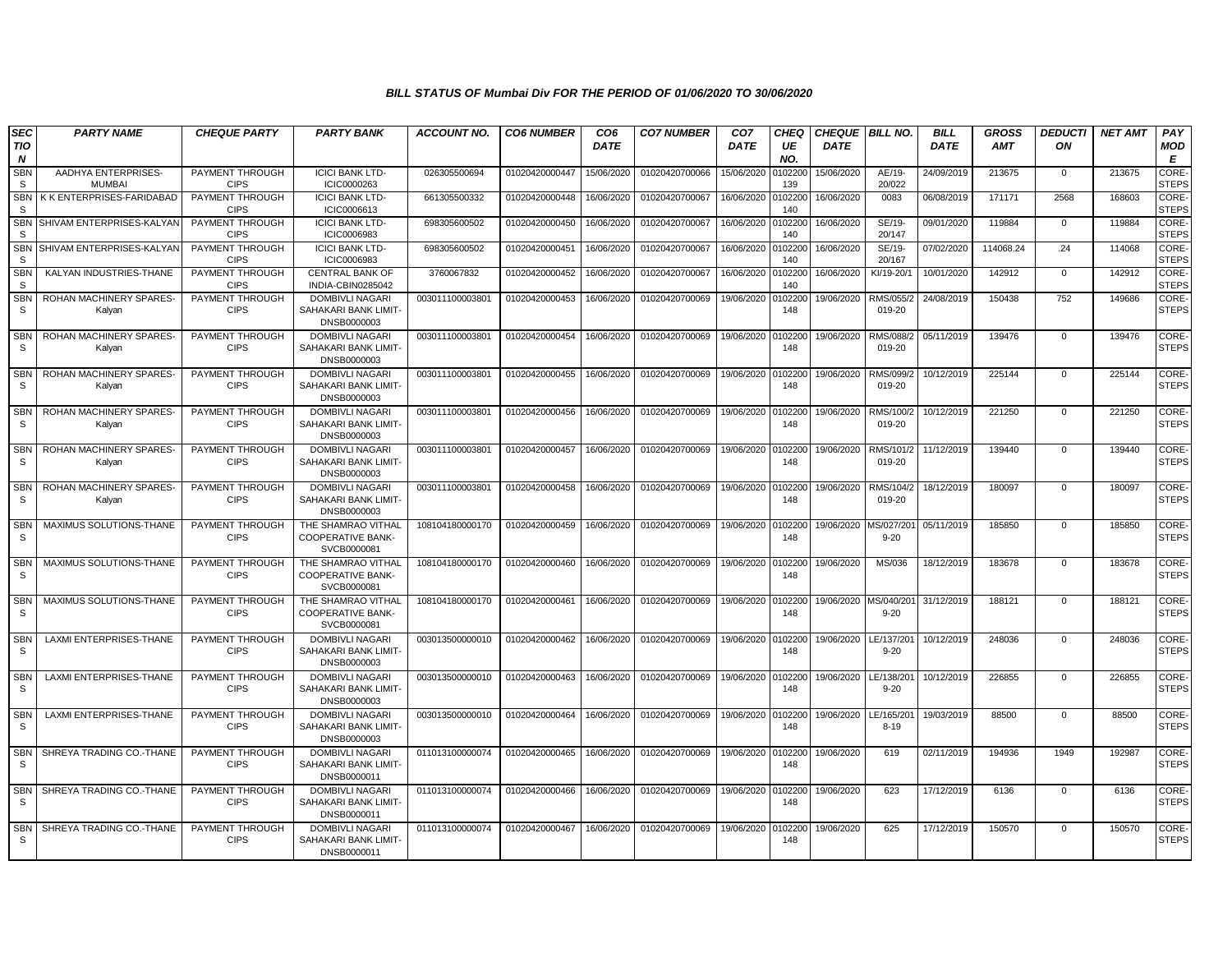| <b>SEC</b><br><b>TIO</b>   | <b>PARTY NAME</b>                    | <b>CHEQUE PARTY</b>                   | <b>PARTY BANK</b>                                             | <b>ACCOUNT NO.</b> | <b>CO6 NUMBER</b> | CO <sub>6</sub><br><b>DATE</b> | <b>CO7 NUMBER</b> | CO <sub>7</sub><br><b>DATE</b> | CHEQ<br>UE     | <b>CHEQUE BILL NO.</b><br><b>DATE</b> |                        | <b>BILL</b><br><b>DATE</b> | <b>GROSS</b><br><b>AMT</b> | <b>DEDUCTI</b><br>ON | <b>NET AMT</b> | PAY<br><b>MOD</b>            |
|----------------------------|--------------------------------------|---------------------------------------|---------------------------------------------------------------|--------------------|-------------------|--------------------------------|-------------------|--------------------------------|----------------|---------------------------------------|------------------------|----------------------------|----------------------------|----------------------|----------------|------------------------------|
| N                          |                                      |                                       |                                                               |                    |                   |                                |                   |                                | NO.            |                                       |                        |                            |                            |                      |                | Е                            |
| <b>SBN</b><br>S.           | AADHYA ENTERPRISES-<br><b>MUMBAI</b> | PAYMENT THROUGH<br><b>CIPS</b>        | <b>ICICI BANK LTD-</b><br>ICIC0000263                         | 026305500694       | 01020420000447    | 15/06/2020                     | 01020420700066    | 15/06/2020                     | 010220<br>139  | 15/06/2020                            | AE/19-<br>20/022       | 24/09/2019                 | 213675                     | $\mathbf{0}$         | 213675         | CORE-<br><b>STEPS</b>        |
| SBN<br><b>S</b>            | K K ENTERPRISES-FARIDABAD            | <b>PAYMENT THROUGH</b><br><b>CIPS</b> | <b>ICICI BANK LTD-</b><br>ICIC0006613                         | 661305500332       | 01020420000448    | 16/06/2020                     | 01020420700067    | 16/06/2020                     | 0102200<br>140 | 16/06/2020                            | 0083                   | 06/08/2019                 | 171171                     | 2568                 | 168603         | CORE-<br><b>STEPS</b>        |
| <b>SBN</b><br><b>S</b>     | SHIVAM ENTERPRISES-KALYAN            | PAYMENT THROUGH<br><b>CIPS</b>        | <b>ICICI BANK LTD-</b><br>ICIC0006983                         | 698305600502       | 01020420000450    | 16/06/2020                     | 01020420700067    | 16/06/2020                     | 0102200<br>140 | 16/06/2020                            | SE/19-<br>20/147       | 09/01/2020                 | 119884                     | $\mathbf{0}$         | 119884         | <b>CORE-</b><br><b>STEPS</b> |
| <b>SBN</b><br><b>S</b>     | SHIVAM ENTERPRISES-KALYAN            | PAYMENT THROUGH<br><b>CIPS</b>        | <b>ICICI BANK LTD-</b><br>ICIC0006983                         | 698305600502       | 01020420000451    | 16/06/2020                     | 01020420700067    | 16/06/2020                     | 0102200<br>140 | 16/06/2020                            | SE/19-<br>20/167       | 07/02/2020                 | 114068.24                  | .24                  | 114068         | CORE-<br><b>STEPS</b>        |
| <b>SBN</b><br>s            | KALYAN INDUSTRIES-THANE              | PAYMENT THROUGH<br><b>CIPS</b>        | <b>CENTRAL BANK OF</b><br>INDIA-CBIN0285042                   | 3760067832         | 01020420000452    | 16/06/2020                     | 01020420700067    | 16/06/2020                     | 010220<br>140  | 16/06/2020                            | KI/19-20/1             | 10/01/2020                 | 142912                     | $\Omega$             | 142912         | CORE-<br><b>STEPS</b>        |
| <b>SBN</b><br>s            | ROHAN MACHINERY SPARES-<br>Kalyan    | PAYMENT THROUGH<br><b>CIPS</b>        | <b>DOMBIVLI NAGARI</b><br>SAHAKARI BANK LIMIT-<br>DNSB0000003 | 003011100003801    | 01020420000453    | 16/06/2020                     | 01020420700069    | 19/06/2020                     | 0102200<br>148 | 19/06/2020                            | RMS/055/2<br>019-20    | 24/08/2019                 | 150438                     | 752                  | 149686         | CORE-<br><b>STEPS</b>        |
| <b>SBN</b><br>-S           | ROHAN MACHINERY SPARES<br>Kalyan     | PAYMENT THROUGH<br><b>CIPS</b>        | <b>DOMBIVLI NAGARI</b><br>SAHAKARI BANK LIMIT-<br>DNSB0000003 | 003011100003801    | 01020420000454    | 16/06/2020                     | 01020420700069    | 19/06/2020                     | 0102200<br>148 | 19/06/2020                            | RMS/088/2<br>019-20    | 05/11/2019                 | 139476                     | $\mathbf 0$          | 139476         | CORE-<br><b>STEPS</b>        |
| <b>SBN</b><br><sub>S</sub> | ROHAN MACHINERY SPARES<br>Kalyan     | PAYMENT THROUGH<br><b>CIPS</b>        | DOMBIVLI NAGARI<br>SAHAKARI BANK LIMIT-<br>DNSB0000003        | 003011100003801    | 01020420000455    | 16/06/2020                     | 01020420700069    | 19/06/2020                     | 0102200<br>148 | 19/06/2020                            | RMS/099/2<br>019-20    | 10/12/2019                 | 225144                     | $\mathbf{0}$         | 225144         | <b>CORE</b><br><b>STEPS</b>  |
| <b>SBN</b><br>S            | ROHAN MACHINERY SPARES<br>Kalyan     | PAYMENT THROUGH<br><b>CIPS</b>        | <b>DOMBIVLI NAGARI</b><br>SAHAKARI BANK LIMIT-<br>DNSB0000003 | 003011100003801    | 01020420000456    | 16/06/2020                     | 01020420700069    | 19/06/2020                     | 010220<br>148  | 19/06/2020                            | RMS/100/2<br>019-20    | 10/12/2019                 | 221250                     | $\Omega$             | 221250         | CORE-<br><b>STEPS</b>        |
| <b>SBN</b><br>S            | ROHAN MACHINERY SPARES-<br>Kalyan    | PAYMENT THROUGH<br><b>CIPS</b>        | <b>DOMBIVLI NAGARI</b><br>SAHAKARI BANK LIMIT-<br>DNSB0000003 | 003011100003801    | 01020420000457    | 16/06/2020                     | 01020420700069    | 19/06/2020                     | 0102200<br>148 | 19/06/2020                            | RMS/101/2<br>019-20    | 11/12/2019                 | 139440                     | $\mathbf{0}$         | 139440         | CORE-<br><b>STEPS</b>        |
| <b>SBN</b><br>S.           | ROHAN MACHINERY SPARES<br>Kalyan     | PAYMENT THROUGH<br><b>CIPS</b>        | <b>DOMBIVLI NAGARI</b><br>SAHAKARI BANK LIMIT-<br>DNSB0000003 | 003011100003801    | 01020420000458    | 16/06/2020                     | 01020420700069    | 19/06/2020                     | 010220<br>148  | 19/06/2020                            | RMS/104/2<br>019-20    | 18/12/2019                 | 180097                     | $\mathbf 0$          | 180097         | CORE-<br><b>STEPS</b>        |
| <b>SBN</b><br>S.           | MAXIMUS SOLUTIONS-THANE              | PAYMENT THROUGH<br><b>CIPS</b>        | THE SHAMRAO VITHAL<br>COOPERATIVE BANK-<br>SVCB0000081        | 108104180000170    | 01020420000459    | 16/06/2020                     | 01020420700069    | 19/06/2020                     | 0102200<br>148 | 19/06/2020                            | MS/027/20<br>$9 - 20$  | 05/11/2019                 | 185850                     | $\mathbf{0}$         | 185850         | CORE-<br><b>STEPS</b>        |
| <b>SBN</b><br>S.           | MAXIMUS SOLUTIONS-THANE              | PAYMENT THROUGH<br><b>CIPS</b>        | THE SHAMRAO VITHAL<br><b>COOPERATIVE BANK-</b><br>SVCB0000081 | 108104180000170    | 01020420000460    | 16/06/2020                     | 01020420700069    | 19/06/2020                     | 0102200<br>148 | 19/06/2020                            | MS/036                 | 18/12/2019                 | 183678                     | $\mathbf 0$          | 183678         | CORE-<br><b>STEPS</b>        |
| <b>SBN</b><br>S.           | MAXIMUS SOLUTIONS-THANE              | PAYMENT THROUGH<br><b>CIPS</b>        | THE SHAMRAO VITHAL<br><b>COOPERATIVE BANK-</b><br>SVCB0000081 | 108104180000170    | 01020420000461    | 16/06/2020                     | 01020420700069    | 19/06/2020                     | 010220<br>148  | 19/06/2020                            | MS/040/20<br>$9 - 20$  | 31/12/2019                 | 188121                     | $\mathbf 0$          | 188121         | CORE-<br><b>STEPS</b>        |
| SBN<br>S.                  | LAXMI ENTERPRISES-THANE              | PAYMENT THROUGH<br><b>CIPS</b>        | <b>DOMBIVLI NAGARI</b><br>SAHAKARI BANK LIMIT-<br>DNSB0000003 | 003013500000010    | 01020420000462    | 16/06/2020                     | 01020420700069    | 19/06/2020                     | 010220<br>148  | 19/06/2020                            | LE/137/20<br>$9 - 20$  | 10/12/2019                 | 248036                     | $\mathbf 0$          | 248036         | CORE-<br><b>STEPS</b>        |
| <b>SBN</b><br>S            | LAXMI ENTERPRISES-THANE              | PAYMENT THROUGH<br><b>CIPS</b>        | <b>DOMBIVLI NAGARI</b><br>SAHAKARI BANK LIMIT-<br>DNSB0000003 | 003013500000010    | 01020420000463    | 16/06/2020                     | 01020420700069    | 19/06/2020 010220              | 148            | 19/06/2020                            | LE/138/20<br>$9 - 20$  | 10/12/2019                 | 226855                     | $\mathbf{0}$         | 226855         | CORE-<br><b>STEPS</b>        |
| SBN<br>-S                  | LAXMI ENTERPRISES-THANE              | PAYMENT THROUGH<br><b>CIPS</b>        | DOMBIVLI NAGARI<br>SAHAKARI BANK LIMIT-<br>DNSB0000003        | 003013500000010    | 01020420000464    | 16/06/2020                     | 01020420700069    | 19/06/2020 0102200             | 148            | 19/06/2020                            | LE/165/201<br>$8 - 19$ | 19/03/2019                 | 88500                      | $\Omega$             | 88500          | CORE-<br><b>STEPS</b>        |
| <b>SBN</b><br>S            | SHREYA TRADING CO.-THANE             | PAYMENT THROUGH<br><b>CIPS</b>        | DOMBIVLI NAGARI<br>SAHAKARI BANK LIMIT-<br>DNSB0000011        | 011013100000074    | 01020420000465    | 16/06/2020                     | 01020420700069    | 19/06/2020                     | 0102200<br>148 | 19/06/2020                            | 619                    | 02/11/2019                 | 194936                     | 1949                 | 192987         | CORE-<br><b>STEPS</b>        |
| <b>SBN</b><br>S.           | SHREYA TRADING CO.-THANE             | PAYMENT THROUGH<br><b>CIPS</b>        | <b>DOMBIVLI NAGARI</b><br>SAHAKARI BANK LIMIT-<br>DNSB0000011 | 011013100000074    | 01020420000466    | 16/06/2020                     | 01020420700069    | 19/06/2020                     | 0102200<br>148 | 19/06/2020                            | 623                    | 17/12/2019                 | 6136                       | $\mathbf{0}$         | 6136           | CORE-<br><b>STEPS</b>        |
| SBN<br>S.                  | SHREYA TRADING CO.-THANE             | PAYMENT THROUGH<br><b>CIPS</b>        | DOMBIVLI NAGARI<br>SAHAKARI BANK LIMIT-<br>DNSB0000011        | 011013100000074    | 01020420000467    | 16/06/2020                     | 01020420700069    | 19/06/2020                     | 0102200<br>148 | 19/06/2020                            | 625                    | 17/12/2019                 | 150570                     | $\mathbf 0$          | 150570         | CORE-<br><b>STEPS</b>        |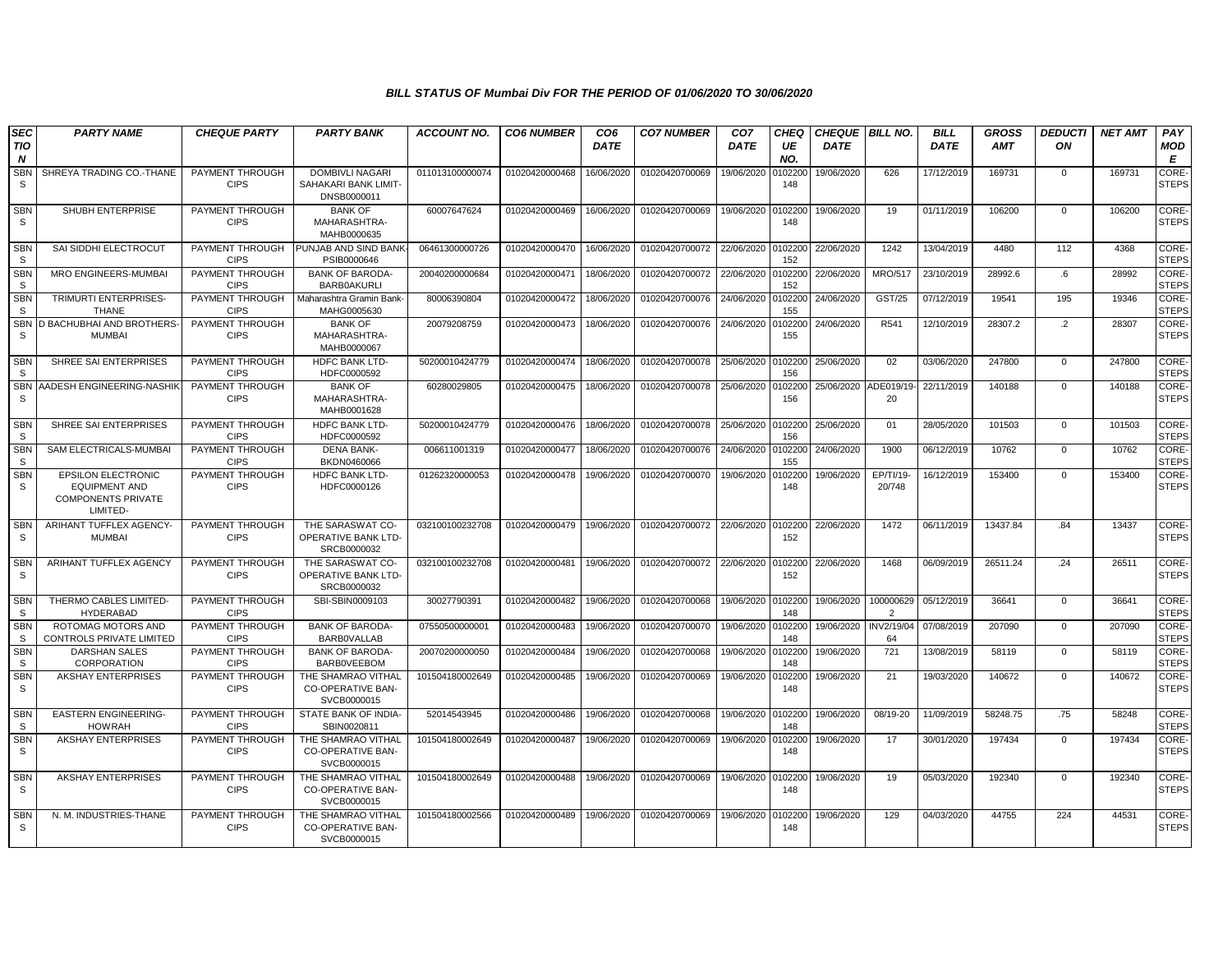| <b>SEC</b>                 | <b>PARTY NAME</b>                                                                   | <b>CHEQUE PARTY</b>            | <b>PARTY BANK</b>                                             | <b>ACCOUNT NO.</b> | <b>CO6 NUMBER</b> | CO <sub>6</sub> | <b>CO7 NUMBER</b> | CO <sub>7</sub> | <b>CHEQ</b>    | <b>CHEQUE BILL NO.</b> |                         | <b>BILL</b> | <b>GROSS</b> | <b>DEDUCTI</b> | <b>NET AMT</b> | PAY                          |
|----------------------------|-------------------------------------------------------------------------------------|--------------------------------|---------------------------------------------------------------|--------------------|-------------------|-----------------|-------------------|-----------------|----------------|------------------------|-------------------------|-------------|--------------|----------------|----------------|------------------------------|
| TIO<br>$\boldsymbol{N}$    |                                                                                     |                                |                                                               |                    |                   | <b>DATE</b>     |                   | <b>DATE</b>     | UE<br>NO.      | <b>DATE</b>            |                         | <b>DATE</b> | <b>AMT</b>   | ON             |                | MOD<br>E                     |
| <b>SBN</b><br>S.           | SHREYA TRADING CO.-THANE                                                            | PAYMENT THROUGH<br><b>CIPS</b> | DOMBIVLI NAGARI<br>SAHAKARI BANK LIMIT-<br>DNSB0000011        | 011013100000074    | 01020420000468    | 16/06/2020      | 01020420700069    | 19/06/2020      | 102200<br>148  | 19/06/2020             | 626                     | 17/12/2019  | 169731       | 0              | 169731         | CORE-<br><b>STEPS</b>        |
| <b>SBN</b><br>S.           | SHUBH ENTERPRISE                                                                    | PAYMENT THROUGH<br><b>CIPS</b> | <b>BANK OF</b><br>MAHARASHTRA-<br>MAHB0000635                 | 60007647624        | 01020420000469    | 16/06/2020      | 01020420700069    | 19/06/2020      | 0102200<br>148 | 19/06/2020             | 19                      | 01/11/2019  | 106200       | $\mathbf 0$    | 106200         | CORE-<br><b>STEPS</b>        |
| <b>SBN</b><br><sub>S</sub> | SAI SIDDHI ELECTROCUT                                                               | PAYMENT THROUGH<br><b>CIPS</b> | PUNJAB AND SIND BANK<br>PSIB0000646                           | 06461300000726     | 01020420000470    | 16/06/2020      | 01020420700072    | 22/06/2020      | 102200<br>152  | 22/06/2020             | 1242                    | 13/04/2019  | 4480         | 112            | 4368           | <b>CORE-</b><br><b>STEPS</b> |
| <b>SBN</b><br>S            | MRO ENGINEERS-MUMBAI                                                                | PAYMENT THROUGH<br><b>CIPS</b> | <b>BANK OF BARODA-</b><br><b>BARB0AKURLI</b>                  | 20040200000684     | 01020420000471    | 18/06/2020      | 01020420700072    | 22/06/2020      | 102200<br>152  | 22/06/2020             | <b>MRO/517</b>          | 23/10/2019  | 28992.6      | $.6\,$         | 28992          | CORE-<br><b>STEPS</b>        |
| <b>SBN</b><br>S            | TRIMURTI ENTERPRISES-<br><b>THANE</b>                                               | PAYMENT THROUGH<br><b>CIPS</b> | Maharashtra Gramin Bank<br>MAHG0005630                        | 80006390804        | 01020420000472    | 18/06/2020      | 01020420700076    | 24/06/2020      | 102200<br>155  | 24/06/2020             | GST/25                  | 07/12/2019  | 19541        | 195            | 19346          | CORE-<br><b>STEPS</b>        |
| <b>SBN</b><br>S            | D BACHUBHAI AND BROTHERS-<br><b>MUMBAI</b>                                          | PAYMENT THROUGH<br><b>CIPS</b> | <b>BANK OF</b><br>MAHARASHTRA-<br>MAHB0000067                 | 20079208759        | 01020420000473    | 18/06/2020      | 01020420700076    | 24/06/2020      | 102200<br>155  | 24/06/2020             | R541                    | 12/10/2019  | 28307.2      | $\cdot$ .2     | 28307          | CORE-<br><b>STEPS</b>        |
| <b>SBN</b><br>S            | SHREE SAI ENTERPRISES                                                               | PAYMENT THROUGH<br><b>CIPS</b> | <b>HDFC BANK LTD-</b><br>HDFC0000592                          | 50200010424779     | 01020420000474    | 18/06/2020      | 01020420700078    | 25/06/2020      | 0102200<br>156 | 25/06/2020             | 02                      | 03/06/2020  | 247800       | $\mathbf 0$    | 247800         | <b>CORE</b><br><b>STEPS</b>  |
| SBN<br>S                   | AADESH ENGINEERING-NASHIK                                                           | PAYMENT THROUGH<br><b>CIPS</b> | <b>BANK OF</b><br>MAHARASHTRA-<br>MAHB0001628                 | 60280029805        | 01020420000475    | 18/06/2020      | 01020420700078    | 25/06/2020      | 0102200<br>156 | 25/06/2020 ADE019/19   | 20                      | 22/11/2019  | 140188       | $\mathbf 0$    | 140188         | CORE-<br><b>STEPS</b>        |
| <b>SBN</b><br><sub>S</sub> | SHREE SAI ENTERPRISES                                                               | PAYMENT THROUGH<br><b>CIPS</b> | <b>HDFC BANK LTD-</b><br>HDFC0000592                          | 50200010424779     | 01020420000476    | 18/06/2020      | 01020420700078    | 25/06/2020      | 0102200<br>156 | 25/06/2020             | 01                      | 28/05/2020  | 101503       | $\mathbf 0$    | 101503         | CORE-<br><b>STEPS</b>        |
| <b>SBN</b><br>S            | SAM ELECTRICALS-MUMBAI                                                              | PAYMENT THROUGH<br><b>CIPS</b> | <b>DENA BANK-</b><br>BKDN0460066                              | 006611001319       | 01020420000477    | 18/06/2020      | 01020420700076    | 24/06/2020      | 102200<br>155  | 24/06/2020             | 1900                    | 06/12/2019  | 10762        | $\mathbf 0$    | 10762          | CORE-<br><b>STEPS</b>        |
| <b>SBN</b><br>S.           | EPSILON ELECTRONIC<br><b>EQUIPMENT AND</b><br><b>COMPONENTS PRIVATE</b><br>LIMITED- | PAYMENT THROUGH<br><b>CIPS</b> | <b>HDFC BANK LTD-</b><br>HDFC0000126                          | 01262320000053     | 01020420000478    | 19/06/2020      | 01020420700070    | 19/06/2020      | 102200<br>148  | 19/06/2020             | EP/TI/19-<br>20/748     | 16/12/2019  | 153400       | $\mathbf 0$    | 153400         | CORE-<br><b>STEPS</b>        |
| <b>SBN</b><br>S.           | ARIHANT TUFFLEX AGENCY-<br><b>MUMBAI</b>                                            | PAYMENT THROUGH<br><b>CIPS</b> | THE SARASWAT CO-<br>OPERATIVE BANK LTD-<br>SRCB0000032        | 032100100232708    | 01020420000479    | 19/06/2020      | 01020420700072    | 22/06/2020      | 0102200<br>152 | 22/06/2020             | 1472                    | 06/11/2019  | 13437.84     | .84            | 13437          | CORE-<br><b>STEPS</b>        |
| <b>SBN</b><br>S.           | ARIHANT TUFFLEX AGENCY                                                              | PAYMENT THROUGH<br><b>CIPS</b> | THE SARASWAT CO-<br>OPERATIVE BANK LTD-<br>SRCB0000032        | 032100100232708    | 01020420000481    | 19/06/2020      | 01020420700072    | 22/06/2020      | 102200<br>152  | 22/06/2020             | 1468                    | 06/09/2019  | 26511.24     | .24            | 26511          | CORE-<br><b>STEPS</b>        |
| <b>SBN</b><br>S.           | THERMO CABLES LIMITED-<br><b>HYDERABAD</b>                                          | PAYMENT THROUGH<br><b>CIPS</b> | SBI-SBIN0009103                                               | 30027790391        | 01020420000482    | 19/06/2020      | 01020420700068    | 19/06/2020      | 0102200<br>148 | 19/06/2020             | 100000629<br>2          | 05/12/2019  | 36641        | $\mathbf 0$    | 36641          | CORE-<br><b>STEPS</b>        |
| <b>SBN</b><br>s            | ROTOMAG MOTORS AND<br>CONTROLS PRIVATE LIMITED                                      | PAYMENT THROUGH<br><b>CIPS</b> | <b>BANK OF BARODA-</b><br><b>BARBOVALLAB</b>                  | 07550500000001     | 01020420000483    | 19/06/2020      | 01020420700070    | 19/06/2020      | 102200<br>148  | 19/06/2020             | <b>INV2/19/04</b><br>64 | 07/08/2019  | 207090       | $\mathbf{0}$   | 207090         | CORE-<br><b>STEPS</b>        |
| <b>SBN</b><br>S            | <b>DARSHAN SALES</b><br>CORPORATION                                                 | PAYMENT THROUGH<br><b>CIPS</b> | <b>BANK OF BARODA-</b><br><b>BARBOVEEBOM</b>                  | 20070200000050     | 01020420000484    | 19/06/2020      | 01020420700068    | 19/06/2020      | 102200<br>148  | 19/06/2020             | 721                     | 13/08/2019  | 58119        | $\mathbf 0$    | 58119          | CORE-<br><b>STEPS</b>        |
| <b>SBN</b><br>S            | AKSHAY ENTERPRISES                                                                  | PAYMENT THROUGH<br><b>CIPS</b> | THE SHAMRAO VITHAL<br><b>CO-OPERATIVE BAN-</b><br>SVCB0000015 | 101504180002649    | 01020420000485    | 19/06/2020      | 01020420700069    | 19/06/2020      | 102200<br>148  | 19/06/2020             | 21                      | 19/03/2020  | 140672       | $\mathbf 0$    | 140672         | CORE-<br><b>STEPS</b>        |
| <b>SBN</b><br>S            | <b>EASTERN ENGINEERING-</b><br><b>HOWRAH</b>                                        | PAYMENT THROUGH<br><b>CIPS</b> | STATE BANK OF INDIA-<br>SBIN0020811                           | 52014543945        | 01020420000486    | 19/06/2020      | 01020420700068    | 19/06/2020      | 0102200<br>148 | 19/06/2020             | 08/19-20                | 11/09/2019  | 58248.75     | .75            | 58248          | CORE-<br><b>STEPS</b>        |
| <b>SBN</b><br>S            | <b>AKSHAY ENTERPRISES</b>                                                           | PAYMENT THROUGH<br><b>CIPS</b> | THE SHAMRAO VITHAL<br><b>CO-OPERATIVE BAN-</b><br>SVCB0000015 | 101504180002649    | 01020420000487    | 19/06/2020      | 01020420700069    | 19/06/2020      | 0102200<br>148 | 19/06/2020             | 17                      | 30/01/2020  | 197434       | $\mathbf 0$    | 197434         | CORE-<br><b>STEPS</b>        |
| <b>SBN</b><br>S.           | <b>AKSHAY ENTERPRISES</b>                                                           | PAYMENT THROUGH<br><b>CIPS</b> | THE SHAMRAO VITHAL<br>CO-OPERATIVE BAN-<br>SVCB0000015        | 101504180002649    | 01020420000488    | 19/06/2020      | 01020420700069    | 19/06/2020      | 102200<br>148  | 19/06/2020             | 19                      | 05/03/2020  | 192340       | $\mathbf 0$    | 192340         | CORE-<br><b>STEPS</b>        |
| <b>SBN</b><br>S            | N. M. INDUSTRIES-THANE                                                              | PAYMENT THROUGH<br><b>CIPS</b> | THE SHAMRAO VITHAL<br><b>CO-OPERATIVE BAN-</b><br>SVCB0000015 | 101504180002566    | 01020420000489    | 19/06/2020      | 01020420700069    | 19/06/2020      | 102200<br>148  | 19/06/2020             | 129                     | 04/03/2020  | 44755        | 224            | 44531          | CORE-<br><b>STEPS</b>        |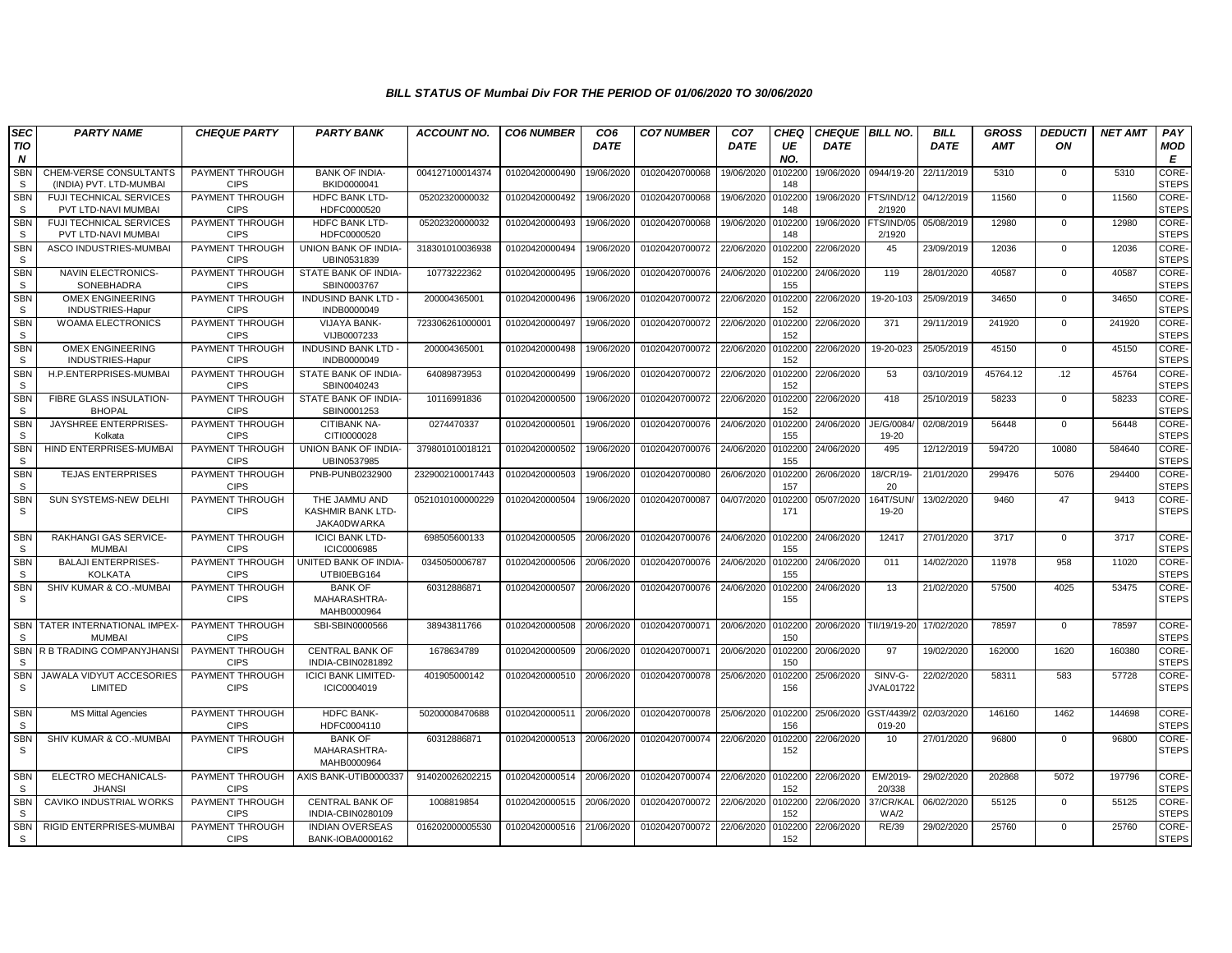| <b>SEC</b>                 | <b>PARTY NAME</b>                                     | <b>CHEQUE PARTY</b>            | <b>PARTY BANK</b>                                 | <b>ACCOUNT NO.</b> | <b>CO6 NUMBER</b> | CO <sub>6</sub> | <b>CO7 NUMBER</b> | CO <sub>7</sub> | CHEO           | <b>CHEQUE BILL NO.</b>  |                             | <b>BILL</b> | <b>GROSS</b> | <b>DEDUCTI</b> | <b>NET AMT</b> | PAY                         |
|----------------------------|-------------------------------------------------------|--------------------------------|---------------------------------------------------|--------------------|-------------------|-----------------|-------------------|-----------------|----------------|-------------------------|-----------------------------|-------------|--------------|----------------|----------------|-----------------------------|
| TIO<br>$\boldsymbol{N}$    |                                                       |                                |                                                   |                    |                   | <b>DATE</b>     |                   | <b>DATE</b>     | UE<br>NO.      | <b>DATE</b>             |                             | <b>DATE</b> | <b>AMT</b>   | ON             |                | MOD<br>E                    |
| <b>SBN</b>                 | CHEM-VERSE CONSULTANTS                                | PAYMENT THROUGH                | <b>BANK OF INDIA-</b>                             | 004127100014374    | 01020420000490    | 19/06/2020      | 01020420700068    | 19/06/2020      | 102200         | 19/06/2020              | 0944/19-20                  | 22/11/2019  | 5310         | $\mathbf 0$    | 5310           | <b>CORE</b>                 |
| S                          | (INDIA) PVT. LTD-MUMBAI                               | <b>CIPS</b>                    | BKID0000041                                       |                    |                   |                 |                   |                 | 148            |                         |                             |             |              |                |                | <b>STEPS</b>                |
| <b>SBN</b><br>-S           | <b>FUJI TECHNICAL SERVICES</b><br>PVT LTD-NAVI MUMBAI | PAYMENT THROUGH<br><b>CIPS</b> | <b>HDFC BANK LTD-</b><br>HDFC0000520              | 05202320000032     | 01020420000492    | 19/06/2020      | 01020420700068    | 19/06/2020      | 102200<br>148  | 19/06/2020 FTS/IND/12   | 2/1920                      | 04/12/2019  | 11560        | $\Omega$       | 11560          | CORE-<br><b>STEPS</b>       |
| <b>SBN</b>                 | <b>FUJI TECHNICAL SERVICES</b>                        | PAYMENT THROUGH                | <b>HDFC BANK LTD-</b>                             | 05202320000032     | 01020420000493    | 19/06/2020      | 01020420700068    | 19/06/2020      | 102200         | 19/06/2020              | FTS/IND/0                   | 05/08/2019  | 12980        | $\mathbf{0}$   | 12980          | CORE-                       |
| S                          | PVT LTD-NAVI MUMBAI                                   | <b>CIPS</b>                    | HDFC0000520                                       |                    |                   |                 |                   |                 | 148            |                         | 2/1920                      |             |              |                |                | <b>STEPS</b>                |
| <b>SBN</b><br>S            | ASCO INDUSTRIES-MUMBAI                                | PAYMENT THROUGH<br><b>CIPS</b> | UNION BANK OF INDIA-<br>UBIN0531839               | 318301010036938    | 01020420000494    | 19/06/2020      | 01020420700072    | 22/06/2020      | 102200<br>152  | 22/06/2020              | 45                          | 23/09/2019  | 12036        | $\mathbf 0$    | 12036          | CORE-<br><b>STEPS</b>       |
| <b>SBN</b><br>S            | <b>NAVIN ELECTRONICS-</b><br>SONEBHADRA               | PAYMENT THROUGH<br><b>CIPS</b> | STATE BANK OF INDIA-<br>SBIN0003767               | 10773222362        | 01020420000495    | 19/06/2020      | 01020420700076    | 24/06/2020      | 102200<br>155  | 24/06/2020              | 119                         | 28/01/2020  | 40587        | $\mathbf{0}$   | 40587          | CORE-<br><b>STEPS</b>       |
| <b>SBN</b>                 | <b>OMEX ENGINEERING</b>                               | PAYMENT THROUGH                | <b>INDUSIND BANK LTD -</b>                        | 200004365001       | 01020420000496    | 19/06/2020      | 01020420700072    | 22/06/2020      | 102200         | 22/06/2020              | 19-20-103                   | 25/09/2019  | 34650        | $\mathbf 0$    | 34650          | CORE-                       |
| s                          | INDUSTRIES-Hapur                                      | <b>CIPS</b>                    | INDB0000049                                       |                    |                   |                 |                   |                 | 152            |                         |                             |             |              |                |                | <b>STEPS</b>                |
| <b>SBN</b><br>S            | <b>WOAMA ELECTRONICS</b>                              | PAYMENT THROUGH<br><b>CIPS</b> | <b>VIJAYA BANK-</b><br>VIJB0007233                | 723306261000001    | 01020420000497    | 19/06/2020      | 01020420700072    | 22/06/2020      | 102200<br>152  | 22/06/2020              | 371                         | 29/11/2019  | 241920       | $\mathbf 0$    | 241920         | CORE-<br><b>STEPS</b>       |
| <b>SBN</b>                 | <b>OMEX ENGINEERING</b>                               | PAYMENT THROUGH                | <b>INDUSIND BANK LTD -</b>                        | 200004365001       | 01020420000498    | 19/06/2020      | 01020420700072    | 22/06/2020      | 102200         | 22/06/2020              | 19-20-023                   | 25/05/2019  | 45150        | $\mathbf{0}$   | 45150          | CORE-                       |
| S                          | INDUSTRIES-Hapur                                      | <b>CIPS</b>                    | INDB0000049                                       |                    |                   |                 |                   |                 | 152            |                         |                             |             |              |                |                | <b>STEPS</b>                |
| <b>SBN</b><br>S            | H.P.ENTERPRISES-MUMBAI                                | PAYMENT THROUGH<br><b>CIPS</b> | STATE BANK OF INDIA-<br>SBIN0040243               | 64089873953        | 01020420000499    | 19/06/2020      | 01020420700072    | 22/06/2020      | 102200<br>152  | 22/06/2020              | 53                          | 03/10/2019  | 45764.12     | .12            | 45764          | CORE-<br><b>STEPS</b>       |
| <b>SBN</b>                 | <b>FIBRE GLASS INSULATION-</b>                        | PAYMENT THROUGH                | STATE BANK OF INDIA-                              | 10116991836        | 01020420000500    | 19/06/2020      | 01020420700072    | 22/06/2020      | 102200         | 22/06/2020              | 418                         | 25/10/2019  | 58233        | $\mathbf{0}$   | 58233          | CORE-                       |
| S                          | <b>BHOPAL</b>                                         | <b>CIPS</b>                    | SBIN0001253                                       |                    |                   |                 |                   |                 | 152            |                         |                             |             |              |                |                | <b>STEPS</b>                |
| <b>SBN</b><br><b>S</b>     | JAYSHREE ENTERPRISES-<br>Kolkata                      | PAYMENT THROUGH<br><b>CIPS</b> | <b>CITIBANK NA-</b><br>CITI0000028                | 0274470337         | 01020420000501    | 19/06/2020      | 01020420700076    | 24/06/2020      | 102200<br>155  | 24/06/2020              | JE/G/0084<br>19-20          | 02/08/2019  | 56448        | $\mathbf 0$    | 56448          | CORE-<br><b>STEPS</b>       |
| <b>SBN</b>                 | HIND ENTERPRISES-MUMBAI                               | PAYMENT THROUGH                | UNION BANK OF INDIA-                              | 379801010018121    | 01020420000502    | 19/06/2020      | 01020420700076    | 24/06/2020      | 102200         | 24/06/2020              | 495                         | 12/12/2019  | 594720       | 10080          | 584640         | CORE-                       |
| <b>S</b>                   |                                                       | <b>CIPS</b>                    | UBIN0537985                                       |                    |                   |                 |                   |                 | 155            |                         |                             |             |              |                |                | <b>STEPS</b>                |
| <b>SBN</b><br>S            | <b>TEJAS ENTERPRISES</b>                              | PAYMENT THROUGH<br><b>CIPS</b> | PNB-PUNB0232900                                   | 2329002100017443   | 01020420000503    | 19/06/2020      | 01020420700080    | 26/06/2020      | 0102200<br>157 | 26/06/2020              | 18/CR/19-<br>20             | 21/01/2020  | 299476       | 5076           | 294400         | CORE-<br><b>STEPS</b>       |
| <b>SBN</b><br>S            | SUN SYSTEMS-NEW DELHI                                 | PAYMENT THROUGH<br><b>CIPS</b> | THE JAMMU AND<br>KASHMIR BANK LTD-<br>JAKA0DWARKA | 0521010100000229   | 01020420000504    | 19/06/2020      | 01020420700087    | 04/07/2020      | 102200<br>171  | 05/07/2020              | 64T/SUN<br>19-20            | 13/02/2020  | 9460         | 47             | 9413           | CORE-<br><b>STEPS</b>       |
| SBN<br>S                   | RAKHANGI GAS SERVICE-<br><b>MUMBAI</b>                | PAYMENT THROUGH<br><b>CIPS</b> | <b>ICICI BANK LTD-</b><br>ICIC0006985             | 698505600133       | 01020420000505    | 20/06/2020      | 01020420700076    | 24/06/2020      | 102200<br>155  | 24/06/2020              | 12417                       | 27/01/2020  | 3717         | $\mathbf 0$    | 3717           | <b>CORE</b><br><b>STEPS</b> |
| <b>SBN</b><br>S.           | <b>BALAJI ENTERPRISES-</b><br><b>KOLKATA</b>          | PAYMENT THROUGH<br><b>CIPS</b> | UNITED BANK OF INDIA-<br>UTBI0EBG164              | 0345050006787      | 01020420000506    | 20/06/2020      | 01020420700076    | 24/06/2020      | 102200<br>155  | 24/06/2020              | 011                         | 14/02/2020  | 11978        | 958            | 11020          | CORE-<br><b>STEPS</b>       |
| <b>SBN</b><br>S            | SHIV KUMAR & CO.-MUMBAI                               | PAYMENT THROUGH<br><b>CIPS</b> | <b>BANK OF</b><br>MAHARASHTRA-<br>MAHB0000964     | 60312886871        | 01020420000507    | 20/06/2020      | 01020420700076    | 24/06/2020      | 102200<br>155  | 24/06/2020              | 13                          | 21/02/2020  | 57500        | 4025           | 53475          | CORE-<br><b>STEPS</b>       |
| S.                         | SBN TATER INTERNATIONAL IMPEX-<br><b>MUMBAI</b>       | PAYMENT THROUGH<br><b>CIPS</b> | SBI-SBIN0000566                                   | 38943811766        | 01020420000508    | 20/06/2020      | 01020420700071    | 20/06/2020      | 0102200<br>150 | 20/06/2020 TII/19/19-20 |                             | 17/02/2020  | 78597        | $\overline{0}$ | 78597          | CORE-<br><b>STEPS</b>       |
| <b>SBN</b><br>S            | R B TRADING COMPANYJHANS                              | PAYMENT THROUGH<br><b>CIPS</b> | <b>CENTRAL BANK OF</b><br>INDIA-CBIN0281892       | 1678634789         | 01020420000509    | 20/06/2020      | 01020420700071    | 20/06/2020      | 102200<br>150  | 20/06/2020              | 97                          | 19/02/2020  | 162000       | 1620           | 160380         | CORE-<br><b>STEPS</b>       |
| <b>SBN</b><br><sub>S</sub> | <b>JAWALA VIDYUT ACCESORIES</b><br>LIMITED            | PAYMENT THROUGH<br><b>CIPS</b> | <b>ICICI BANK LIMITED-</b><br>ICIC0004019         | 401905000142       | 01020420000510    | 20/06/2020      | 01020420700078    | 25/06/2020      | 102200<br>156  | 25/06/2020              | SINV-G-<br><b>JVAL01722</b> | 22/02/2020  | 58311        | 583            | 57728          | CORE-<br><b>STEPS</b>       |
| <b>SBN</b><br>S            | <b>MS Mittal Agencies</b>                             | PAYMENT THROUGH<br><b>CIPS</b> | <b>HDFC BANK-</b><br>HDFC0004110                  | 50200008470688     | 01020420000511    | 20/06/2020      | 01020420700078    | 25/06/2020      | 102200<br>156  | 25/06/2020              | GST/4439/2<br>019-20        | 02/03/2020  | 146160       | 1462           | 144698         | CORE-<br><b>STEPS</b>       |
| <b>SBN</b><br><sub>S</sub> | SHIV KUMAR & CO.-MUMBAI                               | PAYMENT THROUGH<br><b>CIPS</b> | <b>BANK OF</b><br>MAHARASHTRA-<br>MAHB0000964     | 60312886871        | 01020420000513    | 20/06/2020      | 01020420700074    | 22/06/2020      | 102200<br>152  | 22/06/2020              | 10                          | 27/01/2020  | 96800        | $\mathbf 0$    | 96800          | CORE-<br><b>STEPS</b>       |
| <b>SBN</b><br>S            | ELECTRO MECHANICALS-<br><b>JHANSI</b>                 | PAYMENT THROUGH<br><b>CIPS</b> | AXIS BANK-UTIB0000337                             | 914020026202215    | 01020420000514    | 20/06/2020      | 01020420700074    | 22/06/2020      | 102200<br>152  | 22/06/2020              | EM/2019-<br>20/338          | 29/02/2020  | 202868       | 5072           | 197796         | CORE-<br><b>STEPS</b>       |
| <b>SBN</b><br><sub>S</sub> | CAVIKO INDUSTRIAL WORKS                               | PAYMENT THROUGH<br><b>CIPS</b> | <b>CENTRAL BANK OF</b><br>INDIA-CBIN0280109       | 1008819854         | 01020420000515    | 20/06/2020      | 01020420700072    | 22/06/2020      | 102200<br>152  | 22/06/2020              | 37/CR/KAL<br>WA/2           | 06/02/2020  | 55125        | $\mathbf{0}$   | 55125          | CORE-<br><b>STEPS</b>       |
| <b>SBN</b>                 | <b>RIGID ENTERPRISES-MUMBAI</b>                       | PAYMENT THROUGH                | <b>INDIAN OVERSEAS</b>                            | 016202000005530    | 01020420000516    | 21/06/2020      | 01020420700072    | 22/06/2020      | 102200         | 22/06/2020              | RE/39                       | 29/02/2020  | 25760        | $\Omega$       | 25760          | CORE-                       |
| S.                         |                                                       | <b>CIPS</b>                    | BANK-IOBA0000162                                  |                    |                   |                 |                   |                 | 152            |                         |                             |             |              |                |                | <b>STEPS</b>                |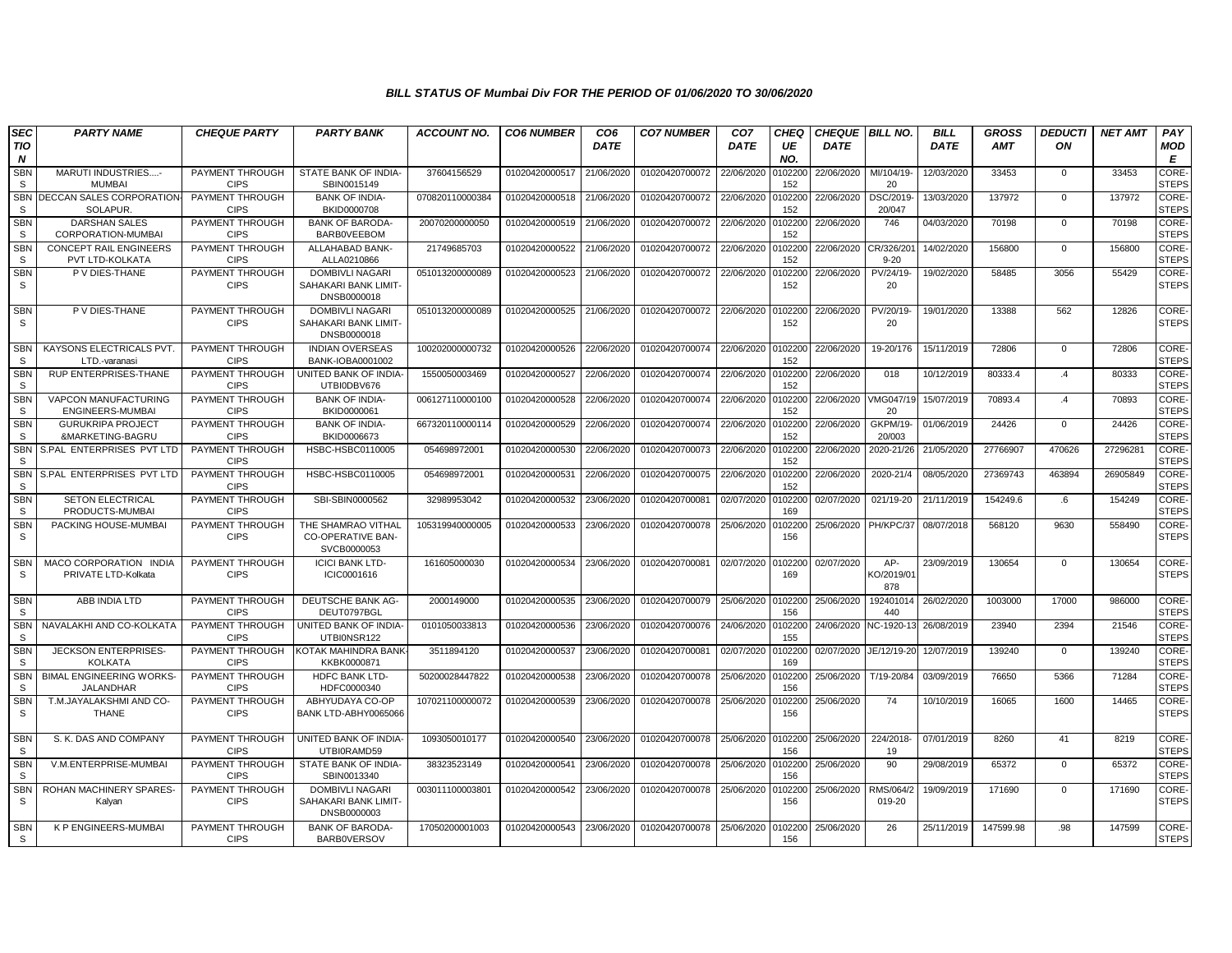| SEC<br>TIO<br>N        | <b>PARTY NAME</b>                                       | <b>CHEQUE PARTY</b>            | <b>PARTY BANK</b>                                             | <b>ACCOUNT NO.</b> | <b>CO6 NUMBER</b> | CO <sub>6</sub><br><b>DATE</b> | <b>CO7 NUMBER</b> | CO <sub>7</sub><br><b>DATE</b> | <b>CHEQ</b><br>UE<br>NO. | <b>CHEQUE BILL NO.</b><br><b>DATE</b> |                         | <b>BILL</b><br><b>DATE</b> | <b>GROSS</b><br><b>AMT</b> | <b>DEDUCTI</b><br>ON | <b>NET AMT</b> | PAY<br>MOD<br>E              |
|------------------------|---------------------------------------------------------|--------------------------------|---------------------------------------------------------------|--------------------|-------------------|--------------------------------|-------------------|--------------------------------|--------------------------|---------------------------------------|-------------------------|----------------------------|----------------------------|----------------------|----------------|------------------------------|
| <b>SBN</b><br>S        | MARUTI INDUSTRIES-<br><b>MUMBAI</b>                     | PAYMENT THROUGH<br><b>CIPS</b> | STATE BANK OF INDIA-<br>SBIN0015149                           | 37604156529        | 01020420000517    | 21/06/2020                     | 01020420700072    | 22/06/2020                     | 102200<br>152            | 22/06/2020                            | MI/104/19-<br>20        | 12/03/2020                 | 33453                      | $\mathbf{0}$         | 33453          | <b>CORE-</b><br><b>STEPS</b> |
| <b>SBN</b><br>s        | DECCAN SALES CORPORATION-<br>SOLAPUR.                   | PAYMENT THROUGH<br><b>CIPS</b> | <b>BANK OF INDIA-</b><br><b>BKID0000708</b>                   | 070820110000384    | 01020420000518    | 21/06/2020                     | 01020420700072    | 22/06/2020                     | 102200<br>152            | 22/06/2020                            | DSC/2019<br>20/047      | 13/03/2020                 | 137972                     | $\Omega$             | 137972         | CORE-<br><b>STEPS</b>        |
| <b>SBN</b><br>S        | <b>DARSHAN SALES</b><br>CORPORATION-MUMBAI              | PAYMENT THROUGH<br><b>CIPS</b> | <b>BANK OF BARODA-</b><br><b>BARBOVEEBOM</b>                  | 20070200000050     | 01020420000519    | 21/06/2020                     | 01020420700072    | 22/06/2020                     | 102200<br>152            | 22/06/2020                            | 746                     | 04/03/2020                 | 70198                      | $\mathbf 0$          | 70198          | CORE-<br><b>STEPS</b>        |
| <b>SBN</b><br>S.       | <b>CONCEPT RAIL ENGINEERS</b><br><b>PVT LTD-KOLKATA</b> | PAYMENT THROUGH<br><b>CIPS</b> | ALLAHABAD BANK-<br>ALLA0210866                                | 21749685703        | 01020420000522    | 21/06/2020                     | 01020420700072    | 22/06/2020                     | 102200<br>152            | 22/06/2020                            | CR/326/20<br>$9 - 20$   | 14/02/2020                 | 156800                     | $\mathbf 0$          | 156800         | CORE-<br><b>STEPS</b>        |
| SBN<br>S.              | P V DIES-THANE                                          | PAYMENT THROUGH<br><b>CIPS</b> | <b>DOMBIVLI NAGARI</b><br>SAHAKARI BANK LIMIT-<br>DNSB0000018 | 051013200000089    | 01020420000523    | 21/06/2020                     | 01020420700072    | 22/06/2020                     | 102200<br>152            | 22/06/2020                            | PV/24/19-<br>20         | 19/02/2020                 | 58485                      | 3056                 | 55429          | CORE-<br><b>STEPS</b>        |
| <b>SBN</b><br>S.       | P V DIES-THANE                                          | PAYMENT THROUGH<br><b>CIPS</b> | <b>DOMBIVLI NAGARI</b><br>SAHAKARI BANK LIMIT-<br>DNSB0000018 | 051013200000089    | 01020420000525    | 21/06/2020                     | 01020420700072    | 22/06/2020                     | 102200<br>152            | 22/06/2020                            | PV/20/19<br>20          | 19/01/2020                 | 13388                      | 562                  | 12826          | <b>CORE-</b><br><b>STEPS</b> |
| <b>SBN</b><br>S        | KAYSONS ELECTRICALS PVT.<br>LTD.-varanasi               | PAYMENT THROUGH<br><b>CIPS</b> | <b>INDIAN OVERSEAS</b><br>BANK-IOBA0001002                    | 100202000000732    | 01020420000526    | 22/06/2020                     | 01020420700074    | 22/06/2020                     | 102200<br>152            | 22/06/2020                            | 19-20/176               | 15/11/2019                 | 72806                      | $\mathbf 0$          | 72806          | CORE-<br><b>STEPS</b>        |
| <b>SBN</b><br>S.       | <b>RUP ENTERPRISES-THANE</b>                            | PAYMENT THROUGH<br><b>CIPS</b> | UNITED BANK OF INDIA-<br>UTBI0DBV676                          | 1550050003469      | 01020420000527    | 22/06/2020                     | 01020420700074    | 22/06/2020                     | 102200<br>152            | 22/06/2020                            | 018                     | 10/12/2019                 | 80333.4                    | .4                   | 80333          | CORE-<br><b>STEPS</b>        |
| <b>SBN</b><br><b>S</b> | VAPCON MANUFACTURING<br>ENGINEERS-MUMBAI                | PAYMENT THROUGH<br><b>CIPS</b> | <b>BANK OF INDIA-</b><br>BKID0000061                          | 006127110000100    | 01020420000528    | 22/06/2020                     | 01020420700074    | 22/06/2020                     | 102200<br>152            | 22/06/2020                            | /MG047/19<br>20         | 15/07/2019                 | 70893.4                    | .4                   | 70893          | CORE-<br><b>STEPS</b>        |
| <b>SBN</b><br>S.       | <b>GURUKRIPA PROJECT</b><br>&MARKETING-BAGRU            | PAYMENT THROUGH<br><b>CIPS</b> | <b>BANK OF INDIA-</b><br>BKID0006673                          | 667320110000114    | 01020420000529    | 22/06/2020                     | 01020420700074    | 22/06/2020                     | 102200<br>152            | 22/06/2020                            | GKPM/19-<br>20/003      | 01/06/2019                 | 24426                      | $\mathbf{0}$         | 24426          | CORE-<br><b>STEPS</b>        |
| <b>SBN</b><br>S        | S.PAL ENTERPRISES PVT LTD                               | PAYMENT THROUGH<br><b>CIPS</b> | HSBC-HSBC0110005                                              | 054698972001       | 01020420000530    | 22/06/2020                     | 01020420700073    | 22/06/2020                     | 102200<br>152            | 22/06/2020                            | 2020-21/26              | 21/05/2020                 | 27766907                   | 470626               | 27296281       | CORE-<br><b>STEPS</b>        |
| SBN<br>S.              | S.PAL ENTERPRISES PVT LTD                               | PAYMENT THROUGH<br><b>CIPS</b> | HSBC-HSBC0110005                                              | 054698972001       | 01020420000531    | 22/06/2020                     | 01020420700075    | 22/06/2020                     | 102200<br>152            | 22/06/2020                            | 2020-21/4               | 08/05/2020                 | 27369743                   | 463894               | 26905849       | CORE-<br><b>STEPS</b>        |
| <b>SBN</b><br>S        | <b>SETON ELECTRICAL</b><br>PRODUCTS-MUMBAI              | PAYMENT THROUGH<br><b>CIPS</b> | SBI-SBIN0000562                                               | 32989953042        | 01020420000532    | 23/06/2020                     | 01020420700081    | 02/07/2020                     | 102200<br>169            | 02/07/2020                            | 021/19-20               | 21/11/2019                 | 154249.6                   | .6                   | 154249         | CORE-<br><b>STEPS</b>        |
| <b>SBN</b><br>S.       | PACKING HOUSE-MUMBAI                                    | PAYMENT THROUGH<br><b>CIPS</b> | THE SHAMRAO VITHAL<br><b>CO-OPERATIVE BAN-</b><br>SVCB0000053 | 105319940000005    | 01020420000533    | 23/06/2020                     | 01020420700078    | 25/06/2020                     | 102200<br>156            | 25/06/2020 PH/KPC/37                  |                         | 08/07/2018                 | 568120                     | 9630                 | 558490         | CORE-<br><b>STEPS</b>        |
| <b>SBN</b><br>S        | MACO CORPORATION INDIA<br>PRIVATE LTD-Kolkata           | PAYMENT THROUGH<br><b>CIPS</b> | <b>ICICI BANK LTD-</b><br>ICIC0001616                         | 161605000030       | 01020420000534    | 23/06/2020                     | 01020420700081    | 02/07/2020                     | 102200<br>169            | 02/07/2020                            | AP-<br><0/2019/0<br>878 | 23/09/2019                 | 130654                     | $\mathbf{0}$         | 130654         | CORE-<br><b>STEPS</b>        |
| <b>SBN</b><br>S.       | ABB INDIA LTD                                           | PAYMENT THROUGH<br><b>CIPS</b> | DEUTSCHE BANK AG-<br>DEUT0797BGL                              | 2000149000         | 01020420000535    | 23/06/2020                     | 01020420700079    | 25/06/2020                     | 102200<br>156            | 25/06/2020                            | 19240101<br>440         | 26/02/2020                 | 1003000                    | 17000                | 986000         | CORE-<br><b>STEPS</b>        |
| <b>SBN</b><br>S        | NAVALAKHI AND CO-KOLKATA                                | PAYMENT THROUGH<br><b>CIPS</b> | UNITED BANK OF INDIA-<br>UTBI0NSR122                          | 0101050033813      | 01020420000536    | 23/06/2020                     | 01020420700076    | 24/06/2020                     | 102200<br>155            | 24/06/2020                            | NC-1920-1               | 26/08/2019                 | 23940                      | 2394                 | 21546          | CORE-<br><b>STEPS</b>        |
| <b>SBN</b><br>S.       | <b>JECKSON ENTERPRISES-</b><br><b>KOLKATA</b>           | PAYMENT THROUGH<br><b>CIPS</b> | <b>KOTAK MAHINDRA BANK</b><br>KKBK0000871                     | 3511894120         | 01020420000537    | 23/06/2020                     | 01020420700081    | 02/07/2020                     | 102200<br>169            | 02/07/2020                            | JE/12/19-20             | 12/07/2019                 | 139240                     | $\Omega$             | 139240         | CORE-<br><b>STEPS</b>        |
| <b>SBN</b><br><b>S</b> | <b>BIMAL ENGINEERING WORKS</b><br>JALANDHAR             | PAYMENT THROUGH<br><b>CIPS</b> | <b>HDFC BANK LTD-</b><br>HDFC0000340                          | 50200028447822     | 01020420000538    | 23/06/2020                     | 01020420700078    | 25/06/2020                     | 102200<br>156            | 25/06/2020                            | T/19-20/84              | 03/09/2019                 | 76650                      | 5366                 | 71284          | <b>CORE</b><br><b>STEPS</b>  |
| <b>SBN</b><br>-S       | T.M.JAYALAKSHMI AND CO-<br><b>THANE</b>                 | PAYMENT THROUGH<br><b>CIPS</b> | ABHYUDAYA CO-OP<br>BANK LTD-ABHY0065066                       | 107021100000072    | 01020420000539    | 23/06/2020                     | 01020420700078    | 25/06/2020                     | 102200<br>156            | 25/06/2020                            | 74                      | 10/10/2019                 | 16065                      | 1600                 | 14465          | CORE-<br><b>STEPS</b>        |
| <b>SBN</b><br>S.       | S. K. DAS AND COMPANY                                   | PAYMENT THROUGH<br><b>CIPS</b> | UNITED BANK OF INDIA<br>UTBI0RAMD59                           | 1093050010177      | 01020420000540    | 23/06/2020                     | 01020420700078    | 25/06/2020                     | 102200<br>156            | 25/06/2020                            | 224/2018-<br>19         | 07/01/2019                 | 8260                       | 41                   | 8219           | <b>CORE</b><br><b>STEPS</b>  |
| <b>SBN</b><br>-S       | V.M.ENTERPRISE-MUMBAI                                   | PAYMENT THROUGH<br><b>CIPS</b> | STATE BANK OF INDIA-<br>SBIN0013340                           | 38323523149        | 01020420000541    | 23/06/2020                     | 01020420700078    | 25/06/2020                     | 102200<br>156            | 25/06/2020                            | 90                      | 29/08/2019                 | 65372                      | $\Omega$             | 65372          | CORE-<br><b>STEPS</b>        |
| <b>SBN</b><br>S.       | ROHAN MACHINERY SPARES<br>Kalyan                        | PAYMENT THROUGH<br><b>CIPS</b> | DOMBIVLI NAGARI<br>SAHAKARI BANK LIMIT-<br>DNSB0000003        | 003011100003801    | 01020420000542    | 23/06/2020                     | 01020420700078    | 25/06/2020                     | 102200<br>156            | 25/06/2020                            | RMS/064/2<br>019-20     | 19/09/2019                 | 171690                     | $\mathbf{0}$         | 171690         | CORE-<br><b>STEPS</b>        |
| <b>SBN</b><br>S.       | <b>K P ENGINEERS-MUMBAI</b>                             | PAYMENT THROUGH<br><b>CIPS</b> | <b>BANK OF BARODA-</b><br><b>BARBOVERSOV</b>                  | 17050200001003     | 01020420000543    | 23/06/2020                     | 01020420700078    | 25/06/2020                     | 102200<br>156            | 25/06/2020                            | 26                      | 25/11/2019                 | 147599.98                  | .98.                 | 147599         | CORE-<br><b>STEPS</b>        |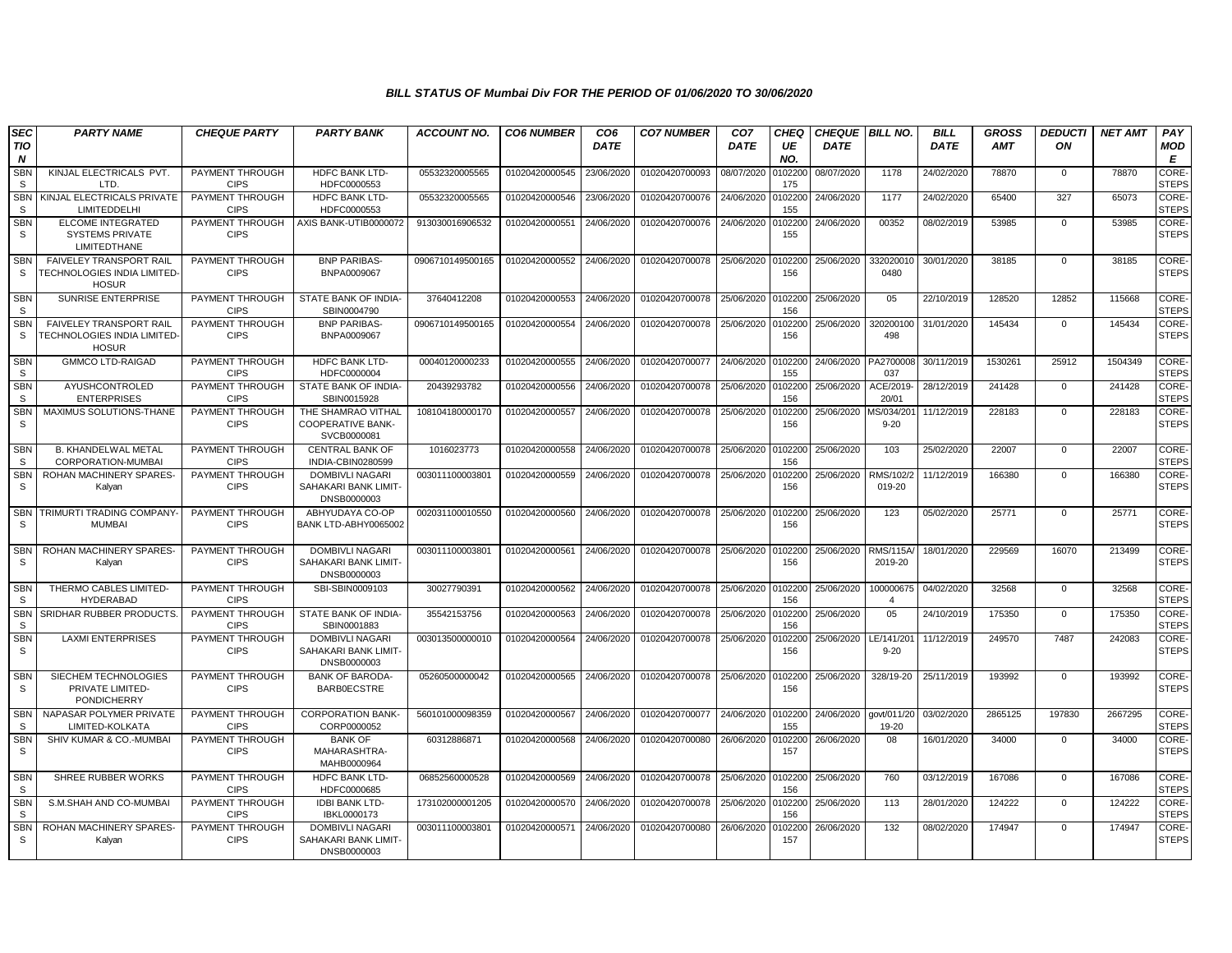| SEC<br>TIO<br>$\boldsymbol{N}$ | <b>PARTY NAME</b>                                                             | <b>CHEQUE PARTY</b>            | <b>PARTY BANK</b>                                             | <b>ACCOUNT NO.</b> | <b>CO6 NUMBER</b> | CO <sub>6</sub><br><b>DATE</b> | <b>CO7 NUMBER</b> | CO <sub>7</sub><br><b>DATE</b> | <b>CHEQ</b><br>UE<br>NO. | CHEQUE BILL NO.<br><b>DATE</b> |                            | <b>BILL</b><br><b>DATE</b> | <b>GROSS</b><br><b>AMT</b> | <b>DEDUCTI</b><br>ON | <b>NET AMT</b> | PAY<br><b>MOD</b><br>E       |
|--------------------------------|-------------------------------------------------------------------------------|--------------------------------|---------------------------------------------------------------|--------------------|-------------------|--------------------------------|-------------------|--------------------------------|--------------------------|--------------------------------|----------------------------|----------------------------|----------------------------|----------------------|----------------|------------------------------|
| SBN<br>S.                      | KINJAL ELECTRICALS PVT.<br>LTD.                                               | PAYMENT THROUGH<br><b>CIPS</b> | <b>HDFC BANK LTD-</b><br>HDFC0000553                          | 05532320005565     | 01020420000545    | 23/06/2020                     | 01020420700093    | 08/07/2020                     | 102200<br>175            | 08/07/2020                     | 1178                       | 24/02/2020                 | 78870                      | $\mathbf 0$          | 78870          | <b>CORE</b><br><b>STEPS</b>  |
| <b>SBN</b><br><b>S</b>         | KINJAL ELECTRICALS PRIVATE<br>LIMITEDDELHI                                    | PAYMENT THROUGH<br><b>CIPS</b> | HDFC BANK LTD-<br>HDFC0000553                                 | 05532320005565     | 01020420000546    | 23/06/2020                     | 01020420700076    | 24/06/2020                     | 102200<br>155            | 24/06/2020                     | 1177                       | 24/02/2020                 | 65400                      | 327                  | 65073          | CORE-<br><b>STEPS</b>        |
| <b>SBN</b><br>S.               | <b>ELCOME INTEGRATED</b><br><b>SYSTEMS PRIVATE</b><br><b>LIMITEDTHANE</b>     | PAYMENT THROUGH<br><b>CIPS</b> | AXIS BANK-UTIB0000072                                         | 913030016906532    | 01020420000551    | 24/06/2020                     | 01020420700076    | 24/06/2020                     | 102200<br>155            | 24/06/2020                     | 00352                      | 08/02/2019                 | 53985                      | $\mathbf{0}$         | 53985          | CORE-<br><b>STEPS</b>        |
| <b>SBN</b><br>-S               | <b>FAIVELEY TRANSPORT RAIL</b><br>TECHNOLOGIES INDIA LIMITED-<br><b>HOSUR</b> | PAYMENT THROUGH<br><b>CIPS</b> | <b>BNP PARIBAS-</b><br>BNPA0009067                            | 0906710149500165   | 01020420000552    | 24/06/2020                     | 01020420700078    | 25/06/2020                     | 0102200<br>156           | 25/06/2020                     | 332020010<br>0480          | 30/01/2020                 | 38185                      | $\Omega$             | 38185          | CORE-<br><b>STEPS</b>        |
| <b>SBN</b><br>S                | SUNRISE ENTERPRISE                                                            | PAYMENT THROUGH<br><b>CIPS</b> | STATE BANK OF INDIA-<br>SBIN0004790                           | 37640412208        | 01020420000553    | 24/06/2020                     | 01020420700078    | 25/06/2020                     | 0102200<br>156           | 25/06/2020                     | 05                         | 22/10/2019                 | 128520                     | 12852                | 115668         | CORE-<br><b>STEPS</b>        |
| <b>SBN</b><br>S                | FAIVELEY TRANSPORT RAIL<br>TECHNOLOGIES INDIA LIMITED-<br><b>HOSUR</b>        | PAYMENT THROUGH<br><b>CIPS</b> | <b>BNP PARIBAS-</b><br>BNPA0009067                            | 0906710149500165   | 01020420000554    | 24/06/2020                     | 01020420700078    | 25/06/2020                     | 102200<br>156            | 25/06/2020                     | 32020010<br>498            | 31/01/2020                 | 145434                     | $\mathbf 0$          | 145434         | CORE-<br><b>STEPS</b>        |
| <b>SBN</b><br>S                | <b>GMMCO LTD-RAIGAD</b>                                                       | PAYMENT THROUGH<br><b>CIPS</b> | <b>HDFC BANK LTD-</b><br>HDFC0000004                          | 00040120000233     | 01020420000555    | 24/06/2020                     | 01020420700077    | 24/06/2020                     | 0102200<br>155           | 24/06/2020 PA2700008           | 037                        | 30/11/2019                 | 1530261                    | 25912                | 1504349        | CORE-<br><b>STEPS</b>        |
| <b>SBN</b><br><b>S</b>         | <b>AYUSHCONTROLED</b><br><b>ENTERPRISES</b>                                   | PAYMENT THROUGH<br><b>CIPS</b> | STATE BANK OF INDIA-<br>SBIN0015928                           | 20439293782        | 01020420000556    | 24/06/2020                     | 01020420700078    | 25/06/2020                     | 102200<br>156            | 25/06/2020                     | ACE/2019<br>20/01          | 28/12/2019                 | 241428                     | $\mathbf 0$          | 241428         | CORE-<br><b>STEPS</b>        |
| <b>SBN</b><br>S                | MAXIMUS SOLUTIONS-THANE                                                       | PAYMENT THROUGH<br><b>CIPS</b> | THE SHAMRAO VITHAL<br><b>COOPERATIVE BANK-</b><br>SVCB0000081 | 108104180000170    | 01020420000557    | 24/06/2020                     | 01020420700078    | 25/06/2020                     | 102200<br>156            | 25/06/2020                     | AS/034/20<br>$9 - 20$      | 11/12/2019                 | 228183                     | $\mathbf 0$          | 228183         | CORE-<br><b>STEPS</b>        |
| <b>SBN</b><br><b>S</b>         | <b>B. KHANDELWAL METAL</b><br>CORPORATION-MUMBAI                              | PAYMENT THROUGH<br><b>CIPS</b> | <b>CENTRAL BANK OF</b><br>INDIA-CBIN0280599                   | 1016023773         | 01020420000558    | 24/06/2020                     | 01020420700078    | 25/06/2020                     | 0102200<br>156           | 25/06/2020                     | 103                        | 25/02/2020                 | 22007                      | 0                    | 22007          | CORE-<br><b>STEPS</b>        |
| <b>SBN</b><br>S.               | ROHAN MACHINERY SPARES-<br>Kalyan                                             | PAYMENT THROUGH<br><b>CIPS</b> | <b>DOMBIVLI NAGARI</b><br>SAHAKARI BANK LIMIT-<br>DNSB0000003 | 003011100003801    | 01020420000559    | 24/06/2020                     | 01020420700078    | 25/06/2020                     | 102200<br>156            | 25/06/2020                     | RMS/102/2<br>019-20        | 11/12/2019                 | 166380                     | $\mathbf{0}$         | 166380         | CORE-<br><b>STEPS</b>        |
| <b>SBN</b><br>S.               | TRIMURTI TRADING COMPANY<br><b>MUMBAI</b>                                     | PAYMENT THROUGH<br><b>CIPS</b> | ABHYUDAYA CO-OP<br>BANK LTD-ABHY0065002                       | 002031100010550    | 01020420000560    | 24/06/2020                     | 01020420700078    | 25/06/2020                     | 102200<br>156            | 25/06/2020                     | 123                        | 05/02/2020                 | 25771                      | $\mathbf 0$          | 25771          | CORE-<br><b>STEPS</b>        |
| <b>SBN</b><br>S                | ROHAN MACHINERY SPARES<br>Kalyan                                              | PAYMENT THROUGH<br><b>CIPS</b> | DOMBIVLI NAGARI<br>SAHAKARI BANK LIMIT-<br>DNSB0000003        | 003011100003801    | 01020420000561    | 24/06/2020                     | 01020420700078    | 25/06/2020                     | 102200<br>156            | 25/06/2020                     | <b>RMS/115A</b><br>2019-20 | 18/01/2020                 | 229569                     | 16070                | 213499         | <b>CORE</b><br><b>STEPS</b>  |
| <b>SBN</b><br>-S               | THERMO CABLES LIMITED<br><b>HYDERABAD</b>                                     | PAYMENT THROUGH<br><b>CIPS</b> | SBI-SBIN0009103                                               | 30027790391        | 01020420000562    | 24/06/2020                     | 01020420700078    | 25/06/2020                     | 0102200<br>156           | 25/06/2020                     | 100000675                  | 04/02/2020                 | 32568                      | $\mathbf 0$          | 32568          | CORE-<br><b>STEPS</b>        |
| <b>SBN</b><br>-S               | SRIDHAR RUBBER PRODUCTS.                                                      | PAYMENT THROUGH<br><b>CIPS</b> | STATE BANK OF INDIA-<br>SBIN0001883                           | 35542153756        | 01020420000563    | 24/06/2020                     | 01020420700078    | 25/06/2020                     | 102200<br>156            | 25/06/2020                     | 0 <sub>5</sub>             | 24/10/2019                 | 175350                     | $\mathbf 0$          | 175350         | CORE-<br><b>STEPS</b>        |
| <b>SBN</b><br>S                | <b>LAXMI ENTERPRISES</b>                                                      | PAYMENT THROUGH<br><b>CIPS</b> | DOMBIVLI NAGARI<br>SAHAKARI BANK LIMIT-<br>DNSB0000003        | 003013500000010    | 01020420000564    | 24/06/2020                     | 01020420700078    | 25/06/2020                     | 102200<br>156            | 25/06/2020                     | LE/141/20<br>$9 - 20$      | 11/12/2019                 | 249570                     | 7487                 | 242083         | CORE-<br><b>STEPS</b>        |
| <b>SBN</b><br>S                | SIECHEM TECHNOLOGIES<br>PRIVATE LIMITED-<br><b>PONDICHERRY</b>                | PAYMENT THROUGH<br><b>CIPS</b> | <b>BANK OF BARODA</b><br><b>BARB0ECSTRE</b>                   | 05260500000042     | 01020420000565    | 24/06/2020                     | 01020420700078    | 25/06/2020                     | 0102200<br>156           | 25/06/2020                     | 328/19-20                  | 25/11/2019                 | 193992                     | $\mathbf 0$          | 193992         | CORE-<br><b>STEPS</b>        |
| <b>SBN</b><br><b>S</b>         | NAPASAR POLYMER PRIVATE<br>LIMITED-KOLKATA                                    | PAYMENT THROUGH<br><b>CIPS</b> | <b>CORPORATION BANK-</b><br>CORP0000052                       | 560101000098359    | 01020420000567    | 24/06/2020                     | 01020420700077    | 24/06/2020                     | 0102200<br>155           | 24/06/2020                     | aovt/011/20<br>19-20       | 03/02/2020                 | 2865125                    | 197830               | 2667295        | CORE-<br><b>STEPS</b>        |
| <b>SBN</b><br>S.               | SHIV KUMAR & CO.-MUMBAI                                                       | PAYMENT THROUGH<br><b>CIPS</b> | <b>BANK OF</b><br>MAHARASHTRA-<br>MAHB0000964                 | 60312886871        | 01020420000568    | 24/06/2020                     | 01020420700080    | 26/06/2020                     | 102200<br>157            | 26/06/2020                     | 08                         | 16/01/2020                 | 34000                      | $\mathbf 0$          | 34000          | CORE-<br><b>STEPS</b>        |
| <b>SBN</b><br>S                | SHREE RUBBER WORKS                                                            | PAYMENT THROUGH<br><b>CIPS</b> | <b>HDFC BANK LTD-</b><br>HDFC0000685                          | 06852560000528     | 01020420000569    | 24/06/2020                     | 01020420700078    | 25/06/2020                     | 102200<br>156            | 25/06/2020                     | 760                        | 03/12/2019                 | 167086                     | $\mathbf 0$          | 167086         | <b>CORE-</b><br><b>STEPS</b> |
| <b>SBN</b><br>S.               | S.M.SHAH AND CO-MUMBAI                                                        | PAYMENT THROUGH<br><b>CIPS</b> | <b>IDBI BANK LTD-</b><br>IBKL0000173                          | 173102000001205    | 01020420000570    | 24/06/2020                     | 01020420700078    | 25/06/2020                     | 102200<br>156            | 25/06/2020                     | 113                        | 28/01/2020                 | 124222                     | $\mathbf{0}$         | 124222         | CORE-<br><b>STEPS</b>        |
| <b>SBN</b><br>-S               | ROHAN MACHINERY SPARES-<br>Kalyan                                             | PAYMENT THROUGH<br><b>CIPS</b> | DOMBIVLI NAGARI<br>SAHAKARI BANK LIMIT-<br>DNSB0000003        | 003011100003801    | 01020420000571    | 24/06/2020                     | 01020420700080    | 26/06/2020                     | 102200<br>157            | 26/06/2020                     | 132                        | 08/02/2020                 | 174947                     | $\mathbf 0$          | 174947         | CORE-<br><b>STEPS</b>        |